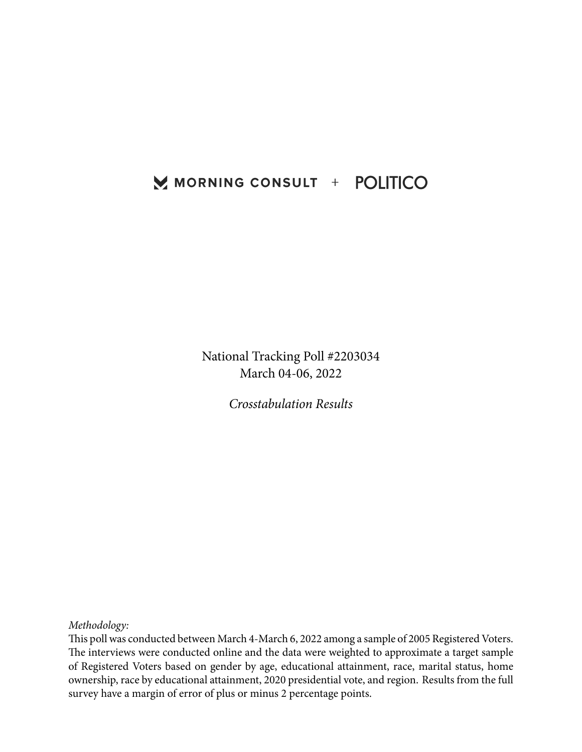## MORNING CONSULT + POLITICO

National Tracking Poll #2203034 March 04-06, 2022

*Crosstabulation Results*

*Methodology:*

This poll was conducted between March 4-March 6, 2022 among a sample of 2005 Registered Voters. The interviews were conducted online and the data were weighted to approximate a target sample of Registered Voters based on gender by age, educational attainment, race, marital status, home ownership, race by educational attainment, 2020 presidential vote, and region. Results from the full survey have a margin of error of plus or minus 2 percentage points.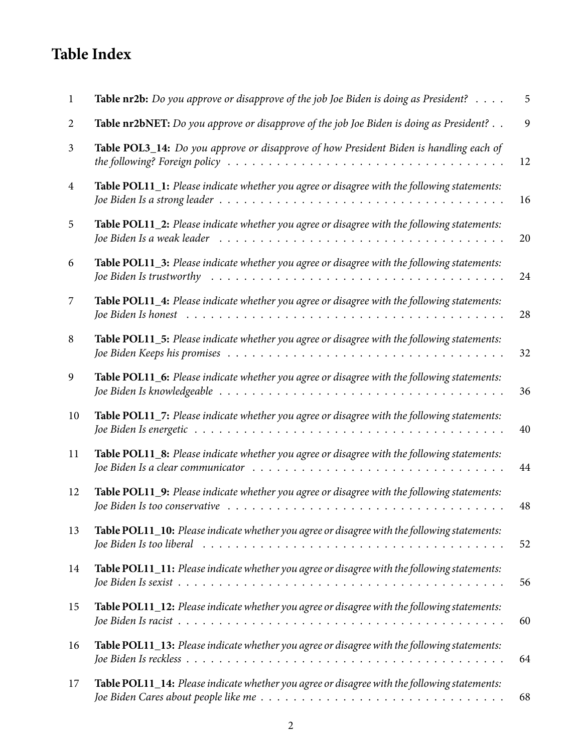# **Table Index**

| 1  | <b>Table nr2b:</b> Do you approve or disapprove of the job Joe Biden is doing as President? $\ldots$ .                                                                                                         | 5  |
|----|----------------------------------------------------------------------------------------------------------------------------------------------------------------------------------------------------------------|----|
| 2  | Table nr2bNET: Do you approve or disapprove of the job Joe Biden is doing as President?                                                                                                                        | 9  |
| 3  | Table POL3_14: Do you approve or disapprove of how President Biden is handling each of<br>the following? Foreign policy $\ldots \ldots \ldots \ldots \ldots \ldots \ldots \ldots \ldots \ldots \ldots \ldots$  | 12 |
| 4  | Table POL11_1: Please indicate whether you agree or disagree with the following statements:                                                                                                                    | 16 |
| 5  | <b>Table POL11_2:</b> Please indicate whether you agree or disagree with the following statements:                                                                                                             | 20 |
| 6  | Table POL11_3: Please indicate whether you agree or disagree with the following statements:<br>Joe Biden Is trustworthy                                                                                        | 24 |
| 7  | Table POL11_4: Please indicate whether you agree or disagree with the following statements:<br>Joe Biden Is honest                                                                                             | 28 |
| 8  | Table POL11_5: Please indicate whether you agree or disagree with the following statements:                                                                                                                    | 32 |
| 9  | Table POL11_6: Please indicate whether you agree or disagree with the following statements:                                                                                                                    | 36 |
| 10 | Table POL11_7: Please indicate whether you agree or disagree with the following statements:                                                                                                                    | 40 |
| 11 | Table POL11_8: Please indicate whether you agree or disagree with the following statements:                                                                                                                    | 44 |
| 12 | Table POL11_9: Please indicate whether you agree or disagree with the following statements:<br>Joe Biden Is too conservative rundled by contact the contact with the contact to conservative rundled by Joe B  | 48 |
| 13 | Table POL11_10: Please indicate whether you agree or disagree with the following statements:<br>Joe Biden Is too liberal $\ldots \ldots \ldots \ldots \ldots \ldots \ldots \ldots \ldots \ldots \ldots \ldots$ | 52 |
| 14 | Table POL11_11: Please indicate whether you agree or disagree with the following statements:                                                                                                                   | 56 |
| 15 | Table POL11_12: Please indicate whether you agree or disagree with the following statements:                                                                                                                   | 60 |
| 16 | Table POL11_13: Please indicate whether you agree or disagree with the following statements:                                                                                                                   | 64 |
| 17 | Table POL11_14: Please indicate whether you agree or disagree with the following statements:                                                                                                                   | 68 |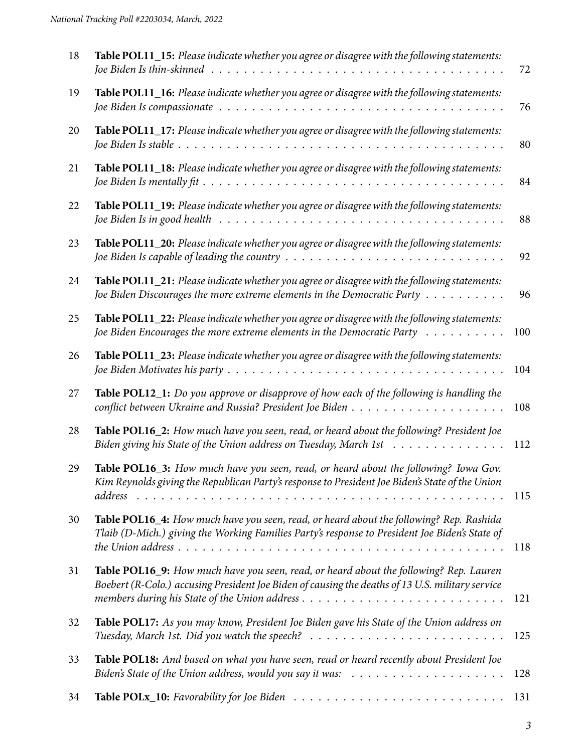| 18 | Table POL11_15: Please indicate whether you agree or disagree with the following statements:                                                                                                                             | 72  |
|----|--------------------------------------------------------------------------------------------------------------------------------------------------------------------------------------------------------------------------|-----|
| 19 | Table POL11_16: Please indicate whether you agree or disagree with the following statements:                                                                                                                             | 76  |
| 20 | Table POL11_17: Please indicate whether you agree or disagree with the following statements:                                                                                                                             | 80  |
| 21 | Table POL11_18: Please indicate whether you agree or disagree with the following statements:                                                                                                                             | 84  |
| 22 | Table POL11_19: Please indicate whether you agree or disagree with the following statements:<br>Joe Biden Is in good health $\ldots \ldots \ldots \ldots \ldots \ldots \ldots \ldots \ldots \ldots \ldots \ldots \ldots$ | 88  |
| 23 | Table POL11_20: Please indicate whether you agree or disagree with the following statements:<br>Joe Biden Is capable of leading the country $\dots \dots \dots \dots \dots \dots \dots \dots \dots \dots \dots \dots$    | 92  |
| 24 | Table POL11_21: Please indicate whether you agree or disagree with the following statements:<br>Joe Biden Discourages the more extreme elements in the Democratic Party $\dots \dots \dots$                              | 96  |
| 25 | Table POL11_22: Please indicate whether you agree or disagree with the following statements:<br>Joe Biden Encourages the more extreme elements in the Democratic Party $\dots \dots \dots$                               | 100 |
| 26 | Table POL11_23: Please indicate whether you agree or disagree with the following statements:                                                                                                                             | 104 |
| 27 | Table POL12_1: Do you approve or disapprove of how each of the following is handling the                                                                                                                                 | 108 |
| 28 | Table POL16_2: How much have you seen, read, or heard about the following? President Joe<br>Biden giving his State of the Union address on Tuesday, March 1st                                                            | 112 |
| 29 | Table POL16_3: How much have you seen, read, or heard about the following? Iowa Gov.<br>Kim Reynolds giving the Republican Party's response to President Joe Biden's State of the Union                                  | 115 |
| 30 | Table POL16_4: How much have you seen, read, or heard about the following? Rep. Rashida<br>Tlaib (D-Mich.) giving the Working Families Party's response to President Joe Biden's State of                                | 118 |
| 31 | Table POL16_9: How much have you seen, read, or heard about the following? Rep. Lauren<br>Boebert (R-Colo.) accusing President Joe Biden of causing the deaths of 13 U.S. military service                               | 121 |
| 32 | Table POL17: As you may know, President Joe Biden gave his State of the Union address on                                                                                                                                 | 125 |
| 33 | Table POL18: And based on what you have seen, read or heard recently about President Joe<br>Biden's State of the Union address, would you say it was: $\ldots \ldots \ldots \ldots \ldots \ldots$                        | 128 |
| 34 |                                                                                                                                                                                                                          | 131 |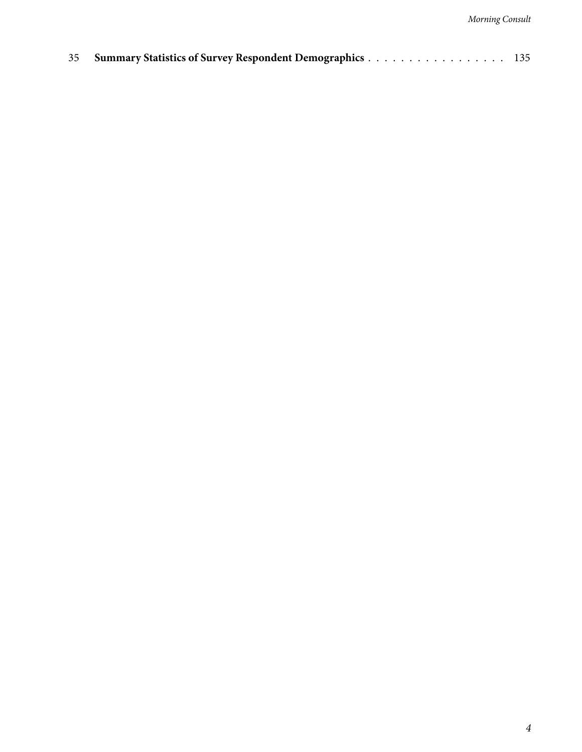|  | 35 Summary Statistics of Survey Respondent Demographics 135 |  |
|--|-------------------------------------------------------------|--|
|--|-------------------------------------------------------------|--|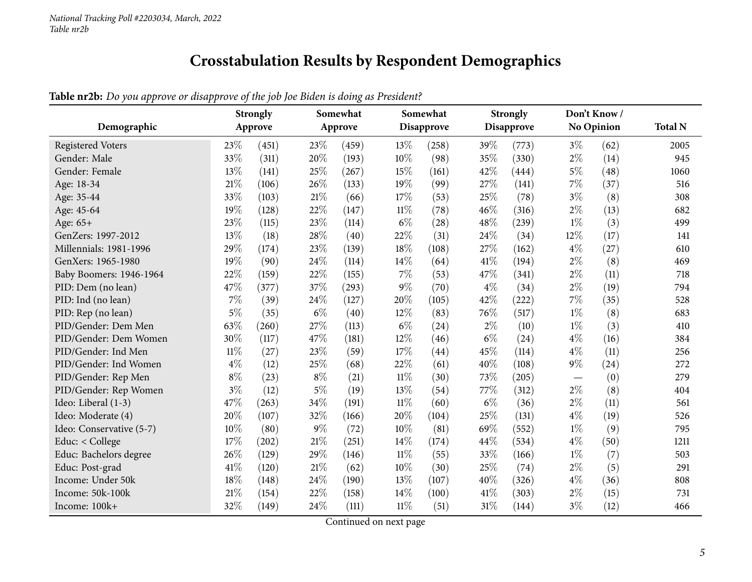## **Crosstabulation Results by Respondent Demographics**

|--|

<span id="page-4-0"></span>

| Demographic              |        | <b>Strongly</b><br>Approve |        | Somewhat<br>Approve |        | Somewhat<br>Disapprove |       | <b>Strongly</b><br><b>Disapprove</b> |       | Don't Know/<br>No Opinion | <b>Total N</b> |
|--------------------------|--------|----------------------------|--------|---------------------|--------|------------------------|-------|--------------------------------------|-------|---------------------------|----------------|
| <b>Registered Voters</b> | 23%    | (451)                      | 23%    | (459)               | 13%    | (258)                  | 39%   | (773)                                | $3\%$ | (62)                      | 2005           |
| Gender: Male             | 33%    | (311)                      | 20%    | (193)               | 10%    | (98)                   | 35%   | (330)                                | $2\%$ | (14)                      | 945            |
| Gender: Female           | 13%    | (141)                      | 25%    | (267)               | 15%    | (161)                  | 42%   | (444)                                | $5\%$ | (48)                      | 1060           |
| Age: 18-34               | $21\%$ | (106)                      | 26%    | (133)               | 19%    | (99)                   | 27%   | (141)                                | $7\%$ | (37)                      | 516            |
| Age: 35-44               | 33%    | (103)                      | 21%    | (66)                | 17%    | (53)                   | 25%   | (78)                                 | $3\%$ | (8)                       | 308            |
| Age: 45-64               | 19%    | (128)                      | 22%    | (147)               | $11\%$ | (78)                   | 46%   | (316)                                | $2\%$ | (13)                      | 682            |
| Age: 65+                 | 23%    | (115)                      | 23%    | (114)               | $6\%$  | (28)                   | 48%   | (239)                                | $1\%$ | (3)                       | 499            |
| GenZers: 1997-2012       | 13%    | (18)                       | 28%    | (40)                | 22%    | (31)                   | 24%   | (34)                                 | 12%   | (17)                      | 141            |
| Millennials: 1981-1996   | 29%    | (174)                      | 23%    | (139)               | 18%    | (108)                  | 27%   | (162)                                | $4\%$ | (27)                      | 610            |
| GenXers: 1965-1980       | 19%    | (90)                       | 24\%   | (114)               | 14%    | (64)                   | 41%   | (194)                                | $2\%$ | (8)                       | 469            |
| Baby Boomers: 1946-1964  | 22%    | (159)                      | 22%    | (155)               | 7%     | (53)                   | 47%   | (341)                                | $2\%$ | (11)                      | 718            |
| PID: Dem (no lean)       | 47%    | (377)                      | 37%    | (293)               | $9\%$  | (70)                   | $4\%$ | (34)                                 | $2\%$ | (19)                      | 794            |
| PID: Ind (no lean)       | $7\%$  | (39)                       | 24%    | (127)               | 20%    | (105)                  | 42%   | (222)                                | $7\%$ | (35)                      | 528            |
| PID: Rep (no lean)       | $5\%$  | (35)                       | $6\%$  | (40)                | 12%    | (83)                   | 76%   | (517)                                | $1\%$ | (8)                       | 683            |
| PID/Gender: Dem Men      | 63%    | (260)                      | 27%    | (113)               | $6\%$  | (24)                   | $2\%$ | (10)                                 | $1\%$ | (3)                       | 410            |
| PID/Gender: Dem Women    | 30%    | (117)                      | 47%    | (181)               | 12%    | (46)                   | $6\%$ | (24)                                 | $4\%$ | (16)                      | 384            |
| PID/Gender: Ind Men      | $11\%$ | (27)                       | 23%    | (59)                | 17%    | (44)                   | 45%   | (114)                                | $4\%$ | (11)                      | 256            |
| PID/Gender: Ind Women    | $4\%$  | (12)                       | 25%    | (68)                | 22%    | (61)                   | 40%   | (108)                                | $9\%$ | (24)                      | 272            |
| PID/Gender: Rep Men      | $8\%$  | (23)                       | $8\%$  | (21)                | $11\%$ | (30)                   | 73%   | (205)                                |       | (0)                       | 279            |
| PID/Gender: Rep Women    | $3\%$  | (12)                       | $5\%$  | (19)                | 13%    | (54)                   | 77\%  | (312)                                | $2\%$ | (8)                       | 404            |
| Ideo: Liberal (1-3)      | 47%    | (263)                      | 34%    | (191)               | $11\%$ | (60)                   | $6\%$ | (36)                                 | $2\%$ | (11)                      | 561            |
| Ideo: Moderate (4)       | 20%    | (107)                      | 32%    | (166)               | 20%    | (104)                  | 25%   | (131)                                | $4\%$ | (19)                      | 526            |
| Ideo: Conservative (5-7) | 10%    | (80)                       | $9\%$  | (72)                | 10%    | (81)                   | 69%   | (552)                                | $1\%$ | (9)                       | 795            |
| Educ: < College          | 17%    | (202)                      | $21\%$ | (251)               | 14%    | (174)                  | 44\%  | (534)                                | $4\%$ | (50)                      | 1211           |
| Educ: Bachelors degree   | 26%    | (129)                      | 29%    | (146)               | $11\%$ | (55)                   | 33%   | (166)                                | $1\%$ | (7)                       | 503            |
| Educ: Post-grad          | 41\%   | (120)                      | 21%    | (62)                | 10%    | (30)                   | 25\%  | (74)                                 | $2\%$ | (5)                       | 291            |
| Income: Under 50k        | 18%    | (148)                      | 24%    | (190)               | 13%    | (107)                  | 40%   | (326)                                | $4\%$ | (36)                      | 808            |
| Income: 50k-100k         | 21%    | (154)                      | 22%    | (158)               | 14%    | (100)                  | 41\%  | (303)                                | $2\%$ | (15)                      | 731            |
| Income: 100k+            | 32%    | (149)                      | 24%    | (111)               | $11\%$ | (51)                   | 31%   | (144)                                | $3\%$ | (12)                      | 466            |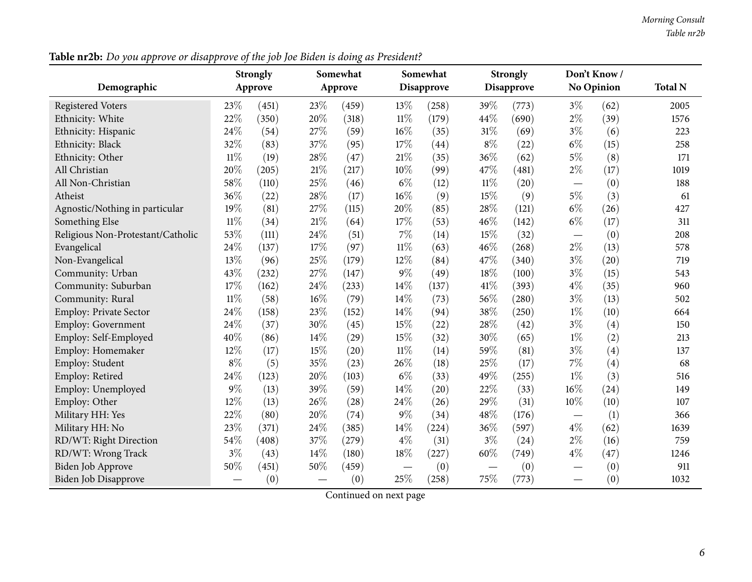|                                   |        | <b>Strongly</b> |        | Somewhat            |                   | Somewhat          |                               | <b>Strongly</b>   |                                  | Don't Know/       |                |
|-----------------------------------|--------|-----------------|--------|---------------------|-------------------|-------------------|-------------------------------|-------------------|----------------------------------|-------------------|----------------|
| Demographic                       |        | Approve         |        | Approve             |                   | <b>Disapprove</b> |                               | <b>Disapprove</b> |                                  | <b>No Opinion</b> | <b>Total N</b> |
| <b>Registered Voters</b>          | 23%    | (451)           | 23%    | (459)               | 13%               | (258)             | 39%                           | (773)             | $3\%$                            | (62)              | 2005           |
| Ethnicity: White                  | 22%    | (350)           | 20%    | (318)               | $11\%$            | (179)             | 44%                           | (690)             | $2\%$                            | (39)              | 1576           |
| Ethnicity: Hispanic               | 24%    | (54)            | 27%    | (59)                | 16%               | (35)              | 31%                           | (69)              | $3\%$                            | (6)               | 223            |
| Ethnicity: Black                  | 32%    | (83)            | 37%    | (95)                | 17%               | (44)              | $8\%$                         | (22)              | $6\%$                            | (15)              | 258            |
| Ethnicity: Other                  | $11\%$ | (19)            | 28%    | (47)                | 21%               | (35)              | 36%                           | (62)              | $5\%$                            | (8)               | 171            |
| All Christian                     | 20%    | (205)           | $21\%$ | (217)               | 10%               | (99)              | 47%                           | (481)             | $2\%$                            | (17)              | 1019           |
| All Non-Christian                 | 58%    | (110)           | 25%    | (46)                | $6\%$             | (12)              | $11\%$                        | (20)              |                                  | (0)               | 188            |
| Atheist                           | 36%    | (22)            | 28%    | (17)                | 16%               | (9)               | 15%                           | (9)               | $5\%$                            | (3)               | 61             |
| Agnostic/Nothing in particular    | 19%    | (81)            | 27%    | (115)               | 20%               | (85)              | 28%                           | (121)             | $6\%$                            | (26)              | 427            |
| Something Else                    | $11\%$ | (34)            | 21%    | (64)                | 17%               | (53)              | 46%                           | (142)             | $6\%$                            | (17)              | 311            |
| Religious Non-Protestant/Catholic | 53%    | (111)           | 24%    | (51)                | 7%                | (14)              | 15%                           | (32)              | $\overbrace{\phantom{12322111}}$ | (0)               | 208            |
| Evangelical                       | 24%    | (137)           | 17%    | (97)                | $11\%$            | (63)              | 46%                           | (268)             | $2\%$                            | (13)              | 578            |
| Non-Evangelical                   | 13%    | (96)            | 25%    | (179)               | 12%               | (84)              | 47%                           | (340)             | $3\%$                            | (20)              | 719            |
| Community: Urban                  | 43%    | (232)           | 27%    | (147)               | $9\%$             | (49)              | 18%                           | (100)             | $3\%$                            | (15)              | 543            |
| Community: Suburban               | 17%    | (162)           | 24%    | (233)               | 14%               | (137)             | 41\%                          | (393)             | $4\%$                            | (35)              | 960            |
| Community: Rural                  | $11\%$ | (58)            | 16%    | (79)                | 14%               | (73)              | 56%                           | (280)             | $3\%$                            | (13)              | 502            |
| <b>Employ: Private Sector</b>     | 24%    | (158)           | 23%    | (152)               | 14\%              | (94)              | 38%                           | (250)             | $1\%$                            | (10)              | 664            |
| <b>Employ: Government</b>         | 24%    | (37)            | 30%    | (45)                | 15%               | (22)              | 28%                           | (42)              | $3\%$                            | (4)               | 150            |
| Employ: Self-Employed             | 40%    | (86)            | 14%    | (29)                | 15%               | (32)              | 30%                           | (65)              | $1\%$                            | (2)               | 213            |
| Employ: Homemaker                 | 12%    | (17)            | 15%    | (20)                | $11\%$            | (14)              | 59%                           | (81)              | $3\%$                            | (4)               | 137            |
| Employ: Student                   | $8\%$  | (5)             | 35%    | (23)                | 26%               | (18)              | 25%                           | (17)              | 7%                               | (4)               | 68             |
| Employ: Retired                   | 24%    | (123)           | 20%    | (103)               | $6\%$             | (33)              | 49%                           | (255)             | $1\%$                            | (3)               | 516            |
| Employ: Unemployed                | $9\%$  | (13)            | 39%    | (59)                | 14%               | (20)              | 22%                           | (33)              | 16%                              | (24)              | 149            |
| Employ: Other                     | 12%    | (13)            | 26%    | (28)                | 24%               | (26)              | 29%                           | (31)              | 10%                              | (10)              | 107            |
| Military HH: Yes                  | 22%    | (80)            | 20%    | (74)                | $9\%$             | (34)              | 48%                           | (176)             |                                  | (1)               | 366            |
| Military HH: No                   | 23%    | (371)           | 24%    | (385)               | 14%               | (224)             | 36%                           | (597)             | $4\%$                            | (62)              | 1639           |
| RD/WT: Right Direction            | $54\%$ | (408)           | 37%    | (279)               | $4\%$             | (31)              | $3\%$                         | (24)              | $2\%$                            | (16)              | 759            |
| RD/WT: Wrong Track                | $3\%$  | (43)            | 14%    | (180)               | 18%               | (227)             | 60%                           | (749)             | $4\%$                            | (47)              | 1246           |
| Biden Job Approve                 | 50%    | (451)           | 50%    | $\left( 459\right)$ | $\hspace{0.05cm}$ | (0)               | $\overbrace{\phantom{aaaaa}}$ | (0)               | $\overline{\phantom{0}}$         | (0)               | 911            |
| Biden Job Disapprove              |        | (0)             |        | (0)                 | 25%               | (258)             | 75%                           | (773)             |                                  | (0)               | 1032           |

Table nr2b: Do you approve or disapprove of the job Joe Biden is doing as President?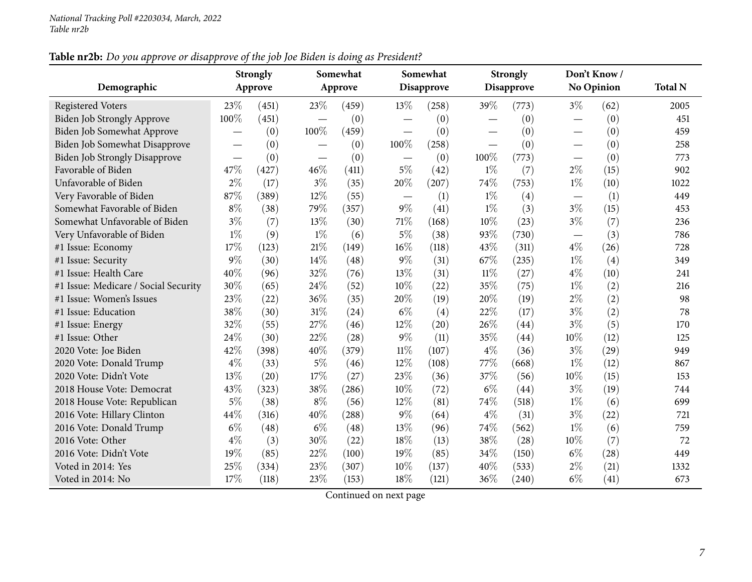### Table nr2b: Do you approve or disapprove of the job Joe Biden is doing as President?

| Demographic                          |       | <b>Strongly</b><br>Approve |                          | Somewhat<br>Approve |                          | Somewhat<br><b>Disapprove</b> |        | <b>Strongly</b><br><b>Disapprove</b> |                          | Don't Know/<br>No Opinion | <b>Total N</b> |
|--------------------------------------|-------|----------------------------|--------------------------|---------------------|--------------------------|-------------------------------|--------|--------------------------------------|--------------------------|---------------------------|----------------|
|                                      |       |                            |                          |                     |                          |                               |        |                                      |                          |                           |                |
| <b>Registered Voters</b>             | 23%   | (451)                      | 23%                      | (459)               | 13\%                     | (258)                         | 39%    | (773)                                | $3\%$                    | (62)                      | 2005           |
| Biden Job Strongly Approve           | 100%  | (451)                      |                          | (0)                 |                          | (0)                           |        | (0)                                  |                          | (0)                       | 451            |
| Biden Job Somewhat Approve           |       | (0)                        | 100%                     | (459)               | $\overline{\phantom{0}}$ | (0)                           |        | (0)                                  | $\overline{\phantom{0}}$ | (0)                       | 459            |
| Biden Job Somewhat Disapprove        |       | (0)                        |                          | (0)                 | 100%                     | (258)                         |        | (0)                                  | $\overline{\phantom{0}}$ | (0)                       | 258            |
| <b>Biden Job Strongly Disapprove</b> |       | (0)                        | $\overline{\phantom{0}}$ | (0)                 |                          | (0)                           | 100%   | (773)                                |                          | (0)                       | 773            |
| Favorable of Biden                   | 47%   | (427)                      | 46%                      | (411)               | $5\%$                    | (42)                          | $1\%$  | (7)                                  | $2\%$                    | (15)                      | 902            |
| Unfavorable of Biden                 | $2\%$ | (17)                       | $3\%$                    | (35)                | 20%                      | (207)                         | 74%    | (753)                                | $1\%$                    | (10)                      | 1022           |
| Very Favorable of Biden              | 87%   | (389)                      | 12%                      | (55)                |                          | (1)                           | $1\%$  | (4)                                  |                          | (1)                       | 449            |
| Somewhat Favorable of Biden          | $8\%$ | (38)                       | 79%                      | (357)               | $9\%$                    | (41)                          | $1\%$  | (3)                                  | $3\%$                    | (15)                      | 453            |
| Somewhat Unfavorable of Biden        | $3\%$ | (7)                        | 13%                      | (30)                | 71\%                     | (168)                         | 10%    | (23)                                 | $3\%$                    | (7)                       | 236            |
| Very Unfavorable of Biden            | $1\%$ | (9)                        | $1\%$                    | (6)                 | $5\%$                    | (38)                          | 93%    | (730)                                | $\overline{\phantom{m}}$ | (3)                       | 786            |
| #1 Issue: Economy                    | 17%   | (123)                      | $21\%$                   | (149)               | 16%                      | (118)                         | 43%    | (311)                                | $4\%$                    | (26)                      | 728            |
| #1 Issue: Security                   | 9%    | (30)                       | 14%                      | (48)                | $9\%$                    | (31)                          | 67%    | (235)                                | $1\%$                    | (4)                       | 349            |
| #1 Issue: Health Care                | 40%   | (96)                       | 32%                      | (76)                | 13%                      | (31)                          | $11\%$ | (27)                                 | $4\%$                    | (10)                      | 241            |
| #1 Issue: Medicare / Social Security | 30%   | (65)                       | 24%                      | (52)                | 10%                      | (22)                          | 35%    | (75)                                 | $1\%$                    | (2)                       | 216            |
| #1 Issue: Women's Issues             | 23%   | (22)                       | 36%                      | (35)                | 20%                      | (19)                          | 20%    | (19)                                 | $2\%$                    | (2)                       | 98             |
| #1 Issue: Education                  | 38%   | (30)                       | 31%                      | (24)                | $6\%$                    | (4)                           | 22%    | (17)                                 | $3\%$                    | (2)                       | 78             |
| #1 Issue: Energy                     | 32%   | (55)                       | 27%                      | (46)                | 12%                      | (20)                          | 26%    | (44)                                 | $3\%$                    | (5)                       | 170            |
| #1 Issue: Other                      | 24%   | (30)                       | 22%                      | (28)                | $9\%$                    | (11)                          | 35%    | (44)                                 | 10%                      | (12)                      | 125            |
| 2020 Vote: Joe Biden                 | 42%   | (398)                      | 40%                      | (379)               | $11\%$                   | (107)                         | $4\%$  | (36)                                 | $3\%$                    | (29)                      | 949            |
| 2020 Vote: Donald Trump              | $4\%$ | (33)                       | $5\%$                    | (46)                | 12%                      | (108)                         | 77%    | (668)                                | $1\%$                    | (12)                      | 867            |
| 2020 Vote: Didn't Vote               | 13%   | (20)                       | 17%                      | (27)                | 23%                      | (36)                          | 37%    | (56)                                 | 10%                      | (15)                      | 153            |
| 2018 House Vote: Democrat            | 43%   | (323)                      | 38%                      | (286)               | 10%                      | (72)                          | $6\%$  | (44)                                 | $3\%$                    | (19)                      | 744            |
| 2018 House Vote: Republican          | $5\%$ | (38)                       | $8\%$                    | (56)                | $12\%$                   | (81)                          | 74%    | (518)                                | $1\%$                    | (6)                       | 699            |
| 2016 Vote: Hillary Clinton           | 44%   | (316)                      | 40%                      | (288)               | $9\%$                    | (64)                          | $4\%$  | (31)                                 | $3\%$                    | (22)                      | 721            |
| 2016 Vote: Donald Trump              | $6\%$ | (48)                       | $6\%$                    | (48)                | 13%                      | (96)                          | 74%    | (562)                                | $1\%$                    | (6)                       | 759            |
| 2016 Vote: Other                     | $4\%$ | (3)                        | 30%                      | (22)                | 18%                      | (13)                          | 38%    | (28)                                 | 10%                      | (7)                       | 72             |
| 2016 Vote: Didn't Vote               | 19%   | (85)                       | 22%                      | (100)               | 19%                      | (85)                          | 34%    | (150)                                | $6\%$                    | (28)                      | 449            |
| Voted in 2014: Yes                   | 25%   | (334)                      | 23%                      | (307)               | 10%                      | (137)                         | 40%    | (533)                                | $2\%$                    | (21)                      | 1332           |
| Voted in 2014: No                    | 17%   | (118)                      | 23%                      | (153)               | 18%                      | (121)                         | 36%    | (240)                                | $6\%$                    | (41)                      | 673            |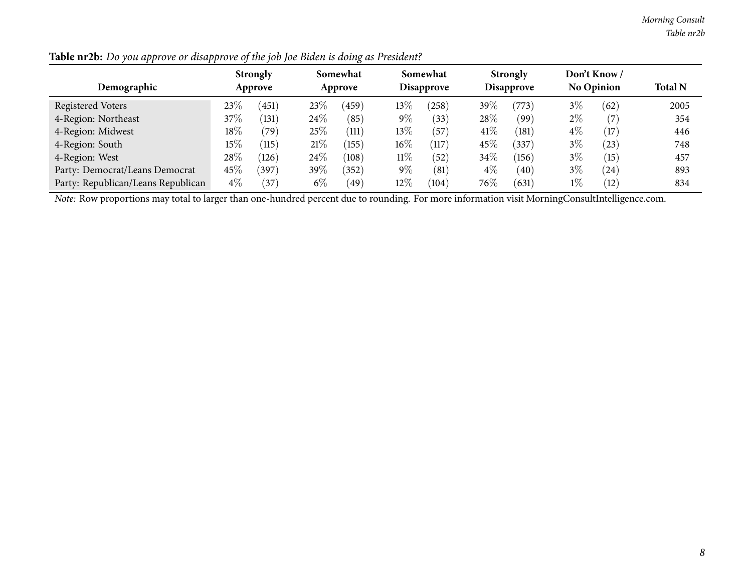*Morning Consult Table nr2b*

| Demographic                        | <b>Strongly</b><br>Approve |       |       | Somewhat<br>Approve |        | Somewhat<br>Disapprove |        | <b>Strongly</b><br><b>Disapprove</b> |       | Don't Know /<br><b>No Opinion</b> |      |
|------------------------------------|----------------------------|-------|-------|---------------------|--------|------------------------|--------|--------------------------------------|-------|-----------------------------------|------|
| <b>Registered Voters</b>           | 23\%                       | 451   | 23%   | 459                 | $13\%$ | 258                    | $39\%$ | (773)                                | 3%    | (62)                              | 2005 |
| 4-Region: Northeast                | $37\%$                     | 131   | 24%   | (85)                | $9\%$  | (33)                   | 28\%   | (99                                  | 2%    | (7                                | 354  |
| 4-Region: Midwest                  | 18%                        | (79)  | 25%   | (111)               | 13%    | (57)                   | 41%    | (181)                                | $4\%$ | (17)                              | 446  |
| 4-Region: South                    | $15\%$                     | (115) | 21%   | (155)               | $16\%$ | (117)                  | 45%    | (337)                                | 3%    | (23)                              | 748  |
| 4-Region: West                     | 28%                        | (126) | 24\%  | (108)               | $11\%$ | $^{\prime}52$          | 34\%   | (156)                                | $3\%$ | (15)                              | 457  |
| Party: Democrat/Leans Democrat     | 45\%                       | 397)  | 39\%  | (352)               | $9\%$  | (81)                   | $4\%$  | (40                                  | $3\%$ | 24                                | 893  |
| Party: Republican/Leans Republican | $4\%$                      | 37    | $6\%$ | 49                  | $12\%$ | 104)                   | $76\%$ | (631)                                | $1\%$ | (12)                              | 834  |

Table nr2b: Do you approve or disapprove of the job Joe Biden is doing as President?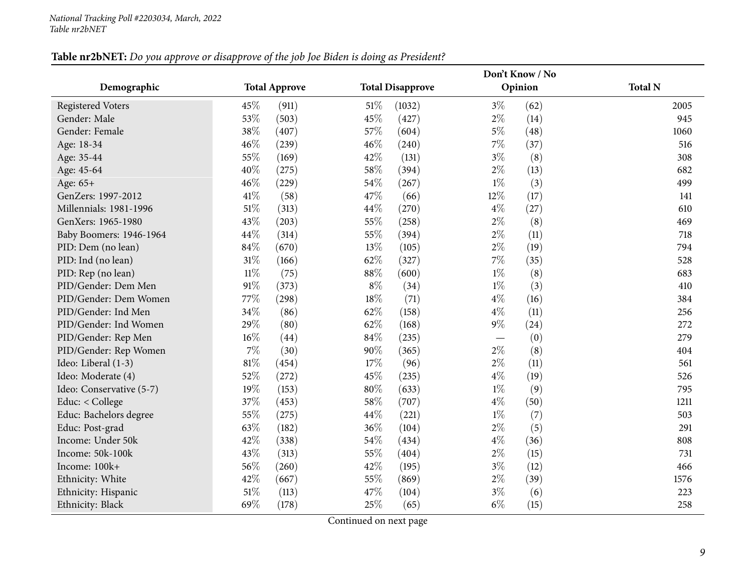### Table nr2bNET: Do you approve or disapprove of the job Joe Biden is doing as President?

<span id="page-8-0"></span>

|                          |                      |                         |                | Don't Know / No |                |
|--------------------------|----------------------|-------------------------|----------------|-----------------|----------------|
| Demographic              | <b>Total Approve</b> | <b>Total Disapprove</b> |                | Opinion         | <b>Total N</b> |
| <b>Registered Voters</b> | 45%<br>(911)         | 51\%<br>(1032)          | $3\%$          | (62)            | 2005           |
| Gender: Male             | 53%<br>(503)         | 45%<br>(427)            | $2\%$          | (14)            | 945            |
| Gender: Female           | 38%<br>(407)         | 57%<br>(604)            | $5\%$          | (48)            | 1060           |
| Age: 18-34               | 46%<br>(239)         | 46%<br>(240)            | $7\%$          | (37)            | 516            |
| Age: 35-44               | 55%<br>(169)         | 42%                     | $3\%$<br>(131) | (8)             | 308            |
| Age: 45-64               | 40%<br>(275)         | 58%<br>(394)            | $2\%$          | (13)            | 682            |
| Age: 65+                 | 46%<br>(229)         | 54%<br>(267)            | $1\%$          | (3)             | 499            |
| GenZers: 1997-2012       | 41\%<br>(58)         | 47%                     | 12%<br>(66)    | (17)            | 141            |
| Millennials: 1981-1996   | 51%<br>(313)         | 44\%<br>(270)           | $4\%$          | (27)            | 610            |
| GenXers: 1965-1980       | 43%<br>(203)         | 55%<br>(258)            | $2\%$          | (8)             | 469            |
| Baby Boomers: 1946-1964  | 44%<br>(314)         | 55%<br>(394)            | $2\%$          | (11)            | 718            |
| PID: Dem (no lean)       | 84%<br>(670)         | 13%<br>(105)            | $2\%$          | (19)            | 794            |
| PID: Ind (no lean)       | 31%<br>(166)         | 62%<br>(327)            | $7\%$          | (35)            | 528            |
| PID: Rep (no lean)       | $11\%$<br>(75)       | 88%<br>(600)            | $1\%$          | (8)             | 683            |
| PID/Gender: Dem Men      | 91%<br>(373)         | $8\%$                   | $1\%$<br>(34)  | (3)             | 410            |
| PID/Gender: Dem Women    | 77%<br>(298)         | 18%                     | $4\%$<br>(71)  | (16)            | 384            |
| PID/Gender: Ind Men      | 34%<br>(86)          | 62%<br>(158)            | $4\%$          | (11)            | 256            |
| PID/Gender: Ind Women    | 29%<br>(80)          | 62%<br>(168)            | $9\%$          | (24)            | 272            |
| PID/Gender: Rep Men      | $16\%$<br>(44)       | 84%<br>(235)            |                | (0)             | 279            |
| PID/Gender: Rep Women    | $7\%$<br>(30)        | 90%<br>(365)            | $2\%$          | (8)             | 404            |
| Ideo: Liberal (1-3)      | 81%<br>(454)         | 17%                     | $2\%$<br>(96)  | (11)            | 561            |
| Ideo: Moderate (4)       | 52%<br>(272)         | 45%<br>(235)            | $4\%$          | (19)            | 526            |
| Ideo: Conservative (5-7) | 19%<br>(153)         | 80%<br>(633)            | $1\%$          | (9)             | 795            |
| Educ: < College          | 37%<br>(453)         | 58%<br>(707)            | $4\%$          | (50)            | 1211           |
| Educ: Bachelors degree   | 55%<br>(275)         | 44%<br>(221)            | $1\%$          | (7)             | 503            |
| Educ: Post-grad          | 63%<br>(182)         | 36%<br>(104)            | $2\%$          | (5)             | 291            |
| Income: Under 50k        | 42%<br>(338)         | 54%<br>(434)            | $4\%$          | (36)            | 808            |
| Income: 50k-100k         | 43%<br>(313)         | 55%<br>(404)            | $2\%$          | (15)            | 731            |
| Income: 100k+            | 56%<br>(260)         | 42%<br>(195)            | $3\%$          | (12)            | 466            |
| Ethnicity: White         | 42%<br>(667)         | 55%<br>(869)            | $2\%$          | (39)            | 1576           |
| Ethnicity: Hispanic      | 51%<br>(113)         | 47%<br>(104)            | $3\%$          | (6)             | 223            |
| Ethnicity: Black         | 69%<br>(178)         | 25%                     | $6\%$<br>(65)  | (15)            | 258            |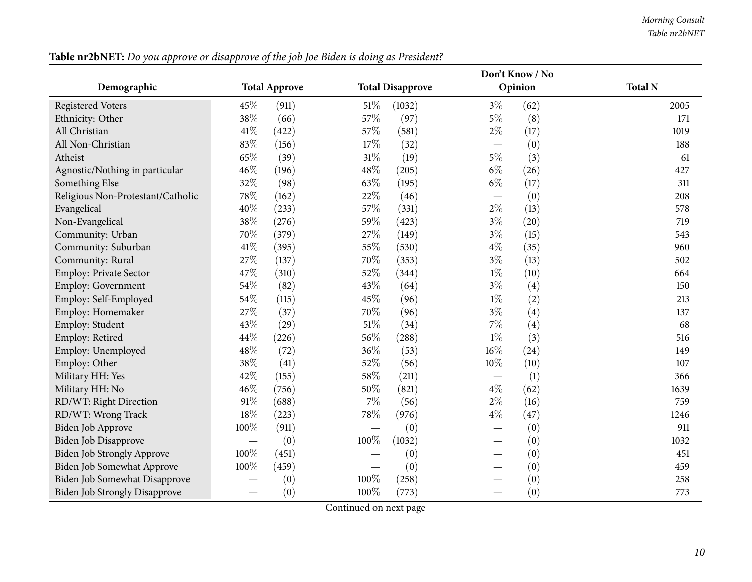*Morning Consult Table nr2bNET*

|                                      |         | Don't Know / No      |                          |                         |       |         |                |
|--------------------------------------|---------|----------------------|--------------------------|-------------------------|-------|---------|----------------|
| Demographic                          |         | <b>Total Approve</b> |                          | <b>Total Disapprove</b> |       | Opinion | <b>Total N</b> |
| <b>Registered Voters</b>             | 45%     | (911)                | 51%                      | (1032)                  | $3\%$ | (62)    | 2005           |
| Ethnicity: Other                     | 38%     | (66)                 | 57%                      | (97)                    | $5\%$ | (8)     | 171            |
| All Christian                        | $41\%$  | (422)                | 57%                      | (581)                   | $2\%$ | (17)    | 1019           |
| All Non-Christian                    | 83%     | (156)                | 17%                      | (32)                    |       | (0)     | 188            |
| Atheist                              | 65%     | (39)                 | 31%                      | (19)                    | $5\%$ | (3)     | 61             |
| Agnostic/Nothing in particular       | 46%     | (196)                | 48%                      | (205)                   | $6\%$ | (26)    | 427            |
| Something Else                       | 32%     | (98)                 | 63%                      | (195)                   | $6\%$ | (17)    | 311            |
| Religious Non-Protestant/Catholic    | 78%     | (162)                | 22%                      | (46)                    |       | (0)     | 208            |
| Evangelical                          | 40%     | (233)                | 57%                      | (331)                   | $2\%$ | (13)    | 578            |
| Non-Evangelical                      | 38%     | (276)                | 59%                      | (423)                   | $3\%$ | (20)    | 719            |
| Community: Urban                     | 70%     | (379)                | 27%                      | (149)                   | $3\%$ | (15)    | 543            |
| Community: Suburban                  | 41\%    | (395)                | 55%                      | (530)                   | $4\%$ | (35)    | 960            |
| Community: Rural                     | 27\%    | (137)                | 70%                      | (353)                   | $3\%$ | (13)    | 502            |
| Employ: Private Sector               | 47%     | (310)                | 52%                      | (344)                   | $1\%$ | (10)    | 664            |
| Employ: Government                   | 54%     | (82)                 | 43%                      | (64)                    | $3\%$ | (4)     | 150            |
| Employ: Self-Employed                | 54%     | (115)                | 45%                      | (96)                    | $1\%$ | (2)     | 213            |
| Employ: Homemaker                    | 27%     | (37)                 | 70%                      | (96)                    | $3\%$ | (4)     | 137            |
| Employ: Student                      | 43\%    | (29)                 | 51\%                     | (34)                    | 7%    | (4)     | 68             |
| Employ: Retired                      | 44\%    | (226)                | 56%                      | (288)                   | $1\%$ | (3)     | 516            |
| Employ: Unemployed                   | 48%     | (72)                 | 36%                      | (53)                    | 16%   | (24)    | 149            |
| Employ: Other                        | 38%     | (41)                 | 52%                      | (56)                    | 10%   | (10)    | 107            |
| Military HH: Yes                     | 42%     | (155)                | 58%                      | (211)                   |       | (1)     | 366            |
| Military HH: No                      | 46%     | (756)                | 50%                      | (821)                   | $4\%$ | (62)    | 1639           |
| RD/WT: Right Direction               | 91\%    | (688)                | $7\%$                    | (56)                    | $2\%$ | (16)    | 759            |
| RD/WT: Wrong Track                   | 18%     | (223)                | 78%                      | (976)                   | $4\%$ | (47)    | 1246           |
| Biden Job Approve                    | 100%    | (911)                | $\overline{\phantom{0}}$ | (0)                     |       | (0)     | 911            |
| Biden Job Disapprove                 |         | (0)                  | 100%                     | (1032)                  |       | (0)     | 1032           |
| Biden Job Strongly Approve           | 100%    | (451)                |                          | (0)                     |       | (0)     | 451            |
| Biden Job Somewhat Approve           | $100\%$ | (459)                |                          | (0)                     |       | (0)     | 459            |
| Biden Job Somewhat Disapprove        |         | (0)                  | 100%                     | (258)                   |       | (0)     | 258            |
| <b>Biden Job Strongly Disapprove</b> |         | (0)                  | 100%                     | (773)                   |       | (0)     | 773            |

Table nr2bNET: Do you approve or disapprove of the job Joe Biden is doing as President?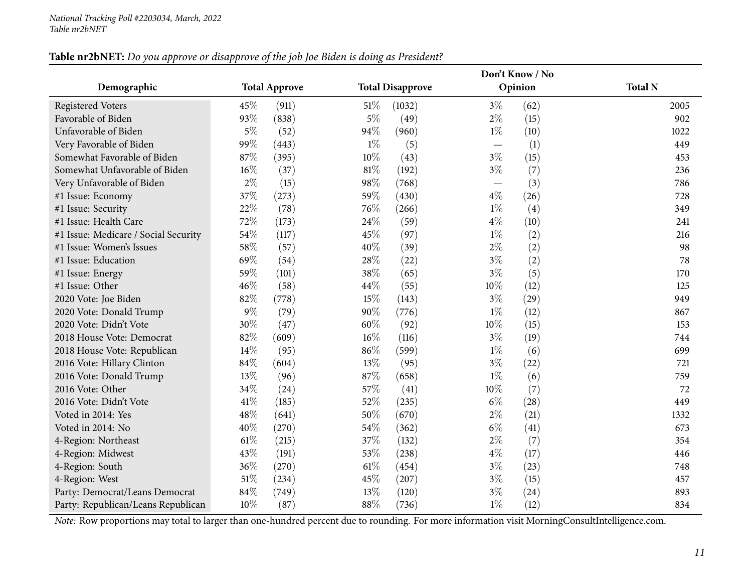### Table nr2bNET: Do you approve or disapprove of the job Joe Biden is doing as President?

|                                      |        |                      |        |                         |       | Don't Know / No |                |
|--------------------------------------|--------|----------------------|--------|-------------------------|-------|-----------------|----------------|
| Demographic                          |        | <b>Total Approve</b> |        | <b>Total Disapprove</b> |       | Opinion         | <b>Total N</b> |
| <b>Registered Voters</b>             | 45%    | (911)                | 51%    | (1032)                  | $3\%$ | (62)            | 2005           |
| Favorable of Biden                   | 93%    | (838)                | $5\%$  | (49)                    | $2\%$ | (15)            | 902            |
| Unfavorable of Biden                 | $5\%$  | (52)                 | 94%    | (960)                   | $1\%$ | (10)            | 1022           |
| Very Favorable of Biden              | 99%    | (443)                | $1\%$  | (5)                     |       | (1)             | 449            |
| Somewhat Favorable of Biden          | 87%    | (395)                | 10%    | (43)                    | $3\%$ | (15)            | 453            |
| Somewhat Unfavorable of Biden        | $16\%$ | (37)                 | 81%    | (192)                   | $3\%$ | (7)             | 236            |
| Very Unfavorable of Biden            | $2\%$  | (15)                 | 98%    | (768)                   |       | (3)             | 786            |
| #1 Issue: Economy                    | 37%    | (273)                | 59%    | (430)                   | $4\%$ | (26)            | 728            |
| #1 Issue: Security                   | 22%    | (78)                 | 76%    | (266)                   | $1\%$ | (4)             | 349            |
| #1 Issue: Health Care                | 72%    | (173)                | 24\%   | (59)                    | $4\%$ | (10)            | 241            |
| #1 Issue: Medicare / Social Security | 54\%   | (117)                | 45%    | (97)                    | $1\%$ | (2)             | 216            |
| #1 Issue: Women's Issues             | 58%    | (57)                 | 40%    | (39)                    | $2\%$ | (2)             | 98             |
| #1 Issue: Education                  | 69%    | (54)                 | 28%    | (22)                    | $3\%$ | (2)             | 78             |
| #1 Issue: Energy                     | 59%    | (101)                | 38%    | (65)                    | $3\%$ | (5)             | 170            |
| #1 Issue: Other                      | 46%    | (58)                 | 44%    | (55)                    | 10%   | (12)            | 125            |
| 2020 Vote: Joe Biden                 | 82%    | (778)                | 15%    | (143)                   | 3%    | (29)            | 949            |
| 2020 Vote: Donald Trump              | $9\%$  | (79)                 | 90%    | (776)                   | $1\%$ | (12)            | 867            |
| 2020 Vote: Didn't Vote               | 30%    | (47)                 | 60%    | (92)                    | 10%   | (15)            | 153            |
| 2018 House Vote: Democrat            | 82%    | (609)                | 16%    | (116)                   | $3\%$ | (19)            | 744            |
| 2018 House Vote: Republican          | $14\%$ | (95)                 | 86%    | (599)                   | $1\%$ | (6)             | 699            |
| 2016 Vote: Hillary Clinton           | 84\%   | (604)                | 13%    | (95)                    | $3\%$ | (22)            | 721            |
| 2016 Vote: Donald Trump              | 13\%   | (96)                 | 87%    | (658)                   | $1\%$ | (6)             | 759            |
| 2016 Vote: Other                     | 34%    | (24)                 | 57%    | (41)                    | 10%   | (7)             | 72             |
| 2016 Vote: Didn't Vote               | 41\%   | (185)                | 52%    | (235)                   | $6\%$ | (28)            | 449            |
| Voted in 2014: Yes                   | 48%    | (641)                | 50%    | (670)                   | $2\%$ | (21)            | 1332           |
| Voted in 2014: No                    | 40%    | (270)                | 54%    | (362)                   | $6\%$ | (41)            | 673            |
| 4-Region: Northeast                  | $61\%$ | (215)                | 37%    | (132)                   | $2\%$ | (7)             | 354            |
| 4-Region: Midwest                    | 43%    | (191)                | 53%    | (238)                   | $4\%$ | (17)            | 446            |
| 4-Region: South                      | 36%    | (270)                | 61\%   | (454)                   | $3\%$ | (23)            | 748            |
| 4-Region: West                       | 51\%   | (234)                | $45\%$ | (207)                   | $3\%$ | (15)            | 457            |
| Party: Democrat/Leans Democrat       | 84%    | (749)                | 13%    | (120)                   | $3\%$ | (24)            | 893            |
| Party: Republican/Leans Republican   | 10%    | (87)                 | 88%    | (736)                   | $1\%$ | (12)            | 834            |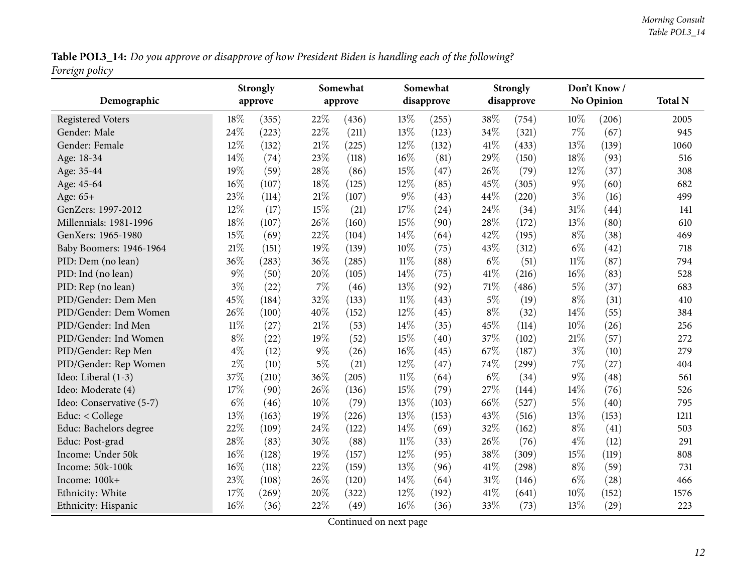Table POL3\_14: Do you approve or disapprove of how President Biden is handling each of the following? *Foreign policy*

<span id="page-11-0"></span>

| Demographic              |        | <b>Strongly</b><br>approve |        | Somewhat<br>approve |        | Somewhat<br>disapprove |       | <b>Strongly</b><br>disapprove |        | Don't Know/<br><b>No Opinion</b> | <b>Total N</b> |
|--------------------------|--------|----------------------------|--------|---------------------|--------|------------------------|-------|-------------------------------|--------|----------------------------------|----------------|
| <b>Registered Voters</b> | 18%    | (355)                      | 22%    | (436)               | 13%    | (255)                  | 38%   | (754)                         | 10%    | (206)                            | 2005           |
| Gender: Male             | 24%    | (223)                      | 22%    | (211)               | 13\%   | (123)                  | 34%   | (321)                         | 7%     | (67)                             | 945            |
| Gender: Female           | 12%    | (132)                      | 21%    | (225)               | 12%    | (132)                  | 41\%  | (433)                         | 13%    | (139)                            | 1060           |
| Age: 18-34               | 14%    | (74)                       | 23%    | (118)               | $16\%$ | (81)                   | 29%   | (150)                         | 18%    | (93)                             | 516            |
| Age: 35-44               | 19%    | (59)                       | 28%    | (86)                | 15%    | (47)                   | 26%   | (79)                          | 12%    | (37)                             | 308            |
| Age: 45-64               | 16%    | (107)                      | 18%    | (125)               | 12%    | (85)                   | 45%   | (305)                         | $9\%$  | (60)                             | 682            |
| Age: 65+                 | 23%    | (114)                      | 21%    | (107)               | $9\%$  | (43)                   | 44%   | (220)                         | $3\%$  | (16)                             | 499            |
| GenZers: 1997-2012       | 12%    | (17)                       | 15%    | (21)                | 17%    | (24)                   | 24%   | (34)                          | 31%    | (44)                             | 141            |
| Millennials: 1981-1996   | 18%    | (107)                      | 26%    | (160)               | 15%    | (90)                   | 28%   | (172)                         | 13%    | (80)                             | 610            |
| GenXers: 1965-1980       | 15%    | (69)                       | 22%    | (104)               | 14\%   | (64)                   | 42%   | (195)                         | $8\%$  | (38)                             | 469            |
| Baby Boomers: 1946-1964  | 21%    | (151)                      | 19%    | (139)               | 10%    | (75)                   | 43%   | (312)                         | $6\%$  | (42)                             | 718            |
| PID: Dem (no lean)       | 36%    | (283)                      | 36%    | (285)               | $11\%$ | (88)                   | $6\%$ | (51)                          | $11\%$ | (87)                             | 794            |
| PID: Ind (no lean)       | $9\%$  | (50)                       | 20%    | (105)               | $14\%$ | (75)                   | 41\%  | (216)                         | 16%    | (83)                             | 528            |
| PID: Rep (no lean)       | $3\%$  | (22)                       | 7%     | (46)                | 13%    | (92)                   | 71%   | (486)                         | $5\%$  | (37)                             | 683            |
| PID/Gender: Dem Men      | 45%    | (184)                      | 32%    | (133)               | $11\%$ | (43)                   | $5\%$ | (19)                          | $8\%$  | (31)                             | 410            |
| PID/Gender: Dem Women    | 26%    | (100)                      | 40%    | (152)               | 12\%   | (45)                   | $8\%$ | (32)                          | 14%    | (55)                             | 384            |
| PID/Gender: Ind Men      | $11\%$ | (27)                       | $21\%$ | (53)                | 14%    | (35)                   | 45%   | (114)                         | 10%    | (26)                             | 256            |
| PID/Gender: Ind Women    | $8\%$  | (22)                       | 19%    | (52)                | 15%    | (40)                   | 37%   | (102)                         | 21%    | (57)                             | 272            |
| PID/Gender: Rep Men      | $4\%$  | (12)                       | 9%     | (26)                | 16%    | (45)                   | 67%   | (187)                         | $3\%$  | (10)                             | 279            |
| PID/Gender: Rep Women    | $2\%$  | (10)                       | 5%     | (21)                | $12\%$ | (47)                   | 74%   | (299)                         | 7%     | (27)                             | 404            |
| Ideo: Liberal (1-3)      | 37%    | (210)                      | 36%    | (205)               | $11\%$ | (64)                   | $6\%$ | (34)                          | $9\%$  | (48)                             | 561            |
| Ideo: Moderate (4)       | 17%    | (90)                       | 26%    | (136)               | 15%    | (79)                   | 27%   | (144)                         | 14%    | (76)                             | 526            |
| Ideo: Conservative (5-7) | $6\%$  | (46)                       | 10%    | (79)                | 13%    | (103)                  | 66%   | (527)                         | $5\%$  | (40)                             | 795            |
| Educ: < College          | 13%    | (163)                      | 19%    | (226)               | 13%    | (153)                  | 43%   | (516)                         | 13%    | (153)                            | 1211           |
| Educ: Bachelors degree   | 22%    | (109)                      | 24%    | (122)               | 14%    | (69)                   | 32%   | (162)                         | $8\%$  | (41)                             | 503            |
| Educ: Post-grad          | 28%    | (83)                       | 30%    | (88)                | $11\%$ | (33)                   | 26%   | (76)                          | $4\%$  | (12)                             | 291            |
| Income: Under 50k        | 16%    | (128)                      | 19%    | (157)               | 12%    | (95)                   | 38%   | (309)                         | 15%    | (119)                            | 808            |
| Income: 50k-100k         | 16%    | (118)                      | 22%    | (159)               | 13%    | (96)                   | 41\%  | (298)                         | $8\%$  | (59)                             | 731            |
| Income: 100k+            | 23%    | (108)                      | 26%    | (120)               | 14\%   | (64)                   | 31%   | (146)                         | $6\%$  | (28)                             | 466            |
| Ethnicity: White         | $17\%$ | (269)                      | 20%    | (322)               | 12%    | (192)                  | 41\%  | (641)                         | 10%    | (152)                            | 1576           |
| Ethnicity: Hispanic      | 16%    | (36)                       | 22%    | (49)                | 16%    | (36)                   | 33%   | (73)                          | 13%    | (29)                             | 223            |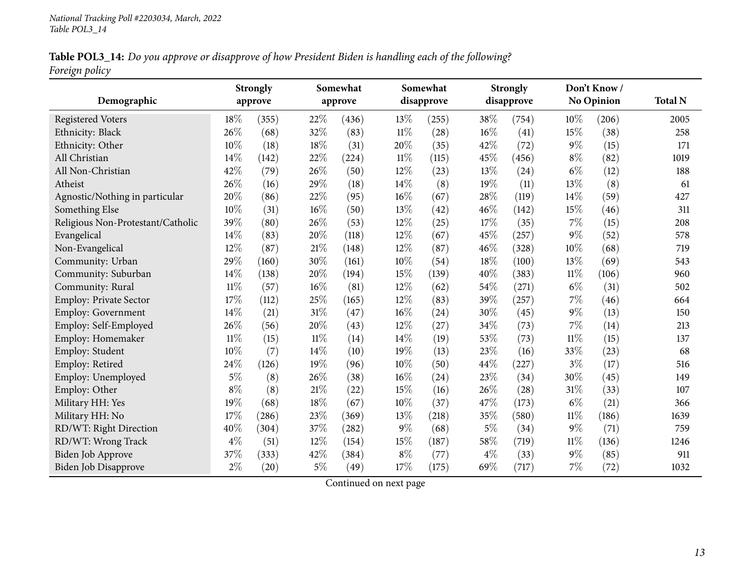Table POL3\_14: Do you approve or disapprove of how President Biden is handling each of the following? *Foreign policy*

| Demographic                       |        | <b>Strongly</b><br>approve |        | Somewhat<br>approve |               | Somewhat<br>disapprove |       | <b>Strongly</b><br>disapprove |        | Don't Know/<br><b>No Opinion</b> | <b>Total N</b> |
|-----------------------------------|--------|----------------------------|--------|---------------------|---------------|------------------------|-------|-------------------------------|--------|----------------------------------|----------------|
|                                   | 18%    |                            | 22%    |                     |               |                        | 38%   |                               | $10\%$ |                                  | 2005           |
| <b>Registered Voters</b>          | 26%    | (355)                      | 32%    | (436)               | 13%<br>$11\%$ | (255)                  | 16%   | (754)                         | 15%    | (206)<br>(38)                    |                |
| Ethnicity: Black                  | 10%    | (68)                       | 18%    | (83)                |               | (28)                   | 42%   | (41)                          | $9\%$  |                                  | 258            |
| Ethnicity: Other                  |        | (18)                       |        | (31)                | 20%           | (35)                   |       | (72)                          |        | (15)                             | 171            |
| All Christian                     | 14%    | (142)                      | 22%    | (224)               | $11\%$        | (115)                  | 45%   | (456)                         | $8\%$  | (82)                             | 1019           |
| All Non-Christian                 | 42%    | (79)                       | 26%    | (50)                | 12%           | (23)                   | 13%   | (24)                          | $6\%$  | (12)                             | 188            |
| Atheist                           | 26%    | (16)                       | 29%    | (18)                | 14%           | (8)                    | 19%   | (11)                          | 13%    | (8)                              | 61             |
| Agnostic/Nothing in particular    | 20%    | (86)                       | 22%    | (95)                | $16\%$        | (67)                   | 28%   | (119)                         | 14\%   | (59)                             | 427            |
| Something Else                    | 10%    | (31)                       | 16%    | (50)                | 13%           | $\left( 42\right)$     | 46%   | (142)                         | 15%    | (46)                             | 311            |
| Religious Non-Protestant/Catholic | 39%    | (80)                       | 26%    | (53)                | 12%           | (25)                   | 17%   | (35)                          | 7%     | (15)                             | 208            |
| Evangelical                       | 14%    | (83)                       | 20%    | (118)               | 12%           | (67)                   | 45%   | (257)                         | $9\%$  | (52)                             | 578            |
| Non-Evangelical                   | 12%    | (87)                       | 21%    | (148)               | 12%           | (87)                   | 46%   | (328)                         | 10%    | (68)                             | 719            |
| Community: Urban                  | 29%    | (160)                      | 30%    | (161)               | 10%           | (54)                   | 18%   | (100)                         | 13%    | (69)                             | 543            |
| Community: Suburban               | 14%    | (138)                      | 20%    | (194)               | 15%           | (139)                  | 40%   | (383)                         | $11\%$ | (106)                            | 960            |
| Community: Rural                  | $11\%$ | (57)                       | 16%    | (81)                | $12\%$        | (62)                   | 54%   | (271)                         | $6\%$  | (31)                             | 502            |
| Employ: Private Sector            | 17%    | (112)                      | 25%    | (165)               | $12\%$        | (83)                   | 39%   | (257)                         | $7\%$  | (46)                             | 664            |
| Employ: Government                | 14%    | (21)                       | 31%    | (47)                | $16\%$        | (24)                   | 30%   | (45)                          | $9\%$  | (13)                             | 150            |
| Employ: Self-Employed             | 26%    | (56)                       | 20%    | (43)                | 12%           | (27)                   | 34%   | (73)                          | 7%     | (14)                             | 213            |
| Employ: Homemaker                 | $11\%$ | (15)                       | $11\%$ | (14)                | 14%           | (19)                   | 53%   | (73)                          | $11\%$ | (15)                             | 137            |
| Employ: Student                   | 10%    | (7)                        | 14%    | (10)                | 19%           | (13)                   | 23%   | (16)                          | 33%    | (23)                             | 68             |
| Employ: Retired                   | 24%    | (126)                      | 19%    | (96)                | 10%           | (50)                   | 44%   | (227)                         | $3\%$  | (17)                             | 516            |
| Employ: Unemployed                | $5\%$  | (8)                        | 26%    | (38)                | $16\%$        | (24)                   | 23%   | (34)                          | 30%    | (45)                             | 149            |
| Employ: Other                     | $8\%$  | (8)                        | 21%    | (22)                | 15%           | (16)                   | 26%   | (28)                          | 31%    | (33)                             | 107            |
| Military HH: Yes                  | 19%    | (68)                       | 18%    | (67)                | 10%           | (37)                   | 47%   | (173)                         | $6\%$  | (21)                             | 366            |
| Military HH: No                   | 17%    | (286)                      | 23%    | (369)               | 13%           | (218)                  | 35%   | (580)                         | 11%    | (186)                            | 1639           |
| RD/WT: Right Direction            | 40%    | (304)                      | 37%    | $\left( 282\right)$ | $9\%$         | (68)                   | $5\%$ | (34)                          | $9\%$  | (71)                             | 759            |
| RD/WT: Wrong Track                | $4\%$  | (51)                       | 12%    | (154)               | 15%           | (187)                  | 58%   | (719)                         | $11\%$ | (136)                            | 1246           |
| <b>Biden Job Approve</b>          | 37%    | (333)                      | 42%    | (384)               | $8\%$         | (77)                   | $4\%$ | (33)                          | $9\%$  | (85)                             | 911            |
| <b>Biden Job Disapprove</b>       | $2\%$  | (20)                       | $5\%$  | (49)                | 17%           | (175)                  | 69%   | (717)                         | $7\%$  | (72)                             | 1032           |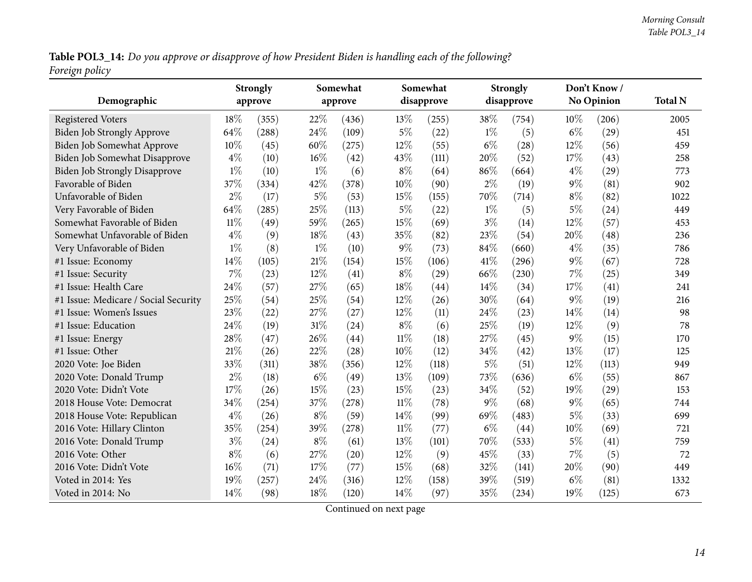Table POL3\_14: Do you approve or disapprove of how President Biden is handling each of the following? *Foreign policy*

| Demographic                          |        | <b>Strongly</b> |       | Somewhat |        | Somewhat<br>disapprove |       | <b>Strongly</b><br>disapprove |       | Don't Know/<br><b>No Opinion</b> | <b>Total N</b> |
|--------------------------------------|--------|-----------------|-------|----------|--------|------------------------|-------|-------------------------------|-------|----------------------------------|----------------|
|                                      |        | approve         |       | approve  |        |                        |       |                               |       |                                  |                |
| <b>Registered Voters</b>             | 18%    | (355)           | 22%   | (436)    | 13\%   | (255)                  | 38%   | (754)                         | 10%   | (206)                            | 2005           |
| Biden Job Strongly Approve           | 64%    | (288)           | 24%   | (109)    | $5\%$  | (22)                   | $1\%$ | (5)                           | $6\%$ | (29)                             | 451            |
| Biden Job Somewhat Approve           | 10%    | (45)            | 60%   | (275)    | 12\%   | (55)                   | $6\%$ | (28)                          | 12%   | (56)                             | 459            |
| Biden Job Somewhat Disapprove        | $4\%$  | (10)            | 16%   | (42)     | 43\%   | (111)                  | 20%   | (52)                          | 17%   | (43)                             | 258            |
| <b>Biden Job Strongly Disapprove</b> | $1\%$  | (10)            | $1\%$ | (6)      | $8\%$  | (64)                   | 86%   | (664)                         | $4\%$ | (29)                             | 773            |
| Favorable of Biden                   | 37%    | (334)           | 42%   | (378)    | 10%    | (90)                   | $2\%$ | (19)                          | $9\%$ | (81)                             | 902            |
| Unfavorable of Biden                 | $2\%$  | (17)            | $5\%$ | (53)     | 15%    | (155)                  | 70%   | (714)                         | $8\%$ | (82)                             | 1022           |
| Very Favorable of Biden              | 64%    | (285)           | 25%   | (113)    | $5\%$  | (22)                   | $1\%$ | (5)                           | $5\%$ | (24)                             | 449            |
| Somewhat Favorable of Biden          | $11\%$ | (49)            | 59%   | (265)    | 15%    | (69)                   | $3\%$ | (14)                          | 12%   | (57)                             | 453            |
| Somewhat Unfavorable of Biden        | $4\%$  | (9)             | 18%   | (43)     | 35%    | (82)                   | 23%   | (54)                          | 20%   | (48)                             | 236            |
| Very Unfavorable of Biden            | $1\%$  | (8)             | $1\%$ | (10)     | $9\%$  | (73)                   | 84%   | (660)                         | $4\%$ | (35)                             | 786            |
| #1 Issue: Economy                    | 14%    | (105)           | 21%   | (154)    | 15%    | (106)                  | 41\%  | (296)                         | $9\%$ | (67)                             | 728            |
| #1 Issue: Security                   | 7%     | (23)            | 12%   | (41)     | $8\%$  | (29)                   | 66%   | (230)                         | 7%    | (25)                             | 349            |
| #1 Issue: Health Care                | 24%    | (57)            | 27%   | (65)     | 18%    | (44)                   | 14%   | (34)                          | 17%   | (41)                             | 241            |
| #1 Issue: Medicare / Social Security | 25%    | (54)            | 25%   | (54)     | 12\%   | (26)                   | 30%   | (64)                          | $9\%$ | (19)                             | 216            |
| #1 Issue: Women's Issues             | 23%    | (22)            | 27%   | (27)     | 12%    | (11)                   | 24%   | (23)                          | 14%   | (14)                             | 98             |
| #1 Issue: Education                  | 24\%   | (19)            | 31%   | (24)     | $8\%$  | (6)                    | 25%   | (19)                          | 12%   | (9)                              | 78             |
| #1 Issue: Energy                     | 28%    | (47)            | 26%   | (44)     | $11\%$ | (18)                   | 27%   | (45)                          | $9\%$ | (15)                             | 170            |
| #1 Issue: Other                      | 21%    | (26)            | 22%   | (28)     | 10\%   | (12)                   | 34%   | (42)                          | 13%   | (17)                             | 125            |
| 2020 Vote: Joe Biden                 | 33%    | (311)           | 38%   | (356)    | 12%    | (118)                  | $5\%$ | (51)                          | 12%   | (113)                            | 949            |
| 2020 Vote: Donald Trump              | $2\%$  | (18)            | $6\%$ | (49)     | 13%    | (109)                  | 73%   | (636)                         | $6\%$ | (55)                             | 867            |
| 2020 Vote: Didn't Vote               | 17%    | (26)            | 15%   | (23)     | 15%    | (23)                   | 34%   | (52)                          | 19%   | (29)                             | 153            |
| 2018 House Vote: Democrat            | 34%    | (254)           | 37%   | (278)    | $11\%$ | (78)                   | $9\%$ | (68)                          | $9\%$ | (65)                             | 744            |
| 2018 House Vote: Republican          | $4\%$  | (26)            | $8\%$ | (59)     | $14\%$ | (99)                   | 69%   | (483)                         | 5%    | (33)                             | 699            |
| 2016 Vote: Hillary Clinton           | 35%    | (254)           | 39%   | (278)    | $11\%$ | (77)                   | $6\%$ | (44)                          | 10%   | (69)                             | 721            |
| 2016 Vote: Donald Trump              | $3\%$  | (24)            | $8\%$ | (61)     | 13%    | (101)                  | 70%   | (533)                         | $5\%$ | (41)                             | 759            |
| 2016 Vote: Other                     | $8\%$  | (6)             | 27%   | (20)     | 12%    | (9)                    | 45%   | (33)                          | $7\%$ | (5)                              | 72             |
| 2016 Vote: Didn't Vote               | 16%    | (71)            | 17%   | (77)     | 15\%   | (68)                   | 32%   | (141)                         | 20%   | (90)                             | 449            |
| Voted in 2014: Yes                   | 19%    | (257)           | 24%   | (316)    | 12%    | (158)                  | 39%   | (519)                         | $6\%$ | (81)                             | 1332           |
| Voted in 2014: No                    | 14%    | (98)            | 18%   | (120)    | 14\%   | (97)                   | 35%   | (234)                         | 19%   | (125)                            | 673            |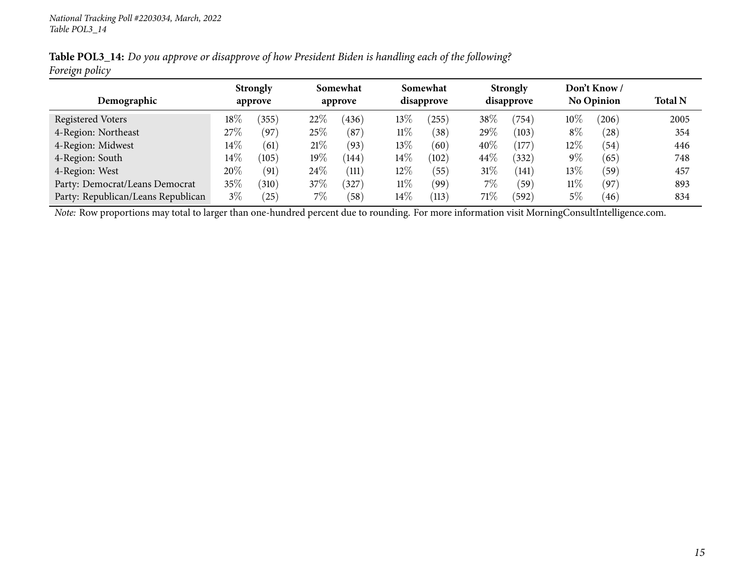Table POL3\_14: Do you approve or disapprove of how President Biden is handling each of the following? *Foreign policy*

|                                    |        | <b>Strongly</b>            |        | Somewhat           |        | Somewhat        |        | <b>Strongly</b> |        | Don't Know/       |                |
|------------------------------------|--------|----------------------------|--------|--------------------|--------|-----------------|--------|-----------------|--------|-------------------|----------------|
| Demographic                        |        | approve                    |        | approve            |        | disapprove      |        | disapprove      |        | <b>No Opinion</b> | <b>Total N</b> |
| Registered Voters                  | $18\%$ | (355)                      | $22\%$ | (436)              | $13\%$ | (255)           | 38%    | (754)           | $10\%$ | (206)             | 2005           |
| 4-Region: Northeast                | 27%    | $^{\prime}$ 97 $^{\prime}$ | 25%    | (87)               | $11\%$ | 38 <sup>°</sup> | 29\%   | (103)           | $8\%$  | (28)              | 354            |
| 4-Region: Midwest                  | $14\%$ | (61                        | 21%    | (93)               | 13%    | (60)            | 40%    | $^{\prime}177$  | 12\%   | (54)              | 446            |
| 4-Region: South                    | $14\%$ | (105)                      | 19%    | (144)              | $14\%$ | (102)           | 44\%   | 332)            | $9\%$  | (65)              | 748            |
| 4-Region: West                     | 20%    | (91)                       | $24\%$ | $\left(111\right)$ | 12%    | (55)            | $31\%$ | (141)           | $13\%$ | (59               | 457            |
| Party: Democrat/Leans Democrat     | $35\%$ | $^{\prime}310$             | 37\%   | 327                | $11\%$ | (99`            | 7%     | (59             | $11\%$ | $^{'}97$          | 893            |
| Party: Republican/Leans Republican | $3\%$  | $^{'}25)$                  | $7\%$  | 58                 | $14\%$ | (113)           | $71\%$ | (592)           | $5\%$  | 46                | 834            |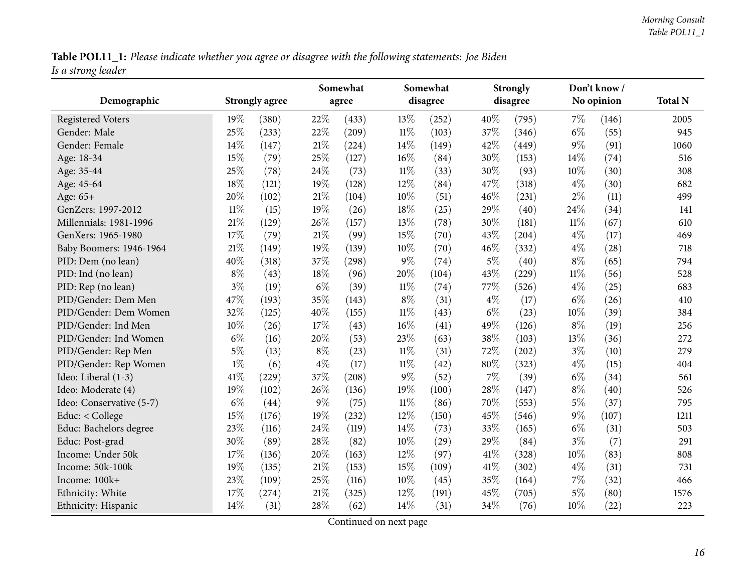Table POL11\_1: Please indicate whether you agree or disagree with the following statements: Joe Biden *Is <sup>a</sup> strong leader*

<span id="page-15-0"></span>

|                          |        |                       |        | Somewhat |        | Somewhat |       | <b>Strongly</b> |        | Don't know/ |                |
|--------------------------|--------|-----------------------|--------|----------|--------|----------|-------|-----------------|--------|-------------|----------------|
| Demographic              |        | <b>Strongly agree</b> |        | agree    |        | disagree |       | disagree        |        | No opinion  | <b>Total N</b> |
| <b>Registered Voters</b> | 19%    | (380)                 | 22%    | (433)    | 13%    | (252)    | 40%   | (795)           | $7\%$  | (146)       | 2005           |
| Gender: Male             | 25%    | (233)                 | 22%    | (209)    | $11\%$ | (103)    | 37%   | (346)           | $6\%$  | (55)        | 945            |
| Gender: Female           | 14%    | (147)                 | $21\%$ | (224)    | 14%    | (149)    | 42%   | (449)           | $9\%$  | (91)        | 1060           |
| Age: 18-34               | 15%    | (79)                  | 25%    | (127)    | 16%    | (84)     | 30%   | (153)           | 14%    | (74)        | 516            |
| Age: 35-44               | 25%    | (78)                  | 24%    | (73)     | $11\%$ | (33)     | 30%   | (93)            | 10%    | (30)        | 308            |
| Age: 45-64               | 18%    | (121)                 | 19%    | (128)    | 12%    | (84)     | 47%   | (318)           | $4\%$  | (30)        | 682            |
| Age: 65+                 | 20%    | (102)                 | 21%    | (104)    | 10%    | (51)     | 46%   | (231)           | $2\%$  | (11)        | 499            |
| GenZers: 1997-2012       | $11\%$ | (15)                  | 19%    | (26)     | 18%    | (25)     | 29%   | (40)            | 24%    | (34)        | 141            |
| Millennials: 1981-1996   | 21%    | (129)                 | 26%    | (157)    | 13%    | (78)     | 30%   | (181)           | $11\%$ | (67)        | 610            |
| GenXers: 1965-1980       | 17%    | (79)                  | 21%    | (99)     | 15%    | (70)     | 43%   | (204)           | $4\%$  | (17)        | 469            |
| Baby Boomers: 1946-1964  | 21%    | (149)                 | 19%    | (139)    | 10%    | (70)     | 46%   | (332)           | $4\%$  | (28)        | 718            |
| PID: Dem (no lean)       | 40%    | (318)                 | 37%    | (298)    | $9\%$  | (74)     | $5\%$ | (40)            | $8\%$  | (65)        | 794            |
| PID: Ind (no lean)       | $8\%$  | (43)                  | 18%    | (96)     | 20%    | (104)    | 43%   | (229)           | $11\%$ | (56)        | 528            |
| PID: Rep (no lean)       | $3\%$  | (19)                  | $6\%$  | (39)     | $11\%$ | (74)     | 77\%  | (526)           | $4\%$  | (25)        | 683            |
| PID/Gender: Dem Men      | 47%    | (193)                 | 35%    | (143)    | $8\%$  | (31)     | $4\%$ | (17)            | $6\%$  | (26)        | 410            |
| PID/Gender: Dem Women    | 32%    | (125)                 | 40%    | (155)    | $11\%$ | (43)     | $6\%$ | (23)            | 10%    | (39)        | 384            |
| PID/Gender: Ind Men      | 10%    | (26)                  | 17%    | (43)     | 16%    | (41)     | 49%   | (126)           | $8\%$  | (19)        | 256            |
| PID/Gender: Ind Women    | $6\%$  | (16)                  | 20%    | (53)     | 23%    | (63)     | 38%   | (103)           | 13%    | (36)        | 272            |
| PID/Gender: Rep Men      | $5\%$  | (13)                  | $8\%$  | (23)     | $11\%$ | (31)     | 72%   | (202)           | $3\%$  | (10)        | 279            |
| PID/Gender: Rep Women    | $1\%$  | (6)                   | $4\%$  | (17)     | $11\%$ | (42)     | 80%   | (323)           | $4\%$  | (15)        | 404            |
| Ideo: Liberal (1-3)      | 41%    | (229)                 | 37%    | (208)    | $9\%$  | (52)     | $7\%$ | (39)            | $6\%$  | (34)        | 561            |
| Ideo: Moderate (4)       | 19%    | (102)                 | 26%    | (136)    | 19%    | (100)    | 28%   | (147)           | $8\%$  | (40)        | 526            |
| Ideo: Conservative (5-7) | $6\%$  | (44)                  | $9\%$  | (75)     | $11\%$ | (86)     | 70%   | (553)           | $5\%$  | (37)        | 795            |
| Educ: < College          | 15%    | (176)                 | 19%    | (232)    | 12%    | (150)    | 45%   | (546)           | $9\%$  | (107)       | 1211           |
| Educ: Bachelors degree   | 23%    | (116)                 | 24\%   | (119)    | 14%    | (73)     | 33%   | (165)           | $6\%$  | (31)        | 503            |
| Educ: Post-grad          | 30%    | (89)                  | 28%    | (82)     | 10%    | (29)     | 29%   | (84)            | $3\%$  | (7)         | 291            |
| Income: Under 50k        | 17%    | (136)                 | 20%    | (163)    | 12%    | (97)     | 41\%  | (328)           | 10%    | (83)        | 808            |
| Income: 50k-100k         | 19%    | (135)                 | 21%    | (153)    | 15%    | (109)    | 41\%  | (302)           | $4\%$  | (31)        | 731            |
| Income: 100k+            | 23%    | (109)                 | 25%    | (116)    | 10%    | (45)     | 35%   | (164)           | 7%     | (32)        | 466            |
| Ethnicity: White         | 17%    | (274)                 | 21%    | (325)    | 12%    | (191)    | 45%   | (705)           | $5\%$  | (80)        | 1576           |
| Ethnicity: Hispanic      | 14%    | (31)                  | 28%    | (62)     | 14%    | (31)     | 34%   | (76)            | 10%    | (22)        | 223            |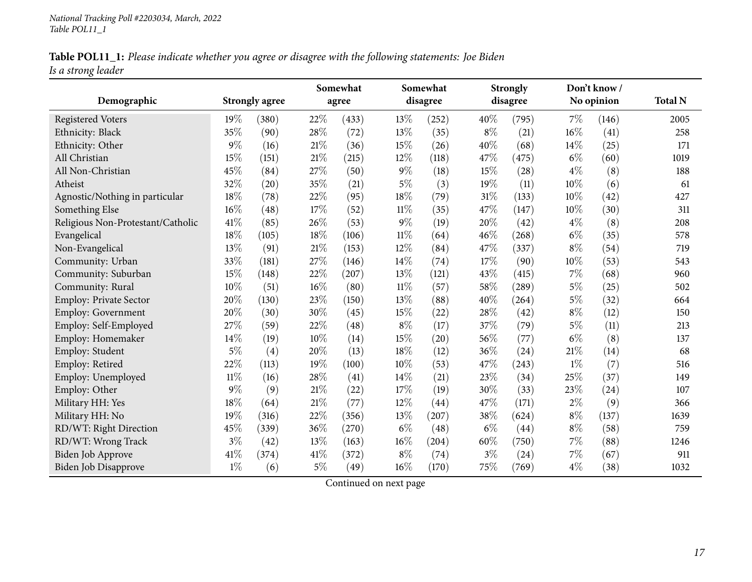| Table POL11_1: Please indicate whether you agree or disagree with the following statements: Joe Biden |  |
|-------------------------------------------------------------------------------------------------------|--|
| Is a strong leader                                                                                    |  |

|                                   |        |                       |       | Somewhat |        | Somewhat |       | <b>Strongly</b> |        | Don't know / |                |
|-----------------------------------|--------|-----------------------|-------|----------|--------|----------|-------|-----------------|--------|--------------|----------------|
| Demographic                       |        | <b>Strongly agree</b> |       | agree    |        | disagree |       | disagree        |        | No opinion   | <b>Total N</b> |
| <b>Registered Voters</b>          | 19%    | (380)                 | 22%   | (433)    | 13%    | (252)    | 40%   | (795)           | 7%     | (146)        | 2005           |
| Ethnicity: Black                  | 35%    | (90)                  | 28%   | (72)     | 13%    | (35)     | $8\%$ | (21)            | 16%    | (41)         | 258            |
| Ethnicity: Other                  | 9%     | (16)                  | 21%   | (36)     | 15%    | (26)     | 40%   | (68)            | 14%    | (25)         | 171            |
| All Christian                     | 15%    | (151)                 | 21%   | (215)    | 12%    | (118)    | 47%   | (475)           | $6\%$  | (60)         | 1019           |
| All Non-Christian                 | 45%    | (84)                  | 27%   | (50)     | $9\%$  | (18)     | 15%   | (28)            | $4\%$  | (8)          | 188            |
| Atheist                           | 32%    | (20)                  | 35%   | (21)     | $5\%$  | (3)      | 19%   | (11)            | 10%    | (6)          | 61             |
| Agnostic/Nothing in particular    | 18%    | (78)                  | 22%   | (95)     | 18%    | (79)     | 31%   | (133)           | 10%    | (42)         | 427            |
| Something Else                    | 16%    | (48)                  | 17%   | (52)     | $11\%$ | (35)     | 47%   | (147)           | 10%    | (30)         | 311            |
| Religious Non-Protestant/Catholic | 41%    | (85)                  | 26%   | (53)     | $9\%$  | (19)     | 20%   | (42)            | $4\%$  | (8)          | 208            |
| Evangelical                       | 18%    | (105)                 | 18%   | (106)    | $11\%$ | (64)     | 46%   | (268)           | $6\%$  | (35)         | 578            |
| Non-Evangelical                   | 13%    | (91)                  | 21%   | (153)    | 12%    | (84)     | 47%   | (337)           | $8\%$  | (54)         | 719            |
| Community: Urban                  | 33%    | (181)                 | 27%   | (146)    | 14%    | (74)     | 17%   | (90)            | $10\%$ | (53)         | 543            |
| Community: Suburban               | 15%    | (148)                 | 22%   | (207)    | 13%    | (121)    | 43%   | (415)           | 7%     | (68)         | 960            |
| Community: Rural                  | 10%    | (51)                  | 16%   | (80)     | $11\%$ | (57)     | 58%   | (289)           | $5\%$  | (25)         | 502            |
| Employ: Private Sector            | 20%    | (130)                 | 23%   | (150)    | 13%    | (88)     | 40%   | (264)           | $5\%$  | (32)         | 664            |
| Employ: Government                | 20%    | (30)                  | 30%   | (45)     | 15%    | (22)     | 28%   | (42)            | $8\%$  | (12)         | 150            |
| Employ: Self-Employed             | 27%    | (59)                  | 22%   | (48)     | $8\%$  | (17)     | 37%   | (79)            | $5\%$  | (11)         | 213            |
| Employ: Homemaker                 | 14%    | (19)                  | 10%   | (14)     | 15%    | (20)     | 56%   | (77)            | $6\%$  | (8)          | 137            |
| Employ: Student                   | $5\%$  | (4)                   | 20%   | (13)     | 18%    | (12)     | 36%   | (24)            | $21\%$ | (14)         | 68             |
| Employ: Retired                   | 22%    | (113)                 | 19%   | (100)    | 10%    | (53)     | 47%   | (243)           | $1\%$  | (7)          | 516            |
| Employ: Unemployed                | $11\%$ | (16)                  | 28%   | (41)     | 14%    | (21)     | 23%   | (34)            | 25%    | (37)         | 149            |
| Employ: Other                     | $9\%$  | (9)                   | 21\%  | (22)     | 17%    | (19)     | 30%   | (33)            | 23%    | (24)         | 107            |
| Military HH: Yes                  | 18%    | (64)                  | 21%   | (77)     | 12%    | (44)     | 47\%  | (171)           | $2\%$  | (9)          | 366            |
| Military HH: No                   | 19%    | (316)                 | 22%   | (356)    | 13%    | (207)    | 38%   | (624)           | $8\%$  | (137)        | 1639           |
| RD/WT: Right Direction            | 45%    | (339)                 | 36%   | (270)    | $6\%$  | (48)     | $6\%$ | (44)            | $8\%$  | (58)         | 759            |
| RD/WT: Wrong Track                | $3\%$  | (42)                  | 13%   | (163)    | 16%    | (204)    | 60%   | (750)           | $7\%$  | (88)         | 1246           |
| Biden Job Approve                 | $41\%$ | (374)                 | 41\%  | (372)    | $8\%$  | (74)     | $3\%$ | (24)            | 7%     | (67)         | 911            |
| <b>Biden Job Disapprove</b>       | $1\%$  | (6)                   | $5\%$ | (49)     | 16%    | (170)    | 75%   | (769)           | $4\%$  | (38)         | 1032           |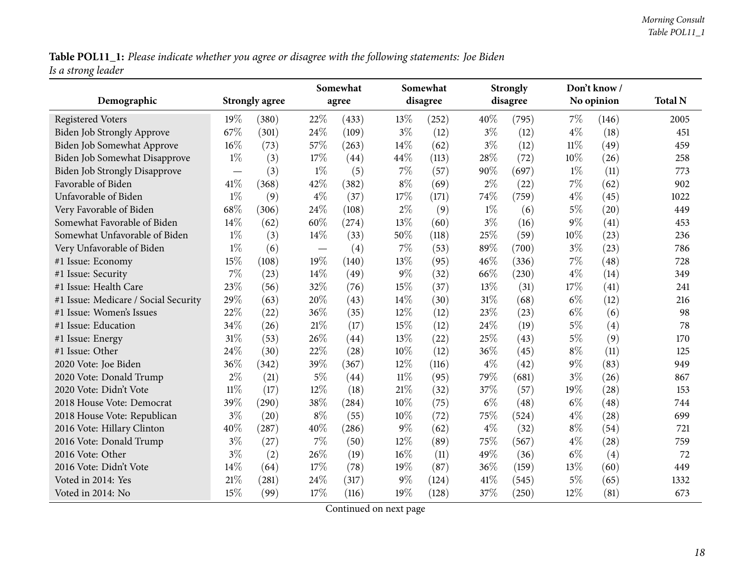Table POL11\_1: Please indicate whether you agree or disagree with the following statements: Joe Biden *Is <sup>a</sup> strong leader*

| Demographic                          |        | <b>Strongly agree</b> |        | Somewhat<br>agree |        | Somewhat<br>disagree |        | <b>Strongly</b><br>disagree |        | Don't know /<br>No opinion | <b>Total N</b> |
|--------------------------------------|--------|-----------------------|--------|-------------------|--------|----------------------|--------|-----------------------------|--------|----------------------------|----------------|
|                                      |        |                       |        |                   |        |                      |        |                             |        |                            |                |
| <b>Registered Voters</b>             | 19%    | (380)                 | 22%    | (433)             | 13\%   | (252)                | 40%    | (795)                       | 7%     | (146)                      | 2005           |
| Biden Job Strongly Approve           | 67%    | (301)                 | 24\%   | (109)             | $3\%$  | (12)                 | $3\%$  | (12)                        | $4\%$  | (18)                       | 451            |
| Biden Job Somewhat Approve           | 16%    | (73)                  | 57%    | (263)             | 14\%   | (62)                 | $3\%$  | (12)                        | $11\%$ | (49)                       | 459            |
| <b>Biden Job Somewhat Disapprove</b> | $1\%$  | (3)                   | 17%    | (44)              | 44\%   | (113)                | 28%    | (72)                        | 10%    | (26)                       | 258            |
| <b>Biden Job Strongly Disapprove</b> |        | (3)                   | $1\%$  | (5)               | 7%     | (57)                 | 90%    | (697)                       | $1\%$  | (11)                       | 773            |
| Favorable of Biden                   | 41\%   | (368)                 | 42%    | (382)             | $8\%$  | (69)                 | $2\%$  | (22)                        | 7%     | (62)                       | 902            |
| Unfavorable of Biden                 | $1\%$  | (9)                   | $4\%$  | (37)              | 17%    | (171)                | 74%    | (759)                       | $4\%$  | (45)                       | 1022           |
| Very Favorable of Biden              | 68%    | (306)                 | 24%    | (108)             | $2\%$  | (9)                  | $1\%$  | (6)                         | $5\%$  | (20)                       | 449            |
| Somewhat Favorable of Biden          | 14%    | (62)                  | 60%    | (274)             | 13%    | (60)                 | $3\%$  | (16)                        | 9%     | (41)                       | 453            |
| Somewhat Unfavorable of Biden        | $1\%$  | (3)                   | $14\%$ | (33)              | 50%    | (118)                | 25%    | (59)                        | 10%    | (23)                       | 236            |
| Very Unfavorable of Biden            | $1\%$  | (6)                   |        | (4)               | 7%     | (53)                 | 89%    | (700)                       | $3\%$  | (23)                       | 786            |
| #1 Issue: Economy                    | 15%    | (108)                 | $19\%$ | (140)             | 13%    | (95)                 | 46%    | (336)                       | 7%     | (48)                       | 728            |
| #1 Issue: Security                   | 7%     | (23)                  | 14\%   | (49)              | 9%     | (32)                 | 66%    | (230)                       | $4\%$  | (14)                       | 349            |
| #1 Issue: Health Care                | 23%    | (56)                  | 32%    | (76)              | 15%    | (37)                 | 13%    | (31)                        | 17%    | (41)                       | 241            |
| #1 Issue: Medicare / Social Security | 29%    | (63)                  | 20%    | (43)              | 14%    | (30)                 | $31\%$ | (68)                        | $6\%$  | (12)                       | 216            |
| #1 Issue: Women's Issues             | 22%    | (22)                  | 36\%   | (35)              | 12%    | (12)                 | 23%    | (23)                        | $6\%$  | (6)                        | 98             |
| #1 Issue: Education                  | 34%    | (26)                  | 21%    | (17)              | 15\%   | (12)                 | 24%    | (19)                        | $5\%$  | (4)                        | 78             |
| #1 Issue: Energy                     | 31%    | (53)                  | 26%    | (44)              | 13%    | (22)                 | 25%    | (43)                        | $5\%$  | (9)                        | 170            |
| #1 Issue: Other                      | 24%    | (30)                  | 22%    | (28)              | 10%    | (12)                 | 36%    | (45)                        | $8\%$  | (11)                       | 125            |
| 2020 Vote: Joe Biden                 | 36%    | (342)                 | 39%    | (367)             | 12%    | (116)                | $4\%$  | (42)                        | $9\%$  | (83)                       | 949            |
| 2020 Vote: Donald Trump              | $2\%$  | (21)                  | $5\%$  | (44)              | $11\%$ | (95)                 | 79%    | (681)                       | $3\%$  | (26)                       | 867            |
| 2020 Vote: Didn't Vote               | $11\%$ | (17)                  | 12%    | (18)              | 21%    | (32)                 | 37%    | (57)                        | 19%    | (28)                       | 153            |
| 2018 House Vote: Democrat            | 39%    | (290)                 | 38%    | (284)             | 10%    | (75)                 | $6\%$  | (48)                        | $6\%$  | (48)                       | 744            |
| 2018 House Vote: Republican          | $3\%$  | (20)                  | $8\%$  | (55)              | 10%    | (72)                 | 75%    | (524)                       | $4\%$  | (28)                       | 699            |
| 2016 Vote: Hillary Clinton           | 40%    | (287)                 | 40%    | (286)             | $9\%$  | (62)                 | $4\%$  | (32)                        | $8\%$  | (54)                       | 721            |
| 2016 Vote: Donald Trump              | $3\%$  | (27)                  | 7%     | (50)              | 12%    | (89)                 | 75%    | (567)                       | $4\%$  | (28)                       | 759            |
| 2016 Vote: Other                     | $3\%$  | (2)                   | 26%    | (19)              | 16%    | (11)                 | 49%    | (36)                        | $6\%$  | (4)                        | 72             |
| 2016 Vote: Didn't Vote               | 14%    | (64)                  | 17%    | (78)              | 19%    | (87)                 | 36%    | (159)                       | 13%    | (60)                       | 449            |
| Voted in 2014: Yes                   | 21%    | (281)                 | 24\%   | (317)             | $9\%$  | (124)                | 41\%   | (545)                       | $5\%$  | (65)                       | 1332           |
| Voted in 2014: No                    | 15%    | (99)                  | 17%    | (116)             | 19%    | (128)                | 37%    | (250)                       | 12%    | (81)                       | 673            |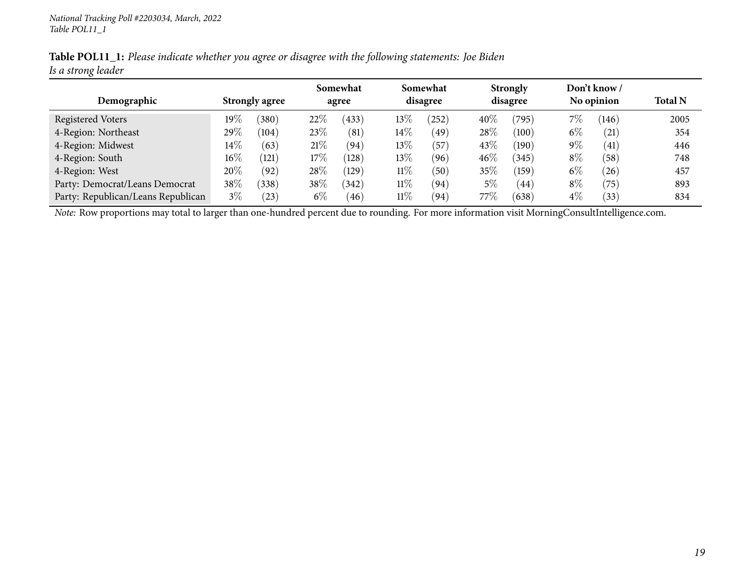|                    | Table POL11_1: Please indicate whether you agree or disagree with the following statements: Joe Biden |  |
|--------------------|-------------------------------------------------------------------------------------------------------|--|
| Is a strong leader |                                                                                                       |  |

|                                    |        |                       |        | Somewhat |        | Somewhat     |         | <b>Strongly</b>             |       | Don't know / |                |
|------------------------------------|--------|-----------------------|--------|----------|--------|--------------|---------|-----------------------------|-------|--------------|----------------|
| Demographic                        |        | <b>Strongly agree</b> |        | agree    |        | disagree     |         | disagree                    |       | No opinion   | <b>Total N</b> |
| Registered Voters                  | 19%    | $^{\prime}380^\circ$  | $22\%$ | (433)    | $13\%$ | 252)         | 40%     | (795)                       | $7\%$ | (146)        | 2005           |
| 4-Region: Northeast                | 29%    | (104)                 | 23%    | (81)     | $14\%$ | (49)         | 28\%    | (100)                       | $6\%$ | (21)         | 354            |
| 4-Region: Midwest                  | $14\%$ | (63)                  | 21%    | (94)     | 13%    | (57          | 43\%    | (190)                       | $9\%$ | (41)         | 446            |
| 4-Region: South                    | $16\%$ | (121)                 | 17%    | (128)    | 13%    | (96)         | 46%     | (345)                       | $8\%$ | (58)         | 748            |
| 4-Region: West                     | 20%    | (92)                  | 28%    | (129)    | $11\%$ | $50^{\circ}$ | $35\%$  | $^{\prime}$ 159 $^{\prime}$ | $6\%$ | (26)         | 457            |
| Party: Democrat/Leans Democrat     | 38%    | (338)                 | $38\%$ | (342)    | $11\%$ | (94`         | 5%      | 44                          | $8\%$ | (75)         | 893            |
| Party: Republican/Leans Republican | $3\%$  | $^{'}23)$             | $6\%$  | (46)     | $11\%$ | (94)         | 77 $\%$ | (638)                       | $4\%$ | (33)         | 834            |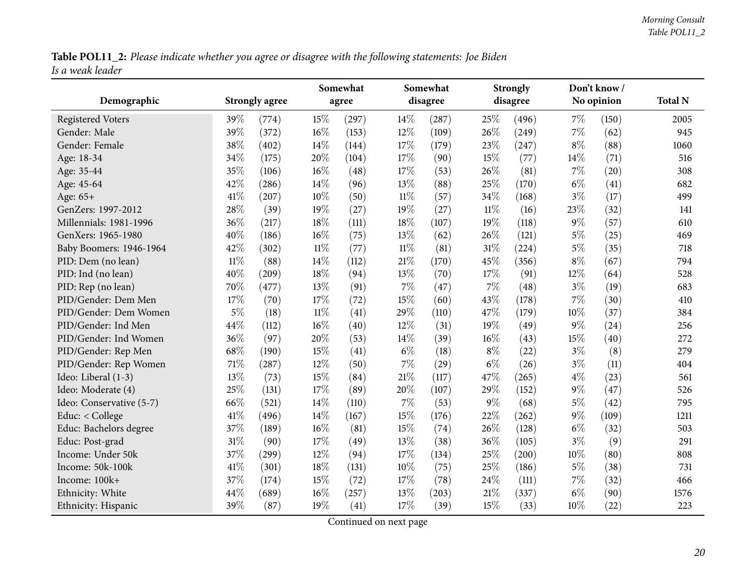Table POL11\_2: Please indicate whether you agree or disagree with the following statements: Joe Biden *Is <sup>a</sup> weak leader*

<span id="page-19-0"></span>

|                          |        |                       |        | Somewhat |        | Somewhat |        | <b>Strongly</b>     |       | Don't know/ |                |
|--------------------------|--------|-----------------------|--------|----------|--------|----------|--------|---------------------|-------|-------------|----------------|
| Demographic              |        | <b>Strongly agree</b> |        | agree    |        | disagree |        | disagree            |       | No opinion  | <b>Total N</b> |
| <b>Registered Voters</b> | 39%    | (774)                 | 15%    | (297)    | 14%    | (287)    | 25%    | (496)               | $7\%$ | (150)       | 2005           |
| Gender: Male             | 39%    | (372)                 | 16%    | (153)    | 12%    | (109)    | 26%    | (249)               | $7\%$ | (62)        | 945            |
| Gender: Female           | 38%    | (402)                 | 14\%   | (144)    | 17%    | (179)    | 23%    | (247)               | $8\%$ | (88)        | 1060           |
| Age: 18-34               | 34%    | (175)                 | 20%    | (104)    | 17%    | (90)     | 15%    | (77)                | 14\%  | (71)        | 516            |
| Age: 35-44               | 35%    | (106)                 | 16%    | (48)     | 17%    | (53)     | 26%    | (81)                | $7\%$ | (20)        | 308            |
| Age: 45-64               | 42%    | (286)                 | 14%    | (96)     | 13%    | (88)     | 25%    | (170)               | $6\%$ | (41)        | 682            |
| Age: 65+                 | 41%    | (207)                 | 10%    | (50)     | $11\%$ | (57)     | 34%    | (168)               | $3\%$ | (17)        | 499            |
| GenZers: 1997-2012       | 28\%   | (39)                  | 19%    | (27)     | 19%    | (27)     | $11\%$ | (16)                | 23%   | (32)        | 141            |
| Millennials: 1981-1996   | 36%    | (217)                 | 18%    | (111)    | 18%    | (107)    | 19%    | (118)               | $9\%$ | (57)        | 610            |
| GenXers: 1965-1980       | 40%    | (186)                 | 16%    | (75)     | 13%    | (62)     | 26%    | (121)               | $5\%$ | (25)        | 469            |
| Baby Boomers: 1946-1964  | 42%    | (302)                 | $11\%$ | (77)     | $11\%$ | (81)     | 31%    | (224)               | $5\%$ | (35)        | 718            |
| PID: Dem (no lean)       | $11\%$ | (88)                  | 14%    | (112)    | 21%    | (170)    | 45%    | (356)               | $8\%$ | (67)        | 794            |
| PID: Ind (no lean)       | 40%    | (209)                 | 18%    | (94)     | 13%    | (70)     | 17%    | (91)                | 12%   | (64)        | 528            |
| PID: Rep (no lean)       | 70%    | (477)                 | 13%    | (91)     | $7\%$  | (47)     | 7%     | (48)                | $3\%$ | (19)        | 683            |
| PID/Gender: Dem Men      | 17%    | (70)                  | 17%    | (72)     | 15%    | (60)     | 43%    | (178)               | $7\%$ | (30)        | 410            |
| PID/Gender: Dem Women    | $5\%$  | (18)                  | $11\%$ | (41)     | 29%    | (110)    | 47%    | (179)               | 10%   | (37)        | 384            |
| PID/Gender: Ind Men      | 44%    | (112)                 | 16%    | (40)     | 12%    | (31)     | 19%    | (49)                | $9\%$ | (24)        | 256            |
| PID/Gender: Ind Women    | 36%    | (97)                  | 20%    | (53)     | 14%    | (39)     | 16%    | (43)                | 15%   | (40)        | 272            |
| PID/Gender: Rep Men      | 68\%   | (190)                 | 15%    | (41)     | $6\%$  | (18)     | $8\%$  | (22)                | $3\%$ | (8)         | 279            |
| PID/Gender: Rep Women    | $71\%$ | (287)                 | 12%    | (50)     | 7%     | (29)     | $6\%$  | (26)                | $3\%$ | (11)        | 404            |
| Ideo: Liberal (1-3)      | 13%    | (73)                  | 15%    | (84)     | 21%    | (117)    | 47%    | (265)               | $4\%$ | (23)        | 561            |
| Ideo: Moderate (4)       | 25%    | (131)                 | 17%    | (89)     | 20%    | (107)    | 29%    | (152)               | $9\%$ | (47)        | 526            |
| Ideo: Conservative (5-7) | 66%    | (521)                 | 14%    | (110)    | 7%     | (53)     | 9%     | (68)                | $5\%$ | (42)        | 795            |
| Educ: $<$ College        | $41\%$ | (496)                 | 14%    | (167)    | 15%    | (176)    | 22%    | (262)               | $9\%$ | (109)       | 1211           |
| Educ: Bachelors degree   | 37%    | (189)                 | 16%    | (81)     | 15%    | (74)     | 26%    | (128)               | $6\%$ | (32)        | 503            |
| Educ: Post-grad          | 31%    | (90)                  | 17%    | (49)     | 13%    | (38)     | 36%    | (105)               | $3\%$ | (9)         | 291            |
| Income: Under 50k        | 37%    | (299)                 | 12%    | (94)     | 17%    | (134)    | 25%    | $\left( 200\right)$ | 10%   | (80)        | 808            |
| Income: 50k-100k         | $41\%$ | (301)                 | 18%    | (131)    | 10%    | (75)     | 25%    | (186)               | $5\%$ | (38)        | 731            |
| Income: 100k+            | 37%    | (174)                 | 15%    | (72)     | 17%    | (78)     | 24\%   | (111)               | $7\%$ | (32)        | 466            |
| Ethnicity: White         | 44%    | (689)                 | 16%    | (257)    | 13%    | (203)    | 21%    | (337)               | $6\%$ | (90)        | 1576           |
| Ethnicity: Hispanic      | 39%    | (87)                  | 19%    | (41)     | 17%    | (39)     | 15%    | (33)                | 10%   | (22)        | 223            |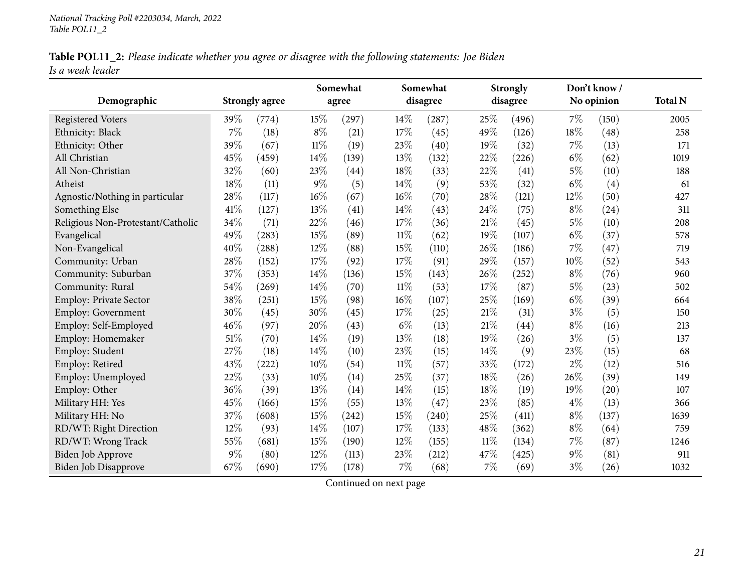|                  |  |  | Table POL11_2: Please indicate whether you agree or disagree with the following statements: Joe Biden |  |
|------------------|--|--|-------------------------------------------------------------------------------------------------------|--|
| Is a weak leader |  |  |                                                                                                       |  |

|                                   |      |                       |        | Somewhat |        | Somewhat |        | <b>Strongly</b> |       | Don't know / |                |
|-----------------------------------|------|-----------------------|--------|----------|--------|----------|--------|-----------------|-------|--------------|----------------|
| Demographic                       |      | <b>Strongly agree</b> |        | agree    |        | disagree |        | disagree        |       | No opinion   | <b>Total N</b> |
| <b>Registered Voters</b>          | 39%  | (774)                 | 15%    | (297)    | 14\%   | (287)    | 25\%   | (496)           | 7%    | (150)        | 2005           |
| Ethnicity: Black                  | 7%   | (18)                  | $8\%$  | (21)     | 17%    | (45)     | 49%    | (126)           | 18%   | (48)         | 258            |
| Ethnicity: Other                  | 39%  | (67)                  | $11\%$ | (19)     | 23%    | (40)     | 19%    | (32)            | 7%    | (13)         | 171            |
| All Christian                     | 45%  | (459)                 | 14%    | (139)    | 13%    | (132)    | 22%    | (226)           | $6\%$ | (62)         | 1019           |
| All Non-Christian                 | 32%  | (60)                  | 23%    | (44)     | 18%    | (33)     | 22%    | (41)            | $5\%$ | (10)         | 188            |
| Atheist                           | 18%  | (11)                  | $9\%$  | (5)      | 14%    | (9)      | 53%    | (32)            | $6\%$ | (4)          | 61             |
| Agnostic/Nothing in particular    | 28%  | (117)                 | 16%    | (67)     | 16%    | (70)     | 28\%   | (121)           | 12%   | (50)         | 427            |
| Something Else                    | 41%  | (127)                 | 13%    | (41)     | 14%    | (43)     | 24%    | (75)            | $8\%$ | (24)         | 311            |
| Religious Non-Protestant/Catholic | 34%  | (71)                  | 22%    | (46)     | 17%    | (36)     | 21%    | (45)            | $5\%$ | (10)         | 208            |
| Evangelical                       | 49%  | (283)                 | 15%    | (89)     | $11\%$ | (62)     | 19%    | (107)           | $6\%$ | (37)         | 578            |
| Non-Evangelical                   | 40%  | (288)                 | 12%    | (88)     | 15%    | (110)    | 26%    | (186)           | $7\%$ | (47)         | 719            |
| Community: Urban                  | 28%  | (152)                 | 17%    | (92)     | 17%    | (91)     | 29%    | (157)           | 10%   | (52)         | 543            |
| Community: Suburban               | 37%  | (353)                 | 14%    | (136)    | 15%    | (143)    | 26%    | (252)           | $8\%$ | (76)         | 960            |
| Community: Rural                  | 54%  | (269)                 | 14%    | (70)     | $11\%$ | (53)     | 17%    | (87)            | $5\%$ | (23)         | 502            |
| Employ: Private Sector            | 38%  | (251)                 | 15%    | (98)     | 16%    | (107)    | 25%    | (169)           | $6\%$ | (39)         | 664            |
| <b>Employ: Government</b>         | 30%  | (45)                  | 30%    | (45)     | 17%    | (25)     | 21%    | (31)            | $3\%$ | (5)          | 150            |
| Employ: Self-Employed             | 46%  | (97)                  | 20%    | (43)     | $6\%$  | (13)     | 21%    | (44)            | $8\%$ | (16)         | 213            |
| Employ: Homemaker                 | 51%  | (70)                  | 14%    | (19)     | 13%    | (18)     | 19%    | (26)            | $3\%$ | (5)          | 137            |
| Employ: Student                   | 27\% | (18)                  | 14\%   | (10)     | 23%    | (15)     | 14\%   | (9)             | 23%   | (15)         | 68             |
| Employ: Retired                   | 43%  | (222)                 | 10%    | (54)     | $11\%$ | (57)     | 33%    | (172)           | $2\%$ | (12)         | 516            |
| Employ: Unemployed                | 22%  | (33)                  | 10%    | (14)     | 25%    | (37)     | 18%    | (26)            | 26%   | (39)         | 149            |
| Employ: Other                     | 36%  | (39)                  | 13%    | (14)     | 14%    | (15)     | 18%    | (19)            | 19%   | (20)         | 107            |
| Military HH: Yes                  | 45%  | (166)                 | 15%    | (55)     | 13%    | (47)     | 23%    | (85)            | $4\%$ | (13)         | 366            |
| Military HH: No                   | 37%  | (608)                 | 15%    | (242)    | 15%    | (240)    | 25%    | (411)           | $8\%$ | (137)        | 1639           |
| RD/WT: Right Direction            | 12%  | (93)                  | 14%    | (107)    | 17%    | (133)    | 48%    | (362)           | $8\%$ | (64)         | 759            |
| RD/WT: Wrong Track                | 55%  | (681)                 | 15%    | (190)    | 12%    | (155)    | $11\%$ | (134)           | $7\%$ | (87)         | 1246           |
| <b>Biden Job Approve</b>          | 9%   | (80)                  | 12%    | (113)    | 23%    | (212)    | 47%    | (425)           | $9\%$ | (81)         | 911            |
| <b>Biden Job Disapprove</b>       | 67%  | (690)                 | 17%    | (178)    | $7\%$  | (68)     | $7\%$  | (69)            | $3\%$ | (26)         | 1032           |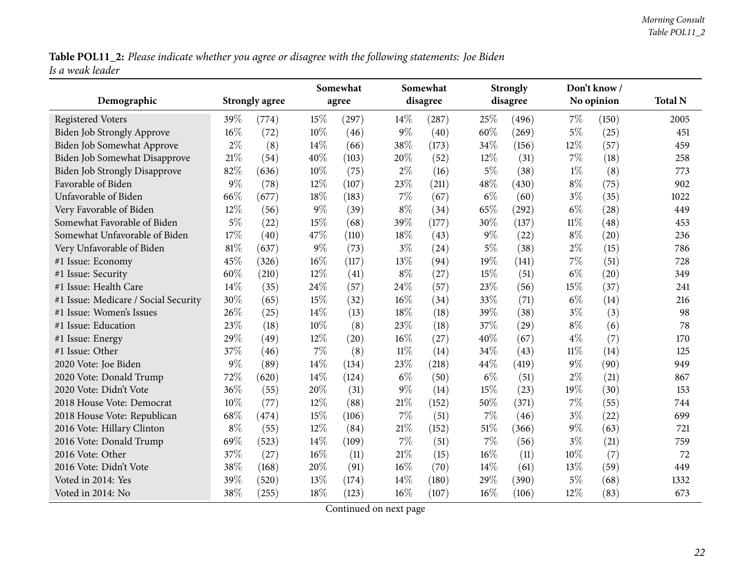Table POL11\_2: Please indicate whether you agree or disagree with the following statements: Joe Biden *Is <sup>a</sup> weak leader*

|                                      |        |                       |        | Somewhat |        | Somewhat |       | <b>Strongly</b> |        | Don't know / |                |
|--------------------------------------|--------|-----------------------|--------|----------|--------|----------|-------|-----------------|--------|--------------|----------------|
| Demographic                          |        | <b>Strongly agree</b> |        | agree    |        | disagree |       | disagree        |        | No opinion   | <b>Total N</b> |
| <b>Registered Voters</b>             | 39%    | (774)                 | 15%    | (297)    | 14%    | (287)    | 25%   | (496)           | 7%     | (150)        | 2005           |
| Biden Job Strongly Approve           | $16\%$ | (72)                  | 10%    | (46)     | $9\%$  | (40)     | 60%   | (269)           | 5%     | (25)         | 451            |
| Biden Job Somewhat Approve           | $2\%$  | (8)                   | $14\%$ | (66)     | 38%    | (173)    | 34%   | (156)           | 12%    | (57)         | 459            |
| Biden Job Somewhat Disapprove        | $21\%$ | (54)                  | 40%    | (103)    | 20%    | (52)     | 12%   | (31)            | 7%     | (18)         | 258            |
| <b>Biden Job Strongly Disapprove</b> | 82%    | (636)                 | $10\%$ | (75)     | $2\%$  | (16)     | $5\%$ | (38)            | $1\%$  | (8)          | 773            |
| Favorable of Biden                   | $9\%$  | (78)                  | $12\%$ | (107)    | 23%    | (211)    | 48%   | (430)           | $8\%$  | (75)         | 902            |
| Unfavorable of Biden                 | 66%    | (677)                 | 18%    | (183)    | $7\%$  | (67)     | $6\%$ | (60)            | $3\%$  | (35)         | 1022           |
| Very Favorable of Biden              | 12%    | (56)                  | $9\%$  | (39)     | $8\%$  | (34)     | 65%   | (292)           | $6\%$  | (28)         | 449            |
| Somewhat Favorable of Biden          | $5\%$  | (22)                  | $15\%$ | (68)     | 39%    | (177)    | 30%   | (137)           | $11\%$ | (48)         | 453            |
| Somewhat Unfavorable of Biden        | 17%    | (40)                  | 47%    | (110)    | 18%    | (43)     | $9\%$ | (22)            | $8\%$  | (20)         | 236            |
| Very Unfavorable of Biden            | 81%    | (637)                 | $9\%$  | (73)     | $3\%$  | (24)     | $5\%$ | (38)            | $2\%$  | (15)         | 786            |
| #1 Issue: Economy                    | 45%    | (326)                 | 16%    | (117)    | 13%    | (94)     | 19%   | (141)           | 7%     | (51)         | 728            |
| #1 Issue: Security                   | 60%    | (210)                 | 12%    | (41)     | $8\%$  | (27)     | 15%   | (51)            | $6\%$  | (20)         | 349            |
| #1 Issue: Health Care                | 14%    | (35)                  | 24\%   | (57)     | 24%    | (57)     | 23%   | (56)            | 15%    | (37)         | 241            |
| #1 Issue: Medicare / Social Security | 30%    | (65)                  | 15%    | (32)     | 16%    | (34)     | 33%   | (71)            | $6\%$  | (14)         | 216            |
| #1 Issue: Women's Issues             | 26%    | (25)                  | $14\%$ | (13)     | 18%    | (18)     | 39%   | (38)            | $3\%$  | (3)          | 98             |
| #1 Issue: Education                  | 23%    | (18)                  | 10%    | (8)      | 23%    | (18)     | 37%   | (29)            | $8\%$  | (6)          | 78             |
| #1 Issue: Energy                     | 29%    | (49)                  | $12\%$ | (20)     | 16%    | (27)     | 40%   | (67)            | $4\%$  | (7)          | 170            |
| #1 Issue: Other                      | 37%    | (46)                  | $7\%$  | (8)      | $11\%$ | (14)     | 34%   | (43)            | $11\%$ | (14)         | 125            |
| 2020 Vote: Joe Biden                 | 9%     | (89)                  | $14\%$ | (134)    | 23%    | (218)    | 44%   | (419)           | $9\%$  | (90)         | 949            |
| 2020 Vote: Donald Trump              | 72%    | (620)                 | 14%    | (124)    | $6\%$  | (50)     | $6\%$ | (51)            | $2\%$  | (21)         | 867            |
| 2020 Vote: Didn't Vote               | 36%    | (55)                  | 20%    | (31)     | $9\%$  | (14)     | 15%   | (23)            | 19%    | (30)         | 153            |
| 2018 House Vote: Democrat            | 10%    | (77)                  | $12\%$ | (88)     | 21%    | (152)    | 50%   | (371)           | 7%     | (55)         | 744            |
| 2018 House Vote: Republican          | 68%    | (474)                 | 15%    | (106)    | $7\%$  | (51)     | 7%    | (46)            | $3\%$  | (22)         | 699            |
| 2016 Vote: Hillary Clinton           | $8\%$  | (55)                  | $12\%$ | (84)     | 21%    | (152)    | 51\%  | (366)           | $9\%$  | (63)         | 721            |
| 2016 Vote: Donald Trump              | 69%    | (523)                 | 14%    | (109)    | $7\%$  | (51)     | $7\%$ | (56)            | $3\%$  | (21)         | 759            |
| 2016 Vote: Other                     | 37%    | (27)                  | $16\%$ | (11)     | 21%    | (15)     | 16%   | (11)            | 10%    | (7)          | 72             |
| 2016 Vote: Didn't Vote               | 38%    | (168)                 | 20%    | (91)     | 16%    | (70)     | 14%   | (61)            | 13%    | (59)         | 449            |
| Voted in 2014: Yes                   | 39%    | (520)                 | 13%    | (174)    | 14%    | (180)    | 29%   | (390)           | $5\%$  | (68)         | 1332           |
| Voted in 2014: No                    | 38%    | (255)                 | 18%    | (123)    | $16\%$ | (107)    | 16%   | (106)           | 12%    | (83)         | 673            |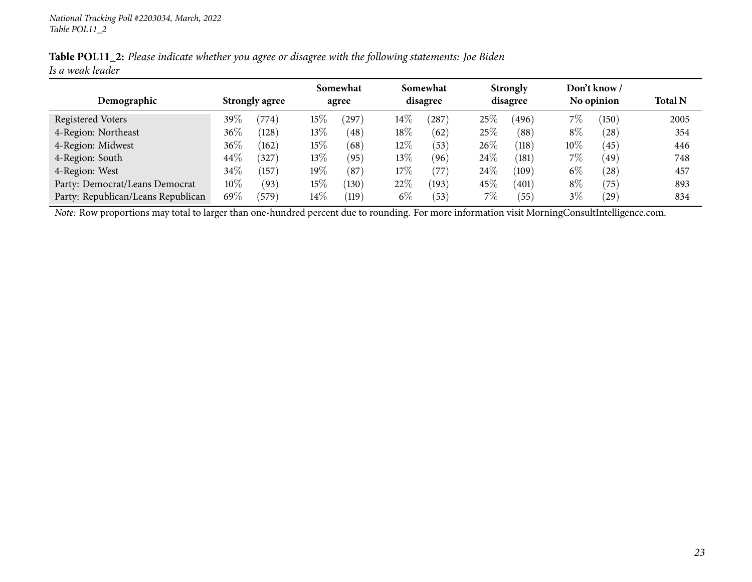|                  |  | Table POL11_2: Please indicate whether you agree or disagree with the following statements: Joe Biden |  |
|------------------|--|-------------------------------------------------------------------------------------------------------|--|
| Is a weak leader |  |                                                                                                       |  |

|                                    |                       |                 |        | Somewhat           |        | Somewhat |        | <b>Strongly</b>    |        | Don't know /    |                |
|------------------------------------|-----------------------|-----------------|--------|--------------------|--------|----------|--------|--------------------|--------|-----------------|----------------|
| Demographic                        | <b>Strongly agree</b> |                 |        | agree              |        | disagree |        | disagree           |        | No opinion      | <b>Total N</b> |
| Registered Voters                  | 39 $\%$               | $^{\prime}774)$ | $15\%$ | 297                | $14\%$ | 287      | 25%    | (496)              | $7\%$  | $^{\prime}150)$ | 2005           |
| 4-Region: Northeast                | 36%                   | (128)           | 13\%   | (48)               | 18%    | (62)     | 25%    | (88)               | $8\%$  | (28)            | 354            |
| 4-Region: Midwest                  | 36%                   | (162)           | 15%    | (68)               | $12\%$ | (53)     | 26\%   | $\left(118\right)$ | $10\%$ | (45)            | 446            |
| 4-Region: South                    | 44\%                  | (327)           | 13%    | (95)               | 13\%   | (96)     | 24\%   | (181)              | 7%     | $^{\prime}49$   | 748            |
| 4-Region: West                     | $34\%$                | (157            | 19%    | (87)               | 17%    | (77      | $24\%$ | (109)              | $6\%$  | (28)            | 457            |
| Party: Democrat/Leans Democrat     | $10\%$                | (93)            | $15\%$ | (130)              | 22%    | (193)    | 45\%   | (401)              | $8\%$  | (75)            | 893            |
| Party: Republican/Leans Republican | 69%                   | (579)           | $14\%$ | $\left(119\right)$ | $6\%$  | (53)     | $7\%$  | (55)               | $3\%$  | $^{'}29$        | 834            |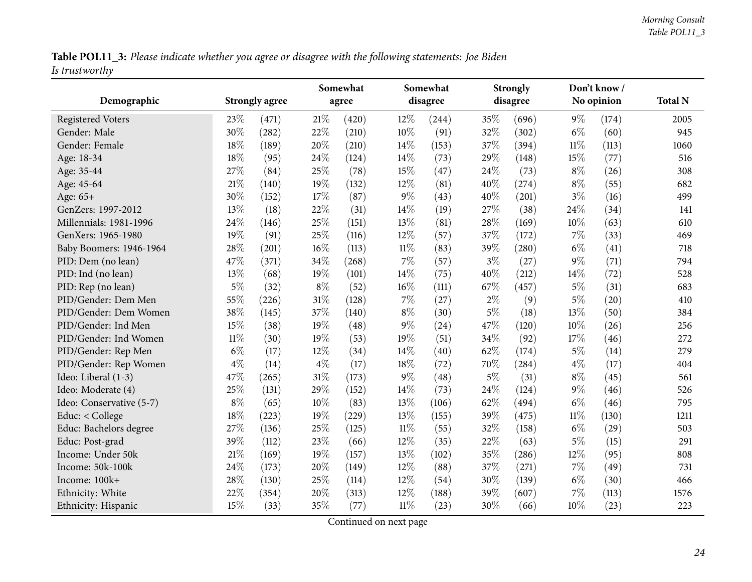Table POL11\_3: Please indicate whether you agree or disagree with the following statements: Joe Biden *Is trustworthy*

<span id="page-23-0"></span>

|                          |        |                       |        | Somewhat |        | Somewhat |       | <b>Strongly</b> |        | Don't know/ |                |
|--------------------------|--------|-----------------------|--------|----------|--------|----------|-------|-----------------|--------|-------------|----------------|
| Demographic              |        | <b>Strongly agree</b> |        | agree    |        | disagree |       | disagree        |        | No opinion  | <b>Total N</b> |
| <b>Registered Voters</b> | 23%    | (471)                 | 21%    | (420)    | 12%    | (244)    | 35%   | (696)           | $9\%$  | (174)       | 2005           |
| Gender: Male             | 30%    | (282)                 | 22%    | (210)    | 10%    | (91)     | 32%   | (302)           | $6\%$  | (60)        | 945            |
| Gender: Female           | 18%    | (189)                 | 20%    | (210)    | 14\%   | (153)    | 37%   | (394)           | $11\%$ | (113)       | 1060           |
| Age: 18-34               | 18%    | (95)                  | 24%    | (124)    | 14%    | (73)     | 29%   | (148)           | 15%    | (77)        | 516            |
| Age: 35-44               | 27%    | (84)                  | 25%    | (78)     | 15%    | (47)     | 24\%  | (73)            | $8\%$  | (26)        | 308            |
| Age: 45-64               | 21%    | (140)                 | 19%    | (132)    | 12%    | (81)     | 40%   | (274)           | $8\%$  | (55)        | 682            |
| Age: 65+                 | 30%    | (152)                 | 17%    | (87)     | $9\%$  | (43)     | 40%   | (201)           | $3\%$  | (16)        | 499            |
| GenZers: 1997-2012       | 13%    | (18)                  | 22%    | (31)     | 14%    | (19)     | 27%   | (38)            | 24%    | (34)        | 141            |
| Millennials: 1981-1996   | 24%    | (146)                 | 25%    | (151)    | 13%    | (81)     | 28%   | (169)           | 10%    | (63)        | 610            |
| GenXers: 1965-1980       | 19%    | (91)                  | 25%    | (116)    | 12%    | (57)     | 37%   | (172)           | $7\%$  | (33)        | 469            |
| Baby Boomers: 1946-1964  | 28%    | (201)                 | 16%    | (113)    | $11\%$ | (83)     | 39%   | (280)           | $6\%$  | (41)        | 718            |
| PID: Dem (no lean)       | 47%    | (371)                 | 34%    | (268)    | $7\%$  | (57)     | $3\%$ | (27)            | $9\%$  | (71)        | 794            |
| PID: Ind (no lean)       | 13%    | (68)                  | 19%    | (101)    | 14%    | (75)     | 40%   | (212)           | 14%    | (72)        | 528            |
| PID: Rep (no lean)       | $5\%$  | (32)                  | $8\%$  | (52)     | 16%    | (111)    | 67%   | (457)           | $5\%$  | (31)        | 683            |
| PID/Gender: Dem Men      | 55%    | (226)                 | 31%    | (128)    | $7\%$  | (27)     | $2\%$ | (9)             | $5\%$  | (20)        | 410            |
| PID/Gender: Dem Women    | 38%    | (145)                 | 37%    | (140)    | $8\%$  | (30)     | $5\%$ | (18)            | 13%    | (50)        | 384            |
| PID/Gender: Ind Men      | 15%    | (38)                  | 19%    | (48)     | $9\%$  | (24)     | 47%   | (120)           | 10%    | (26)        | 256            |
| PID/Gender: Ind Women    | $11\%$ | (30)                  | 19%    | (53)     | 19%    | (51)     | 34%   | (92)            | 17%    | (46)        | 272            |
| PID/Gender: Rep Men      | $6\%$  | (17)                  | 12%    | (34)     | 14%    | (40)     | 62%   | (174)           | $5\%$  | (14)        | 279            |
| PID/Gender: Rep Women    | $4\%$  | (14)                  | $4\%$  | (17)     | 18%    | (72)     | 70%   | (284)           | $4\%$  | (17)        | 404            |
| Ideo: Liberal (1-3)      | 47%    | (265)                 | $31\%$ | (173)    | $9\%$  | (48)     | $5\%$ | (31)            | $8\%$  | (45)        | 561            |
| Ideo: Moderate (4)       | 25%    | (131)                 | 29%    | (152)    | 14%    | (73)     | 24%   | (124)           | $9\%$  | (46)        | 526            |
| Ideo: Conservative (5-7) | $8\%$  | (65)                  | 10%    | (83)     | 13%    | (106)    | 62%   | (494)           | $6\%$  | (46)        | 795            |
| Educ: < College          | 18%    | (223)                 | 19%    | (229)    | 13%    | (155)    | 39%   | (475)           | $11\%$ | (130)       | 1211           |
| Educ: Bachelors degree   | 27%    | (136)                 | 25%    | (125)    | $11\%$ | (55)     | 32%   | (158)           | $6\%$  | (29)        | 503            |
| Educ: Post-grad          | 39%    | (112)                 | 23%    | (66)     | 12%    | (35)     | 22%   | (63)            | $5\%$  | (15)        | 291            |
| Income: Under 50k        | 21%    | (169)                 | 19%    | (157)    | 13%    | (102)    | 35%   | (286)           | $12\%$ | (95)        | 808            |
| Income: 50k-100k         | 24%    | (173)                 | 20%    | (149)    | 12%    | (88)     | 37%   | (271)           | $7\%$  | (49)        | 731            |
| Income: 100k+            | 28%    | (130)                 | 25%    | (114)    | 12%    | (54)     | 30%   | (139)           | $6\%$  | (30)        | 466            |
| Ethnicity: White         | 22%    | (354)                 | 20%    | (313)    | 12%    | (188)    | 39%   | (607)           | 7%     | (113)       | 1576           |
| Ethnicity: Hispanic      | 15%    | (33)                  | 35%    | (77)     | $11\%$ | (23)     | 30%   | (66)            | 10%    | (23)        | 223            |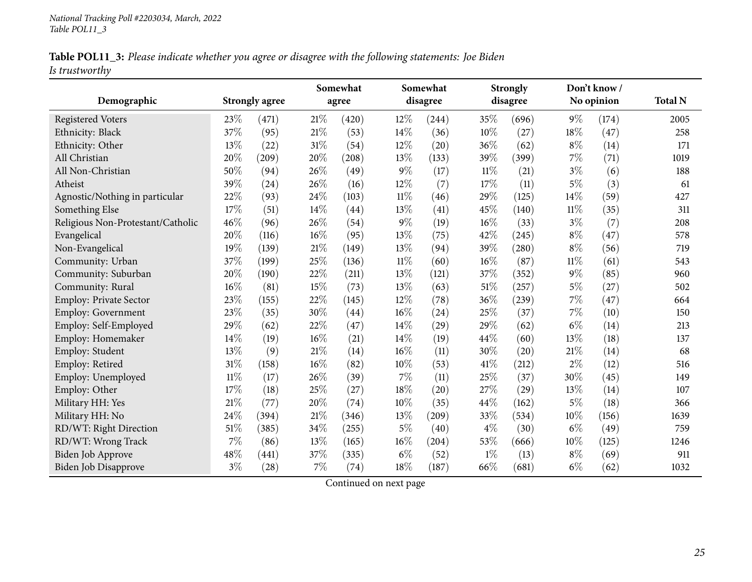|                | Table POL11_3: Please indicate whether you agree or disagree with the following statements: Joe Biden |  |  |  |
|----------------|-------------------------------------------------------------------------------------------------------|--|--|--|
| Is trustworthy |                                                                                                       |  |  |  |

|                                   |        |                       | Somewhat |       |        | Somewhat |        | <b>Strongly</b> | Don't know / |            |                |
|-----------------------------------|--------|-----------------------|----------|-------|--------|----------|--------|-----------------|--------------|------------|----------------|
| Demographic                       |        | <b>Strongly agree</b> |          | agree |        | disagree |        | disagree        |              | No opinion | <b>Total N</b> |
| <b>Registered Voters</b>          | 23%    | (471)                 | 21%      | (420) | $12\%$ | (244)    | 35%    | (696)           | $9\%$        | (174)      | 2005           |
| Ethnicity: Black                  | 37%    | (95)                  | 21%      | (53)  | 14%    | (36)     | 10%    | (27)            | 18%          | (47)       | 258            |
| Ethnicity: Other                  | 13%    | (22)                  | 31%      | (54)  | 12%    | (20)     | 36%    | (62)            | $8\%$        | (14)       | 171            |
| All Christian                     | 20%    | (209)                 | 20%      | (208) | 13%    | (133)    | 39%    | (399)           | $7\%$        | (71)       | 1019           |
| All Non-Christian                 | 50%    | (94)                  | 26%      | (49)  | $9\%$  | (17)     | $11\%$ | (21)            | $3\%$        | (6)        | 188            |
| Atheist                           | 39%    | (24)                  | 26%      | (16)  | 12%    | (7)      | 17%    | (11)            | $5\%$        | (3)        | 61             |
| Agnostic/Nothing in particular    | 22%    | (93)                  | 24%      | (103) | $11\%$ | (46)     | 29%    | (125)           | $14\%$       | (59)       | 427            |
| Something Else                    | 17%    | (51)                  | 14%      | (44)  | 13%    | (41)     | 45%    | (140)           | $11\%$       | (35)       | 311            |
| Religious Non-Protestant/Catholic | 46%    | (96)                  | 26%      | (54)  | $9\%$  | (19)     | 16%    | (33)            | $3\%$        | (7)        | 208            |
| Evangelical                       | 20%    | (116)                 | 16%      | (95)  | 13%    | (75)     | 42%    | (245)           | $8\%$        | (47)       | 578            |
| Non-Evangelical                   | 19%    | (139)                 | 21%      | (149) | 13%    | (94)     | 39%    | (280)           | $8\%$        | (56)       | 719            |
| Community: Urban                  | 37%    | (199)                 | 25%      | (136) | $11\%$ | (60)     | 16%    | (87)            | $11\%$       | (61)       | 543            |
| Community: Suburban               | 20%    | (190)                 | 22%      | (211) | 13%    | (121)    | 37%    | (352)           | $9\%$        | (85)       | 960            |
| Community: Rural                  | 16%    | (81)                  | 15%      | (73)  | 13%    | (63)     | 51%    | (257)           | $5\%$        | (27)       | 502            |
| Employ: Private Sector            | 23%    | (155)                 | 22%      | (145) | 12%    | (78)     | 36%    | (239)           | $7\%$        | (47)       | 664            |
| <b>Employ: Government</b>         | 23%    | (35)                  | 30%      | (44)  | 16%    | (24)     | 25%    | (37)            | $7\%$        | (10)       | 150            |
| Employ: Self-Employed             | 29%    | (62)                  | 22%      | (47)  | 14%    | (29)     | 29%    | (62)            | $6\%$        | (14)       | 213            |
| Employ: Homemaker                 | 14%    | (19)                  | 16%      | (21)  | 14%    | (19)     | 44%    | (60)            | 13%          | (18)       | 137            |
| Employ: Student                   | 13%    | (9)                   | 21%      | (14)  | 16%    | (11)     | 30%    | (20)            | $21\%$       | (14)       | 68             |
| Employ: Retired                   | 31%    | (158)                 | 16%      | (82)  | 10%    | (53)     | 41\%   | (212)           | $2\%$        | (12)       | 516            |
| Employ: Unemployed                | $11\%$ | (17)                  | 26%      | (39)  | 7%     | (11)     | 25%    | (37)            | 30%          | (45)       | 149            |
| Employ: Other                     | 17%    | (18)                  | 25%      | (27)  | 18%    | (20)     | 27%    | (29)            | 13%          | (14)       | 107            |
| Military HH: Yes                  | 21%    | (77)                  | 20%      | (74)  | 10%    | (35)     | 44%    | (162)           | $5\%$        | (18)       | 366            |
| Military HH: No                   | 24%    | (394)                 | 21\%     | (346) | 13%    | (209)    | 33%    | (534)           | 10%          | (156)      | 1639           |
| RD/WT: Right Direction            | 51%    | (385)                 | 34%      | (255) | $5\%$  | (40)     | $4\%$  | (30)            | $6\%$        | (49)       | 759            |
| RD/WT: Wrong Track                | $7\%$  | (86)                  | 13%      | (165) | 16%    | (204)    | 53%    | (666)           | 10%          | (125)      | 1246           |
| Biden Job Approve                 | 48%    | (441)                 | 37%      | (335) | $6\%$  | (52)     | $1\%$  | (13)            | $8\%$        | (69)       | 911            |
| Biden Job Disapprove              | $3\%$  | (28)                  | 7%       | (74)  | 18%    | (187)    | 66%    | (681)           | $6\%$        | (62)       | 1032           |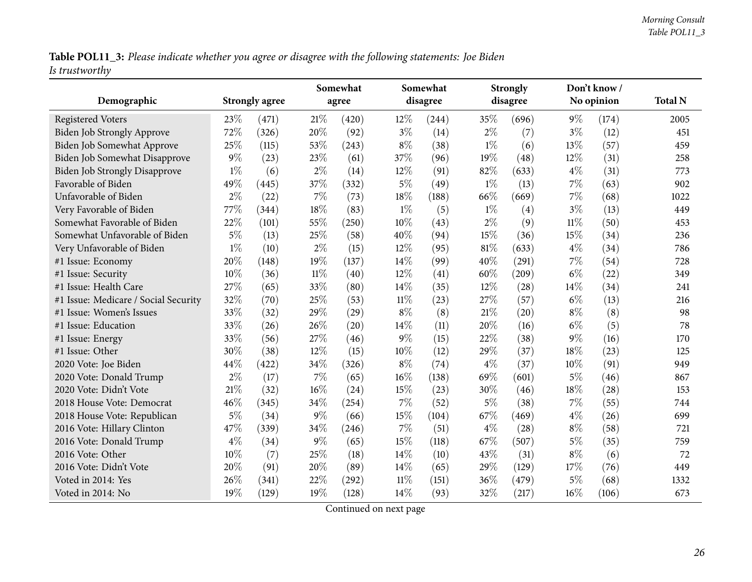Table POL11\_3: Please indicate whether you agree or disagree with the following statements: Joe Biden *Is trustworthy*

| Demographic                                                |       | <b>Strongly agree</b> |        | Somewhat<br>agree |        | Somewhat<br>disagree |       | <b>Strongly</b><br>disagree |        | Don't know /<br>No opinion | <b>Total N</b> |
|------------------------------------------------------------|-------|-----------------------|--------|-------------------|--------|----------------------|-------|-----------------------------|--------|----------------------------|----------------|
| <b>Registered Voters</b>                                   | 23%   | (471)                 | 21\%   | (420)             | 12%    | (244)                | 35%   | (696)                       | $9\%$  | (174)                      | 2005           |
| Biden Job Strongly Approve                                 | 72%   | (326)                 | 20%    | (92)              | $3\%$  | (14)                 | $2\%$ | (7)                         | $3\%$  | (12)                       | 451            |
| Biden Job Somewhat Approve                                 | 25%   | (115)                 | 53%    | (243)             | $8\%$  | (38)                 | $1\%$ | (6)                         | 13%    | (57)                       | 459            |
| Biden Job Somewhat Disapprove                              | $9\%$ | (23)                  | 23\%   | (61)              | 37%    | (96)                 | 19%   | (48)                        | 12%    | (31)                       | 258            |
|                                                            | $1\%$ |                       | $2\%$  |                   | 12%    |                      | 82%   |                             | $4\%$  |                            | 773            |
| <b>Biden Job Strongly Disapprove</b><br>Favorable of Biden | 49%   | (6)                   | 37%    | (14)              | $5\%$  | (91)                 | $1\%$ | (633)                       | 7%     | (31)                       | 902            |
|                                                            |       | (445)                 |        | (332)             |        | (49)                 |       | (13)                        |        | (63)                       |                |
| Unfavorable of Biden                                       | $2\%$ | (22)                  | $7\%$  | (73)              | 18%    | (188)                | 66%   | (669)                       | 7%     | (68)                       | 1022           |
| Very Favorable of Biden                                    | 77%   | (344)                 | 18%    | (83)              | $1\%$  | (5)                  | $1\%$ | (4)                         | $3\%$  | (13)                       | 449            |
| Somewhat Favorable of Biden                                | 22%   | (101)                 | 55%    | (250)             | 10%    | (43)                 | $2\%$ | (9)                         | $11\%$ | (50)                       | 453            |
| Somewhat Unfavorable of Biden                              | $5\%$ | (13)                  | 25\%   | (58)              | 40%    | (94)                 | 15%   | (36)                        | 15%    | (34)                       | 236            |
| Very Unfavorable of Biden                                  | $1\%$ | (10)                  | $2\%$  | (15)              | 12%    | (95)                 | 81%   | (633)                       | $4\%$  | (34)                       | 786            |
| #1 Issue: Economy                                          | 20%   | (148)                 | 19%    | (137)             | 14%    | (99)                 | 40%   | (291)                       | 7%     | (54)                       | 728            |
| #1 Issue: Security                                         | 10%   | (36)                  | $11\%$ | (40)              | 12%    | (41)                 | 60%   | (209)                       | $6\%$  | (22)                       | 349            |
| #1 Issue: Health Care                                      | 27%   | (65)                  | 33%    | (80)              | 14\%   | (35)                 | 12%   | (28)                        | 14%    | (34)                       | 241            |
| #1 Issue: Medicare / Social Security                       | 32%   | (70)                  | 25%    | (53)              | $11\%$ | (23)                 | 27%   | (57)                        | $6\%$  | (13)                       | 216            |
| #1 Issue: Women's Issues                                   | 33%   | (32)                  | 29%    | (29)              | $8\%$  | (8)                  | 21%   | (20)                        | $8\%$  | (8)                        | 98             |
| #1 Issue: Education                                        | 33%   | (26)                  | 26%    | (20)              | $14\%$ | (11)                 | 20%   | (16)                        | $6\%$  | (5)                        | 78             |
| #1 Issue: Energy                                           | 33%   | (56)                  | 27%    | (46)              | $9\%$  | (15)                 | 22%   | (38)                        | 9%     | (16)                       | 170            |
| #1 Issue: Other                                            | 30%   | (38)                  | 12%    | (15)              | 10%    | (12)                 | 29%   | (37)                        | 18%    | (23)                       | 125            |
| 2020 Vote: Joe Biden                                       | 44%   | (422)                 | 34%    | (326)             | $8\%$  | (74)                 | $4\%$ | (37)                        | 10%    | (91)                       | 949            |
| 2020 Vote: Donald Trump                                    | $2\%$ | (17)                  | $7\%$  | (65)              | $16\%$ | (138)                | 69%   | (601)                       | $5\%$  | (46)                       | 867            |
| 2020 Vote: Didn't Vote                                     | 21%   | (32)                  | 16%    | (24)              | 15%    | (23)                 | 30%   | (46)                        | 18%    | (28)                       | 153            |
| 2018 House Vote: Democrat                                  | 46%   | (345)                 | 34%    | (254)             | 7%     | (52)                 | $5\%$ | (38)                        | 7%     | (55)                       | 744            |
| 2018 House Vote: Republican                                | $5\%$ | (34)                  | $9\%$  | (66)              | 15%    | (104)                | 67%   | (469)                       | $4\%$  | (26)                       | 699            |
| 2016 Vote: Hillary Clinton                                 | 47%   | (339)                 | 34%    | (246)             | 7%     | (51)                 | $4\%$ | (28)                        | $8\%$  | (58)                       | 721            |
| 2016 Vote: Donald Trump                                    | $4\%$ | (34)                  | $9\%$  | (65)              | 15%    | (118)                | 67%   | (507)                       | $5\%$  | (35)                       | 759            |
| 2016 Vote: Other                                           | 10%   | (7)                   | 25\%   | (18)              | 14\%   | (10)                 | 43%   | (31)                        | $8\%$  | (6)                        | 72             |
| 2016 Vote: Didn't Vote                                     | 20%   | (91)                  | 20%    | (89)              | 14\%   | (65)                 | 29%   | (129)                       | 17%    | (76)                       | 449            |
| Voted in 2014: Yes                                         | 26%   | (341)                 | 22%    | (292)             | 11%    | (151)                | 36%   | (479)                       | $5\%$  | (68)                       | 1332           |
| Voted in 2014: No                                          | 19%   | (129)                 | 19%    | (128)             | 14%    | (93)                 | 32%   | (217)                       | 16%    | (106)                      | 673            |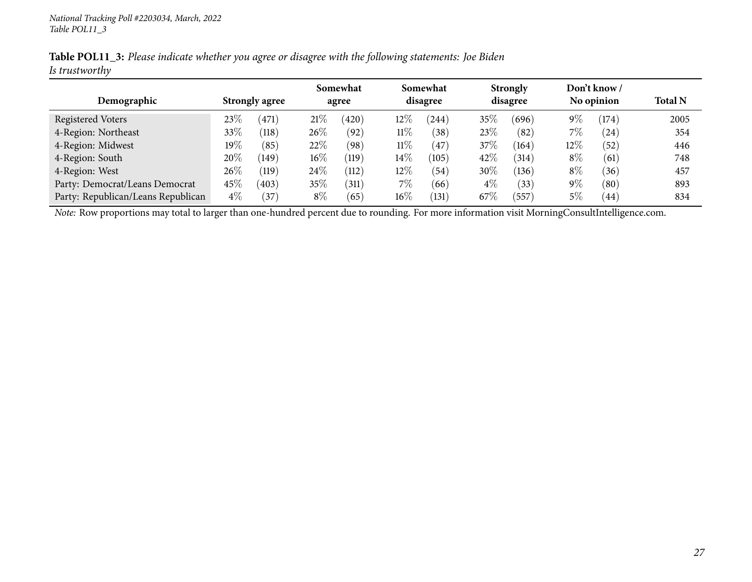|                | Table POL11_3: Please indicate whether you agree or disagree with the following statements: Joe Biden |  |
|----------------|-------------------------------------------------------------------------------------------------------|--|
| Is trustworthy |                                                                                                       |  |

|                                    |                       |                    |        | Somewhat    |        | Somewhat          |        | <b>Strongly</b> |       | Don't know / |                |
|------------------------------------|-----------------------|--------------------|--------|-------------|--------|-------------------|--------|-----------------|-------|--------------|----------------|
| Demographic                        | <b>Strongly agree</b> |                    |        | agree       |        | disagree          |        | disagree        |       | No opinion   | <b>Total N</b> |
| Registered Voters                  | $23\%$                | $^{\prime}471$     | 21%    | $420^\circ$ | $12\%$ | (244)             | $35\%$ | (696)           | $9\%$ | (174)        | 2005           |
| 4-Region: Northeast                | 33\%                  | $\left(118\right)$ | $26\%$ | (92)        | $11\%$ | $\left(38\right)$ | 23\%   | (82)            | $7\%$ | (24)         | 354            |
| 4-Region: Midwest                  | $19\%$                | (85)               | 22\%   | (98)        | $11\%$ | (47)              | 37\%   | (164)           | 12\%  | (52)         | 446            |
| 4-Region: South                    | 20%                   | (149)              | $16\%$ | (119)       | $14\%$ | (105)             | 42%    | (314)           | $8\%$ | (61)         | 748            |
| 4-Region: West                     | 26\%                  | $\left(119\right)$ | $24\%$ | (112)       | $12\%$ | (54)              | 30%    | (136)           | $8\%$ | (36)         | 457            |
| Party: Democrat/Leans Democrat     | $45\%$                | (403)              | 35%    | (311)       | 7%     | (66)              | $4\%$  | (33)            | $9\%$ | (80)         | 893            |
| Party: Republican/Leans Republican | $4\%$                 | 37                 | $8\%$  | (65)        | $16\%$ | (131)             | 67\%   | 557             | $5\%$ | (44)         | 834            |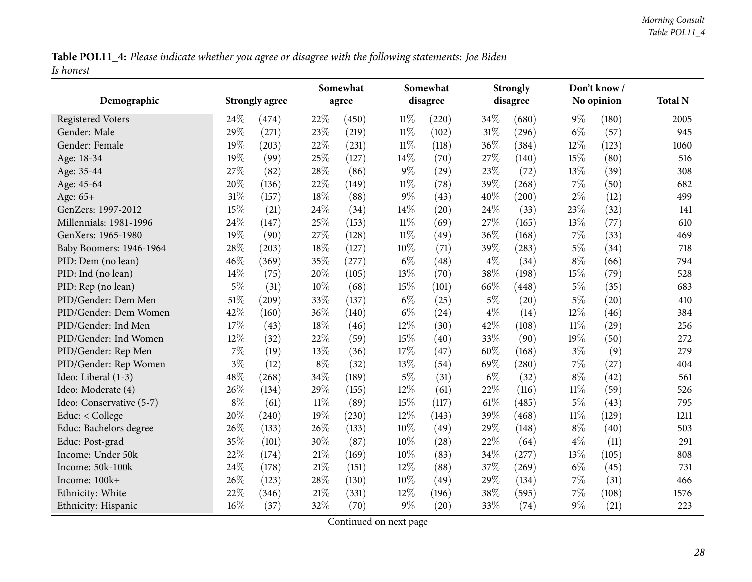Table POL11\_4: Please indicate whether you agree or disagree with the following statements: Joe Biden *Is honest*

<span id="page-27-0"></span>

|                          |        |                       |       | Somewhat |        | Somewhat |       | <b>Strongly</b> |        | Don't know/ |                |
|--------------------------|--------|-----------------------|-------|----------|--------|----------|-------|-----------------|--------|-------------|----------------|
| Demographic              |        | <b>Strongly agree</b> |       | agree    |        | disagree |       | disagree        |        | No opinion  | <b>Total N</b> |
| <b>Registered Voters</b> | 24\%   | (474)                 | 22%   | (450)    | $11\%$ | (220)    | 34%   | (680)           | $9\%$  | (180)       | 2005           |
| Gender: Male             | 29%    | (271)                 | 23%   | (219)    | $11\%$ | (102)    | 31%   | (296)           | $6\%$  | (57)        | 945            |
| Gender: Female           | 19%    | (203)                 | 22%   | (231)    | $11\%$ | (118)    | 36%   | (384)           | 12%    | (123)       | 1060           |
| Age: 18-34               | 19%    | (99)                  | 25%   | (127)    | 14%    | (70)     | 27%   | (140)           | 15%    | (80)        | 516            |
| Age: 35-44               | 27%    | (82)                  | 28%   | (86)     | $9\%$  | (29)     | 23%   | (72)            | 13%    | (39)        | 308            |
| Age: 45-64               | 20%    | (136)                 | 22%   | (149)    | 11%    | (78)     | 39%   | (268)           | $7\%$  | (50)        | 682            |
| Age: 65+                 | 31%    | (157)                 | 18%   | (88)     | $9\%$  | (43)     | 40%   | (200)           | $2\%$  | (12)        | 499            |
| GenZers: 1997-2012       | 15%    | (21)                  | 24\%  | (34)     | 14%    | (20)     | 24\%  | (33)            | 23%    | (32)        | 141            |
| Millennials: 1981-1996   | 24%    | (147)                 | 25%   | (153)    | $11\%$ | (69)     | 27%   | (165)           | 13%    | (77)        | 610            |
| GenXers: 1965-1980       | 19%    | (90)                  | 27%   | (128)    | $11\%$ | (49)     | 36%   | (168)           | 7%     | (33)        | 469            |
| Baby Boomers: 1946-1964  | 28%    | (203)                 | 18%   | (127)    | 10%    | (71)     | 39%   | (283)           | $5\%$  | (34)        | 718            |
| PID: Dem (no lean)       | 46%    | (369)                 | 35%   | (277)    | $6\%$  | (48)     | $4\%$ | (34)            | $8\%$  | (66)        | 794            |
| PID: Ind (no lean)       | 14%    | (75)                  | 20%   | (105)    | 13%    | (70)     | 38%   | (198)           | 15%    | (79)        | 528            |
| PID: Rep (no lean)       | $5\%$  | (31)                  | 10%   | (68)     | 15%    | (101)    | 66%   | (448)           | $5\%$  | (35)        | 683            |
| PID/Gender: Dem Men      | $51\%$ | (209)                 | 33%   | (137)    | $6\%$  | (25)     | $5\%$ | (20)            | $5\%$  | (20)        | 410            |
| PID/Gender: Dem Women    | 42%    | (160)                 | 36%   | (140)    | $6\%$  | (24)     | $4\%$ | (14)            | 12%    | (46)        | 384            |
| PID/Gender: Ind Men      | 17%    | (43)                  | 18%   | (46)     | 12%    | (30)     | 42%   | (108)           | $11\%$ | (29)        | 256            |
| PID/Gender: Ind Women    | 12%    | (32)                  | 22%   | (59)     | 15%    | (40)     | 33%   | (90)            | 19%    | (50)        | 272            |
| PID/Gender: Rep Men      | 7%     | (19)                  | 13%   | (36)     | 17%    | (47)     | 60%   | (168)           | $3\%$  | (9)         | 279            |
| PID/Gender: Rep Women    | $3\%$  | (12)                  | $8\%$ | (32)     | 13%    | (54)     | 69%   | (280)           | 7%     | (27)        | 404            |
| Ideo: Liberal (1-3)      | 48%    | (268)                 | 34%   | (189)    | $5\%$  | (31)     | $6\%$ | (32)            | $8\%$  | (42)        | 561            |
| Ideo: Moderate (4)       | 26%    | (134)                 | 29%   | (155)    | 12%    | (61)     | 22%   | (116)           | $11\%$ | (59)        | 526            |
| Ideo: Conservative (5-7) | $8\%$  | (61)                  | 11%   | (89)     | 15%    | (117)    | 61%   | (485)           | $5\%$  | (43)        | 795            |
| Educ: < College          | 20%    | (240)                 | 19%   | (230)    | 12%    | (143)    | 39%   | (468)           | $11\%$ | (129)       | 1211           |
| Educ: Bachelors degree   | 26%    | (133)                 | 26%   | (133)    | 10%    | (49)     | 29%   | (148)           | $8\%$  | (40)        | 503            |
| Educ: Post-grad          | 35%    | (101)                 | 30%   | (87)     | 10%    | (28)     | 22%   | (64)            | $4\%$  | (11)        | 291            |
| Income: Under 50k        | 22%    | (174)                 | 21%   | (169)    | 10%    | (83)     | 34%   | (277)           | 13%    | (105)       | 808            |
| Income: 50k-100k         | 24%    | (178)                 | 21\%  | (151)    | 12%    | (88)     | 37%   | (269)           | $6\%$  | (45)        | 731            |
| Income: 100k+            | 26%    | (123)                 | 28%   | (130)    | 10%    | (49)     | 29%   | (134)           | $7\%$  | (31)        | 466            |
| Ethnicity: White         | 22%    | (346)                 | 21%   | (331)    | 12%    | (196)    | 38%   | (595)           | 7%     | (108)       | 1576           |
| Ethnicity: Hispanic      | 16%    | (37)                  | 32%   | (70)     | $9\%$  | (20)     | 33%   | (74)            | $9\%$  | (21)        | 223            |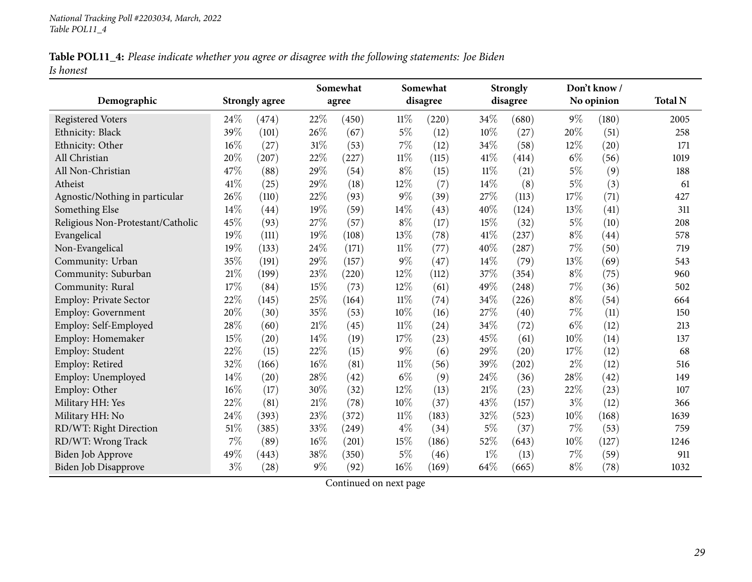|           | Table POL11_4: Please indicate whether you agree or disagree with the following statements: Joe Biden |  |
|-----------|-------------------------------------------------------------------------------------------------------|--|
| Is honest |                                                                                                       |  |

|                                   |       |                       |       | Somewhat |        | Somewhat |        | <b>Strongly</b> |       | Don't know / |                |
|-----------------------------------|-------|-----------------------|-------|----------|--------|----------|--------|-----------------|-------|--------------|----------------|
| Demographic                       |       | <b>Strongly agree</b> |       | agree    |        | disagree |        | disagree        |       | No opinion   | <b>Total N</b> |
| <b>Registered Voters</b>          | 24%   | (474)                 | 22%   | (450)    | $11\%$ | (220)    | 34%    | (680)           | $9\%$ | (180)        | 2005           |
| Ethnicity: Black                  | 39%   | (101)                 | 26%   | (67)     | $5\%$  | (12)     | 10%    | (27)            | 20%   | (51)         | 258            |
| Ethnicity: Other                  | 16%   | (27)                  | 31%   | (53)     | $7\%$  | (12)     | 34%    | (58)            | 12%   | (20)         | 171            |
| All Christian                     | 20%   | (207)                 | 22%   | (227)    | $11\%$ | (115)    | 41%    | (414)           | $6\%$ | (56)         | 1019           |
| All Non-Christian                 | 47%   | (88)                  | 29%   | (54)     | $8\%$  | (15)     | $11\%$ | (21)            | $5\%$ | (9)          | 188            |
| Atheist                           | 41%   | (25)                  | 29%   | (18)     | 12%    | (7)      | 14%    | (8)             | $5\%$ | (3)          | 61             |
| Agnostic/Nothing in particular    | 26%   | (110)                 | 22%   | (93)     | 9%     | (39)     | 27%    | (113)           | 17%   | (71)         | 427            |
| Something Else                    | 14%   | (44)                  | 19%   | (59)     | 14%    | (43)     | 40%    | (124)           | 13%   | (41)         | 311            |
| Religious Non-Protestant/Catholic | 45%   | (93)                  | 27%   | (57)     | $8\%$  | (17)     | 15%    | (32)            | $5\%$ | (10)         | 208            |
| Evangelical                       | 19%   | (111)                 | 19%   | (108)    | 13%    | (78)     | 41\%   | (237)           | $8\%$ | (44)         | 578            |
| Non-Evangelical                   | 19%   | (133)                 | 24%   | (171)    | $11\%$ | (77)     | 40%    | (287)           | $7\%$ | (50)         | 719            |
| Community: Urban                  | 35%   | (191)                 | 29%   | (157)    | 9%     | (47)     | 14%    | (79)            | 13%   | (69)         | 543            |
| Community: Suburban               | 21%   | (199)                 | 23%   | (220)    | 12%    | (112)    | 37%    | (354)           | $8\%$ | (75)         | 960            |
| Community: Rural                  | 17%   | (84)                  | 15%   | (73)     | 12%    | (61)     | 49%    | (248)           | 7%    | (36)         | 502            |
| Employ: Private Sector            | 22%   | (145)                 | 25%   | (164)    | $11\%$ | (74)     | 34%    | (226)           | $8\%$ | (54)         | 664            |
| Employ: Government                | 20%   | (30)                  | 35%   | (53)     | 10%    | (16)     | 27%    | (40)            | 7%    | (11)         | 150            |
| Employ: Self-Employed             | 28%   | (60)                  | 21%   | (45)     | $11\%$ | (24)     | 34%    | (72)            | $6\%$ | (12)         | 213            |
| Employ: Homemaker                 | 15%   | (20)                  | 14%   | (19)     | 17%    | (23)     | 45%    | (61)            | 10%   | (14)         | 137            |
| Employ: Student                   | 22%   | (15)                  | 22%   | (15)     | 9%     | (6)      | 29%    | (20)            | 17%   | (12)         | 68             |
| Employ: Retired                   | 32%   | (166)                 | 16%   | (81)     | $11\%$ | (56)     | 39%    | (202)           | $2\%$ | (12)         | 516            |
| Employ: Unemployed                | 14%   | (20)                  | 28%   | (42)     | $6\%$  | (9)      | 24%    | (36)            | 28%   | (42)         | 149            |
| Employ: Other                     | 16%   | (17)                  | 30%   | (32)     | 12%    | (13)     | 21%    | (23)            | 22%   | (23)         | 107            |
| Military HH: Yes                  | 22%   | (81)                  | 21%   | (78)     | 10%    | (37)     | 43%    | (157)           | $3\%$ | (12)         | 366            |
| Military HH: No                   | 24%   | (393)                 | 23%   | (372)    | $11\%$ | (183)    | 32%    | (523)           | 10%   | (168)        | 1639           |
| RD/WT: Right Direction            | 51%   | (385)                 | 33%   | (249)    | $4\%$  | (34)     | $5\%$  | (37)            | 7%    | (53)         | 759            |
| RD/WT: Wrong Track                | 7%    | (89)                  | 16%   | (201)    | 15%    | (186)    | 52%    | (643)           | 10%   | (127)        | 1246           |
| <b>Biden Job Approve</b>          | 49%   | (443)                 | 38%   | (350)    | 5%     | (46)     | $1\%$  | (13)            | 7%    | (59)         | 911            |
| Biden Job Disapprove              | $3\%$ | (28)                  | $9\%$ | (92)     | 16%    | (169)    | 64%    | (665)           | $8\%$ | (78)         | 1032           |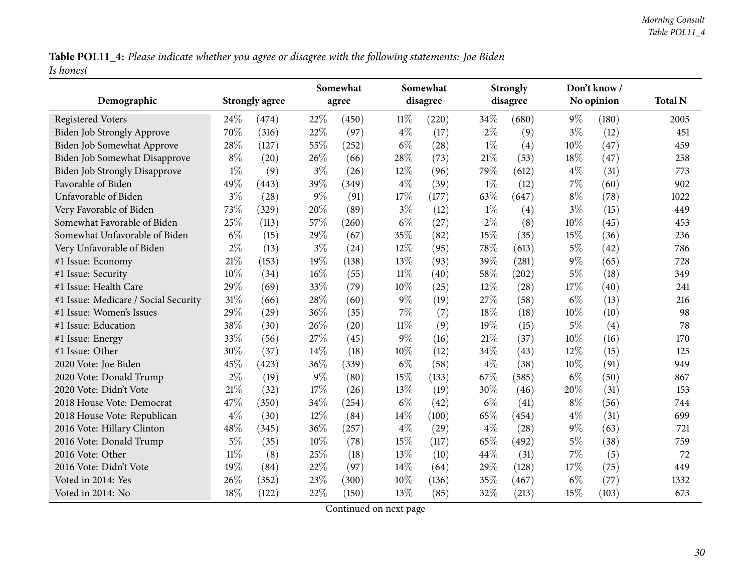Table POL11\_4: Please indicate whether you agree or disagree with the following statements: Joe Biden *Is honest*

| Demographic                          |        | <b>Strongly agree</b> |        | Somewhat<br>agree |        | Somewhat<br>disagree |        | <b>Strongly</b><br>disagree |       | Don't know /<br>No opinion | <b>Total N</b> |
|--------------------------------------|--------|-----------------------|--------|-------------------|--------|----------------------|--------|-----------------------------|-------|----------------------------|----------------|
| <b>Registered Voters</b>             | 24\%   | (474)                 | 22%    | (450)             | $11\%$ | (220)                | 34\%   | (680)                       | $9\%$ | (180)                      | 2005           |
| <b>Biden Job Strongly Approve</b>    | 70%    | (316)                 | 22%    | (97)              | $4\%$  | (17)                 | $2\%$  | (9)                         | $3\%$ | (12)                       | 451            |
| Biden Job Somewhat Approve           | 28%    | (127)                 | 55%    | (252)             | $6\%$  | (28)                 | $1\%$  | (4)                         | 10%   | (47)                       | 459            |
| Biden Job Somewhat Disapprove        | $8\%$  | (20)                  | 26\%   | (66)              | 28%    | (73)                 | $21\%$ | (53)                        | 18%   | (47)                       | 258            |
| <b>Biden Job Strongly Disapprove</b> | $1\%$  | (9)                   | $3\%$  | (26)              | 12%    | (96)                 | 79%    | (612)                       | $4\%$ | (31)                       | 773            |
| Favorable of Biden                   | 49%    | (443)                 | 39%    | (349)             | $4\%$  | (39)                 | $1\%$  | (12)                        | $7\%$ | (60)                       | 902            |
| Unfavorable of Biden                 | $3\%$  | (28)                  | $9\%$  | (91)              | 17%    | (177)                | 63%    | (647)                       | $8\%$ | (78)                       | 1022           |
| Very Favorable of Biden              | 73%    | (329)                 | 20%    | (89)              | $3\%$  | (12)                 | $1\%$  | (4)                         | $3\%$ | (15)                       | 449            |
| Somewhat Favorable of Biden          | 25%    | (113)                 | 57%    | (260)             | $6\%$  | (27)                 | $2\%$  | (8)                         | 10%   | (45)                       | 453            |
| Somewhat Unfavorable of Biden        | $6\%$  | (15)                  | 29%    | (67)              | 35%    | (82)                 | 15%    | (35)                        | 15%   | (36)                       | 236            |
| Very Unfavorable of Biden            | $2\%$  | (13)                  | $3\%$  | (24)              | 12%    | (95)                 | 78%    | (613)                       | $5\%$ | (42)                       | 786            |
| #1 Issue: Economy                    | 21%    | (153)                 | 19%    | (138)             | 13%    | (93)                 | 39%    | (281)                       | 9%    | (65)                       | 728            |
| #1 Issue: Security                   | 10%    | (34)                  | 16%    | (55)              | $11\%$ | (40)                 | 58\%   | (202)                       | $5\%$ | (18)                       | 349            |
| #1 Issue: Health Care                | 29%    | (69)                  | 33%    | (79)              | $10\%$ | (25)                 | 12%    | (28)                        | 17%   | (40)                       | 241            |
| #1 Issue: Medicare / Social Security | 31%    | (66)                  | 28%    | (60)              | $9\%$  | (19)                 | 27%    | (58)                        | $6\%$ | (13)                       | 216            |
| #1 Issue: Women's Issues             | 29%    | (29)                  | 36%    | (35)              | $7\%$  | (7)                  | 18%    | (18)                        | 10%   | (10)                       | 98             |
| #1 Issue: Education                  | 38%    | (30)                  | 26%    | (20)              | $11\%$ | (9)                  | 19%    | (15)                        | $5\%$ | (4)                        | 78             |
| #1 Issue: Energy                     | 33%    | (56)                  | 27\%   | (45)              | $9\%$  | (16)                 | 21\%   | (37)                        | 10%   | (16)                       | 170            |
| #1 Issue: Other                      | 30%    | (37)                  | 14\%   | (18)              | 10%    | (12)                 | 34%    | (43)                        | 12%   | (15)                       | 125            |
| 2020 Vote: Joe Biden                 | 45%    | (423)                 | 36%    | (339)             | $6\%$  | (58)                 | $4\%$  | (38)                        | 10%   | (91)                       | 949            |
| 2020 Vote: Donald Trump              | $2\%$  | (19)                  | $9\%$  | (80)              | 15%    | (133)                | 67%    | (585)                       | $6\%$ | (50)                       | 867            |
| 2020 Vote: Didn't Vote               | 21%    | (32)                  | 17%    | (26)              | 13%    | (19)                 | 30%    | (46)                        | 20%   | (31)                       | 153            |
| 2018 House Vote: Democrat            | 47%    | (350)                 | 34%    | (254)             | $6\%$  | (42)                 | $6\%$  | (41)                        | $8\%$ | (56)                       | 744            |
| 2018 House Vote: Republican          | $4\%$  | (30)                  | $12\%$ | (84)              | 14%    | (100)                | 65%    | (454)                       | $4\%$ | (31)                       | 699            |
| 2016 Vote: Hillary Clinton           | 48%    | (345)                 | 36%    | (257)             | $4\%$  | (29)                 | $4\%$  | (28)                        | $9\%$ | (63)                       | 721            |
| 2016 Vote: Donald Trump              | $5\%$  | (35)                  | 10%    | (78)              | 15%    | (117)                | 65%    | (492)                       | $5\%$ | (38)                       | 759            |
| 2016 Vote: Other                     | $11\%$ | (8)                   | 25%    | (18)              | 13%    | (10)                 | 44%    | (31)                        | $7\%$ | (5)                        | 72             |
| 2016 Vote: Didn't Vote               | 19%    | (84)                  | 22%    | (97)              | 14%    | (64)                 | 29%    | (128)                       | 17%   | (75)                       | 449            |
| Voted in 2014: Yes                   | 26%    | (352)                 | 23%    | (300)             | 10%    | (136)                | 35%    | (467)                       | $6\%$ | (77)                       | 1332           |
| Voted in 2014: No                    | 18%    | (122)                 | 22%    | (150)             | 13%    | (85)                 | 32%    | (213)                       | 15%   | (103)                      | 673            |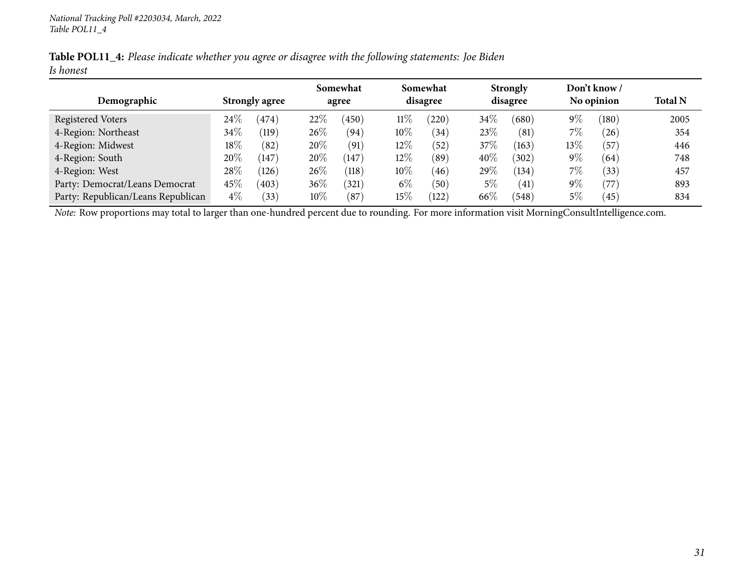|           | Table POL11_4: Please indicate whether you agree or disagree with the following statements: Joe Biden |  |
|-----------|-------------------------------------------------------------------------------------------------------|--|
| Is honest |                                                                                                       |  |

|                                    |        |                       |        | Somewhat |        | Somewhat |        | <b>Strongly</b> |        | Don't know /  |                |
|------------------------------------|--------|-----------------------|--------|----------|--------|----------|--------|-----------------|--------|---------------|----------------|
| Demographic                        |        | <b>Strongly agree</b> |        | agree    |        | disagree |        | disagree        |        | No opinion    | <b>Total N</b> |
| Registered Voters                  | $24\%$ | (474)                 | 22%    | (450)    | $11\%$ | (220)    | $34\%$ | (680)           | $9\%$  | (180)         | 2005           |
| 4-Region: Northeast                | $34\%$ | $\left(119\right)$    | $26\%$ | (94)     | $10\%$ | (34)     | 23%    | (81)            | $7\%$  | $^{\prime}26$ | 354            |
| 4-Region: Midwest                  | 18\%   | (82)                  | 20%    | (91)     | $12\%$ | (52)     | 37%    | (163)           | $13\%$ | (57           | 446            |
| 4-Region: South                    | 20\%   | (147)                 | 20%    | (147)    | 12\%   | (89)     | 40%    | (302)           | $9\%$  | (64)          | 748            |
| 4-Region: West                     | $28\%$ | (126)                 | $26\%$ | (118)    | $10\%$ | (46)     | 29\%   | (134)           | $7\%$  | (33)          | 457            |
| Party: Democrat/Leans Democrat     | $45\%$ | (403)                 | $36\%$ | (321)    | $6\%$  | (50)     | $5\%$  | (41)            | $9\%$  | '77           | 893            |
| Party: Republican/Leans Republican | $4\%$  | (33)                  | $10\%$ | (87)     | $15\%$ | (122)    | 66\%   | (548)           | $5\%$  | (45)          | 834            |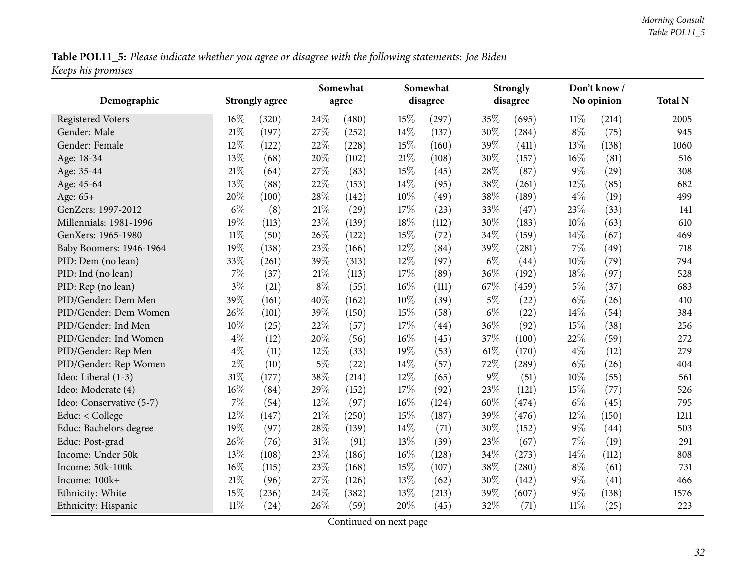Table POL11\_5: Please indicate whether you agree or disagree with the following statements: Joe Biden *Keeps his promises*

<span id="page-31-0"></span>

|                          |        |                       |        | Somewhat |        | Somewhat | <b>Strongly</b> |          |        | Don't know/ |                |
|--------------------------|--------|-----------------------|--------|----------|--------|----------|-----------------|----------|--------|-------------|----------------|
| Demographic              |        | <b>Strongly agree</b> |        | agree    |        | disagree |                 | disagree |        | No opinion  | <b>Total N</b> |
| <b>Registered Voters</b> | $16\%$ | (320)                 | 24\%   | (480)    | 15%    | (297)    | 35%             | (695)    | $11\%$ | (214)       | 2005           |
| Gender: Male             | 21%    | (197)                 | 27%    | (252)    | 14%    | (137)    | 30%             | (284)    | $8\%$  | (75)        | 945            |
| Gender: Female           | 12%    | (122)                 | 22%    | (228)    | 15%    | (160)    | 39%             | (411)    | 13%    | (138)       | 1060           |
| Age: 18-34               | 13%    | (68)                  | 20%    | (102)    | 21%    | (108)    | 30%             | (157)    | $16\%$ | (81)        | 516            |
| Age: 35-44               | 21%    | (64)                  | 27\%   | (83)     | 15%    | (45)     | 28%             | (87)     | $9\%$  | (29)        | 308            |
| Age: 45-64               | 13%    | (88)                  | 22%    | (153)    | 14%    | (95)     | 38%             | (261)    | 12%    | (85)        | 682            |
| Age: 65+                 | 20%    | (100)                 | 28%    | (142)    | 10%    | (49)     | 38%             | (189)    | $4\%$  | (19)        | 499            |
| GenZers: 1997-2012       | $6\%$  | (8)                   | $21\%$ | (29)     | 17\%   | (23)     | 33%             | (47)     | 23%    | (33)        | 141            |
| Millennials: 1981-1996   | 19%    | (113)                 | 23%    | (139)    | 18%    | (112)    | 30%             | (183)    | 10%    | (63)        | 610            |
| GenXers: 1965-1980       | $11\%$ | (50)                  | 26%    | (122)    | 15%    | (72)     | 34%             | (159)    | 14%    | (67)        | 469            |
| Baby Boomers: 1946-1964  | 19%    | (138)                 | 23%    | (166)    | 12%    | (84)     | 39%             | (281)    | $7\%$  | (49)        | 718            |
| PID: Dem (no lean)       | 33%    | (261)                 | 39%    | (313)    | 12%    | (97)     | $6\%$           | (44)     | 10%    | (79)        | 794            |
| PID: Ind (no lean)       | $7\%$  | (37)                  | 21%    | (113)    | 17%    | (89)     | 36%             | (192)    | 18%    | (97)        | 528            |
| PID: Rep (no lean)       | $3\%$  | (21)                  | $8\%$  | (55)     | 16%    | (111)    | 67%             | (459)    | $5\%$  | (37)        | 683            |
| PID/Gender: Dem Men      | 39%    | (161)                 | 40%    | (162)    | 10%    | (39)     | $5\%$           | (22)     | $6\%$  | (26)        | 410            |
| PID/Gender: Dem Women    | 26%    | (101)                 | 39%    | (150)    | 15%    | (58)     | $6\%$           | (22)     | 14%    | (54)        | 384            |
| PID/Gender: Ind Men      | 10%    | (25)                  | 22%    | (57)     | 17%    | (44)     | 36%             | (92)     | 15%    | (38)        | 256            |
| PID/Gender: Ind Women    | $4\%$  | (12)                  | 20%    | (56)     | 16%    | (45)     | 37%             | (100)    | 22%    | (59)        | 272            |
| PID/Gender: Rep Men      | $4\%$  | (11)                  | 12%    | (33)     | 19%    | (53)     | 61\%            | (170)    | $4\%$  | (12)        | 279            |
| PID/Gender: Rep Women    | $2\%$  | (10)                  | $5\%$  | (22)     | 14%    | (57)     | 72%             | (289)    | $6\%$  | (26)        | 404            |
| Ideo: Liberal (1-3)      | 31%    | (177)                 | 38%    | (214)    | 12%    | (65)     | $9\%$           | (51)     | 10%    | (55)        | 561            |
| Ideo: Moderate (4)       | $16\%$ | (84)                  | 29%    | (152)    | 17%    | (92)     | 23%             | (121)    | 15%    | (77)        | 526            |
| Ideo: Conservative (5-7) | 7%     | (54)                  | 12%    | (97)     | 16%    | (124)    | 60%             | (474)    | $6\%$  | (45)        | 795            |
| Educ: < College          | 12%    | (147)                 | 21%    | (250)    | 15%    | (187)    | 39%             | (476)    | 12%    | (150)       | 1211           |
| Educ: Bachelors degree   | 19%    | (97)                  | 28\%   | (139)    | 14%    | (71)     | 30%             | (152)    | $9\%$  | (44)        | 503            |
| Educ: Post-grad          | 26%    | (76)                  | $31\%$ | (91)     | 13%    | (39)     | 23\%            | (67)     | 7%     | (19)        | 291            |
| Income: Under 50k        | 13%    | (108)                 | 23%    | (186)    | $16\%$ | (128)    | 34%             | (273)    | 14%    | (112)       | 808            |
| Income: 50k-100k         | 16%    | (115)                 | 23%    | (168)    | 15%    | (107)    | 38%             | (280)    | $8\%$  | (61)        | 731            |
| Income: 100k+            | $21\%$ | (96)                  | 27%    | (126)    | 13%    | (62)     | 30%             | (142)    | $9\%$  | (41)        | 466            |
| Ethnicity: White         | 15%    | (236)                 | 24%    | (382)    | 13%    | (213)    | 39%             | (607)    | $9\%$  | (138)       | 1576           |
| Ethnicity: Hispanic      | $11\%$ | (24)                  | 26%    | (59)     | 20%    | (45)     | 32%             | (71)     | 11%    | (25)        | 223            |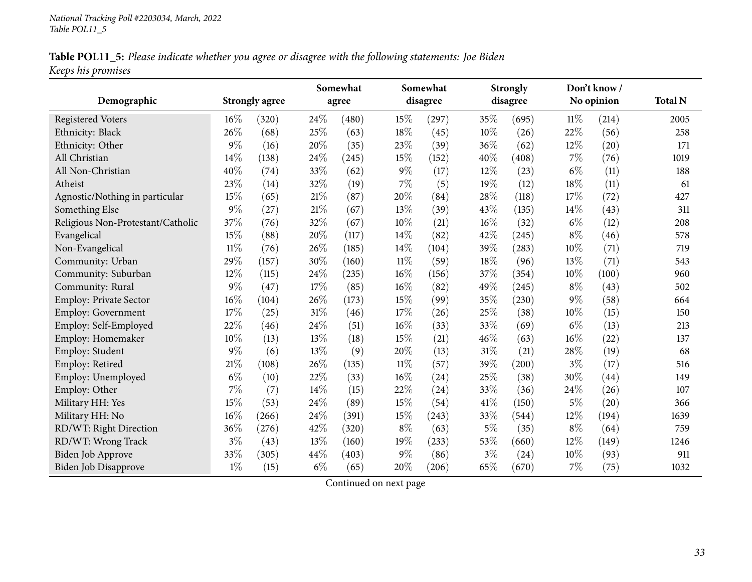|                    | Table POL11_5: Please indicate whether you agree or disagree with the following statements: Joe Biden |  |  |  |
|--------------------|-------------------------------------------------------------------------------------------------------|--|--|--|
| Keeps his promises |                                                                                                       |  |  |  |

|                                   |        |                       |        | Somewhat |        | Somewhat |        | <b>Strongly</b> |        | Don't know / |                |
|-----------------------------------|--------|-----------------------|--------|----------|--------|----------|--------|-----------------|--------|--------------|----------------|
| Demographic                       |        | <b>Strongly agree</b> |        | agree    |        | disagree |        | disagree        |        | No opinion   | <b>Total N</b> |
| <b>Registered Voters</b>          | $16\%$ | (320)                 | 24\%   | (480)    | 15%    | (297)    | 35%    | (695)           | $11\%$ | (214)        | 2005           |
| Ethnicity: Black                  | 26%    | (68)                  | 25%    | (63)     | 18%    | (45)     | 10%    | (26)            | 22%    | (56)         | 258            |
| Ethnicity: Other                  | 9%     | (16)                  | 20%    | (35)     | 23%    | (39)     | 36%    | (62)            | 12%    | (20)         | 171            |
| All Christian                     | 14%    | (138)                 | 24\%   | (245)    | 15%    | (152)    | 40%    | (408)           | 7%     | (76)         | 1019           |
| All Non-Christian                 | 40%    | (74)                  | 33%    | (62)     | $9\%$  | (17)     | 12%    | (23)            | $6\%$  | (11)         | 188            |
| Atheist                           | 23%    | (14)                  | 32%    | (19)     | $7\%$  | (5)      | 19%    | (12)            | 18%    | (11)         | 61             |
| Agnostic/Nothing in particular    | 15%    | (65)                  | 21\%   | (87)     | 20%    | (84)     | 28%    | (118)           | 17%    | (72)         | 427            |
| Something Else                    | $9\%$  | (27)                  | 21\%   | (67)     | 13%    | (39)     | 43%    | (135)           | 14%    | (43)         | 311            |
| Religious Non-Protestant/Catholic | 37%    | (76)                  | 32%    | (67)     | 10%    | (21)     | $16\%$ | (32)            | $6\%$  | (12)         | 208            |
| Evangelical                       | 15%    | (88)                  | 20%    | (117)    | 14%    | (82)     | 42%    | (245)           | $8\%$  | (46)         | 578            |
| Non-Evangelical                   | $11\%$ | (76)                  | 26%    | (185)    | 14%    | (104)    | 39%    | (283)           | 10%    | (71)         | 719            |
| Community: Urban                  | 29%    | (157)                 | 30%    | (160)    | $11\%$ | (59)     | 18%    | (96)            | 13%    | (71)         | 543            |
| Community: Suburban               | 12%    | (115)                 | 24\%   | (235)    | $16\%$ | (156)    | 37%    | (354)           | 10%    | (100)        | 960            |
| Community: Rural                  | 9%     | (47)                  | 17%    | (85)     | 16%    | (82)     | 49%    | (245)           | $8\%$  | (43)         | 502            |
| Employ: Private Sector            | 16%    | (104)                 | 26%    | (173)    | 15%    | (99)     | 35%    | (230)           | 9%     | (58)         | 664            |
| Employ: Government                | 17%    | (25)                  | $31\%$ | (46)     | 17%    | (26)     | 25%    | (38)            | 10%    | (15)         | 150            |
| Employ: Self-Employed             | 22%    | (46)                  | 24\%   | (51)     | 16%    | (33)     | 33%    | (69)            | $6\%$  | (13)         | 213            |
| Employ: Homemaker                 | 10%    | (13)                  | 13%    | (18)     | 15%    | (21)     | 46%    | (63)            | $16\%$ | (22)         | 137            |
| Employ: Student                   | 9%     | (6)                   | 13%    | (9)      | 20%    | (13)     | $31\%$ | (21)            | 28%    | (19)         | 68             |
| Employ: Retired                   | 21%    | (108)                 | 26%    | (135)    | $11\%$ | (57)     | 39%    | (200)           | $3\%$  | (17)         | 516            |
| Employ: Unemployed                | $6\%$  | (10)                  | 22%    | (33)     | 16%    | (24)     | 25%    | (38)            | 30%    | (44)         | 149            |
| Employ: Other                     | 7%     | (7)                   | 14%    | (15)     | 22%    | (24)     | 33%    | (36)            | 24%    | (26)         | 107            |
| Military HH: Yes                  | 15%    | (53)                  | 24\%   | (89)     | 15%    | (54)     | $41\%$ | (150)           | $5\%$  | (20)         | 366            |
| Military HH: No                   | $16\%$ | (266)                 | 24%    | (391)    | 15%    | (243)    | 33%    | (544)           | 12%    | (194)        | 1639           |
| RD/WT: Right Direction            | 36%    | (276)                 | 42%    | (320)    | $8\%$  | (63)     | $5\%$  | (35)            | $8\%$  | (64)         | 759            |
| RD/WT: Wrong Track                | $3\%$  | (43)                  | 13%    | (160)    | 19%    | (233)    | 53%    | (660)           | 12%    | (149)        | 1246           |
| Biden Job Approve                 | 33%    | (305)                 | 44\%   | (403)    | $9\%$  | (86)     | $3\%$  | (24)            | 10%    | (93)         | 911            |
| Biden Job Disapprove              | $1\%$  | (15)                  | $6\%$  | (65)     | 20%    | (206)    | 65%    | (670)           | 7%     | (75)         | 1032           |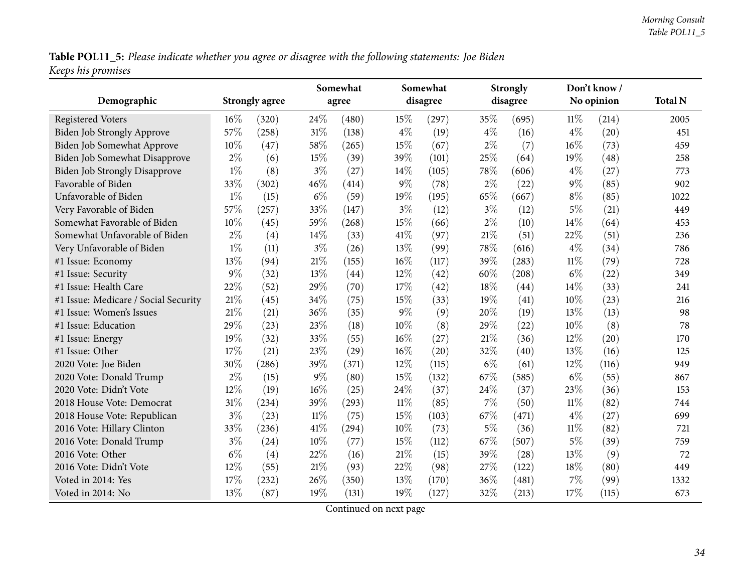Table POL11\_5: Please indicate whether you agree or disagree with the following statements: Joe Biden *Keeps his promises*

| Demographic                          |        | <b>Strongly agree</b> |        | Somewhat<br>agree | Somewhat<br>disagree |       |        | <b>Strongly</b><br>disagree |        | Don't know /<br>No opinion | <b>Total N</b> |
|--------------------------------------|--------|-----------------------|--------|-------------------|----------------------|-------|--------|-----------------------------|--------|----------------------------|----------------|
| <b>Registered Voters</b>             | $16\%$ | (320)                 | 24\%   | (480)             | 15%                  | (297) | 35%    | (695)                       | $11\%$ | (214)                      | 2005           |
| Biden Job Strongly Approve           | 57%    | (258)                 | $31\%$ | (138)             | $4\%$                | (19)  | $4\%$  | (16)                        | $4\%$  | (20)                       | 451            |
| Biden Job Somewhat Approve           | 10%    | (47)                  | 58\%   | (265)             | 15%                  | (67)  | $2\%$  | (7)                         | 16%    | (73)                       | 459            |
| Biden Job Somewhat Disapprove        | $2\%$  | (6)                   | 15%    | (39)              | 39%                  | (101) | 25%    | (64)                        | 19%    | (48)                       | 258            |
| <b>Biden Job Strongly Disapprove</b> | $1\%$  | (8)                   | $3\%$  | (27)              | 14%                  | (105) | 78%    | (606)                       | $4\%$  | (27)                       | 773            |
| Favorable of Biden                   | 33\%   | (302)                 | 46%    | (414)             | $9\%$                | (78)  | $2\%$  | (22)                        | $9\%$  | (85)                       | 902            |
| Unfavorable of Biden                 | $1\%$  | (15)                  | $6\%$  | (59)              | 19%                  | (195) | 65%    | (667)                       | $8\%$  | (85)                       | 1022           |
| Very Favorable of Biden              | 57%    | (257)                 | 33%    | (147)             | $3\%$                | (12)  | $3\%$  | (12)                        | $5\%$  | (21)                       | 449            |
| Somewhat Favorable of Biden          | $10\%$ | (45)                  | 59%    | (268)             | 15%                  | (66)  | $2\%$  | (10)                        | 14%    | (64)                       | 453            |
| Somewhat Unfavorable of Biden        | $2\%$  | (4)                   | $14\%$ | (33)              | 41\%                 | (97)  | 21%    | (51)                        | 22%    | (51)                       | 236            |
| Very Unfavorable of Biden            | $1\%$  | (11)                  | $3\%$  | (26)              | 13%                  | (99)  | 78%    | (616)                       | $4\%$  | (34)                       | 786            |
| #1 Issue: Economy                    | 13%    | (94)                  | $21\%$ | (155)             | 16%                  | (117) | 39%    | (283)                       | $11\%$ | (79)                       | 728            |
| #1 Issue: Security                   | $9\%$  | (32)                  | 13%    | (44)              | 12%                  | (42)  | 60%    | (208)                       | $6\%$  | (22)                       | 349            |
| #1 Issue: Health Care                | 22%    | (52)                  | 29%    | (70)              | 17%                  | (42)  | 18%    | (44)                        | 14%    | (33)                       | 241            |
| #1 Issue: Medicare / Social Security | 21%    | (45)                  | 34%    | (75)              | 15%                  | (33)  | 19%    | (41)                        | 10%    | (23)                       | 216            |
| #1 Issue: Women's Issues             | 21%    | (21)                  | 36%    | (35)              | $9\%$                | (9)   | 20%    | (19)                        | 13%    | (13)                       | 98             |
| #1 Issue: Education                  | 29%    | (23)                  | 23%    | (18)              | 10%                  | (8)   | 29%    | (22)                        | 10%    | (8)                        | 78             |
| #1 Issue: Energy                     | 19%    | (32)                  | 33%    | (55)              | $16\%$               | (27)  | $21\%$ | (36)                        | 12%    | (20)                       | 170            |
| #1 Issue: Other                      | 17%    | (21)                  | 23%    | (29)              | 16%                  | (20)  | 32%    | (40)                        | 13%    | (16)                       | 125            |
| 2020 Vote: Joe Biden                 | 30%    | (286)                 | 39%    | (371)             | 12%                  | (115) | $6\%$  | (61)                        | 12%    | (116)                      | 949            |
| 2020 Vote: Donald Trump              | $2\%$  | (15)                  | $9\%$  | (80)              | 15%                  | (132) | 67%    | (585)                       | $6\%$  | (55)                       | 867            |
| 2020 Vote: Didn't Vote               | 12%    | (19)                  | $16\%$ | (25)              | 24\%                 | (37)  | 24%    | (37)                        | 23%    | (36)                       | 153            |
| 2018 House Vote: Democrat            | 31%    | (234)                 | 39%    | (293)             | 11%                  | (85)  | 7%     | (50)                        | $11\%$ | (82)                       | 744            |
| 2018 House Vote: Republican          | $3\%$  | (23)                  | $11\%$ | (75)              | 15%                  | (103) | 67%    | (471)                       | $4\%$  | (27)                       | 699            |
| 2016 Vote: Hillary Clinton           | 33%    | (236)                 | $41\%$ | (294)             | $10\%$               | (73)  | $5\%$  | (36)                        | $11\%$ | (82)                       | 721            |
| 2016 Vote: Donald Trump              | $3\%$  | (24)                  | $10\%$ | (77)              | 15%                  | (112) | 67%    | (507)                       | $5\%$  | (39)                       | 759            |
| 2016 Vote: Other                     | $6\%$  | (4)                   | 22\%   | (16)              | 21%                  | (15)  | 39%    | (28)                        | 13%    | (9)                        | 72             |
| 2016 Vote: Didn't Vote               | 12%    | (55)                  | 21\%   | (93)              | 22%                  | (98)  | 27%    | (122)                       | 18%    | (80)                       | 449            |
| Voted in 2014: Yes                   | 17%    | (232)                 | 26%    | (350)             | 13%                  | (170) | 36%    | (481)                       | 7%     | (99)                       | 1332           |
| Voted in 2014: No                    | 13%    | (87)                  | 19%    | (131)             | 19%                  | (127) | 32%    | (213)                       | 17%    | (115)                      | 673            |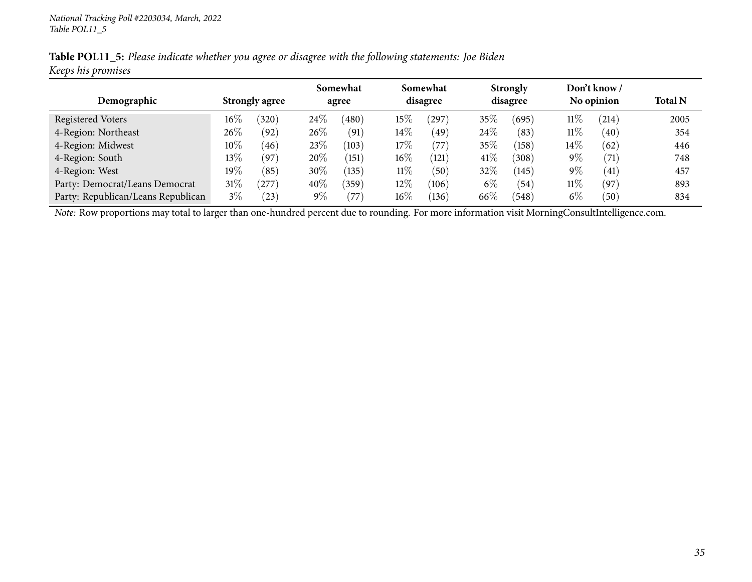|                    |  | Table POL11_5: Please indicate whether you agree or disagree with the following statements: Joe Biden |  |
|--------------------|--|-------------------------------------------------------------------------------------------------------|--|
| Keeps his promises |  |                                                                                                       |  |

|                                    |        |                         |        | Somewhat       |        | Somewhat |        | <b>Strongly</b> |        | Don't know / |                |
|------------------------------------|--------|-------------------------|--------|----------------|--------|----------|--------|-----------------|--------|--------------|----------------|
| Demographic                        |        | <b>Strongly agree</b>   |        | agree          |        | disagree |        | disagree        |        | No opinion   | <b>Total N</b> |
| Registered Voters                  | $16\%$ | $^{\prime}320^{\prime}$ | 24\%   | (480)          | 15%    | 297      | $35\%$ | (695)           | $11\%$ | (214)        | 2005           |
| 4-Region: Northeast                | 26%    | (92)                    | 26\%   | (91)           | $14\%$ | (49)     | $24\%$ | (83)            | $11\%$ | (40)         | 354            |
| 4-Region: Midwest                  | $10\%$ | 46                      | 23%    | (103)          | 17%    | (77)     | 35%    | (158)           | $14\%$ | (62)         | 446            |
| 4-Region: South                    | $13\%$ | (97                     | 20%    | (151)          | $16\%$ | (121)    | 41\%   | 308)            | $9\%$  | (71)         | 748            |
| 4-Region: West                     | $19\%$ | $\sqrt{85}$             | 30%    | (135)          | $11\%$ | (50)     | 32\%   | (145)           | $9\%$  | (41)         | 457            |
| Party: Democrat/Leans Democrat     | $31\%$ | 277                     | $40\%$ | $^{\prime}359$ | 12%    | (106)    | $6\%$  | (54)            | $11\%$ | $^{'}97$     | 893            |
| Party: Republican/Leans Republican | $3\%$  | $^{'}23)$               | $9\%$  | $77^\circ$     | $16\%$ | (136)    | 66\%   | (548)           | $6\%$  | $^{'}50$     | 834            |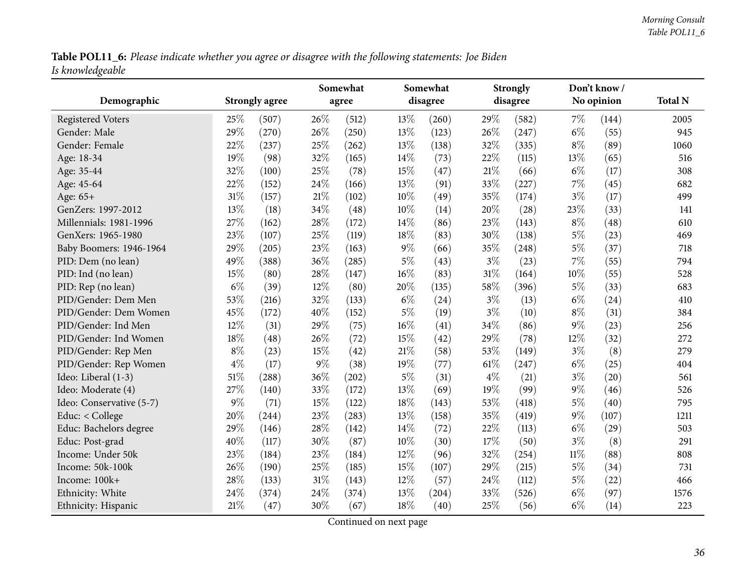Table POL11\_6: Please indicate whether you agree or disagree with the following statements: Joe Biden *Is knowledgeable*

<span id="page-35-0"></span>

|                          |       |                       |        | Somewhat |        | Somewhat | <b>Strongly</b> |          |        | Don't know/ |                |
|--------------------------|-------|-----------------------|--------|----------|--------|----------|-----------------|----------|--------|-------------|----------------|
| Demographic              |       | <b>Strongly agree</b> |        | agree    |        | disagree |                 | disagree |        | No opinion  | <b>Total N</b> |
| <b>Registered Voters</b> | 25%   | (507)                 | 26%    | (512)    | 13%    | (260)    | 29%             | (582)    | $7\%$  | (144)       | 2005           |
| Gender: Male             | 29%   | (270)                 | 26%    | (250)    | 13%    | (123)    | 26%             | (247)    | $6\%$  | (55)        | 945            |
| Gender: Female           | 22%   | (237)                 | 25%    | (262)    | 13%    | (138)    | 32%             | (335)    | $8\%$  | (89)        | 1060           |
| Age: 18-34               | 19%   | (98)                  | 32%    | (165)    | 14%    | (73)     | 22%             | (115)    | 13%    | (65)        | 516            |
| Age: 35-44               | 32%   | (100)                 | 25%    | (78)     | 15%    | (47)     | 21\%            | (66)     | $6\%$  | (17)        | 308            |
| Age: 45-64               | 22%   | (152)                 | 24%    | (166)    | 13%    | (91)     | 33%             | (227)    | 7%     | (45)        | 682            |
| Age: 65+                 | 31%   | (157)                 | 21%    | (102)    | 10%    | (49)     | 35%             | (174)    | $3\%$  | (17)        | 499            |
| GenZers: 1997-2012       | 13%   | (18)                  | 34%    | (48)     | 10%    | (14)     | 20%             | (28)     | 23%    | (33)        | 141            |
| Millennials: 1981-1996   | 27%   | (162)                 | 28%    | (172)    | 14%    | (86)     | 23%             | (143)    | $8\%$  | (48)        | 610            |
| GenXers: 1965-1980       | 23%   | (107)                 | 25%    | (119)    | 18%    | (83)     | 30%             | (138)    | $5\%$  | (23)        | 469            |
| Baby Boomers: 1946-1964  | 29%   | (205)                 | 23%    | (163)    | $9\%$  | (66)     | 35%             | (248)    | $5\%$  | (37)        | 718            |
| PID: Dem (no lean)       | 49%   | (388)                 | 36%    | (285)    | $5\%$  | (43)     | $3\%$           | (23)     | 7%     | (55)        | 794            |
| PID: Ind (no lean)       | 15%   | (80)                  | 28%    | (147)    | 16%    | (83)     | 31%             | (164)    | 10%    | (55)        | 528            |
| PID: Rep (no lean)       | $6\%$ | (39)                  | 12%    | (80)     | 20%    | (135)    | 58%             | (396)    | $5\%$  | (33)        | 683            |
| PID/Gender: Dem Men      | 53%   | (216)                 | 32%    | (133)    | $6\%$  | (24)     | $3\%$           | (13)     | $6\%$  | (24)        | 410            |
| PID/Gender: Dem Women    | 45%   | (172)                 | 40%    | (152)    | $5\%$  | (19)     | $3\%$           | (10)     | $8\%$  | (31)        | 384            |
| PID/Gender: Ind Men      | 12%   | (31)                  | 29%    | (75)     | $16\%$ | (41)     | 34%             | (86)     | $9\%$  | (23)        | 256            |
| PID/Gender: Ind Women    | 18%   | (48)                  | 26%    | (72)     | 15%    | (42)     | 29%             | (78)     | 12%    | (32)        | 272            |
| PID/Gender: Rep Men      | $8\%$ | (23)                  | 15%    | (42)     | 21%    | (58)     | 53%             | (149)    | $3\%$  | (8)         | 279            |
| PID/Gender: Rep Women    | $4\%$ | (17)                  | $9\%$  | (38)     | 19%    | (77)     | 61\%            | (247)    | $6\%$  | (25)        | 404            |
| Ideo: Liberal (1-3)      | 51%   | (288)                 | 36%    | (202)    | $5\%$  | (31)     | $4\%$           | (21)     | $3\%$  | (20)        | 561            |
| Ideo: Moderate (4)       | 27%   | (140)                 | 33%    | (172)    | 13%    | (69)     | 19%             | (99)     | $9\%$  | (46)        | 526            |
| Ideo: Conservative (5-7) | 9%    | (71)                  | 15%    | (122)    | 18%    | (143)    | 53%             | (418)    | $5\%$  | (40)        | 795            |
| Educ: < College          | 20%   | (244)                 | 23%    | (283)    | 13%    | (158)    | 35%             | (419)    | $9\%$  | (107)       | 1211           |
| Educ: Bachelors degree   | 29%   | (146)                 | 28\%   | (142)    | 14%    | (72)     | 22%             | (113)    | $6\%$  | (29)        | 503            |
| Educ: Post-grad          | 40%   | (117)                 | 30%    | (87)     | 10%    | (30)     | 17%             | (50)     | $3\%$  | (8)         | 291            |
| Income: Under 50k        | 23%   | (184)                 | 23%    | (184)    | 12%    | (96)     | 32%             | (254)    | $11\%$ | (88)        | 808            |
| Income: 50k-100k         | 26%   | (190)                 | 25%    | (185)    | 15%    | (107)    | 29%             | (215)    | $5\%$  | (34)        | 731            |
| Income: 100k+            | 28%   | (133)                 | $31\%$ | (143)    | 12%    | (57)     | 24%             | (112)    | $5\%$  | (22)        | 466            |
| Ethnicity: White         | 24%   | (374)                 | 24%    | (374)    | 13%    | (204)    | 33%             | (526)    | $6\%$  | (97)        | 1576           |
| Ethnicity: Hispanic      | 21%   | (47)                  | 30%    | (67)     | 18%    | (40)     | $25\%$          | (56)     | $6\%$  | (14)        | 223            |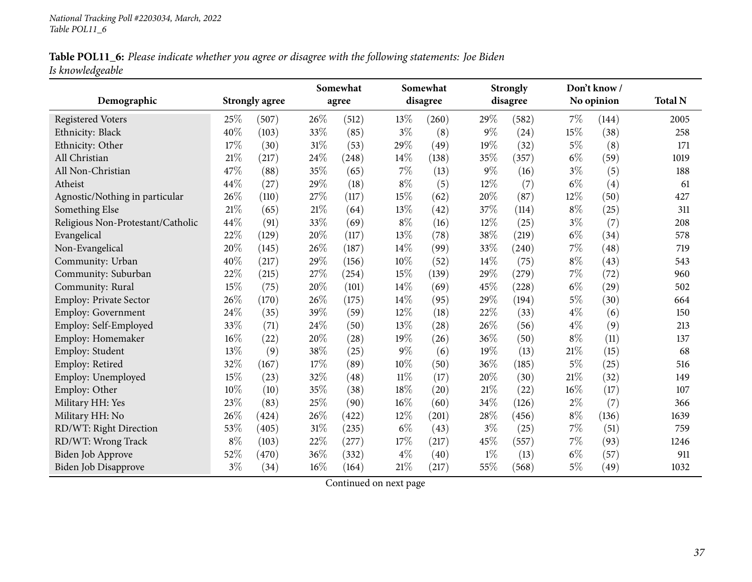|                  |  |  | Table POL11_6: Please indicate whether you agree or disagree with the following statements: Joe Biden |  |
|------------------|--|--|-------------------------------------------------------------------------------------------------------|--|
| Is knowledgeable |  |  |                                                                                                       |  |

|                                   |        |                       |     | Somewhat |        | Somewhat | <b>Strongly</b> |          | Don't know / |            |                |
|-----------------------------------|--------|-----------------------|-----|----------|--------|----------|-----------------|----------|--------------|------------|----------------|
| Demographic                       |        | <b>Strongly agree</b> |     | agree    |        | disagree |                 | disagree |              | No opinion | <b>Total N</b> |
| <b>Registered Voters</b>          | $25\%$ | (507)                 | 26% | (512)    | 13%    | (260)    | 29%             | (582)    | 7%           | (144)      | 2005           |
| Ethnicity: Black                  | 40%    | (103)                 | 33% | (85)     | $3\%$  | (8)      | $9\%$           | (24)     | 15%          | (38)       | 258            |
| Ethnicity: Other                  | 17%    | (30)                  | 31% | (53)     | 29%    | (49)     | 19%             | (32)     | $5\%$        | (8)        | 171            |
| All Christian                     | 21%    | (217)                 | 24% | (248)    | 14%    | (138)    | 35%             | (357)    | $6\%$        | (59)       | 1019           |
| All Non-Christian                 | 47%    | (88)                  | 35% | (65)     | $7\%$  | (13)     | $9\%$           | (16)     | $3\%$        | (5)        | 188            |
| Atheist                           | 44%    | (27)                  | 29% | (18)     | $8\%$  | (5)      | 12%             | (7)      | $6\%$        | (4)        | 61             |
| Agnostic/Nothing in particular    | 26%    | (110)                 | 27% | (117)    | 15%    | (62)     | 20%             | (87)     | 12%          | (50)       | 427            |
| Something Else                    | 21%    | (65)                  | 21% | (64)     | 13%    | (42)     | 37%             | (114)    | $8\%$        | (25)       | 311            |
| Religious Non-Protestant/Catholic | 44%    | (91)                  | 33% | (69)     | $8\%$  | (16)     | 12%             | (25)     | $3\%$        | (7)        | 208            |
| Evangelical                       | 22%    | (129)                 | 20% | (117)    | 13%    | (78)     | 38%             | (219)    | $6\%$        | (34)       | 578            |
| Non-Evangelical                   | 20%    | (145)                 | 26% | (187)    | 14%    | (99)     | 33%             | (240)    | 7%           | (48)       | 719            |
| Community: Urban                  | 40%    | (217)                 | 29% | (156)    | 10%    | (52)     | 14%             | (75)     | $8\%$        | (43)       | 543            |
| Community: Suburban               | 22%    | (215)                 | 27% | (254)    | 15%    | (139)    | 29%             | (279)    | $7\%$        | (72)       | 960            |
| Community: Rural                  | 15%    | (75)                  | 20% | (101)    | 14%    | (69)     | 45%             | (228)    | $6\%$        | (29)       | 502            |
| Employ: Private Sector            | 26%    | (170)                 | 26% | (175)    | 14\%   | (95)     | 29%             | (194)    | $5\%$        | (30)       | 664            |
| <b>Employ: Government</b>         | 24%    | (35)                  | 39% | (59)     | 12%    | (18)     | 22%             | (33)     | $4\%$        | (6)        | 150            |
| Employ: Self-Employed             | 33%    | (71)                  | 24% | (50)     | 13%    | (28)     | 26%             | (56)     | $4\%$        | (9)        | 213            |
| Employ: Homemaker                 | 16%    | (22)                  | 20% | (28)     | 19%    | (26)     | 36%             | (50)     | $8\%$        | (11)       | 137            |
| Employ: Student                   | 13%    | (9)                   | 38% | (25)     | $9\%$  | (6)      | 19%             | (13)     | $21\%$       | (15)       | 68             |
| Employ: Retired                   | 32%    | (167)                 | 17% | (89)     | 10%    | (50)     | 36%             | (185)    | $5\%$        | (25)       | 516            |
| Employ: Unemployed                | 15%    | (23)                  | 32% | (48)     | $11\%$ | (17)     | 20%             | (30)     | $21\%$       | (32)       | 149            |
| Employ: Other                     | 10%    | (10)                  | 35% | (38)     | 18%    | (20)     | 21%             | (22)     | 16%          | (17)       | 107            |
| Military HH: Yes                  | 23%    | (83)                  | 25% | (90)     | 16%    | (60)     | 34%             | (126)    | $2\%$        | (7)        | 366            |
| Military HH: No                   | 26%    | (424)                 | 26% | (422)    | 12%    | (201)    | 28\%            | (456)    | $8\%$        | (136)      | 1639           |
| RD/WT: Right Direction            | 53%    | (405)                 | 31% | (235)    | $6\%$  | (43)     | $3\%$           | (25)     | $7\%$        | (51)       | 759            |
| RD/WT: Wrong Track                | $8\%$  | (103)                 | 22% | (277)    | 17%    | (217)    | 45%             | (557)    | $7\%$        | (93)       | 1246           |
| <b>Biden Job Approve</b>          | 52%    | (470)                 | 36% | (332)    | $4\%$  | (40)     | $1\%$           | (13)     | $6\%$        | (57)       | 911            |
| <b>Biden Job Disapprove</b>       | $3\%$  | (34)                  | 16% | (164)    | 21%    | (217)    | 55%             | (568)    | $5\%$        | (49)       | 1032           |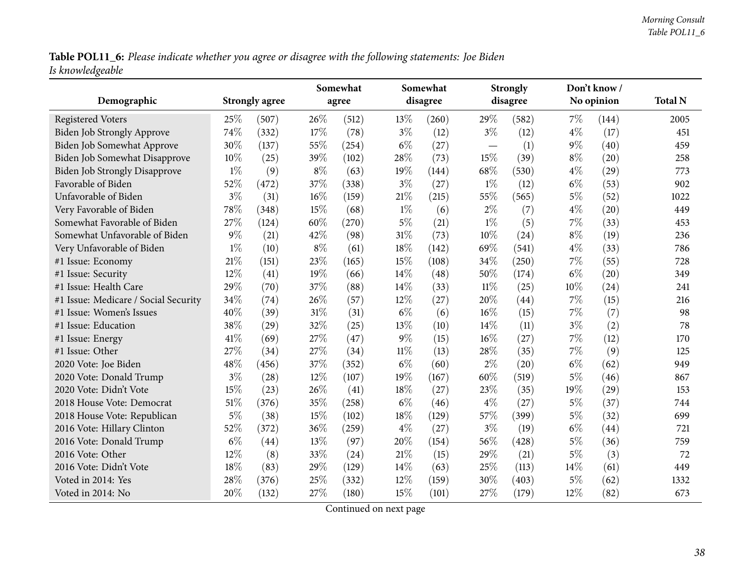Table POL11\_6: Please indicate whether you agree or disagree with the following statements: Joe Biden *Is knowledgeable*

| Demographic                          |       | <b>Strongly agree</b> |        | Somewhat<br>agree |        | Somewhat<br>disagree |                          | <b>Strongly</b><br>disagree |       | Don't know /<br>No opinion | <b>Total N</b> |
|--------------------------------------|-------|-----------------------|--------|-------------------|--------|----------------------|--------------------------|-----------------------------|-------|----------------------------|----------------|
|                                      |       |                       |        |                   |        |                      |                          |                             |       |                            |                |
| <b>Registered Voters</b>             | 25%   | (507)                 | 26%    | (512)             | 13\%   | (260)                | 29%                      | (582)                       | 7%    | (144)                      | 2005           |
| Biden Job Strongly Approve           | 74%   | (332)                 | 17%    | (78)              | $3\%$  | (12)                 | $3\%$                    | (12)                        | $4\%$ | (17)                       | 451            |
| Biden Job Somewhat Approve           | 30%   | (137)                 | 55%    | (254)             | $6\%$  | (27)                 | $\overline{\phantom{0}}$ | (1)                         | $9\%$ | (40)                       | 459            |
| <b>Biden Job Somewhat Disapprove</b> | 10%   | (25)                  | 39%    | (102)             | 28%    | (73)                 | 15%                      | (39)                        | $8\%$ | (20)                       | 258            |
| <b>Biden Job Strongly Disapprove</b> | $1\%$ | (9)                   | $8\%$  | (63)              | 19%    | (144)                | 68%                      | (530)                       | $4\%$ | (29)                       | 773            |
| Favorable of Biden                   | 52%   | (472)                 | 37%    | (338)             | $3\%$  | (27)                 | $1\%$                    | (12)                        | $6\%$ | (53)                       | 902            |
| Unfavorable of Biden                 | $3\%$ | (31)                  | 16%    | (159)             | 21\%   | (215)                | 55%                      | (565)                       | $5\%$ | (52)                       | 1022           |
| Very Favorable of Biden              | 78%   | (348)                 | 15%    | (68)              | $1\%$  | (6)                  | $2\%$                    | (7)                         | $4\%$ | (20)                       | 449            |
| Somewhat Favorable of Biden          | 27%   | (124)                 | 60%    | (270)             | $5\%$  | (21)                 | $1\%$                    | (5)                         | 7%    | (33)                       | 453            |
| Somewhat Unfavorable of Biden        | $9\%$ | (21)                  | 42\%   | (98)              | 31%    | (73)                 | $10\%$                   | (24)                        | $8\%$ | (19)                       | 236            |
| Very Unfavorable of Biden            | $1\%$ | (10)                  | $8\%$  | (61)              | 18%    | (142)                | 69%                      | (541)                       | $4\%$ | (33)                       | 786            |
| #1 Issue: Economy                    | 21%   | (151)                 | 23%    | (165)             | 15%    | (108)                | 34%                      | (250)                       | 7%    | (55)                       | 728            |
| #1 Issue: Security                   | 12%   | (41)                  | 19%    | (66)              | 14\%   | (48)                 | 50%                      | (174)                       | $6\%$ | (20)                       | 349            |
| #1 Issue: Health Care                | 29%   | (70)                  | 37%    | (88)              | 14%    | (33)                 | $11\%$                   | (25)                        | 10%   | (24)                       | 241            |
| #1 Issue: Medicare / Social Security | 34%   | (74)                  | 26%    | (57)              | 12%    | (27)                 | 20%                      | (44)                        | 7%    | (15)                       | 216            |
| #1 Issue: Women's Issues             | 40%   | (39)                  | $31\%$ | (31)              | $6\%$  | (6)                  | 16%                      | (15)                        | 7%    | (7)                        | 98             |
| #1 Issue: Education                  | 38%   | (29)                  | 32%    | (25)              | 13\%   | (10)                 | 14%                      | (11)                        | $3\%$ | (2)                        | 78             |
| #1 Issue: Energy                     | 41%   | (69)                  | 27%    | (47)              | $9\%$  | (15)                 | 16%                      | (27)                        | 7%    | (12)                       | 170            |
| #1 Issue: Other                      | 27%   | (34)                  | 27%    | (34)              | $11\%$ | (13)                 | 28%                      | (35)                        | 7%    | (9)                        | 125            |
| 2020 Vote: Joe Biden                 | 48%   | (456)                 | 37%    | (352)             | $6\%$  | (60)                 | $2\%$                    | (20)                        | $6\%$ | (62)                       | 949            |
| 2020 Vote: Donald Trump              | $3\%$ | (28)                  | 12%    | (107)             | 19%    | (167)                | 60%                      | (519)                       | $5\%$ | (46)                       | 867            |
| 2020 Vote: Didn't Vote               | 15%   | (23)                  | 26%    | (41)              | 18%    | (27)                 | 23%                      | (35)                        | 19%   | (29)                       | 153            |
| 2018 House Vote: Democrat            | 51%   | (376)                 | 35%    | (258)             | $6\%$  | (46)                 | $4\%$                    | (27)                        | 5%    | (37)                       | 744            |
| 2018 House Vote: Republican          | $5\%$ | (38)                  | 15%    | (102)             | 18%    | (129)                | 57%                      | (399)                       | $5\%$ | (32)                       | 699            |
| 2016 Vote: Hillary Clinton           | 52%   | (372)                 | 36%    | (259)             | $4\%$  | (27)                 | $3\%$                    | (19)                        | $6\%$ | (44)                       | 721            |
| 2016 Vote: Donald Trump              | $6\%$ | (44)                  | $13\%$ | (97)              | 20%    | (154)                | 56%                      | (428)                       | 5%    | (36)                       | 759            |
| 2016 Vote: Other                     | 12%   | (8)                   | 33%    | (24)              | 21%    | (15)                 | 29%                      | (21)                        | 5%    | (3)                        | 72             |
| 2016 Vote: Didn't Vote               | 18%   | (83)                  | 29%    | (129)             | 14\%   | (63)                 | 25%                      | (113)                       | 14%   | (61)                       | 449            |
| Voted in 2014: Yes                   | 28%   | (376)                 | 25%    | (332)             | 12%    | (159)                | 30%                      | (403)                       | $5\%$ | (62)                       | 1332           |
| Voted in 2014: No                    | 20%   | (132)                 | 27%    | (180)             | 15%    | (101)                | 27%                      | (179)                       | 12%   | (82)                       | 673            |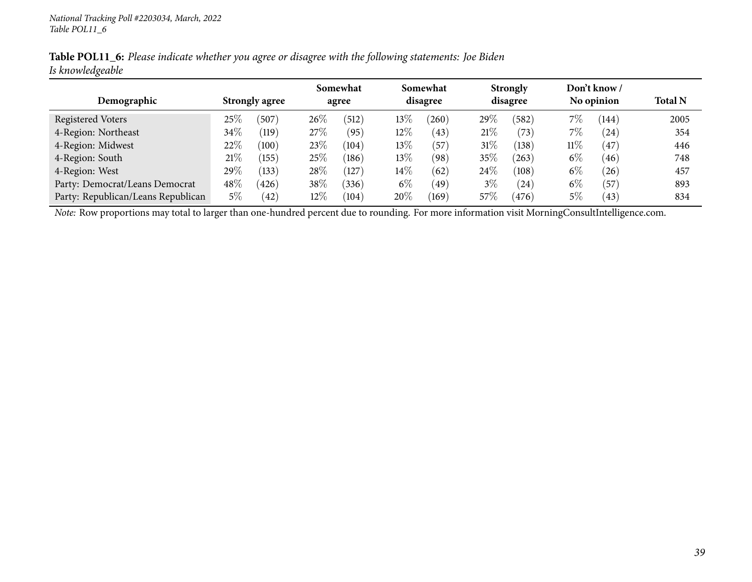|                  | Table POL11_6: Please indicate whether you agree or disagree with the following statements: Joe Biden |  |
|------------------|-------------------------------------------------------------------------------------------------------|--|
| Is knowledgeable |                                                                                                       |  |

|                                    |                       |                    |        | Somewhat |        | Somewhat |        | <b>Strongly</b> |        | Don't know /   |                |
|------------------------------------|-----------------------|--------------------|--------|----------|--------|----------|--------|-----------------|--------|----------------|----------------|
| Demographic                        | <b>Strongly agree</b> |                    | agree  |          |        | disagree |        | disagree        |        | No opinion     | <b>Total N</b> |
| Registered Voters                  | 25%                   | (507)              | $26\%$ | (512)    | $13\%$ | (260)    | 29\%   | (582)           | $7\%$  | (144)          | 2005           |
| 4-Region: Northeast                | $34\%$                | $\left(119\right)$ | 27%    | (95)     | 12%    | (43)     | $21\%$ | (73)            | $7\%$  | (24)           | 354            |
| 4-Region: Midwest                  | $22\%$                | (100)              | 23\%   | (104)    | 13\%   | 57       | $31\%$ | (138)           | $11\%$ | $\frac{47}{ }$ | 446            |
| 4-Region: South                    | 21%                   | (155)              | 25\%   | (186)    | 13\%   | (98)     | 35%    | $^{(263)}$      | $6\%$  | 46             | 748            |
| 4-Region: West                     | 29\%                  | (133)              | 28\%   | (127     | $14\%$ | (62)     | $24\%$ | (108)           | $6\%$  | (26)           | 457            |
| Party: Democrat/Leans Democrat     | $48\%$                | (426)              | 38\%   | (336)    | $6\%$  | (49)     | $3\%$  | (24)            | $6\%$  | (57            | 893            |
| Party: Republican/Leans Republican | 5%                    | (42)               | $12\%$ | (104)    | 20%    | (169)    | 57\%   | (476)           | $5\%$  | (43)           | 834            |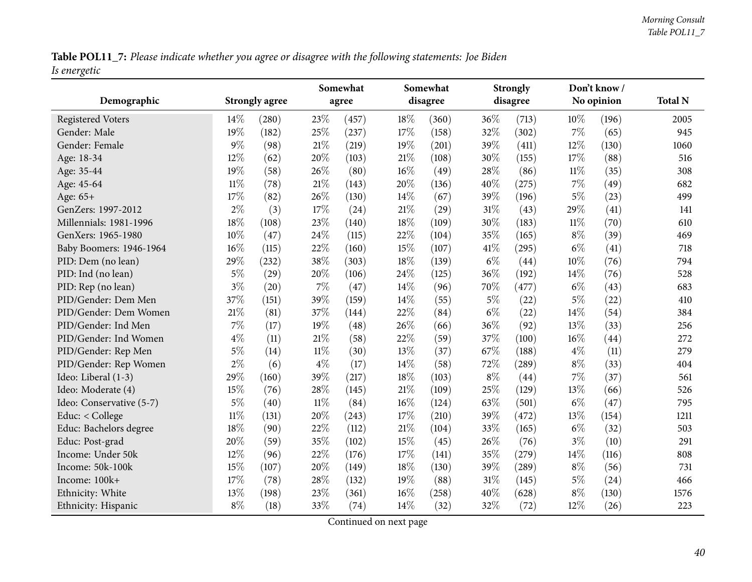Table POL11\_7: Please indicate whether you agree or disagree with the following statements: Joe Biden *Is energetic*

|                          |        |                       |        | Somewhat |        | Somewhat |       | <b>Strongly</b> |        | Don't know/ |                |
|--------------------------|--------|-----------------------|--------|----------|--------|----------|-------|-----------------|--------|-------------|----------------|
| Demographic              |        | <b>Strongly agree</b> |        | agree    |        | disagree |       | disagree        |        | No opinion  | <b>Total N</b> |
| <b>Registered Voters</b> | 14%    | (280)                 | 23%    | (457)    | 18%    | (360)    | 36%   | (713)           | $10\%$ | (196)       | 2005           |
| Gender: Male             | 19%    | (182)                 | 25%    | (237)    | 17%    | (158)    | 32%   | (302)           | 7%     | (65)        | 945            |
| Gender: Female           | $9\%$  | (98)                  | $21\%$ | (219)    | 19%    | (201)    | 39%   | (411)           | 12%    | (130)       | 1060           |
| Age: 18-34               | 12%    | (62)                  | 20%    | (103)    | 21\%   | (108)    | 30%   | (155)           | 17%    | (88)        | 516            |
| Age: 35-44               | 19%    | (58)                  | 26%    | (80)     | $16\%$ | (49)     | 28%   | (86)            | 11%    | (35)        | 308            |
| Age: 45-64               | $11\%$ | (78)                  | 21%    | (143)    | 20%    | (136)    | 40%   | (275)           | 7%     | (49)        | 682            |
| Age: 65+                 | 17%    | (82)                  | 26%    | (130)    | 14%    | (67)     | 39%   | (196)           | $5\%$  | (23)        | 499            |
| GenZers: 1997-2012       | $2\%$  | (3)                   | 17%    | (24)     | $21\%$ | (29)     | 31%   | (43)            | 29%    | (41)        | 141            |
| Millennials: 1981-1996   | 18%    | (108)                 | 23%    | (140)    | 18%    | (109)    | 30%   | (183)           | $11\%$ | (70)        | 610            |
| GenXers: 1965-1980       | 10%    | (47)                  | 24%    | (115)    | 22%    | (104)    | 35%   | (165)           | $8\%$  | (39)        | 469            |
| Baby Boomers: 1946-1964  | 16%    | (115)                 | 22%    | (160)    | 15%    | (107)    | 41\%  | (295)           | $6\%$  | (41)        | 718            |
| PID: Dem (no lean)       | 29%    | (232)                 | 38%    | (303)    | 18%    | (139)    | $6\%$ | (44)            | 10%    | (76)        | 794            |
| PID: Ind (no lean)       | $5\%$  | (29)                  | 20%    | (106)    | 24\%   | (125)    | 36%   | (192)           | 14\%   | (76)        | 528            |
| PID: Rep (no lean)       | $3\%$  | (20)                  | $7\%$  | (47)     | 14%    | (96)     | 70%   | (477)           | $6\%$  | (43)        | 683            |
| PID/Gender: Dem Men      | 37%    | (151)                 | 39%    | (159)    | 14%    | (55)     | $5\%$ | (22)            | $5\%$  | (22)        | 410            |
| PID/Gender: Dem Women    | 21%    | (81)                  | 37%    | (144)    | 22%    | (84)     | $6\%$ | (22)            | 14%    | (54)        | 384            |
| PID/Gender: Ind Men      | $7\%$  | (17)                  | 19%    | (48)     | 26%    | (66)     | 36%   | (92)            | 13%    | (33)        | 256            |
| PID/Gender: Ind Women    | $4\%$  | (11)                  | 21%    | (58)     | 22%    | (59)     | 37%   | (100)           | 16%    | (44)        | 272            |
| PID/Gender: Rep Men      | $5\%$  | (14)                  | $11\%$ | (30)     | 13%    | (37)     | 67%   | (188)           | $4\%$  | (11)        | 279            |
| PID/Gender: Rep Women    | $2\%$  | (6)                   | $4\%$  | (17)     | 14%    | (58)     | 72%   | (289)           | $8\%$  | (33)        | 404            |
| Ideo: Liberal (1-3)      | 29%    | (160)                 | 39%    | (217)    | 18%    | (103)    | $8\%$ | (44)            | 7%     | (37)        | 561            |
| Ideo: Moderate (4)       | 15%    | (76)                  | 28%    | (145)    | $21\%$ | (109)    | 25%   | (129)           | 13%    | (66)        | 526            |
| Ideo: Conservative (5-7) | $5\%$  | (40)                  | $11\%$ | (84)     | $16\%$ | (124)    | 63%   | (501)           | $6\%$  | (47)        | 795            |
| Educ: < College          | $11\%$ | (131)                 | 20%    | (243)    | 17%    | (210)    | 39%   | (472)           | 13%    | (154)       | 1211           |
| Educ: Bachelors degree   | 18%    | (90)                  | 22%    | (112)    | 21%    | (104)    | 33%   | (165)           | $6\%$  | (32)        | 503            |
| Educ: Post-grad          | 20%    | (59)                  | 35%    | (102)    | 15%    | (45)     | 26%   | (76)            | $3\%$  | (10)        | 291            |
| Income: Under 50k        | 12%    | (96)                  | 22%    | (176)    | 17%    | (141)    | 35%   | (279)           | 14%    | (116)       | 808            |
| Income: 50k-100k         | 15%    | (107)                 | 20%    | (149)    | 18%    | (130)    | 39%   | (289)           | $8\%$  | (56)        | 731            |
| Income: 100k+            | 17%    | (78)                  | 28%    | (132)    | 19%    | (88)     | 31%   | (145)           | $5\%$  | (24)        | 466            |
| Ethnicity: White         | 13%    | (198)                 | 23%    | (361)    | 16%    | (258)    | 40%   | (628)           | $8\%$  | (130)       | 1576           |
| Ethnicity: Hispanic      | $8\%$  | (18)                  | 33%    | (74)     | 14%    | (32)     | 32%   | (72)            | 12%    | (26)        | 223            |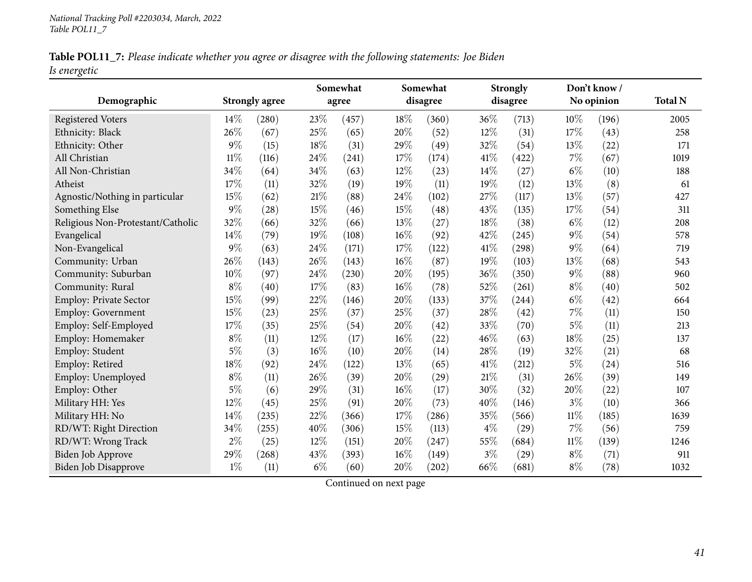|              | Table POL11_7: Please indicate whether you agree or disagree with the following statements: Joe Biden |  |  |
|--------------|-------------------------------------------------------------------------------------------------------|--|--|
| Is energetic |                                                                                                       |  |  |

|                                   |        |                       |        | Somewhat |        | Somewhat |        | <b>Strongly</b> |        | Don't know / |                |
|-----------------------------------|--------|-----------------------|--------|----------|--------|----------|--------|-----------------|--------|--------------|----------------|
| Demographic                       |        | <b>Strongly agree</b> |        | agree    |        | disagree |        | disagree        |        | No opinion   | <b>Total N</b> |
| <b>Registered Voters</b>          | 14%    | (280)                 | 23%    | (457)    | 18%    | (360)    | 36%    | (713)           | 10%    | (196)        | 2005           |
| Ethnicity: Black                  | 26%    | (67)                  | 25%    | (65)     | 20%    | (52)     | 12%    | (31)            | 17%    | (43)         | 258            |
| Ethnicity: Other                  | 9%     | (15)                  | 18%    | (31)     | 29%    | (49)     | 32%    | (54)            | 13%    | (22)         | 171            |
| All Christian                     | $11\%$ | (116)                 | 24%    | (241)    | 17%    | (174)    | 41\%   | (422)           | $7\%$  | (67)         | 1019           |
| All Non-Christian                 | 34%    | (64)                  | 34%    | (63)     | $12\%$ | (23)     | $14\%$ | (27)            | $6\%$  | (10)         | 188            |
| Atheist                           | 17%    | (11)                  | 32%    | (19)     | 19%    | (11)     | 19%    | (12)            | 13%    | (8)          | 61             |
| Agnostic/Nothing in particular    | 15%    | (62)                  | 21%    | (88)     | 24%    | (102)    | 27%    | (117)           | 13%    | (57)         | 427            |
| Something Else                    | $9\%$  | (28)                  | 15%    | (46)     | 15%    | (48)     | 43%    | (135)           | 17%    | (54)         | 311            |
| Religious Non-Protestant/Catholic | 32%    | (66)                  | 32%    | (66)     | 13%    | (27)     | 18%    | (38)            | $6\%$  | (12)         | 208            |
| Evangelical                       | 14%    | (79)                  | 19%    | (108)    | $16\%$ | (92)     | 42%    | (245)           | $9\%$  | (54)         | 578            |
| Non-Evangelical                   | 9%     | (63)                  | 24%    | (171)    | 17%    | (122)    | 41%    | (298)           | $9\%$  | (64)         | 719            |
| Community: Urban                  | 26%    | (143)                 | 26%    | (143)    | $16\%$ | (87)     | 19%    | (103)           | 13%    | (68)         | 543            |
| Community: Suburban               | 10%    | (97)                  | 24%    | (230)    | 20%    | (195)    | 36%    | (350)           | $9\%$  | (88)         | 960            |
| Community: Rural                  | $8\%$  | (40)                  | 17%    | (83)     | 16%    | (78)     | 52%    | (261)           | $8\%$  | (40)         | 502            |
| Employ: Private Sector            | 15%    | (99)                  | 22%    | (146)    | 20%    | (133)    | 37%    | (244)           | $6\%$  | (42)         | 664            |
| <b>Employ: Government</b>         | 15%    | (23)                  | 25%    | (37)     | 25%    | (37)     | 28\%   | (42)            | $7\%$  | (11)         | 150            |
| Employ: Self-Employed             | 17%    | (35)                  | 25%    | (54)     | 20%    | (42)     | 33%    | (70)            | $5\%$  | (11)         | 213            |
| Employ: Homemaker                 | $8\%$  | (11)                  | 12%    | (17)     | 16%    | (22)     | 46%    | (63)            | 18%    | (25)         | 137            |
| Employ: Student                   | $5\%$  | (3)                   | 16%    | (10)     | 20%    | (14)     | 28%    | (19)            | 32%    | (21)         | 68             |
| Employ: Retired                   | 18%    | (92)                  | 24%    | (122)    | 13%    | (65)     | 41%    | (212)           | $5\%$  | (24)         | 516            |
| Employ: Unemployed                | $8\%$  | (11)                  | 26%    | (39)     | 20%    | (29)     | 21%    | (31)            | 26%    | (39)         | 149            |
| Employ: Other                     | $5\%$  | (6)                   | 29%    | (31)     | 16%    | (17)     | 30%    | (32)            | 20%    | (22)         | 107            |
| Military HH: Yes                  | 12%    | (45)                  | 25%    | (91)     | 20%    | (73)     | 40%    | (146)           | $3\%$  | (10)         | 366            |
| Military HH: No                   | 14%    | (235)                 | 22%    | (366)    | 17%    | (286)    | 35%    | (566)           | $11\%$ | (185)        | 1639           |
| RD/WT: Right Direction            | 34%    | (255)                 | 40%    | (306)    | 15%    | (113)    | $4\%$  | (29)            | $7\%$  | (56)         | 759            |
| RD/WT: Wrong Track                | $2\%$  | (25)                  | $12\%$ | (151)    | 20%    | (247)    | 55%    | (684)           | $11\%$ | (139)        | 1246           |
| Biden Job Approve                 | 29%    | (268)                 | 43%    | (393)    | 16%    | (149)    | $3\%$  | (29)            | $8\%$  | (71)         | 911            |
| <b>Biden Job Disapprove</b>       | $1\%$  | (11)                  | $6\%$  | (60)     | 20%    | (202)    | 66%    | (681)           | $8\%$  | (78)         | 1032           |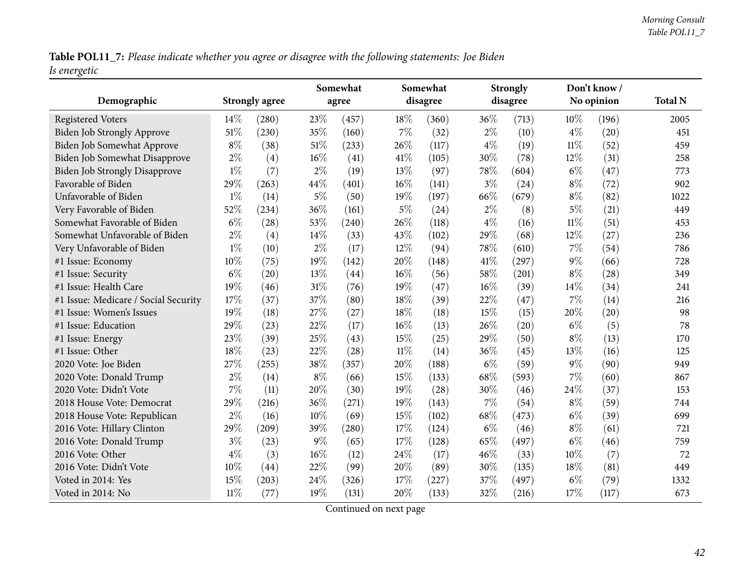Table POL11\_7: Please indicate whether you agree or disagree with the following statements: Joe Biden *Is energetic*

|                                      |       |                       |        | Somewhat |        | Somewhat |        | <b>Strongly</b> |        | Don't know / |                |
|--------------------------------------|-------|-----------------------|--------|----------|--------|----------|--------|-----------------|--------|--------------|----------------|
| Demographic                          |       | <b>Strongly agree</b> |        | agree    |        | disagree |        | disagree        |        | No opinion   | <b>Total N</b> |
| <b>Registered Voters</b>             | 14%   | (280)                 | 23%    | (457)    | 18%    | (360)    | $36\%$ | (713)           | 10%    | (196)        | 2005           |
| <b>Biden Job Strongly Approve</b>    | 51%   | (230)                 | 35%    | (160)    | $7\%$  | (32)     | $2\%$  | (10)            | $4\%$  | (20)         | 451            |
| Biden Job Somewhat Approve           | $8\%$ | (38)                  | 51%    | (233)    | 26%    | (117)    | $4\%$  | (19)            | $11\%$ | (52)         | 459            |
| Biden Job Somewhat Disapprove        | $2\%$ | (4)                   | $16\%$ | (41)     | 41\%   | (105)    | 30%    | (78)            | 12%    | (31)         | 258            |
| <b>Biden Job Strongly Disapprove</b> | $1\%$ | (7)                   | $2\%$  | (19)     | 13%    | (97)     | 78%    | (604)           | $6\%$  | (47)         | 773            |
| Favorable of Biden                   | 29%   | (263)                 | 44%    | (401)    | $16\%$ | (141)    | $3\%$  | (24)            | $8\%$  | (72)         | 902            |
| Unfavorable of Biden                 | $1\%$ | (14)                  | $5\%$  | (50)     | 19%    | (197)    | 66%    | (679)           | $8\%$  | (82)         | 1022           |
| Very Favorable of Biden              | 52%   | (234)                 | 36%    | (161)    | $5\%$  | (24)     | $2\%$  | (8)             | $5\%$  | (21)         | 449            |
| Somewhat Favorable of Biden          | $6\%$ | (28)                  | 53%    | (240)    | 26%    | (118)    | $4\%$  | (16)            | $11\%$ | (51)         | 453            |
| Somewhat Unfavorable of Biden        | $2\%$ | (4)                   | $14\%$ | (33)     | 43%    | (102)    | 29%    | (68)            | 12%    | (27)         | 236            |
| Very Unfavorable of Biden            | $1\%$ | (10)                  | $2\%$  | (17)     | 12%    | (94)     | 78%    | (610)           | 7%     | (54)         | 786            |
| #1 Issue: Economy                    | 10%   | (75)                  | 19%    | (142)    | 20%    | (148)    | 41\%   | (297)           | $9\%$  | (66)         | 728            |
| #1 Issue: Security                   | $6\%$ | (20)                  | 13%    | (44)     | $16\%$ | (56)     | 58%    | (201)           | $8\%$  | (28)         | 349            |
| #1 Issue: Health Care                | 19%   | (46)                  | $31\%$ | (76)     | 19%    | (47)     | $16\%$ | (39)            | 14%    | (34)         | 241            |
| #1 Issue: Medicare / Social Security | 17%   | (37)                  | 37%    | (80)     | 18%    | (39)     | 22%    | (47)            | 7%     | (14)         | 216            |
| #1 Issue: Women's Issues             | 19%   | (18)                  | 27%    | (27)     | 18%    | (18)     | 15%    | (15)            | 20%    | (20)         | 98             |
| #1 Issue: Education                  | 29%   | (23)                  | 22%    | (17)     | $16\%$ | (13)     | 26%    | (20)            | $6\%$  | (5)          | 78             |
| #1 Issue: Energy                     | 23%   | (39)                  | 25%    | (43)     | 15%    | (25)     | 29%    | (50)            | $8\%$  | (13)         | 170            |
| #1 Issue: Other                      | 18%   | (23)                  | 22%    | (28)     | $11\%$ | (14)     | 36%    | (45)            | 13%    | (16)         | 125            |
| 2020 Vote: Joe Biden                 | 27%   | (255)                 | 38%    | (357)    | 20%    | (188)    | $6\%$  | (59)            | $9\%$  | (90)         | 949            |
| 2020 Vote: Donald Trump              | $2\%$ | (14)                  | $8\%$  | (66)     | 15%    | (133)    | 68%    | (593)           | 7%     | (60)         | 867            |
| 2020 Vote: Didn't Vote               | $7\%$ | (11)                  | 20%    | (30)     | 19%    | (28)     | 30%    | (46)            | 24%    | (37)         | 153            |
| 2018 House Vote: Democrat            | 29%   | (216)                 | 36%    | (271)    | 19%    | (143)    | 7%     | (54)            | $8\%$  | (59)         | 744            |
| 2018 House Vote: Republican          | $2\%$ | (16)                  | 10%    | (69)     | 15%    | (102)    | 68%    | (473)           | $6\%$  | (39)         | 699            |
| 2016 Vote: Hillary Clinton           | 29%   | (209)                 | 39%    | (280)    | 17%    | (124)    | $6\%$  | (46)            | $8\%$  | (61)         | 721            |
| 2016 Vote: Donald Trump              | $3\%$ | (23)                  | $9\%$  | (65)     | 17%    | (128)    | 65%    | (497)           | $6\%$  | (46)         | 759            |
| 2016 Vote: Other                     | $4\%$ | (3)                   | $16\%$ | (12)     | 24\%   | (17)     | 46%    | (33)            | 10%    | (7)          | 72             |
| 2016 Vote: Didn't Vote               | 10%   | (44)                  | 22%    | (99)     | 20%    | (89)     | 30%    | (135)           | 18%    | (81)         | 449            |
| Voted in 2014: Yes                   | 15%   | (203)                 | 24%    | (326)    | 17%    | (227)    | 37%    | (497)           | $6\%$  | (79)         | 1332           |
| Voted in 2014: No                    | 11%   | (77)                  | 19%    | (131)    | 20%    | (133)    | 32%    | (216)           | 17%    | (117)        | 673            |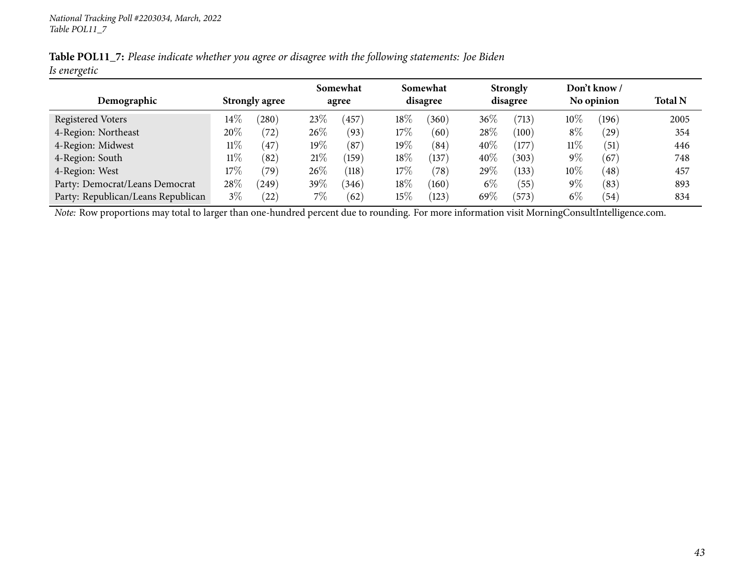|              | Table POL11_7: Please indicate whether you agree or disagree with the following statements: Joe Biden |  |  |
|--------------|-------------------------------------------------------------------------------------------------------|--|--|
| Is energetic |                                                                                                       |  |  |

|                                    |                       |                    |        | Somewhat       |        | Somewhat        | <b>Strongly</b> |                 | Don't know / |            |                |
|------------------------------------|-----------------------|--------------------|--------|----------------|--------|-----------------|-----------------|-----------------|--------------|------------|----------------|
| Demographic                        | <b>Strongly agree</b> |                    |        | agree          |        | disagree        |                 | disagree        |              | No opinion | <b>Total N</b> |
| <b>Registered Voters</b>           | $14\%$                | (280)              | 23\%   | 457            | $18\%$ | (360)           | 36%             | (713)           | $10\%$       | (196)      | 2005           |
| 4-Region: Northeast                | 20%                   | $^{\prime}72)$     | $26\%$ | (93)           | 17%    | (60)            | 28\%            | $^{\prime}100)$ | $8\%$        | (29)       | 354            |
| 4-Region: Midwest                  | $11\%$                | 47                 | $19\%$ | (87)           | $19\%$ | (84)            | 40%             | (177)           | $11\%$       | (51)       | 446            |
| 4-Region: South                    | $11\%$                | (82)               | 21%    | $^{\prime}159$ | $18\%$ | (137)           | 40%             | 303)            | $9\%$        | (67)       | 748            |
| 4-Region: West                     | $17\%$                | 79`                | $26\%$ | (118)          | 17%    | (78)            | $29\%$          | (133)           | $10\%$       | (48)       | 457            |
| Party: Democrat/Leans Democrat     | 28\%                  | (249)              | 39%    | (346)          | $18\%$ | $^{\prime}160)$ | $6\%$           | (55)            | $9\%$        | (83)       | 893            |
| Party: Republican/Leans Republican | $3\%$                 | $\left( 22\right)$ | $7\%$  | (62)           | 15%    | (123)           | 69%             | (573)           | $6\%$        | (54)       | 834            |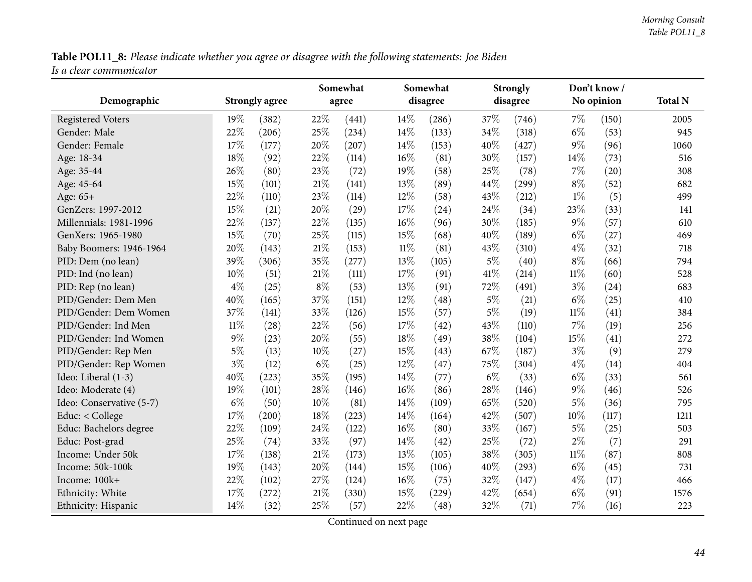Table POL11\_8: Please indicate whether you agree or disagree with the following statements: Joe Biden *Is <sup>a</sup> clear communicator*

| Demographic              |        | <b>Strongly agree</b> |        | Somewhat<br>agree |        | Somewhat<br>disagree |       | <b>Strongly</b><br>disagree |        | Don't know/<br>No opinion | <b>Total N</b> |
|--------------------------|--------|-----------------------|--------|-------------------|--------|----------------------|-------|-----------------------------|--------|---------------------------|----------------|
|                          |        |                       |        |                   |        |                      |       |                             |        |                           |                |
| <b>Registered Voters</b> | 19%    | (382)                 | 22%    | (441)             | 14%    | (286)                | 37%   | (746)                       | $7\%$  | (150)                     | 2005           |
| Gender: Male             | 22%    | (206)                 | 25%    | (234)             | 14%    | (133)                | 34%   | (318)                       | $6\%$  | (53)                      | 945            |
| Gender: Female           | 17%    | (177)                 | 20%    | (207)             | 14%    | (153)                | 40%   | (427)                       | $9\%$  | (96)                      | 1060           |
| Age: 18-34               | 18%    | (92)                  | 22%    | (114)             | $16\%$ | (81)                 | 30%   | (157)                       | 14\%   | (73)                      | 516            |
| Age: 35-44               | 26%    | (80)                  | 23%    | (72)              | 19%    | (58)                 | 25%   | (78)                        | 7%     | (20)                      | 308            |
| Age: 45-64               | 15%    | (101)                 | 21%    | (141)             | 13%    | (89)                 | 44%   | (299)                       | $8\%$  | (52)                      | 682            |
| Age: 65+                 | 22%    | (110)                 | 23%    | (114)             | $12\%$ | (58)                 | 43%   | (212)                       | $1\%$  | (5)                       | 499            |
| GenZers: 1997-2012       | 15%    | (21)                  | 20%    | (29)              | 17%    | (24)                 | 24%   | (34)                        | 23%    | (33)                      | 141            |
| Millennials: 1981-1996   | 22%    | (137)                 | 22%    | (135)             | 16%    | (96)                 | 30%   | (185)                       | $9\%$  | (57)                      | 610            |
| GenXers: 1965-1980       | 15%    | (70)                  | 25%    | (115)             | 15%    | (68)                 | 40%   | (189)                       | $6\%$  | (27)                      | 469            |
| Baby Boomers: 1946-1964  | 20%    | (143)                 | 21%    | (153)             | $11\%$ | (81)                 | 43%   | (310)                       | $4\%$  | (32)                      | 718            |
| PID: Dem (no lean)       | 39%    | (306)                 | 35%    | (277)             | 13%    | (105)                | $5\%$ | (40)                        | $8\%$  | (66)                      | 794            |
| PID: Ind (no lean)       | 10%    | (51)                  | 21%    | (111)             | 17%    | (91)                 | 41\%  | (214)                       | $11\%$ | (60)                      | 528            |
| PID: Rep (no lean)       | $4\%$  | (25)                  | $8\%$  | (53)              | 13%    | (91)                 | 72%   | (491)                       | $3\%$  | (24)                      | 683            |
| PID/Gender: Dem Men      | 40%    | (165)                 | 37%    | (151)             | 12%    | (48)                 | $5\%$ | (21)                        | $6\%$  | (25)                      | 410            |
| PID/Gender: Dem Women    | 37%    | (141)                 | 33%    | (126)             | 15%    | (57)                 | $5\%$ | (19)                        | 11%    | (41)                      | 384            |
| PID/Gender: Ind Men      | $11\%$ | (28)                  | 22%    | (56)              | 17%    | (42)                 | 43%   | (110)                       | $7\%$  | (19)                      | 256            |
| PID/Gender: Ind Women    | $9\%$  | (23)                  | 20%    | (55)              | 18%    | (49)                 | 38%   | (104)                       | 15%    | (41)                      | 272            |
| PID/Gender: Rep Men      | $5\%$  | (13)                  | 10%    | (27)              | 15%    | (43)                 | 67%   | (187)                       | $3\%$  | (9)                       | 279            |
| PID/Gender: Rep Women    | $3\%$  | (12)                  | $6\%$  | (25)              | $12\%$ | (47)                 | 75%   | (304)                       | $4\%$  | (14)                      | 404            |
| Ideo: Liberal (1-3)      | 40%    | (223)                 | 35%    | (195)             | 14%    | (77)                 | $6\%$ | (33)                        | $6\%$  | (33)                      | 561            |
| Ideo: Moderate (4)       | 19%    | (101)                 | 28%    | (146)             | $16\%$ | (86)                 | 28%   | (146)                       | $9\%$  | (46)                      | 526            |
| Ideo: Conservative (5-7) | $6\%$  | (50)                  | 10%    | (81)              | 14\%   | (109)                | 65%   | (520)                       | $5\%$  | (36)                      | 795            |
| Educ: < College          | 17%    | (200)                 | 18%    | (223)             | 14\%   | (164)                | 42%   | (507)                       | 10%    | (117)                     | 1211           |
| Educ: Bachelors degree   | 22%    | (109)                 | 24%    | (122)             | $16\%$ | (80)                 | 33%   | (167)                       | $5\%$  | (25)                      | 503            |
| Educ: Post-grad          | 25%    | (74)                  | 33%    | (97)              | 14%    | (42)                 | 25%   | (72)                        | $2\%$  | (7)                       | 291            |
| Income: Under 50k        | 17%    | (138)                 | 21%    | (173)             | 13%    | (105)                | 38%   | (305)                       | $11\%$ | (87)                      | 808            |
| Income: 50k-100k         | 19%    | (143)                 | 20%    | (144)             | 15%    | (106)                | 40%   | (293)                       | $6\%$  | (45)                      | 731            |
| Income: 100k+            | 22%    | (102)                 | 27%    | (124)             | $16\%$ | (75)                 | 32%   | (147)                       | $4\%$  | (17)                      | 466            |
| Ethnicity: White         | $17\%$ | (272)                 | $21\%$ | (330)             | 15%    | (229)                | 42%   | (654)                       | $6\%$  | (91)                      | 1576           |
| Ethnicity: Hispanic      | 14%    | (32)                  | 25%    | (57)              | 22%    | (48)                 | 32%   | (71)                        | 7%     | (16)                      | 223            |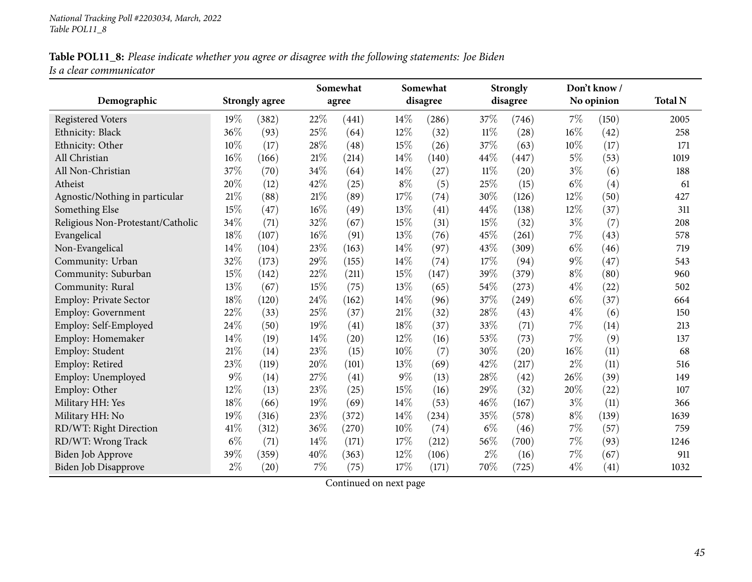## Table POL11\_8: Please indicate whether you agree or disagree with the following statements: Joe Biden *Is <sup>a</sup> clear communicator*

|                                   |       |                       |     | Somewhat |       | Somewhat |        | <b>Strongly</b> |       | Don't know / |                |
|-----------------------------------|-------|-----------------------|-----|----------|-------|----------|--------|-----------------|-------|--------------|----------------|
| Demographic                       |       | <b>Strongly agree</b> |     | agree    |       | disagree |        | disagree        |       | No opinion   | <b>Total N</b> |
| <b>Registered Voters</b>          | 19%   | (382)                 | 22% | (441)    | 14%   | (286)    | 37\%   | (746)           | 7%    | (150)        | 2005           |
| Ethnicity: Black                  | 36%   | (93)                  | 25% | (64)     | 12%   | (32)     | $11\%$ | (28)            | 16%   | (42)         | 258            |
| Ethnicity: Other                  | 10%   | (17)                  | 28% | (48)     | 15%   | (26)     | 37%    | (63)            | 10%   | (17)         | 171            |
| All Christian                     | 16%   | (166)                 | 21% | (214)    | 14%   | (140)    | 44%    | (447)           | $5\%$ | (53)         | 1019           |
| All Non-Christian                 | 37%   | (70)                  | 34% | (64)     | 14%   | (27)     | $11\%$ | (20)            | $3\%$ | (6)          | 188            |
| Atheist                           | 20%   | (12)                  | 42% | (25)     | $8\%$ | (5)      | 25%    | (15)            | $6\%$ | (4)          | 61             |
| Agnostic/Nothing in particular    | 21%   | (88)                  | 21% | (89)     | 17%   | (74)     | 30%    | (126)           | 12%   | (50)         | 427            |
| Something Else                    | 15%   | (47)                  | 16% | (49)     | 13%   | (41)     | 44%    | (138)           | 12%   | (37)         | 311            |
| Religious Non-Protestant/Catholic | 34%   | (71)                  | 32% | (67)     | 15%   | (31)     | 15%    | (32)            | $3\%$ | (7)          | 208            |
| Evangelical                       | 18%   | (107)                 | 16% | (91)     | 13%   | (76)     | 45%    | (261)           | 7%    | (43)         | 578            |
| Non-Evangelical                   | 14%   | (104)                 | 23% | (163)    | 14%   | (97)     | 43%    | (309)           | $6\%$ | (46)         | 719            |
| Community: Urban                  | 32%   | (173)                 | 29% | (155)    | 14%   | (74)     | 17%    | (94)            | $9\%$ | (47)         | 543            |
| Community: Suburban               | 15%   | (142)                 | 22% | (211)    | 15%   | (147)    | 39%    | (379)           | $8\%$ | (80)         | 960            |
| Community: Rural                  | 13%   | (67)                  | 15% | (75)     | 13%   | (65)     | 54%    | (273)           | $4\%$ | (22)         | 502            |
| Employ: Private Sector            | 18%   | (120)                 | 24% | (162)    | 14%   | (96)     | 37%    | (249)           | $6\%$ | (37)         | 664            |
| <b>Employ: Government</b>         | 22%   | (33)                  | 25% | (37)     | 21%   | (32)     | 28%    | (43)            | $4\%$ | (6)          | 150            |
| Employ: Self-Employed             | 24%   | (50)                  | 19% | (41)     | 18%   | (37)     | 33%    | (71)            | 7%    | (14)         | 213            |
| Employ: Homemaker                 | 14%   | (19)                  | 14% | (20)     | 12%   | (16)     | 53%    | (73)            | 7%    | (9)          | 137            |
| Employ: Student                   | 21%   | (14)                  | 23% | (15)     | 10%   | (7)      | 30%    | (20)            | 16%   | (11)         | 68             |
| Employ: Retired                   | 23%   | (119)                 | 20% | (101)    | 13%   | (69)     | 42%    | (217)           | $2\%$ | (11)         | 516            |
| Employ: Unemployed                | $9\%$ | (14)                  | 27% | (41)     | $9\%$ | (13)     | 28%    | (42)            | 26%   | (39)         | 149            |
| Employ: Other                     | 12%   | (13)                  | 23% | (25)     | 15%   | (16)     | 29%    | (32)            | 20%   | (22)         | 107            |
| Military HH: Yes                  | 18%   | (66)                  | 19% | (69)     | 14\%  | (53)     | 46%    | (167)           | $3\%$ | (11)         | 366            |
| Military HH: No                   | 19%   | (316)                 | 23% | (372)    | 14%   | (234)    | 35%    | (578)           | $8\%$ | (139)        | 1639           |
| RD/WT: Right Direction            | 41\%  | (312)                 | 36% | (270)    | 10%   | (74)     | $6\%$  | (46)            | $7\%$ | (57)         | 759            |
| RD/WT: Wrong Track                | $6\%$ | (71)                  | 14% | (171)    | 17%   | (212)    | 56%    | (700)           | $7\%$ | (93)         | 1246           |
| Biden Job Approve                 | 39%   | (359)                 | 40% | (363)    | 12%   | (106)    | $2\%$  | (16)            | 7%    | (67)         | 911            |
| <b>Biden Job Disapprove</b>       | $2\%$ | (20)                  | 7%  | (75)     | 17%   | (171)    | 70%    | (725)           | $4\%$ | (41)         | 1032           |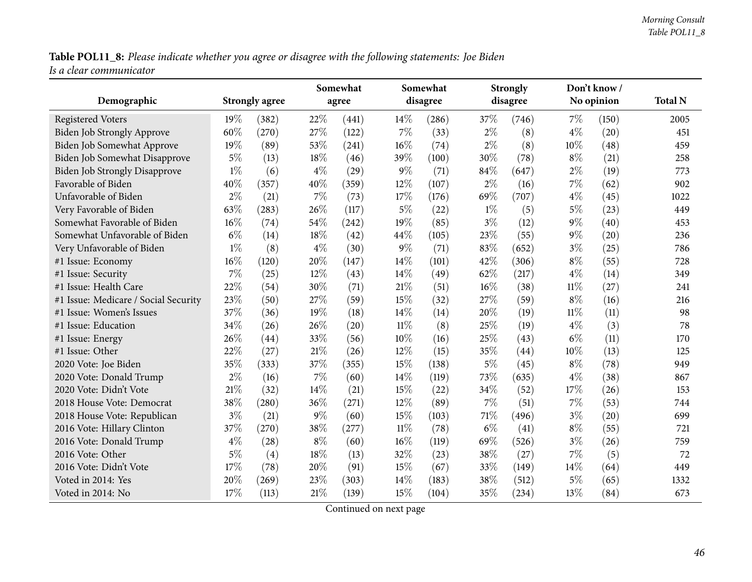Table POL11\_8: Please indicate whether you agree or disagree with the following statements: Joe Biden *Is <sup>a</sup> clear communicator*

|                                      |       |                       |       | Somewhat |        | Somewhat |        | <b>Strongly</b> |        | Don't know / |                |
|--------------------------------------|-------|-----------------------|-------|----------|--------|----------|--------|-----------------|--------|--------------|----------------|
| Demographic                          |       | <b>Strongly agree</b> |       | agree    |        | disagree |        | disagree        |        | No opinion   | <b>Total N</b> |
| <b>Registered Voters</b>             | 19%   | (382)                 | 22%   | (441)    | $14\%$ | (286)    | 37%    | (746)           | 7%     | (150)        | 2005           |
| Biden Job Strongly Approve           | 60%   | (270)                 | 27\%  | (122)    | $7\%$  | (33)     | $2\%$  | (8)             | $4\%$  | (20)         | 451            |
| Biden Job Somewhat Approve           | 19%   | (89)                  | 53%   | (241)    | 16%    | (74)     | $2\%$  | (8)             | 10%    | (48)         | 459            |
| Biden Job Somewhat Disapprove        | 5%    | (13)                  | 18%   | (46)     | 39%    | (100)    | 30%    | (78)            | $8\%$  | (21)         | 258            |
| <b>Biden Job Strongly Disapprove</b> | $1\%$ | (6)                   | $4\%$ | (29)     | 9%     | (71)     | 84%    | (647)           | $2\%$  | (19)         | 773            |
| Favorable of Biden                   | 40%   | (357)                 | 40%   | (359)    | 12%    | (107)    | $2\%$  | (16)            | 7%     | (62)         | 902            |
| Unfavorable of Biden                 | $2\%$ | (21)                  | 7%    | (73)     | 17%    | (176)    | 69%    | (707)           | $4\%$  | (45)         | 1022           |
| Very Favorable of Biden              | 63%   | (283)                 | 26%   | (117)    | $5\%$  | (22)     | $1\%$  | (5)             | $5\%$  | (23)         | 449            |
| Somewhat Favorable of Biden          | 16%   | (74)                  | 54%   | (242)    | 19%    | (85)     | $3\%$  | (12)            | $9\%$  | (40)         | 453            |
| Somewhat Unfavorable of Biden        | $6\%$ | (14)                  | 18%   | (42)     | 44%    | (105)    | 23%    | (55)            | 9%     | (20)         | 236            |
| Very Unfavorable of Biden            | $1\%$ | (8)                   | $4\%$ | (30)     | $9\%$  | (71)     | 83%    | (652)           | $3\%$  | (25)         | 786            |
| #1 Issue: Economy                    | 16%   | (120)                 | 20%   | (147)    | 14%    | (101)    | 42%    | (306)           | $8\%$  | (55)         | 728            |
| #1 Issue: Security                   | 7%    | (25)                  | 12%   | (43)     | 14%    | (49)     | 62%    | (217)           | $4\%$  | (14)         | 349            |
| #1 Issue: Health Care                | 22%   | (54)                  | 30%   | (71)     | $21\%$ | (51)     | 16%    | (38)            | $11\%$ | (27)         | 241            |
| #1 Issue: Medicare / Social Security | 23%   | (50)                  | 27%   | (59)     | 15%    | (32)     | 27%    | (59)            | $8\%$  | (16)         | 216            |
| #1 Issue: Women's Issues             | 37%   | (36)                  | 19%   | (18)     | 14%    | (14)     | 20%    | (19)            | $11\%$ | (11)         | 98             |
| #1 Issue: Education                  | 34%   | (26)                  | 26%   | (20)     | $11\%$ | (8)      | 25%    | (19)            | $4\%$  | (3)          | 78             |
| #1 Issue: Energy                     | 26%   | (44)                  | 33%   | (56)     | 10%    | (16)     | 25%    | (43)            | $6\%$  | (11)         | 170            |
| #1 Issue: Other                      | 22%   | (27)                  | 21%   | (26)     | 12%    | (15)     | 35%    | (44)            | 10%    | (13)         | 125            |
| 2020 Vote: Joe Biden                 | 35%   | (333)                 | 37%   | (355)    | 15%    | (138)    | $5\%$  | (45)            | $8\%$  | (78)         | 949            |
| 2020 Vote: Donald Trump              | $2\%$ | (16)                  | 7%    | (60)     | 14%    | (119)    | 73%    | (635)           | $4\%$  | (38)         | 867            |
| 2020 Vote: Didn't Vote               | 21%   | (32)                  | 14%   | (21)     | 15%    | (22)     | 34%    | (52)            | 17%    | (26)         | 153            |
| 2018 House Vote: Democrat            | 38%   | (280)                 | 36%   | (271)    | 12%    | (89)     | 7%     | (51)            | 7%     | (53)         | 744            |
| 2018 House Vote: Republican          | $3\%$ | (21)                  | $9\%$ | (60)     | 15%    | (103)    | $71\%$ | (496)           | $3\%$  | (20)         | 699            |
| 2016 Vote: Hillary Clinton           | 37%   | (270)                 | 38%   | (277)    | $11\%$ | (78)     | $6\%$  | (41)            | $8\%$  | (55)         | 721            |
| 2016 Vote: Donald Trump              | $4\%$ | (28)                  | $8\%$ | (60)     | 16%    | (119)    | 69%    | (526)           | $3\%$  | (26)         | 759            |
| 2016 Vote: Other                     | $5\%$ | (4)                   | 18%   | (13)     | 32%    | (23)     | 38%    | (27)            | 7%     | (5)          | 72             |
| 2016 Vote: Didn't Vote               | 17%   | (78)                  | 20%   | (91)     | 15%    | (67)     | 33%    | (149)           | 14%    | (64)         | 449            |
| Voted in 2014: Yes                   | 20%   | (269)                 | 23%   | (303)    | 14%    | (183)    | 38%    | (512)           | $5\%$  | (65)         | 1332           |
| Voted in 2014: No                    | 17%   | (113)                 | 21%   | (139)    | 15%    | (104)    | 35%    | (234)           | 13%    | (84)         | 673            |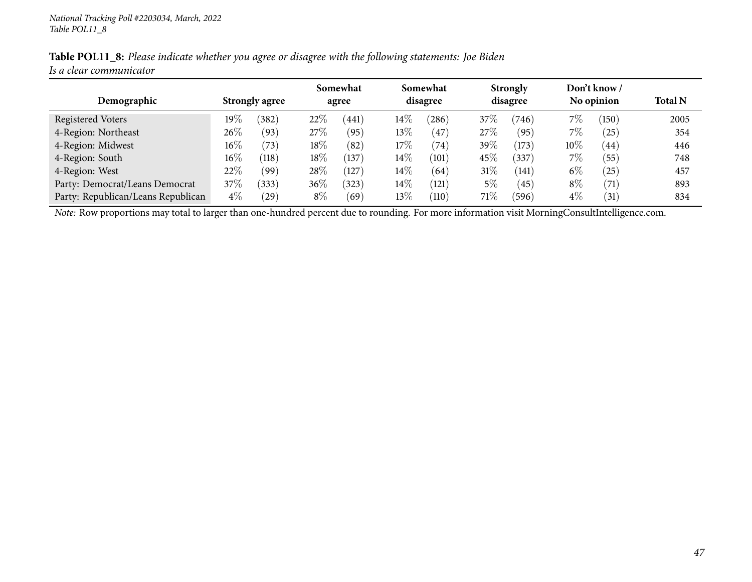|                         | Table POL11_8: Please indicate whether you agree or disagree with the following statements: Joe Biden |  |
|-------------------------|-------------------------------------------------------------------------------------------------------|--|
| Is a clear communicator |                                                                                                       |  |

|                                    |        |                       |        | Somewhat       |        | Somewhat |        | <b>Strongly</b> |        | Don't know /           |                |
|------------------------------------|--------|-----------------------|--------|----------------|--------|----------|--------|-----------------|--------|------------------------|----------------|
| Demographic                        |        | <b>Strongly agree</b> |        | agree          |        | disagree |        | disagree        |        | No opinion             | <b>Total N</b> |
| Registered Voters                  | 19%    | (382)                 | 22\%   | $^{\prime}441$ | $14\%$ | (286)    | 37%    | (746)           | $7\%$  | $^{\prime}150^{\cdot}$ | 2005           |
| 4-Region: Northeast                | $26\%$ | (93)                  | 27%    | (95)           | $13\%$ | (47)     | 27%    | (95)            | $7\%$  | (25)                   | 354            |
| 4-Region: Midwest                  | $16\%$ | (73)                  | $18\%$ | (82)           | $17\%$ | (74)     | 39\%   | (173)           | $10\%$ | (44)                   | 446            |
| 4-Region: South                    | $16\%$ | (118)                 | 18%    | (137)          | $14\%$ | (101)    | 45%    | (337)           | $7\%$  | (55)                   | 748            |
| 4-Region: West                     | 22\%   | (99)                  | 28\%   | $^{\prime}127$ | $14\%$ | (64)     | $31\%$ | (141)           | $6\%$  | (25)                   | 457            |
| Party: Democrat/Leans Democrat     | 37\%   | (333)                 | $36\%$ | (323)          | $14\%$ | (121)    | $5\%$  | (45)            | $8\%$  | (71)                   | 893            |
| Party: Republican/Leans Republican | $4\%$  | $^{'}29$              | $8\%$  | (69)           | $13\%$ | (110)    | 71%    | (596)           | $4\%$  | $\left(31\right)$      | 834            |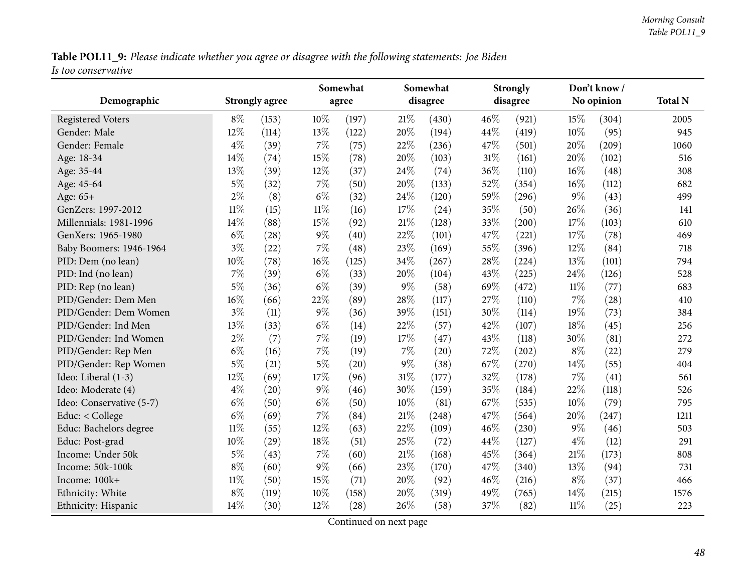Table POL11\_9: Please indicate whether you agree or disagree with the following statements: Joe Biden *Is too conservative*

|                          |        |                       |        | Somewhat |        | Somewhat           |      | <b>Strongly</b> |        | Don't know/ |                |
|--------------------------|--------|-----------------------|--------|----------|--------|--------------------|------|-----------------|--------|-------------|----------------|
| Demographic              |        | <b>Strongly agree</b> |        | agree    |        | disagree           |      | disagree        |        | No opinion  | <b>Total N</b> |
| <b>Registered Voters</b> | $8\%$  | (153)                 | 10%    | (197)    | 21%    | (430)              | 46\% | (921)           | 15%    | (304)       | 2005           |
| Gender: Male             | 12%    | (114)                 | 13%    | (122)    | 20%    | (194)              | 44%  | (419)           | 10%    | (95)        | 945            |
| Gender: Female           | $4\%$  | (39)                  | $7\%$  | (75)     | 22%    | (236)              | 47%  | (501)           | 20%    | (209)       | 1060           |
| Age: 18-34               | 14%    | (74)                  | 15%    | (78)     | 20%    | (103)              | 31%  | (161)           | 20%    | (102)       | 516            |
| Age: 35-44               | 13%    | (39)                  | 12%    | (37)     | 24%    | (74)               | 36%  | (110)           | 16%    | (48)        | 308            |
| Age: 45-64               | $5\%$  | (32)                  | $7\%$  | (50)     | 20%    | (133)              | 52%  | (354)           | 16%    | (112)       | 682            |
| Age: 65+                 | $2\%$  | (8)                   | $6\%$  | (32)     | 24%    | (120)              | 59%  | (296)           | $9\%$  | (43)        | 499            |
| GenZers: 1997-2012       | $11\%$ | (15)                  | $11\%$ | (16)     | 17%    | (24)               | 35%  | (50)            | 26%    | (36)        | 141            |
| Millennials: 1981-1996   | 14%    | (88)                  | 15%    | (92)     | 21%    | (128)              | 33%  | (200)           | 17%    | (103)       | 610            |
| GenXers: 1965-1980       | $6\%$  | (28)                  | $9\%$  | (40)     | 22%    | (101)              | 47%  | (221)           | 17%    | (78)        | 469            |
| Baby Boomers: 1946-1964  | $3\%$  | (22)                  | $7\%$  | (48)     | 23%    | (169)              | 55%  | (396)           | 12%    | (84)        | 718            |
| PID: Dem (no lean)       | 10%    | (78)                  | 16%    | (125)    | 34%    | (267)              | 28%  | (224)           | 13%    | (101)       | 794            |
| PID: Ind (no lean)       | $7\%$  | (39)                  | $6\%$  | (33)     | 20%    | (104)              | 43%  | (225)           | 24%    | (126)       | 528            |
| PID: Rep (no lean)       | $5\%$  | (36)                  | $6\%$  | (39)     | $9\%$  | (58)               | 69%  | (472)           | $11\%$ | (77)        | 683            |
| PID/Gender: Dem Men      | 16%    | (66)                  | 22%    | (89)     | 28%    | (117)              | 27%  | (110)           | 7%     | (28)        | 410            |
| PID/Gender: Dem Women    | $3\%$  | (11)                  | $9\%$  | (36)     | 39%    | (151)              | 30%  | (114)           | 19%    | (73)        | 384            |
| PID/Gender: Ind Men      | 13%    | (33)                  | $6\%$  | (14)     | 22%    | (57)               | 42%  | (107)           | 18%    | (45)        | 256            |
| PID/Gender: Ind Women    | $2\%$  | (7)                   | 7%     | (19)     | 17%    | (47)               | 43%  | (118)           | 30%    | (81)        | 272            |
| PID/Gender: Rep Men      | $6\%$  | (16)                  | 7%     | (19)     | 7%     | $\left( 20\right)$ | 72%  | (202)           | $8\%$  | (22)        | 279            |
| PID/Gender: Rep Women    | $5\%$  | (21)                  | $5\%$  | (20)     | $9\%$  | (38)               | 67%  | (270)           | 14%    | (55)        | 404            |
| Ideo: Liberal (1-3)      | 12%    | (69)                  | 17%    | (96)     | 31%    | (177)              | 32%  | (178)           | 7%     | (41)        | 561            |
| Ideo: Moderate (4)       | $4\%$  | (20)                  | $9\%$  | (46)     | 30%    | (159)              | 35%  | (184)           | 22%    | (118)       | 526            |
| Ideo: Conservative (5-7) | $6\%$  | (50)                  | $6\%$  | (50)     | 10%    | (81)               | 67%  | (535)           | 10%    | (79)        | 795            |
| Educ: < College          | $6\%$  | (69)                  | $7\%$  | (84)     | $21\%$ | (248)              | 47%  | (564)           | 20%    | (247)       | 1211           |
| Educ: Bachelors degree   | $11\%$ | (55)                  | 12%    | (63)     | 22%    | (109)              | 46%  | (230)           | $9\%$  | (46)        | 503            |
| Educ: Post-grad          | 10%    | (29)                  | 18%    | (51)     | 25%    | (72)               | 44\% | (127)           | $4\%$  | (12)        | 291            |
| Income: Under 50k        | $5\%$  | (43)                  | $7\%$  | (60)     | 21%    | (168)              | 45%  | (364)           | 21%    | (173)       | 808            |
| Income: 50k-100k         | $8\%$  | (60)                  | $9\%$  | (66)     | 23%    | (170)              | 47%  | (340)           | 13%    | (94)        | 731            |
| Income: 100k+            | $11\%$ | (50)                  | 15%    | (71)     | 20%    | (92)               | 46%  | (216)           | $8\%$  | (37)        | 466            |
| Ethnicity: White         | $8\%$  | (119)                 | 10%    | (158)    | 20%    | (319)              | 49%  | (765)           | 14%    | (215)       | 1576           |
| Ethnicity: Hispanic      | 14%    | (30)                  | 12%    | (28)     | 26%    | (58)               | 37%  | (82)            | 11%    | (25)        | 223            |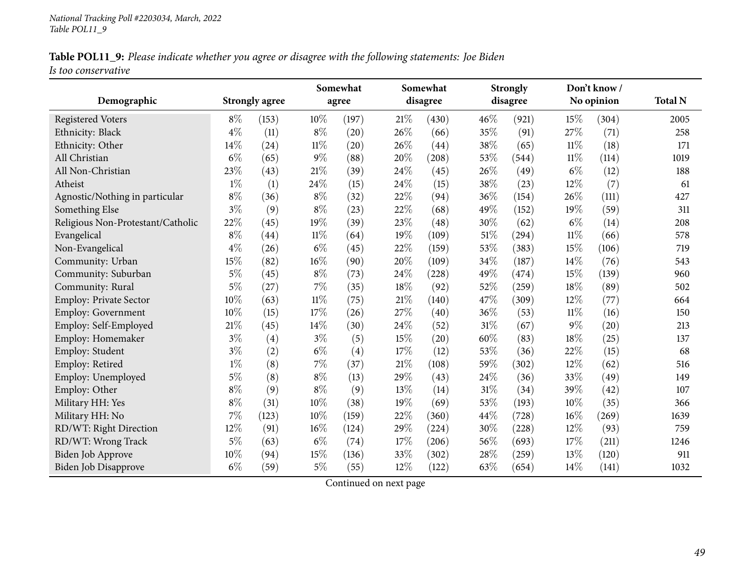| Table POL11_9: Please indicate whether you agree or disagree with the following statements: Joe Biden |  |  |  |  |  |
|-------------------------------------------------------------------------------------------------------|--|--|--|--|--|
| Is too conservative                                                                                   |  |  |  |  |  |

|                                   |       |                       |        | Somewhat |      | Somewhat |        | <b>Strongly</b> |        | Don't know / | <b>Total N</b> |
|-----------------------------------|-------|-----------------------|--------|----------|------|----------|--------|-----------------|--------|--------------|----------------|
| Demographic                       |       | <b>Strongly agree</b> |        | agree    |      | disagree |        | disagree        |        | No opinion   |                |
| <b>Registered Voters</b>          | $8\%$ | (153)                 | 10%    | (197)    | 21\% | (430)    | 46%    | (921)           | 15%    | (304)        | 2005           |
| Ethnicity: Black                  | $4\%$ | (11)                  | $8\%$  | (20)     | 26%  | (66)     | 35%    | (91)            | 27%    | (71)         | 258            |
| Ethnicity: Other                  | 14%   | (24)                  | $11\%$ | (20)     | 26%  | (44)     | 38%    | (65)            | $11\%$ | (18)         | 171            |
| All Christian                     | $6\%$ | (65)                  | $9\%$  | (88)     | 20%  | (208)    | 53%    | (544)           | $11\%$ | (114)        | 1019           |
| All Non-Christian                 | 23%   | (43)                  | $21\%$ | (39)     | 24%  | (45)     | 26%    | (49)            | $6\%$  | (12)         | 188            |
| Atheist                           | $1\%$ | (1)                   | 24\%   | (15)     | 24%  | (15)     | 38%    | (23)            | 12%    | (7)          | 61             |
| Agnostic/Nothing in particular    | $8\%$ | (36)                  | $8\%$  | (32)     | 22%  | (94)     | 36%    | (154)           | 26%    | (111)        | 427            |
| Something Else                    | $3\%$ | (9)                   | $8\%$  | (23)     | 22%  | (68)     | 49%    | (152)           | 19%    | (59)         | 311            |
| Religious Non-Protestant/Catholic | 22%   | (45)                  | 19%    | (39)     | 23%  | (48)     | 30%    | (62)            | $6\%$  | (14)         | 208            |
| Evangelical                       | $8\%$ | (44)                  | $11\%$ | (64)     | 19%  | (109)    | 51%    | (294)           | $11\%$ | (66)         | 578            |
| Non-Evangelical                   | $4\%$ | (26)                  | $6\%$  | (45)     | 22%  | (159)    | 53%    | (383)           | 15%    | (106)        | 719            |
| Community: Urban                  | 15%   | (82)                  | 16%    | (90)     | 20%  | (109)    | 34%    | (187)           | 14%    | (76)         | 543            |
| Community: Suburban               | $5\%$ | (45)                  | $8\%$  | (73)     | 24%  | (228)    | 49%    | (474)           | 15%    | (139)        | 960            |
| Community: Rural                  | 5%    | (27)                  | 7%     | (35)     | 18%  | (92)     | 52%    | (259)           | 18%    | (89)         | 502            |
| Employ: Private Sector            | 10%   | (63)                  | $11\%$ | (75)     | 21%  | (140)    | 47%    | (309)           | 12%    | (77)         | 664            |
| Employ: Government                | 10%   | (15)                  | 17%    | (26)     | 27%  | (40)     | 36%    | (53)            | $11\%$ | (16)         | 150            |
| Employ: Self-Employed             | 21%   | (45)                  | 14%    | (30)     | 24%  | (52)     | $31\%$ | (67)            | 9%     | (20)         | 213            |
| Employ: Homemaker                 | $3\%$ | (4)                   | $3\%$  | (5)      | 15%  | (20)     | 60%    | (83)            | 18%    | (25)         | 137            |
| Employ: Student                   | $3\%$ | (2)                   | $6\%$  | (4)      | 17%  | (12)     | 53%    | (36)            | 22%    | (15)         | 68             |
| Employ: Retired                   | $1\%$ | (8)                   | 7%     | (37)     | 21%  | (108)    | 59%    | (302)           | 12%    | (62)         | 516            |
| Employ: Unemployed                | $5\%$ | (8)                   | $8\%$  | (13)     | 29%  | (43)     | 24\%   | (36)            | 33%    | (49)         | 149            |
| Employ: Other                     | $8\%$ | (9)                   | $8\%$  | (9)      | 13%  | (14)     | 31%    | (34)            | 39%    | (42)         | 107            |
| Military HH: Yes                  | $8\%$ | (31)                  | 10%    | (38)     | 19%  | (69)     | 53%    | (193)           | 10%    | (35)         | 366            |
| Military HH: No                   | 7%    | (123)                 | 10%    | (159)    | 22%  | (360)    | 44%    | (728)           | 16%    | (269)        | 1639           |
| RD/WT: Right Direction            | 12%   | (91)                  | 16%    | (124)    | 29%  | (224)    | 30%    | (228)           | 12%    | (93)         | 759            |
| RD/WT: Wrong Track                | $5\%$ | (63)                  | $6\%$  | (74)     | 17%  | (206)    | 56%    | (693)           | 17%    | (211)        | 1246           |
| Biden Job Approve                 | 10%   | (94)                  | 15%    | (136)    | 33%  | (302)    | 28%    | (259)           | 13%    | (120)        | 911            |
| <b>Biden Job Disapprove</b>       | $6\%$ | (59)                  | $5\%$  | (55)     | 12%  | (122)    | 63%    | (654)           | 14%    | (141)        | 1032           |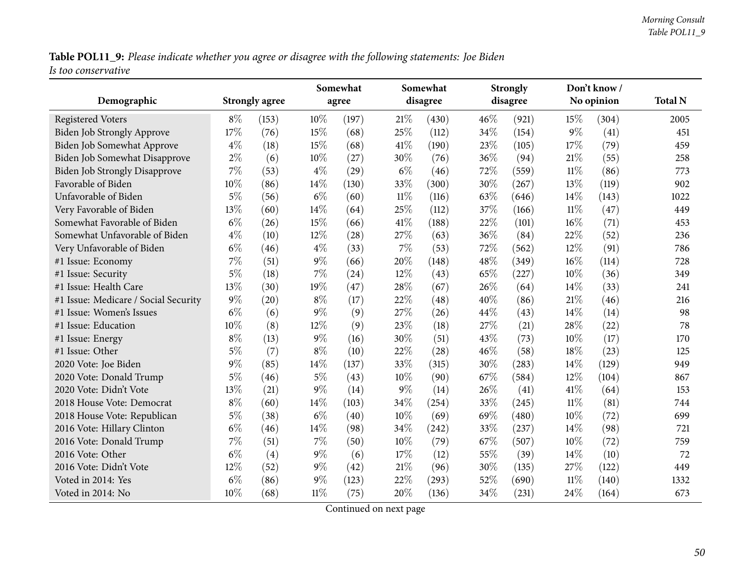Table POL11\_9: Please indicate whether you agree or disagree with the following statements: Joe Biden *Is too conservative*

| Demographic                          |       | <b>Strongly agree</b> |        | Somewhat<br>agree |        | Somewhat<br>disagree |     | <b>Strongly</b><br>disagree |        | Don't know /<br>No opinion | <b>Total N</b> |
|--------------------------------------|-------|-----------------------|--------|-------------------|--------|----------------------|-----|-----------------------------|--------|----------------------------|----------------|
|                                      |       |                       |        |                   |        |                      |     |                             |        |                            |                |
| <b>Registered Voters</b>             | $8\%$ | (153)                 | $10\%$ | (197)             | 21\%   | (430)                | 46% | (921)                       | 15%    | (304)                      | 2005           |
| Biden Job Strongly Approve           | 17%   | (76)                  | $15\%$ | (68)              | 25%    | (112)                | 34% | (154)                       | 9%     | (41)                       | 451            |
| Biden Job Somewhat Approve           | $4\%$ | (18)                  | 15%    | (68)              | 41%    | (190)                | 23% | (105)                       | 17%    | (79)                       | 459            |
| Biden Job Somewhat Disapprove        | $2\%$ | (6)                   | 10%    | (27)              | 30%    | (76)                 | 36% | (94)                        | 21%    | (55)                       | 258            |
| <b>Biden Job Strongly Disapprove</b> | 7%    | (53)                  | $4\%$  | (29)              | $6\%$  | (46)                 | 72% | (559)                       | $11\%$ | (86)                       | 773            |
| Favorable of Biden                   | 10%   | (86)                  | $14\%$ | (130)             | 33%    | (300)                | 30% | (267)                       | 13%    | (119)                      | 902            |
| Unfavorable of Biden                 | $5\%$ | (56)                  | $6\%$  | (60)              | $11\%$ | (116)                | 63% | (646)                       | 14%    | (143)                      | 1022           |
| Very Favorable of Biden              | 13%   | (60)                  | 14%    | (64)              | 25%    | (112)                | 37% | (166)                       | $11\%$ | (47)                       | 449            |
| Somewhat Favorable of Biden          | $6\%$ | (26)                  | 15%    | (66)              | 41\%   | (188)                | 22% | (101)                       | 16%    | (71)                       | 453            |
| Somewhat Unfavorable of Biden        | $4\%$ | (10)                  | $12\%$ | (28)              | 27%    | (63)                 | 36% | (84)                        | 22%    | (52)                       | 236            |
| Very Unfavorable of Biden            | $6\%$ | (46)                  | $4\%$  | (33)              | 7%     | (53)                 | 72% | (562)                       | 12%    | (91)                       | 786            |
| #1 Issue: Economy                    | 7%    | (51)                  | $9\%$  | (66)              | 20%    | (148)                | 48% | (349)                       | 16%    | (114)                      | 728            |
| #1 Issue: Security                   | $5\%$ | (18)                  | $7\%$  | (24)              | 12%    | (43)                 | 65% | (227)                       | 10%    | (36)                       | 349            |
| #1 Issue: Health Care                | 13%   | (30)                  | 19%    | (47)              | 28%    | (67)                 | 26% | (64)                        | 14%    | (33)                       | 241            |
| #1 Issue: Medicare / Social Security | $9\%$ | (20)                  | $8\%$  | (17)              | 22%    | (48)                 | 40% | (86)                        | 21\%   | (46)                       | 216            |
| #1 Issue: Women's Issues             | $6\%$ | (6)                   | $9\%$  | (9)               | 27%    | (26)                 | 44% | (43)                        | 14%    | (14)                       | 98             |
| #1 Issue: Education                  | 10%   | (8)                   | 12%    | (9)               | 23%    | (18)                 | 27% | (21)                        | 28%    | (22)                       | 78             |
| #1 Issue: Energy                     | $8\%$ | (13)                  | $9\%$  | (16)              | 30%    | (51)                 | 43% | (73)                        | 10%    | (17)                       | 170            |
| #1 Issue: Other                      | $5\%$ | (7)                   | $8\%$  | (10)              | 22%    | (28)                 | 46% | (58)                        | 18%    | (23)                       | 125            |
| 2020 Vote: Joe Biden                 | $9\%$ | (85)                  | 14%    | (137)             | 33%    | (315)                | 30% | (283)                       | 14%    | (129)                      | 949            |
| 2020 Vote: Donald Trump              | $5\%$ | (46)                  | $5\%$  | (43)              | 10%    | (90)                 | 67% | (584)                       | 12%    | (104)                      | 867            |
| 2020 Vote: Didn't Vote               | 13%   | (21)                  | $9\%$  | (14)              | $9\%$  | (14)                 | 26% | (41)                        | 41\%   | (64)                       | 153            |
| 2018 House Vote: Democrat            | $8\%$ | (60)                  | 14%    | (103)             | 34%    | (254)                | 33% | (245)                       | $11\%$ | (81)                       | 744            |
| 2018 House Vote: Republican          | $5\%$ | (38)                  | $6\%$  | (40)              | 10%    | (69)                 | 69% | (480)                       | 10%    | (72)                       | 699            |
| 2016 Vote: Hillary Clinton           | $6\%$ | (46)                  | $14\%$ | (98)              | 34%    | (242)                | 33% | (237)                       | 14%    | (98)                       | 721            |
| 2016 Vote: Donald Trump              | $7\%$ | (51)                  | $7\%$  | (50)              | 10%    | (79)                 | 67% | (507)                       | 10%    | (72)                       | 759            |
| 2016 Vote: Other                     | $6\%$ | (4)                   | $9\%$  | (6)               | 17\%   | (12)                 | 55% | (39)                        | 14\%   | (10)                       | 72             |
| 2016 Vote: Didn't Vote               | 12%   | (52)                  | $9\%$  | (42)              | $21\%$ | (96)                 | 30% | (135)                       | 27%    | (122)                      | 449            |
| Voted in 2014: Yes                   | $6\%$ | (86)                  | $9\%$  | (123)             | 22%    | (293)                | 52% | (690)                       | 11%    | (140)                      | 1332           |
| Voted in 2014: No                    | 10%   | (68)                  | $11\%$ | (75)              | 20%    | (136)                | 34% | (231)                       | 24%    | (164)                      | 673            |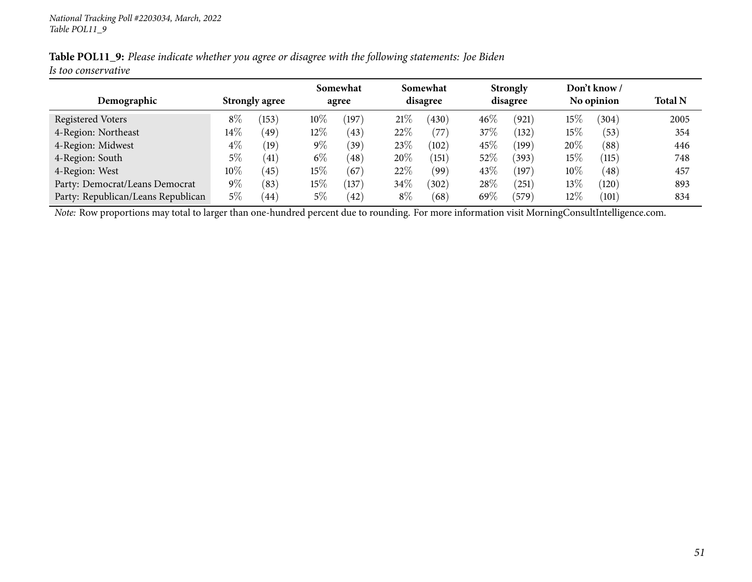| Table POL11_9: Please indicate whether you agree or disagree with the following statements: Joe Biden |  |
|-------------------------------------------------------------------------------------------------------|--|
| Is too conservative                                                                                   |  |

|                                    |        |                       |        | Somewhat       |        | Somewhat |        | <b>Strongly</b> |        | Don't know / |                |
|------------------------------------|--------|-----------------------|--------|----------------|--------|----------|--------|-----------------|--------|--------------|----------------|
| Demographic                        |        | <b>Strongly agree</b> |        | agree          |        | disagree |        | disagree        |        | No opinion   | <b>Total N</b> |
| <b>Registered Voters</b>           | $8\%$  | (153)                 | $10\%$ | (197           | 21%    | (430)    | 46%    | (921)           | 15%    | (304)        | 2005           |
| 4-Region: Northeast                | $14\%$ | (49)                  | $12\%$ | (43)           | 22%    | (77      | 37\%   | (132)           | 15%    | (53)         | 354            |
| 4-Region: Midwest                  | $4\%$  | (19)                  | $9\%$  | $^{'}39)$      | 23%    | (102)    | 45\%   | (199)           | $20\%$ | (88)         | 446            |
| 4-Region: South                    | 5%     | $\left(41\right)$     | $6\%$  | (48)           | $20\%$ | (151)    | 52%    | (393)           | 15%    | (115)        | 748            |
| 4-Region: West                     | $10\%$ | (45)                  | $15\%$ | 67             | $22\%$ | (99`     | 43\%   | (197)           | $10\%$ | (48)         | 457            |
| Party: Democrat/Leans Democrat     | $9\%$  | (83)                  | $15\%$ | $^{\prime}137$ | $34\%$ | (302)    | $28\%$ | $^{'}251$       | $13\%$ | (120)        | 893            |
| Party: Republican/Leans Republican | $5\%$  | 44                    | 5%     | (42)           | $8\%$  | (68)     | 69%    | (579)           | $12\%$ | (101)        | 834            |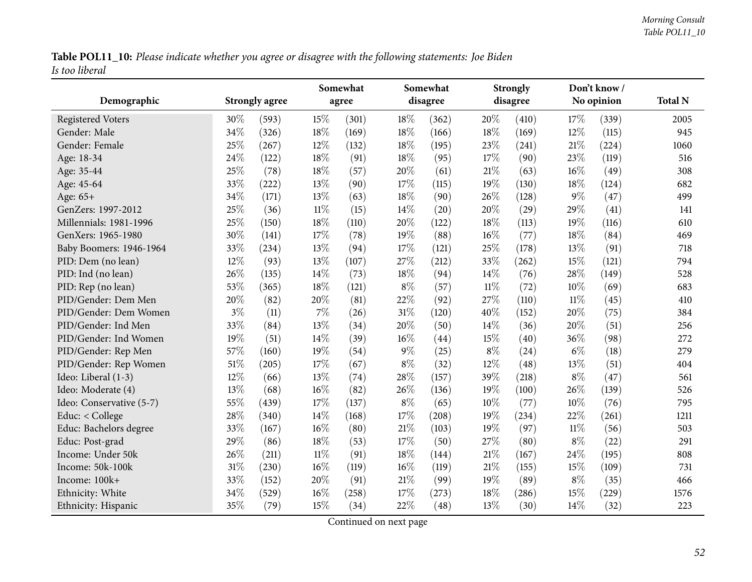Table POL11\_10: Please indicate whether you agree or disagree with the following statements: Joe Biden *Is too liberal*

|                          |       |                       |        | Somewhat |        | Somewhat |        | <b>Strongly</b> |        | Don't know/ |                |
|--------------------------|-------|-----------------------|--------|----------|--------|----------|--------|-----------------|--------|-------------|----------------|
| Demographic              |       | <b>Strongly agree</b> |        | agree    |        | disagree |        | disagree        |        | No opinion  | <b>Total N</b> |
| <b>Registered Voters</b> | 30%   | (593)                 | 15%    | (301)    | 18%    | (362)    | 20%    | (410)           | 17%    | (339)       | 2005           |
| Gender: Male             | 34%   | (326)                 | 18%    | (169)    | 18%    | (166)    | 18%    | (169)           | 12%    | (115)       | 945            |
| Gender: Female           | 25%   | (267)                 | 12%    | (132)    | 18%    | (195)    | 23%    | (241)           | 21%    | (224)       | 1060           |
| Age: 18-34               | 24%   | (122)                 | 18%    | (91)     | 18%    | (95)     | 17%    | (90)            | 23%    | (119)       | 516            |
| Age: 35-44               | 25%   | (78)                  | 18%    | (57)     | 20%    | (61)     | 21%    | (63)            | $16\%$ | (49)        | 308            |
| Age: 45-64               | 33%   | (222)                 | 13%    | (90)     | 17\%   | (115)    | 19%    | (130)           | 18%    | (124)       | 682            |
| Age: 65+                 | 34%   | (171)                 | 13%    | (63)     | 18%    | (90)     | 26%    | (128)           | $9\%$  | (47)        | 499            |
| GenZers: 1997-2012       | 25%   | (36)                  | $11\%$ | (15)     | 14%    | (20)     | 20%    | (29)            | 29%    | (41)        | 141            |
| Millennials: 1981-1996   | 25%   | (150)                 | 18%    | (110)    | 20%    | (122)    | 18%    | (113)           | 19%    | (116)       | 610            |
| GenXers: 1965-1980       | 30%   | (141)                 | 17%    | (78)     | 19%    | (88)     | 16%    | (77)            | 18%    | (84)        | 469            |
| Baby Boomers: 1946-1964  | 33%   | (234)                 | 13%    | (94)     | 17%    | (121)    | 25%    | (178)           | 13%    | (91)        | 718            |
| PID: Dem (no lean)       | 12%   | (93)                  | 13%    | (107)    | 27%    | (212)    | 33%    | (262)           | 15%    | (121)       | 794            |
| PID: Ind (no lean)       | 26%   | (135)                 | 14%    | (73)     | 18%    | (94)     | 14%    | (76)            | 28\%   | (149)       | 528            |
| PID: Rep (no lean)       | 53%   | (365)                 | 18%    | (121)    | $8\%$  | (57)     | $11\%$ | (72)            | 10%    | (69)        | 683            |
| PID/Gender: Dem Men      | 20%   | (82)                  | 20%    | (81)     | 22%    | (92)     | 27%    | (110)           | $11\%$ | (45)        | 410            |
| PID/Gender: Dem Women    | $3\%$ | (11)                  | $7\%$  | (26)     | 31%    | (120)    | 40%    | (152)           | 20%    | (75)        | 384            |
| PID/Gender: Ind Men      | 33%   | (84)                  | 13%    | (34)     | 20%    | (50)     | 14\%   | (36)            | 20%    | (51)        | 256            |
| PID/Gender: Ind Women    | 19%   | (51)                  | 14%    | (39)     | $16\%$ | (44)     | 15%    | (40)            | 36%    | (98)        | 272            |
| PID/Gender: Rep Men      | 57%   | (160)                 | 19%    | (54)     | $9\%$  | (25)     | $8\%$  | (24)            | $6\%$  | (18)        | 279            |
| PID/Gender: Rep Women    | 51%   | (205)                 | 17%    | (67)     | $8\%$  | (32)     | 12%    | (48)            | 13%    | (51)        | 404            |
| Ideo: Liberal (1-3)      | 12%   | (66)                  | 13%    | (74)     | 28%    | (157)    | 39%    | (218)           | $8\%$  | (47)        | 561            |
| Ideo: Moderate (4)       | 13%   | (68)                  | 16%    | (82)     | 26%    | (136)    | 19%    | (100)           | 26%    | (139)       | 526            |
| Ideo: Conservative (5-7) | 55%   | (439)                 | 17%    | (137)    | $8\%$  | (65)     | 10%    | (77)            | 10%    | (76)        | 795            |
| Educ: < College          | 28%   | (340)                 | 14%    | (168)    | 17%    | (208)    | 19%    | (234)           | 22%    | (261)       | 1211           |
| Educ: Bachelors degree   | 33%   | (167)                 | 16%    | (80)     | 21%    | (103)    | 19%    | (97)            | 11%    | (56)        | 503            |
| Educ: Post-grad          | 29%   | (86)                  | 18%    | (53)     | 17%    | (50)     | 27%    | (80)            | $8\%$  | (22)        | 291            |
| Income: Under 50k        | 26%   | (211)                 | $11\%$ | (91)     | 18%    | (144)    | $21\%$ | (167)           | 24%    | (195)       | 808            |
| Income: 50k-100k         | 31%   | (230)                 | 16%    | (119)    | $16\%$ | (119)    | 21%    | (155)           | 15\%   | (109)       | 731            |
| Income: 100k+            | 33%   | (152)                 | 20%    | (91)     | $21\%$ | (99)     | 19%    | (89)            | $8\%$  | (35)        | 466            |
| Ethnicity: White         | 34%   | (529)                 | 16%    | (258)    | 17%    | (273)    | 18%    | (286)           | 15%    | (229)       | 1576           |
| Ethnicity: Hispanic      | 35%   | (79)                  | 15%    | (34)     | 22%    | (48)     | 13%    | (30)            | 14%    | (32)        | 223            |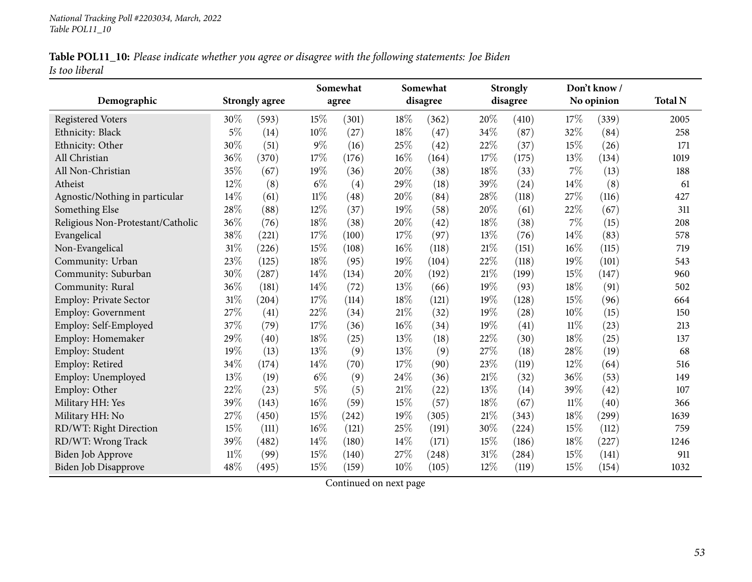|                | Table POL11_10: Please indicate whether you agree or disagree with the following statements: Joe Biden |  |
|----------------|--------------------------------------------------------------------------------------------------------|--|
| Is too liberal |                                                                                                        |  |

| Demographic                       |        | <b>Strongly agree</b> |        | Somewhat<br>agree |     | Somewhat<br>disagree |        | <b>Strongly</b><br>disagree |        | Don't know /<br>No opinion |                |
|-----------------------------------|--------|-----------------------|--------|-------------------|-----|----------------------|--------|-----------------------------|--------|----------------------------|----------------|
|                                   |        |                       |        |                   |     |                      |        |                             |        |                            | <b>Total N</b> |
| <b>Registered Voters</b>          | 30\%   | (593)                 | 15%    | (301)             | 18% | (362)                | 20%    | (410)                       | 17%    | (339)                      | 2005           |
| Ethnicity: Black                  | $5\%$  | (14)                  | 10%    | (27)              | 18% | (47)                 | 34%    | (87)                        | 32%    | (84)                       | 258            |
| Ethnicity: Other                  | 30%    | (51)                  | $9\%$  | (16)              | 25% | (42)                 | 22%    | (37)                        | 15%    | (26)                       | 171            |
| All Christian                     | 36%    | (370)                 | 17%    | (176)             | 16% | (164)                | 17%    | (175)                       | 13%    | (134)                      | 1019           |
| All Non-Christian                 | 35%    | (67)                  | 19%    | (36)              | 20% | (38)                 | 18%    | (33)                        | 7%     | (13)                       | 188            |
| Atheist                           | 12%    | (8)                   | $6\%$  | (4)               | 29% | (18)                 | 39%    | (24)                        | 14%    | (8)                        | 61             |
| Agnostic/Nothing in particular    | 14%    | (61)                  | $11\%$ | (48)              | 20% | (84)                 | 28%    | (118)                       | 27%    | (116)                      | 427            |
| Something Else                    | 28%    | (88)                  | 12%    | (37)              | 19% | (58)                 | 20%    | (61)                        | 22%    | (67)                       | 311            |
| Religious Non-Protestant/Catholic | 36%    | (76)                  | 18%    | (38)              | 20% | (42)                 | 18%    | (38)                        | 7%     | (15)                       | 208            |
| Evangelical                       | 38%    | (221)                 | 17%    | (100)             | 17% | (97)                 | 13%    | (76)                        | 14%    | (83)                       | 578            |
| Non-Evangelical                   | 31%    | (226)                 | 15%    | (108)             | 16% | (118)                | $21\%$ | (151)                       | $16\%$ | (115)                      | 719            |
| Community: Urban                  | 23%    | (125)                 | 18%    | (95)              | 19% | (104)                | 22%    | (118)                       | 19%    | (101)                      | 543            |
| Community: Suburban               | 30%    | (287)                 | 14%    | (134)             | 20% | (192)                | 21%    | (199)                       | 15%    | (147)                      | 960            |
| Community: Rural                  | 36%    | (181)                 | 14\%   | (72)              | 13% | (66)                 | 19%    | (93)                        | 18%    | (91)                       | 502            |
| <b>Employ: Private Sector</b>     | 31%    | (204)                 | 17%    | (114)             | 18% | (121)                | 19%    | (128)                       | 15%    | (96)                       | 664            |
| <b>Employ: Government</b>         | 27%    | (41)                  | 22%    | (34)              | 21% | (32)                 | 19%    | (28)                        | 10%    | (15)                       | 150            |
| Employ: Self-Employed             | 37%    | (79)                  | 17%    | (36)              | 16% | (34)                 | 19%    | (41)                        | $11\%$ | (23)                       | 213            |
| Employ: Homemaker                 | 29%    | (40)                  | 18%    | (25)              | 13% | (18)                 | 22%    | (30)                        | $18\%$ | (25)                       | 137            |
| Employ: Student                   | 19%    | (13)                  | 13%    | (9)               | 13% | (9)                  | 27%    | (18)                        | 28%    | (19)                       | 68             |
| Employ: Retired                   | 34%    | (174)                 | 14\%   | (70)              | 17% | (90)                 | 23%    | (119)                       | 12%    | (64)                       | 516            |
| Employ: Unemployed                | 13%    | (19)                  | $6\%$  | (9)               | 24% | (36)                 | 21%    | (32)                        | 36%    | (53)                       | 149            |
| Employ: Other                     | 22%    | (23)                  | $5\%$  | (5)               | 21% | (22)                 | 13%    | (14)                        | 39%    | (42)                       | 107            |
| Military HH: Yes                  | 39%    | (143)                 | 16%    | (59)              | 15% | (57)                 | 18%    | (67)                        | $11\%$ | (40)                       | 366            |
| Military HH: No                   | 27\%   | (450)                 | 15%    | (242)             | 19% | (305)                | $21\%$ | (343)                       | $18\%$ | (299)                      | 1639           |
| RD/WT: Right Direction            | 15%    | (111)                 | 16%    | (121)             | 25% | (191)                | 30%    | (224)                       | 15%    | (112)                      | 759            |
| RD/WT: Wrong Track                | 39%    | (482)                 | 14%    | (180)             | 14% | (171)                | 15%    | (186)                       | 18%    | (227)                      | 1246           |
| <b>Biden Job Approve</b>          | $11\%$ | (99)                  | 15%    | (140)             | 27% | (248)                | 31%    | (284)                       | 15%    | (141)                      | 911            |
| <b>Biden Job Disapprove</b>       | 48%    | (495)                 | 15%    | (159)             | 10% | (105)                | 12%    | (119)                       | 15%    | (154)                      | 1032           |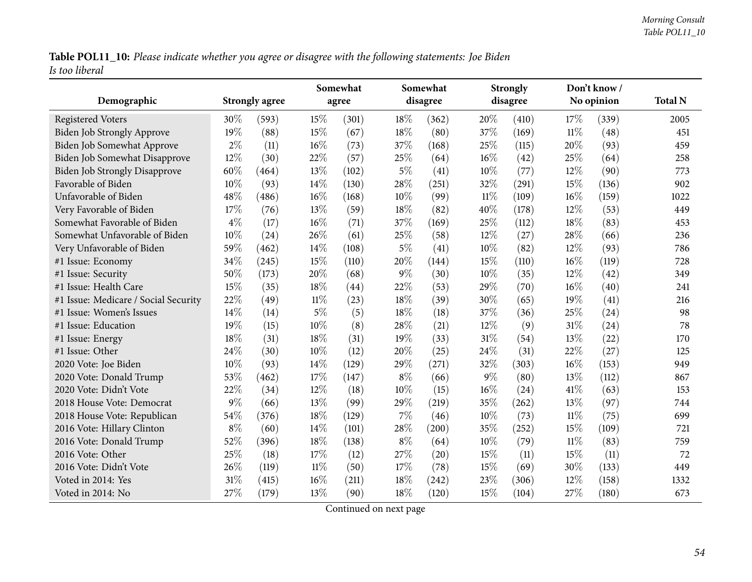Table POL11\_10: Please indicate whether you agree or disagree with the following statements: Joe Biden *Is too liberal*

|                                      |       |                       |        | Somewhat |       | Somewhat |        | <b>Strongly</b> |        | Don't know / |                |
|--------------------------------------|-------|-----------------------|--------|----------|-------|----------|--------|-----------------|--------|--------------|----------------|
| Demographic                          |       | <b>Strongly agree</b> |        | agree    |       | disagree |        | disagree        |        | No opinion   | <b>Total N</b> |
| <b>Registered Voters</b>             | 30%   | (593)                 | 15%    | (301)    | 18%   | (362)    | 20%    | (410)           | 17%    | (339)        | 2005           |
| <b>Biden Job Strongly Approve</b>    | 19%   | (88)                  | 15%    | (67)     | 18%   | (80)     | 37%    | (169)           | $11\%$ | (48)         | 451            |
| Biden Job Somewhat Approve           | $2\%$ | (11)                  | $16\%$ | (73)     | 37%   | (168)    | 25%    | (115)           | 20%    | (93)         | 459            |
| Biden Job Somewhat Disapprove        | 12%   | (30)                  | 22%    | (57)     | 25\%  | (64)     | 16%    | (42)            | 25%    | (64)         | 258            |
| <b>Biden Job Strongly Disapprove</b> | 60%   | (464)                 | 13%    | (102)    | $5\%$ | (41)     | 10%    | (77)            | 12%    | (90)         | 773            |
| Favorable of Biden                   | 10%   | (93)                  | 14\%   | (130)    | 28%   | (251)    | 32%    | (291)           | 15%    | (136)        | 902            |
| Unfavorable of Biden                 | 48%   | (486)                 | 16%    | (168)    | 10%   | (99)     | $11\%$ | (109)           | 16%    | (159)        | 1022           |
| Very Favorable of Biden              | 17%   | (76)                  | 13%    | (59)     | 18%   | (82)     | 40%    | (178)           | 12%    | (53)         | 449            |
| Somewhat Favorable of Biden          | $4\%$ | (17)                  | $16\%$ | (71)     | 37%   | (169)    | 25%    | (112)           | 18%    | (83)         | 453            |
| Somewhat Unfavorable of Biden        | 10%   | (24)                  | 26\%   | (61)     | 25%   | (58)     | 12%    | (27)            | 28%    | (66)         | 236            |
| Very Unfavorable of Biden            | 59%   | (462)                 | 14%    | (108)    | $5\%$ | (41)     | 10%    | (82)            | 12%    | (93)         | 786            |
| #1 Issue: Economy                    | 34%   | (245)                 | 15%    | (110)    | 20%   | (144)    | 15%    | (110)           | 16%    | (119)        | 728            |
| #1 Issue: Security                   | 50%   | (173)                 | 20%    | (68)     | $9\%$ | (30)     | 10%    | (35)            | 12%    | (42)         | 349            |
| #1 Issue: Health Care                | 15%   | (35)                  | 18%    | (44)     | 22%   | (53)     | 29%    | (70)            | 16%    | (40)         | 241            |
| #1 Issue: Medicare / Social Security | 22%   | (49)                  | $11\%$ | (23)     | 18%   | (39)     | 30%    | (65)            | 19%    | (41)         | 216            |
| #1 Issue: Women's Issues             | 14\%  | (14)                  | $5\%$  | (5)      | 18%   | (18)     | 37%    | (36)            | 25%    | (24)         | 98             |
| #1 Issue: Education                  | 19%   | (15)                  | 10%    | (8)      | 28%   | (21)     | 12%    | (9)             | 31%    | (24)         | 78             |
| #1 Issue: Energy                     | 18%   | (31)                  | 18%    | (31)     | 19%   | (33)     | $31\%$ | (54)            | 13%    | (22)         | 170            |
| #1 Issue: Other                      | 24%   | (30)                  | 10%    | (12)     | 20%   | (25)     | 24%    | (31)            | 22%    | (27)         | 125            |
| 2020 Vote: Joe Biden                 | 10%   | (93)                  | 14%    | (129)    | 29%   | (271)    | 32%    | (303)           | 16%    | (153)        | 949            |
| 2020 Vote: Donald Trump              | 53%   | (462)                 | 17%    | (147)    | $8\%$ | (66)     | $9\%$  | (80)            | 13%    | (112)        | 867            |
| 2020 Vote: Didn't Vote               | 22%   | (34)                  | 12%    | (18)     | 10%   | (15)     | 16%    | (24)            | 41%    | (63)         | 153            |
| 2018 House Vote: Democrat            | $9\%$ | (66)                  | 13%    | (99)     | 29%   | (219)    | 35%    | (262)           | 13%    | (97)         | 744            |
| 2018 House Vote: Republican          | 54%   | (376)                 | 18%    | (129)    | $7\%$ | (46)     | 10%    | (73)            | $11\%$ | (75)         | 699            |
| 2016 Vote: Hillary Clinton           | $8\%$ | (60)                  | 14\%   | (101)    | 28%   | (200)    | 35%    | (252)           | 15%    | (109)        | 721            |
| 2016 Vote: Donald Trump              | 52%   | (396)                 | 18%    | (138)    | $8\%$ | (64)     | 10%    | (79)            | $11\%$ | (83)         | 759            |
| 2016 Vote: Other                     | 25%   | (18)                  | 17%    | (12)     | 27\%  | (20)     | 15%    | (11)            | 15%    | (11)         | 72             |
| 2016 Vote: Didn't Vote               | 26%   | (119)                 | $11\%$ | (50)     | 17%   | (78)     | 15%    | (69)            | 30%    | (133)        | 449            |
| Voted in 2014: Yes                   | 31%   | (415)                 | 16%    | (211)    | 18%   | (242)    | 23%    | (306)           | 12%    | (158)        | 1332           |
| Voted in 2014: No                    | 27%   | (179)                 | 13\%   | (90)     | 18%   | (120)    | 15%    | (104)           | 27%    | (180)        | 673            |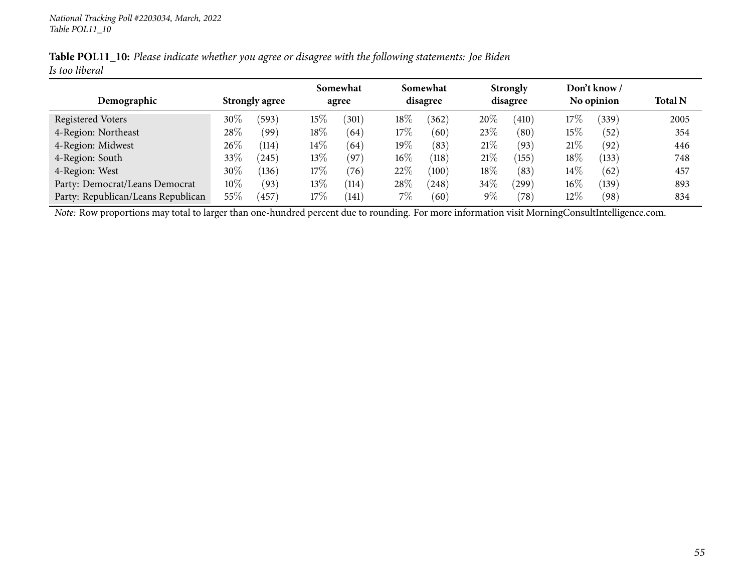|                | Table POL11_10: Please indicate whether you agree or disagree with the following statements: Joe Biden |  |
|----------------|--------------------------------------------------------------------------------------------------------|--|
| Is too liberal |                                                                                                        |  |

|                                    |        |                       |        | Somewhat |        | Somewhat |        | <b>Strongly</b>         |        | Don't know / |      |
|------------------------------------|--------|-----------------------|--------|----------|--------|----------|--------|-------------------------|--------|--------------|------|
| Demographic                        |        | <b>Strongly agree</b> |        | agree    |        | disagree |        | disagree                |        | No opinion   |      |
| <b>Registered Voters</b>           | 30%    | (593)                 | $15\%$ | (301)    | $18\%$ | (362)    | 20%    | $^{\prime}410^{\prime}$ | 17\%   | 339          | 2005 |
| 4-Region: Northeast                | 28\%   | (99`                  | $18\%$ | (64)     | 17%    | (60)     | 23\%   | (80)                    | 15%    | (52)         | 354  |
| 4-Region: Midwest                  | 26\%   | (114)                 | $14\%$ | (64)     | $19\%$ | (83)     | 21%    | (93)                    | 21%    | (92)         | 446  |
| 4-Region: South                    | 33\%   | (245)                 | 13%    | 197      | $16\%$ | (118)    | 21%    | 155                     | 18\%   | (133)        | 748  |
| 4-Region: West                     | 30%    | (136)                 | 17%    | (76)     | 22%    | (100)    | $18\%$ | (83)                    | $14\%$ | (62)         | 457  |
| Party: Democrat/Leans Democrat     | $10\%$ | (93)                  | 13%    | (114)    | 28\%   | (248)    | 34\%   | 299                     | $16\%$ | 139          | 893  |
| Party: Republican/Leans Republican | $55\%$ | 457                   | $17\%$ | (141)    | $7\%$  | (60)     | 9%     | $^{\prime}78)$          | 12%    | (98)         | 834  |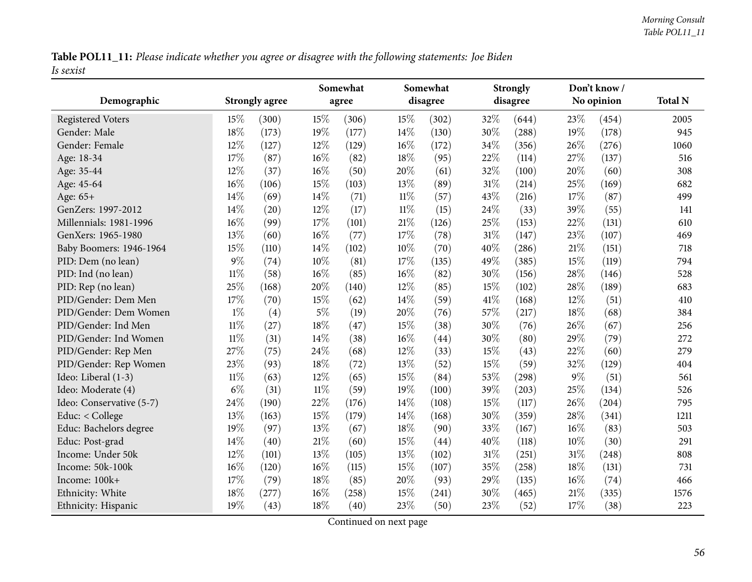Table POL11\_11: Please indicate whether you agree or disagree with the following statements: Joe Biden *Is sexist*

|                          |        |                       |        | Somewhat |        | Somewhat           |        | <b>Strongly</b> |        | Don't know/ |                |
|--------------------------|--------|-----------------------|--------|----------|--------|--------------------|--------|-----------------|--------|-------------|----------------|
| Demographic              |        | <b>Strongly agree</b> |        | agree    |        | disagree           |        | disagree        |        | No opinion  | <b>Total N</b> |
| <b>Registered Voters</b> | 15%    | (300)                 | 15%    | (306)    | 15%    | (302)              | 32%    | (644)           | 23%    | (454)       | 2005           |
| Gender: Male             | 18%    | (173)                 | 19%    | (177)    | 14%    | (130)              | 30%    | (288)           | 19%    | (178)       | 945            |
| Gender: Female           | 12%    | (127)                 | 12%    | (129)    | 16%    | (172)              | 34%    | (356)           | 26%    | (276)       | 1060           |
| Age: 18-34               | 17%    | (87)                  | 16%    | (82)     | 18%    | (95)               | 22%    | (114)           | 27%    | (137)       | 516            |
| Age: 35-44               | 12%    | (37)                  | 16%    | (50)     | 20%    | (61)               | 32%    | (100)           | 20%    | (60)        | 308            |
| Age: 45-64               | 16%    | (106)                 | 15%    | (103)    | 13%    | (89)               | $31\%$ | (214)           | 25%    | (169)       | 682            |
| Age: 65+                 | 14%    | (69)                  | 14\%   | (71)     | $11\%$ | (57)               | 43%    | (216)           | 17%    | (87)        | 499            |
| GenZers: 1997-2012       | 14%    | (20)                  | 12%    | (17)     | $11\%$ | (15)               | 24%    | (33)            | 39%    | (55)        | 141            |
| Millennials: 1981-1996   | 16%    | (99)                  | 17%    | (101)    | 21%    | (126)              | 25%    | (153)           | 22%    | (131)       | 610            |
| GenXers: 1965-1980       | 13%    | (60)                  | 16%    | (77)     | 17%    | (78)               | $31\%$ | (147)           | 23%    | (107)       | 469            |
| Baby Boomers: 1946-1964  | 15%    | (110)                 | 14%    | (102)    | 10%    | (70)               | 40%    | (286)           | $21\%$ | (151)       | 718            |
| PID: Dem (no lean)       | 9%     | (74)                  | 10%    | (81)     | 17%    | (135)              | 49%    | (385)           | 15%    | (119)       | 794            |
| PID: Ind (no lean)       | $11\%$ | (58)                  | 16%    | (85)     | 16%    | (82)               | 30%    | (156)           | 28%    | (146)       | 528            |
| PID: Rep (no lean)       | 25%    | (168)                 | 20%    | (140)    | 12%    | (85)               | 15%    | (102)           | 28%    | (189)       | 683            |
| PID/Gender: Dem Men      | 17%    | (70)                  | 15%    | (62)     | 14%    | (59)               | $41\%$ | (168)           | 12%    | (51)        | 410            |
| PID/Gender: Dem Women    | $1\%$  | (4)                   | $5\%$  | (19)     | 20%    | (76)               | 57%    | (217)           | 18%    | (68)        | 384            |
| PID/Gender: Ind Men      | $11\%$ | (27)                  | 18%    | (47)     | 15%    | (38)               | 30%    | (76)            | 26%    | (67)        | 256            |
| PID/Gender: Ind Women    | $11\%$ | (31)                  | 14%    | (38)     | 16%    | $\left( 44\right)$ | 30%    | (80)            | 29%    | (79)        | 272            |
| PID/Gender: Rep Men      | 27%    | (75)                  | 24%    | (68)     | 12%    | (33)               | 15%    | (43)            | 22%    | (60)        | 279            |
| PID/Gender: Rep Women    | 23%    | (93)                  | 18%    | (72)     | 13%    | (52)               | 15%    | (59)            | 32%    | (129)       | 404            |
| Ideo: Liberal (1-3)      | $11\%$ | (63)                  | 12%    | (65)     | 15%    | (84)               | 53%    | (298)           | $9\%$  | (51)        | 561            |
| Ideo: Moderate (4)       | $6\%$  | (31)                  | $11\%$ | (59)     | 19%    | (100)              | 39%    | (203)           | 25%    | (134)       | 526            |
| Ideo: Conservative (5-7) | 24%    | (190)                 | 22%    | (176)    | 14%    | (108)              | 15%    | (117)           | 26%    | (204)       | 795            |
| Educ: < College          | 13%    | (163)                 | 15%    | (179)    | 14%    | (168)              | 30%    | (359)           | 28%    | (341)       | 1211           |
| Educ: Bachelors degree   | 19%    | (97)                  | 13%    | (67)     | 18%    | (90)               | 33%    | (167)           | $16\%$ | (83)        | 503            |
| Educ: Post-grad          | 14%    | (40)                  | 21%    | (60)     | 15%    | (44)               | 40%    | (118)           | $10\%$ | (30)        | 291            |
| Income: Under 50k        | 12%    | (101)                 | 13%    | (105)    | 13%    | (102)              | $31\%$ | (251)           | 31%    | (248)       | 808            |
| Income: 50k-100k         | 16%    | (120)                 | 16%    | (115)    | 15%    | (107)              | 35%    | (258)           | 18%    | (131)       | 731            |
| Income: 100k+            | 17%    | (79)                  | 18%    | (85)     | 20%    | (93)               | 29%    | (135)           | $16\%$ | (74)        | 466            |
| Ethnicity: White         | 18%    | (277)                 | 16%    | (258)    | 15%    | (241)              | 30%    | (465)           | 21%    | (335)       | 1576           |
| Ethnicity: Hispanic      | 19%    | (43)                  | 18%    | (40)     | 23%    | (50)               | 23%    | (52)            | 17%    | (38)        | 223            |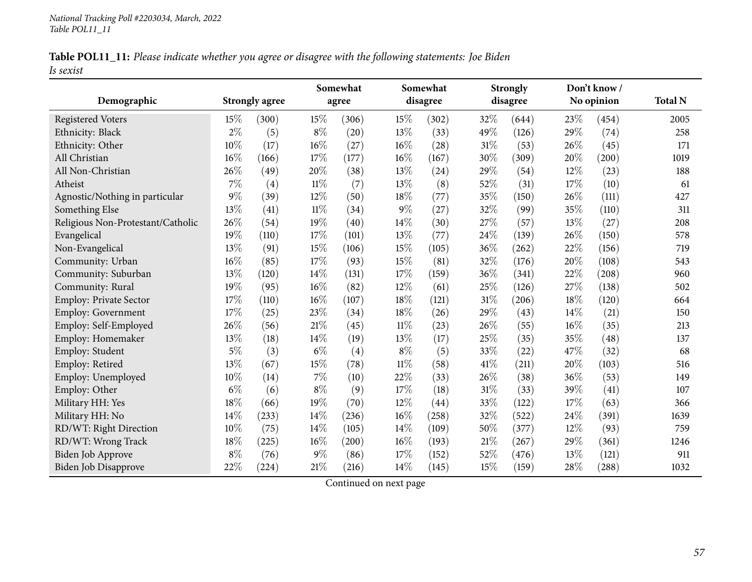|           | Table POL11_11: Please indicate whether you agree or disagree with the following statements: Joe Biden |  |
|-----------|--------------------------------------------------------------------------------------------------------|--|
| Is sexist |                                                                                                        |  |

|                                   |       |                       |        | Somewhat |        | Somewhat<br>disagree |        | <b>Strongly</b><br>disagree |     | Don't know /<br>No opinion |                |  |
|-----------------------------------|-------|-----------------------|--------|----------|--------|----------------------|--------|-----------------------------|-----|----------------------------|----------------|--|
| Demographic                       |       | <b>Strongly agree</b> |        | agree    |        |                      |        |                             |     |                            | <b>Total N</b> |  |
| <b>Registered Voters</b>          | 15%   | (300)                 | 15%    | (306)    | 15%    | (302)                | 32\%   | (644)                       | 23% | (454)                      | 2005           |  |
| Ethnicity: Black                  | $2\%$ | (5)                   | $8\%$  | (20)     | 13%    | (33)                 | 49%    | (126)                       | 29% | (74)                       | 258            |  |
| Ethnicity: Other                  | 10%   | (17)                  | 16%    | (27)     | 16%    | (28)                 | 31%    | (53)                        | 26% | (45)                       | 171            |  |
| All Christian                     | 16%   | (166)                 | 17%    | (177)    | 16%    | (167)                | 30%    | (309)                       | 20% | (200)                      | 1019           |  |
| All Non-Christian                 | 26%   | (49)                  | 20%    | (38)     | 13%    | (24)                 | 29%    | (54)                        | 12% | (23)                       | 188            |  |
| Atheist                           | 7%    | (4)                   | $11\%$ | (7)      | 13%    | (8)                  | 52%    | (31)                        | 17% | (10)                       | 61             |  |
| Agnostic/Nothing in particular    | $9\%$ | (39)                  | 12%    | (50)     | 18%    | (77)                 | 35%    | (150)                       | 26% | (111)                      | 427            |  |
| Something Else                    | 13%   | (41)                  | $11\%$ | (34)     | $9\%$  | (27)                 | 32%    | (99)                        | 35% | (110)                      | 311            |  |
| Religious Non-Protestant/Catholic | 26%   | (54)                  | 19%    | (40)     | 14%    | (30)                 | 27%    | (57)                        | 13% | (27)                       | 208            |  |
| Evangelical                       | 19%   | (110)                 | 17%    | (101)    | 13%    | (77)                 | 24\%   | (139)                       | 26% | (150)                      | 578            |  |
| Non-Evangelical                   | 13%   | (91)                  | 15%    | (106)    | 15%    | (105)                | 36%    | (262)                       | 22% | (156)                      | 719            |  |
| Community: Urban                  | 16%   | (85)                  | 17%    | (93)     | 15%    | (81)                 | 32%    | (176)                       | 20% | (108)                      | 543            |  |
| Community: Suburban               | 13%   | (120)                 | 14%    | (131)    | 17%    | (159)                | 36%    | (341)                       | 22% | (208)                      | 960            |  |
| Community: Rural                  | 19%   | (95)                  | 16%    | (82)     | 12%    | (61)                 | 25%    | (126)                       | 27% | (138)                      | 502            |  |
| Employ: Private Sector            | 17%   | (110)                 | 16%    | (107)    | 18%    | (121)                | 31%    | (206)                       | 18% | (120)                      | 664            |  |
| Employ: Government                | 17%   | (25)                  | 23%    | (34)     | 18%    | (26)                 | 29%    | (43)                        | 14% | (21)                       | 150            |  |
| Employ: Self-Employed             | 26%   | (56)                  | 21%    | (45)     | $11\%$ | (23)                 | 26%    | (55)                        | 16% | (35)                       | 213            |  |
| Employ: Homemaker                 | 13%   | (18)                  | 14%    | (19)     | 13%    | (17)                 | 25%    | (35)                        | 35% | (48)                       | 137            |  |
| Employ: Student                   | $5\%$ | (3)                   | $6\%$  | (4)      | $8\%$  | (5)                  | 33%    | (22)                        | 47% | (32)                       | 68             |  |
| Employ: Retired                   | 13%   | (67)                  | 15%    | (78)     | $11\%$ | (58)                 | 41%    | (211)                       | 20% | (103)                      | 516            |  |
| Employ: Unemployed                | 10%   | (14)                  | 7%     | (10)     | 22%    | (33)                 | 26%    | (38)                        | 36% | (53)                       | 149            |  |
| Employ: Other                     | $6\%$ | (6)                   | $8\%$  | (9)      | 17%    | (18)                 | 31%    | (33)                        | 39% | (41)                       | 107            |  |
| Military HH: Yes                  | 18%   | (66)                  | 19%    | (70)     | 12%    | (44)                 | 33%    | (122)                       | 17% | (63)                       | 366            |  |
| Military HH: No                   | 14%   | (233)                 | 14%    | (236)    | 16%    | (258)                | 32%    | (522)                       | 24% | (391)                      | 1639           |  |
| RD/WT: Right Direction            | 10%   | (75)                  | 14%    | (105)    | 14\%   | (109)                | 50%    | (377)                       | 12% | (93)                       | 759            |  |
| RD/WT: Wrong Track                | 18%   | (225)                 | 16%    | (200)    | $16\%$ | (193)                | $21\%$ | (267)                       | 29% | (361)                      | 1246           |  |
| <b>Biden Job Approve</b>          | $8\%$ | (76)                  | 9%     | (86)     | 17%    | (152)                | 52%    | (476)                       | 13% | (121)                      | 911            |  |
| <b>Biden Job Disapprove</b>       | 22%   | (224)                 | 21%    | (216)    | 14%    | (145)                | 15%    | (159)                       | 28% | (288)                      | 1032           |  |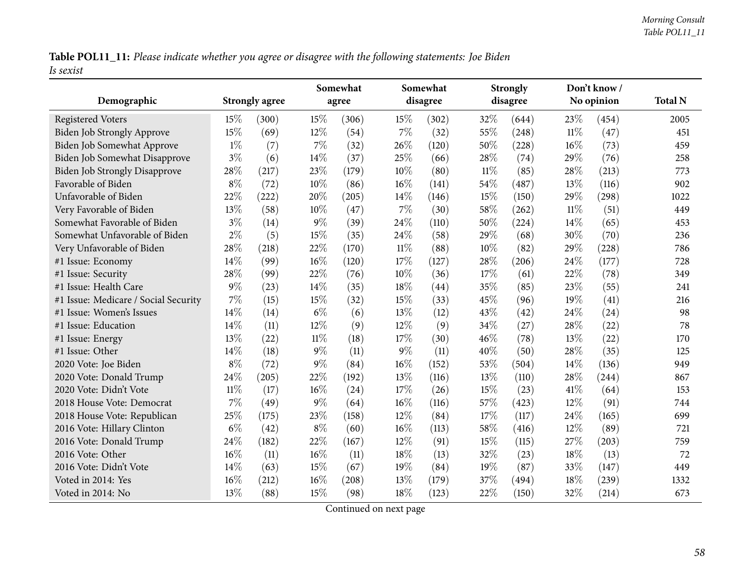Table POL11\_11: Please indicate whether you agree or disagree with the following statements: Joe Biden *Is sexist*

|     |                                                                                                                                                                                                                             |                                                                                                                                                                                                                                                                            | Somewhat                                                                                                                                                                                                                         |                                                                                                                                                                                                                                                              | Somewhat                                                                                                                                                                                                                                |                                                                                                                                                                                                                                                                     | <b>Strongly</b>                                                                                                                                                                                                          |                                                                                                                                                                                                                                                                                        | Don't know /                                                                                                                                                                                                         | <b>Total N</b>                                                                                                                                                                                                                                                          |
|-----|-----------------------------------------------------------------------------------------------------------------------------------------------------------------------------------------------------------------------------|----------------------------------------------------------------------------------------------------------------------------------------------------------------------------------------------------------------------------------------------------------------------------|----------------------------------------------------------------------------------------------------------------------------------------------------------------------------------------------------------------------------------|--------------------------------------------------------------------------------------------------------------------------------------------------------------------------------------------------------------------------------------------------------------|-----------------------------------------------------------------------------------------------------------------------------------------------------------------------------------------------------------------------------------------|---------------------------------------------------------------------------------------------------------------------------------------------------------------------------------------------------------------------------------------------------------------------|--------------------------------------------------------------------------------------------------------------------------------------------------------------------------------------------------------------------------|----------------------------------------------------------------------------------------------------------------------------------------------------------------------------------------------------------------------------------------------------------------------------------------|----------------------------------------------------------------------------------------------------------------------------------------------------------------------------------------------------------------------|-------------------------------------------------------------------------------------------------------------------------------------------------------------------------------------------------------------------------------------------------------------------------|
|     |                                                                                                                                                                                                                             |                                                                                                                                                                                                                                                                            |                                                                                                                                                                                                                                  |                                                                                                                                                                                                                                                              |                                                                                                                                                                                                                                         |                                                                                                                                                                                                                                                                     |                                                                                                                                                                                                                          |                                                                                                                                                                                                                                                                                        |                                                                                                                                                                                                                      | 2005                                                                                                                                                                                                                                                                    |
|     |                                                                                                                                                                                                                             |                                                                                                                                                                                                                                                                            |                                                                                                                                                                                                                                  |                                                                                                                                                                                                                                                              |                                                                                                                                                                                                                                         |                                                                                                                                                                                                                                                                     |                                                                                                                                                                                                                          |                                                                                                                                                                                                                                                                                        |                                                                                                                                                                                                                      | 451                                                                                                                                                                                                                                                                     |
|     |                                                                                                                                                                                                                             |                                                                                                                                                                                                                                                                            |                                                                                                                                                                                                                                  |                                                                                                                                                                                                                                                              |                                                                                                                                                                                                                                         |                                                                                                                                                                                                                                                                     |                                                                                                                                                                                                                          |                                                                                                                                                                                                                                                                                        |                                                                                                                                                                                                                      | 459                                                                                                                                                                                                                                                                     |
|     |                                                                                                                                                                                                                             |                                                                                                                                                                                                                                                                            |                                                                                                                                                                                                                                  |                                                                                                                                                                                                                                                              |                                                                                                                                                                                                                                         |                                                                                                                                                                                                                                                                     |                                                                                                                                                                                                                          |                                                                                                                                                                                                                                                                                        |                                                                                                                                                                                                                      | 258                                                                                                                                                                                                                                                                     |
|     |                                                                                                                                                                                                                             |                                                                                                                                                                                                                                                                            |                                                                                                                                                                                                                                  |                                                                                                                                                                                                                                                              |                                                                                                                                                                                                                                         |                                                                                                                                                                                                                                                                     |                                                                                                                                                                                                                          |                                                                                                                                                                                                                                                                                        |                                                                                                                                                                                                                      | 773                                                                                                                                                                                                                                                                     |
|     |                                                                                                                                                                                                                             |                                                                                                                                                                                                                                                                            |                                                                                                                                                                                                                                  |                                                                                                                                                                                                                                                              |                                                                                                                                                                                                                                         |                                                                                                                                                                                                                                                                     |                                                                                                                                                                                                                          |                                                                                                                                                                                                                                                                                        |                                                                                                                                                                                                                      | 902                                                                                                                                                                                                                                                                     |
|     |                                                                                                                                                                                                                             |                                                                                                                                                                                                                                                                            |                                                                                                                                                                                                                                  |                                                                                                                                                                                                                                                              |                                                                                                                                                                                                                                         |                                                                                                                                                                                                                                                                     |                                                                                                                                                                                                                          |                                                                                                                                                                                                                                                                                        |                                                                                                                                                                                                                      | 1022                                                                                                                                                                                                                                                                    |
|     |                                                                                                                                                                                                                             |                                                                                                                                                                                                                                                                            |                                                                                                                                                                                                                                  |                                                                                                                                                                                                                                                              |                                                                                                                                                                                                                                         |                                                                                                                                                                                                                                                                     |                                                                                                                                                                                                                          |                                                                                                                                                                                                                                                                                        |                                                                                                                                                                                                                      | 449                                                                                                                                                                                                                                                                     |
|     |                                                                                                                                                                                                                             |                                                                                                                                                                                                                                                                            |                                                                                                                                                                                                                                  |                                                                                                                                                                                                                                                              |                                                                                                                                                                                                                                         |                                                                                                                                                                                                                                                                     |                                                                                                                                                                                                                          |                                                                                                                                                                                                                                                                                        |                                                                                                                                                                                                                      | 453                                                                                                                                                                                                                                                                     |
|     |                                                                                                                                                                                                                             |                                                                                                                                                                                                                                                                            |                                                                                                                                                                                                                                  |                                                                                                                                                                                                                                                              |                                                                                                                                                                                                                                         |                                                                                                                                                                                                                                                                     |                                                                                                                                                                                                                          |                                                                                                                                                                                                                                                                                        |                                                                                                                                                                                                                      | 236                                                                                                                                                                                                                                                                     |
|     |                                                                                                                                                                                                                             |                                                                                                                                                                                                                                                                            |                                                                                                                                                                                                                                  |                                                                                                                                                                                                                                                              |                                                                                                                                                                                                                                         |                                                                                                                                                                                                                                                                     |                                                                                                                                                                                                                          |                                                                                                                                                                                                                                                                                        |                                                                                                                                                                                                                      | 786                                                                                                                                                                                                                                                                     |
|     |                                                                                                                                                                                                                             |                                                                                                                                                                                                                                                                            |                                                                                                                                                                                                                                  |                                                                                                                                                                                                                                                              |                                                                                                                                                                                                                                         |                                                                                                                                                                                                                                                                     |                                                                                                                                                                                                                          |                                                                                                                                                                                                                                                                                        |                                                                                                                                                                                                                      | 728                                                                                                                                                                                                                                                                     |
|     |                                                                                                                                                                                                                             |                                                                                                                                                                                                                                                                            |                                                                                                                                                                                                                                  |                                                                                                                                                                                                                                                              |                                                                                                                                                                                                                                         |                                                                                                                                                                                                                                                                     |                                                                                                                                                                                                                          |                                                                                                                                                                                                                                                                                        |                                                                                                                                                                                                                      | 349                                                                                                                                                                                                                                                                     |
|     |                                                                                                                                                                                                                             |                                                                                                                                                                                                                                                                            |                                                                                                                                                                                                                                  |                                                                                                                                                                                                                                                              |                                                                                                                                                                                                                                         |                                                                                                                                                                                                                                                                     |                                                                                                                                                                                                                          |                                                                                                                                                                                                                                                                                        |                                                                                                                                                                                                                      | 241                                                                                                                                                                                                                                                                     |
|     |                                                                                                                                                                                                                             |                                                                                                                                                                                                                                                                            |                                                                                                                                                                                                                                  |                                                                                                                                                                                                                                                              |                                                                                                                                                                                                                                         |                                                                                                                                                                                                                                                                     |                                                                                                                                                                                                                          |                                                                                                                                                                                                                                                                                        |                                                                                                                                                                                                                      | 216                                                                                                                                                                                                                                                                     |
|     |                                                                                                                                                                                                                             |                                                                                                                                                                                                                                                                            |                                                                                                                                                                                                                                  |                                                                                                                                                                                                                                                              |                                                                                                                                                                                                                                         |                                                                                                                                                                                                                                                                     |                                                                                                                                                                                                                          |                                                                                                                                                                                                                                                                                        |                                                                                                                                                                                                                      | 98                                                                                                                                                                                                                                                                      |
|     |                                                                                                                                                                                                                             |                                                                                                                                                                                                                                                                            |                                                                                                                                                                                                                                  |                                                                                                                                                                                                                                                              |                                                                                                                                                                                                                                         |                                                                                                                                                                                                                                                                     |                                                                                                                                                                                                                          |                                                                                                                                                                                                                                                                                        |                                                                                                                                                                                                                      | 78                                                                                                                                                                                                                                                                      |
|     |                                                                                                                                                                                                                             |                                                                                                                                                                                                                                                                            |                                                                                                                                                                                                                                  |                                                                                                                                                                                                                                                              |                                                                                                                                                                                                                                         |                                                                                                                                                                                                                                                                     |                                                                                                                                                                                                                          |                                                                                                                                                                                                                                                                                        |                                                                                                                                                                                                                      | 170                                                                                                                                                                                                                                                                     |
|     |                                                                                                                                                                                                                             |                                                                                                                                                                                                                                                                            |                                                                                                                                                                                                                                  |                                                                                                                                                                                                                                                              |                                                                                                                                                                                                                                         |                                                                                                                                                                                                                                                                     |                                                                                                                                                                                                                          |                                                                                                                                                                                                                                                                                        |                                                                                                                                                                                                                      | 125                                                                                                                                                                                                                                                                     |
|     |                                                                                                                                                                                                                             |                                                                                                                                                                                                                                                                            |                                                                                                                                                                                                                                  |                                                                                                                                                                                                                                                              |                                                                                                                                                                                                                                         |                                                                                                                                                                                                                                                                     |                                                                                                                                                                                                                          |                                                                                                                                                                                                                                                                                        |                                                                                                                                                                                                                      | 949                                                                                                                                                                                                                                                                     |
|     |                                                                                                                                                                                                                             |                                                                                                                                                                                                                                                                            |                                                                                                                                                                                                                                  |                                                                                                                                                                                                                                                              |                                                                                                                                                                                                                                         |                                                                                                                                                                                                                                                                     |                                                                                                                                                                                                                          |                                                                                                                                                                                                                                                                                        |                                                                                                                                                                                                                      | 867                                                                                                                                                                                                                                                                     |
|     |                                                                                                                                                                                                                             |                                                                                                                                                                                                                                                                            |                                                                                                                                                                                                                                  |                                                                                                                                                                                                                                                              |                                                                                                                                                                                                                                         |                                                                                                                                                                                                                                                                     |                                                                                                                                                                                                                          |                                                                                                                                                                                                                                                                                        |                                                                                                                                                                                                                      | 153                                                                                                                                                                                                                                                                     |
|     |                                                                                                                                                                                                                             |                                                                                                                                                                                                                                                                            |                                                                                                                                                                                                                                  |                                                                                                                                                                                                                                                              |                                                                                                                                                                                                                                         |                                                                                                                                                                                                                                                                     |                                                                                                                                                                                                                          |                                                                                                                                                                                                                                                                                        |                                                                                                                                                                                                                      | 744                                                                                                                                                                                                                                                                     |
|     |                                                                                                                                                                                                                             |                                                                                                                                                                                                                                                                            |                                                                                                                                                                                                                                  |                                                                                                                                                                                                                                                              |                                                                                                                                                                                                                                         |                                                                                                                                                                                                                                                                     |                                                                                                                                                                                                                          |                                                                                                                                                                                                                                                                                        |                                                                                                                                                                                                                      | 699                                                                                                                                                                                                                                                                     |
|     |                                                                                                                                                                                                                             |                                                                                                                                                                                                                                                                            |                                                                                                                                                                                                                                  |                                                                                                                                                                                                                                                              |                                                                                                                                                                                                                                         |                                                                                                                                                                                                                                                                     |                                                                                                                                                                                                                          |                                                                                                                                                                                                                                                                                        |                                                                                                                                                                                                                      | 721                                                                                                                                                                                                                                                                     |
|     |                                                                                                                                                                                                                             |                                                                                                                                                                                                                                                                            |                                                                                                                                                                                                                                  |                                                                                                                                                                                                                                                              |                                                                                                                                                                                                                                         |                                                                                                                                                                                                                                                                     |                                                                                                                                                                                                                          |                                                                                                                                                                                                                                                                                        |                                                                                                                                                                                                                      | 759                                                                                                                                                                                                                                                                     |
|     |                                                                                                                                                                                                                             |                                                                                                                                                                                                                                                                            |                                                                                                                                                                                                                                  |                                                                                                                                                                                                                                                              |                                                                                                                                                                                                                                         |                                                                                                                                                                                                                                                                     |                                                                                                                                                                                                                          |                                                                                                                                                                                                                                                                                        |                                                                                                                                                                                                                      | 72                                                                                                                                                                                                                                                                      |
|     |                                                                                                                                                                                                                             |                                                                                                                                                                                                                                                                            |                                                                                                                                                                                                                                  |                                                                                                                                                                                                                                                              |                                                                                                                                                                                                                                         |                                                                                                                                                                                                                                                                     |                                                                                                                                                                                                                          |                                                                                                                                                                                                                                                                                        |                                                                                                                                                                                                                      | 449                                                                                                                                                                                                                                                                     |
|     |                                                                                                                                                                                                                             |                                                                                                                                                                                                                                                                            |                                                                                                                                                                                                                                  |                                                                                                                                                                                                                                                              |                                                                                                                                                                                                                                         |                                                                                                                                                                                                                                                                     |                                                                                                                                                                                                                          |                                                                                                                                                                                                                                                                                        |                                                                                                                                                                                                                      | 1332                                                                                                                                                                                                                                                                    |
| 13% |                                                                                                                                                                                                                             |                                                                                                                                                                                                                                                                            |                                                                                                                                                                                                                                  |                                                                                                                                                                                                                                                              |                                                                                                                                                                                                                                         |                                                                                                                                                                                                                                                                     |                                                                                                                                                                                                                          |                                                                                                                                                                                                                                                                                        |                                                                                                                                                                                                                      | 673                                                                                                                                                                                                                                                                     |
|     | 15%<br>15%<br>$1\%$<br>$3\%$<br>28%<br>$8\%$<br>22%<br>13%<br>$3\%$<br>$2\%$<br>28%<br>14%<br>28%<br>$9\%$<br>$7\%$<br>14%<br>14%<br>13%<br>14%<br>$8\%$<br>24%<br>$11\%$<br>7%<br>25%<br>$6\%$<br>24%<br>16%<br>14%<br>16% | <b>Strongly agree</b><br>(300)<br>(69)<br>(7)<br>(6)<br>(217)<br>(72)<br>(222)<br>(58)<br>(14)<br>(5)<br>(218)<br>(99)<br>(99)<br>(23)<br>(15)<br>(14)<br>(11)<br>(22)<br>(18)<br>(72)<br>(205)<br>(17)<br>(49)<br>(175)<br>(42)<br>(182)<br>(11)<br>(63)<br>(212)<br>(88) | 15%<br>12%<br>7%<br>14%<br>23%<br>10%<br>20%<br>10%<br>$9\%$<br>15%<br>22%<br>16%<br>22%<br>14\%<br>15%<br>$6\%$<br>12%<br>$11\%$<br>$9\%$<br>$9\%$<br>22%<br>16%<br>$9\%$<br>23%<br>$8\%$<br>22%<br>$16\%$<br>15%<br>16%<br>15% | agree<br>(306)<br>(54)<br>(32)<br>(37)<br>(179)<br>(86)<br>(205)<br>(47)<br>(39)<br>(35)<br>(170)<br>(120)<br>(76)<br>(35)<br>(32)<br>(6)<br>(9)<br>(18)<br>(11)<br>(84)<br>(192)<br>(24)<br>(64)<br>(158)<br>(60)<br>(167)<br>(11)<br>(67)<br>(208)<br>(98) | 15%<br>$7\%$<br>26%<br>25%<br>10%<br>$16\%$<br>14%<br>$7\%$<br>24%<br>24\%<br>$11\%$<br>17%<br>10%<br>18%<br>15%<br>13%<br>12%<br>17%<br>$9\%$<br>$16\%$<br>13%<br>17%<br>$16\%$<br>$12\%$<br>$16\%$<br>12%<br>18%<br>19%<br>13%<br>18% | disagree<br>(302)<br>(32)<br>(120)<br>(66)<br>(80)<br>(141)<br>(146)<br>(30)<br>(110)<br>(58)<br>(88)<br>(127)<br>(36)<br>(44)<br>(33)<br>(12)<br>(9)<br>(30)<br>(11)<br>(152)<br>(116)<br>(26)<br>(116)<br>(84)<br>(113)<br>(91)<br>(13)<br>(84)<br>(179)<br>(123) | 32%<br>55%<br>50%<br>28\%<br>$11\%$<br>54\%<br>15%<br>58\%<br>50%<br>29%<br>10%<br>28%<br>$17\%$<br>35%<br>45%<br>43%<br>34%<br>46%<br>40%<br>53%<br>13%<br>15%<br>57%<br>17%<br>58\%<br>15%<br>32%<br>19%<br>37%<br>22% | disagree<br>(644)<br>(248)<br>(228)<br>(74)<br>(85)<br>(487)<br>(150)<br>(262)<br>(224)<br>(68)<br>(82)<br>(206)<br>(61)<br>(85)<br>(96)<br>(42)<br>$\left( 27\right)$<br>(78)<br>(50)<br>(504)<br>(110)<br>(23)<br>(423)<br>(117)<br>(416)<br>(115)<br>(23)<br>(87)<br>(494)<br>(150) | 23%<br>$11\%$<br>16%<br>29%<br>28%<br>13%<br>29%<br>$11\%$<br>14%<br>30%<br>29%<br>24%<br>22%<br>23%<br>19%<br>24%<br>28%<br>13%<br>28%<br>14%<br>28%<br>41%<br>12%<br>24%<br>12%<br>27%<br>18%<br>33%<br>18%<br>32% | No opinion<br>(454)<br>(47)<br>(73)<br>(76)<br>(213)<br>(116)<br>(298)<br>(51)<br>(65)<br>(70)<br>(228)<br>(177)<br>(78)<br>(55)<br>(41)<br>(24)<br>(22)<br>(22)<br>(35)<br>(136)<br>(244)<br>(64)<br>(91)<br>(165)<br>(89)<br>(203)<br>(13)<br>(147)<br>(239)<br>(214) |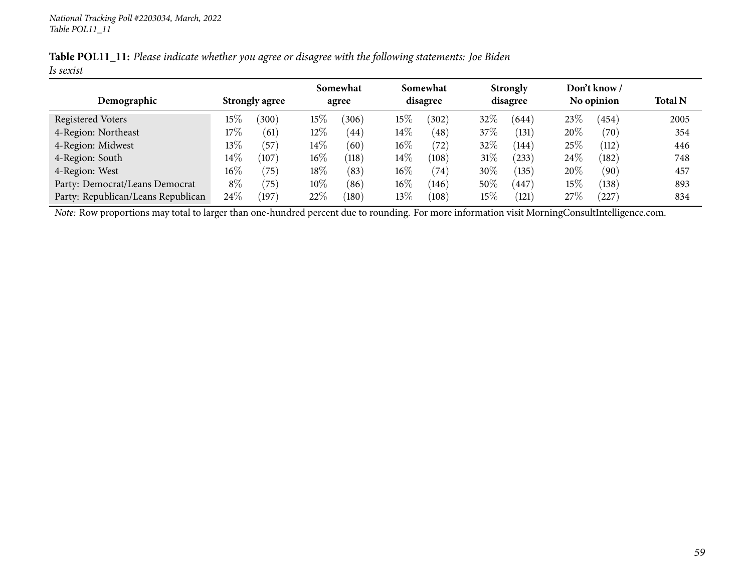|           | Table POL11_11: Please indicate whether you agree or disagree with the following statements: Joe Biden |  |
|-----------|--------------------------------------------------------------------------------------------------------|--|
| Is sexist |                                                                                                        |  |

|                                    |                       |                       | Somewhat           |        | Somewhat |        | <b>Strongly</b> |        | Don't know / |                |
|------------------------------------|-----------------------|-----------------------|--------------------|--------|----------|--------|-----------------|--------|--------------|----------------|
| Demographic                        | <b>Strongly agree</b> |                       | agree              |        | disagree |        | disagree        |        | No opinion   | <b>Total N</b> |
| Registered Voters                  | $15\%$<br>(300)       | $15\%$                | (306)              | $15\%$ | (302)    | 32%    | (644)           | 23\%   | (454)        | 2005           |
| 4-Region: Northeast                | $17\%$                | $12\%$<br>(61)        | 44                 | $14\%$ | (48)     | 37%    | (131)           | 20%    | (70)         | 354            |
| 4-Region: Midwest                  | $13\%$                | $14\%$<br>(57)        | (60)               | $16\%$ | (72)     | 32%    | (144)           | 25\%   | (112)        | 446            |
| 4-Region: South                    | $14\%$                | $16\%$<br>(107)       | $\left(118\right)$ | $14\%$ | (108)    | $31\%$ | (233)           | 24\%   | (182)        | 748            |
| 4-Region: West                     | $16\%$                | $18\%$<br>(75)        | (83)               | $16\%$ | (74)     | 30\%   | (135)           | 20%    | (90)         | 457            |
| Party: Democrat/Leans Democrat     | $8\%$                 | 10\%<br>(75)          | $\sqrt{86}$        | $16\%$ | (146)    | 50%    | 447             | $15\%$ | (138)        | 893            |
| Party: Republican/Leans Republican | $24\%$                | 22%<br>$^{\prime}197$ | $\left(180\right)$ | $13\%$ | (108)    | $15\%$ | (121            | 27\%   | (227)        | 834            |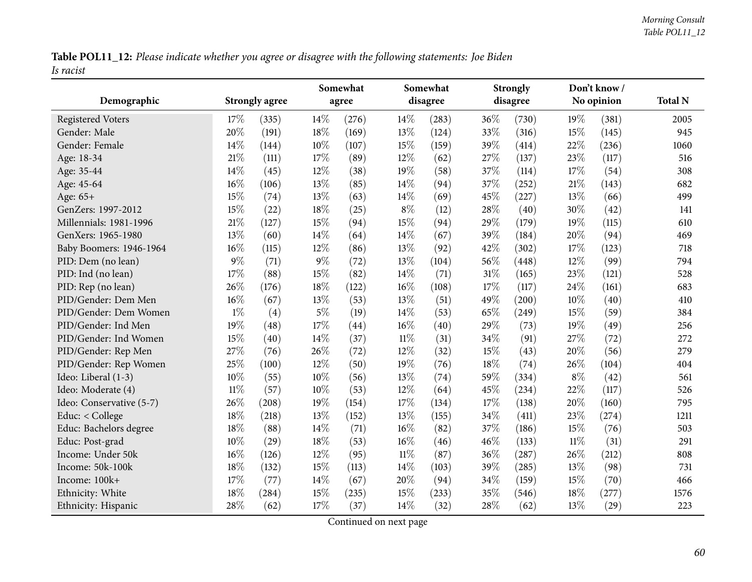Table POL11\_12: Please indicate whether you agree or disagree with the following statements: Joe Biden *Is racist*

|                          |        |                       |       | Somewhat |        | Somewhat |     | <b>Strongly</b>     |        | Don't know/ |                |
|--------------------------|--------|-----------------------|-------|----------|--------|----------|-----|---------------------|--------|-------------|----------------|
| Demographic              |        | <b>Strongly agree</b> |       | agree    |        | disagree |     | disagree            |        | No opinion  | <b>Total N</b> |
| <b>Registered Voters</b> | 17%    | (335)                 | 14\%  | (276)    | 14%    | (283)    | 36% | (730)               | 19%    | (381)       | 2005           |
| Gender: Male             | 20%    | (191)                 | 18%   | (169)    | 13%    | (124)    | 33% | (316)               | 15%    | (145)       | 945            |
| Gender: Female           | 14%    | (144)                 | 10%   | (107)    | 15%    | (159)    | 39% | (414)               | 22%    | (236)       | 1060           |
| Age: 18-34               | 21%    | (111)                 | 17%   | (89)     | $12\%$ | (62)     | 27% | (137)               | 23%    | (117)       | 516            |
| Age: 35-44               | 14%    | (45)                  | 12%   | (38)     | 19%    | (58)     | 37% | (114)               | 17%    | (54)        | 308            |
| Age: 45-64               | 16%    | (106)                 | 13%   | (85)     | 14\%   | (94)     | 37% | (252)               | 21%    | (143)       | 682            |
| Age: 65+                 | 15%    | (74)                  | 13%   | (63)     | 14%    | (69)     | 45% | (227)               | 13%    | (66)        | 499            |
| GenZers: 1997-2012       | 15%    | (22)                  | 18%   | (25)     | $8\%$  | (12)     | 28% | (40)                | 30%    | (42)        | 141            |
| Millennials: 1981-1996   | 21%    | (127)                 | 15%   | (94)     | 15%    | (94)     | 29% | (179)               | 19%    | (115)       | 610            |
| GenXers: 1965-1980       | 13%    | (60)                  | 14%   | (64)     | 14%    | (67)     | 39% | (184)               | 20%    | (94)        | 469            |
| Baby Boomers: 1946-1964  | 16%    | (115)                 | 12%   | (86)     | 13%    | (92)     | 42% | (302)               | 17%    | (123)       | 718            |
| PID: Dem (no lean)       | 9%     | (71)                  | $9\%$ | (72)     | 13%    | (104)    | 56% | (448)               | 12%    | (99)        | 794            |
| PID: Ind (no lean)       | 17%    | (88)                  | 15%   | (82)     | 14%    | (71)     | 31% | (165)               | 23%    | (121)       | 528            |
| PID: Rep (no lean)       | 26%    | (176)                 | 18%   | (122)    | 16%    | (108)    | 17% | (117)               | 24%    | (161)       | 683            |
| PID/Gender: Dem Men      | 16%    | (67)                  | 13%   | (53)     | 13%    | (51)     | 49% | (200)               | 10%    | (40)        | 410            |
| PID/Gender: Dem Women    | $1\%$  | (4)                   | $5\%$ | (19)     | 14%    | (53)     | 65% | (249)               | 15%    | (59)        | 384            |
| PID/Gender: Ind Men      | 19%    | (48)                  | 17%   | (44)     | 16%    | (40)     | 29% | (73)                | 19%    | (49)        | 256            |
| PID/Gender: Ind Women    | 15%    | (40)                  | 14%   | (37)     | $11\%$ | (31)     | 34% | (91)                | 27%    | (72)        | 272            |
| PID/Gender: Rep Men      | 27%    | (76)                  | 26%   | (72)     | 12%    | (32)     | 15% | (43)                | 20%    | (56)        | 279            |
| PID/Gender: Rep Women    | 25%    | (100)                 | 12%   | (50)     | 19%    | (76)     | 18% | (74)                | 26%    | (104)       | 404            |
| Ideo: Liberal (1-3)      | 10%    | (55)                  | 10%   | (56)     | 13%    | (74)     | 59% | (334)               | $8\%$  | (42)        | 561            |
| Ideo: Moderate (4)       | $11\%$ | (57)                  | 10%   | (53)     | $12\%$ | (64)     | 45% | (234)               | 22%    | (117)       | 526            |
| Ideo: Conservative (5-7) | 26%    | (208)                 | 19%   | (154)    | 17%    | (134)    | 17% | (138)               | 20%    | (160)       | 795            |
| Educ: < College          | 18%    | (218)                 | 13%   | (152)    | 13%    | (155)    | 34% | (411)               | 23%    | (274)       | 1211           |
| Educ: Bachelors degree   | 18%    | (88)                  | 14%   | (71)     | $16\%$ | (82)     | 37% | (186)               | 15%    | (76)        | 503            |
| Educ: Post-grad          | 10%    | (29)                  | 18%   | (53)     | 16%    | (46)     | 46% | (133)               | $11\%$ | (31)        | 291            |
| Income: Under 50k        | 16%    | (126)                 | 12%   | (95)     | $11\%$ | (87)     | 36% | $\left( 287\right)$ | 26%    | (212)       | 808            |
| Income: 50k-100k         | 18%    | (132)                 | 15%   | (113)    | 14%    | (103)    | 39% | (285)               | 13%    | (98)        | 731            |
| Income: 100k+            | 17%    | (77)                  | 14%   | (67)     | 20%    | (94)     | 34% | (159)               | 15%    | (70)        | 466            |
| Ethnicity: White         | $18\%$ | (284)                 | 15%   | (235)    | 15%    | (233)    | 35% | (546)               | 18%    | (277)       | 1576           |
| Ethnicity: Hispanic      | 28%    | (62)                  | 17%   | (37)     | 14%    | (32)     | 28% | (62)                | 13%    | (29)        | 223            |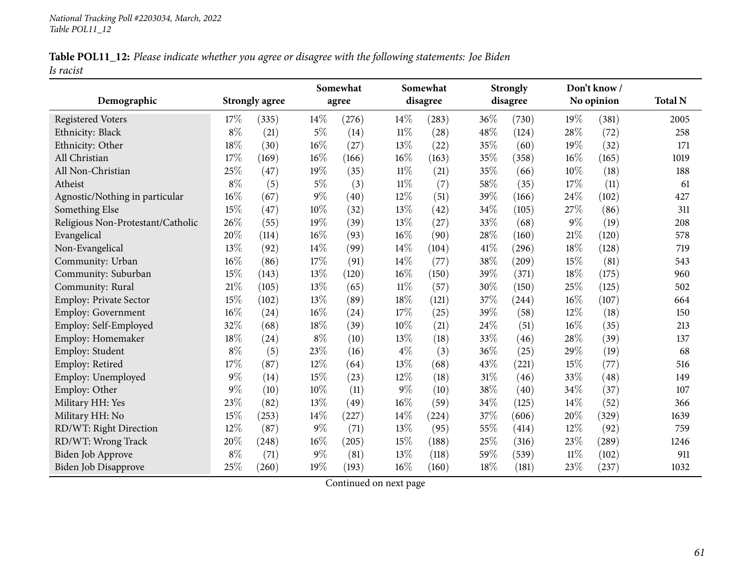|           | Table POL11_12: Please indicate whether you agree or disagree with the following statements: Joe Biden |  |
|-----------|--------------------------------------------------------------------------------------------------------|--|
| Is racist |                                                                                                        |  |

|                                   |       |                       |       | Somewhat |        | Somewhat |        | <b>Strongly</b> |        | Don't know / |                |
|-----------------------------------|-------|-----------------------|-------|----------|--------|----------|--------|-----------------|--------|--------------|----------------|
| Demographic                       |       | <b>Strongly agree</b> |       | agree    |        | disagree |        | disagree        |        | No opinion   | <b>Total N</b> |
| <b>Registered Voters</b>          | 17%   | (335)                 | 14%   | (276)    | 14%    | (283)    | $36\%$ | (730)           | 19%    | (381)        | 2005           |
| Ethnicity: Black                  | $8\%$ | (21)                  | $5\%$ | (14)     | $11\%$ | (28)     | 48%    | (124)           | 28%    | (72)         | 258            |
| Ethnicity: Other                  | 18%   | (30)                  | 16%   | (27)     | 13%    | (22)     | 35%    | (60)            | 19%    | (32)         | 171            |
| All Christian                     | 17%   | (169)                 | 16%   | (166)    | 16%    | (163)    | 35%    | (358)           | $16\%$ | (165)        | 1019           |
| All Non-Christian                 | 25%   | (47)                  | 19%   | (35)     | $11\%$ | (21)     | 35%    | (66)            | 10%    | (18)         | 188            |
| Atheist                           | $8\%$ | (5)                   | $5\%$ | (3)      | $11\%$ | (7)      | 58%    | (35)            | 17%    | (11)         | 61             |
| Agnostic/Nothing in particular    | 16%   | (67)                  | $9\%$ | (40)     | 12%    | (51)     | 39%    | (166)           | $24\%$ | (102)        | 427            |
| Something Else                    | 15%   | (47)                  | 10%   | (32)     | 13%    | (42)     | 34%    | (105)           | 27%    | (86)         | 311            |
| Religious Non-Protestant/Catholic | 26%   | (55)                  | 19%   | (39)     | 13%    | (27)     | 33%    | (68)            | $9\%$  | (19)         | 208            |
| Evangelical                       | 20%   | (114)                 | 16%   | (93)     | 16%    | (90)     | 28%    | (160)           | $21\%$ | (120)        | 578            |
| Non-Evangelical                   | 13%   | (92)                  | 14%   | (99)     | 14%    | (104)    | 41\%   | (296)           | $18\%$ | (128)        | 719            |
| Community: Urban                  | 16%   | (86)                  | 17%   | (91)     | 14%    | (77)     | 38%    | (209)           | 15\%   | (81)         | 543            |
| Community: Suburban               | 15%   | (143)                 | 13%   | (120)    | 16%    | (150)    | 39%    | (371)           | 18%    | (175)        | 960            |
| Community: Rural                  | 21%   | (105)                 | 13%   | (65)     | $11\%$ | (57)     | 30%    | (150)           | 25%    | (125)        | 502            |
| <b>Employ: Private Sector</b>     | 15%   | (102)                 | 13%   | (89)     | 18%    | (121)    | 37%    | (244)           | $16\%$ | (107)        | 664            |
| <b>Employ: Government</b>         | 16%   | (24)                  | 16%   | (24)     | 17%    | (25)     | 39%    | (58)            | 12%    | (18)         | 150            |
| Employ: Self-Employed             | 32%   | (68)                  | 18%   | (39)     | 10%    | (21)     | 24%    | (51)            | 16%    | (35)         | 213            |
| Employ: Homemaker                 | 18%   | (24)                  | $8\%$ | (10)     | 13%    | (18)     | 33%    | (46)            | 28%    | (39)         | 137            |
| Employ: Student                   | $8\%$ | (5)                   | 23%   | (16)     | $4\%$  | (3)      | 36%    | (25)            | 29%    | (19)         | 68             |
| Employ: Retired                   | 17%   | (87)                  | 12%   | (64)     | 13%    | (68)     | 43%    | (221)           | 15%    | (77)         | 516            |
| Employ: Unemployed                | $9\%$ | (14)                  | 15%   | (23)     | 12%    | (18)     | $31\%$ | (46)            | 33%    | (48)         | 149            |
| Employ: Other                     | $9\%$ | (10)                  | 10%   | (11)     | 9%     | (10)     | 38%    | (40)            | 34%    | (37)         | 107            |
| Military HH: Yes                  | 23%   | (82)                  | 13%   | (49)     | 16%    | (59)     | 34%    | (125)           | 14%    | (52)         | 366            |
| Military HH: No                   | 15%   | (253)                 | 14%   | (227)    | 14%    | (224)    | 37%    | (606)           | 20%    | (329)        | 1639           |
| RD/WT: Right Direction            | 12%   | (87)                  | $9\%$ | (71)     | 13%    | (95)     | 55%    | (414)           | 12%    | (92)         | 759            |
| RD/WT: Wrong Track                | 20%   | (248)                 | 16%   | (205)    | $15\%$ | (188)    | 25%    | (316)           | 23%    | (289)        | 1246           |
| Biden Job Approve                 | $8\%$ | (71)                  | $9\%$ | (81)     | 13%    | (118)    | 59%    | (539)           | $11\%$ | (102)        | 911            |
| Biden Job Disapprove              | 25%   | (260)                 | 19%   | (193)    | 16%    | (160)    | 18%    | (181)           | 23%    | (237)        | 1032           |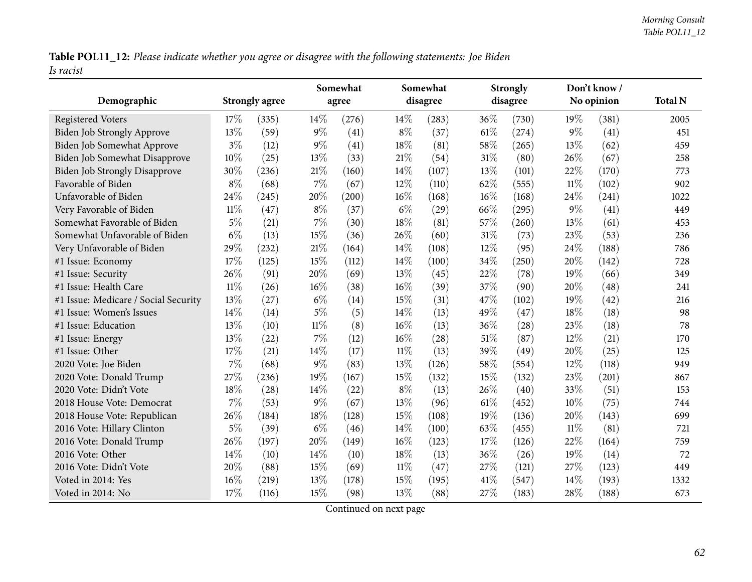Table POL11\_12: Please indicate whether you agree or disagree with the following statements: Joe Biden *Is racist*

| Demographic                          |        | <b>Strongly agree</b> |        | Somewhat<br>agree |        | Somewhat<br>disagree |        | <b>Strongly</b><br>disagree |        | Don't know /<br>No opinion | <b>Total N</b> |
|--------------------------------------|--------|-----------------------|--------|-------------------|--------|----------------------|--------|-----------------------------|--------|----------------------------|----------------|
| <b>Registered Voters</b>             | 17%    | (335)                 | 14%    | (276)             | 14%    | (283)                | 36%    | (730)                       | 19%    | (381)                      | 2005           |
| <b>Biden Job Strongly Approve</b>    | 13%    | (59)                  | $9\%$  | (41)              | $8\%$  | (37)                 | $61\%$ | (274)                       | $9\%$  | (41)                       | 451            |
| Biden Job Somewhat Approve           | $3\%$  | (12)                  | $9\%$  | (41)              | 18%    | (81)                 | 58\%   | (265)                       | 13%    | (62)                       | 459            |
| Biden Job Somewhat Disapprove        | 10%    | (25)                  | 13%    | (33)              | 21%    | (54)                 | $31\%$ | (80)                        | 26%    | (67)                       | 258            |
| <b>Biden Job Strongly Disapprove</b> | 30%    | (236)                 | $21\%$ | (160)             | 14%    | (107)                | 13%    | (101)                       | 22%    | (170)                      | 773            |
| Favorable of Biden                   | $8\%$  | (68)                  | 7%     | (67)              | 12%    | (110)                | 62%    | (555)                       | $11\%$ | (102)                      | 902            |
| Unfavorable of Biden                 | 24%    | (245)                 | 20%    | (200)             | $16\%$ | (168)                | $16\%$ | (168)                       | 24%    | (241)                      | 1022           |
| Very Favorable of Biden              | $11\%$ | (47)                  | $8\%$  | (37)              | $6\%$  | (29)                 | 66%    | (295)                       | $9\%$  | (41)                       | 449            |
| Somewhat Favorable of Biden          | $5\%$  | (21)                  | 7%     | (30)              | 18%    | (81)                 | 57%    | (260)                       | 13%    | (61)                       | 453            |
| Somewhat Unfavorable of Biden        | $6\%$  | (13)                  | 15%    | (36)              | 26%    | (60)                 | $31\%$ | (73)                        | 23%    | (53)                       | 236            |
| Very Unfavorable of Biden            | 29%    | (232)                 | 21%    | (164)             | 14%    | (108)                | 12%    | (95)                        | 24%    | (188)                      | 786            |
| #1 Issue: Economy                    | 17%    | (125)                 | 15%    | (112)             | 14%    | (100)                | $34\%$ | (250)                       | 20%    | (142)                      | 728            |
| #1 Issue: Security                   | 26%    | (91)                  | 20%    | (69)              | 13%    | (45)                 | 22%    | (78)                        | 19%    | (66)                       | 349            |
| #1 Issue: Health Care                | $11\%$ | (26)                  | $16\%$ | (38)              | $16\%$ | (39)                 | 37%    | (90)                        | 20%    | (48)                       | 241            |
| #1 Issue: Medicare / Social Security | 13%    | (27)                  | $6\%$  | (14)              | 15%    | (31)                 | 47%    | (102)                       | 19%    | (42)                       | 216            |
| #1 Issue: Women's Issues             | 14\%   | (14)                  | $5\%$  | (5)               | 14%    | (13)                 | 49%    | (47)                        | 18%    | (18)                       | 98             |
| #1 Issue: Education                  | 13%    | (10)                  | $11\%$ | (8)               | $16\%$ | (13)                 | 36%    | $\left( 28\right)$          | 23%    | (18)                       | 78             |
| #1 Issue: Energy                     | 13%    | (22)                  | 7%     | (12)              | 16%    | (28)                 | 51\%   | (87)                        | 12%    | (21)                       | 170            |
| #1 Issue: Other                      | 17%    | (21)                  | 14%    | (17)              | $11\%$ | (13)                 | 39%    | (49)                        | 20%    | (25)                       | 125            |
| 2020 Vote: Joe Biden                 | 7%     | (68)                  | $9\%$  | (83)              | 13%    | (126)                | 58\%   | (554)                       | 12%    | (118)                      | 949            |
| 2020 Vote: Donald Trump              | 27%    | (236)                 | 19%    | (167)             | 15%    | (132)                | 15%    | (132)                       | 23%    | (201)                      | 867            |
| 2020 Vote: Didn't Vote               | 18%    | (28)                  | 14%    | (22)              | $8\%$  | (13)                 | 26%    | (40)                        | 33%    | (51)                       | 153            |
| 2018 House Vote: Democrat            | $7\%$  | (53)                  | $9\%$  | (67)              | 13%    | (96)                 | $61\%$ | (452)                       | 10%    | (75)                       | 744            |
| 2018 House Vote: Republican          | 26%    | (184)                 | 18%    | (128)             | 15%    | (108)                | 19%    | (136)                       | 20%    | (143)                      | 699            |
| 2016 Vote: Hillary Clinton           | $5\%$  | (39)                  | $6\%$  | (46)              | 14%    | (100)                | 63%    | (455)                       | $11\%$ | (81)                       | 721            |
| 2016 Vote: Donald Trump              | 26%    | (197)                 | 20%    | (149)             | 16%    | (123)                | $17\%$ | (126)                       | 22%    | (164)                      | 759            |
| 2016 Vote: Other                     | 14%    | (10)                  | 14\%   | (10)              | 18%    | (13)                 | $36\%$ | (26)                        | 19%    | (14)                       | 72             |
| 2016 Vote: Didn't Vote               | 20%    | (88)                  | 15%    | (69)              | $11\%$ | (47)                 | 27\%   | (121)                       | 27%    | (123)                      | 449            |
| Voted in 2014: Yes                   | 16%    | (219)                 | 13%    | (178)             | 15%    | (195)                | $41\%$ | (547)                       | 14%    | (193)                      | 1332           |
| Voted in 2014: No                    | 17%    | (116)                 | 15%    | (98)              | 13%    | (88)                 | 27%    | (183)                       | 28%    | (188)                      | 673            |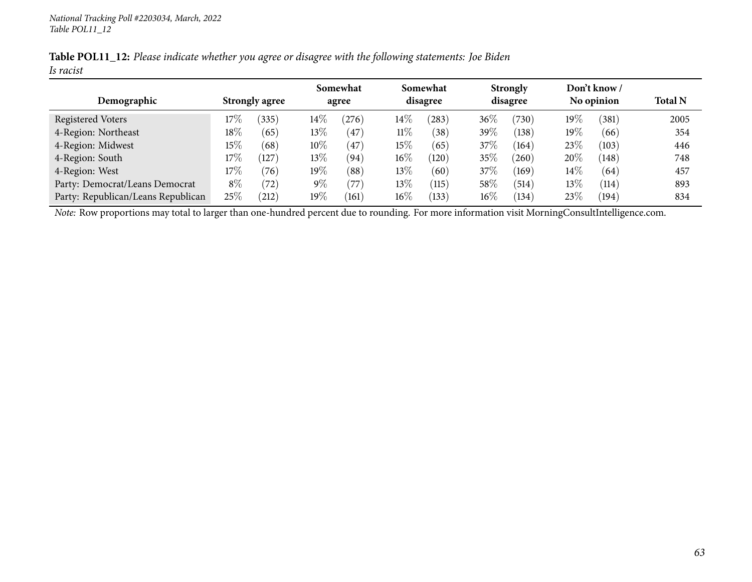|           |  | Table POL11_12: Please indicate whether you agree or disagree with the following statements: Joe Biden |
|-----------|--|--------------------------------------------------------------------------------------------------------|
| Is racist |  |                                                                                                        |

|                                    |        |                       |        | Somewhat               |        | Somewhat        |          | <b>Strongly</b> |            | Don't know /   |                |
|------------------------------------|--------|-----------------------|--------|------------------------|--------|-----------------|----------|-----------------|------------|----------------|----------------|
| Demographic                        |        | <b>Strongly agree</b> |        | agree                  |        | disagree        | disagree |                 | No opinion |                | <b>Total N</b> |
| Registered Voters                  | $17\%$ | (335)                 | $14\%$ | 276                    | $14\%$ | (283)           | $36\%$   | (730)           | 19%        | $^{\prime}381$ | 2005           |
| 4-Region: Northeast                | $18\%$ | (65)                  | 13\%   | 47                     | $11\%$ | 38 <sup>°</sup> | 39\%     | (138)           | 19%        | (66)           | 354            |
| 4-Region: Midwest                  | $15\%$ | (68)                  | $10\%$ | 47                     | 15%    | (65)            | 37%      | (164)           | 23\%       | (103)          | 446            |
| 4-Region: South                    | 17%    | (127)                 | 13\%   | (94)                   | $16\%$ | (120)           | 35%      | (260)           | 20%        | (148)          | 748            |
| 4-Region: West                     | 17%    | (76)                  | $19\%$ | $^{\prime}88^{\prime}$ | $13\%$ | (60)            | 37%      | (169)           | $14\%$     | (64)           | 457            |
| Party: Democrat/Leans Democrat     | $8\%$  | (72)                  | $9\%$  | 77                     | $13\%$ | (115)           | 58\%     | (514)           | $13\%$     | (114)          | 893            |
| Party: Republican/Leans Republican | 25%    | $^{'}212)$            | $19\%$ | (161)                  | $16\%$ | (133)           | $16\%$   | (134)           | 23\%       | (194)          | 834            |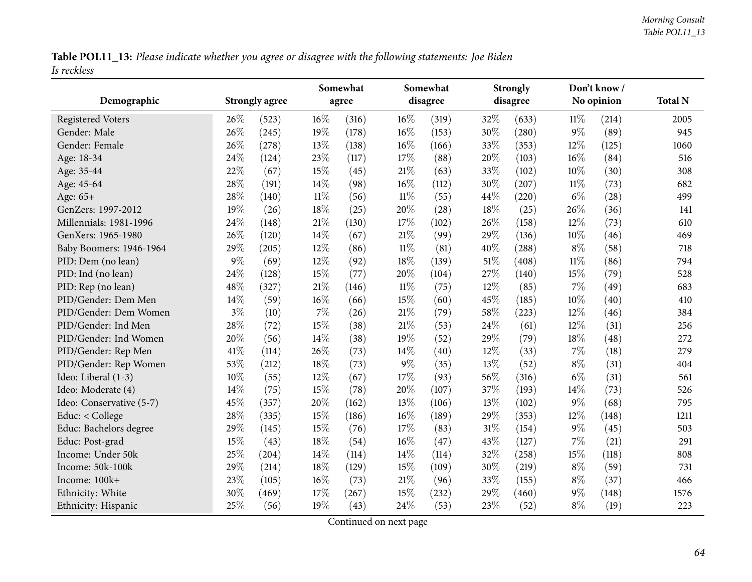Table POL11\_13: Please indicate whether you agree or disagree with the following statements: Joe Biden *Is reckless*

|                          |       |                       |        | Somewhat |        | Somewhat |        | <b>Strongly</b> |        | Don't know/ |                |
|--------------------------|-------|-----------------------|--------|----------|--------|----------|--------|-----------------|--------|-------------|----------------|
| Demographic              |       | <b>Strongly agree</b> |        | agree    |        | disagree |        | disagree        |        | No opinion  | <b>Total N</b> |
| <b>Registered Voters</b> | 26%   | (523)                 | 16%    | (316)    | $16\%$ | (319)    | 32%    | (633)           | $11\%$ | (214)       | 2005           |
| Gender: Male             | 26%   | (245)                 | 19%    | (178)    | 16%    | (153)    | 30%    | (280)           | $9\%$  | (89)        | 945            |
| Gender: Female           | 26%   | (278)                 | 13%    | (138)    | $16\%$ | (166)    | 33%    | (353)           | 12%    | (125)       | 1060           |
| Age: 18-34               | 24%   | (124)                 | 23%    | (117)    | 17%    | (88)     | 20%    | (103)           | 16%    | (84)        | 516            |
| Age: 35-44               | 22%   | (67)                  | 15%    | (45)     | $21\%$ | (63)     | 33%    | (102)           | 10%    | (30)        | 308            |
| Age: 45-64               | 28%   | (191)                 | 14%    | (98)     | $16\%$ | (112)    | 30%    | (207)           | $11\%$ | (73)        | 682            |
| Age: 65+                 | 28%   | (140)                 | $11\%$ | (56)     | $11\%$ | (55)     | 44%    | (220)           | $6\%$  | (28)        | 499            |
| GenZers: 1997-2012       | 19%   | (26)                  | 18%    | (25)     | 20%    | (28)     | 18%    | (25)            | 26%    | (36)        | 141            |
| Millennials: 1981-1996   | 24%   | (148)                 | 21%    | (130)    | 17%    | (102)    | 26%    | (158)           | 12%    | (73)        | 610            |
| GenXers: 1965-1980       | 26%   | (120)                 | 14%    | (67)     | 21\%   | (99)     | 29%    | (136)           | 10%    | (46)        | 469            |
| Baby Boomers: 1946-1964  | 29%   | (205)                 | 12%    | (86)     | $11\%$ | (81)     | 40%    | (288)           | $8\%$  | (58)        | 718            |
| PID: Dem (no lean)       | $9\%$ | (69)                  | 12%    | (92)     | 18%    | (139)    | $51\%$ | (408)           | $11\%$ | (86)        | 794            |
| PID: Ind (no lean)       | 24%   | (128)                 | 15%    | (77)     | 20%    | (104)    | 27%    | (140)           | 15%    | (79)        | 528            |
| PID: Rep (no lean)       | 48%   | (327)                 | 21%    | (146)    | $11\%$ | (75)     | 12%    | (85)            | 7%     | (49)        | 683            |
| PID/Gender: Dem Men      | 14%   | (59)                  | 16%    | (66)     | 15%    | (60)     | 45%    | (185)           | 10%    | (40)        | 410            |
| PID/Gender: Dem Women    | $3\%$ | (10)                  | 7%     | (26)     | $21\%$ | (79)     | 58%    | (223)           | 12%    | (46)        | 384            |
| PID/Gender: Ind Men      | 28%   | (72)                  | 15%    | (38)     | 21\%   | (53)     | 24%    | (61)            | 12%    | (31)        | 256            |
| PID/Gender: Ind Women    | 20%   | (56)                  | 14%    | (38)     | 19%    | (52)     | 29%    | (79)            | 18%    | (48)        | 272            |
| PID/Gender: Rep Men      | 41%   | (114)                 | 26%    | (73)     | 14%    | (40)     | 12%    | (33)            | $7\%$  | (18)        | 279            |
| PID/Gender: Rep Women    | 53%   | (212)                 | 18%    | (73)     | $9\%$  | (35)     | 13%    | (52)            | $8\%$  | (31)        | 404            |
| Ideo: Liberal (1-3)      | 10%   | (55)                  | 12%    | (67)     | 17%    | (93)     | 56%    | (316)           | $6\%$  | (31)        | 561            |
| Ideo: Moderate (4)       | 14%   | (75)                  | 15%    | (78)     | 20%    | (107)    | 37%    | (193)           | 14%    | (73)        | 526            |
| Ideo: Conservative (5-7) | 45%   | (357)                 | 20%    | (162)    | 13%    | (106)    | 13%    | (102)           | $9\%$  | (68)        | 795            |
| Educ: < College          | 28%   | (335)                 | 15%    | (186)    | 16%    | (189)    | 29%    | (353)           | 12%    | (148)       | 1211           |
| Educ: Bachelors degree   | 29%   | (145)                 | 15%    | (76)     | 17\%   | (83)     | 31%    | (154)           | $9\%$  | (45)        | 503            |
| Educ: Post-grad          | 15%   | (43)                  | 18%    | (54)     | $16\%$ | (47)     | 43%    | (127)           | 7%     | (21)        | 291            |
| Income: Under 50k        | 25%   | (204)                 | 14%    | (114)    | 14\%   | (114)    | 32%    | (258)           | 15%    | (118)       | 808            |
| Income: 50k-100k         | 29%   | (214)                 | 18%    | (129)    | 15%    | (109)    | 30%    | (219)           | $8\%$  | (59)        | 731            |
| Income: 100k+            | 23%   | (105)                 | 16%    | (73)     | $21\%$ | (96)     | 33%    | (155)           | $8\%$  | (37)        | 466            |
| Ethnicity: White         | 30%   | (469)                 | 17%    | (267)    | 15%    | (232)    | 29%    | (460)           | $9\%$  | (148)       | 1576           |
| Ethnicity: Hispanic      | 25%   | (56)                  | 19%    | (43)     | 24%    | (53)     | 23%    | (52)            | $8\%$  | (19)        | 223            |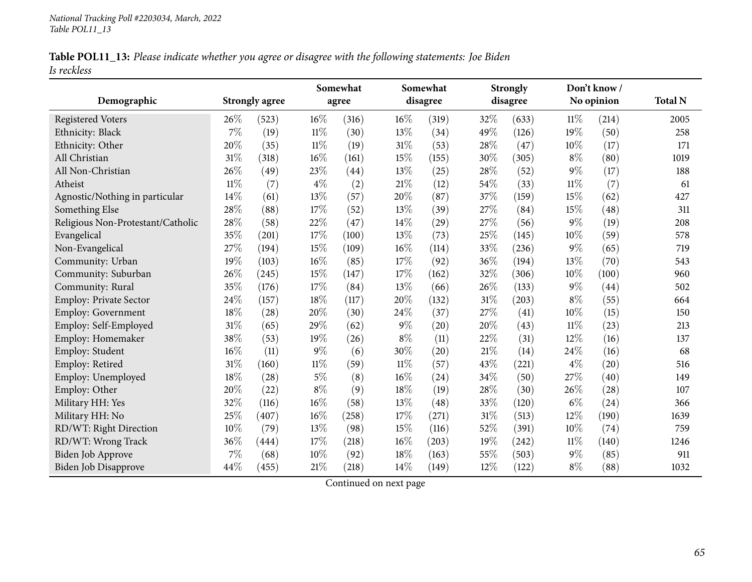|             | Table POL11_13: Please indicate whether you agree or disagree with the following statements: Joe Biden |  |
|-------------|--------------------------------------------------------------------------------------------------------|--|
| Is reckless |                                                                                                        |  |

|                                   |        |                       |        | Somewhat |        | Somewhat |      | <b>Strongly</b> |        | Don't know / |                |
|-----------------------------------|--------|-----------------------|--------|----------|--------|----------|------|-----------------|--------|--------------|----------------|
| Demographic                       |        | <b>Strongly agree</b> |        | agree    |        | disagree |      | disagree        |        | No opinion   | <b>Total N</b> |
| <b>Registered Voters</b>          | 26%    | (523)                 | 16%    | (316)    | 16%    | (319)    | 32\% | (633)           | 11%    | (214)        | 2005           |
| Ethnicity: Black                  | 7%     | (19)                  | $11\%$ | (30)     | 13%    | (34)     | 49%  | (126)           | 19%    | (50)         | 258            |
| Ethnicity: Other                  | 20%    | (35)                  | $11\%$ | (19)     | 31%    | (53)     | 28%  | (47)            | 10%    | (17)         | 171            |
| All Christian                     | 31%    | (318)                 | 16%    | (161)    | 15%    | (155)    | 30%  | (305)           | $8\%$  | (80)         | 1019           |
| All Non-Christian                 | 26%    | (49)                  | 23%    | (44)     | 13%    | (25)     | 28%  | (52)            | $9\%$  | (17)         | 188            |
| Atheist                           | $11\%$ | (7)                   | $4\%$  | (2)      | 21%    | (12)     | 54%  | (33)            | $11\%$ | (7)          | 61             |
| Agnostic/Nothing in particular    | 14%    | (61)                  | 13%    | (57)     | 20%    | (87)     | 37%  | (159)           | 15%    | (62)         | 427            |
| Something Else                    | 28%    | (88)                  | 17%    | (52)     | 13%    | (39)     | 27%  | (84)            | 15%    | (48)         | 311            |
| Religious Non-Protestant/Catholic | 28%    | (58)                  | 22%    | (47)     | 14%    | (29)     | 27%  | (56)            | 9%     | (19)         | 208            |
| Evangelical                       | 35%    | (201)                 | 17%    | (100)    | 13%    | (73)     | 25%  | (145)           | 10%    | (59)         | 578            |
| Non-Evangelical                   | 27%    | (194)                 | 15%    | (109)    | 16%    | (114)    | 33%  | (236)           | $9\%$  | (65)         | 719            |
| Community: Urban                  | 19%    | (103)                 | 16%    | (85)     | 17%    | (92)     | 36%  | (194)           | 13%    | (70)         | 543            |
| Community: Suburban               | 26%    | (245)                 | 15%    | (147)    | 17%    | (162)    | 32%  | (306)           | 10%    | (100)        | 960            |
| Community: Rural                  | 35%    | (176)                 | 17%    | (84)     | 13%    | (66)     | 26\% | (133)           | $9\%$  | (44)         | 502            |
| Employ: Private Sector            | 24%    | (157)                 | 18%    | (117)    | 20%    | (132)    | 31\% | (203)           | $8\%$  | (55)         | 664            |
| <b>Employ: Government</b>         | 18%    | (28)                  | 20%    | (30)     | 24\%   | (37)     | 27%  | (41)            | 10%    | (15)         | 150            |
| Employ: Self-Employed             | 31%    | (65)                  | 29%    | (62)     | $9\%$  | (20)     | 20%  | (43)            | $11\%$ | (23)         | 213            |
| Employ: Homemaker                 | 38%    | (53)                  | 19%    | (26)     | $8\%$  | (11)     | 22%  | (31)            | 12%    | (16)         | 137            |
| Employ: Student                   | 16%    | (11)                  | $9\%$  | (6)      | 30%    | (20)     | 21%  | (14)            | 24%    | (16)         | 68             |
| Employ: Retired                   | 31%    | (160)                 | $11\%$ | (59)     | $11\%$ | (57)     | 43%  | (221)           | $4\%$  | (20)         | 516            |
| Employ: Unemployed                | 18%    | (28)                  | $5\%$  | (8)      | 16%    | (24)     | 34%  | (50)            | 27%    | (40)         | 149            |
| Employ: Other                     | 20%    | (22)                  | $8\%$  | (9)      | 18%    | (19)     | 28%  | (30)            | 26%    | (28)         | 107            |
| Military HH: Yes                  | 32%    | (116)                 | 16%    | (58)     | 13%    | (48)     | 33%  | (120)           | $6\%$  | (24)         | 366            |
| Military HH: No                   | 25%    | (407)                 | 16%    | (258)    | 17%    | (271)    | 31%  | (513)           | 12%    | (190)        | 1639           |
| RD/WT: Right Direction            | 10%    | (79)                  | 13%    | (98)     | 15%    | (116)    | 52%  | (391)           | 10%    | (74)         | 759            |
| RD/WT: Wrong Track                | 36%    | (444)                 | 17%    | (218)    | 16%    | (203)    | 19%  | (242)           | $11\%$ | (140)        | 1246           |
| Biden Job Approve                 | 7%     | (68)                  | 10%    | (92)     | 18%    | (163)    | 55%  | (503)           | $9\%$  | (85)         | 911            |
| <b>Biden Job Disapprove</b>       | 44%    | (455)                 | 21\%   | (218)    | 14%    | (149)    | 12%  | (122)           | $8\%$  | (88)         | 1032           |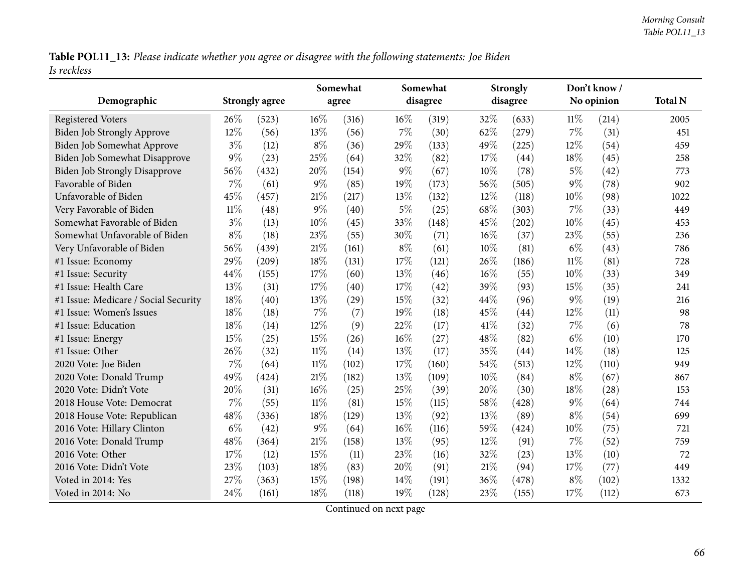Table POL11\_13: Please indicate whether you agree or disagree with the following statements: Joe Biden *Is reckless*

| Demographic                          |        | <b>Strongly agree</b> |        | Somewhat<br>agree |       | Somewhat<br>disagree |        | <b>Strongly</b><br>disagree |        | Don't know /<br>No opinion | <b>Total N</b> |
|--------------------------------------|--------|-----------------------|--------|-------------------|-------|----------------------|--------|-----------------------------|--------|----------------------------|----------------|
| <b>Registered Voters</b>             | 26%    | (523)                 | 16%    | (316)             | 16%   | (319)                | 32%    | (633)                       | 11%    | (214)                      | 2005           |
| <b>Biden Job Strongly Approve</b>    | 12%    | (56)                  | 13%    | (56)              | 7%    | (30)                 | 62%    | (279)                       | $7\%$  | (31)                       | 451            |
| Biden Job Somewhat Approve           | $3\%$  | (12)                  | $8\%$  | (36)              | 29%   | (133)                | 49%    | (225)                       | 12%    | (54)                       | 459            |
| Biden Job Somewhat Disapprove        | $9\%$  | (23)                  | 25%    | (64)              | 32%   | (82)                 | 17%    | (44)                        | 18%    | (45)                       | 258            |
| <b>Biden Job Strongly Disapprove</b> | 56%    | (432)                 | 20%    | (154)             | $9\%$ | (67)                 | 10%    | (78)                        | $5\%$  | (42)                       | 773            |
| Favorable of Biden                   | $7\%$  | (61)                  | $9\%$  | (85)              | 19%   | (173)                | 56%    | (505)                       | $9\%$  | (78)                       | 902            |
| Unfavorable of Biden                 | 45%    | (457)                 | $21\%$ | (217)             | 13%   | (132)                | 12%    | (118)                       | 10%    | (98)                       | 1022           |
| Very Favorable of Biden              | $11\%$ | (48)                  | $9\%$  | (40)              | $5\%$ | (25)                 | 68%    | (303)                       | 7%     | (33)                       | 449            |
| Somewhat Favorable of Biden          | $3\%$  | (13)                  | 10%    | (45)              | 33%   | (148)                | 45%    | (202)                       | 10%    | (45)                       | 453            |
| Somewhat Unfavorable of Biden        | $8\%$  | (18)                  | 23%    | (55)              | 30%   | (71)                 | $16\%$ | (37)                        | 23%    | (55)                       | 236            |
| Very Unfavorable of Biden            | 56%    | (439)                 | 21%    | (161)             | $8\%$ | (61)                 | 10%    | (81)                        | $6\%$  | (43)                       | 786            |
| #1 Issue: Economy                    | 29%    | (209)                 | 18%    | (131)             | 17%   | (121)                | 26%    | (186)                       | $11\%$ | (81)                       | 728            |
| #1 Issue: Security                   | 44%    | (155)                 | 17%    | (60)              | 13%   | (46)                 | $16\%$ | (55)                        | 10%    | (33)                       | 349            |
| #1 Issue: Health Care                | 13%    | (31)                  | 17%    | (40)              | 17%   | (42)                 | 39%    | (93)                        | 15%    | (35)                       | 241            |
| #1 Issue: Medicare / Social Security | 18%    | (40)                  | 13%    | (29)              | 15%   | (32)                 | 44%    | (96)                        | 9%     | (19)                       | 216            |
| #1 Issue: Women's Issues             | 18%    | (18)                  | 7%     | (7)               | 19%   | (18)                 | 45%    | (44)                        | 12%    | (11)                       | 98             |
| #1 Issue: Education                  | 18%    | (14)                  | 12%    | (9)               | 22%   | (17)                 | 41%    | (32)                        | 7%     | (6)                        | 78             |
| #1 Issue: Energy                     | 15%    | (25)                  | 15%    | (26)              | 16%   | (27)                 | 48%    | (82)                        | $6\%$  | (10)                       | 170            |
| #1 Issue: Other                      | 26%    | (32)                  | $11\%$ | (14)              | 13%   | (17)                 | 35%    | (44)                        | 14%    | (18)                       | 125            |
| 2020 Vote: Joe Biden                 | $7\%$  | (64)                  | $11\%$ | (102)             | 17%   | (160)                | 54%    | (513)                       | 12%    | (110)                      | 949            |
| 2020 Vote: Donald Trump              | 49%    | (424)                 | 21%    | (182)             | 13%   | (109)                | 10%    | (84)                        | $8\%$  | (67)                       | 867            |
| 2020 Vote: Didn't Vote               | 20%    | (31)                  | 16%    | (25)              | 25%   | (39)                 | 20%    | (30)                        | 18%    | (28)                       | 153            |
| 2018 House Vote: Democrat            | $7\%$  | (55)                  | $11\%$ | (81)              | 15%   | (115)                | 58%    | (428)                       | $9\%$  | (64)                       | 744            |
| 2018 House Vote: Republican          | 48%    | (336)                 | 18%    | (129)             | 13%   | (92)                 | 13%    | (89)                        | $8\%$  | (54)                       | 699            |
| 2016 Vote: Hillary Clinton           | $6\%$  | (42)                  | $9\%$  | (64)              | 16%   | (116)                | 59%    | (424)                       | 10%    | (75)                       | 721            |
| 2016 Vote: Donald Trump              | 48%    | (364)                 | 21%    | (158)             | 13%   | (95)                 | 12%    | (91)                        | 7%     | (52)                       | 759            |
| 2016 Vote: Other                     | 17%    | (12)                  | 15%    | (11)              | 23%   | (16)                 | 32%    | (23)                        | 13%    | (10)                       | 72             |
| 2016 Vote: Didn't Vote               | 23%    | (103)                 | 18%    | (83)              | 20%   | (91)                 | $21\%$ | (94)                        | 17%    | (77)                       | 449            |
| Voted in 2014: Yes                   | 27%    | (363)                 | 15%    | (198)             | 14%   | (191)                | 36%    | (478)                       | $8\%$  | (102)                      | 1332           |
| Voted in 2014: No                    | 24%    | (161)                 | 18%    | (118)             | 19%   | (128)                | 23\%   | (155)                       | 17%    | (112)                      | 673            |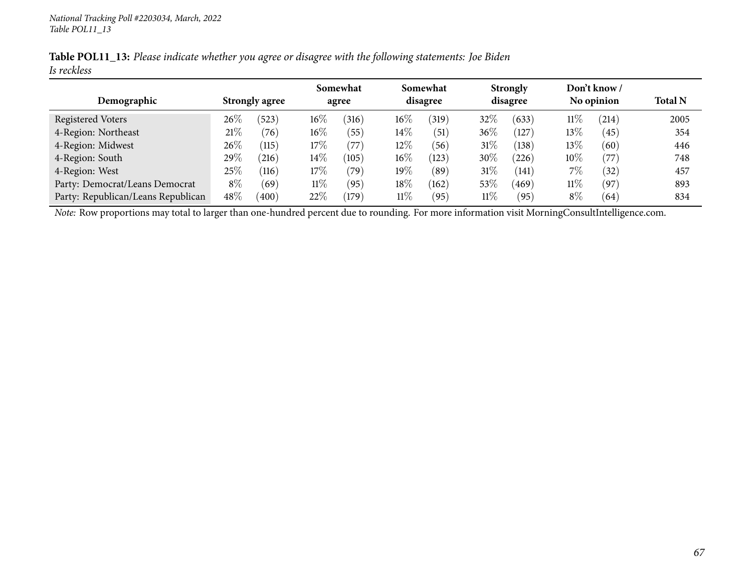|             | Table POL11_13: Please indicate whether you agree or disagree with the following statements: Joe Biden |  |
|-------------|--------------------------------------------------------------------------------------------------------|--|
| Is reckless |                                                                                                        |  |

|                                    |        |                       |        | Somewhat |        | Somewhat        |        | <b>Strongly</b>    |            | Don't know / |                |
|------------------------------------|--------|-----------------------|--------|----------|--------|-----------------|--------|--------------------|------------|--------------|----------------|
| Demographic                        |        | <b>Strongly agree</b> |        | agree    |        | disagree        |        | disagree           | No opinion |              | <b>Total N</b> |
| Registered Voters                  | $26\%$ | (523)                 | $16\%$ | (316)    | $16\%$ | (319)           | 32\%   | (633)              | $11\%$     | (214)        | 2005           |
| 4-Region: Northeast                | 21%    | (76)                  | $16\%$ | (55)     | $14\%$ | (51)            | $36\%$ | $\left(127\right)$ | 13\%       | (45)         | 354            |
| 4-Region: Midwest                  | 26\%   | (115)                 | 17%    | 77       | 12%    | 56              | 31\%   | (138)              | 13\%       | (60)         | 446            |
| 4-Region: South                    | 29%    | 216                   | 14\%   | (105)    | $16\%$ | (123)           | $30\%$ | (226)              | $10\%$     | (77)         | 748            |
| 4-Region: West                     | 25%    | (116)                 | 17%    | (79`     | 19%    | (89)            | $31\%$ | (141)              | 7%         | (32)         | 457            |
| Party: Democrat/Leans Democrat     | $8\%$  | (69)                  | $11\%$ | (95)     | $18\%$ | (162)           | $53\%$ | 469                | $11\%$     | (97)         | 893            |
| Party: Republican/Leans Republican | 48%    | (400)                 | $22\%$ | 179      | $11\%$ | $^{\prime}$ 95) | $11\%$ | (95`               | $8\%$      | (64)         | 834            |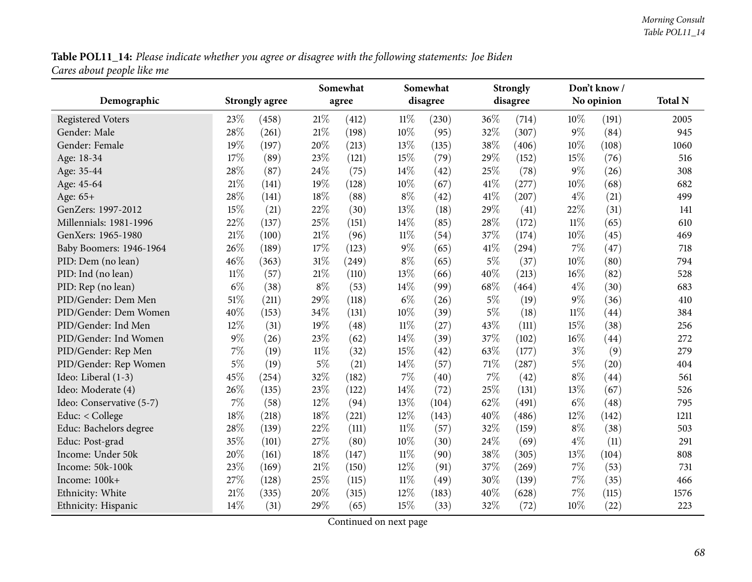Table POL11\_14: Please indicate whether you agree or disagree with the following statements: Joe Biden *Cares about people like me*

|                          |        |                       |        | Somewhat |        | Somewhat |       | <b>Strongly</b> |        | Don't know/ |                |
|--------------------------|--------|-----------------------|--------|----------|--------|----------|-------|-----------------|--------|-------------|----------------|
| Demographic              |        | <b>Strongly agree</b> |        | agree    |        | disagree |       | disagree        |        | No opinion  | <b>Total N</b> |
| <b>Registered Voters</b> | 23%    | (458)                 | $21\%$ | (412)    | $11\%$ | (230)    | 36%   | (714)           | 10%    | (191)       | 2005           |
| Gender: Male             | 28%    | (261)                 | $21\%$ | (198)    | 10%    | (95)     | 32%   | (307)           | $9\%$  | (84)        | 945            |
| Gender: Female           | 19%    | (197)                 | 20%    | (213)    | 13\%   | (135)    | 38%   | (406)           | $10\%$ | (108)       | 1060           |
| Age: 18-34               | 17%    | (89)                  | 23%    | (121)    | 15%    | (79)     | 29%   | (152)           | 15%    | (76)        | 516            |
| Age: 35-44               | 28%    | (87)                  | 24%    | (75)     | 14%    | (42)     | 25%   | (78)            | $9\%$  | (26)        | 308            |
| Age: 45-64               | $21\%$ | (141)                 | 19%    | (128)    | $10\%$ | (67)     | 41\%  | (277)           | 10%    | (68)        | 682            |
| Age: 65+                 | 28%    | (141)                 | 18%    | (88)     | $8\%$  | (42)     | 41\%  | (207)           | $4\%$  | (21)        | 499            |
| GenZers: 1997-2012       | 15%    | (21)                  | 22%    | (30)     | 13%    | (18)     | 29%   | (41)            | 22%    | (31)        | 141            |
| Millennials: 1981-1996   | 22%    | (137)                 | 25%    | (151)    | 14%    | (85)     | 28%   | (172)           | $11\%$ | (65)        | 610            |
| GenXers: 1965-1980       | 21%    | (100)                 | $21\%$ | (96)     | $11\%$ | (54)     | 37%   | (174)           | 10%    | (45)        | 469            |
| Baby Boomers: 1946-1964  | 26%    | (189)                 | 17%    | (123)    | $9\%$  | (65)     | 41\%  | (294)           | 7%     | (47)        | 718            |
| PID: Dem (no lean)       | $46\%$ | (363)                 | 31%    | (249)    | $8\%$  | (65)     | $5\%$ | (37)            | $10\%$ | (80)        | 794            |
| PID: Ind (no lean)       | $11\%$ | (57)                  | 21%    | (110)    | 13%    | (66)     | 40%   | (213)           | $16\%$ | (82)        | 528            |
| PID: Rep (no lean)       | $6\%$  | (38)                  | $8\%$  | (53)     | 14%    | (99)     | 68%   | (464)           | $4\%$  | (30)        | 683            |
| PID/Gender: Dem Men      | 51%    | (211)                 | 29%    | (118)    | $6\%$  | (26)     | $5\%$ | (19)            | $9\%$  | (36)        | 410            |
| PID/Gender: Dem Women    | 40%    | (153)                 | 34%    | (131)    | $10\%$ | (39)     | $5\%$ | (18)            | $11\%$ | (44)        | 384            |
| PID/Gender: Ind Men      | 12%    | (31)                  | 19%    | (48)     | $11\%$ | (27)     | 43%   | (111)           | 15%    | (38)        | 256            |
| PID/Gender: Ind Women    | $9\%$  | (26)                  | 23%    | (62)     | 14%    | (39)     | 37%   | (102)           | 16%    | (44)        | 272            |
| PID/Gender: Rep Men      | 7%     | (19)                  | $11\%$ | (32)     | 15%    | (42)     | 63%   | (177)           | $3\%$  | (9)         | 279            |
| PID/Gender: Rep Women    | $5\%$  | (19)                  | $5\%$  | (21)     | 14%    | (57)     | 71\%  | (287)           | $5\%$  | (20)        | 404            |
| Ideo: Liberal (1-3)      | 45%    | (254)                 | 32%    | (182)    | 7%     | (40)     | 7%    | (42)            | $8\%$  | (44)        | 561            |
| Ideo: Moderate (4)       | 26%    | (135)                 | 23%    | (122)    | 14%    | (72)     | 25%   | (131)           | 13%    | (67)        | 526            |
| Ideo: Conservative (5-7) | 7%     | (58)                  | 12%    | (94)     | 13%    | (104)    | 62%   | (491)           | $6\%$  | (48)        | 795            |
| Educ: < College          | 18%    | (218)                 | 18%    | (221)    | $12\%$ | (143)    | 40%   | (486)           | 12%    | (142)       | 1211           |
| Educ: Bachelors degree   | 28%    | (139)                 | 22%    | (111)    | $11\%$ | (57)     | 32%   | (159)           | $8\%$  | (38)        | 503            |
| Educ: Post-grad          | 35%    | (101)                 | 27%    | (80)     | 10%    | (30)     | 24%   | (69)            | $4\%$  | (11)        | 291            |
| Income: Under 50k        | 20%    | (161)                 | 18%    | (147)    | $11\%$ | (90)     | 38%   | (305)           | 13%    | (104)       | 808            |
| Income: 50k-100k         | 23%    | (169)                 | $21\%$ | (150)    | 12%    | (91)     | 37%   | (269)           | 7%     | (53)        | 731            |
| Income: 100k+            | 27%    | (128)                 | 25%    | (115)    | $11\%$ | (49)     | 30%   | (139)           | 7%     | (35)        | 466            |
| Ethnicity: White         | 21%    | (335)                 | 20%    | (315)    | 12%    | (183)    | 40%   | (628)           | 7%     | (115)       | 1576           |
| Ethnicity: Hispanic      | 14%    | (31)                  | 29%    | (65)     | 15%    | (33)     | 32%   | (72)            | 10%    | (22)        | 223            |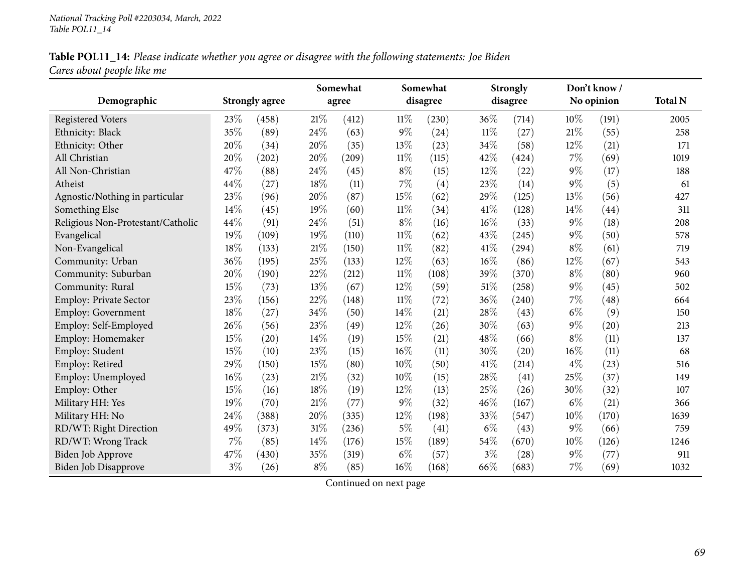## Table POL11\_14: Please indicate whether you agree or disagree with the following statements: Joe Biden *Cares about people like me*

|                                   |       |                       |        | Somewhat |        | Somewhat |        | <b>Strongly</b> |       | Don't know / |                |
|-----------------------------------|-------|-----------------------|--------|----------|--------|----------|--------|-----------------|-------|--------------|----------------|
| Demographic                       |       | <b>Strongly agree</b> |        | agree    |        | disagree |        | disagree        |       | No opinion   | <b>Total N</b> |
| <b>Registered Voters</b>          | 23%   | (458)                 | $21\%$ | (412)    | $11\%$ | (230)    | 36%    | (714)           | 10%   | (191)        | 2005           |
| Ethnicity: Black                  | 35%   | (89)                  | 24%    | (63)     | $9\%$  | (24)     | $11\%$ | (27)            | 21%   | (55)         | 258            |
| Ethnicity: Other                  | 20%   | (34)                  | 20%    | (35)     | 13%    | (23)     | 34%    | (58)            | 12%   | (21)         | 171            |
| All Christian                     | 20%   | (202)                 | 20%    | (209)    | $11\%$ | (115)    | 42%    | (424)           | 7%    | (69)         | 1019           |
| All Non-Christian                 | 47%   | (88)                  | 24\%   | (45)     | $8\%$  | (15)     | $12\%$ | (22)            | 9%    | (17)         | 188            |
| Atheist                           | 44%   | (27)                  | 18%    | (11)     | $7\%$  | (4)      | 23%    | (14)            | 9%    | (5)          | 61             |
| Agnostic/Nothing in particular    | 23%   | (96)                  | 20%    | (87)     | 15%    | (62)     | 29%    | (125)           | 13%   | (56)         | 427            |
| Something Else                    | 14%   | (45)                  | 19%    | (60)     | $11\%$ | (34)     | 41%    | (128)           | 14%   | (44)         | 311            |
| Religious Non-Protestant/Catholic | 44%   | (91)                  | 24\%   | (51)     | $8\%$  | (16)     | 16%    | (33)            | 9%    | (18)         | 208            |
| Evangelical                       | 19%   | (109)                 | $19\%$ | (110)    | $11\%$ | (62)     | 43\%   | (245)           | $9\%$ | (50)         | 578            |
| Non-Evangelical                   | 18%   | (133)                 | $21\%$ | (150)    | $11\%$ | (82)     | 41\%   | (294)           | $8\%$ | (61)         | 719            |
| Community: Urban                  | 36%   | (195)                 | 25%    | (133)    | 12%    | (63)     | 16%    | (86)            | 12%   | (67)         | 543            |
| Community: Suburban               | 20%   | (190)                 | 22%    | (212)    | $11\%$ | (108)    | 39%    | (370)           | $8\%$ | (80)         | 960            |
| Community: Rural                  | 15%   | (73)                  | 13%    | (67)     | 12%    | (59)     | 51%    | (258)           | 9%    | (45)         | 502            |
| Employ: Private Sector            | 23%   | (156)                 | 22%    | (148)    | $11\%$ | (72)     | 36%    | (240)           | 7%    | (48)         | 664            |
| <b>Employ: Government</b>         | 18%   | (27)                  | 34\%   | (50)     | 14\%   | (21)     | 28%    | (43)            | $6\%$ | (9)          | 150            |
| Employ: Self-Employed             | 26%   | (56)                  | 23%    | (49)     | 12%    | (26)     | 30%    | (63)            | 9%    | (20)         | 213            |
| Employ: Homemaker                 | 15%   | (20)                  | $14\%$ | (19)     | 15%    | (21)     | 48%    | (66)            | $8\%$ | (11)         | 137            |
| Employ: Student                   | 15%   | (10)                  | 23%    | (15)     | $16\%$ | (11)     | 30%    | (20)            | 16%   | (11)         | 68             |
| Employ: Retired                   | 29%   | (150)                 | 15%    | (80)     | 10%    | (50)     | 41\%   | (214)           | $4\%$ | (23)         | 516            |
| Employ: Unemployed                | 16%   | (23)                  | 21\%   | (32)     | 10%    | (15)     | 28%    | (41)            | 25%   | (37)         | 149            |
| Employ: Other                     | 15%   | (16)                  | 18%    | (19)     | 12%    | (13)     | 25%    | (26)            | 30%   | (32)         | 107            |
| Military HH: Yes                  | 19%   | (70)                  | 21\%   | (77)     | $9\%$  | (32)     | 46%    | (167)           | $6\%$ | (21)         | 366            |
| Military HH: No                   | 24%   | (388)                 | 20%    | (335)    | 12%    | (198)    | 33%    | (547)           | 10%   | (170)        | 1639           |
| RD/WT: Right Direction            | 49%   | (373)                 | 31%    | (236)    | $5\%$  | (41)     | $6\%$  | (43)            | $9\%$ | (66)         | 759            |
| RD/WT: Wrong Track                | $7\%$ | (85)                  | 14\%   | (176)    | 15%    | (189)    | 54%    | (670)           | 10%   | (126)        | 1246           |
| Biden Job Approve                 | 47%   | (430)                 | $35\%$ | (319)    | $6\%$  | (57)     | $3\%$  | (28)            | $9\%$ | (77)         | 911            |
| <b>Biden Job Disapprove</b>       | $3\%$ | (26)                  | $8\%$  | (85)     | $16\%$ | (168)    | 66%    | (683)           | 7%    | (69)         | 1032           |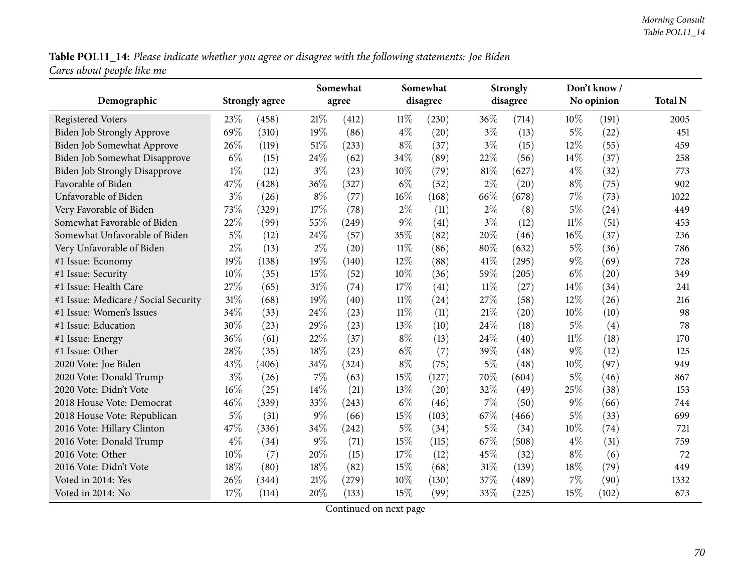**Table POL11\_14:** Please indicate whether you agree or disagree with the following statements: Joe Biden<br>Cares about people like me

|                                      |       |                       | Somewhat |       |        | Somewhat |        | <b>Strongly</b> |        | Don't know / |                |
|--------------------------------------|-------|-----------------------|----------|-------|--------|----------|--------|-----------------|--------|--------------|----------------|
| Demographic                          |       | <b>Strongly agree</b> | agree    |       |        | disagree |        | disagree        |        | No opinion   | <b>Total N</b> |
| <b>Registered Voters</b>             | 23%   | (458)                 | 21\%     | (412) | $11\%$ | (230)    | 36%    | (714)           | 10%    | (191)        | 2005           |
| <b>Biden Job Strongly Approve</b>    | 69%   | (310)                 | 19%      | (86)  | $4\%$  | (20)     | $3\%$  | (13)            | $5\%$  | (22)         | 451            |
| <b>Biden Job Somewhat Approve</b>    | 26%   | (119)                 | 51%      | (233) | $8\%$  | (37)     | $3\%$  | (15)            | 12%    | (55)         | 459            |
| Biden Job Somewhat Disapprove        | $6\%$ | (15)                  | 24%      | (62)  | 34%    | (89)     | 22%    | (56)            | 14%    | (37)         | 258            |
| <b>Biden Job Strongly Disapprove</b> | $1\%$ | (12)                  | $3\%$    | (23)  | 10%    | (79)     | $81\%$ | (627)           | $4\%$  | (32)         | 773            |
| Favorable of Biden                   | 47%   | (428)                 | 36%      | (327) | $6\%$  | (52)     | $2\%$  | (20)            | $8\%$  | (75)         | 902            |
| Unfavorable of Biden                 | $3\%$ | (26)                  | $8\%$    | (77)  | 16%    | (168)    | 66%    | (678)           | $7\%$  | (73)         | 1022           |
| Very Favorable of Biden              | 73%   | (329)                 | 17%      | (78)  | $2\%$  | (11)     | $2\%$  | (8)             | $5\%$  | (24)         | 449            |
| Somewhat Favorable of Biden          | 22%   | (99)                  | 55%      | (249) | $9\%$  | (41)     | $3\%$  | (12)            | $11\%$ | (51)         | 453            |
| Somewhat Unfavorable of Biden        | $5\%$ | (12)                  | 24\%     | (57)  | 35%    | (82)     | 20%    | (46)            | 16%    | (37)         | 236            |
| Very Unfavorable of Biden            | $2\%$ | (13)                  | $2\%$    | (20)  | $11\%$ | (86)     | $80\%$ | (632)           | $5\%$  | (36)         | 786            |
| #1 Issue: Economy                    | 19%   | (138)                 | 19%      | (140) | $12\%$ | (88)     | 41\%   | (295)           | $9\%$  | (69)         | 728            |
| #1 Issue: Security                   | 10%   | (35)                  | 15%      | (52)  | 10%    | (36)     | 59%    | (205)           | $6\%$  | (20)         | 349            |
| #1 Issue: Health Care                | 27%   | (65)                  | 31%      | (74)  | 17%    | (41)     | $11\%$ | (27)            | 14%    | (34)         | 241            |
| #1 Issue: Medicare / Social Security | 31%   | (68)                  | 19%      | (40)  | $11\%$ | (24)     | 27%    | (58)            | 12%    | (26)         | 216            |
| #1 Issue: Women's Issues             | 34%   | (33)                  | 24%      | (23)  | $11\%$ | (11)     | $21\%$ | (20)            | $10\%$ | (10)         | 98             |
| #1 Issue: Education                  | 30%   | (23)                  | 29%      | (23)  | 13%    | (10)     | 24%    | (18)            | $5\%$  | (4)          | 78             |
| #1 Issue: Energy                     | 36%   | (61)                  | 22%      | (37)  | $8\%$  | (13)     | 24%    | (40)            | $11\%$ | (18)         | 170            |
| #1 Issue: Other                      | 28%   | (35)                  | 18%      | (23)  | $6\%$  | (7)      | 39%    | (48)            | 9%     | (12)         | 125            |
| 2020 Vote: Joe Biden                 | 43%   | (406)                 | 34%      | (324) | $8\%$  | (75)     | $5\%$  | (48)            | 10%    | (97)         | 949            |
| 2020 Vote: Donald Trump              | $3\%$ | (26)                  | 7%       | (63)  | 15%    | (127)    | 70%    | (604)           | $5\%$  | (46)         | 867            |
| 2020 Vote: Didn't Vote               | 16%   | (25)                  | 14%      | (21)  | 13%    | (20)     | 32%    | (49)            | 25%    | (38)         | 153            |
| 2018 House Vote: Democrat            | 46%   | (339)                 | 33%      | (243) | $6\%$  | (46)     | 7%     | (50)            | $9\%$  | (66)         | 744            |
| 2018 House Vote: Republican          | $5\%$ | (31)                  | $9\%$    | (66)  | 15%    | (103)    | 67%    | (466)           | $5\%$  | (33)         | 699            |
| 2016 Vote: Hillary Clinton           | 47%   | (336)                 | 34%      | (242) | $5\%$  | (34)     | $5\%$  | (34)            | 10%    | (74)         | 721            |
| 2016 Vote: Donald Trump              | $4\%$ | (34)                  | $9\%$    | (71)  | 15%    | (115)    | 67%    | (508)           | $4\%$  | (31)         | 759            |
| 2016 Vote: Other                     | 10%   | (7)                   | 20%      | (15)  | 17%    | (12)     | 45%    | (32)            | $8\%$  | (6)          | 72             |
| 2016 Vote: Didn't Vote               | 18%   | (80)                  | 18%      | (82)  | 15%    | (68)     | $31\%$ | (139)           | $18\%$ | (79)         | 449            |
| Voted in 2014: Yes                   | 26%   | (344)                 | 21\%     | (279) | 10%    | (130)    | 37%    | (489)           | 7%     | (90)         | 1332           |
| Voted in 2014: No                    | 17%   | (114)                 | 20%      | (133) | 15%    | (99)     | 33%    | (225)           | 15%    | (102)        | 673            |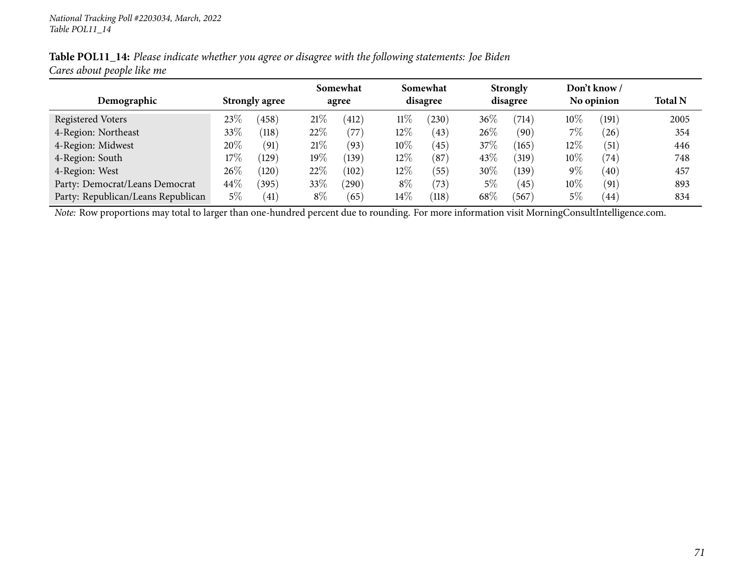|                            | Table POL11_14: Please indicate whether you agree or disagree with the following statements: Joe Biden |  |
|----------------------------|--------------------------------------------------------------------------------------------------------|--|
| Cares about people like me |                                                                                                        |  |

|                                    |        |                       | Somewhat<br>agree |               | Somewhat<br>disagree |       | <b>Strongly</b><br>disagree |       | Don't know /<br>No opinion |                   |                |
|------------------------------------|--------|-----------------------|-------------------|---------------|----------------------|-------|-----------------------------|-------|----------------------------|-------------------|----------------|
| Demographic                        |        | <b>Strongly agree</b> |                   |               |                      |       |                             |       |                            |                   | <b>Total N</b> |
| Registered Voters                  | $23\%$ | (458)                 | 21%               | 412           | $11\%$               | (230) | $36\%$                      | (714) | 10%                        | (191)             | 2005           |
| 4-Region: Northeast                | 33\%   | (118)                 | 22\%              | $^{\prime}77$ | $12\%$               | (43)  | 26%                         | (90)  | $7\%$                      | (26)              | 354            |
| 4-Region: Midwest                  | 20\%   | (91)                  | 21%               | (93)          | $10\%$               | (45)  | 37%                         | (165) | $12\%$                     | $\left(51\right)$ | 446            |
| 4-Region: South                    | 17%    | (129)                 | $19\%$            | (139)         | $12\%$               | (87)  | 43%                         | (319) | $10\%$                     | (74)              | 748            |
| 4-Region: West                     | $26\%$ | (120)                 | 22\%              | (102)         | 12%                  | (55)  | 30\%                        | (139) | $9\%$                      | $\left(40\right)$ | 457            |
| Party: Democrat/Leans Democrat     | $44\%$ | (395)                 | 33%               | 290           | $8\%$                | (73)  | 5%                          | (45)  | $10\%$                     | (91)              | 893            |
| Party: Republican/Leans Republican | 5%     | (41)                  | $8\%$             | (65)          | $14\%$               | (118) | 68\%                        | (567) | $5\%$                      | 44                | 834            |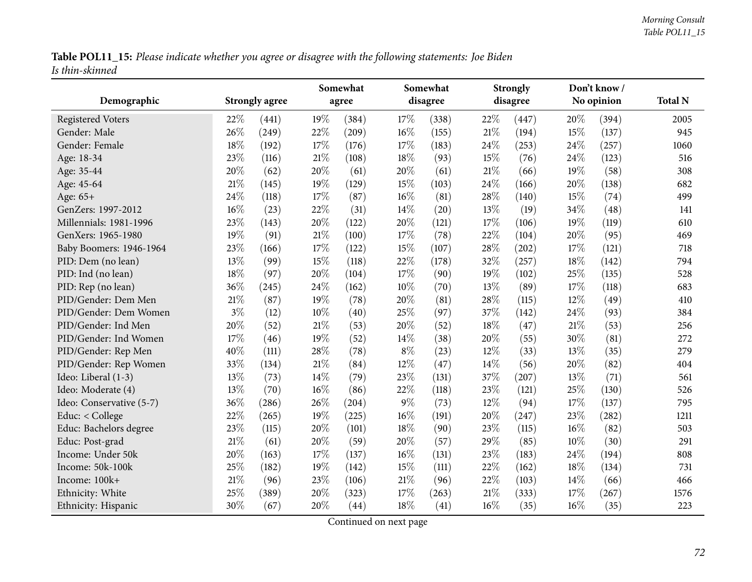Table POL11\_15: Please indicate whether you agree or disagree with the following statements: Joe Biden *Is thin-skinned*

|                          |        |                       | Somewhat |       |        | Somewhat |        | <b>Strongly</b> |      | Don't know/ |      |
|--------------------------|--------|-----------------------|----------|-------|--------|----------|--------|-----------------|------|-------------|------|
| Demographic              |        | <b>Strongly agree</b> | agree    |       |        | disagree |        | disagree        |      | No opinion  |      |
| <b>Registered Voters</b> | 22%    | (441)                 | 19%      | (384) | 17%    | (338)    | 22%    | (447)           | 20%  | (394)       | 2005 |
| Gender: Male             | 26%    | (249)                 | $22\%$   | (209) | 16%    | (155)    | 21%    | (194)           | 15%  | (137)       | 945  |
| Gender: Female           | 18%    | (192)                 | 17%      | (176) | 17%    | (183)    | 24%    | (253)           | 24\% | (257)       | 1060 |
| Age: 18-34               | 23%    | (116)                 | 21%      | (108) | 18%    | (93)     | 15%    | (76)            | 24\% | (123)       | 516  |
| Age: 35-44               | 20%    | (62)                  | 20%      | (61)  | 20%    | (61)     | 21%    | (66)            | 19%  | (58)        | 308  |
| Age: 45-64               | $21\%$ | (145)                 | 19%      | (129) | 15%    | (103)    | 24%    | (166)           | 20%  | (138)       | 682  |
| Age: 65+                 | 24%    | (118)                 | 17%      | (87)  | $16\%$ | (81)     | 28%    | (140)           | 15%  | (74)        | 499  |
| GenZers: 1997-2012       | 16%    | (23)                  | 22%      | (31)  | 14%    | (20)     | 13%    | (19)            | 34%  | (48)        | 141  |
| Millennials: 1981-1996   | 23%    | (143)                 | 20%      | (122) | 20%    | (121)    | 17%    | (106)           | 19%  | (119)       | 610  |
| GenXers: 1965-1980       | 19%    | (91)                  | 21%      | (100) | 17%    | (78)     | 22%    | (104)           | 20%  | (95)        | 469  |
| Baby Boomers: 1946-1964  | 23%    | (166)                 | 17%      | (122) | 15%    | (107)    | 28%    | (202)           | 17%  | (121)       | 718  |
| PID: Dem (no lean)       | 13%    | (99)                  | 15%      | (118) | 22%    | (178)    | 32%    | (257)           | 18%  | (142)       | 794  |
| PID: Ind (no lean)       | 18%    | (97)                  | 20%      | (104) | 17%    | (90)     | 19%    | (102)           | 25%  | (135)       | 528  |
| PID: Rep (no lean)       | 36%    | (245)                 | 24%      | (162) | $10\%$ | (70)     | 13%    | (89)            | 17%  | (118)       | 683  |
| PID/Gender: Dem Men      | 21%    | (87)                  | 19%      | (78)  | 20%    | (81)     | 28%    | (115)           | 12%  | (49)        | 410  |
| PID/Gender: Dem Women    | $3\%$  | (12)                  | 10%      | (40)  | 25%    | (97)     | 37%    | (142)           | 24%  | (93)        | 384  |
| PID/Gender: Ind Men      | 20%    | (52)                  | $21\%$   | (53)  | 20%    | (52)     | 18%    | (47)            | 21%  | (53)        | 256  |
| PID/Gender: Ind Women    | 17%    | (46)                  | 19%      | (52)  | 14%    | (38)     | 20%    | (55)            | 30%  | (81)        | 272  |
| PID/Gender: Rep Men      | 40%    | (111)                 | 28%      | (78)  | $8\%$  | (23)     | 12%    | (33)            | 13%  | (35)        | 279  |
| PID/Gender: Rep Women    | 33%    | (134)                 | 21%      | (84)  | 12%    | (47)     | 14%    | (56)            | 20%  | (82)        | 404  |
| Ideo: Liberal (1-3)      | 13%    | (73)                  | 14%      | (79)  | 23%    | (131)    | 37%    | (207)           | 13%  | (71)        | 561  |
| Ideo: Moderate (4)       | 13%    | (70)                  | 16%      | (86)  | 22%    | (118)    | 23%    | (121)           | 25%  | (130)       | 526  |
| Ideo: Conservative (5-7) | 36%    | (286)                 | 26%      | (204) | $9\%$  | (73)     | 12%    | (94)            | 17\% | (137)       | 795  |
| Educ: < College          | 22%    | (265)                 | 19%      | (225) | 16%    | (191)    | 20%    | (247)           | 23%  | (282)       | 1211 |
| Educ: Bachelors degree   | 23%    | (115)                 | 20%      | (101) | 18%    | (90)     | 23%    | (115)           | 16%  | (82)        | 503  |
| Educ: Post-grad          | 21%    | (61)                  | 20%      | (59)  | 20%    | (57)     | 29%    | (85)            | 10%  | (30)        | 291  |
| Income: Under 50k        | 20%    | (163)                 | 17%      | (137) | $16\%$ | (131)    | 23%    | (183)           | 24%  | (194)       | 808  |
| Income: 50k-100k         | 25%    | (182)                 | 19%      | (142) | 15%    | (111)    | 22%    | (162)           | 18%  | (134)       | 731  |
| Income: 100k+            | 21%    | (96)                  | 23%      | (106) | 21%    | (96)     | 22%    | (103)           | 14%  | (66)        | 466  |
| Ethnicity: White         | 25%    | (389)                 | 20%      | (323) | 17%    | (263)    | $21\%$ | (333)           | 17%  | (267)       | 1576 |
| Ethnicity: Hispanic      | 30%    | (67)                  | 20%      | (44)  | 18%    | (41)     | 16%    | (35)            | 16%  | (35)        | 223  |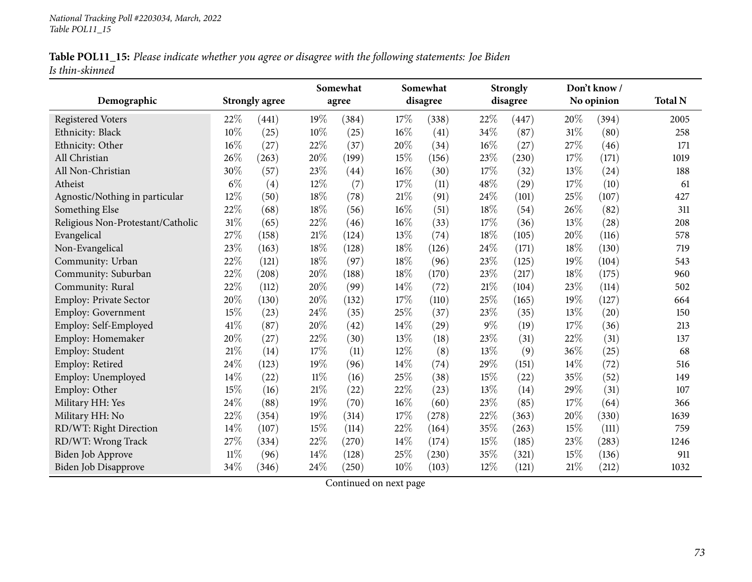|                 | Table POL11_15: Please indicate whether you agree or disagree with the following statements: Joe Biden |  |  |
|-----------------|--------------------------------------------------------------------------------------------------------|--|--|
| Is thin-skinned |                                                                                                        |  |  |

|                                   |        |                       | Somewhat |       |      | Somewhat |        | <b>Strongly</b> | Don't know / |            |                |
|-----------------------------------|--------|-----------------------|----------|-------|------|----------|--------|-----------------|--------------|------------|----------------|
| Demographic                       |        | <b>Strongly agree</b> |          | agree |      | disagree |        | disagree        |              | No opinion | <b>Total N</b> |
| <b>Registered Voters</b>          | 22%    | (441)                 | 19%      | (384) | 17%  | (338)    | 22%    | (447)           | 20%          | (394)      | 2005           |
| Ethnicity: Black                  | 10%    | (25)                  | 10%      | (25)  | 16%  | (41)     | 34%    | (87)            | 31%          | (80)       | 258            |
| Ethnicity: Other                  | 16%    | (27)                  | 22%      | (37)  | 20%  | (34)     | 16%    | (27)            | 27%          | (46)       | 171            |
| All Christian                     | 26%    | (263)                 | 20%      | (199) | 15%  | (156)    | 23%    | (230)           | 17%          | (171)      | 1019           |
| All Non-Christian                 | 30%    | (57)                  | 23%      | (44)  | 16%  | (30)     | 17%    | (32)            | 13%          | (24)       | 188            |
| Atheist                           | $6\%$  | (4)                   | 12%      | (7)   | 17%  | (11)     | 48%    | (29)            | 17%          | (10)       | 61             |
| Agnostic/Nothing in particular    | 12%    | (50)                  | 18%      | (78)  | 21%  | (91)     | 24%    | (101)           | 25%          | (107)      | 427            |
| Something Else                    | 22%    | (68)                  | 18%      | (56)  | 16%  | (51)     | 18%    | (54)            | 26%          | (82)       | 311            |
| Religious Non-Protestant/Catholic | 31%    | (65)                  | 22%      | (46)  | 16%  | (33)     | 17%    | (36)            | 13%          | (28)       | 208            |
| Evangelical                       | $27\%$ | (158)                 | 21%      | (124) | 13%  | (74)     | 18%    | (105)           | 20%          | (116)      | 578            |
| Non-Evangelical                   | 23%    | (163)                 | 18%      | (128) | 18%  | (126)    | 24%    | (171)           | 18%          | (130)      | 719            |
| Community: Urban                  | 22%    | (121)                 | 18%      | (97)  | 18%  | (96)     | 23%    | (125)           | 19%          | (104)      | 543            |
| Community: Suburban               | 22%    | (208)                 | 20%      | (188) | 18%  | (170)    | 23%    | (217)           | 18%          | (175)      | 960            |
| Community: Rural                  | 22%    | (112)                 | 20%      | (99)  | 14\% | (72)     | $21\%$ | (104)           | 23%          | (114)      | 502            |
| Employ: Private Sector            | 20%    | (130)                 | 20%      | (132) | 17%  | (110)    | 25%    | (165)           | 19%          | (127)      | 664            |
| <b>Employ: Government</b>         | 15%    | (23)                  | 24%      | (35)  | 25%  | (37)     | 23%    | (35)            | 13%          | (20)       | 150            |
| Employ: Self-Employed             | 41\%   | (87)                  | 20%      | (42)  | 14%  | (29)     | $9\%$  | (19)            | 17%          | (36)       | 213            |
| Employ: Homemaker                 | 20%    | (27)                  | 22%      | (30)  | 13%  | (18)     | 23%    | (31)            | 22%          | (31)       | 137            |
| Employ: Student                   | 21%    | (14)                  | 17%      | (11)  | 12%  | (8)      | 13%    | (9)             | 36%          | (25)       | 68             |
| Employ: Retired                   | 24%    | (123)                 | 19%      | (96)  | 14%  | (74)     | 29%    | (151)           | 14%          | (72)       | 516            |
| Employ: Unemployed                | 14%    | (22)                  | $11\%$   | (16)  | 25%  | (38)     | 15%    | (22)            | 35%          | (52)       | 149            |
| Employ: Other                     | 15%    | (16)                  | 21%      | (22)  | 22%  | (23)     | 13%    | (14)            | 29%          | (31)       | 107            |
| Military HH: Yes                  | 24%    | (88)                  | 19%      | (70)  | 16%  | (60)     | 23%    | (85)            | 17%          | (64)       | 366            |
| Military HH: No                   | 22%    | (354)                 | 19%      | (314) | 17%  | (278)    | 22%    | (363)           | 20%          | (330)      | 1639           |
| RD/WT: Right Direction            | 14%    | (107)                 | 15%      | (114) | 22%  | (164)    | 35%    | (263)           | 15%          | (111)      | 759            |
| RD/WT: Wrong Track                | 27\%   | (334)                 | 22%      | (270) | 14%  | (174)    | 15%    | (185)           | 23%          | (283)      | 1246           |
| <b>Biden Job Approve</b>          | $11\%$ | (96)                  | 14%      | (128) | 25%  | (230)    | 35%    | (321)           | 15%          | (136)      | 911            |
| <b>Biden Job Disapprove</b>       | 34%    | (346)                 | 24%      | (250) | 10%  | (103)    | 12%    | (121)           | $21\%$       | (212)      | 1032           |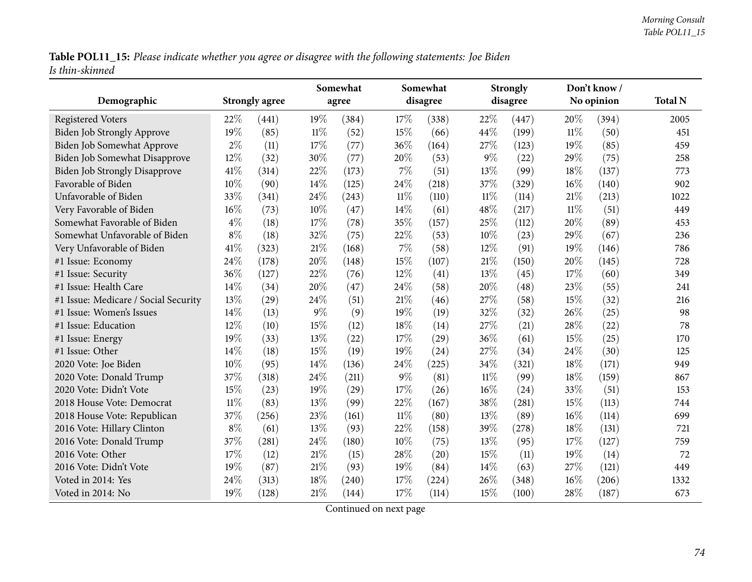Table POL11\_15: Please indicate whether you agree or disagree with the following statements: Joe Biden *Is thin-skinned*

| Demographic                          |       | <b>Strongly agree</b> |        | Somewhat<br>agree |        | Somewhat<br>disagree |        | <b>Strongly</b><br>disagree |        | Don't know /<br>No opinion | <b>Total N</b> |
|--------------------------------------|-------|-----------------------|--------|-------------------|--------|----------------------|--------|-----------------------------|--------|----------------------------|----------------|
|                                      |       |                       |        |                   |        |                      |        |                             |        |                            |                |
| <b>Registered Voters</b>             | 22%   | (441)                 | 19%    | (384)             | 17%    | (338)                | 22%    | (447)                       | 20%    | (394)                      | 2005           |
| Biden Job Strongly Approve           | 19%   | (85)                  | $11\%$ | (52)              | 15\%   | (66)                 | 44%    | (199)                       | 11%    | (50)                       | 451            |
| Biden Job Somewhat Approve           | $2\%$ | (11)                  | 17\%   | (77)              | 36%    | (164)                | 27%    | (123)                       | 19%    | (85)                       | 459            |
| Biden Job Somewhat Disapprove        | 12%   | (32)                  | 30%    | (77)              | 20%    | (53)                 | $9\%$  | (22)                        | 29%    | (75)                       | 258            |
| <b>Biden Job Strongly Disapprove</b> | 41\%  | (314)                 | 22%    | (173)             | 7%     | (51)                 | 13%    | (99)                        | 18%    | (137)                      | 773            |
| Favorable of Biden                   | 10%   | (90)                  | 14%    | (125)             | 24\%   | (218)                | 37%    | (329)                       | 16%    | (140)                      | 902            |
| Unfavorable of Biden                 | 33%   | (341)                 | 24%    | (243)             | $11\%$ | (110)                | $11\%$ | (114)                       | 21%    | (213)                      | 1022           |
| Very Favorable of Biden              | 16%   | (73)                  | 10%    | (47)              | 14%    | (61)                 | 48%    | (217)                       | $11\%$ | (51)                       | 449            |
| Somewhat Favorable of Biden          | $4\%$ | (18)                  | 17%    | (78)              | 35%    | (157)                | 25%    | (112)                       | 20%    | (89)                       | 453            |
| Somewhat Unfavorable of Biden        | $8\%$ | (18)                  | 32%    | (75)              | 22%    | (53)                 | 10%    | (23)                        | 29%    | (67)                       | 236            |
| Very Unfavorable of Biden            | 41%   | (323)                 | 21%    | (168)             | 7%     | (58)                 | 12%    | (91)                        | 19%    | (146)                      | 786            |
| #1 Issue: Economy                    | 24%   | (178)                 | 20%    | (148)             | 15%    | (107)                | $21\%$ | (150)                       | 20%    | (145)                      | 728            |
| #1 Issue: Security                   | 36%   | (127)                 | 22%    | (76)              | 12%    | (41)                 | 13%    | (45)                        | 17%    | (60)                       | 349            |
| #1 Issue: Health Care                | 14%   | (34)                  | $20\%$ | (47)              | 24\%   | (58)                 | 20%    | (48)                        | 23%    | (55)                       | 241            |
| #1 Issue: Medicare / Social Security | 13%   | (29)                  | 24%    | (51)              | 21%    | (46)                 | 27%    | (58)                        | 15%    | (32)                       | 216            |
| #1 Issue: Women's Issues             | 14\%  | (13)                  | $9\%$  | (9)               | 19%    | (19)                 | 32%    | (32)                        | 26%    | (25)                       | 98             |
| #1 Issue: Education                  | 12%   | (10)                  | 15%    | (12)              | 18%    | (14)                 | 27%    | (21)                        | 28%    | (22)                       | 78             |
| #1 Issue: Energy                     | 19%   | (33)                  | 13%    | (22)              | 17\%   | (29)                 | 36%    | (61)                        | 15%    | (25)                       | 170            |
| #1 Issue: Other                      | 14\%  | (18)                  | 15%    | (19)              | 19%    | (24)                 | 27%    | (34)                        | 24%    | (30)                       | 125            |
| 2020 Vote: Joe Biden                 | 10%   | (95)                  | 14%    | (136)             | 24%    | (225)                | 34%    | (321)                       | 18%    | (171)                      | 949            |
| 2020 Vote: Donald Trump              | 37%   | (318)                 | 24%    | (211)             | $9\%$  | (81)                 | $11\%$ | (99)                        | 18%    | (159)                      | 867            |
| 2020 Vote: Didn't Vote               | 15%   | (23)                  | 19%    | (29)              | 17%    | (26)                 | 16%    | (24)                        | 33%    | (51)                       | 153            |
| 2018 House Vote: Democrat            | 11%   | (83)                  | 13%    | (99)              | 22%    | (167)                | 38%    | (281)                       | 15%    | (113)                      | 744            |
| 2018 House Vote: Republican          | 37%   | (256)                 | 23%    | (161)             | $11\%$ | (80)                 | 13%    | (89)                        | 16%    | (114)                      | 699            |
| 2016 Vote: Hillary Clinton           | $8\%$ | (61)                  | 13\%   | (93)              | 22%    | (158)                | 39%    | (278)                       | 18%    | (131)                      | 721            |
| 2016 Vote: Donald Trump              | 37%   | (281)                 | 24\%   | (180)             | 10%    | (75)                 | 13%    | (95)                        | 17%    | (127)                      | 759            |
| 2016 Vote: Other                     | 17%   | (12)                  | 21%    | (15)              | 28%    | (20)                 | 15%    | (11)                        | 19%    | (14)                       | 72             |
| 2016 Vote: Didn't Vote               | 19%   | (87)                  | 21\%   | (93)              | 19%    | (84)                 | 14%    | (63)                        | 27%    | (121)                      | 449            |
| Voted in 2014: Yes                   | 24\%  | (313)                 | 18%    | (240)             | 17%    | (224)                | 26%    | (348)                       | 16%    | (206)                      | 1332           |
| Voted in 2014: No                    | 19%   | (128)                 | $21\%$ | (144)             | 17%    | (114)                | 15%    | (100)                       | 28%    | (187)                      | 673            |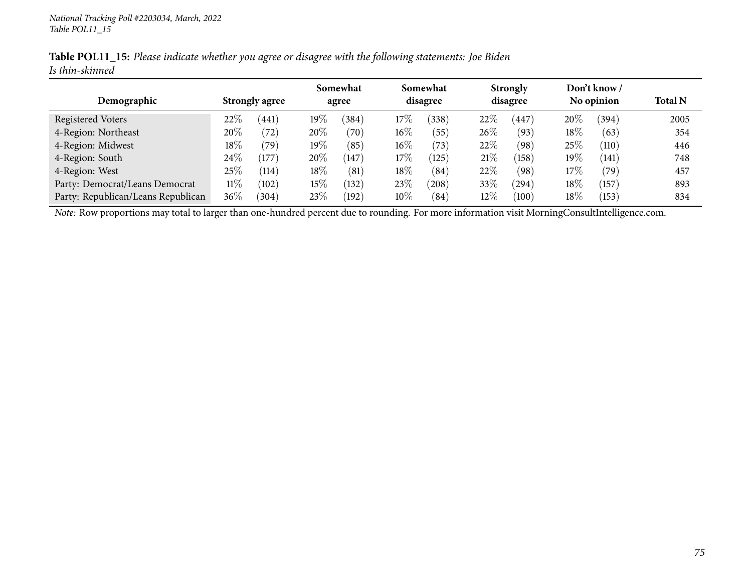|                 | Table POL11_15: Please indicate whether you agree or disagree with the following statements: Joe Biden |  |  |  |
|-----------------|--------------------------------------------------------------------------------------------------------|--|--|--|
| Is thin-skinned |                                                                                                        |  |  |  |

|                                    |                       |       |        | Somewhat           |          | Somewhat |          | <b>Strongly</b> |            | Don't know /   |                |
|------------------------------------|-----------------------|-------|--------|--------------------|----------|----------|----------|-----------------|------------|----------------|----------------|
| Demographic                        | <b>Strongly agree</b> |       | agree  |                    | disagree |          | disagree |                 | No opinion |                | <b>Total N</b> |
| Registered Voters                  | $22\%$                | (441) | $19\%$ | $^{\prime}384$     | $17\%$   | 338)     | 22%      | 447             | 20%        | (394)          | 2005           |
| 4-Region: Northeast                | 20%                   | (72)  | 20%    | $\left( 70\right)$ | $16\%$   | (55)     | 26%      | (93)            | 18%        | (63)           | 354            |
| 4-Region: Midwest                  | 18\%                  | (79)  | $19\%$ | (85)               | $16\%$   | (73)     | 22%      | (98)            | 25\%       | (110)          | 446            |
| 4-Region: South                    | $24\%$                | (177) | 20%    | (147)              | $17\%$   | (125)    | 21%      | (158)           | 19%        | (141)          | 748            |
| 4-Region: West                     | 25%                   | (114) | 18\%   | (81)               | 18%      | (84)     | 22%      | (98)            | 17%        | $^{\prime}79)$ | 457            |
| Party: Democrat/Leans Democrat     | 11%                   | (102) | $15\%$ | (132)              | 23\%     | (208)    | 33%      | (294)           | 18%        | (157)          | 893            |
| Party: Republican/Leans Republican | $36\%$                | (304) | 23\%   | (192)              | $10\%$   | (84)     | $12\%$   | (100)           | 18%        | (153)          | 834            |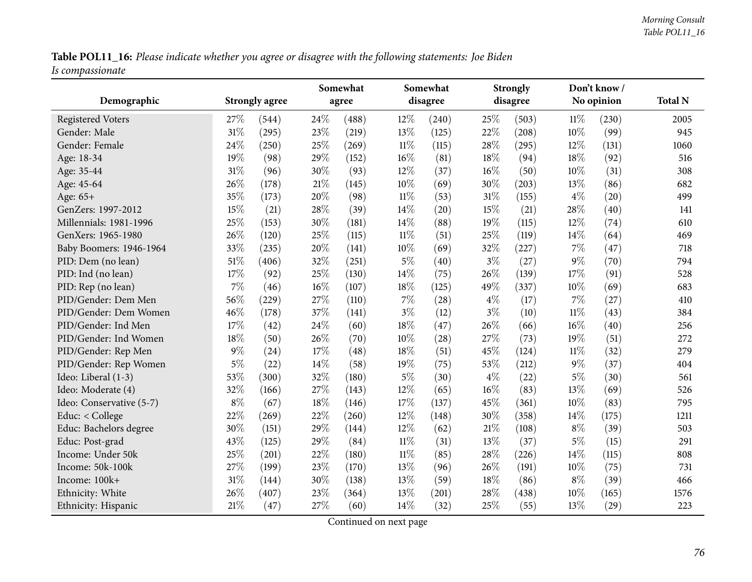Table POL11\_16: Please indicate whether you agree or disagree with the following statements: Joe Biden *Is compassionate*

| Demographic              |        | <b>Strongly agree</b> |        | Somewhat<br>agree |        | Somewhat<br>disagree |       | <b>Strongly</b><br>disagree |        | Don't know/<br>No opinion | <b>Total N</b> |
|--------------------------|--------|-----------------------|--------|-------------------|--------|----------------------|-------|-----------------------------|--------|---------------------------|----------------|
| <b>Registered Voters</b> | 27%    | (544)                 | 24\%   | (488)             | 12%    | (240)                | 25%   | (503)                       | $11\%$ | (230)                     | 2005           |
| Gender: Male             | 31%    | (295)                 | 23%    | (219)             | 13\%   | (125)                | 22%   | (208)                       | 10%    | (99)                      | 945            |
| Gender: Female           | 24%    | (250)                 | 25%    | (269)             | $11\%$ | (115)                | 28%   | (295)                       | 12%    | (131)                     | 1060           |
| Age: 18-34               | 19%    | (98)                  | 29%    | (152)             | 16%    | (81)                 | 18%   | (94)                        | 18%    | (92)                      | 516            |
| Age: 35-44               | 31%    | (96)                  | 30%    | (93)              | $12\%$ | (37)                 | 16%   | (50)                        | 10%    | (31)                      | 308            |
| Age: 45-64               | 26%    | (178)                 | $21\%$ | (145)             | 10%    | (69)                 | 30%   | (203)                       | 13%    | (86)                      | 682            |
| Age: 65+                 | 35%    | (173)                 | 20%    | (98)              | $11\%$ | (53)                 | 31%   | (155)                       | $4\%$  | (20)                      | 499            |
| GenZers: 1997-2012       | 15%    | (21)                  | 28%    | (39)              | 14%    | $\left( 20\right)$   | 15%   | (21)                        | 28%    | (40)                      | 141            |
| Millennials: 1981-1996   | 25%    | (153)                 | 30%    | (181)             | 14%    | (88)                 | 19%   | (115)                       | 12%    | (74)                      | 610            |
| GenXers: 1965-1980       | 26%    | (120)                 | 25%    | (115)             | $11\%$ | (51)                 | 25%   | (119)                       | 14%    | (64)                      | 469            |
| Baby Boomers: 1946-1964  | 33%    | (235)                 | 20%    | (141)             | 10%    | (69)                 | 32%   | (227)                       | 7%     | (47)                      | 718            |
| PID: Dem (no lean)       | $51\%$ | (406)                 | 32%    | (251)             | $5\%$  | (40)                 | $3\%$ | (27)                        | $9\%$  | (70)                      | 794            |
| PID: Ind (no lean)       | 17%    | (92)                  | 25%    | (130)             | $14\%$ | (75)                 | 26%   | (139)                       | 17%    | (91)                      | 528            |
| PID: Rep (no lean)       | 7%     | (46)                  | 16%    | (107)             | 18%    | (125)                | 49%   | (337)                       | 10%    | (69)                      | 683            |
| PID/Gender: Dem Men      | 56%    | (229)                 | 27%    | (110)             | $7\%$  | (28)                 | $4\%$ | (17)                        | 7%     | (27)                      | 410            |
| PID/Gender: Dem Women    | 46%    | (178)                 | 37%    | (141)             | $3\%$  | (12)                 | $3\%$ | (10)                        | $11\%$ | (43)                      | 384            |
| PID/Gender: Ind Men      | 17%    | (42)                  | 24%    | (60)              | 18%    | (47)                 | 26%   | (66)                        | 16%    | (40)                      | 256            |
| PID/Gender: Ind Women    | 18%    | (50)                  | 26%    | (70)              | $10\%$ | (28)                 | 27%   | (73)                        | 19%    | (51)                      | 272            |
| PID/Gender: Rep Men      | $9\%$  | (24)                  | 17%    | (48)              | 18%    | (51)                 | 45%   | (124)                       | $11\%$ | (32)                      | 279            |
| PID/Gender: Rep Women    | $5\%$  | (22)                  | 14%    | (58)              | 19%    | (75)                 | 53%   | (212)                       | $9\%$  | (37)                      | 404            |
| Ideo: Liberal (1-3)      | 53%    | (300)                 | 32%    | (180)             | $5\%$  | (30)                 | $4\%$ | (22)                        | $5\%$  | (30)                      | 561            |
| Ideo: Moderate (4)       | 32%    | (166)                 | 27%    | (143)             | 12%    | (65)                 | 16%   | (83)                        | 13%    | (69)                      | 526            |
| Ideo: Conservative (5-7) | $8\%$  | (67)                  | 18%    | (146)             | 17%    | (137)                | 45%   | (361)                       | 10%    | (83)                      | 795            |
| Educ: < College          | 22%    | (269)                 | 22%    | (260)             | 12%    | (148)                | 30%   | (358)                       | 14\%   | (175)                     | 1211           |
| Educ: Bachelors degree   | 30%    | (151)                 | 29%    | (144)             | 12%    | (62)                 | 21%   | (108)                       | $8\%$  | (39)                      | 503            |
| Educ: Post-grad          | 43%    | (125)                 | 29%    | (84)              | $11\%$ | (31)                 | 13%   | (37)                        | $5\%$  | (15)                      | 291            |
| Income: Under 50k        | 25%    | (201)                 | 22%    | (180)             | $11\%$ | (85)                 | 28%   | (226)                       | 14\%   | (115)                     | 808            |
| Income: 50k-100k         | 27%    | (199)                 | 23%    | (170)             | 13%    | (96)                 | 26%   | (191)                       | $10\%$ | (75)                      | 731            |
| Income: 100k+            | 31%    | (144)                 | 30%    | (138)             | 13\%   | (59)                 | 18%   | (86)                        | $8\%$  | (39)                      | 466            |
| Ethnicity: White         | 26%    | (407)                 | 23%    | (364)             | 13%    | (201)                | 28%   | (438)                       | 10%    | (165)                     | 1576           |
| Ethnicity: Hispanic      | 21%    | (47)                  | 27%    | (60)              | $14\%$ | (32)                 | 25%   | (55)                        | 13%    | (29)                      | 223            |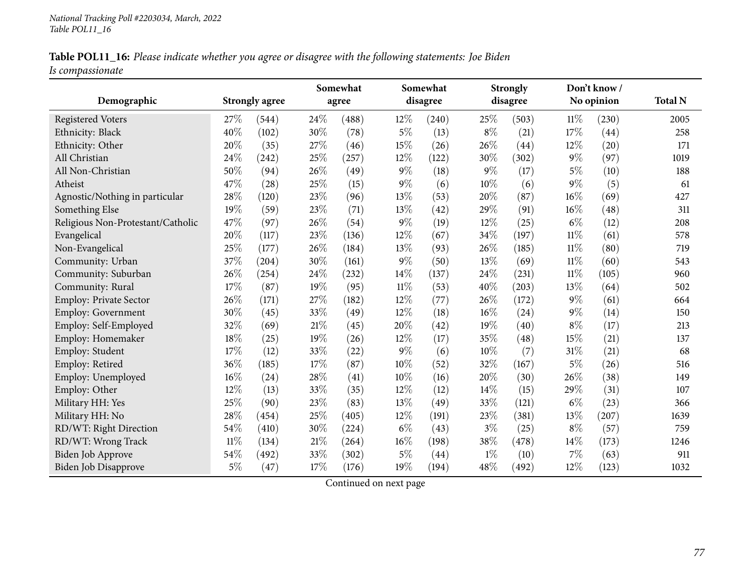| Table POL11_16: Please indicate whether you agree or disagree with the following statements: Joe Biden |  |  |
|--------------------------------------------------------------------------------------------------------|--|--|
| Is compassionate                                                                                       |  |  |

|                                   |        |                       |      | Somewhat |        | Somewhat |       | <b>Strongly</b> |        | Don't know / |                |
|-----------------------------------|--------|-----------------------|------|----------|--------|----------|-------|-----------------|--------|--------------|----------------|
| Demographic                       |        | <b>Strongly agree</b> |      | agree    |        | disagree |       | disagree        |        | No opinion   | <b>Total N</b> |
| <b>Registered Voters</b>          | 27%    | (544)                 | 24%  | (488)    | 12%    | (240)    | 25%   | (503)           | 11%    | (230)        | 2005           |
| Ethnicity: Black                  | 40%    | (102)                 | 30%  | (78)     | $5\%$  | (13)     | $8\%$ | (21)            | $17\%$ | (44)         | 258            |
| Ethnicity: Other                  | 20%    | (35)                  | 27%  | (46)     | 15%    | (26)     | 26%   | (44)            | 12%    | (20)         | 171            |
| All Christian                     | 24%    | (242)                 | 25%  | (257)    | 12%    | (122)    | 30%   | (302)           | $9\%$  | (97)         | 1019           |
| All Non-Christian                 | 50%    | (94)                  | 26%  | (49)     | $9\%$  | (18)     | $9\%$ | (17)            | $5\%$  | (10)         | 188            |
| Atheist                           | 47%    | (28)                  | 25%  | (15)     | $9\%$  | (6)      | 10%   | (6)             | $9\%$  | (5)          | 61             |
| Agnostic/Nothing in particular    | 28%    | (120)                 | 23%  | (96)     | 13%    | (53)     | 20%   | (87)            | 16%    | (69)         | 427            |
| Something Else                    | 19%    | (59)                  | 23%  | (71)     | 13%    | (42)     | 29%   | (91)            | 16%    | (48)         | 311            |
| Religious Non-Protestant/Catholic | 47%    | (97)                  | 26%  | (54)     | $9\%$  | (19)     | 12%   | (25)            | $6\%$  | (12)         | 208            |
| Evangelical                       | 20%    | (117)                 | 23%  | (136)    | 12%    | (67)     | 34%   | (197)           | 11%    | (61)         | 578            |
| Non-Evangelical                   | 25%    | (177)                 | 26%  | (184)    | 13%    | (93)     | 26%   | (185)           | $11\%$ | (80)         | 719            |
| Community: Urban                  | 37\%   | (204)                 | 30%  | (161)    | $9\%$  | (50)     | 13%   | (69)            | $11\%$ | (60)         | 543            |
| Community: Suburban               | 26%    | (254)                 | 24%  | (232)    | 14%    | (137)    | 24%   | (231)           | $11\%$ | (105)        | 960            |
| Community: Rural                  | 17%    | (87)                  | 19%  | (95)     | $11\%$ | (53)     | 40%   | (203)           | 13%    | (64)         | 502            |
| Employ: Private Sector            | 26%    | (171)                 | 27%  | (182)    | 12%    | (77)     | 26%   | (172)           | $9\%$  | (61)         | 664            |
| Employ: Government                | 30%    | (45)                  | 33%  | (49)     | 12%    | (18)     | 16%   | (24)            | $9\%$  | (14)         | 150            |
| Employ: Self-Employed             | 32%    | (69)                  | 21%  | (45)     | 20%    | (42)     | 19%   | (40)            | $8\%$  | (17)         | 213            |
| Employ: Homemaker                 | 18%    | (25)                  | 19%  | (26)     | 12%    | (17)     | 35%   | (48)            | 15%    | (21)         | 137            |
| Employ: Student                   | 17%    | (12)                  | 33%  | (22)     | $9\%$  | (6)      | 10%   | (7)             | $31\%$ | (21)         | 68             |
| Employ: Retired                   | 36%    | (185)                 | 17%  | (87)     | 10%    | (52)     | 32%   | (167)           | $5\%$  | (26)         | 516            |
| Employ: Unemployed                | 16%    | (24)                  | 28%  | (41)     | 10%    | (16)     | 20%   | (30)            | 26%    | (38)         | 149            |
| Employ: Other                     | 12%    | (13)                  | 33%  | (35)     | 12%    | (12)     | 14\%  | (15)            | 29%    | (31)         | 107            |
| Military HH: Yes                  | 25%    | (90)                  | 23%  | (83)     | 13%    | (49)     | 33%   | (121)           | $6\%$  | (23)         | 366            |
| Military HH: No                   | 28%    | (454)                 | 25%  | (405)    | 12%    | (191)    | 23%   | (381)           | 13%    | (207)        | 1639           |
| RD/WT: Right Direction            | 54%    | (410)                 | 30%  | (224)    | $6\%$  | (43)     | $3\%$ | (25)            | $8\%$  | (57)         | 759            |
| RD/WT: Wrong Track                | $11\%$ | (134)                 | 21\% | (264)    | 16%    | (198)    | 38%   | (478)           | $14\%$ | (173)        | 1246           |
| <b>Biden Job Approve</b>          | 54%    | (492)                 | 33%  | (302)    | $5\%$  | (44)     | $1\%$ | (10)            | 7%     | (63)         | 911            |
| <b>Biden Job Disapprove</b>       | $5\%$  | (47)                  | 17%  | (176)    | 19%    | (194)    | 48%   | (492)           | 12%    | (123)        | 1032           |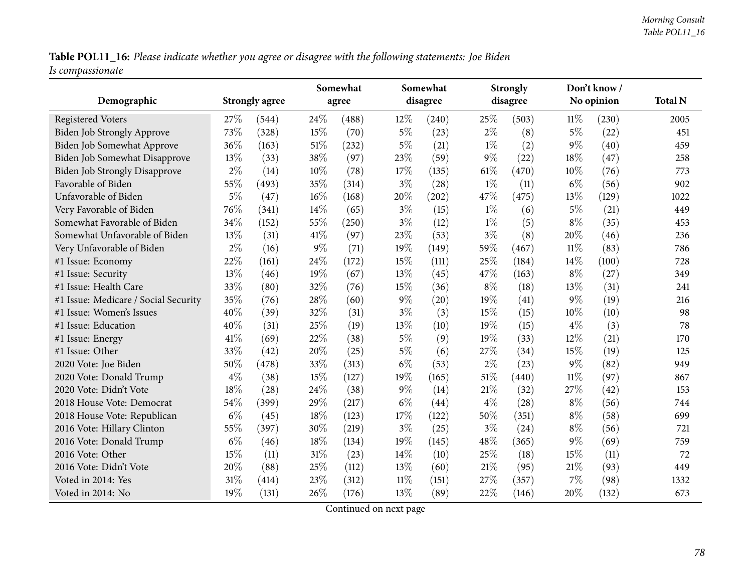Table POL11\_16: Please indicate whether you agree or disagree with the following statements: Joe Biden *Is compassionate*

| Demographic                          |       | <b>Strongly agree</b> |        | Somewhat<br>agree |        | Somewhat<br>disagree |        | <b>Strongly</b><br>disagree |        | Don't know /<br>No opinion | <b>Total N</b> |
|--------------------------------------|-------|-----------------------|--------|-------------------|--------|----------------------|--------|-----------------------------|--------|----------------------------|----------------|
| <b>Registered Voters</b>             | 27\%  | (544)                 | 24%    | (488)             | 12%    | (240)                | 25%    | (503)                       | $11\%$ | (230)                      | 2005           |
| <b>Biden Job Strongly Approve</b>    | 73%   | (328)                 | 15%    | (70)              | $5\%$  | (23)                 | $2\%$  | (8)                         | $5\%$  | (22)                       | 451            |
| Biden Job Somewhat Approve           | 36%   | (163)                 | $51\%$ | (232)             | $5\%$  | (21)                 | $1\%$  | (2)                         | $9\%$  | (40)                       | 459            |
| Biden Job Somewhat Disapprove        | 13\%  | (33)                  | 38%    | (97)              | 23%    | (59)                 | $9\%$  | (22)                        | 18%    | (47)                       | 258            |
| <b>Biden Job Strongly Disapprove</b> | $2\%$ | (14)                  | 10%    | (78)              | 17%    | (135)                | $61\%$ | (470)                       | 10%    | (76)                       | 773            |
| Favorable of Biden                   | 55%   | (493)                 | 35%    | (314)             | $3\%$  | (28)                 | $1\%$  | (11)                        | $6\%$  | (56)                       | 902            |
| Unfavorable of Biden                 | $5\%$ | (47)                  | 16%    | (168)             | 20%    | (202)                | 47%    | (475)                       | 13%    | (129)                      | 1022           |
| Very Favorable of Biden              | 76%   | (341)                 | 14%    | (65)              | $3\%$  | (15)                 | $1\%$  | (6)                         | $5\%$  | (21)                       | 449            |
| Somewhat Favorable of Biden          | 34%   | (152)                 | 55%    | (250)             | $3\%$  | (12)                 | $1\%$  | (5)                         | $8\%$  | (35)                       | 453            |
| Somewhat Unfavorable of Biden        | 13\%  | (31)                  | 41\%   | (97)              | 23%    | (53)                 | $3\%$  | (8)                         | 20%    | (46)                       | 236            |
| Very Unfavorable of Biden            | $2\%$ | (16)                  | $9\%$  | (71)              | 19%    | (149)                | 59%    | (467)                       | $11\%$ | (83)                       | 786            |
| #1 Issue: Economy                    | 22%   | (161)                 | 24%    | (172)             | 15%    | (111)                | 25%    | (184)                       | 14%    | (100)                      | 728            |
| #1 Issue: Security                   | 13%   | (46)                  | 19%    | (67)              | 13%    | (45)                 | 47%    | (163)                       | $8\%$  | (27)                       | 349            |
| #1 Issue: Health Care                | 33%   | (80)                  | 32%    | (76)              | 15%    | (36)                 | $8\%$  | (18)                        | 13%    | (31)                       | 241            |
| #1 Issue: Medicare / Social Security | 35%   | (76)                  | 28%    | (60)              | $9\%$  | (20)                 | 19%    | (41)                        | $9\%$  | (19)                       | 216            |
| #1 Issue: Women's Issues             | 40%   | (39)                  | 32%    | (31)              | $3\%$  | (3)                  | 15%    | (15)                        | 10%    | (10)                       | 98             |
| #1 Issue: Education                  | 40%   | (31)                  | 25%    | (19)              | 13%    | (10)                 | 19%    | (15)                        | $4\%$  | (3)                        | 78             |
| #1 Issue: Energy                     | 41\%  | (69)                  | 22%    | (38)              | $5\%$  | (9)                  | 19%    | (33)                        | 12%    | (21)                       | 170            |
| #1 Issue: Other                      | 33%   | (42)                  | 20%    | (25)              | $5\%$  | (6)                  | 27\%   | (34)                        | 15%    | (19)                       | 125            |
| 2020 Vote: Joe Biden                 | 50%   | (478)                 | 33%    | (313)             | $6\%$  | (53)                 | $2\%$  | (23)                        | $9\%$  | (82)                       | 949            |
| 2020 Vote: Donald Trump              | $4\%$ | (38)                  | 15%    | (127)             | 19%    | (165)                | $51\%$ | (440)                       | $11\%$ | (97)                       | 867            |
| 2020 Vote: Didn't Vote               | 18%   | (28)                  | 24%    | (38)              | $9\%$  | (14)                 | 21\%   | (32)                        | 27%    | (42)                       | 153            |
| 2018 House Vote: Democrat            | 54%   | (399)                 | 29%    | (217)             | $6\%$  | (44)                 | $4\%$  | (28)                        | $8\%$  | (56)                       | 744            |
| 2018 House Vote: Republican          | $6\%$ | (45)                  | 18%    | (123)             | 17%    | (122)                | 50%    | (351)                       | $8\%$  | (58)                       | 699            |
| 2016 Vote: Hillary Clinton           | 55%   | (397)                 | 30%    | (219)             | $3\%$  | (25)                 | $3\%$  | (24)                        | $8\%$  | (56)                       | 721            |
| 2016 Vote: Donald Trump              | $6\%$ | (46)                  | 18%    | (134)             | 19%    | (145)                | 48\%   | (365)                       | 9%     | (69)                       | 759            |
| 2016 Vote: Other                     | 15%   | (11)                  | $31\%$ | (23)              | 14%    | (10)                 | 25%    | (18)                        | 15%    | (11)                       | 72             |
| 2016 Vote: Didn't Vote               | 20%   | (88)                  | 25%    | (112)             | 13%    | (60)                 | $21\%$ | (95)                        | $21\%$ | (93)                       | 449            |
| Voted in 2014: Yes                   | 31%   | (414)                 | 23%    | (312)             | $11\%$ | (151)                | 27%    | (357)                       | 7%     | (98)                       | 1332           |
| Voted in 2014: No                    | 19%   | (131)                 | 26\%   | (176)             | 13%    | (89)                 | 22%    | (146)                       | 20%    | (132)                      | 673            |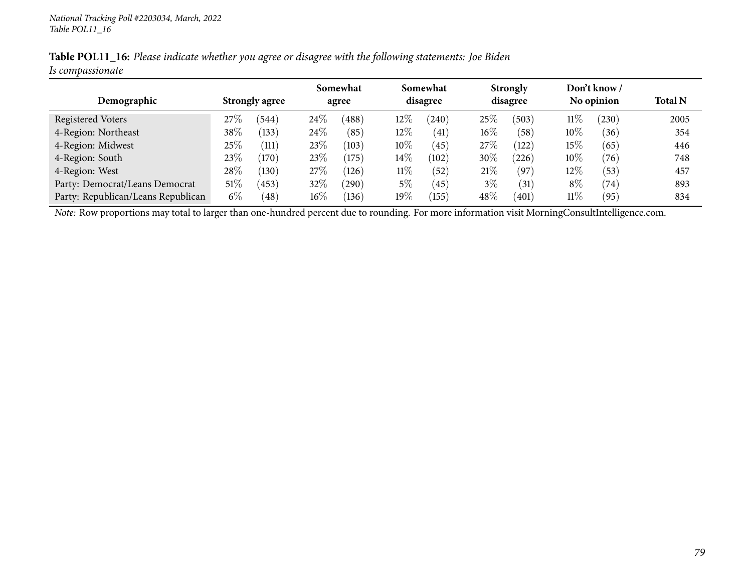|                  |  | Table POL11_16: Please indicate whether you agree or disagree with the following statements: Joe Biden |  |
|------------------|--|--------------------------------------------------------------------------------------------------------|--|
| Is compassionate |  |                                                                                                        |  |

|                                    |        |                       |        |       |         |            |        | Somewhat       |        | Somewhat   |                | <b>Strongly</b> |  | Don't know / |  |
|------------------------------------|--------|-----------------------|--------|-------|---------|------------|--------|----------------|--------|------------|----------------|-----------------|--|--------------|--|
| Demographic                        |        | <b>Strongly agree</b> |        | agree |         | disagree   |        | disagree       |        | No opinion | <b>Total N</b> |                 |  |              |  |
| Registered Voters                  | $27\%$ | (544)                 | $24\%$ | (488) | $12\%$  | (240)      | 25%    | (503)          | $11\%$ | (230)      | 2005           |                 |  |              |  |
| 4-Region: Northeast                | 38\%   | (133)                 | $24\%$ | (85)  | $12\%$  | (41)       | $16\%$ | (58)           | $10\%$ | (36)       | 354            |                 |  |              |  |
| 4-Region: Midwest                  | 25\%   | (111                  | 23\%   | (103) | $10\%$  | (45)       | 27\%   | 122            | 15%    | (65)       | 446            |                 |  |              |  |
| 4-Region: South                    | 23\%   | (170)                 | 23\%   | (175) | $14\%$  | (102)      | 30%    | 226            | $10\%$ | (76)       | 748            |                 |  |              |  |
| 4-Region: West                     | 28%    | (130)                 | 27%    | (126) | $11\%$  | (52)       | 21%    | (97)           | $12\%$ | (53)       | 457            |                 |  |              |  |
| Party: Democrat/Leans Democrat     | $51\%$ | 453                   | 32%    | (290) | 5%      | (45)       | $3\%$  | (31)           | $8\%$  | (74)       | 893            |                 |  |              |  |
| Party: Republican/Leans Republican | $6\%$  | $^{\prime}48$         | $16\%$ | (136) | 19 $\%$ | $^{'}155)$ | 48%    | $^{\prime}401$ | $11\%$ | (95)       | 834            |                 |  |              |  |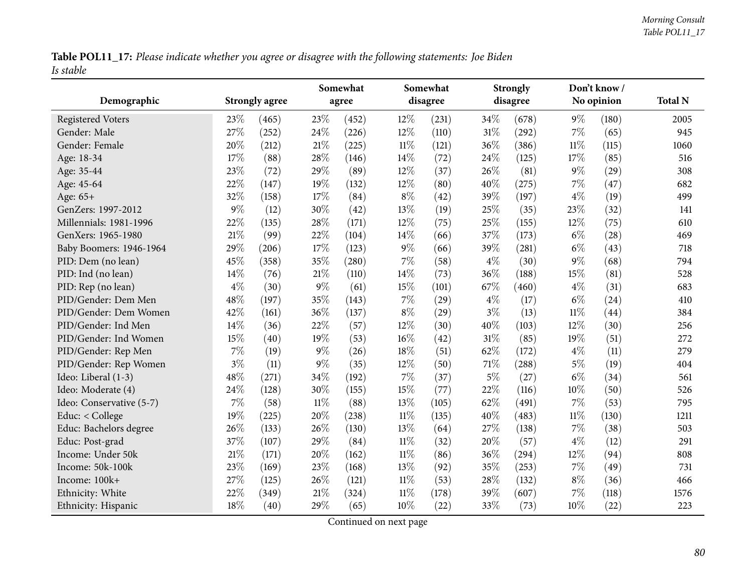Table POL11\_17: Please indicate whether you agree or disagree with the following statements: Joe Biden *Is stable*

|                          |       |                       |        | Somewhat |        | Somewhat |       | <b>Strongly</b> |        | Don't know/ |                |
|--------------------------|-------|-----------------------|--------|----------|--------|----------|-------|-----------------|--------|-------------|----------------|
| Demographic              |       | <b>Strongly agree</b> |        | agree    |        | disagree |       | disagree        |        | No opinion  | <b>Total N</b> |
| <b>Registered Voters</b> | 23%   | (465)                 | 23%    | (452)    | 12%    | (231)    | 34%   | (678)           | $9\%$  | (180)       | 2005           |
| Gender: Male             | 27%   | (252)                 | 24%    | (226)    | $12\%$ | (110)    | 31%   | (292)           | 7%     | (65)        | 945            |
| Gender: Female           | 20%   | (212)                 | 21%    | (225)    | $11\%$ | (121)    | 36%   | (386)           | $11\%$ | (115)       | 1060           |
| Age: 18-34               | 17%   | (88)                  | 28%    | (146)    | 14%    | (72)     | 24%   | (125)           | 17%    | (85)        | 516            |
| Age: 35-44               | 23%   | (72)                  | 29%    | (89)     | $12\%$ | (37)     | 26%   | (81)            | $9\%$  | (29)        | 308            |
| Age: 45-64               | 22%   | (147)                 | 19%    | (132)    | $12\%$ | (80)     | 40%   | (275)           | 7%     | (47)        | 682            |
| Age: 65+                 | 32%   | (158)                 | 17%    | (84)     | $8\%$  | (42)     | 39%   | (197)           | $4\%$  | (19)        | 499            |
| GenZers: 1997-2012       | $9\%$ | (12)                  | 30%    | (42)     | 13%    | (19)     | 25%   | (35)            | 23%    | (32)        | 141            |
| Millennials: 1981-1996   | 22%   | (135)                 | 28%    | (171)    | 12%    | (75)     | 25%   | (155)           | 12%    | (75)        | 610            |
| GenXers: 1965-1980       | 21%   | (99)                  | 22%    | (104)    | 14%    | (66)     | 37%   | (173)           | $6\%$  | (28)        | 469            |
| Baby Boomers: 1946-1964  | 29%   | (206)                 | 17%    | (123)    | $9\%$  | (66)     | 39%   | (281)           | $6\%$  | (43)        | 718            |
| PID: Dem (no lean)       | 45%   | (358)                 | 35%    | (280)    | 7%     | (58)     | $4\%$ | (30)            | $9\%$  | (68)        | 794            |
| PID: Ind (no lean)       | 14%   | (76)                  | $21\%$ | (110)    | 14%    | (73)     | 36%   | (188)           | 15%    | (81)        | 528            |
| PID: Rep (no lean)       | $4\%$ | (30)                  | 9%     | (61)     | 15%    | (101)    | 67\%  | (460)           | $4\%$  | (31)        | 683            |
| PID/Gender: Dem Men      | 48%   | (197)                 | 35%    | (143)    | $7\%$  | (29)     | $4\%$ | (17)            | $6\%$  | (24)        | 410            |
| PID/Gender: Dem Women    | 42%   | (161)                 | 36%    | (137)    | $8\%$  | (29)     | $3\%$ | (13)            | $11\%$ | (44)        | 384            |
| PID/Gender: Ind Men      | 14%   | (36)                  | 22%    | (57)     | 12%    | (30)     | 40%   | (103)           | 12%    | (30)        | 256            |
| PID/Gender: Ind Women    | 15%   | (40)                  | 19%    | (53)     | 16%    | (42)     | 31%   | (85)            | 19%    | (51)        | 272            |
| PID/Gender: Rep Men      | 7%    | (19)                  | 9%     | (26)     | 18%    | (51)     | 62%   | (172)           | $4\%$  | (11)        | 279            |
| PID/Gender: Rep Women    | $3\%$ | (11)                  | 9%     | (35)     | 12%    | (50)     | 71%   | (288)           | $5\%$  | (19)        | 404            |
| Ideo: Liberal (1-3)      | 48%   | (271)                 | 34%    | (192)    | $7\%$  | (37)     | $5\%$ | (27)            | $6\%$  | (34)        | 561            |
| Ideo: Moderate (4)       | 24%   | (128)                 | 30%    | (155)    | 15%    | (77)     | 22%   | (116)           | 10%    | (50)        | 526            |
| Ideo: Conservative (5-7) | 7%    | (58)                  | 11%    | (88)     | 13\%   | (105)    | 62%   | (491)           | 7%     | (53)        | 795            |
| Educ: < College          | 19%   | (225)                 | 20%    | (238)    | $11\%$ | (135)    | 40%   | (483)           | $11\%$ | (130)       | 1211           |
| Educ: Bachelors degree   | 26%   | (133)                 | 26%    | (130)    | 13\%   | (64)     | 27%   | (138)           | 7%     | (38)        | 503            |
| Educ: Post-grad          | 37%   | (107)                 | 29%    | (84)     | $11\%$ | (32)     | 20%   | (57)            | $4\%$  | (12)        | 291            |
| Income: Under 50k        | 21%   | (171)                 | 20%    | (162)    | $11\%$ | (86)     | 36%   | (294)           | 12%    | (94)        | 808            |
| Income: 50k-100k         | 23%   | (169)                 | 23%    | (168)    | 13\%   | (92)     | 35%   | (253)           | 7%     | (49)        | 731            |
| Income: 100k+            | 27%   | (125)                 | 26%    | (121)    | $11\%$ | (53)     | 28%   | (132)           | $8\%$  | (36)        | 466            |
| Ethnicity: White         | 22%   | (349)                 | 21%    | (324)    | 11%    | (178)    | 39%   | (607)           | 7%     | (118)       | 1576           |
| Ethnicity: Hispanic      | 18%   | (40)                  | 29%    | (65)     | 10%    | (22)     | 33%   | (73)            | 10%    | (22)        | 223            |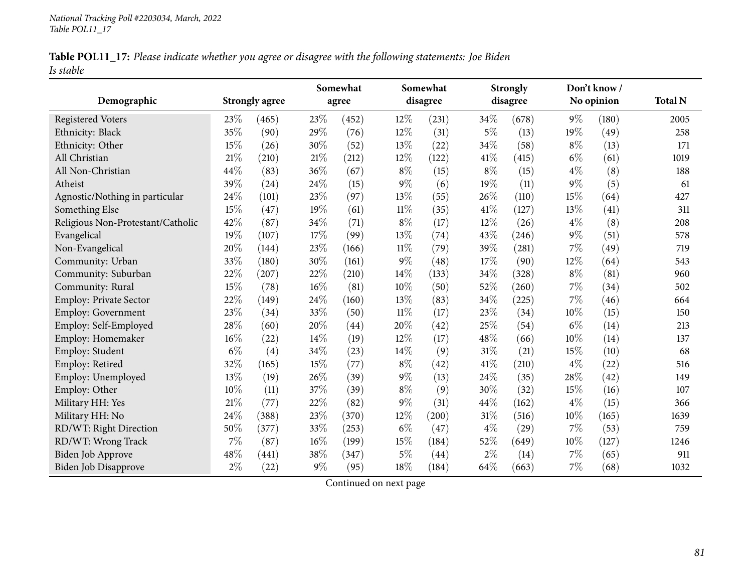|           | Table POL11_17: Please indicate whether you agree or disagree with the following statements: Joe Biden |  |
|-----------|--------------------------------------------------------------------------------------------------------|--|
| Is stable |                                                                                                        |  |

|                                   |       |                       |       | Somewhat |        | Somewhat<br>disagree |        | <b>Strongly</b><br>disagree |       | Don't know /<br>No opinion |                |
|-----------------------------------|-------|-----------------------|-------|----------|--------|----------------------|--------|-----------------------------|-------|----------------------------|----------------|
| Demographic                       |       | <b>Strongly agree</b> |       | agree    |        |                      |        |                             |       |                            | <b>Total N</b> |
| <b>Registered Voters</b>          | 23%   | (465)                 | 23%   | (452)    | 12%    | (231)                | 34\%   | (678)                       | $9\%$ | (180)                      | 2005           |
| Ethnicity: Black                  | 35%   | (90)                  | 29%   | (76)     | 12%    | (31)                 | $5\%$  | (13)                        | 19%   | (49)                       | 258            |
| Ethnicity: Other                  | 15%   | (26)                  | 30%   | (52)     | 13%    | (22)                 | 34%    | (58)                        | $8\%$ | (13)                       | 171            |
| All Christian                     | 21%   | (210)                 | 21\%  | (212)    | 12%    | (122)                | 41\%   | (415)                       | $6\%$ | (61)                       | 1019           |
| All Non-Christian                 | 44%   | (83)                  | 36%   | (67)     | $8\%$  | (15)                 | $8\%$  | (15)                        | $4\%$ | (8)                        | 188            |
| Atheist                           | 39%   | (24)                  | 24%   | (15)     | $9\%$  | (6)                  | 19%    | (11)                        | $9\%$ | (5)                        | 61             |
| Agnostic/Nothing in particular    | 24%   | (101)                 | 23%   | (97)     | 13%    | (55)                 | 26%    | (110)                       | 15%   | (64)                       | 427            |
| Something Else                    | 15%   | (47)                  | 19%   | (61)     | 11%    | (35)                 | 41\%   | (127)                       | 13%   | (41)                       | 311            |
| Religious Non-Protestant/Catholic | 42%   | (87)                  | 34%   | (71)     | $8\%$  | (17)                 | 12%    | (26)                        | $4\%$ | (8)                        | 208            |
| Evangelical                       | 19%   | (107)                 | 17%   | (99)     | 13%    | (74)                 | 43%    | (246)                       | $9\%$ | (51)                       | 578            |
| Non-Evangelical                   | 20%   | (144)                 | 23%   | (166)    | $11\%$ | (79)                 | 39%    | (281)                       | 7%    | (49)                       | 719            |
| Community: Urban                  | 33%   | (180)                 | 30%   | (161)    | $9\%$  | (48)                 | 17%    | (90)                        | 12%   | (64)                       | 543            |
| Community: Suburban               | 22%   | (207)                 | 22%   | (210)    | 14%    | (133)                | 34%    | (328)                       | $8\%$ | (81)                       | 960            |
| Community: Rural                  | 15%   | (78)                  | 16%   | (81)     | 10%    | (50)                 | 52%    | (260)                       | 7%    | (34)                       | 502            |
| <b>Employ: Private Sector</b>     | 22%   | (149)                 | 24%   | (160)    | 13%    | (83)                 | 34%    | (225)                       | 7%    | (46)                       | 664            |
| Employ: Government                | 23%   | (34)                  | 33%   | (50)     | $11\%$ | (17)                 | 23%    | (34)                        | 10%   | (15)                       | 150            |
| Employ: Self-Employed             | 28%   | (60)                  | 20%   | (44)     | 20%    | (42)                 | 25%    | (54)                        | $6\%$ | (14)                       | 213            |
| Employ: Homemaker                 | 16%   | (22)                  | 14%   | (19)     | 12%    | (17)                 | 48%    | (66)                        | 10%   | (14)                       | 137            |
| Employ: Student                   | $6\%$ | (4)                   | 34%   | (23)     | 14%    | (9)                  | 31\%   | (21)                        | 15%   | (10)                       | 68             |
| Employ: Retired                   | 32%   | (165)                 | 15%   | (77)     | $8\%$  | (42)                 | 41\%   | (210)                       | $4\%$ | (22)                       | 516            |
| Employ: Unemployed                | 13%   | (19)                  | 26%   | (39)     | $9\%$  | (13)                 | 24%    | (35)                        | 28%   | (42)                       | 149            |
| Employ: Other                     | 10%   | (11)                  | 37%   | (39)     | $8\%$  | (9)                  | 30%    | (32)                        | 15%   | (16)                       | 107            |
| Military HH: Yes                  | 21%   | (77)                  | 22%   | (82)     | $9\%$  | (31)                 | 44%    | (162)                       | $4\%$ | (15)                       | 366            |
| Military HH: No                   | 24%   | (388)                 | 23%   | (370)    | 12%    | (200)                | $31\%$ | (516)                       | 10%   | (165)                      | 1639           |
| RD/WT: Right Direction            | 50%   | (377)                 | 33%   | (253)    | $6\%$  | (47)                 | $4\%$  | (29)                        | $7\%$ | (53)                       | 759            |
| RD/WT: Wrong Track                | 7%    | (87)                  | 16%   | (199)    | 15%    | (184)                | 52%    | (649)                       | 10%   | (127)                      | 1246           |
| <b>Biden Job Approve</b>          | 48%   | (441)                 | 38%   | (347)    | $5\%$  | (44)                 | $2\%$  | (14)                        | 7%    | (65)                       | 911            |
| <b>Biden Job Disapprove</b>       | $2\%$ | (22)                  | $9\%$ | (95)     | 18%    | (184)                | 64%    | (663)                       | $7\%$ | (68)                       | 1032           |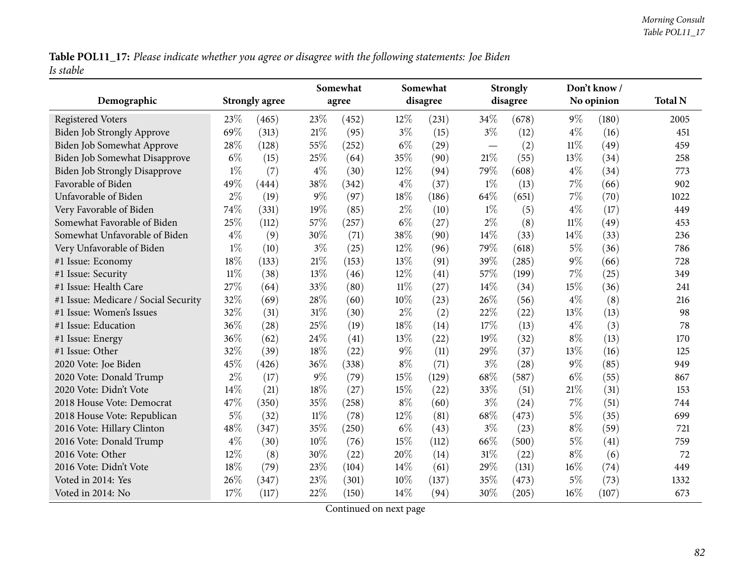Table POL11\_17: Please indicate whether you agree or disagree with the following statements: Joe Biden *Is stable*

| Demographic                          |        | <b>Strongly agree</b> | Somewhat<br>agree |       |        | Somewhat<br>disagree |                          | <b>Strongly</b><br>disagree |        | Don't know /<br>No opinion | <b>Total N</b> |
|--------------------------------------|--------|-----------------------|-------------------|-------|--------|----------------------|--------------------------|-----------------------------|--------|----------------------------|----------------|
| <b>Registered Voters</b>             | 23\%   | (465)                 | 23%               | (452) | 12%    | (231)                | 34\%                     | (678)                       | $9\%$  | (180)                      | 2005           |
| <b>Biden Job Strongly Approve</b>    | 69%    | (313)                 | 21%               | (95)  | $3\%$  | (15)                 | $3\%$                    | (12)                        | $4\%$  | (16)                       | 451            |
| Biden Job Somewhat Approve           | 28%    | (128)                 | 55%               | (252) | $6\%$  | (29)                 | $\overline{\phantom{m}}$ | (2)                         | $11\%$ | (49)                       | 459            |
| Biden Job Somewhat Disapprove        | $6\%$  | (15)                  | 25%               | (64)  | 35%    | (90)                 | $21\%$                   | (55)                        | 13%    | (34)                       | 258            |
| <b>Biden Job Strongly Disapprove</b> | $1\%$  | (7)                   | $4\%$             | (30)  | 12%    | (94)                 | 79%                      | (608)                       | $4\%$  | (34)                       | 773            |
| Favorable of Biden                   | 49%    | (444)                 | 38%               | (342) | $4\%$  | (37)                 | $1\%$                    | (13)                        | $7\%$  | (66)                       | 902            |
| Unfavorable of Biden                 | $2\%$  | (19)                  | $9\%$             | (97)  | 18%    | (186)                | 64%                      | (651)                       | $7\%$  | (70)                       | 1022           |
| Very Favorable of Biden              | 74%    | (331)                 | 19%               | (85)  | $2\%$  | (10)                 | $1\%$                    | (5)                         | $4\%$  | (17)                       | 449            |
| Somewhat Favorable of Biden          | 25%    | (112)                 | 57%               | (257) | $6\%$  | (27)                 | $2\%$                    | (8)                         | $11\%$ | (49)                       | 453            |
| Somewhat Unfavorable of Biden        | $4\%$  | (9)                   | $30\%$            | (71)  | 38%    | (90)                 | 14\%                     | (33)                        | 14%    | (33)                       | 236            |
| Very Unfavorable of Biden            | $1\%$  | (10)                  | $3\%$             | (25)  | 12%    | (96)                 | 79%                      | (618)                       | $5\%$  | (36)                       | 786            |
| #1 Issue: Economy                    | 18%    | (133)                 | 21%               | (153) | 13%    | (91)                 | 39%                      | (285)                       | $9\%$  | (66)                       | 728            |
| #1 Issue: Security                   | $11\%$ | (38)                  | 13%               | (46)  | 12%    | (41)                 | 57%                      | (199)                       | $7\%$  | (25)                       | 349            |
| #1 Issue: Health Care                | 27%    | (64)                  | 33%               | (80)  | 11%    | (27)                 | 14\%                     | (34)                        | 15%    | (36)                       | 241            |
| #1 Issue: Medicare / Social Security | 32%    | (69)                  | 28%               | (60)  | 10%    | (23)                 | 26%                      | (56)                        | $4\%$  | (8)                        | 216            |
| #1 Issue: Women's Issues             | 32%    | (31)                  | 31%               | (30)  | $2\%$  | (2)                  | 22%                      | (22)                        | 13%    | (13)                       | 98             |
| #1 Issue: Education                  | 36%    | (28)                  | 25%               | (19)  | 18%    | (14)                 | 17%                      | (13)                        | $4\%$  | (3)                        | 78             |
| #1 Issue: Energy                     | 36%    | (62)                  | 24\%              | (41)  | 13%    | (22)                 | 19%                      | (32)                        | $8\%$  | (13)                       | 170            |
| #1 Issue: Other                      | 32%    | (39)                  | 18%               | (22)  | $9\%$  | (11)                 | 29%                      | (37)                        | 13%    | (16)                       | 125            |
| 2020 Vote: Joe Biden                 | 45%    | (426)                 | 36%               | (338) | $8\%$  | (71)                 | $3\%$                    | (28)                        | $9\%$  | (85)                       | 949            |
| 2020 Vote: Donald Trump              | $2\%$  | (17)                  | $9\%$             | (79)  | 15%    | (129)                | 68\%                     | (587)                       | $6\%$  | (55)                       | 867            |
| 2020 Vote: Didn't Vote               | 14%    | (21)                  | 18%               | (27)  | 15%    | (22)                 | 33%                      | (51)                        | 21\%   | (31)                       | 153            |
| 2018 House Vote: Democrat            | 47%    | (350)                 | 35%               | (258) | $8\%$  | (60)                 | $3\%$                    | (24)                        | $7\%$  | (51)                       | 744            |
| 2018 House Vote: Republican          | $5\%$  | (32)                  | $11\%$            | (78)  | 12%    | (81)                 | 68%                      | (473)                       | $5\%$  | (35)                       | 699            |
| 2016 Vote: Hillary Clinton           | 48%    | (347)                 | 35%               | (250) | $6\%$  | (43)                 | $3\%$                    | (23)                        | $8\%$  | (59)                       | 721            |
| 2016 Vote: Donald Trump              | $4\%$  | (30)                  | 10%               | (76)  | 15%    | (112)                | 66%                      | (500)                       | $5\%$  | (41)                       | 759            |
| 2016 Vote: Other                     | 12%    | (8)                   | 30%               | (22)  | 20%    | (14)                 | $31\%$                   | (22)                        | $8\%$  | (6)                        | 72             |
| 2016 Vote: Didn't Vote               | 18%    | (79)                  | 23%               | (104) | 14%    | (61)                 | 29%                      | (131)                       | $16\%$ | (74)                       | 449            |
| Voted in 2014: Yes                   | 26%    | (347)                 | 23%               | (301) | $10\%$ | (137)                | 35%                      | (473)                       | $5\%$  | (73)                       | 1332           |
| Voted in 2014: No                    | 17%    | (117)                 | 22%               | (150) | 14%    | (94)                 | 30%                      | (205)                       | 16%    | (107)                      | 673            |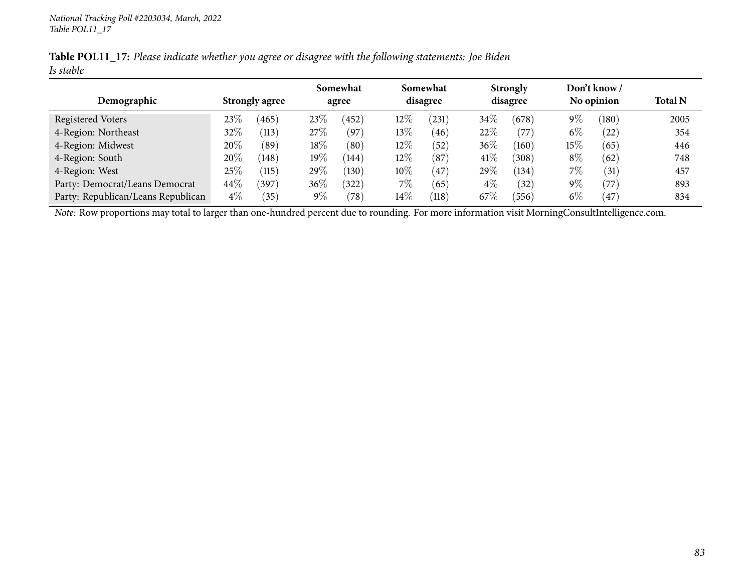|           | Table POL11_17: Please indicate whether you agree or disagree with the following statements: Joe Biden |  |
|-----------|--------------------------------------------------------------------------------------------------------|--|
| Is stable |                                                                                                        |  |

|                                    |                       |                        |        | Somewhat                |          | Somewhat   |          | <b>Strongly</b> |            | Don't know /      |                |
|------------------------------------|-----------------------|------------------------|--------|-------------------------|----------|------------|----------|-----------------|------------|-------------------|----------------|
| Demographic                        | <b>Strongly agree</b> |                        | agree  |                         | disagree |            | disagree |                 | No opinion |                   | <b>Total N</b> |
| Registered Voters                  | 23\%                  | 465                    | 23\%   | 452                     | 12%      | $^{(231)}$ | $34\%$   | (678)           | $9\%$      | (180)             | 2005           |
| 4-Region: Northeast                | 32\%                  | (113)                  | 27%    | (97)                    | $13\%$   | (46)       | 22%      | (77)            | $6\%$      | (22)              | 354            |
| 4-Region: Midwest                  | 20\%                  | $^{\prime}89^{\prime}$ | $18\%$ | $\left( 80\right)$      | $12\%$   | (52)       | $36\%$   | (160)           | $15\%$     | (65)              | 446            |
| 4-Region: South                    | 20\%                  | (148)                  | $19\%$ | (144)                   | $12\%$   | (87)       | 41\%     | (308)           | $8\%$      | (62)              | 748            |
| 4-Region: West                     | 25%                   | (115)                  | 29%    | $^{\prime}130^{\prime}$ | $10\%$   | 47         | 29\%     | (134)           | 7%         | $\left(31\right)$ | 457            |
| Party: Democrat/Leans Democrat     | $44\%$                | (397)                  | $36\%$ | $^{'}322$               | $7\%$    | (65)       | $4\%$    | (32)            | $9\%$      | '77               | 893            |
| Party: Republican/Leans Republican | $4\%$                 | (35)                   | $9\%$  | (78)                    | $14\%$   | (118)      | 67\%     | 556             | $6\%$      | (47)              | 834            |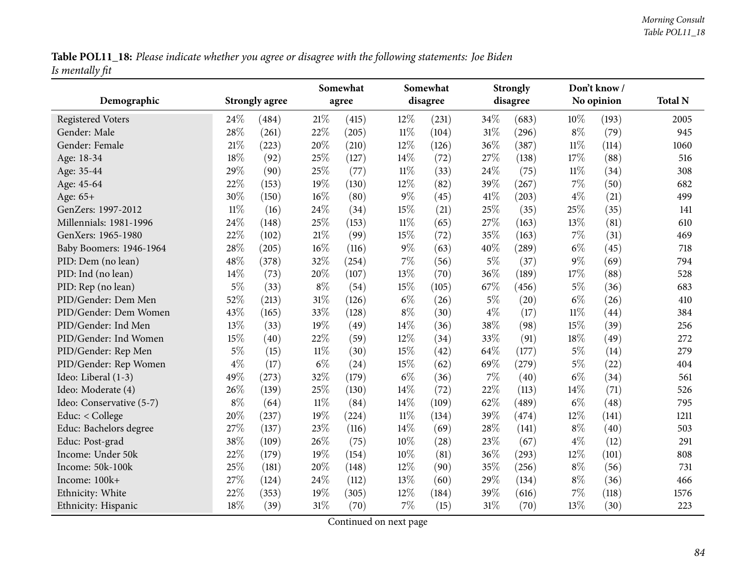Table POL11\_18: Please indicate whether you agree or disagree with the following statements: Joe Biden *Is mentally fit*

|                          |        |                       | Somewhat |       |        | Somewhat |       | <b>Strongly</b> |        | Don't know/ |      |
|--------------------------|--------|-----------------------|----------|-------|--------|----------|-------|-----------------|--------|-------------|------|
| Demographic              |        | <b>Strongly agree</b> |          | agree |        | disagree |       | disagree        |        | No opinion  |      |
| <b>Registered Voters</b> | 24\%   | (484)                 | 21\%     | (415) | 12%    | (231)    | 34%   | (683)           | 10%    | (193)       | 2005 |
| Gender: Male             | 28%    | (261)                 | 22%      | (205) | $11\%$ | (104)    | 31%   | (296)           | $8\%$  | (79)        | 945  |
| Gender: Female           | 21%    | (223)                 | 20%      | (210) | 12%    | (126)    | 36%   | (387)           | $11\%$ | (114)       | 1060 |
| Age: 18-34               | 18%    | (92)                  | 25%      | (127) | 14%    | (72)     | 27%   | (138)           | 17%    | (88)        | 516  |
| Age: 35-44               | 29%    | (90)                  | 25%      | (77)  | $11\%$ | (33)     | 24%   | (75)            | $11\%$ | (34)        | 308  |
| Age: 45-64               | 22%    | (153)                 | 19%      | (130) | 12%    | (82)     | 39%   | (267)           | $7\%$  | (50)        | 682  |
| Age: 65+                 | 30%    | (150)                 | $16\%$   | (80)  | $9\%$  | (45)     | 41\%  | (203)           | $4\%$  | (21)        | 499  |
| GenZers: 1997-2012       | $11\%$ | (16)                  | 24%      | (34)  | 15%    | (21)     | 25%   | (35)            | 25%    | (35)        | 141  |
| Millennials: 1981-1996   | 24\%   | (148)                 | 25%      | (153) | 11%    | (65)     | 27%   | (163)           | 13%    | (81)        | 610  |
| GenXers: 1965-1980       | 22%    | (102)                 | 21%      | (99)  | 15%    | (72)     | 35%   | (163)           | 7%     | (31)        | 469  |
| Baby Boomers: 1946-1964  | 28%    | (205)                 | 16%      | (116) | $9\%$  | (63)     | 40%   | (289)           | $6\%$  | (45)        | 718  |
| PID: Dem (no lean)       | 48%    | (378)                 | 32%      | (254) | $7\%$  | (56)     | $5\%$ | (37)            | $9\%$  | (69)        | 794  |
| PID: Ind (no lean)       | 14%    | (73)                  | 20%      | (107) | 13%    | (70)     | 36%   | (189)           | 17%    | (88)        | 528  |
| PID: Rep (no lean)       | $5\%$  | (33)                  | $8\%$    | (54)  | 15%    | (105)    | 67%   | (456)           | $5\%$  | (36)        | 683  |
| PID/Gender: Dem Men      | 52%    | (213)                 | 31%      | (126) | $6\%$  | (26)     | $5\%$ | (20)            | $6\%$  | (26)        | 410  |
| PID/Gender: Dem Women    | 43%    | (165)                 | 33%      | (128) | $8\%$  | (30)     | $4\%$ | (17)            | $11\%$ | (44)        | 384  |
| PID/Gender: Ind Men      | 13%    | (33)                  | 19%      | (49)  | 14%    | (36)     | 38%   | (98)            | 15%    | (39)        | 256  |
| PID/Gender: Ind Women    | 15%    | (40)                  | 22%      | (59)  | 12%    | (34)     | 33%   | (91)            | 18%    | (49)        | 272  |
| PID/Gender: Rep Men      | $5\%$  | (15)                  | $11\%$   | (30)  | 15%    | (42)     | 64%   | (177)           | $5\%$  | (14)        | 279  |
| PID/Gender: Rep Women    | $4\%$  | (17)                  | $6\%$    | (24)  | 15%    | (62)     | 69%   | (279)           | $5\%$  | (22)        | 404  |
| Ideo: Liberal (1-3)      | 49%    | (273)                 | 32%      | (179) | $6\%$  | (36)     | 7%    | (40)            | $6\%$  | (34)        | 561  |
| Ideo: Moderate (4)       | 26%    | (139)                 | 25%      | (130) | 14%    | (72)     | 22%   | (113)           | 14%    | (71)        | 526  |
| Ideo: Conservative (5-7) | $8\%$  | (64)                  | $11\%$   | (84)  | 14%    | (109)    | 62%   | (489)           | $6\%$  | (48)        | 795  |
| Educ: $<$ College        | 20%    | (237)                 | 19%      | (224) | $11\%$ | (134)    | 39%   | (474)           | 12%    | (141)       | 1211 |
| Educ: Bachelors degree   | 27\%   | (137)                 | 23%      | (116) | 14\%   | (69)     | 28%   | (141)           | $8\%$  | (40)        | 503  |
| Educ: Post-grad          | 38%    | (109)                 | 26%      | (75)  | 10%    | (28)     | 23%   | (67)            | $4\%$  | (12)        | 291  |
| Income: Under 50k        | 22%    | (179)                 | 19%      | (154) | 10%    | (81)     | 36%   | (293)           | 12%    | (101)       | 808  |
| Income: 50k-100k         | 25%    | (181)                 | 20%      | (148) | 12%    | (90)     | 35%   | (256)           | $8\%$  | (56)        | 731  |
| Income: 100k+            | 27%    | (124)                 | 24%      | (112) | 13%    | (60)     | 29%   | (134)           | $8\%$  | (36)        | 466  |
| Ethnicity: White         | 22%    | (353)                 | 19%      | (305) | 12%    | (184)    | 39%   | (616)           | 7%     | (118)       | 1576 |
| Ethnicity: Hispanic      | 18%    | (39)                  | 31%      | (70)  | $7\%$  | (15)     | 31%   | (70)            | 13%    | (30)        | 223  |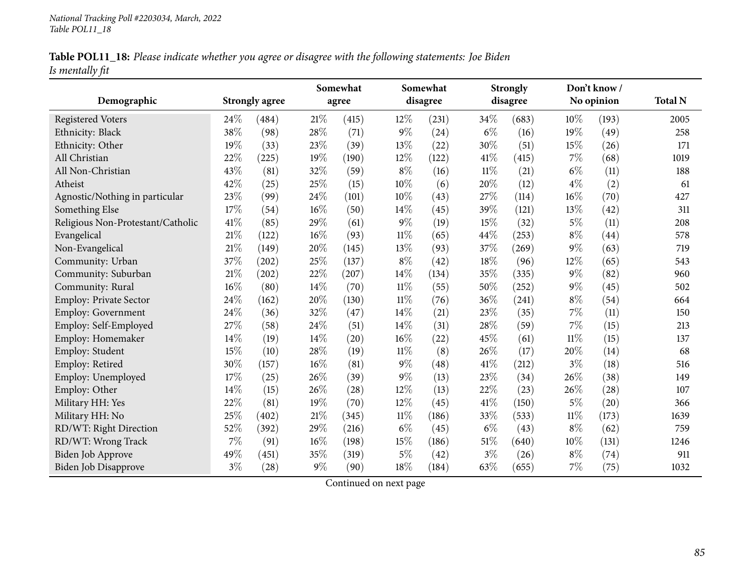|                 | Table POL11_18: Please indicate whether you agree or disagree with the following statements: Joe Biden |
|-----------------|--------------------------------------------------------------------------------------------------------|
| Is mentally fit |                                                                                                        |

|                                   |       |                       | Somewhat |       |        | Somewhat<br>disagree |        | <b>Strongly</b><br>disagree |        | Don't know /<br>No opinion |                |
|-----------------------------------|-------|-----------------------|----------|-------|--------|----------------------|--------|-----------------------------|--------|----------------------------|----------------|
| Demographic                       |       | <b>Strongly agree</b> |          | agree |        |                      |        |                             |        |                            | <b>Total N</b> |
| <b>Registered Voters</b>          | 24\%  | (484)                 | 21%      | (415) | 12%    | (231)                | 34\%   | (683)                       | 10%    | (193)                      | 2005           |
| Ethnicity: Black                  | 38%   | (98)                  | 28%      | (71)  | $9\%$  | (24)                 | $6\%$  | (16)                        | 19%    | (49)                       | 258            |
| Ethnicity: Other                  | 19%   | (33)                  | 23%      | (39)  | 13%    | (22)                 | 30%    | (51)                        | 15%    | (26)                       | 171            |
| All Christian                     | 22%   | (225)                 | 19%      | (190) | 12%    | (122)                | 41\%   | (415)                       | $7\%$  | (68)                       | 1019           |
| All Non-Christian                 | 43%   | (81)                  | 32%      | (59)  | $8\%$  | (16)                 | $11\%$ | (21)                        | $6\%$  | (11)                       | 188            |
| Atheist                           | 42%   | (25)                  | 25%      | (15)  | 10%    | (6)                  | 20%    | (12)                        | $4\%$  | (2)                        | 61             |
| Agnostic/Nothing in particular    | 23%   | (99)                  | 24%      | (101) | 10%    | (43)                 | 27%    | (114)                       | 16%    | (70)                       | 427            |
| Something Else                    | 17%   | (54)                  | 16%      | (50)  | 14\%   | (45)                 | 39%    | (121)                       | 13%    | (42)                       | 311            |
| Religious Non-Protestant/Catholic | 41%   | (85)                  | 29%      | (61)  | $9\%$  | (19)                 | 15%    | (32)                        | $5\%$  | (11)                       | 208            |
| Evangelical                       | 21%   | (122)                 | 16%      | (93)  | $11\%$ | (65)                 | 44\%   | (253)                       | $8\%$  | (44)                       | 578            |
| Non-Evangelical                   | 21%   | (149)                 | 20%      | (145) | 13%    | (93)                 | 37%    | (269)                       | $9\%$  | (63)                       | 719            |
| Community: Urban                  | 37%   | (202)                 | 25%      | (137) | $8\%$  | (42)                 | 18%    | (96)                        | $12\%$ | (65)                       | 543            |
| Community: Suburban               | 21%   | (202)                 | 22%      | (207) | 14%    | (134)                | 35%    | (335)                       | $9\%$  | (82)                       | 960            |
| Community: Rural                  | 16%   | (80)                  | 14%      | (70)  | $11\%$ | (55)                 | 50%    | (252)                       | $9\%$  | (45)                       | 502            |
| Employ: Private Sector            | 24%   | (162)                 | 20%      | (130) | 11%    | (76)                 | 36%    | (241)                       | $8\%$  | (54)                       | 664            |
| <b>Employ: Government</b>         | 24%   | (36)                  | 32%      | (47)  | 14\%   | (21)                 | 23%    | (35)                        | 7%     | (11)                       | 150            |
| Employ: Self-Employed             | 27%   | (58)                  | 24%      | (51)  | 14%    | (31)                 | 28%    | (59)                        | 7%     | (15)                       | 213            |
| Employ: Homemaker                 | 14%   | (19)                  | 14%      | (20)  | 16%    | (22)                 | 45%    | (61)                        | $11\%$ | (15)                       | 137            |
| Employ: Student                   | 15%   | (10)                  | 28%      | (19)  | $11\%$ | (8)                  | 26\%   | (17)                        | 20%    | (14)                       | 68             |
| Employ: Retired                   | 30%   | (157)                 | 16%      | (81)  | $9\%$  | (48)                 | 41\%   | (212)                       | $3\%$  | (18)                       | 516            |
| Employ: Unemployed                | 17%   | (25)                  | 26%      | (39)  | $9\%$  | (13)                 | 23%    | (34)                        | 26%    | (38)                       | 149            |
| Employ: Other                     | 14%   | (15)                  | 26%      | (28)  | 12%    | (13)                 | 22%    | (23)                        | 26%    | (28)                       | 107            |
| Military HH: Yes                  | 22%   | (81)                  | 19%      | (70)  | 12%    | (45)                 | 41\%   | (150)                       | $5\%$  | (20)                       | 366            |
| Military HH: No                   | 25%   | (402)                 | 21%      | (345) | 11%    | (186)                | 33%    | (533)                       | 11%    | (173)                      | 1639           |
| RD/WT: Right Direction            | 52%   | (392)                 | 29%      | (216) | $6\%$  | (45)                 | $6\%$  | (43)                        | $8\%$  | (62)                       | 759            |
| RD/WT: Wrong Track                | 7%    | (91)                  | 16%      | (198) | $15\%$ | (186)                | $51\%$ | (640)                       | 10%    | (131)                      | 1246           |
| <b>Biden Job Approve</b>          | 49%   | (451)                 | 35%      | (319) | $5\%$  | (42)                 | $3\%$  | (26)                        | $8\%$  | (74)                       | 911            |
| <b>Biden Job Disapprove</b>       | $3\%$ | (28)                  | $9\%$    | (90)  | 18%    | (184)                | 63%    | (655)                       | $7\%$  | (75)                       | 1032           |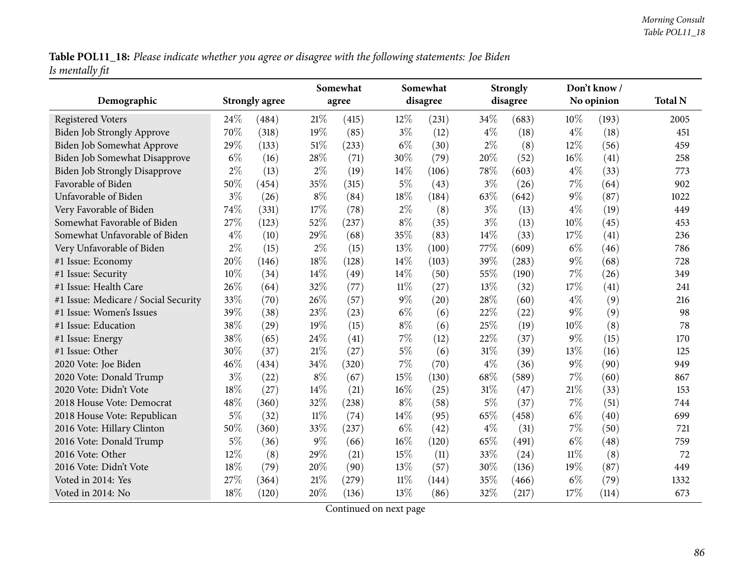Table POL11\_18: Please indicate whether you agree or disagree with the following statements: Joe Biden *Is mentally fit*

| Demographic                          |       | <b>Strongly agree</b> | Somewhat<br>agree |       |        | Somewhat<br>disagree |        | <b>Strongly</b><br>disagree |        | Don't know /<br>No opinion |                |
|--------------------------------------|-------|-----------------------|-------------------|-------|--------|----------------------|--------|-----------------------------|--------|----------------------------|----------------|
|                                      |       |                       |                   |       |        |                      |        |                             |        |                            | <b>Total N</b> |
| <b>Registered Voters</b>             | 24\%  | (484)                 | 21\%              | (415) | 12%    | (231)                | 34%    | (683)                       | 10%    | (193)                      | 2005           |
| <b>Biden Job Strongly Approve</b>    | 70%   | (318)                 | 19%               | (85)  | $3\%$  | (12)                 | $4\%$  | (18)                        | $4\%$  | (18)                       | 451            |
| Biden Job Somewhat Approve           | 29%   | (133)                 | $51\%$            | (233) | $6\%$  | (30)                 | $2\%$  | (8)                         | 12%    | (56)                       | 459            |
| Biden Job Somewhat Disapprove        | $6\%$ | (16)                  | 28\%              | (71)  | 30%    | (79)                 | 20%    | (52)                        | 16%    | (41)                       | 258            |
| <b>Biden Job Strongly Disapprove</b> | $2\%$ | (13)                  | $2\%$             | (19)  | 14%    | (106)                | 78%    | (603)                       | $4\%$  | (33)                       | 773            |
| Favorable of Biden                   | 50%   | (454)                 | 35%               | (315) | $5\%$  | (43)                 | $3\%$  | (26)                        | $7\%$  | (64)                       | 902            |
| Unfavorable of Biden                 | $3\%$ | (26)                  | $8\%$             | (84)  | 18%    | (184)                | 63%    | (642)                       | 9%     | (87)                       | 1022           |
| Very Favorable of Biden              | 74%   | (331)                 | 17%               | (78)  | $2\%$  | (8)                  | $3\%$  | (13)                        | $4\%$  | (19)                       | 449            |
| Somewhat Favorable of Biden          | 27%   | (123)                 | 52%               | (237) | $8\%$  | (35)                 | $3\%$  | (13)                        | 10%    | (45)                       | 453            |
| Somewhat Unfavorable of Biden        | $4\%$ | (10)                  | 29%               | (68)  | 35%    | (83)                 | 14%    | (33)                        | 17%    | (41)                       | 236            |
| Very Unfavorable of Biden            | $2\%$ | (15)                  | $2\%$             | (15)  | 13%    | (100)                | 77%    | (609)                       | $6\%$  | (46)                       | 786            |
| #1 Issue: Economy                    | 20%   | (146)                 | 18%               | (128) | 14\%   | (103)                | 39%    | (283)                       | 9%     | (68)                       | 728            |
| #1 Issue: Security                   | 10%   | (34)                  | 14\%              | (49)  | 14\%   | (50)                 | 55%    | (190)                       | 7%     | (26)                       | 349            |
| #1 Issue: Health Care                | 26%   | (64)                  | 32%               | (77)  | $11\%$ | (27)                 | 13%    | (32)                        | 17%    | (41)                       | 241            |
| #1 Issue: Medicare / Social Security | 33%   | (70)                  | 26%               | (57)  | $9\%$  | (20)                 | 28%    | (60)                        | $4\%$  | (9)                        | 216            |
| #1 Issue: Women's Issues             | 39%   | (38)                  | 23%               | (23)  | $6\%$  | (6)                  | 22%    | (22)                        | 9%     | (9)                        | 98             |
| #1 Issue: Education                  | 38%   | (29)                  | 19%               | (15)  | $8\%$  | (6)                  | 25%    | (19)                        | 10%    | (8)                        | 78             |
| #1 Issue: Energy                     | 38%   | (65)                  | 24\%              | (41)  | $7\%$  | (12)                 | 22%    | (37)                        | $9\%$  | (15)                       | 170            |
| #1 Issue: Other                      | 30%   | (37)                  | 21\%              | (27)  | $5\%$  | (6)                  | $31\%$ | (39)                        | 13%    | (16)                       | 125            |
| 2020 Vote: Joe Biden                 | 46%   | (434)                 | 34%               | (320) | $7\%$  | (70)                 | $4\%$  | (36)                        | 9%     | (90)                       | 949            |
| 2020 Vote: Donald Trump              | $3\%$ | (22)                  | $8\%$             | (67)  | 15%    | (130)                | 68%    | (589)                       | 7%     | (60)                       | 867            |
| 2020 Vote: Didn't Vote               | 18%   | (27)                  | 14%               | (21)  | 16%    | (25)                 | $31\%$ | (47)                        | 21%    | (33)                       | 153            |
| 2018 House Vote: Democrat            | 48%   | (360)                 | 32%               | (238) | $8\%$  | (58)                 | $5\%$  | (37)                        | 7%     | (51)                       | 744            |
| 2018 House Vote: Republican          | $5\%$ | (32)                  | $11\%$            | (74)  | 14%    | (95)                 | 65%    | (458)                       | $6\%$  | (40)                       | 699            |
| 2016 Vote: Hillary Clinton           | 50%   | (360)                 | 33%               | (237) | $6\%$  | (42)                 | $4\%$  | (31)                        | 7%     | (50)                       | 721            |
| 2016 Vote: Donald Trump              | $5\%$ | (36)                  | $9\%$             | (66)  | $16\%$ | (120)                | 65%    | (491)                       | $6\%$  | (48)                       | 759            |
| 2016 Vote: Other                     | 12%   | (8)                   | 29%               | (21)  | 15%    | (11)                 | 33%    | (24)                        | $11\%$ | (8)                        | 72             |
| 2016 Vote: Didn't Vote               | 18%   | (79)                  | 20%               | (90)  | 13%    | (57)                 | 30%    | (136)                       | 19%    | (87)                       | 449            |
| Voted in 2014: Yes                   | 27%   | (364)                 | 21%               | (279) | $11\%$ | (144)                | 35%    | (466)                       | $6\%$  | (79)                       | 1332           |
| Voted in 2014: No                    | 18%   | (120)                 | 20%               | (136) | 13%    | (86)                 | 32%    | (217)                       | 17%    | (114)                      | 673            |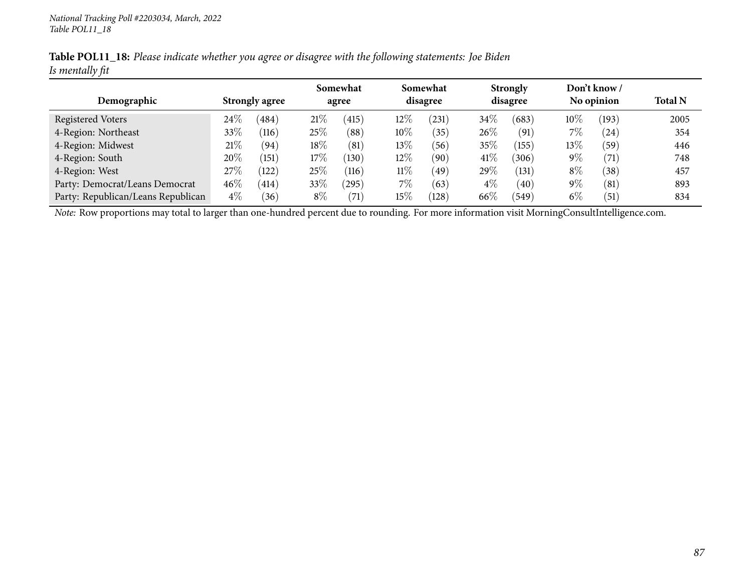|                 | Table POL11_18: Please indicate whether you agree or disagree with the following statements: Joe Biden |  |
|-----------------|--------------------------------------------------------------------------------------------------------|--|
| Is mentally fit |                                                                                                        |  |

|                                    |                       |                |        | Somewhat       |        | Somewhat   |        | <b>Strongly</b> |        | Don't know / |      |
|------------------------------------|-----------------------|----------------|--------|----------------|--------|------------|--------|-----------------|--------|--------------|------|
| Demographic                        | <b>Strongly agree</b> |                |        | agree          |        | disagree   |        | disagree        |        | No opinion   |      |
| Registered Voters                  | 24\%                  | 484            | 21%    | (415)          | $12\%$ | $^{'}231)$ | $34\%$ | (683)           | $10\%$ | (193)        | 2005 |
| 4-Region: Northeast                | 33%                   | (116)          | 25%    | $^{\prime}88)$ | $10\%$ | (35)       | $26\%$ | (91)            | 7%     | (24)         | 354  |
| 4-Region: Midwest                  | 21%                   | (94)           | 18%    | (81)           | $13\%$ | 56         | $35\%$ | (155)           | $13\%$ | (59`         | 446  |
| 4-Region: South                    | 20%                   | (151)          | 17%    | (130)          | $12\%$ | (90        | 41\%   | 306)            | $9\%$  | (71)         | 748  |
| 4-Region: West                     | 27%                   | (122)          | $25\%$ | (116)          | $11\%$ | (49)       | $29\%$ | (131)           | $8\%$  | (38)         | 457  |
| Party: Democrat/Leans Democrat     | $46\%$                | (414)          | 33\%   | (295)          | $7\%$  | (63)       | $4\%$  | (40)            | $9\%$  | (81)         | 893  |
| Party: Republican/Leans Republican | $4\%$                 | $^{\prime}36)$ | $8\%$  | (71)           | $15\%$ | (128)      | 66%    | 549             | $6\%$  | (51)         | 834  |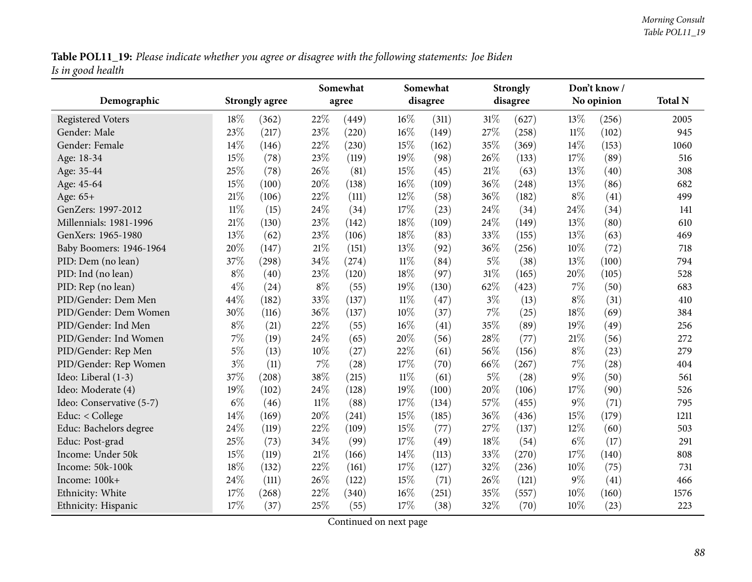Table POL11\_19: Please indicate whether you agree or disagree with the following statements: Joe Biden *Is in goo<sup>d</sup> health*

|                          |        |                       | Somewhat |       |        | Somewhat |        | <b>Strongly</b> |        | Don't know/ |      |
|--------------------------|--------|-----------------------|----------|-------|--------|----------|--------|-----------------|--------|-------------|------|
| Demographic              |        | <b>Strongly agree</b> |          | agree |        | disagree |        | disagree        |        | No opinion  |      |
| <b>Registered Voters</b> | 18%    | (362)                 | 22%      | (449) | 16%    | (311)    | $31\%$ | (627)           | 13%    | (256)       | 2005 |
| Gender: Male             | 23%    | (217)                 | 23%      | (220) | 16%    | (149)    | 27\%   | (258)           | $11\%$ | (102)       | 945  |
| Gender: Female           | 14%    | (146)                 | 22%      | (230) | 15%    | (162)    | 35%    | (369)           | 14%    | (153)       | 1060 |
| Age: 18-34               | $15\%$ | (78)                  | 23%      | (119) | 19%    | (98)     | 26%    | (133)           | 17%    | (89)        | 516  |
| Age: 35-44               | 25%    | (78)                  | 26%      | (81)  | 15%    | (45)     | 21%    | (63)            | 13%    | (40)        | 308  |
| Age: 45-64               | 15%    | (100)                 | 20%      | (138) | 16%    | (109)    | 36%    | (248)           | 13%    | (86)        | 682  |
| Age: 65+                 | 21%    | (106)                 | 22%      | (111) | 12%    | (58)     | 36%    | (182)           | $8\%$  | (41)        | 499  |
| GenZers: 1997-2012       | $11\%$ | (15)                  | 24%      | (34)  | 17%    | (23)     | 24%    | (34)            | 24%    | (34)        | 141  |
| Millennials: 1981-1996   | 21%    | (130)                 | 23%      | (142) | 18%    | (109)    | 24%    | (149)           | 13%    | (80)        | 610  |
| GenXers: 1965-1980       | 13%    | (62)                  | 23%      | (106) | 18%    | (83)     | 33%    | (155)           | 13%    | (63)        | 469  |
| Baby Boomers: 1946-1964  | 20%    | (147)                 | 21%      | (151) | 13%    | (92)     | 36%    | (256)           | 10%    | (72)        | 718  |
| PID: Dem (no lean)       | 37%    | (298)                 | 34%      | (274) | $11\%$ | (84)     | $5\%$  | (38)            | 13%    | (100)       | 794  |
| PID: Ind (no lean)       | $8\%$  | (40)                  | 23%      | (120) | 18%    | (97)     | 31%    | (165)           | 20%    | (105)       | 528  |
| PID: Rep (no lean)       | $4\%$  | (24)                  | $8\%$    | (55)  | 19%    | (130)    | 62%    | (423)           | 7%     | (50)        | 683  |
| PID/Gender: Dem Men      | 44%    | (182)                 | 33%      | (137) | $11\%$ | (47)     | $3\%$  | (13)            | $8\%$  | (31)        | 410  |
| PID/Gender: Dem Women    | 30%    | (116)                 | 36%      | (137) | 10%    | (37)     | 7%     | (25)            | 18%    | (69)        | 384  |
| PID/Gender: Ind Men      | $8\%$  | (21)                  | 22%      | (55)  | 16%    | (41)     | 35%    | (89)            | 19%    | (49)        | 256  |
| PID/Gender: Ind Women    | 7%     | (19)                  | 24%      | (65)  | 20%    | (56)     | 28%    | (77)            | $21\%$ | (56)        | 272  |
| PID/Gender: Rep Men      | $5\%$  | (13)                  | 10%      | (27)  | 22%    | (61)     | 56%    | (156)           | $8\%$  | (23)        | 279  |
| PID/Gender: Rep Women    | $3\%$  | (11)                  | $7\%$    | (28)  | 17%    | (70)     | 66%    | (267)           | 7%     | (28)        | 404  |
| Ideo: Liberal (1-3)      | 37%    | (208)                 | 38%      | (215) | $11\%$ | (61)     | $5\%$  | (28)            | $9\%$  | (50)        | 561  |
| Ideo: Moderate (4)       | 19%    | (102)                 | 24%      | (128) | 19%    | (100)    | 20%    | (106)           | 17%    | (90)        | 526  |
| Ideo: Conservative (5-7) | $6\%$  | (46)                  | $11\%$   | (88)  | 17\%   | (134)    | 57%    | (455)           | $9\%$  | (71)        | 795  |
| Educ: < College          | 14%    | (169)                 | 20%      | (241) | 15%    | (185)    | 36%    | (436)           | 15%    | (179)       | 1211 |
| Educ: Bachelors degree   | 24%    | (119)                 | 22%      | (109) | 15%    | (77)     | 27%    | (137)           | 12%    | (60)        | 503  |
| Educ: Post-grad          | 25%    | (73)                  | 34%      | (99)  | 17%    | (49)     | 18%    | (54)            | $6\%$  | (17)        | 291  |
| Income: Under 50k        | 15%    | (119)                 | $21\%$   | (166) | 14%    | (113)    | 33%    | (270)           | 17%    | (140)       | 808  |
| Income: 50k-100k         | 18%    | (132)                 | 22%      | (161) | 17%    | (127)    | 32%    | (236)           | 10%    | (75)        | 731  |
| Income: 100k+            | 24%    | (111)                 | 26%      | (122) | 15%    | (71)     | 26%    | (121)           | $9\%$  | (41)        | 466  |
| Ethnicity: White         | 17%    | (268)                 | 22%      | (340) | 16%    | (251)    | 35%    | (557)           | 10%    | (160)       | 1576 |
| Ethnicity: Hispanic      | 17%    | (37)                  | 25%      | (55)  | 17%    | (38)     | 32%    | (70)            | 10%    | (23)        | 223  |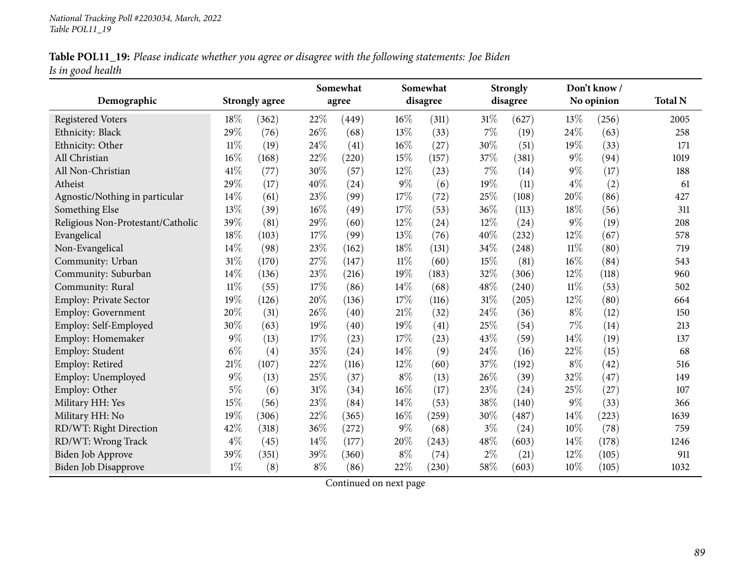|                   |  |  | Table POL11_19: Please indicate whether you agree or disagree with the following statements: Joe Biden |
|-------------------|--|--|--------------------------------------------------------------------------------------------------------|
| Is in good health |  |  |                                                                                                        |

|                                   |        |                       |       | Somewhat |        | Somewhat |       | <b>Strongly</b> |        | Don't know / |      |  |
|-----------------------------------|--------|-----------------------|-------|----------|--------|----------|-------|-----------------|--------|--------------|------|--|
| Demographic                       |        | <b>Strongly agree</b> |       | agree    |        | disagree |       | disagree        |        | No opinion   |      |  |
| <b>Registered Voters</b>          | 18%    | (362)                 | 22%   | (449)    | $16\%$ | (311)    | 31%   | (627)           | 13%    | (256)        | 2005 |  |
| Ethnicity: Black                  | 29%    | (76)                  | 26%   | (68)     | 13%    | (33)     | 7%    | (19)            | 24%    | (63)         | 258  |  |
| Ethnicity: Other                  | $11\%$ | (19)                  | 24%   | (41)     | 16%    | (27)     | 30%   | (51)            | 19%    | (33)         | 171  |  |
| All Christian                     | 16%    | (168)                 | 22%   | (220)    | 15%    | (157)    | 37%   | (381)           | $9\%$  | (94)         | 1019 |  |
| All Non-Christian                 | 41\%   | (77)                  | 30%   | (57)     | 12\%   | (23)     | 7%    | (14)            | $9\%$  | (17)         | 188  |  |
| Atheist                           | 29%    | (17)                  | 40%   | (24)     | $9\%$  | (6)      | 19%   | (11)            | $4\%$  | (2)          | 61   |  |
| Agnostic/Nothing in particular    | 14%    | (61)                  | 23%   | (99)     | 17%    | (72)     | 25%   | (108)           | 20%    | (86)         | 427  |  |
| Something Else                    | 13%    | (39)                  | 16%   | (49)     | 17%    | (53)     | 36%   | (113)           | 18%    | (56)         | 311  |  |
| Religious Non-Protestant/Catholic | 39%    | (81)                  | 29%   | (60)     | 12%    | (24)     | 12%   | (24)            | $9\%$  | (19)         | 208  |  |
| Evangelical                       | 18%    | (103)                 | 17%   | (99)     | 13%    | (76)     | 40%   | (232)           | 12%    | (67)         | 578  |  |
| Non-Evangelical                   | 14%    | (98)                  | 23%   | (162)    | 18%    | (131)    | 34%   | (248)           | $11\%$ | (80)         | 719  |  |
| Community: Urban                  | 31%    | (170)                 | 27%   | (147)    | $11\%$ | (60)     | 15%   | (81)            | 16%    | (84)         | 543  |  |
| Community: Suburban               | 14%    | (136)                 | 23%   | (216)    | 19%    | (183)    | 32%   | (306)           | 12%    | (118)        | 960  |  |
| Community: Rural                  | $11\%$ | (55)                  | 17%   | (86)     | 14%    | (68)     | 48%   | (240)           | $11\%$ | (53)         | 502  |  |
| Employ: Private Sector            | 19%    | (126)                 | 20%   | (136)    | 17%    | (116)    | 31%   | (205)           | 12%    | (80)         | 664  |  |
| <b>Employ: Government</b>         | 20%    | (31)                  | 26%   | (40)     | 21%    | (32)     | 24%   | (36)            | $8\%$  | (12)         | 150  |  |
| Employ: Self-Employed             | 30%    | (63)                  | 19%   | (40)     | 19%    | (41)     | 25%   | (54)            | 7%     | (14)         | 213  |  |
| Employ: Homemaker                 | 9%     | (13)                  | 17%   | (23)     | 17%    | (23)     | 43%   | (59)            | 14%    | (19)         | 137  |  |
| Employ: Student                   | $6\%$  | (4)                   | 35%   | (24)     | 14%    | (9)      | 24%   | (16)            | 22%    | (15)         | 68   |  |
| Employ: Retired                   | 21%    | (107)                 | 22%   | (116)    | 12%    | (60)     | 37%   | (192)           | $8\%$  | (42)         | 516  |  |
| Employ: Unemployed                | $9\%$  | (13)                  | 25%   | (37)     | $8\%$  | (13)     | 26\%  | (39)            | 32%    | (47)         | 149  |  |
| Employ: Other                     | $5\%$  | (6)                   | 31%   | (34)     | 16%    | (17)     | 23%   | (24)            | 25%    | (27)         | 107  |  |
| Military HH: Yes                  | 15%    | (56)                  | 23%   | (84)     | 14%    | (53)     | 38%   | (140)           | $9\%$  | (33)         | 366  |  |
| Military HH: No                   | 19%    | (306)                 | 22%   | (365)    | 16%    | (259)    | 30%   | (487)           | 14%    | (223)        | 1639 |  |
| RD/WT: Right Direction            | 42%    | (318)                 | 36%   | (272)    | $9\%$  | (68)     | $3\%$ | (24)            | 10%    | (78)         | 759  |  |
| RD/WT: Wrong Track                | $4\%$  | (45)                  | 14%   | (177)    | 20%    | (243)    | 48\%  | (603)           | 14%    | (178)        | 1246 |  |
| <b>Biden Job Approve</b>          | 39%    | (351)                 | 39%   | (360)    | $8\%$  | (74)     | $2\%$ | (21)            | 12%    | (105)        | 911  |  |
| <b>Biden Job Disapprove</b>       | $1\%$  | (8)                   | $8\%$ | (86)     | 22%    | (230)    | 58%   | (603)           | 10%    | (105)        | 1032 |  |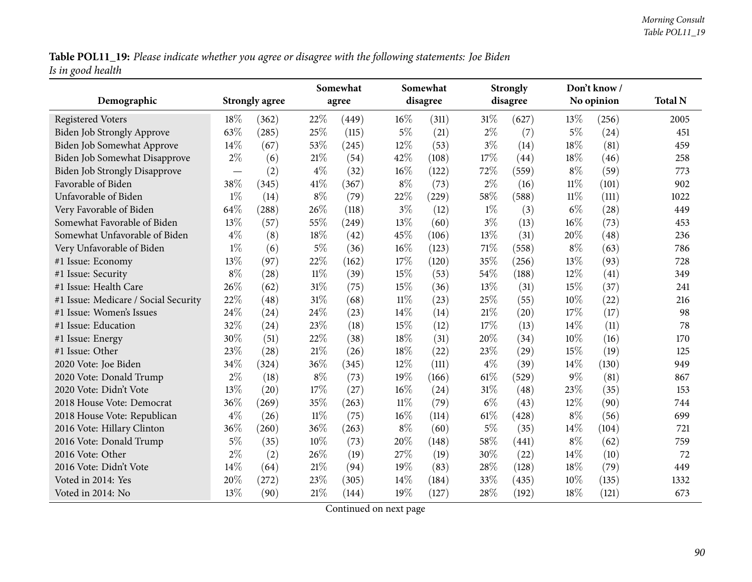Table POL11\_19: Please indicate whether you agree or disagree with the following statements: Joe Biden *Is in goo<sup>d</sup> health*

| Demographic                          |                                  | <b>Strongly agree</b> | Somewhat<br>agree |       |        | Somewhat<br>disagree |        | <b>Strongly</b><br>disagree |        | Don't know /<br>No opinion | <b>Total N</b> |
|--------------------------------------|----------------------------------|-----------------------|-------------------|-------|--------|----------------------|--------|-----------------------------|--------|----------------------------|----------------|
| <b>Registered Voters</b>             | 18%                              | (362)                 | 22%               | (449) | $16\%$ | (311)                | $31\%$ | (627)                       | 13\%   | (256)                      | 2005           |
| <b>Biden Job Strongly Approve</b>    | 63%                              | (285)                 | 25%               | (115) | $5\%$  | (21)                 | $2\%$  | (7)                         | $5\%$  | (24)                       | 451            |
| Biden Job Somewhat Approve           | 14%                              | (67)                  | 53%               | (245) | $12\%$ | (53)                 | $3\%$  | (14)                        | 18%    | (81)                       | 459            |
| Biden Job Somewhat Disapprove        | $2\%$                            | (6)                   | 21%               | (54)  | 42%    | (108)                | 17%    | (44)                        | 18%    | (46)                       | 258            |
| <b>Biden Job Strongly Disapprove</b> | $\overbrace{\phantom{12322111}}$ | (2)                   | $4\%$             | (32)  | 16%    | (122)                | 72%    | (559)                       | $8\%$  | (59)                       | 773            |
| Favorable of Biden                   | 38%                              | (345)                 | 41\%              | (367) | $8\%$  | (73)                 | $2\%$  | (16)                        | $11\%$ | (101)                      | 902            |
| Unfavorable of Biden                 | $1\%$                            | (14)                  | $8\%$             | (79)  | 22%    | (229)                | 58\%   | (588)                       | $11\%$ | (111)                      | 1022           |
| Very Favorable of Biden              | 64%                              | (288)                 | 26%               | (118) | $3\%$  | (12)                 | $1\%$  | (3)                         | $6\%$  | (28)                       | 449            |
| Somewhat Favorable of Biden          | 13%                              | (57)                  | 55%               | (249) | 13%    | (60)                 | $3\%$  | (13)                        | 16%    | (73)                       | 453            |
| Somewhat Unfavorable of Biden        | $4\%$                            | (8)                   | 18%               | (42)  | 45%    | (106)                | 13%    | (31)                        | 20%    | (48)                       | 236            |
| Very Unfavorable of Biden            | $1\%$                            | (6)                   | $5\%$             | (36)  | $16\%$ | (123)                | $71\%$ | (558)                       | $8\%$  | (63)                       | 786            |
| #1 Issue: Economy                    | 13%                              | (97)                  | 22%               | (162) | 17%    | (120)                | 35%    | (256)                       | 13%    | (93)                       | 728            |
| #1 Issue: Security                   | $8\%$                            | (28)                  | $11\%$            | (39)  | 15%    | (53)                 | 54\%   | (188)                       | 12%    | (41)                       | 349            |
| #1 Issue: Health Care                | 26%                              | (62)                  | $31\%$            | (75)  | 15%    | (36)                 | 13%    | (31)                        | 15%    | (37)                       | 241            |
| #1 Issue: Medicare / Social Security | 22%                              | (48)                  | 31%               | (68)  | $11\%$ | (23)                 | 25%    | (55)                        | 10%    | (22)                       | 216            |
| #1 Issue: Women's Issues             | 24%                              | (24)                  | 24%               | (23)  | 14%    |                      | $21\%$ |                             | 17%    | (17)                       | 98             |
| #1 Issue: Education                  | 32%                              |                       | 23%               |       | 15%    | (14)                 | 17%    | (20)                        | 14%    |                            |                |
|                                      | 30%                              | (24)                  | 22%               | (18)  | 18%    | (12)                 | 20%    | (13)                        | 10%    | (11)                       | 78<br>170      |
| #1 Issue: Energy<br>#1 Issue: Other  | 23%                              | (51)                  | 21%               | (38)  | 18%    | (31)                 | 23%    | (34)                        | 15%    | (16)                       |                |
|                                      |                                  | (28)                  |                   | (26)  |        | (22)                 |        | (29)                        |        | (19)                       | 125            |
| 2020 Vote: Joe Biden                 | 34%                              | (324)                 | 36%               | (345) | 12%    | (111)                | $4\%$  | (39)                        | 14%    | (130)                      | 949            |
| 2020 Vote: Donald Trump              | $2\%$                            | (18)                  | $8\%$             | (73)  | 19%    | (166)                | $61\%$ | (529)                       | $9\%$  | (81)                       | 867            |
| 2020 Vote: Didn't Vote               | 13%                              | (20)                  | 17%               | (27)  | $16\%$ | (24)                 | $31\%$ | (48)                        | 23%    | (35)                       | 153            |
| 2018 House Vote: Democrat            | 36%                              | (269)                 | 35%               | (263) | $11\%$ | (79)                 | $6\%$  | (43)                        | 12%    | (90)                       | 744            |
| 2018 House Vote: Republican          | $4\%$                            | (26)                  | $11\%$            | (75)  | $16\%$ | (114)                | 61\%   | (428)                       | $8\%$  | (56)                       | 699            |
| 2016 Vote: Hillary Clinton           | 36%                              | (260)                 | 36%               | (263) | $8\%$  | (60)                 | $5\%$  | (35)                        | 14%    | (104)                      | 721            |
| 2016 Vote: Donald Trump              | $5\%$                            | (35)                  | 10%               | (73)  | 20%    | (148)                | 58\%   | (441)                       | $8\%$  | (62)                       | 759            |
| 2016 Vote: Other                     | $2\%$                            | (2)                   | 26\%              | (19)  | 27%    | (19)                 | 30%    | (22)                        | 14%    | (10)                       | 72             |
| 2016 Vote: Didn't Vote               | 14%                              | (64)                  | 21\%              | (94)  | 19%    | (83)                 | 28\%   | (128)                       | 18%    | (79)                       | 449            |
| Voted in 2014: Yes                   | 20%                              | (272)                 | 23%               | (305) | 14%    | (184)                | 33%    | (435)                       | 10%    | (135)                      | 1332           |
| Voted in 2014: No                    | 13%                              | (90)                  | 21%               | (144) | 19%    | (127)                | 28\%   | (192)                       | 18%    | (121)                      | 673            |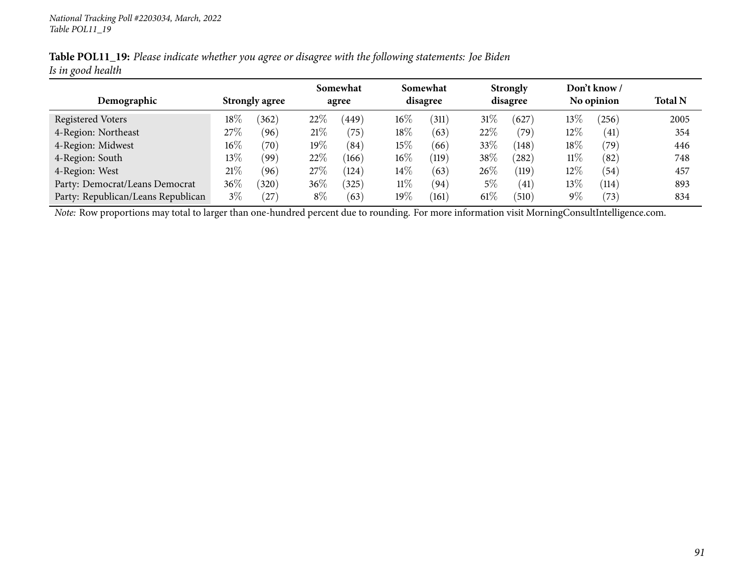|                   |  | Table POL11_19: Please indicate whether you agree or disagree with the following statements: Joe Biden |  |
|-------------------|--|--------------------------------------------------------------------------------------------------------|--|
| Is in good health |  |                                                                                                        |  |

|                                    |                       |       | Somewhat |       | Somewhat |       |          | <b>Strongly</b> |            | Don't know /      |                |
|------------------------------------|-----------------------|-------|----------|-------|----------|-------|----------|-----------------|------------|-------------------|----------------|
| Demographic                        | <b>Strongly agree</b> |       | agree    |       | disagree |       | disagree |                 | No opinion |                   | <b>Total N</b> |
| Registered Voters                  | $18\%$                | (362) | 22\%     | 449   | $16\%$   | (311) | $31\%$   | (627            | $13\%$     | (256)             | 2005           |
| 4-Region: Northeast                | 27%                   | (96)  | 21%      | 75    | 18\%     | (63)  | 22%      | (79`            | $12\%$     | $\left(41\right)$ | 354            |
| 4-Region: Midwest                  | $16\%$                | (70)  | $19\%$   | (84)  | 15%      | (66)  | 33%      | (148)           | 18\%       | $^{\prime}79)$    | 446            |
| 4-Region: South                    | $13\%$                | (99)  | 22%      | (166) | $16\%$   | (119) | 38%      | 282             | 11%        | (82)              | 748            |
| 4-Region: West                     | 21%                   | (96)  | 27%      | (124) | $14\%$   | (63)  | 26%      | (119)           | 12\%       | (54)              | 457            |
| Party: Democrat/Leans Democrat     | $36\%$                | (320) | $36\%$   | (325) | $11\%$   | (94)  | $5\%$    | (41)            | $13\%$     | (114)             | 893            |
| Party: Republican/Leans Republican | $3\%$                 | (27)  | $8\%$    | (63)  | $19\%$   | (161) | $61\%$   | (510)           | $9\%$      | $^{\prime}73$     | 834            |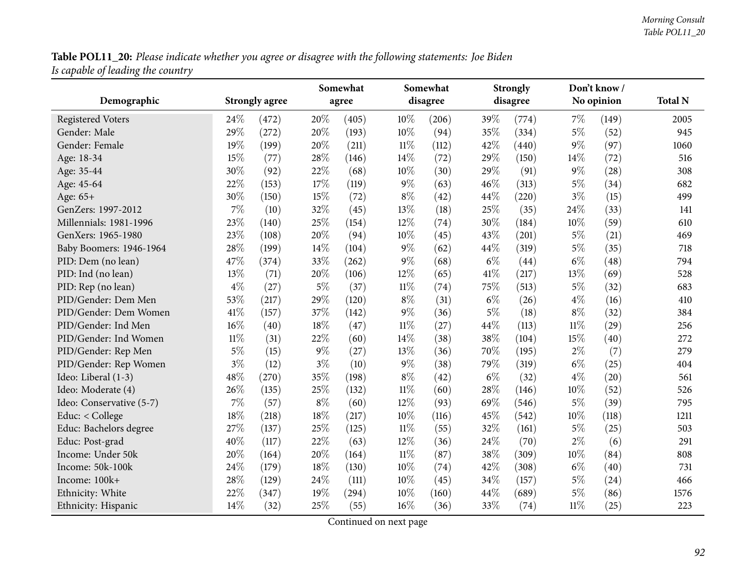Table POL11\_20: Please indicate whether you agree or disagree with the following statements: Joe Biden *Is capable of leading the country*

|                          |        |                       | Somewhat |       |        | Somewhat |       | <b>Strongly</b> |        | Don't know /       |                |
|--------------------------|--------|-----------------------|----------|-------|--------|----------|-------|-----------------|--------|--------------------|----------------|
| Demographic              |        | <b>Strongly agree</b> |          | agree |        | disagree |       | disagree        |        | No opinion         | <b>Total N</b> |
| <b>Registered Voters</b> | 24%    | (472)                 | 20%      | (405) | 10%    | (206)    | 39%   | (774)           | $7\%$  | (149)              | 2005           |
| Gender: Male             | 29%    | (272)                 | 20%      | (193) | 10%    | (94)     | 35%   | (334)           | $5\%$  | (52)               | 945            |
| Gender: Female           | 19%    | (199)                 | 20%      | (211) | 11%    | (112)    | 42%   | (440)           | $9\%$  | (97)               | 1060           |
| Age: 18-34               | 15%    | (77)                  | 28%      | (146) | 14%    | (72)     | 29%   | (150)           | 14%    | (72)               | 516            |
| Age: 35-44               | 30%    | (92)                  | 22%      | (68)  | 10%    | (30)     | 29%   | (91)            | $9\%$  | (28)               | 308            |
| Age: 45-64               | 22%    | (153)                 | 17%      | (119) | $9\%$  | (63)     | 46%   | (313)           | $5\%$  | (34)               | 682            |
| Age: 65+                 | 30%    | (150)                 | 15%      | (72)  | $8\%$  | (42)     | 44\%  | (220)           | $3\%$  | (15)               | 499            |
| GenZers: 1997-2012       | 7%     | (10)                  | 32%      | (45)  | 13%    | (18)     | 25\%  | (35)            | 24\%   | (33)               | 141            |
| Millennials: 1981-1996   | 23%    | (140)                 | 25%      | (154) | 12%    | (74)     | 30%   | (184)           | 10%    | (59)               | 610            |
| GenXers: 1965-1980       | 23%    | (108)                 | 20%      | (94)  | 10%    | (45)     | 43%   | (201)           | $5\%$  | (21)               | 469            |
| Baby Boomers: 1946-1964  | 28%    | (199)                 | 14%      | (104) | $9\%$  | (62)     | 44\%  | (319)           | $5\%$  | (35)               | 718            |
| PID: Dem (no lean)       | 47%    | (374)                 | 33%      | (262) | $9\%$  | (68)     | $6\%$ | (44)            | $6\%$  | $\left( 48\right)$ | 794            |
| PID: Ind (no lean)       | 13%    | (71)                  | 20%      | (106) | 12%    | (65)     | 41\%  | (217)           | 13%    | (69)               | 528            |
| PID: Rep (no lean)       | $4\%$  | (27)                  | $5\%$    | (37)  | 11%    | (74)     | 75%   | (513)           | $5\%$  | (32)               | 683            |
| PID/Gender: Dem Men      | 53%    | (217)                 | 29%      | (120) | $8\%$  | (31)     | $6\%$ | (26)            | $4\%$  | (16)               | 410            |
| PID/Gender: Dem Women    | 41%    | (157)                 | 37%      | (142) | $9\%$  | (36)     | $5\%$ | (18)            | $8\%$  | (32)               | 384            |
| PID/Gender: Ind Men      | 16%    | (40)                  | 18%      | (47)  | $11\%$ | (27)     | 44\%  | (113)           | $11\%$ | $\left( 29\right)$ | 256            |
| PID/Gender: Ind Women    | $11\%$ | (31)                  | 22%      | (60)  | 14%    | (38)     | 38%   | (104)           | 15%    | (40)               | 272            |
| PID/Gender: Rep Men      | $5\%$  | (15)                  | $9\%$    | (27)  | 13%    | (36)     | 70%   | (195)           | $2\%$  | (7)                | 279            |
| PID/Gender: Rep Women    | $3\%$  | (12)                  | $3\%$    | (10)  | $9\%$  | (38)     | 79%   | (319)           | $6\%$  | (25)               | 404            |
| Ideo: Liberal (1-3)      | 48%    | (270)                 | 35%      | (198) | $8\%$  | (42)     | $6\%$ | (32)            | $4\%$  | (20)               | 561            |
| Ideo: Moderate (4)       | 26%    | (135)                 | 25%      | (132) | $11\%$ | (60)     | 28%   | (146)           | 10%    | (52)               | 526            |
| Ideo: Conservative (5-7) | 7%     | (57)                  | $8\%$    | (60)  | 12%    | (93)     | 69%   | (546)           | $5\%$  | (39)               | 795            |
| Educ: $<$ College        | 18%    | (218)                 | 18%      | (217) | 10%    | (116)    | 45%   | (542)           | 10%    | (118)              | 1211           |
| Educ: Bachelors degree   | 27%    | (137)                 | 25%      | (125) | $11\%$ | (55)     | 32%   | (161)           | $5\%$  | (25)               | 503            |
| Educ: Post-grad          | 40%    | (117)                 | 22%      | (63)  | 12%    | (36)     | 24\%  | (70)            | $2\%$  | (6)                | 291            |
| Income: Under 50k        | 20%    | (164)                 | 20%      | (164) | $11\%$ | (87)     | 38%   | (309)           | 10%    | (84)               | 808            |
| Income: 50k-100k         | 24%    | (179)                 | 18%      | (130) | 10%    | (74)     | 42%   | (308)           | $6\%$  | (40)               | 731            |
| Income: 100k+            | 28%    | (129)                 | 24%      | (111) | 10%    | (45)     | 34%   | (157)           | $5\%$  | (24)               | 466            |
| Ethnicity: White         | 22%    | (347)                 | 19%      | (294) | 10%    | (160)    | 44\%  | (689)           | $5\%$  | (86)               | 1576           |
| Ethnicity: Hispanic      | 14%    | (32)                  | 25%      | (55)  | 16%    | (36)     | 33%   | (74)            | $11\%$ | (25)               | 223            |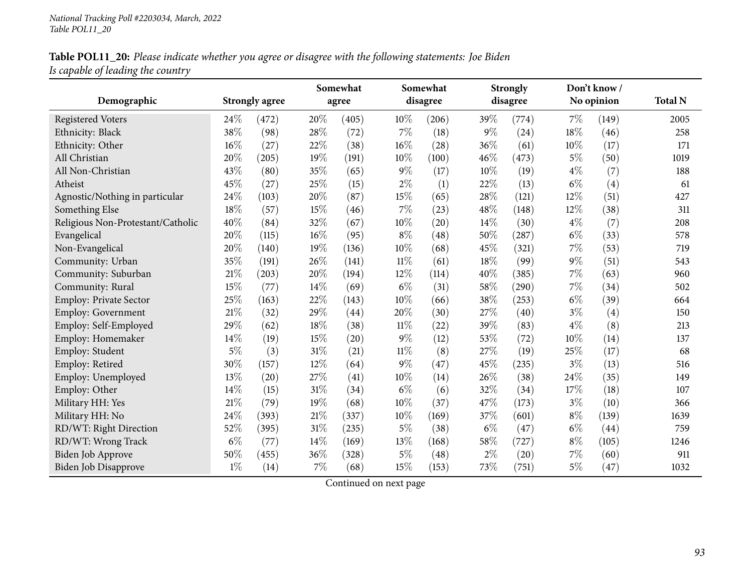## Table POL11\_20: Please indicate whether you agree or disagree with the following statements: Joe Biden *Is capable of leading the country*

|                                   |        |                       |        | Somewhat |        | Somewhat |       | <b>Strongly</b> |        | Don't know / |                |
|-----------------------------------|--------|-----------------------|--------|----------|--------|----------|-------|-----------------|--------|--------------|----------------|
| Demographic                       |        | <b>Strongly agree</b> |        | agree    |        | disagree |       | disagree        |        | No opinion   | <b>Total N</b> |
| <b>Registered Voters</b>          | 24%    | (472)                 | 20%    | (405)    | $10\%$ | (206)    | 39%   | (774)           | 7%     | (149)        | 2005           |
| Ethnicity: Black                  | 38%    | (98)                  | 28%    | (72)     | 7%     | (18)     | $9\%$ | (24)            | $18\%$ | (46)         | 258            |
| Ethnicity: Other                  | 16%    | (27)                  | 22%    | (38)     | 16%    | (28)     | 36%   | (61)            | 10%    | (17)         | 171            |
| All Christian                     | 20%    | (205)                 | 19%    | (191)    | 10%    | (100)    | 46%   | (473)           | $5\%$  | (50)         | 1019           |
| All Non-Christian                 | 43%    | (80)                  | 35%    | (65)     | $9\%$  | (17)     | 10%   | (19)            | $4\%$  | (7)          | 188            |
| Atheist                           | 45%    | (27)                  | 25%    | (15)     | $2\%$  | (1)      | 22%   | (13)            | $6\%$  | (4)          | 61             |
| Agnostic/Nothing in particular    | 24%    | (103)                 | 20%    | (87)     | 15%    | (65)     | 28\%  | (121)           | 12%    | (51)         | 427            |
| Something Else                    | 18%    | (57)                  | 15%    | (46)     | 7%     | (23)     | 48%   | (148)           | 12%    | (38)         | 311            |
| Religious Non-Protestant/Catholic | 40%    | (84)                  | 32%    | (67)     | 10%    | (20)     | 14%   | (30)            | $4\%$  | (7)          | 208            |
| Evangelical                       | 20%    | (115)                 | 16%    | (95)     | $8\%$  | (48)     | 50%   | (287)           | $6\%$  | (33)         | 578            |
| Non-Evangelical                   | 20%    | (140)                 | 19%    | (136)    | 10%    | (68)     | 45%   | (321)           | 7%     | (53)         | 719            |
| Community: Urban                  | 35%    | (191)                 | 26%    | (141)    | $11\%$ | (61)     | 18%   | (99)            | $9\%$  | (51)         | 543            |
| Community: Suburban               | 21%    | (203)                 | 20%    | (194)    | 12%    | (114)    | 40%   | (385)           | 7%     | (63)         | 960            |
| Community: Rural                  | 15%    | (77)                  | 14%    | (69)     | $6\%$  | (31)     | 58%   | (290)           | 7%     | (34)         | 502            |
| Employ: Private Sector            | 25%    | (163)                 | 22%    | (143)    | 10%    | (66)     | 38%   | (253)           | $6\%$  | (39)         | 664            |
| <b>Employ: Government</b>         | 21%    | (32)                  | 29%    | (44)     | 20%    | (30)     | 27%   | (40)            | $3\%$  | (4)          | 150            |
| Employ: Self-Employed             | 29%    | (62)                  | 18%    | (38)     | $11\%$ | (22)     | 39%   | (83)            | $4\%$  | (8)          | 213            |
| Employ: Homemaker                 | 14%    | (19)                  | 15%    | (20)     | $9\%$  | (12)     | 53%   | (72)            | 10%    | (14)         | 137            |
| Employ: Student                   | $5\%$  | (3)                   | 31%    | (21)     | $11\%$ | (8)      | 27%   | (19)            | 25%    | (17)         | 68             |
| Employ: Retired                   | 30%    | (157)                 | 12%    | (64)     | $9\%$  | (47)     | 45%   | (235)           | $3\%$  | (13)         | 516            |
| Employ: Unemployed                | 13%    | (20)                  | 27%    | (41)     | 10%    | (14)     | 26%   | (38)            | 24%    | (35)         | 149            |
| Employ: Other                     | 14%    | (15)                  | 31%    | (34)     | $6\%$  | (6)      | 32%   | (34)            | 17%    | (18)         | 107            |
| Military HH: Yes                  | 21%    | (79)                  | 19%    | (68)     | 10%    | (37)     | 47%   | (173)           | $3\%$  | (10)         | 366            |
| Military HH: No                   | $24\%$ | (393)                 | 21%    | (337)    | 10%    | (169)    | 37%   | (601)           | $8\%$  | (139)        | 1639           |
| RD/WT: Right Direction            | 52%    | (395)                 | $31\%$ | (235)    | $5\%$  | (38)     | $6\%$ | (47)            | $6\%$  | (44)         | 759            |
| RD/WT: Wrong Track                | $6\%$  | (77)                  | 14%    | (169)    | 13%    | (168)    | 58%   | (727)           | $8\%$  | (105)        | 1246           |
| Biden Job Approve                 | 50%    | (455)                 | 36%    | (328)    | $5\%$  | (48)     | $2\%$ | (20)            | 7%     | (60)         | 911            |
| <b>Biden Job Disapprove</b>       | $1\%$  | (14)                  | 7%     | (68)     | 15%    | (153)    | 73%   | (751)           | $5\%$  | (47)         | 1032           |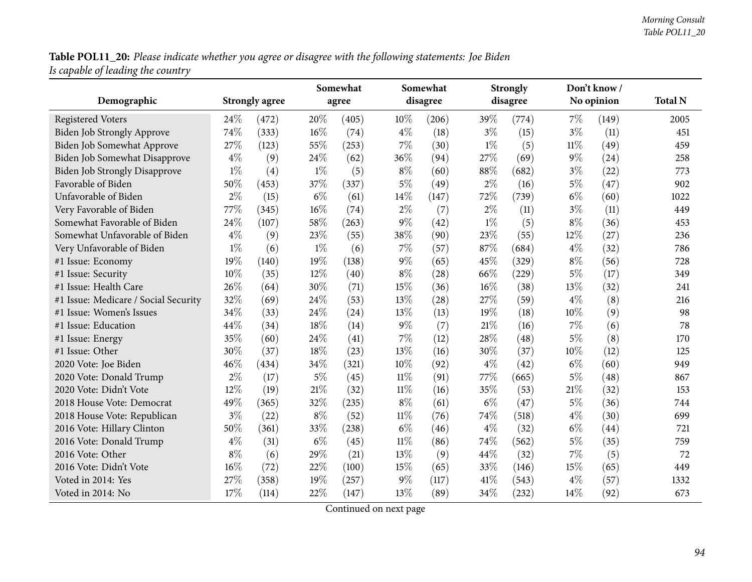Table POL11\_20: Please indicate whether you agree or disagree with the following statements: Joe Biden *Is capable of leading the country*

|                                      |       |                       | Somewhat |       |        | Somewhat |       | <b>Strongly</b> |        | Don't know / |                |
|--------------------------------------|-------|-----------------------|----------|-------|--------|----------|-------|-----------------|--------|--------------|----------------|
| Demographic                          |       | <b>Strongly agree</b> |          | agree |        | disagree |       | disagree        |        | No opinion   | <b>Total N</b> |
| <b>Registered Voters</b>             | 24%   | (472)                 | 20%      | (405) | 10%    | (206)    | 39%   | (774)           | 7%     | (149)        | 2005           |
| Biden Job Strongly Approve           | 74%   | (333)                 | 16%      | (74)  | $4\%$  | (18)     | $3\%$ | (15)            | $3\%$  | (11)         | 451            |
| Biden Job Somewhat Approve           | 27%   | (123)                 | 55%      | (253) | $7\%$  | (30)     | $1\%$ | (5)             | $11\%$ | (49)         | 459            |
| Biden Job Somewhat Disapprove        | $4\%$ | (9)                   | 24%      | (62)  | 36%    | (94)     | 27%   | (69)            | $9\%$  | (24)         | 258            |
| <b>Biden Job Strongly Disapprove</b> | $1\%$ | (4)                   | $1\%$    | (5)   | $8\%$  | (60)     | 88%   | (682)           | $3\%$  | (22)         | 773            |
| Favorable of Biden                   | 50%   | (453)                 | 37%      | (337) | $5\%$  | (49)     | $2\%$ | (16)            | $5\%$  | (47)         | 902            |
| Unfavorable of Biden                 | $2\%$ | (15)                  | $6\%$    | (61)  | 14%    | (147)    | 72%   | (739)           | $6\%$  | (60)         | 1022           |
| Very Favorable of Biden              | 77%   | (345)                 | 16%      | (74)  | $2\%$  | (7)      | $2\%$ | (11)            | $3\%$  | (11)         | 449            |
| Somewhat Favorable of Biden          | 24%   | (107)                 | 58%      | (263) | 9%     | (42)     | $1\%$ | (5)             | $8\%$  | (36)         | 453            |
| Somewhat Unfavorable of Biden        | $4\%$ | (9)                   | 23%      | (55)  | 38%    | (90)     | 23%   | (55)            | 12%    | (27)         | 236            |
| Very Unfavorable of Biden            | $1\%$ | (6)                   | $1\%$    | (6)   | 7%     | (57)     | 87%   | (684)           | $4\%$  | (32)         | 786            |
| #1 Issue: Economy                    | 19%   | (140)                 | 19%      | (138) | $9\%$  | (65)     | 45%   | (329)           | $8\%$  | (56)         | 728            |
| #1 Issue: Security                   | 10%   | (35)                  | 12%      | (40)  | $8\%$  | (28)     | 66%   | (229)           | $5\%$  | (17)         | 349            |
| #1 Issue: Health Care                | 26%   | (64)                  | 30%      | (71)  | 15%    | (36)     | 16%   | (38)            | 13%    | (32)         | 241            |
| #1 Issue: Medicare / Social Security | 32%   | (69)                  | 24%      | (53)  | 13%    | (28)     | 27%   | (59)            | $4\%$  | (8)          | 216            |
| #1 Issue: Women's Issues             | 34%   | (33)                  | 24%      | (24)  | 13%    | (13)     | 19%   | (18)            | 10%    | (9)          | 98             |
| #1 Issue: Education                  | 44%   | (34)                  | 18%      | (14)  | $9\%$  | (7)      | 21%   | (16)            | 7%     | (6)          | 78             |
| #1 Issue: Energy                     | 35%   | (60)                  | 24%      | (41)  | 7%     | (12)     | 28%   | (48)            | $5\%$  | (8)          | 170            |
| #1 Issue: Other                      | 30%   | (37)                  | 18%      | (23)  | 13%    | (16)     | 30%   | (37)            | 10%    | (12)         | 125            |
| 2020 Vote: Joe Biden                 | 46%   | (434)                 | 34%      | (321) | 10%    | (92)     | $4\%$ | (42)            | $6\%$  | (60)         | 949            |
| 2020 Vote: Donald Trump              | $2\%$ | (17)                  | $5\%$    | (45)  | $11\%$ | (91)     | 77%   | (665)           | $5\%$  | (48)         | 867            |
| 2020 Vote: Didn't Vote               | 12%   | (19)                  | 21%      | (32)  | $11\%$ | (16)     | 35%   | (53)            | $21\%$ | (32)         | 153            |
| 2018 House Vote: Democrat            | 49%   | (365)                 | 32%      | (235) | $8\%$  | (61)     | $6\%$ | (47)            | $5\%$  | (36)         | 744            |
| 2018 House Vote: Republican          | $3\%$ | (22)                  | $8\%$    | (52)  | $11\%$ | (76)     | 74%   | (518)           | $4\%$  | (30)         | 699            |
| 2016 Vote: Hillary Clinton           | 50%   | (361)                 | 33%      | (238) | $6\%$  | (46)     | $4\%$ | (32)            | $6\%$  | (44)         | 721            |
| 2016 Vote: Donald Trump              | $4\%$ | (31)                  | $6\%$    | (45)  | $11\%$ | (86)     | 74%   | (562)           | $5\%$  | (35)         | 759            |
| 2016 Vote: Other                     | $8\%$ | (6)                   | 29%      | (21)  | 13%    | (9)      | 44%   | (32)            | 7%     | (5)          | 72             |
| 2016 Vote: Didn't Vote               | 16%   | (72)                  | 22%      | (100) | 15%    | (65)     | 33%   | (146)           | 15%    | (65)         | 449            |
| Voted in 2014: Yes                   | 27%   | (358)                 | 19%      | (257) | 9%     | (117)    | 41\%  | (543)           | $4\%$  | (57)         | 1332           |
| Voted in 2014: No                    | 17%   | (114)                 | 22%      | (147) | 13%    | (89)     | 34%   | (232)           | 14\%   | (92)         | 673            |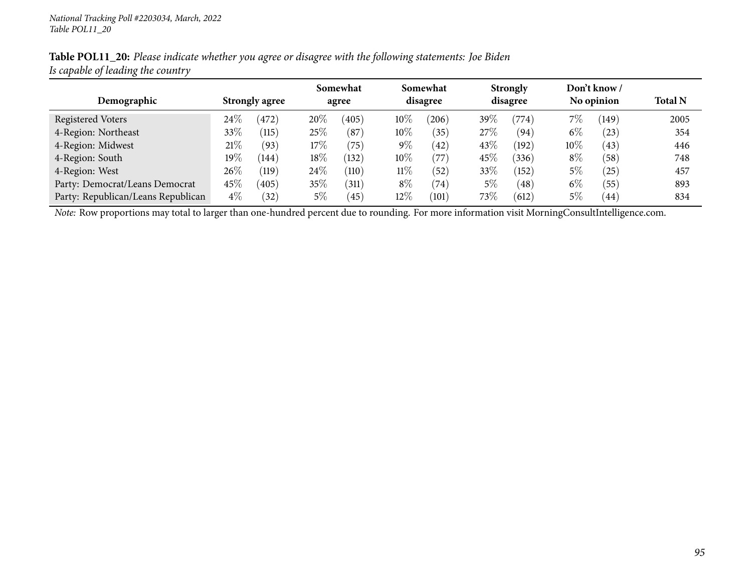| Table POL11_20: Please indicate whether you agree or disagree with the following statements: Joe Biden |
|--------------------------------------------------------------------------------------------------------|
| Is capable of leading the country                                                                      |

|                                    |                       |                    |       | Somewhat           |          | Somewhat       |          | <b>Strongly</b> |            | Don't know / |                |
|------------------------------------|-----------------------|--------------------|-------|--------------------|----------|----------------|----------|-----------------|------------|--------------|----------------|
| Demographic                        | <b>Strongly agree</b> |                    | agree |                    | disagree |                | disagree |                 | No opinion |              | <b>Total N</b> |
| Registered Voters                  | $24\%$                | (472)              | 20%   | (405)              | $10\%$   | (206)          | 39\%     | $^{\prime}774)$ | $7\%$      | (149)        | 2005           |
| 4-Region: Northeast                | 33\%                  | (115)              | 25\%  | $^{\prime}87$      | $10\%$   | (35)           | 27\%     | (94)            | $6\%$      | $^{(23)}$    | 354            |
| 4-Region: Midwest                  | 21%                   | (93)               | 17%   | 75                 | $9\%$    | (42)           | 43%      | (192)           | $10\%$     | (43)         | 446            |
| 4-Region: South                    | $19\%$                | (144)              | 18%   | (132)              | $10\%$   | '77'           | 45%      | (336)           | $8\%$      | (58)         | 748            |
| 4-Region: West                     | $26\%$                | $\left(119\right)$ | 24\%  | (110)              | $11\%$   | (52)           | 33%      | (152)           | 5%         | (25)         | 457            |
| Party: Democrat/Leans Democrat     | $45\%$                | (405)              | 35\%  | $\left(311\right)$ | $8\%$    | $^{\prime}74)$ | $5\%$    | (48)            | $6\%$      | (55)         | 893            |
| Party: Republican/Leans Republican | $4\%$                 | (32)               | $5\%$ | (45)               | $12\%$   | (101)          | 73%      | (612)           | $5\%$      | 44           | 834            |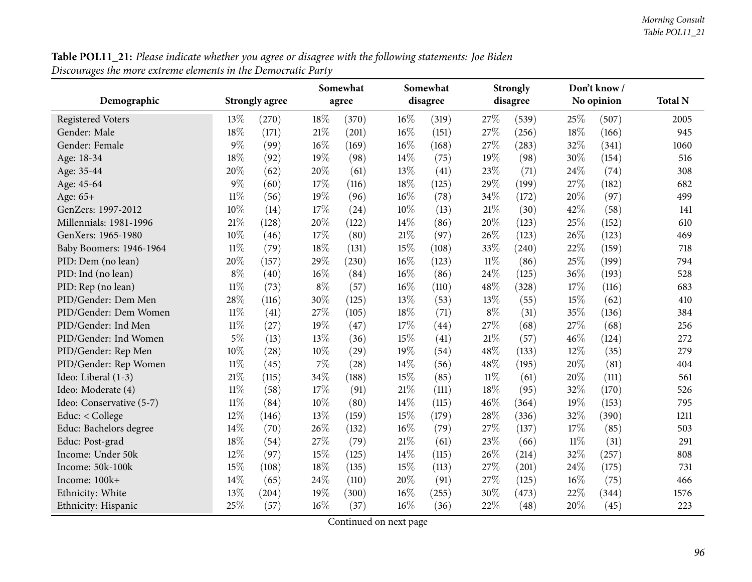| Table POL11_21: Please indicate whether you agree or disagree with the following statements: Joe Biden |  |
|--------------------------------------------------------------------------------------------------------|--|
| Discourages the more extreme elements in the Democratic Party                                          |  |

|                          |        |                       | Somewhat |       |        | Somewhat |        | <b>Strongly</b> |        | Don't know/ |                |
|--------------------------|--------|-----------------------|----------|-------|--------|----------|--------|-----------------|--------|-------------|----------------|
| Demographic              |        | <b>Strongly agree</b> |          | agree |        | disagree |        | disagree        |        | No opinion  | <b>Total N</b> |
| <b>Registered Voters</b> | 13%    | (270)                 | 18%      | (370) | 16%    | (319)    | 27%    | (539)           | 25%    | (507)       | 2005           |
| Gender: Male             | 18%    | (171)                 | 21\%     | (201) | 16%    | (151)    | 27%    | (256)           | 18%    | (166)       | 945            |
| Gender: Female           | $9\%$  | (99)                  | $16\%$   | (169) | $16\%$ | (168)    | 27\%   | (283)           | 32%    | (341)       | 1060           |
| Age: 18-34               | 18%    | (92)                  | 19%      | (98)  | 14\%   | (75)     | 19%    | (98)            | 30%    | (154)       | 516            |
| Age: 35-44               | 20%    | (62)                  | 20%      | (61)  | 13%    | (41)     | 23%    | (71)            | 24%    | (74)        | 308            |
| Age: 45-64               | $9\%$  | (60)                  | 17%      | (116) | 18%    | (125)    | 29%    | (199)           | 27%    | (182)       | 682            |
| Age: $65+$               | $11\%$ | (56)                  | 19%      | (96)  | $16\%$ | (78)     | 34%    | (172)           | 20%    | (97)        | 499            |
| GenZers: 1997-2012       | 10%    | (14)                  | 17%      | (24)  | 10%    | (13)     | $21\%$ | (30)            | 42%    | (58)        | 141            |
| Millennials: 1981-1996   | 21%    | (128)                 | 20%      | (122) | 14%    | (86)     | 20%    | (123)           | 25%    | (152)       | 610            |
| GenXers: 1965-1980       | $10\%$ | (46)                  | 17%      | (80)  | 21%    | (97)     | 26%    | (123)           | 26%    | (123)       | 469            |
| Baby Boomers: 1946-1964  | $11\%$ | (79)                  | 18%      | (131) | 15%    | (108)    | 33%    | (240)           | 22%    | (159)       | 718            |
| PID: Dem (no lean)       | 20%    | (157)                 | 29%      | (230) | 16%    | (123)    | $11\%$ | (86)            | 25%    | (199)       | 794            |
| PID: Ind (no lean)       | $8\%$  | (40)                  | $16\%$   | (84)  | $16\%$ | (86)     | 24\%   | (125)           | 36%    | (193)       | 528            |
| PID: Rep (no lean)       | $11\%$ | (73)                  | $8\%$    | (57)  | $16\%$ | (110)    | 48%    | (328)           | 17%    | (116)       | 683            |
| PID/Gender: Dem Men      | 28%    | (116)                 | 30%      | (125) | 13%    | (53)     | 13%    | (55)            | 15%    | (62)        | 410            |
| PID/Gender: Dem Women    | $11\%$ | (41)                  | 27%      | (105) | $18\%$ | (71)     | $8\%$  | (31)            | 35%    | (136)       | 384            |
| PID/Gender: Ind Men      | $11\%$ | (27)                  | 19%      | (47)  | 17%    | (44)     | 27%    | (68)            | 27%    | (68)        | 256            |
| PID/Gender: Ind Women    | $5\%$  | (13)                  | 13%      | (36)  | 15%    | (41)     | 21%    | (57)            | 46%    | (124)       | 272            |
| PID/Gender: Rep Men      | 10%    | (28)                  | 10%      | (29)  | 19%    | (54)     | 48%    | (133)           | 12%    | (35)        | 279            |
| PID/Gender: Rep Women    | $11\%$ | (45)                  | 7%       | (28)  | 14%    | (56)     | 48%    | (195)           | 20%    | (81)        | 404            |
| Ideo: Liberal (1-3)      | 21%    | (115)                 | 34%      | (188) | 15%    | (85)     | $11\%$ | (61)            | 20%    | (111)       | 561            |
| Ideo: Moderate (4)       | $11\%$ | (58)                  | 17%      | (91)  | $21\%$ | (111)    | $18\%$ | (95)            | 32%    | (170)       | 526            |
| Ideo: Conservative (5-7) | $11\%$ | (84)                  | 10%      | (80)  | 14%    | (115)    | 46%    | (364)           | 19%    | (153)       | 795            |
| Educ: < College          | 12%    | (146)                 | 13%      | (159) | 15%    | (179)    | 28%    | (336)           | 32%    | (390)       | 1211           |
| Educ: Bachelors degree   | 14\%   | (70)                  | 26\%     | (132) | $16\%$ | (79)     | 27%    | (137)           | 17%    | (85)        | 503            |
| Educ: Post-grad          | 18%    | (54)                  | 27%      | (79)  | $21\%$ | (61)     | 23%    | (66)            | $11\%$ | (31)        | 291            |
| Income: Under 50k        | 12%    | (97)                  | 15%      | (125) | 14%    | (115)    | 26%    | (214)           | 32%    | (257)       | 808            |
| Income: 50k-100k         | 15%    | (108)                 | 18%      | (135) | 15%    | (113)    | 27%    | (201)           | 24%    | (175)       | 731            |
| Income: 100k+            | 14\%   | (65)                  | 24%      | (110) | 20%    | (91)     | 27%    | (125)           | 16%    | (75)        | 466            |
| Ethnicity: White         | 13%    | (204)                 | 19%      | (300) | 16%    | (255)    | 30%    | (473)           | 22%    | (344)       | 1576           |
| Ethnicity: Hispanic      | 25%    | (57)                  | $16\%$   | (37)  | 16%    | (36)     | 22%    | (48)            | 20%    | (45)        | 223            |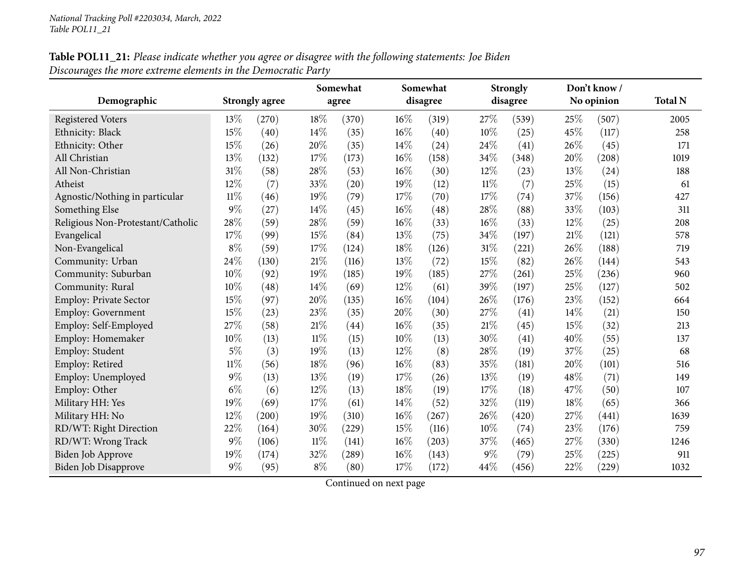## Table POL11\_21: Please indicate whether you agree or disagree with the following statements: Joe Biden *Discourages the more extreme elements in the Democratic Party*

|                                   |        |                       |        | Somewhat |        | Somewhat |        | <b>Strongly</b> |     | Don't know / |                |
|-----------------------------------|--------|-----------------------|--------|----------|--------|----------|--------|-----------------|-----|--------------|----------------|
| Demographic                       |        | <b>Strongly agree</b> |        | agree    |        | disagree |        | disagree        |     | No opinion   | <b>Total N</b> |
| <b>Registered Voters</b>          | 13%    | (270)                 | $18\%$ | (370)    | $16\%$ | (319)    | 27%    | (539)           | 25% | (507)        | 2005           |
| Ethnicity: Black                  | 15%    | (40)                  | 14%    | (35)     | 16%    | (40)     | 10%    | (25)            | 45% | (117)        | 258            |
| Ethnicity: Other                  | 15%    | (26)                  | 20%    | (35)     | 14%    | (24)     | 24%    | (41)            | 26% | (45)         | 171            |
| All Christian                     | 13%    | (132)                 | 17%    | (173)    | 16%    | (158)    | 34%    | (348)           | 20% | (208)        | 1019           |
| All Non-Christian                 | $31\%$ | (58)                  | 28%    | (53)     | 16%    | (30)     | 12%    | (23)            | 13% | (24)         | 188            |
| Atheist                           | 12%    | (7)                   | 33%    | (20)     | 19%    | (12)     | $11\%$ | (7)             | 25% | (15)         | 61             |
| Agnostic/Nothing in particular    | $11\%$ | (46)                  | 19%    | (79)     | 17%    | (70)     | 17%    | (74)            | 37% | (156)        | 427            |
| Something Else                    | $9\%$  | (27)                  | 14%    | (45)     | 16%    | (48)     | 28%    | (88)            | 33% | (103)        | 311            |
| Religious Non-Protestant/Catholic | 28%    | (59)                  | 28%    | (59)     | 16%    | (33)     | 16%    | (33)            | 12% | (25)         | 208            |
| Evangelical                       | 17%    | (99)                  | 15%    | (84)     | 13%    | (75)     | 34%    | (197)           | 21% | (121)        | 578            |
| Non-Evangelical                   | $8\%$  | (59)                  | 17%    | (124)    | 18%    | (126)    | $31\%$ | (221)           | 26% | (188)        | 719            |
| Community: Urban                  | 24%    | (130)                 | 21\%   | (116)    | 13%    | (72)     | $15\%$ | (82)            | 26% | (144)        | 543            |
| Community: Suburban               | 10%    | (92)                  | 19%    | (185)    | 19%    | (185)    | $27\%$ | (261)           | 25% | (236)        | 960            |
| Community: Rural                  | 10%    | (48)                  | 14%    | (69)     | 12%    | (61)     | 39%    | (197)           | 25% | (127)        | 502            |
| Employ: Private Sector            | 15%    | (97)                  | 20%    | (135)    | 16%    | (104)    | 26%    | (176)           | 23% | (152)        | 664            |
| <b>Employ: Government</b>         | 15%    | (23)                  | 23%    | (35)     | 20%    | (30)     | 27%    | (41)            | 14% | (21)         | 150            |
| Employ: Self-Employed             | 27%    | (58)                  | 21%    | (44)     | 16%    | (35)     | $21\%$ | (45)            | 15% | (32)         | 213            |
| Employ: Homemaker                 | 10%    | (13)                  | $11\%$ | (15)     | 10%    | (13)     | 30%    | (41)            | 40% | (55)         | 137            |
| Employ: Student                   | $5\%$  | (3)                   | $19\%$ | (13)     | 12%    | (8)      | 28%    | (19)            | 37% | (25)         | 68             |
| Employ: Retired                   | $11\%$ | (56)                  | 18%    | (96)     | $16\%$ | (83)     | 35%    | (181)           | 20% | (101)        | 516            |
| Employ: Unemployed                | $9\%$  | (13)                  | 13\%   | (19)     | 17%    | (26)     | 13%    | (19)            | 48% | (71)         | 149            |
| Employ: Other                     | $6\%$  | (6)                   | 12%    | (13)     | 18%    | (19)     | 17%    | (18)            | 47% | (50)         | 107            |
| Military HH: Yes                  | 19%    | (69)                  | 17%    | (61)     | 14%    | (52)     | 32%    | (119)           | 18% | (65)         | 366            |
| Military HH: No                   | 12%    | (200)                 | 19%    | (310)    | 16%    | (267)    | 26%    | (420)           | 27% | (441)        | 1639           |
| RD/WT: Right Direction            | 22%    | (164)                 | 30%    | (229)    | 15%    | (116)    | 10%    | (74)            | 23% | (176)        | 759            |
| RD/WT: Wrong Track                | $9\%$  | (106)                 | $11\%$ | (141)    | 16%    | (203)    | 37%    | (465)           | 27% | (330)        | 1246           |
| Biden Job Approve                 | 19%    | (174)                 | 32%    | (289)    | 16%    | (143)    | $9\%$  | (79)            | 25% | (225)        | 911            |
| <b>Biden Job Disapprove</b>       | $9\%$  | (95)                  | $8\%$  | (80)     | 17%    | (172)    | 44%    | (456)           | 22% | (229)        | 1032           |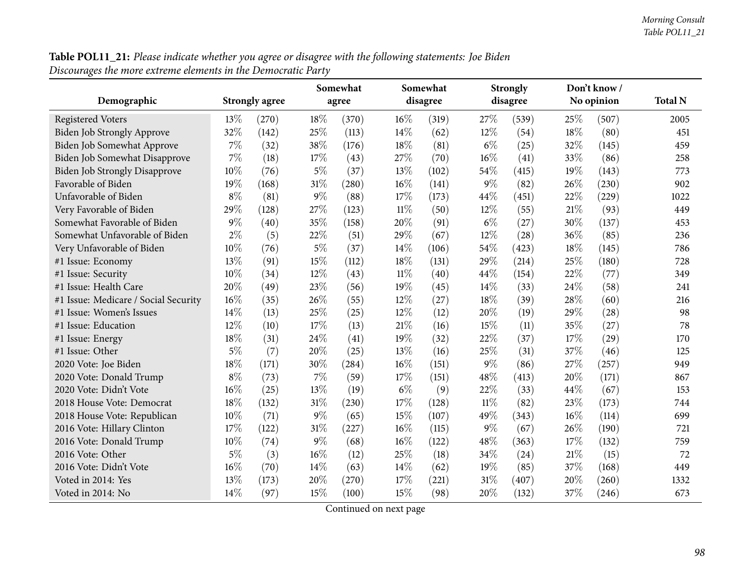**Table POL11\_21:** Please indicate whether you agree or disagree with the following statements: Joe Biden<br>Discourages the more extreme elements in the Democratic Party

|                                      |       |                       |       | Somewhat |        | Somewhat |        | <b>Strongly</b> |        | Don't know/ |                |
|--------------------------------------|-------|-----------------------|-------|----------|--------|----------|--------|-----------------|--------|-------------|----------------|
| Demographic                          |       | <b>Strongly agree</b> |       | agree    |        | disagree |        | disagree        |        | No opinion  | <b>Total N</b> |
| <b>Registered Voters</b>             | 13%   | (270)                 | 18%   | (370)    | $16\%$ | (319)    | 27%    | (539)           | 25%    | (507)       | 2005           |
| Biden Job Strongly Approve           | 32%   | (142)                 | 25%   | (113)    | 14%    | (62)     | 12%    | (54)            | 18%    | (80)        | 451            |
| Biden Job Somewhat Approve           | $7\%$ | (32)                  | 38%   | (176)    | 18%    | (81)     | $6\%$  | (25)            | 32%    | (145)       | 459            |
| Biden Job Somewhat Disapprove        | $7\%$ | (18)                  | 17%   | (43)     | 27%    | (70)     | 16%    | (41)            | 33%    | (86)        | 258            |
| <b>Biden Job Strongly Disapprove</b> | 10%   | (76)                  | $5\%$ | (37)     | 13%    | (102)    | 54%    | (415)           | 19%    | (143)       | 773            |
| Favorable of Biden                   | 19%   | (168)                 | 31%   | (280)    | 16%    | (141)    | $9\%$  | (82)            | 26%    | (230)       | 902            |
| Unfavorable of Biden                 | $8\%$ | (81)                  | $9\%$ | (88)     | 17%    | (173)    | 44%    | (451)           | 22%    | (229)       | 1022           |
| Very Favorable of Biden              | 29%   | (128)                 | 27%   | (123)    | $11\%$ | (50)     | 12%    | (55)            | 21\%   | (93)        | 449            |
| Somewhat Favorable of Biden          | $9\%$ | (40)                  | 35%   | (158)    | 20%    | (91)     | $6\%$  | (27)            | 30%    | (137)       | 453            |
| Somewhat Unfavorable of Biden        | $2\%$ | (5)                   | 22%   | (51)     | 29%    | (67)     | 12%    | (28)            | 36%    | (85)        | 236            |
| Very Unfavorable of Biden            | 10%   | (76)                  | $5\%$ | (37)     | 14%    | (106)    | 54%    | (423)           | 18%    | (145)       | 786            |
| #1 Issue: Economy                    | 13%   | (91)                  | 15%   | (112)    | 18%    | (131)    | 29%    | (214)           | 25%    | (180)       | 728            |
| #1 Issue: Security                   | 10%   | (34)                  | 12%   | (43)     | 11%    | (40)     | 44%    | (154)           | 22%    | (77)        | 349            |
| #1 Issue: Health Care                | 20%   | (49)                  | 23%   | (56)     | 19%    | (45)     | 14\%   | (33)            | 24%    | (58)        | 241            |
| #1 Issue: Medicare / Social Security | 16%   | (35)                  | 26%   | (55)     | 12%    | (27)     | 18%    | (39)            | 28%    | (60)        | 216            |
| #1 Issue: Women's Issues             | 14%   | (13)                  | 25%   | (25)     | 12%    | (12)     | 20%    | (19)            | 29%    | (28)        | 98             |
| #1 Issue: Education                  | 12%   | (10)                  | 17%   | (13)     | 21\%   | (16)     | 15%    | (11)            | 35%    | (27)        | 78             |
| #1 Issue: Energy                     | 18%   | (31)                  | 24%   | (41)     | 19%    | (32)     | 22%    | (37)            | 17%    | (29)        | 170            |
| #1 Issue: Other                      | $5\%$ | (7)                   | 20%   | (25)     | 13%    | (16)     | 25%    | (31)            | 37%    | (46)        | 125            |
| 2020 Vote: Joe Biden                 | 18%   | (171)                 | 30%   | (284)    | 16%    | (151)    | $9\%$  | (86)            | 27%    | (257)       | 949            |
| 2020 Vote: Donald Trump              | $8\%$ | (73)                  | $7\%$ | (59)     | 17%    | (151)    | 48%    | (413)           | 20%    | (171)       | 867            |
| 2020 Vote: Didn't Vote               | 16%   | (25)                  | 13%   | (19)     | $6\%$  | (9)      | 22%    | (33)            | 44%    | (67)        | 153            |
| 2018 House Vote: Democrat            | 18%   | (132)                 | 31%   | (230)    | 17%    | (128)    | $11\%$ | (82)            | 23%    | (173)       | 744            |
| 2018 House Vote: Republican          | 10%   | (71)                  | 9%    | (65)     | 15%    | (107)    | 49%    | (343)           | 16%    | (114)       | 699            |
| 2016 Vote: Hillary Clinton           | 17%   | (122)                 | 31%   | (227)    | 16%    | (115)    | $9\%$  | (67)            | 26%    | (190)       | 721            |
| 2016 Vote: Donald Trump              | 10%   | (74)                  | 9%    | (68)     | 16%    | (122)    | 48%    | (363)           | 17%    | (132)       | 759            |
| 2016 Vote: Other                     | $5\%$ | (3)                   | 16%   | (12)     | 25%    | (18)     | 34%    | (24)            | $21\%$ | (15)        | 72             |
| 2016 Vote: Didn't Vote               | 16%   | (70)                  | 14%   | (63)     | 14\%   | (62)     | 19%    | (85)            | 37%    | (168)       | 449            |
| Voted in 2014: Yes                   | 13%   | (173)                 | 20%   | (270)    | 17%    | (221)    | $31\%$ | (407)           | 20%    | (260)       | 1332           |
| Voted in 2014: No                    | 14%   | (97)                  | 15%   | (100)    | 15%    | (98)     | 20%    | (132)           | 37%    | (246)       | 673            |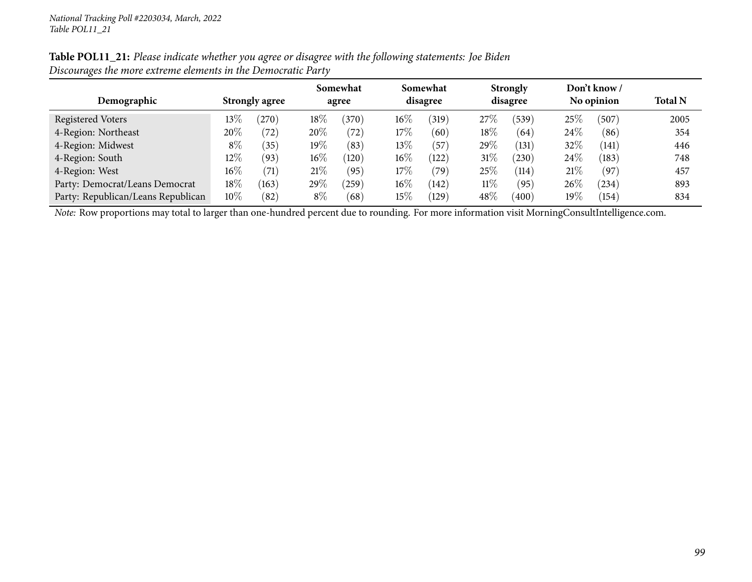| Demographic                        | <b>Strongly agree</b> |                    | Somewhat<br>agree |                 |        | Somewhat<br>disagree |        | <b>Strongly</b><br>disagree |        | Don't know /<br>No opinion | <b>Total N</b> |
|------------------------------------|-----------------------|--------------------|-------------------|-----------------|--------|----------------------|--------|-----------------------------|--------|----------------------------|----------------|
|                                    |                       |                    |                   |                 |        |                      |        |                             |        |                            |                |
| Registered Voters                  | $13\%$                | $^{'}270$          | 18%               | (370)           | $16\%$ | (319)                | 27\%   | (539)                       | 25%    | 507                        | 2005           |
| 4-Region: Northeast                | 20%                   | (72)               | 20%               | $^{'}72)$       | $17\%$ | (60)                 | $18\%$ | (64)                        | 24\%   | (86)                       | 354            |
| 4-Region: Midwest                  | $8\%$                 | (35)               | 19%               | (83)            | 13%    | (57)                 | 29%    | (131)                       | 32%    | (141)                      | 446            |
| 4-Region: South                    | $12\%$                | (93)               | $16\%$            | $^{\prime}120)$ | $16\%$ | (122)                | $31\%$ | 230                         | $24\%$ | (183)                      | 748            |
| 4-Region: West                     | $16\%$                | $\left( 71\right)$ | 21%               | (95)            | $17\%$ | (79)                 | 25%    | (114)                       | 21%    | (97)                       | 457            |
| Party: Democrat/Leans Democrat     | $18\%$                | (163)              | $29\%$            | $^{'}259)$      | $16\%$ | (142)                | $11\%$ | (95)                        | $26\%$ | $^{(234)}$                 | 893            |
| Party: Republican/Leans Republican | $10\%$                | (82)               | $8\%$             | (68)            | $15\%$ | (129)                | 48%    | (400)                       | $19\%$ | (154)                      | 834            |

Table POL11\_21: Please indicate whether you agree or disagree with the following statements: Joe Biden *Discourages the more extreme elements in the Democratic Party*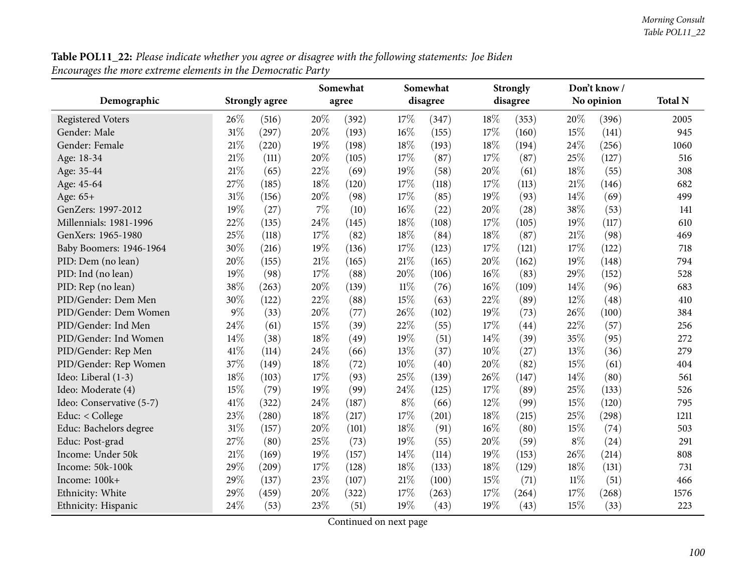| Table POL11_22: Please indicate whether you agree or disagree with the following statements: Joe Biden |  |
|--------------------------------------------------------------------------------------------------------|--|
| Encourages the more extreme elements in the Democratic Party                                           |  |

| o                        |      |                       |      | Somewhat |        | Somewhat |     | <b>Strongly</b> |        | Don't know / |                |
|--------------------------|------|-----------------------|------|----------|--------|----------|-----|-----------------|--------|--------------|----------------|
| Demographic              |      | <b>Strongly agree</b> |      | agree    |        | disagree |     | disagree        |        | No opinion   | <b>Total N</b> |
| <b>Registered Voters</b> | 26%  | (516)                 | 20%  | (392)    | 17%    | (347)    | 18% | (353)           | 20%    | (396)        | 2005           |
| Gender: Male             | 31%  | (297)                 | 20%  | (193)    | 16%    | (155)    | 17% | (160)           | 15%    | (141)        | 945            |
| Gender: Female           | 21%  | (220)                 | 19%  | (198)    | 18%    | (193)    | 18% | (194)           | 24%    | (256)        | 1060           |
| Age: 18-34               | 21%  | (111)                 | 20%  | (105)    | 17%    | (87)     | 17% | (87)            | 25%    | (127)        | 516            |
| Age: 35-44               | 21%  | (65)                  | 22%  | (69)     | 19%    | (58)     | 20% | (61)            | 18%    | (55)         | 308            |
| Age: 45-64               | 27%  | (185)                 | 18%  | (120)    | 17%    | (118)    | 17% | (113)           | 21%    | (146)        | 682            |
| Age: 65+                 | 31%  | (156)                 | 20%  | (98)     | 17%    | (85)     | 19% | (93)            | 14%    | (69)         | 499            |
| GenZers: 1997-2012       | 19%  | (27)                  | 7%   | (10)     | 16%    | (22)     | 20% | (28)            | 38%    | (53)         | 141            |
| Millennials: 1981-1996   | 22%  | (135)                 | 24%  | (145)    | 18%    | (108)    | 17% | (105)           | 19%    | (117)        | 610            |
| GenXers: 1965-1980       | 25%  | (118)                 | 17%  | (82)     | 18%    | (84)     | 18% | (87)            | 21%    | (98)         | 469            |
| Baby Boomers: 1946-1964  | 30%  | (216)                 | 19%  | (136)    | 17%    | (123)    | 17% | (121)           | 17%    | (122)        | 718            |
| PID: Dem (no lean)       | 20%  | (155)                 | 21\% | (165)    | 21\%   | (165)    | 20% | (162)           | 19%    | (148)        | 794            |
| PID: Ind (no lean)       | 19%  | (98)                  | 17%  | (88)     | 20%    | (106)    | 16% | (83)            | 29%    | (152)        | 528            |
| PID: Rep (no lean)       | 38%  | (263)                 | 20%  | (139)    | $11\%$ | (76)     | 16% | (109)           | 14%    | (96)         | 683            |
| PID/Gender: Dem Men      | 30%  | (122)                 | 22%  | (88)     | 15%    | (63)     | 22% | (89)            | 12%    | (48)         | 410            |
| PID/Gender: Dem Women    | 9%   | (33)                  | 20%  | (77)     | 26%    | (102)    | 19% | (73)            | 26%    | (100)        | 384            |
| PID/Gender: Ind Men      | 24%  | (61)                  | 15%  | (39)     | 22%    | (55)     | 17% | (44)            | 22%    | (57)         | 256            |
| PID/Gender: Ind Women    | 14%  | (38)                  | 18%  | (49)     | 19%    | (51)     | 14% | (39)            | 35%    | (95)         | 272            |
| PID/Gender: Rep Men      | 41\% | (114)                 | 24%  | (66)     | 13%    | (37)     | 10% | (27)            | 13%    | (36)         | 279            |
| PID/Gender: Rep Women    | 37%  | (149)                 | 18%  | (72)     | 10%    | (40)     | 20% | (82)            | 15%    | (61)         | 404            |
| Ideo: Liberal (1-3)      | 18%  | (103)                 | 17%  | (93)     | 25%    | (139)    | 26% | (147)           | 14%    | (80)         | 561            |
| Ideo: Moderate (4)       | 15%  | (79)                  | 19%  | (99)     | 24%    | (125)    | 17% | (89)            | 25%    | (133)        | 526            |
| Ideo: Conservative (5-7) | 41%  | (322)                 | 24%  | (187)    | $8\%$  | (66)     | 12% | (99)            | 15%    | (120)        | 795            |
| Educ: < College          | 23%  | (280)                 | 18%  | (217)    | 17%    | (201)    | 18% | (215)           | 25%    | (298)        | 1211           |
| Educ: Bachelors degree   | 31%  | (157)                 | 20%  | (101)    | 18%    | (91)     | 16% | (80)            | 15%    | (74)         | 503            |
| Educ: Post-grad          | 27%  | (80)                  | 25%  | (73)     | 19%    | (55)     | 20% | (59)            | $8\%$  | (24)         | 291            |
| Income: Under 50k        | 21%  | (169)                 | 19%  | (157)    | 14%    | (114)    | 19% | (153)           | 26%    | (214)        | 808            |
| Income: 50k-100k         | 29%  | (209)                 | 17%  | (128)    | 18%    | (133)    | 18% | (129)           | 18%    | (131)        | 731            |
| Income: 100k+            | 29%  | (137)                 | 23%  | (107)    | 21%    | (100)    | 15% | (71)            | $11\%$ | (51)         | 466            |
| Ethnicity: White         | 29%  | (459)                 | 20%  | (322)    | 17%    | (263)    | 17% | (264)           | 17%    | (268)        | 1576           |
| Ethnicity: Hispanic      | 24%  | (53)                  | 23%  | (51)     | 19%    | (43)     | 19% | (43)            | 15%    | (33)         | 223            |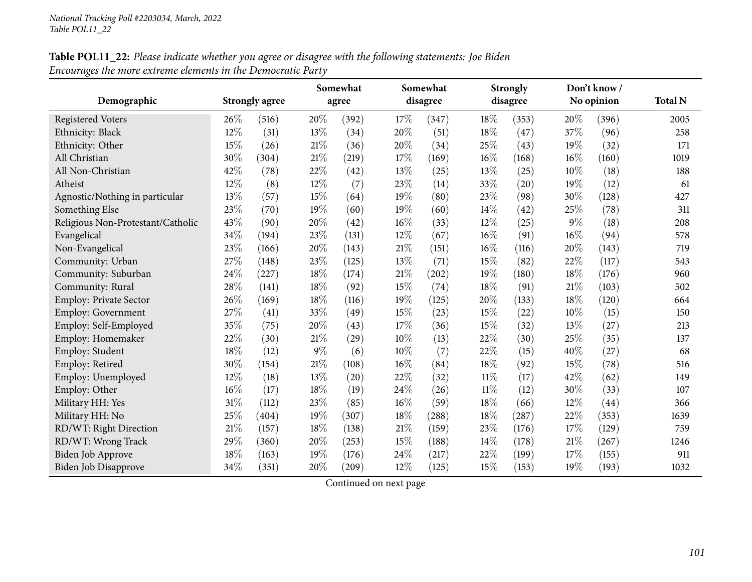## Table POL11\_22: Please indicate whether you agree or disagree with the following statements: Joe Biden *Encourages the more extreme elements in the Democratic Party*

|                                   |      |                       |       | Somewhat |        | Somewhat |        | <b>Strongly</b> |     | Don't know/ |                |
|-----------------------------------|------|-----------------------|-------|----------|--------|----------|--------|-----------------|-----|-------------|----------------|
| Demographic                       |      | <b>Strongly agree</b> |       | agree    |        | disagree |        | disagree        |     | No opinion  | <b>Total N</b> |
| <b>Registered Voters</b>          | 26\% | (516)                 | 20%   | (392)    | 17%    | (347)    | 18%    | (353)           | 20% | (396)       | 2005           |
| Ethnicity: Black                  | 12%  | (31)                  | 13%   | (34)     | 20%    | (51)     | 18%    | (47)            | 37% | (96)        | 258            |
| Ethnicity: Other                  | 15%  | (26)                  | 21\%  | (36)     | 20%    | (34)     | 25%    | (43)            | 19% | (32)        | 171            |
| All Christian                     | 30%  | (304)                 | 21\%  | (219)    | 17%    | (169)    | 16%    | (168)           | 16% | (160)       | 1019           |
| All Non-Christian                 | 42%  | (78)                  | 22%   | (42)     | 13%    | (25)     | 13%    | (25)            | 10% | (18)        | 188            |
| Atheist                           | 12%  | (8)                   | 12%   | (7)      | 23%    | (14)     | 33%    | (20)            | 19% | (12)        | 61             |
| Agnostic/Nothing in particular    | 13%  | (57)                  | 15%   | (64)     | 19%    | (80)     | 23%    | (98)            | 30% | (128)       | 427            |
| Something Else                    | 23%  | (70)                  | 19%   | (60)     | 19%    | (60)     | 14%    | (42)            | 25% | (78)        | 311            |
| Religious Non-Protestant/Catholic | 43%  | (90)                  | 20%   | (42)     | 16%    | (33)     | 12%    | (25)            | 9%  | (18)        | 208            |
| Evangelical                       | 34%  | (194)                 | 23%   | (131)    | 12%    | (67)     | 16%    | (91)            | 16% | (94)        | 578            |
| Non-Evangelical                   | 23%  | (166)                 | 20%   | (143)    | 21%    | (151)    | 16%    | (116)           | 20% | (143)       | 719            |
| Community: Urban                  | 27%  | (148)                 | 23%   | (125)    | 13%    | (71)     | 15%    | (82)            | 22% | (117)       | 543            |
| Community: Suburban               | 24%  | (227)                 | 18%   | (174)    | 21%    | (202)    | 19%    | (180)           | 18% | (176)       | 960            |
| Community: Rural                  | 28%  | (141)                 | 18%   | (92)     | 15%    | (74)     | 18%    | (91)            | 21% | (103)       | 502            |
| Employ: Private Sector            | 26%  | (169)                 | 18%   | (116)    | 19%    | (125)    | 20%    | (133)           | 18% | (120)       | 664            |
| Employ: Government                | 27%  | (41)                  | 33%   | (49)     | 15%    | (23)     | 15%    | (22)            | 10% | (15)        | 150            |
| Employ: Self-Employed             | 35%  | (75)                  | 20%   | (43)     | 17%    | (36)     | 15%    | (32)            | 13% | (27)        | 213            |
| Employ: Homemaker                 | 22%  | (30)                  | 21%   | (29)     | 10%    | (13)     | 22%    | (30)            | 25% | (35)        | 137            |
| Employ: Student                   | 18%  | (12)                  | $9\%$ | (6)      | 10%    | (7)      | 22%    | (15)            | 40% | (27)        | 68             |
| Employ: Retired                   | 30%  | (154)                 | 21%   | (108)    | $16\%$ | (84)     | 18%    | (92)            | 15% | (78)        | 516            |
| Employ: Unemployed                | 12%  | (18)                  | 13%   | (20)     | 22%    | (32)     | $11\%$ | (17)            | 42% | (62)        | 149            |
| Employ: Other                     | 16%  | (17)                  | 18%   | (19)     | 24%    | (26)     | $11\%$ | (12)            | 30% | (33)        | 107            |
| Military HH: Yes                  | 31%  | (112)                 | 23%   | (85)     | 16%    | (59)     | 18%    | (66)            | 12% | (44)        | 366            |
| Military HH: No                   | 25%  | (404)                 | 19%   | (307)    | 18%    | (288)    | 18%    | (287)           | 22% | (353)       | 1639           |
| RD/WT: Right Direction            | 21%  | (157)                 | 18%   | (138)    | $21\%$ | (159)    | 23%    | (176)           | 17% | (129)       | 759            |
| RD/WT: Wrong Track                | 29%  | (360)                 | 20%   | (253)    | 15%    | (188)    | $14\%$ | (178)           | 21% | (267)       | 1246           |
| Biden Job Approve                 | 18%  | (163)                 | 19%   | (176)    | 24%    | (217)    | 22%    | (199)           | 17% | (155)       | 911            |
| <b>Biden Job Disapprove</b>       | 34%  | (351)                 | 20%   | (209)    | 12%    | (125)    | 15%    | (153)           | 19% | (193)       | 1032           |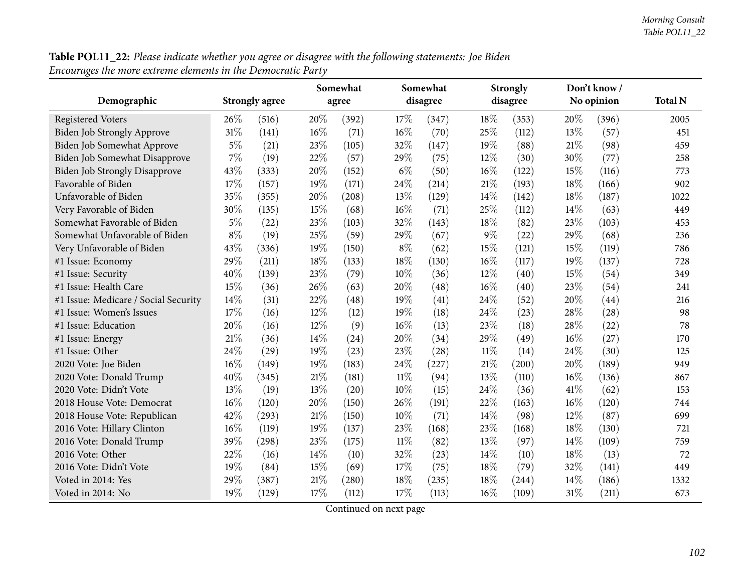**Table POL11\_22:** Please indicate whether you agree or disagree with the following statements: Joe Biden<br>Encourages the more extreme elements in the Democratic Party

|                                      |       |                       |     | Somewhat |        | Somewhat |        | <b>Strongly</b> |        | Don't know / |                |
|--------------------------------------|-------|-----------------------|-----|----------|--------|----------|--------|-----------------|--------|--------------|----------------|
| Demographic                          |       | <b>Strongly agree</b> |     | agree    |        | disagree |        | disagree        |        | No opinion   | <b>Total N</b> |
| <b>Registered Voters</b>             | 26%   | (516)                 | 20% | (392)    | 17%    | (347)    | 18\%   | (353)           | 20%    | (396)        | 2005           |
| <b>Biden Job Strongly Approve</b>    | 31%   | (141)                 | 16% | (71)     | 16%    | (70)     | 25%    | (112)           | 13%    | (57)         | 451            |
| Biden Job Somewhat Approve           | $5\%$ | (21)                  | 23% | (105)    | 32%    | (147)    | 19%    | (88)            | 21\%   | (98)         | 459            |
| Biden Job Somewhat Disapprove        | 7%    | (19)                  | 22% | (57)     | 29%    | (75)     | 12%    | (30)            | 30%    | (77)         | 258            |
| <b>Biden Job Strongly Disapprove</b> | 43%   | (333)                 | 20% | (152)    | $6\%$  | (50)     | $16\%$ | (122)           | 15%    | (116)        | 773            |
| Favorable of Biden                   | 17%   | (157)                 | 19% | (171)    | 24%    | (214)    | 21\%   | (193)           | 18%    | (166)        | 902            |
| Unfavorable of Biden                 | 35%   | (355)                 | 20% | (208)    | 13%    | (129)    | 14%    | (142)           | 18%    | (187)        | 1022           |
| Very Favorable of Biden              | 30%   | (135)                 | 15% | (68)     | 16%    | (71)     | 25%    | (112)           | 14%    | (63)         | 449            |
| Somewhat Favorable of Biden          | $5\%$ | (22)                  | 23% | (103)    | 32%    | (143)    | 18%    | (82)            | 23%    | (103)        | 453            |
| Somewhat Unfavorable of Biden        | $8\%$ | (19)                  | 25% | (59)     | 29%    | (67)     | 9%     | (22)            | 29%    | (68)         | 236            |
| Very Unfavorable of Biden            | 43%   | (336)                 | 19% | (150)    | $8\%$  | (62)     | 15%    | (121)           | 15%    | (119)        | 786            |
| #1 Issue: Economy                    | 29%   | (211)                 | 18% | (133)    | 18%    | (130)    | 16%    | (117)           | 19%    | (137)        | 728            |
| #1 Issue: Security                   | 40%   | (139)                 | 23% | (79)     | 10%    | (36)     | 12%    | (40)            | 15%    | (54)         | 349            |
| #1 Issue: Health Care                | 15%   | (36)                  | 26% | (63)     | 20%    | (48)     | 16%    | (40)            | 23%    | (54)         | 241            |
| #1 Issue: Medicare / Social Security | 14%   | (31)                  | 22% | (48)     | 19%    | (41)     | 24%    | (52)            | 20%    | (44)         | 216            |
| #1 Issue: Women's Issues             | 17%   | (16)                  | 12% | (12)     | 19%    | (18)     | 24%    | (23)            | 28%    | (28)         | 98             |
| #1 Issue: Education                  | 20%   | (16)                  | 12% | (9)      | 16%    | (13)     | 23%    | (18)            | 28%    | (22)         | 78             |
| #1 Issue: Energy                     | 21\%  | (36)                  | 14% | (24)     | 20%    | (34)     | 29%    | (49)            | $16\%$ | (27)         | 170            |
| #1 Issue: Other                      | 24%   | (29)                  | 19% | (23)     | 23%    | (28)     | $11\%$ | (14)            | 24%    | (30)         | 125            |
| 2020 Vote: Joe Biden                 | 16%   | (149)                 | 19% | (183)    | 24%    | (227)    | $21\%$ | (200)           | 20%    | (189)        | 949            |
| 2020 Vote: Donald Trump              | 40%   | (345)                 | 21% | (181)    | $11\%$ | (94)     | 13%    | (110)           | 16%    | (136)        | 867            |
| 2020 Vote: Didn't Vote               | 13%   | (19)                  | 13% | (20)     | 10%    | (15)     | 24%    | (36)            | 41\%   | (62)         | 153            |
| 2018 House Vote: Democrat            | 16%   | (120)                 | 20% | (150)    | 26%    | (191)    | 22%    | (163)           | 16%    | (120)        | 744            |
| 2018 House Vote: Republican          | 42%   | (293)                 | 21% | (150)    | 10%    | (71)     | 14\%   | (98)            | 12%    | (87)         | 699            |
| 2016 Vote: Hillary Clinton           | 16%   | (119)                 | 19% | (137)    | 23%    | (168)    | 23%    | (168)           | 18%    | (130)        | 721            |
| 2016 Vote: Donald Trump              | 39%   | (298)                 | 23% | (175)    | 11%    | (82)     | 13%    | (97)            | 14%    | (109)        | 759            |
| 2016 Vote: Other                     | 22%   | (16)                  | 14% | (10)     | 32%    | (23)     | 14%    | (10)            | 18%    | (13)         | 72             |
| 2016 Vote: Didn't Vote               | 19%   | (84)                  | 15% | (69)     | 17%    | (75)     | 18%    | (79)            | 32%    | (141)        | 449            |
| Voted in 2014: Yes                   | 29%   | (387)                 | 21% | (280)    | 18%    | (235)    | 18%    | (244)           | 14%    | (186)        | 1332           |
| Voted in 2014: No                    | 19%   | (129)                 | 17% | (112)    | 17%    | (113)    | 16%    | (109)           | 31%    | (211)        | 673            |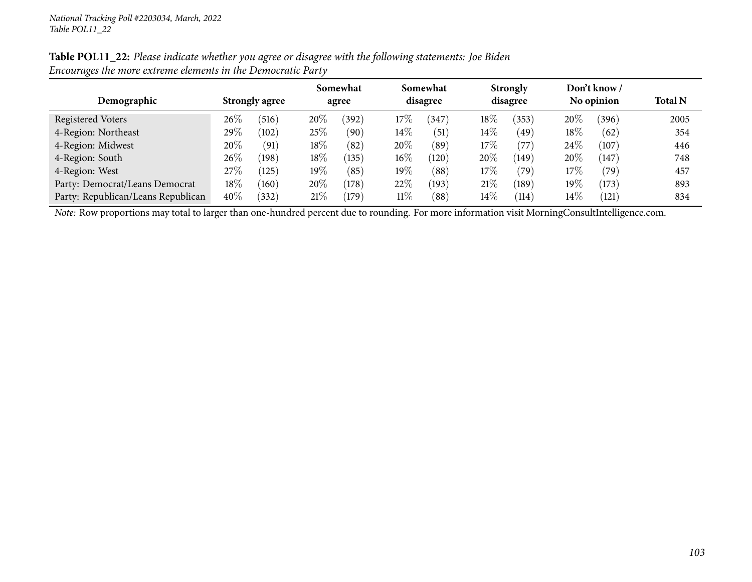| Table POL11_22: Please indicate whether you agree or disagree with the following statements: Joe Biden |  |
|--------------------------------------------------------------------------------------------------------|--|
| Encourages the more extreme elements in the Democratic Party                                           |  |

|                                    |        | <b>Strongly agree</b> |        | Somewhat<br>agree |        | Somewhat<br>disagree |        | <b>Strongly</b><br>disagree |        | Don't know /   | <b>Total N</b> |  |
|------------------------------------|--------|-----------------------|--------|-------------------|--------|----------------------|--------|-----------------------------|--------|----------------|----------------|--|
| Demographic                        |        |                       |        |                   |        |                      |        |                             |        | No opinion     |                |  |
| Registered Voters                  | $26\%$ | (516)                 | 20%    | (392)             | $17\%$ | 347                  | $18\%$ | 353)                        | 20%    | (396)          | 2005           |  |
| 4-Region: Northeast                | $29\%$ | (102)                 | 25\%   | (90)              | $14\%$ | $\left(51\right)$    | $14\%$ | 49 <sup>°</sup>             | 18%    | (62)           | 354            |  |
| 4-Region: Midwest                  | 20\%   | (91)                  | $18\%$ | (82)              | 20%    | (89)                 | 17%    | (77)                        | 24\%   | (107)          | 446            |  |
| 4-Region: South                    | $26\%$ | (198)                 | 18%    | (135)             | $16\%$ | (120)                | 20%    | (149)                       | 20%    | (147)          | 748            |  |
| 4-Region: West                     | $27\%$ | 125)                  | $19\%$ | (85)              | $19\%$ | (88)                 | $17\%$ | (79`                        | 17%    | $^{\prime}79)$ | 457            |  |
| Party: Democrat/Leans Democrat     | 18\%   | (160)                 | 20%    | (178)             | 22%    | (193)                | $21\%$ | (189)                       | 19%    | (173)          | 893            |  |
| Party: Republican/Leans Republican | 40\%   | (332)                 | 21%    | $^{\prime}179$    | $11\%$ | (88)                 | $14\%$ | $^{\prime}114$              | $14\%$ | (121)          | 834            |  |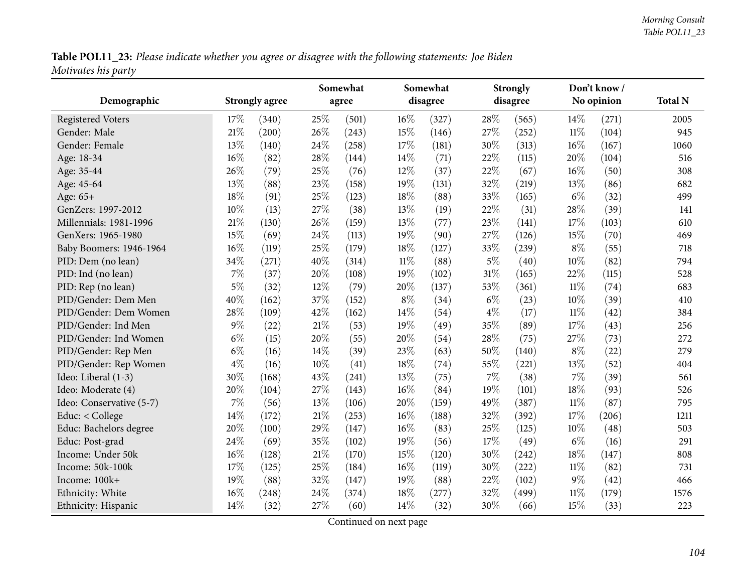Table POL11\_23: Please indicate whether you agree or disagree with the following statements: Joe Biden *Motivates his party*

| Demographic              |       | <b>Strongly agree</b> |      | Somewhat<br>agree |        | Somewhat<br>disagree |       | <b>Strongly</b><br>disagree |        | Don't know/<br>No opinion | <b>Total N</b> |
|--------------------------|-------|-----------------------|------|-------------------|--------|----------------------|-------|-----------------------------|--------|---------------------------|----------------|
|                          |       |                       |      |                   |        |                      |       |                             |        |                           |                |
| <b>Registered Voters</b> | 17%   | (340)                 | 25%  | (501)             | 16%    | (327)                | 28%   | (565)                       | 14%    | (271)                     | 2005           |
| Gender: Male             | 21%   | (200)                 | 26%  | (243)             | 15%    | (146)                | 27%   | (252)                       | $11\%$ | (104)                     | 945            |
| Gender: Female           | 13%   | (140)                 | 24%  | (258)             | 17%    | (181)                | 30%   | (313)                       | 16%    | (167)                     | 1060           |
| Age: 18-34               | 16%   | (82)                  | 28%  | (144)             | $14\%$ | (71)                 | 22%   | (115)                       | 20%    | (104)                     | 516            |
| Age: 35-44               | 26%   | (79)                  | 25%  | (76)              | 12%    | (37)                 | 22%   | (67)                        | $16\%$ | (50)                      | 308            |
| Age: 45-64               | 13%   | (88)                  | 23%  | (158)             | 19%    | (131)                | 32%   | (219)                       | 13%    | (86)                      | 682            |
| Age: 65+                 | 18%   | (91)                  | 25%  | (123)             | 18%    | (88)                 | 33%   | (165)                       | $6\%$  | (32)                      | 499            |
| GenZers: 1997-2012       | 10%   | (13)                  | 27%  | (38)              | 13%    | (19)                 | 22%   | (31)                        | 28%    | (39)                      | 141            |
| Millennials: 1981-1996   | 21%   | (130)                 | 26%  | (159)             | 13%    | (77)                 | 23%   | (141)                       | 17%    | (103)                     | 610            |
| GenXers: 1965-1980       | 15%   | (69)                  | 24%  | (113)             | 19%    | (90)                 | 27%   | (126)                       | 15%    | (70)                      | 469            |
| Baby Boomers: 1946-1964  | 16%   | (119)                 | 25%  | (179)             | 18%    | (127)                | 33%   | (239)                       | $8\%$  | (55)                      | 718            |
| PID: Dem (no lean)       | 34%   | (271)                 | 40%  | (314)             | $11\%$ | (88)                 | $5\%$ | (40)                        | $10\%$ | (82)                      | 794            |
| PID: Ind (no lean)       | 7%    | (37)                  | 20%  | (108)             | 19%    | (102)                | 31%   | (165)                       | 22%    | (115)                     | 528            |
| PID: Rep (no lean)       | 5%    | (32)                  | 12%  | (79)              | $20\%$ | (137)                | 53%   | (361)                       | 11%    | (74)                      | 683            |
| PID/Gender: Dem Men      | 40%   | (162)                 | 37%  | (152)             | $8\%$  | (34)                 | $6\%$ | (23)                        | 10%    | (39)                      | 410            |
| PID/Gender: Dem Women    | 28%   | (109)                 | 42%  | (162)             | 14%    | (54)                 | $4\%$ | (17)                        | $11\%$ | (42)                      | 384            |
| PID/Gender: Ind Men      | 9%    | (22)                  | 21%  | (53)              | 19%    | (49)                 | 35%   | (89)                        | 17%    | (43)                      | 256            |
| PID/Gender: Ind Women    | $6\%$ | (15)                  | 20%  | (55)              | 20%    | (54)                 | 28%   | (75)                        | 27%    | (73)                      | 272            |
| PID/Gender: Rep Men      | $6\%$ | (16)                  | 14%  | (39)              | 23%    | (63)                 | 50%   | (140)                       | $8\%$  | (22)                      | 279            |
| PID/Gender: Rep Women    | $4\%$ | (16)                  | 10%  | (41)              | 18%    | (74)                 | 55%   | (221)                       | 13%    | (52)                      | 404            |
| Ideo: Liberal (1-3)      | 30%   | (168)                 | 43%  | (241)             | 13\%   | (75)                 | 7%    | (38)                        | 7%     | (39)                      | 561            |
| Ideo: Moderate (4)       | 20%   | (104)                 | 27%  | (143)             | 16%    | (84)                 | 19%   | (101)                       | 18%    | (93)                      | 526            |
| Ideo: Conservative (5-7) | $7\%$ | (56)                  | 13%  | (106)             | 20%    | (159)                | 49%   | (387)                       | $11\%$ | (87)                      | 795            |
| Educ: < College          | 14%   | (172)                 | 21\% | (253)             | 16%    | (188)                | 32%   | (392)                       | 17%    | (206)                     | 1211           |
| Educ: Bachelors degree   | 20%   | (100)                 | 29%  | (147)             | 16%    | (83)                 | 25%   | (125)                       | 10%    | (48)                      | 503            |
| Educ: Post-grad          | 24%   | (69)                  | 35%  | (102)             | 19%    | (56)                 | 17%   | (49)                        | $6\%$  | (16)                      | 291            |
| Income: Under 50k        | 16%   | (128)                 | 21%  | (170)             | 15%    | (120)                | 30%   | (242)                       | 18%    | (147)                     | 808            |
| Income: 50k-100k         | 17%   | (125)                 | 25%  | (184)             | $16\%$ | (119)                | 30%   | (222)                       | 11%    | (82)                      | 731            |
| Income: 100k+            | 19%   | (88)                  | 32%  | (147)             | 19%    | (88)                 | 22%   | (102)                       | $9\%$  | (42)                      | 466            |
| Ethnicity: White         | 16%   | (248)                 | 24%  | (374)             | 18%    | (277)                | 32%   | (499)                       | $11\%$ | (179)                     | 1576           |
| Ethnicity: Hispanic      | 14%   | (32)                  | 27%  | (60)              | $14\%$ | (32)                 | 30%   | (66)                        | 15%    | (33)                      | 223            |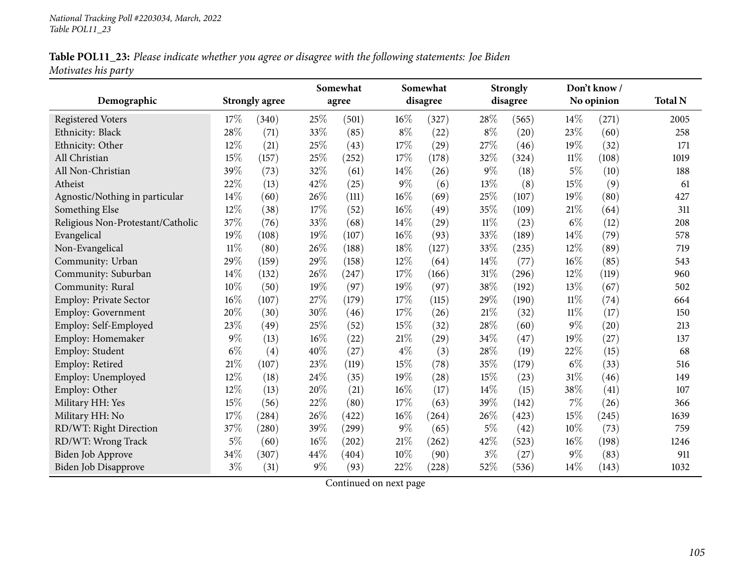|                     |  |  | Table POL11_23: Please indicate whether you agree or disagree with the following statements: Joe Biden |
|---------------------|--|--|--------------------------------------------------------------------------------------------------------|
| Motivates his party |  |  |                                                                                                        |

|                                   |        |                       |       | Somewhat            |        | Somewhat |        | <b>Strongly</b> |        | Don't know /       |                |
|-----------------------------------|--------|-----------------------|-------|---------------------|--------|----------|--------|-----------------|--------|--------------------|----------------|
| Demographic                       |        | <b>Strongly agree</b> |       | agree               |        | disagree |        | disagree        |        | No opinion         | <b>Total N</b> |
| <b>Registered Voters</b>          | 17%    | (340)                 | 25%   | (501)               | $16\%$ | (327)    | 28\%   | (565)           | $14\%$ | (271)              | 2005           |
| Ethnicity: Black                  | 28%    | (71)                  | 33%   | (85)                | $8\%$  | (22)     | $8\%$  | (20)            | 23%    | (60)               | 258            |
| Ethnicity: Other                  | 12%    | (21)                  | 25%   | (43)                | 17%    | (29)     | 27%    | (46)            | 19%    | (32)               | 171            |
| All Christian                     | 15%    | (157)                 | 25%   | (252)               | 17%    | (178)    | 32%    | (324)           | $11\%$ | (108)              | 1019           |
| All Non-Christian                 | 39%    | (73)                  | 32%   | (61)                | 14%    | (26)     | $9\%$  | (18)            | $5\%$  | (10)               | 188            |
| Atheist                           | 22%    | (13)                  | 42%   | (25)                | 9%     | (6)      | 13%    | (8)             | 15%    | (9)                | 61             |
| Agnostic/Nothing in particular    | 14%    | (60)                  | 26%   | (111)               | 16%    | (69)     | 25%    | (107)           | 19%    | (80)               | 427            |
| Something Else                    | 12%    | (38)                  | 17%   | (52)                | 16%    | (49)     | 35%    | (109)           | $21\%$ | (64)               | 311            |
| Religious Non-Protestant/Catholic | 37%    | (76)                  | 33%   | (68)                | 14%    | (29)     | $11\%$ | (23)            | $6\%$  | (12)               | 208            |
| Evangelical                       | 19%    | (108)                 | 19%   | (107)               | 16%    | (93)     | 33%    | (189)           | 14%    | (79)               | 578            |
| Non-Evangelical                   | $11\%$ | (80)                  | 26%   | (188)               | 18%    | (127)    | 33%    | (235)           | 12%    | (89)               | 719            |
| Community: Urban                  | 29%    | (159)                 | 29%   | (158)               | 12%    | (64)     | 14%    | (77)            | $16\%$ | (85)               | 543            |
| Community: Suburban               | 14%    | (132)                 | 26%   | (247)               | 17%    | (166)    | $31\%$ | (296)           | 12%    | (119)              | 960            |
| Community: Rural                  | 10%    | (50)                  | 19%   | (97)                | 19%    | (97)     | 38%    | (192)           | 13%    | (67)               | 502            |
| <b>Employ: Private Sector</b>     | 16%    | (107)                 | 27%   | (179)               | 17%    | (115)    | 29%    | (190)           | $11\%$ | (74)               | 664            |
| <b>Employ: Government</b>         | 20%    | (30)                  | 30%   | (46)                | 17%    | (26)     | $21\%$ | (32)            | $11\%$ | (17)               | 150            |
| Employ: Self-Employed             | 23%    | (49)                  | 25%   | (52)                | 15%    | (32)     | 28%    | (60)            | $9\%$  | $\left( 20\right)$ | 213            |
| Employ: Homemaker                 | $9\%$  | (13)                  | 16%   | (22)                | 21%    | (29)     | 34%    | (47)            | 19%    | (27)               | 137            |
| Employ: Student                   | $6\%$  | (4)                   | 40%   | (27)                | $4\%$  | (3)      | 28%    | (19)            | 22%    | (15)               | 68             |
| Employ: Retired                   | 21%    | (107)                 | 23%   | (119)               | 15%    | (78)     | 35%    | (179)           | $6\%$  | (33)               | 516            |
| Employ: Unemployed                | 12%    | (18)                  | 24%   | (35)                | 19%    | (28)     | 15%    | (23)            | $31\%$ | (46)               | 149            |
| Employ: Other                     | 12%    | (13)                  | 20%   | (21)                | 16%    | (17)     | 14%    | (15)            | 38%    | (41)               | 107            |
| Military HH: Yes                  | 15%    | (56)                  | 22%   | (80)                | 17\%   | (63)     | 39%    | (142)           | $7\%$  | (26)               | 366            |
| Military HH: No                   | 17%    | (284)                 | 26%   | (422)               | 16%    | (264)    | 26%    | (423)           | $15\%$ | (245)              | 1639           |
| RD/WT: Right Direction            | 37%    | (280)                 | 39%   | (299)               | $9\%$  | (65)     | $5\%$  | (42)            | 10%    | (73)               | 759            |
| RD/WT: Wrong Track                | $5\%$  | (60)                  | 16%   | $\left( 202\right)$ | 21%    | (262)    | 42%    | (523)           | $16\%$ | (198)              | 1246           |
| Biden Job Approve                 | 34%    | (307)                 | 44%   | (404)               | 10%    | (90)     | $3\%$  | (27)            | $9\%$  | (83)               | 911            |
| Biden Job Disapprove              | $3\%$  | (31)                  | $9\%$ | (93)                | 22%    | (228)    | 52%    | (536)           | 14\%   | (143)              | 1032           |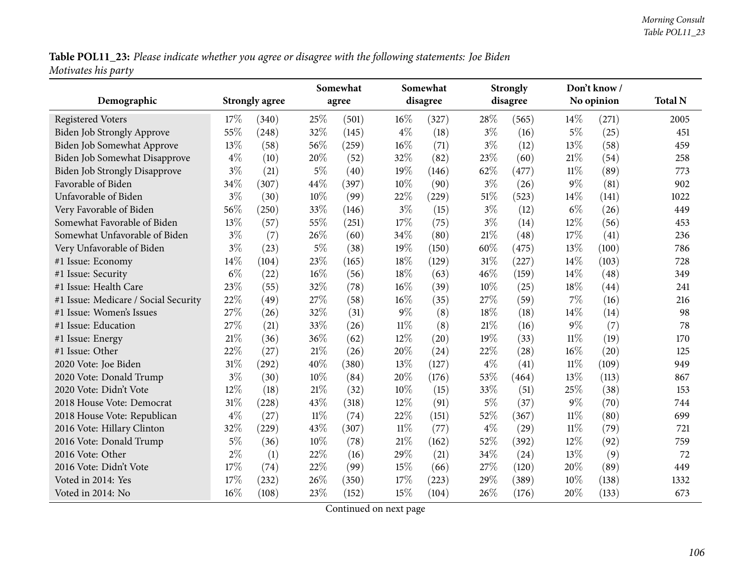Table POL11\_23: Please indicate whether you agree or disagree with the following statements: Joe Biden *Motivates his party*

| Demographic                          |        | <b>Strongly agree</b> | Somewhat<br>agree |       |        | Somewhat<br>disagree |        | <b>Strongly</b><br>disagree |        | Don't know /<br>No opinion | <b>Total N</b> |
|--------------------------------------|--------|-----------------------|-------------------|-------|--------|----------------------|--------|-----------------------------|--------|----------------------------|----------------|
| <b>Registered Voters</b>             | 17%    | (340)                 | 25%               | (501) | $16\%$ | (327)                | 28%    | (565)                       | $14\%$ | (271)                      | 2005           |
| Biden Job Strongly Approve           | 55%    | (248)                 | 32%               | (145) | $4\%$  | (18)                 | $3\%$  | (16)                        | $5\%$  | (25)                       | 451            |
| Biden Job Somewhat Approve           | 13%    | (58)                  | 56%               | (259) | 16%    | (71)                 | $3\%$  | (12)                        | 13%    | (58)                       | 459            |
| Biden Job Somewhat Disapprove        | $4\%$  | (10)                  | 20%               | (52)  | 32%    | (82)                 | 23%    | (60)                        | 21%    | (54)                       | 258            |
| <b>Biden Job Strongly Disapprove</b> | $3\%$  | (21)                  | $5\%$             | (40)  | 19%    | (146)                | 62%    | (477)                       | $11\%$ | (89)                       | 773            |
| Favorable of Biden                   | 34%    | (307)                 | 44%               | (397) | 10%    | (90)                 | $3\%$  | (26)                        | $9\%$  | (81)                       | 902            |
| Unfavorable of Biden                 | $3\%$  | (30)                  | 10%               | (99)  | 22%    | (229)                | $51\%$ | (523)                       | $14\%$ | (141)                      | 1022           |
| Very Favorable of Biden              | 56%    | (250)                 | 33%               | (146) | $3\%$  | (15)                 | $3\%$  | (12)                        | $6\%$  | (26)                       | 449            |
| Somewhat Favorable of Biden          | 13%    | (57)                  | 55%               | (251) | 17%    | (75)                 | $3\%$  | (14)                        | 12%    | (56)                       | 453            |
| Somewhat Unfavorable of Biden        | $3\%$  | (7)                   | 26%               | (60)  | 34%    | (80)                 | 21%    | (48)                        | 17%    | (41)                       | 236            |
| Very Unfavorable of Biden            | $3\%$  | (23)                  | $5\%$             | (38)  | 19%    | (150)                | 60%    | (475)                       | 13%    | (100)                      | 786            |
| #1 Issue: Economy                    | 14%    | (104)                 | 23%               | (165) | 18%    | (129)                | 31%    | (227)                       | 14%    | (103)                      | 728            |
| #1 Issue: Security                   | $6\%$  | (22)                  | 16%               | (56)  | 18%    | (63)                 | 46%    | (159)                       | 14%    | (48)                       | 349            |
| #1 Issue: Health Care                | 23%    | (55)                  | 32%               | (78)  | 16%    | (39)                 | 10%    | (25)                        | 18%    | (44)                       | 241            |
| #1 Issue: Medicare / Social Security | 22%    | (49)                  | 27%               | (58)  | 16%    | (35)                 | 27%    | (59)                        | $7\%$  | (16)                       | 216            |
| #1 Issue: Women's Issues             | 27%    | (26)                  | 32%               | (31)  | $9\%$  | (8)                  | 18%    | (18)                        | 14%    | (14)                       | 98             |
| #1 Issue: Education                  | 27%    | (21)                  | 33%               | (26)  | $11\%$ | (8)                  | $21\%$ | (16)                        | $9\%$  | (7)                        | 78             |
| #1 Issue: Energy                     | 21%    | (36)                  | 36%               | (62)  | 12%    | (20)                 | 19%    | (33)                        | $11\%$ | (19)                       | 170            |
| #1 Issue: Other                      | 22%    | (27)                  | 21%               | (26)  | 20%    | (24)                 | 22%    | (28)                        | 16%    | (20)                       | 125            |
| 2020 Vote: Joe Biden                 | $31\%$ | (292)                 | 40%               | (380) | 13%    | (127)                | $4\%$  | (41)                        | $11\%$ | (109)                      | 949            |
| 2020 Vote: Donald Trump              | $3\%$  | (30)                  | 10%               | (84)  | 20%    | (176)                | 53%    | (464)                       | 13%    | (113)                      | 867            |
| 2020 Vote: Didn't Vote               | 12%    | (18)                  | 21%               | (32)  | 10%    | (15)                 | 33%    | (51)                        | 25%    | (38)                       | 153            |
| 2018 House Vote: Democrat            | 31%    | (228)                 | 43%               | (318) | 12%    | (91)                 | 5%     | (37)                        | $9\%$  | (70)                       | 744            |
| 2018 House Vote: Republican          | $4\%$  | (27)                  | $11\%$            | (74)  | 22%    | (151)                | 52%    | (367)                       | $11\%$ | (80)                       | 699            |
| 2016 Vote: Hillary Clinton           | 32%    | (229)                 | 43%               | (307) | $11\%$ | (77)                 | $4\%$  | (29)                        | $11\%$ | (79)                       | 721            |
| 2016 Vote: Donald Trump              | $5\%$  | (36)                  | 10%               | (78)  | $21\%$ | (162)                | 52%    | (392)                       | 12%    | (92)                       | 759            |
| 2016 Vote: Other                     | $2\%$  | (1)                   | 22%               | (16)  | 29%    | (21)                 | 34%    | (24)                        | 13%    | (9)                        | 72             |
| 2016 Vote: Didn't Vote               | 17%    | (74)                  | 22%               | (99)  | 15%    | (66)                 | 27%    | (120)                       | 20%    | (89)                       | 449            |
| Voted in 2014: Yes                   | 17%    | (232)                 | 26%               | (350) | 17%    | (223)                | 29%    | (389)                       | 10%    | (138)                      | 1332           |
| Voted in 2014: No                    | 16%    | (108)                 | 23%               | (152) | 15%    | (104)                | 26%    | (176)                       | 20%    | (133)                      | 673            |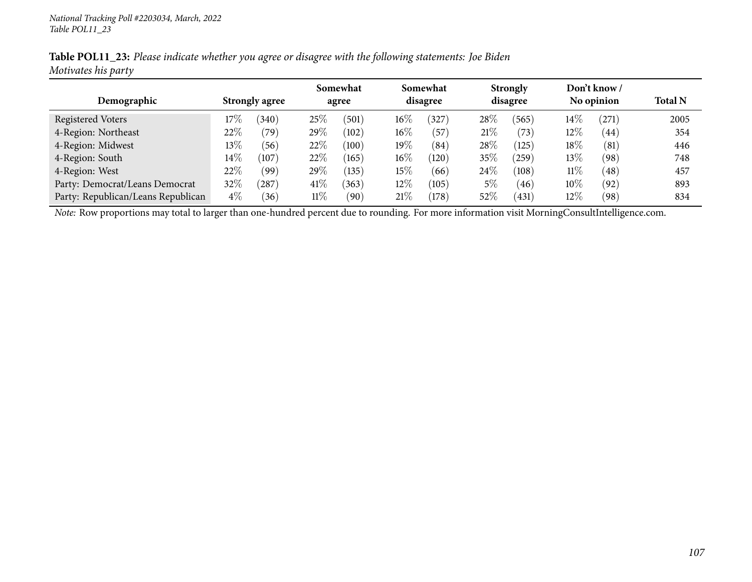|                     |  | Table POL11_23: Please indicate whether you agree or disagree with the following statements: Joe Biden |  |
|---------------------|--|--------------------------------------------------------------------------------------------------------|--|
| Motivates his party |  |                                                                                                        |  |

|                                    |                       |                |        | Somewhat |        | Somewhat |        | <b>Strongly</b> |        | Don't know / |      |
|------------------------------------|-----------------------|----------------|--------|----------|--------|----------|--------|-----------------|--------|--------------|------|
| Demographic                        | <b>Strongly agree</b> |                |        | agree    |        | disagree |        | disagree        |        | No opinion   |      |
| <b>Registered Voters</b>           | 17%                   | $340^\circ$    | 25\%   | (501)    | $16\%$ | 327      | 28\%   | 565             | $14\%$ | $^{'}271$    | 2005 |
| 4-Region: Northeast                | 22\%                  | $^{\prime}79)$ | $29\%$ | (102)    | $16\%$ | (57      | 21%    | (73)            | 12\%   | (44)         | 354  |
| 4-Region: Midwest                  | 13\%                  | 56             | 22%    | (100)    | 19%    | (84)     | 28%    | (125)           | $18\%$ | (81)         | 446  |
| 4-Region: South                    | $14\%$                | (107)          | 22%    | (165)    | $16\%$ | (120)    | $35\%$ | 259             | $13\%$ | (98)         | 748  |
| 4-Region: West                     | 22%                   | (99`           | $29\%$ | (135)    | $15\%$ | (66)     | 24\%   | (108)           | $11\%$ | (48)         | 457  |
| Party: Democrat/Leans Democrat     | 32%                   | $^{\prime}287$ | 41\%   | (363)    | $12\%$ | (105)    | 5%     | (46)            | $10\%$ | (92)         | 893  |
| Party: Republican/Leans Republican | $4\%$                 | $^{\prime}36$  | $11\%$ | (90)     | $21\%$ | (178)    | $52\%$ | (431)           | 12%    | (98)         | 834  |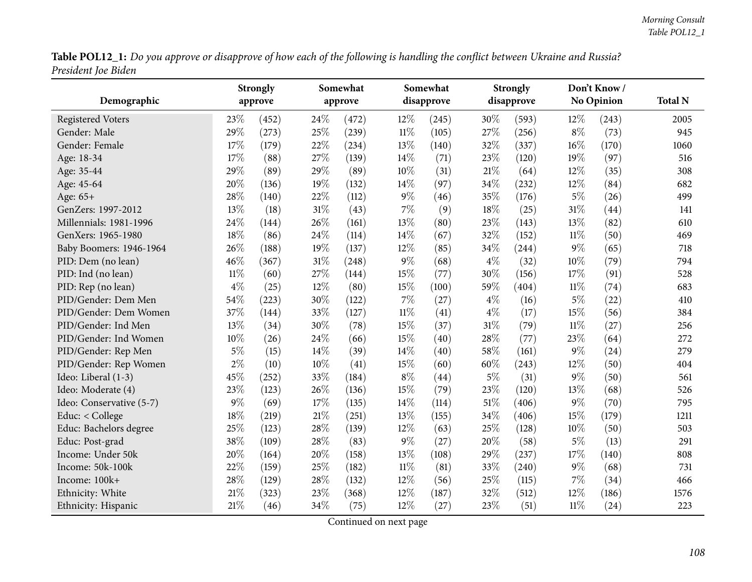Table POL12\_1: Do you approve or disapprove of how each of the following is handling the conflict between Ukraine and Russia? *President Joe Biden*

|                          | <b>Strongly</b> |       |        | Somewhat |        | Somewhat   |        | <b>Strongly</b> |        | Don't Know/       |                |
|--------------------------|-----------------|-------|--------|----------|--------|------------|--------|-----------------|--------|-------------------|----------------|
| Demographic              | approve         |       |        | approve  |        | disapprove |        | disapprove      |        | <b>No Opinion</b> | <b>Total N</b> |
| <b>Registered Voters</b> | 23%             | (452) | 24%    | (472)    | 12%    | (245)      | 30%    | (593)           | 12%    | (243)             | 2005           |
| Gender: Male             | 29%             | (273) | 25%    | (239)    | $11\%$ | (105)      | 27%    | (256)           | $8\%$  | (73)              | 945            |
| Gender: Female           | 17%             | (179) | 22%    | (234)    | 13%    | (140)      | 32%    | (337)           | $16\%$ | (170)             | 1060           |
| Age: 18-34               | 17%             | (88)  | 27%    | (139)    | 14%    | (71)       | 23%    | (120)           | 19%    | (97)              | 516            |
| Age: 35-44               | 29%             | (89)  | 29%    | (89)     | 10%    | (31)       | $21\%$ | (64)            | 12%    | (35)              | 308            |
| Age: 45-64               | 20%             | (136) | 19%    | (132)    | 14\%   | (97)       | 34%    | (232)           | 12%    | (84)              | 682            |
| Age: 65+                 | 28%             | (140) | 22%    | (112)    | $9\%$  | (46)       | 35%    | (176)           | $5\%$  | (26)              | 499            |
| GenZers: 1997-2012       | 13%             | (18)  | 31%    | (43)     | 7%     | (9)        | 18%    | (25)            | $31\%$ | (44)              | 141            |
| Millennials: 1981-1996   | 24%             | (144) | 26%    | (161)    | 13%    | (80)       | 23%    | (143)           | 13%    | (82)              | 610            |
| GenXers: 1965-1980       | 18%             | (86)  | 24%    | (114)    | 14%    | (67)       | 32%    | (152)           | $11\%$ | (50)              | 469            |
| Baby Boomers: 1946-1964  | 26%             | (188) | 19%    | (137)    | 12%    | (85)       | 34%    | (244)           | $9\%$  | (65)              | 718            |
| PID: Dem (no lean)       | 46%             | (367) | 31%    | (248)    | $9\%$  | (68)       | $4\%$  | (32)            | 10%    | (79)              | 794            |
| PID: Ind (no lean)       | $11\%$          | (60)  | 27%    | (144)    | 15%    | (77)       | 30%    | (156)           | 17%    | (91)              | 528            |
| PID: Rep (no lean)       | $4\%$           | (25)  | $12\%$ | (80)     | 15%    | (100)      | 59%    | (404)           | $11\%$ | (74)              | 683            |
| PID/Gender: Dem Men      | 54%             | (223) | 30%    | (122)    | 7%     | (27)       | $4\%$  | (16)            | $5\%$  | (22)              | 410            |
| PID/Gender: Dem Women    | 37%             | (144) | 33%    | (127)    | $11\%$ | (41)       | $4\%$  | (17)            | 15%    | (56)              | 384            |
| PID/Gender: Ind Men      | 13%             | (34)  | 30%    | (78)     | 15%    | (37)       | $31\%$ | (79)            | $11\%$ | (27)              | 256            |
| PID/Gender: Ind Women    | 10%             | (26)  | 24%    | (66)     | 15%    | (40)       | 28%    | (77)            | 23%    | (64)              | 272            |
| PID/Gender: Rep Men      | $5\%$           | (15)  | 14%    | (39)     | 14%    | (40)       | 58%    | (161)           | $9\%$  | (24)              | 279            |
| PID/Gender: Rep Women    | $2\%$           | (10)  | 10%    | (41)     | 15%    | (60)       | 60%    | (243)           | 12%    | (50)              | 404            |
| Ideo: Liberal (1-3)      | 45%             | (252) | 33%    | (184)    | $8\%$  | (44)       | 5%     | (31)            | $9\%$  | (50)              | 561            |
| Ideo: Moderate (4)       | 23%             | (123) | 26%    | (136)    | 15%    | (79)       | 23%    | (120)           | 13%    | (68)              | 526            |
| Ideo: Conservative (5-7) | $9\%$           | (69)  | 17%    | (135)    | 14%    | (114)      | 51%    | (406)           | $9\%$  | (70)              | 795            |
| Educ: < College          | 18%             | (219) | 21%    | (251)    | 13%    | (155)      | 34%    | (406)           | 15%    | (179)             | 1211           |
| Educ: Bachelors degree   | 25%             | (123) | 28%    | (139)    | 12%    | (63)       | 25%    | (128)           | $10\%$ | (50)              | 503            |
| Educ: Post-grad          | 38%             | (109) | 28%    | (83)     | $9\%$  | (27)       | 20%    | (58)            | $5\%$  | (13)              | 291            |
| Income: Under 50k        | 20%             | (164) | 20%    | (158)    | 13%    | (108)      | 29%    | (237)           | $17\%$ | (140)             | 808            |
| Income: 50k-100k         | 22%             | (159) | 25%    | (182)    | $11\%$ | (81)       | 33%    | (240)           | $9\%$  | (68)              | 731            |
| Income: 100k+            | 28%             | (129) | 28%    | (132)    | 12%    | (56)       | 25%    | (115)           | 7%     | (34)              | 466            |
| Ethnicity: White         | 21%             | (323) | 23%    | (368)    | 12%    | (187)      | 32%    | (512)           | 12%    | (186)             | 1576           |
| Ethnicity: Hispanic      | $21\%$          | (46)  | 34%    | (75)     | 12%    | (27)       | 23%    | (51)            | $11\%$ | (24)              | 223            |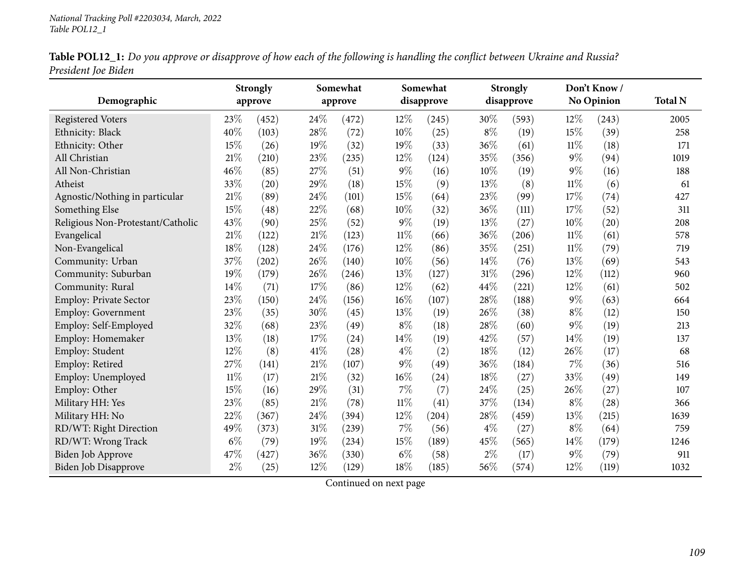| Table POL12_1: Do you approve or disapprove of how each of the following is handling the conflict between Ukraine and Russia? |  |
|-------------------------------------------------------------------------------------------------------------------------------|--|
| President Joe Biden                                                                                                           |  |

| Demographic                       |        | <b>Strongly</b><br>approve |        | Somewhat<br>approve |        | Somewhat<br>disapprove |        | <b>Strongly</b><br>disapprove |        | Don't Know/<br><b>No Opinion</b> | <b>Total N</b> |
|-----------------------------------|--------|----------------------------|--------|---------------------|--------|------------------------|--------|-------------------------------|--------|----------------------------------|----------------|
| <b>Registered Voters</b>          | 23%    | (452)                      | 24%    | (472)               | 12\%   | (245)                  | 30%    | (593)                         | 12%    | (243)                            | 2005           |
| Ethnicity: Black                  | 40%    | (103)                      | 28%    | (72)                | 10%    | (25)                   | $8\%$  | (19)                          | 15%    | (39)                             | 258            |
| Ethnicity: Other                  | 15%    | (26)                       | 19%    | (32)                | 19%    | (33)                   | 36%    | (61)                          | $11\%$ | (18)                             | 171            |
| All Christian                     | 21%    | (210)                      | 23%    | (235)               | 12%    | (124)                  | 35%    | (356)                         | 9%     | (94)                             | 1019           |
| All Non-Christian                 | 46%    | (85)                       | 27%    | (51)                | $9\%$  | (16)                   | 10%    | (19)                          | $9\%$  | (16)                             | 188            |
| Atheist                           | 33%    | (20)                       | 29%    | (18)                | 15%    | (9)                    | 13%    | (8)                           | $11\%$ | (6)                              | 61             |
| Agnostic/Nothing in particular    | $21\%$ | (89)                       | 24%    | (101)               | 15%    | (64)                   | 23%    | (99)                          | 17%    | (74)                             | 427            |
| Something Else                    | 15%    | (48)                       | 22%    | (68)                | 10%    | (32)                   | 36%    | (111)                         | 17%    | (52)                             | 311            |
| Religious Non-Protestant/Catholic | 43%    | (90)                       | 25%    | (52)                | $9\%$  | (19)                   | 13%    | (27)                          | 10%    | (20)                             | 208            |
| Evangelical                       | 21%    | (122)                      | 21%    | (123)               | $11\%$ | (66)                   | 36%    | (206)                         | $11\%$ | (61)                             | 578            |
| Non-Evangelical                   | 18%    | (128)                      | 24%    | (176)               | $12\%$ | (86)                   | 35%    | (251)                         | $11\%$ | (79)                             | 719            |
| Community: Urban                  | 37%    | (202)                      | 26%    | (140)               | 10%    | (56)                   | 14%    | (76)                          | 13%    | (69)                             | 543            |
| Community: Suburban               | 19%    | (179)                      | 26%    | (246)               | 13%    | (127)                  | $31\%$ | (296)                         | 12%    | (112)                            | 960            |
| Community: Rural                  | 14%    | (71)                       | 17%    | (86)                | $12\%$ | (62)                   | 44\%   | (221)                         | 12%    | (61)                             | 502            |
| Employ: Private Sector            | 23%    | (150)                      | 24%    | (156)               | 16%    | (107)                  | 28%    | (188)                         | $9\%$  | (63)                             | 664            |
| <b>Employ: Government</b>         | 23%    | (35)                       | 30%    | (45)                | 13\%   | (19)                   | 26%    | (38)                          | $8\%$  | (12)                             | 150            |
| Employ: Self-Employed             | 32%    | (68)                       | 23%    | (49)                | $8\%$  | (18)                   | 28%    | (60)                          | $9\%$  | (19)                             | 213            |
| Employ: Homemaker                 | 13%    | (18)                       | 17%    | (24)                | 14\%   | (19)                   | 42%    | (57)                          | 14%    | (19)                             | 137            |
| Employ: Student                   | 12%    | (8)                        | 41\%   | (28)                | $4\%$  | (2)                    | 18%    | (12)                          | 26%    | (17)                             | 68             |
| Employ: Retired                   | 27%    | (141)                      | 21%    | (107)               | $9\%$  | (49)                   | 36%    | (184)                         | 7%     | (36)                             | 516            |
| Employ: Unemployed                | $11\%$ | (17)                       | 21%    | (32)                | $16\%$ | (24)                   | 18%    | (27)                          | 33%    | (49)                             | 149            |
| Employ: Other                     | $15\%$ | (16)                       | 29%    | (31)                | $7\%$  | (7)                    | 24%    | (25)                          | 26%    | (27)                             | 107            |
| Military HH: Yes                  | 23%    | (85)                       | $21\%$ | (78)                | $11\%$ | (41)                   | 37%    | (134)                         | $8\%$  | (28)                             | 366            |
| Military HH: No                   | 22%    | (367)                      | 24%    | (394)               | 12%    | (204)                  | 28%    | (459)                         | 13%    | (215)                            | 1639           |
| RD/WT: Right Direction            | 49%    | (373)                      | 31%    | (239)               | 7%     | (56)                   | $4\%$  | (27)                          | $8\%$  | (64)                             | 759            |
| RD/WT: Wrong Track                | $6\%$  | (79)                       | 19%    | (234)               | 15%    | (189)                  | 45%    | (565)                         | 14%    | (179)                            | 1246           |
| <b>Biden Job Approve</b>          | 47%    | (427)                      | 36%    | (330)               | $6\%$  | (58)                   | $2\%$  | (17)                          | $9\%$  | (79)                             | 911            |
| <b>Biden Job Disapprove</b>       | $2\%$  | (25)                       | 12%    | (129)               | 18%    | (185)                  | 56%    | (574)                         | 12%    | (119)                            | 1032           |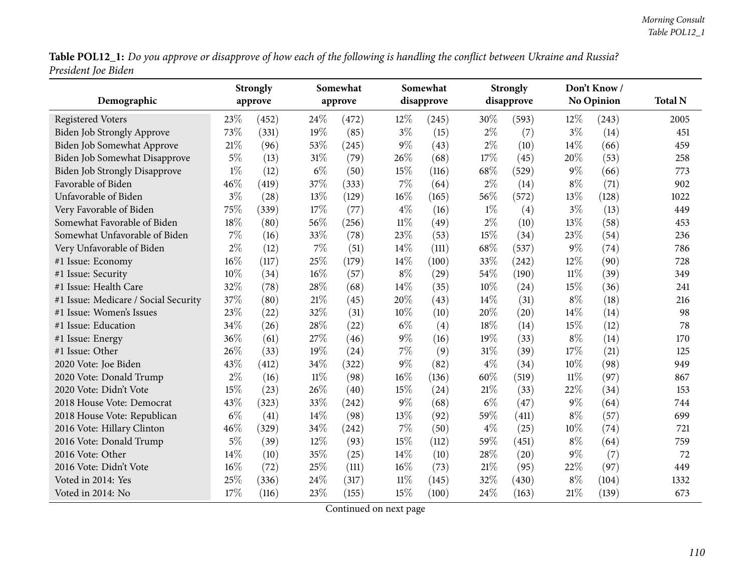Table POL12\_1: Do you approve or disapprove of how each of the following is handling the conflict between Ukraine and Russia? *President Joe Biden*

| Demographic                          |       | <b>Strongly</b><br>approve |        | Somewhat<br>approve |        | Somewhat<br>disapprove |       | <b>Strongly</b><br>disapprove |        | Don't Know/<br>No Opinion | <b>Total N</b> |
|--------------------------------------|-------|----------------------------|--------|---------------------|--------|------------------------|-------|-------------------------------|--------|---------------------------|----------------|
| <b>Registered Voters</b>             | 23%   | (452)                      | 24\%   | (472)               | 12\%   | (245)                  | 30%   | (593)                         | $12\%$ | (243)                     | 2005           |
| <b>Biden Job Strongly Approve</b>    | 73%   | (331)                      | 19%    | (85)                | $3\%$  | (15)                   | $2\%$ | (7)                           | $3\%$  | (14)                      | 451            |
| Biden Job Somewhat Approve           | 21\%  | (96)                       | 53%    | (245)               | $9\%$  | (43)                   | $2\%$ | (10)                          | 14%    | (66)                      | 459            |
| Biden Job Somewhat Disapprove        | $5\%$ | (13)                       | 31%    | (79)                | 26%    | (68)                   | 17%   | (45)                          | 20%    | (53)                      | 258            |
| <b>Biden Job Strongly Disapprove</b> | $1\%$ | (12)                       | $6\%$  | (50)                | 15%    | (116)                  | 68%   | (529)                         | 9%     | (66)                      | 773            |
| Favorable of Biden                   | 46%   | (419)                      | 37%    | (333)               | 7%     | (64)                   | $2\%$ | (14)                          | $8\%$  | (71)                      | 902            |
| Unfavorable of Biden                 | $3\%$ | (28)                       | 13%    | (129)               | $16\%$ | (165)                  | 56%   | (572)                         | 13%    | (128)                     | 1022           |
| Very Favorable of Biden              | 75%   | (339)                      | 17%    | (77)                | $4\%$  | (16)                   | $1\%$ | (4)                           | $3\%$  | (13)                      | 449            |
| Somewhat Favorable of Biden          | 18%   | (80)                       | 56%    | (256)               | $11\%$ | (49)                   | $2\%$ | (10)                          | 13%    | (58)                      | 453            |
| Somewhat Unfavorable of Biden        | $7\%$ | (16)                       | 33%    | (78)                | 23%    | (53)                   | 15%   | (34)                          | 23%    | (54)                      | 236            |
| Very Unfavorable of Biden            | $2\%$ | (12)                       | 7%     | (51)                | 14\%   | (111)                  | 68%   | (537)                         | $9\%$  | (74)                      | 786            |
| #1 Issue: Economy                    | 16%   | (117)                      | 25%    | (179)               | 14\%   | (100)                  | 33%   | (242)                         | 12%    | (90)                      | 728            |
| #1 Issue: Security                   | 10%   | (34)                       | $16\%$ | (57)                | $8\%$  | (29)                   | 54%   | (190)                         | $11\%$ | (39)                      | 349            |
| #1 Issue: Health Care                | 32%   | (78)                       | 28%    | (68)                | 14%    | (35)                   | 10%   | (24)                          | 15%    | (36)                      | 241            |
| #1 Issue: Medicare / Social Security | 37%   | (80)                       | 21%    | (45)                | 20%    | (43)                   | 14%   | (31)                          | $8\%$  | (18)                      | 216            |
| #1 Issue: Women's Issues             | 23%   | (22)                       | 32%    | (31)                | 10%    | (10)                   | 20%   | (20)                          | 14%    | (14)                      | 98             |
| #1 Issue: Education                  | 34%   | (26)                       | 28%    | (22)                | $6\%$  | (4)                    | 18%   | (14)                          | 15%    | (12)                      | 78             |
| #1 Issue: Energy                     | 36%   | (61)                       | 27%    | (46)                | $9\%$  | (16)                   | 19%   | (33)                          | $8\%$  | (14)                      | 170            |
| #1 Issue: Other                      | 26%   | (33)                       | 19%    | (24)                | 7%     | (9)                    | 31%   | (39)                          | 17%    | (21)                      | 125            |
| 2020 Vote: Joe Biden                 | 43%   | (412)                      | 34%    | (322)               | $9\%$  | (82)                   | $4\%$ | (34)                          | 10%    | (98)                      | 949            |
| 2020 Vote: Donald Trump              | $2\%$ | (16)                       | $11\%$ | (98)                | 16%    | (136)                  | 60%   | (519)                         | $11\%$ | (97)                      | 867            |
| 2020 Vote: Didn't Vote               | 15%   | (23)                       | 26%    | (40)                | 15%    | (24)                   | 21%   | (33)                          | 22%    | (34)                      | 153            |
| 2018 House Vote: Democrat            | 43%   | (323)                      | 33%    | (242)               | $9\%$  | (68)                   | $6\%$ | (47)                          | $9\%$  | (64)                      | 744            |
| 2018 House Vote: Republican          | $6\%$ | (41)                       | 14%    | (98)                | 13%    | (92)                   | 59%   | (411)                         | $8\%$  | (57)                      | 699            |
| 2016 Vote: Hillary Clinton           | 46%   | (329)                      | 34%    | (242)               | 7%     | (50)                   | $4\%$ | (25)                          | 10%    | (74)                      | 721            |
| 2016 Vote: Donald Trump              | $5\%$ | (39)                       | $12\%$ | (93)                | 15%    | (112)                  | 59%   | (451)                         | $8\%$  | (64)                      | 759            |
| 2016 Vote: Other                     | 14\%  | (10)                       | 35%    | (25)                | 14\%   | (10)                   | 28%   | (20)                          | $9\%$  | (7)                       | 72             |
| 2016 Vote: Didn't Vote               | 16%   | (72)                       | 25%    | (111)               | $16\%$ | (73)                   | 21%   | (95)                          | 22%    | (97)                      | 449            |
| Voted in 2014: Yes                   | 25%   | (336)                      | 24%    | (317)               | $11\%$ | (145)                  | 32%   | (430)                         | $8\%$  | (104)                     | 1332           |
| Voted in 2014: No                    | 17%   | (116)                      | 23%    | (155)               | 15%    | (100)                  | 24%   | (163)                         | 21%    | (139)                     | 673            |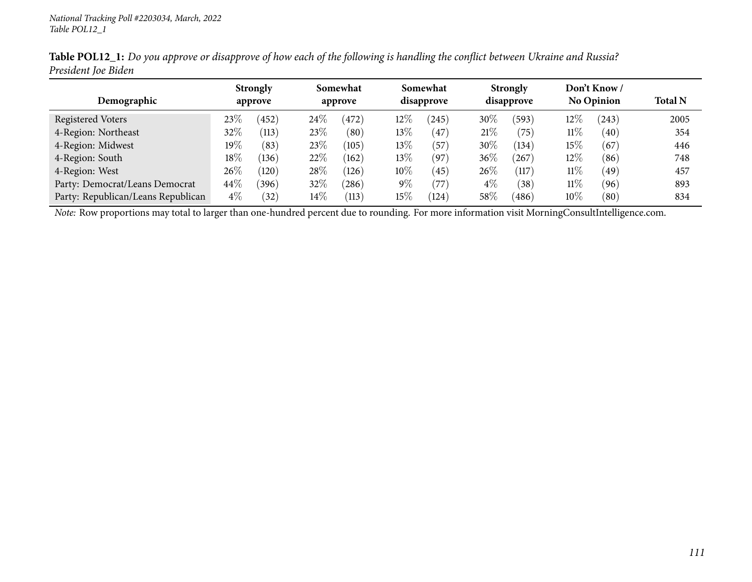|                                    |        | <b>Strongly</b><br>approve |        | Somewhat<br>approve |        |           |        | Somewhat<br>disapprove |        | <b>Strongly</b><br>disapprove |                | Don't Know/<br><b>No Opinion</b> |  |
|------------------------------------|--------|----------------------------|--------|---------------------|--------|-----------|--------|------------------------|--------|-------------------------------|----------------|----------------------------------|--|
| Demographic                        |        |                            |        |                     |        |           |        |                        |        |                               | <b>Total N</b> |                                  |  |
| Registered Voters                  | $23\%$ | 452                        | $24\%$ | (472)               | 12%    | 245       | 30%    | (593)                  | 12\%   | (243)                         | 2005           |                                  |  |
| 4-Region: Northeast                | $32\%$ | $^{\prime}113)$            | 23\%   | $\left( 80\right)$  | $13\%$ | 47        | 21%    | '75                    | $11\%$ | (40)                          | 354            |                                  |  |
| 4-Region: Midwest                  | 19%    | (83)                       | 23%    | (105)               | 13%    | (57)      | 30%    | (134)                  | 15%    | (67)                          | 446            |                                  |  |
| 4-Region: South                    | $18\%$ | (136)                      | 22%    | (162)               | 13%    | (97)      | 36%    | 267                    | $12\%$ | (86)                          | 748            |                                  |  |
| 4-Region: West                     | $26\%$ | (120)                      | 28%    | (126)               | $10\%$ | $^{(45)}$ | 26\%   | (117)                  | $11\%$ | (49)                          | 457            |                                  |  |
| Party: Democrat/Leans Democrat     | 44\%   | $^{\prime}396)$            | 32%    | $^{'}286)$          | $9\%$  | 77        | $4\%$  | (38)                   | $11\%$ | (96)                          | 893            |                                  |  |
| Party: Republican/Leans Republican | $4\%$  | $32^{\circ}$               | $14\%$ | (113)               | $15\%$ | (124)     | $58\%$ | (486)                  | $10\%$ | $\left( 80\right)$            | 834            |                                  |  |

Table POL12\_1: Do you approve or disapprove of how each of the following is handling the conflict between Ukraine and Russia? *President Joe Biden*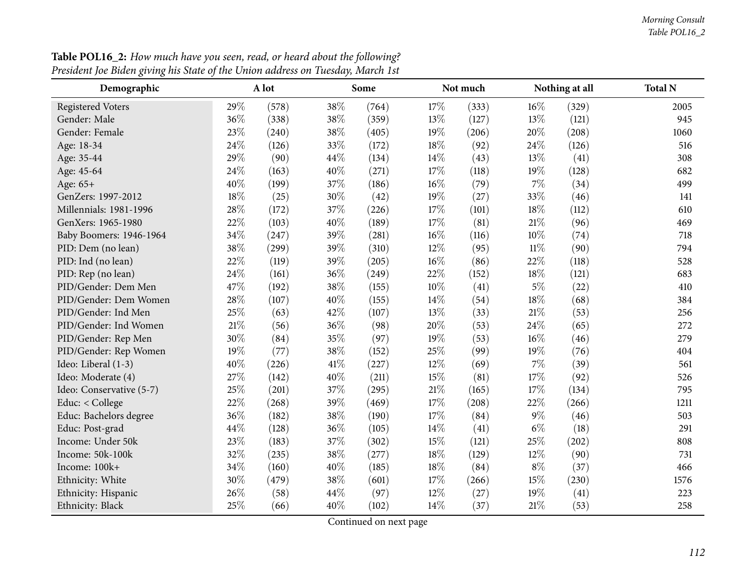| Demographic              |        | A lot |      | Some  |        | Not much |        | Nothing at all | <b>Total N</b> |
|--------------------------|--------|-------|------|-------|--------|----------|--------|----------------|----------------|
| <b>Registered Voters</b> | 29%    | (578) | 38%  | (764) | 17%    | (333)    | 16%    | (329)          | 2005           |
| Gender: Male             | 36%    | (338) | 38%  | (359) | 13%    | (127)    | 13%    | (121)          | 945            |
| Gender: Female           | 23%    | (240) | 38\% | (405) | 19%    | (206)    | 20%    | (208)          | 1060           |
| Age: 18-34               | 24%    | (126) | 33%  | (172) | $18\%$ | (92)     | 24%    | (126)          | 516            |
| Age: 35-44               | 29%    | (90)  | 44%  | (134) | 14%    | (43)     | 13%    | (41)           | 308            |
| Age: 45-64               | 24%    | (163) | 40%  | (271) | 17%    | (118)    | 19%    | (128)          | 682            |
| Age: 65+                 | 40%    | (199) | 37%  | (186) | 16%    | (79)     | $7\%$  | (34)           | 499            |
| GenZers: 1997-2012       | 18%    | (25)  | 30%  | (42)  | 19%    | (27)     | 33%    | (46)           | 141            |
| Millennials: 1981-1996   | 28%    | (172) | 37%  | (226) | 17%    | (101)    | 18%    | (112)          | 610            |
| GenXers: 1965-1980       | 22%    | (103) | 40%  | (189) | $17\%$ | (81)     | $21\%$ | (96)           | 469            |
| Baby Boomers: 1946-1964  | 34%    | (247) | 39%  | (281) | 16%    | (116)    | 10%    | (74)           | 718            |
| PID: Dem (no lean)       | 38%    | (299) | 39%  | (310) | 12%    | (95)     | $11\%$ | (90)           | 794            |
| PID: Ind (no lean)       | 22%    | (119) | 39%  | (205) | 16%    | (86)     | 22%    | (118)          | 528            |
| PID: Rep (no lean)       | 24%    | (161) | 36%  | (249) | 22%    | (152)    | 18%    | (121)          | 683            |
| PID/Gender: Dem Men      | 47%    | (192) | 38%  | (155) | 10%    | (41)     | $5\%$  | (22)           | 410            |
| PID/Gender: Dem Women    | 28%    | (107) | 40%  | (155) | 14%    | (54)     | $18\%$ | (68)           | 384            |
| PID/Gender: Ind Men      | 25%    | (63)  | 42%  | (107) | 13%    | (33)     | $21\%$ | (53)           | 256            |
| PID/Gender: Ind Women    | $21\%$ | (56)  | 36%  | (98)  | 20%    | (53)     | 24%    | (65)           | 272            |
| PID/Gender: Rep Men      | 30%    | (84)  | 35%  | (97)  | 19%    | (53)     | $16\%$ | (46)           | 279            |
| PID/Gender: Rep Women    | 19%    | (77)  | 38%  | (152) | 25%    | (99)     | 19%    | (76)           | 404            |
| Ideo: Liberal (1-3)      | 40%    | (226) | 41\% | (227) | 12%    | (69)     | 7%     | (39)           | 561            |
| Ideo: Moderate (4)       | 27%    | (142) | 40%  | (211) | 15%    | (81)     | 17%    | (92)           | 526            |
| Ideo: Conservative (5-7) | 25%    | (201) | 37%  | (295) | $21\%$ | (165)    | 17%    | (134)          | 795            |
| Educ: < College          | $22\%$ | (268) | 39%  | (469) | 17%    | (208)    | 22%    | (266)          | 1211           |
| Educ: Bachelors degree   | 36%    | (182) | 38%  | (190) | 17%    | (84)     | $9\%$  | (46)           | 503            |
| Educ: Post-grad          | 44%    | (128) | 36%  | (105) | 14\%   | (41)     | $6\%$  | (18)           | 291            |
| Income: Under 50k        | 23%    | (183) | 37%  | (302) | 15%    | (121)    | 25%    | (202)          | 808            |
| Income: 50k-100k         | 32%    | (235) | 38%  | (277) | 18%    | (129)    | 12%    | (90)           | 731            |
| Income: 100k+            | 34%    | (160) | 40%  | (185) | 18%    | (84)     | $8\%$  | (37)           | 466            |
| Ethnicity: White         | 30%    | (479) | 38%  | (601) | 17%    | (266)    | 15%    | (230)          | 1576           |
| Ethnicity: Hispanic      | 26%    | (58)  | 44%  | (97)  | 12%    | (27)     | 19%    | (41)           | 223            |
| Ethnicity: Black         | 25%    | (66)  | 40\% | (102) | 14\%   | (37)     | $21\%$ | (53)           | 258            |

**Table POL16\_2:** How much have you seen, read, or heard about the following? President Joe Biden giving his State of the Union address on Tuesday, March 1st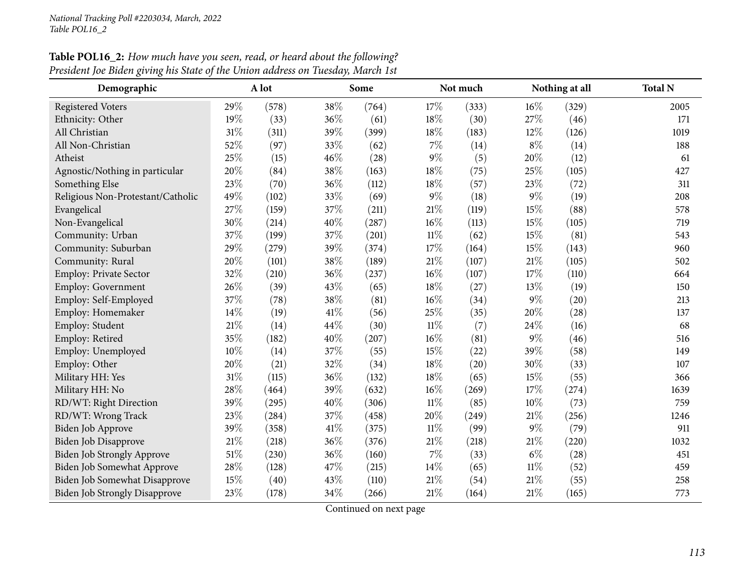| Demographic                          |        | A lot |      | Some  |        | Not much |        | Nothing at all | <b>Total N</b> |
|--------------------------------------|--------|-------|------|-------|--------|----------|--------|----------------|----------------|
| <b>Registered Voters</b>             | 29%    | (578) | 38%  | (764) | 17%    | (333)    | 16%    | (329)          | 2005           |
| Ethnicity: Other                     | 19%    | (33)  | 36%  | (61)  | 18%    | (30)     | 27%    | (46)           | 171            |
| All Christian                        | $31\%$ | (311) | 39%  | (399) | 18%    | (183)    | $12\%$ | (126)          | 1019           |
| All Non-Christian                    | 52%    | (97)  | 33%  | (62)  | 7%     | (14)     | $8\%$  | (14)           | 188            |
| Atheist                              | 25%    | (15)  | 46%  | (28)  | $9\%$  | (5)      | 20%    | (12)           | 61             |
| Agnostic/Nothing in particular       | 20%    | (84)  | 38%  | (163) | 18%    | (75)     | 25%    | (105)          | 427            |
| Something Else                       | 23%    | (70)  | 36%  | (112) | 18%    | (57)     | 23%    | (72)           | 311            |
| Religious Non-Protestant/Catholic    | 49%    | (102) | 33%  | (69)  | $9\%$  | (18)     | $9\%$  | (19)           | 208            |
| Evangelical                          | 27%    | (159) | 37%  | (211) | $21\%$ | (119)    | 15%    | (88)           | 578            |
| Non-Evangelical                      | 30%    | (214) | 40%  | (287) | 16%    | (113)    | 15%    | (105)          | 719            |
| Community: Urban                     | 37%    | (199) | 37%  | (201) | $11\%$ | (62)     | 15%    | (81)           | 543            |
| Community: Suburban                  | 29%    | (279) | 39%  | (374) | 17%    | (164)    | 15%    | (143)          | 960            |
| Community: Rural                     | 20%    | (101) | 38%  | (189) | 21%    | (107)    | $21\%$ | (105)          | 502            |
| <b>Employ: Private Sector</b>        | 32%    | (210) | 36%  | (237) | 16%    | (107)    | 17%    | (110)          | 664            |
| <b>Employ: Government</b>            | 26%    | (39)  | 43%  | (65)  | 18%    | (27)     | 13%    | (19)           | 150            |
| Employ: Self-Employed                | 37%    | (78)  | 38%  | (81)  | 16%    | (34)     | $9\%$  | (20)           | 213            |
| Employ: Homemaker                    | 14%    | (19)  | 41\% | (56)  | 25%    | (35)     | 20%    | (28)           | 137            |
| Employ: Student                      | 21%    | (14)  | 44%  | (30)  | $11\%$ | (7)      | 24%    | (16)           | 68             |
| Employ: Retired                      | 35%    | (182) | 40%  | (207) | 16%    | (81)     | $9\%$  | (46)           | 516            |
| Employ: Unemployed                   | 10%    | (14)  | 37%  | (55)  | 15%    | (22)     | 39%    | (58)           | 149            |
| Employ: Other                        | 20%    | (21)  | 32%  | (34)  | 18%    | (20)     | 30%    | (33)           | 107            |
| Military HH: Yes                     | $31\%$ | (115) | 36%  | (132) | 18%    | (65)     | 15%    | (55)           | 366            |
| Military HH: No                      | 28%    | (464) | 39%  | (632) | 16%    | (269)    | 17%    | (274)          | 1639           |
| RD/WT: Right Direction               | 39%    | (295) | 40%  | (306) | $11\%$ | (85)     | 10%    | (73)           | 759            |
| RD/WT: Wrong Track                   | 23%    | (284) | 37%  | (458) | 20%    | (249)    | $21\%$ | (256)          | 1246           |
| Biden Job Approve                    | 39%    | (358) | 41\% | (375) | $11\%$ | (99)     | $9\%$  | (79)           | 911            |
| Biden Job Disapprove                 | 21%    | (218) | 36%  | (376) | 21%    | (218)    | $21\%$ | (220)          | 1032           |
| <b>Biden Job Strongly Approve</b>    | 51%    | (230) | 36%  | (160) | 7%     | (33)     | $6\%$  | (28)           | 451            |
| Biden Job Somewhat Approve           | 28%    | (128) | 47%  | (215) | 14%    | (65)     | $11\%$ | (52)           | 459            |
| Biden Job Somewhat Disapprove        | 15%    | (40)  | 43%  | (110) | 21%    | (54)     | $21\%$ | (55)           | 258            |
| <b>Biden Job Strongly Disapprove</b> | 23%    | (178) | 34%  | (266) | 21%    | (164)    | 21%    | (165)          | 773            |

**Table POL16\_2:** How much have you seen, read, or heard about the following? <u>President Joe Biden giving his State of the Union address on Tuesday, March 1st</u>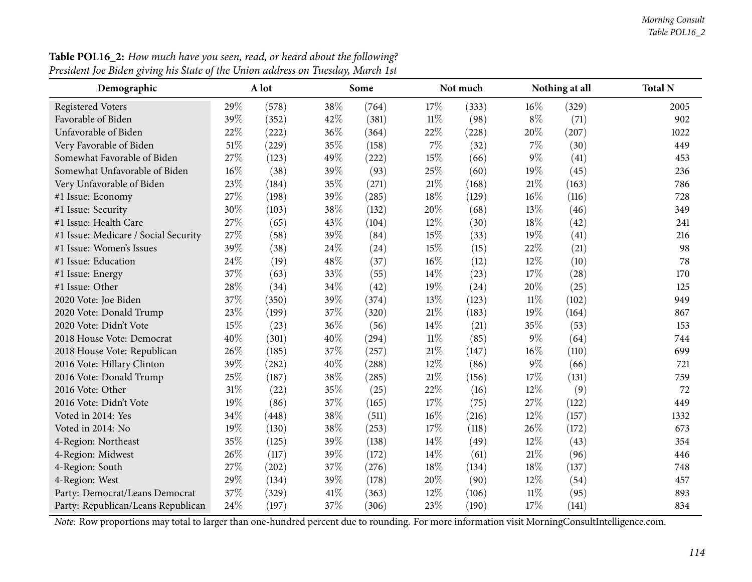| Demographic                          |      | A lot |      | Some  |        | Not much |        | Nothing at all | <b>Total N</b> |
|--------------------------------------|------|-------|------|-------|--------|----------|--------|----------------|----------------|
| <b>Registered Voters</b>             | 29%  | (578) | 38%  | (764) | 17%    | (333)    | 16%    | (329)          | 2005           |
| Favorable of Biden                   | 39%  | (352) | 42%  | (381) | $11\%$ | (98)     | $8\%$  | (71)           | 902            |
| Unfavorable of Biden                 | 22%  | (222) | 36%  | (364) | 22%    | (228)    | 20%    | (207)          | 1022           |
| Very Favorable of Biden              | 51%  | (229) | 35%  | (158) | 7%     | (32)     | $7\%$  | (30)           | 449            |
| Somewhat Favorable of Biden          | 27%  | (123) | 49%  | (222) | 15%    | (66)     | $9\%$  | (41)           | 453            |
| Somewhat Unfavorable of Biden        | 16%  | (38)  | 39%  | (93)  | 25%    | (60)     | 19%    | (45)           | 236            |
| Very Unfavorable of Biden            | 23%  | (184) | 35%  | (271) | $21\%$ | (168)    | $21\%$ | (163)          | 786            |
| #1 Issue: Economy                    | 27%  | (198) | 39%  | (285) | 18%    | (129)    | 16%    | (116)          | 728            |
| #1 Issue: Security                   | 30%  | (103) | 38%  | (132) | 20%    | (68)     | 13%    | (46)           | 349            |
| #1 Issue: Health Care                | 27%  | (65)  | 43%  | (104) | 12%    | (30)     | 18%    | (42)           | 241            |
| #1 Issue: Medicare / Social Security | 27%  | (58)  | 39%  | (84)  | 15%    | (33)     | 19%    | (41)           | 216            |
| #1 Issue: Women's Issues             | 39%  | (38)  | 24%  | (24)  | 15%    | (15)     | 22%    | (21)           | 98             |
| #1 Issue: Education                  | 24\% | (19)  | 48%  | (37)  | 16%    | (12)     | 12%    | (10)           | 78             |
| #1 Issue: Energy                     | 37%  | (63)  | 33%  | (55)  | 14%    | (23)     | 17%    | (28)           | 170            |
| #1 Issue: Other                      | 28%  | (34)  | 34%  | (42)  | 19%    | (24)     | 20%    | (25)           | 125            |
| 2020 Vote: Joe Biden                 | 37%  | (350) | 39%  | (374) | 13%    | (123)    | $11\%$ | (102)          | 949            |
| 2020 Vote: Donald Trump              | 23%  | (199) | 37%  | (320) | $21\%$ | (183)    | 19%    | (164)          | 867            |
| 2020 Vote: Didn't Vote               | 15%  | (23)  | 36%  | (56)  | 14%    | (21)     | 35%    | (53)           | 153            |
| 2018 House Vote: Democrat            | 40%  | (301) | 40%  | (294) | $11\%$ | (85)     | $9\%$  | (64)           | 744            |
| 2018 House Vote: Republican          | 26%  | (185) | 37%  | (257) | $21\%$ | (147)    | 16%    | (110)          | 699            |
| 2016 Vote: Hillary Clinton           | 39%  | (282) | 40%  | (288) | 12%    | (86)     | $9\%$  | (66)           | 721            |
| 2016 Vote: Donald Trump              | 25%  | (187) | 38%  | (285) | 21%    | (156)    | 17%    | (131)          | 759            |
| 2016 Vote: Other                     | 31%  | (22)  | 35%  | (25)  | 22%    | (16)     | 12%    | (9)            | 72             |
| 2016 Vote: Didn't Vote               | 19%  | (86)  | 37%  | (165) | 17%    | (75)     | 27\%   | (122)          | 449            |
| Voted in 2014: Yes                   | 34%  | (448) | 38%  | (511) | 16%    | (216)    | $12\%$ | (157)          | 1332           |
| Voted in 2014: No                    | 19%  | (130) | 38%  | (253) | 17%    | (118)    | 26%    | (172)          | 673            |
| 4-Region: Northeast                  | 35%  | (125) | 39%  | (138) | 14%    | (49)     | 12%    | (43)           | 354            |
| 4-Region: Midwest                    | 26%  | (117) | 39%  | (172) | 14%    | (61)     | 21%    | (96)           | 446            |
| 4-Region: South                      | 27%  | (202) | 37%  | (276) | 18%    | (134)    | 18%    | (137)          | 748            |
| 4-Region: West                       | 29%  | (134) | 39%  | (178) | 20%    | (90)     | $12\%$ | (54)           | 457            |
| Party: Democrat/Leans Democrat       | 37%  | (329) | 41\% | (363) | 12%    | (106)    | 11%    | (95)           | 893            |
| Party: Republican/Leans Republican   | 24%  | (197) | 37%  | (306) | 23%    | (190)    | 17%    | (141)          | 834            |

Table POL16\_2: How much have you seen, read, or heard about the following? President Joe Biden giving his State of the Union address on Tuesday, March 1st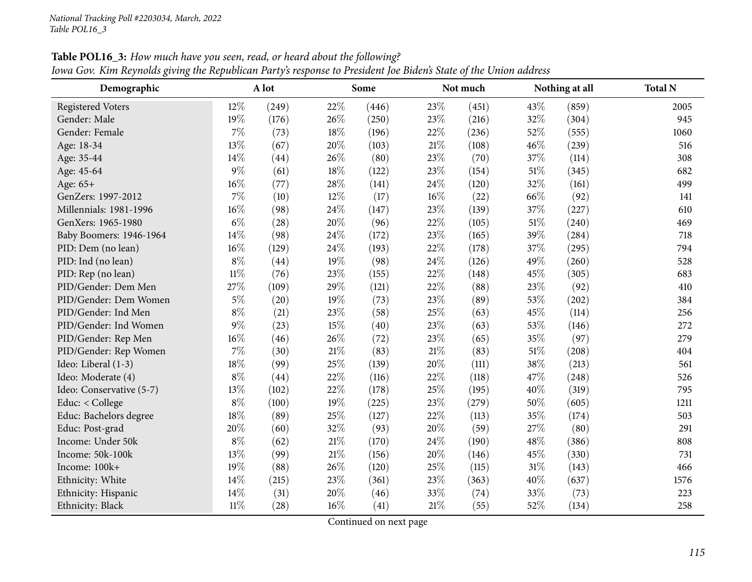| Demographic              |        | A lot |     | Some  |        | Not much |        | Nothing at all | <b>Total N</b> |
|--------------------------|--------|-------|-----|-------|--------|----------|--------|----------------|----------------|
| <b>Registered Voters</b> | 12%    | (249) | 22% | (446) | 23%    | (451)    | 43\%   | (859)          | 2005           |
| Gender: Male             | 19%    | (176) | 26% | (250) | 23%    | (216)    | 32%    | (304)          | 945            |
| Gender: Female           | 7%     | (73)  | 18% | (196) | 22%    | (236)    | 52%    | (555)          | 1060           |
| Age: 18-34               | 13%    | (67)  | 20% | (103) | 21%    | (108)    | 46%    | (239)          | 516            |
| Age: 35-44               | 14%    | (44)  | 26% | (80)  | 23%    | (70)     | 37%    | (114)          | 308            |
| Age: 45-64               | $9\%$  | (61)  | 18% | (122) | 23%    | (154)    | $51\%$ | (345)          | 682            |
| Age: 65+                 | 16%    | (77)  | 28% | (141) | $24\%$ | (120)    | 32%    | (161)          | 499            |
| GenZers: 1997-2012       | $7\%$  | (10)  | 12% | (17)  | 16%    | (22)     | 66%    | (92)           | 141            |
| Millennials: 1981-1996   | 16%    | (98)  | 24% | (147) | 23%    | (139)    | 37%    | (227)          | 610            |
| GenXers: 1965-1980       | $6\%$  | (28)  | 20% | (96)  | 22%    | (105)    | $51\%$ | (240)          | 469            |
| Baby Boomers: 1946-1964  | 14%    | (98)  | 24% | (172) | 23%    | (165)    | 39%    | (284)          | 718            |
| PID: Dem (no lean)       | 16%    | (129) | 24% | (193) | 22%    | (178)    | 37%    | (295)          | 794            |
| PID: Ind (no lean)       | $8\%$  | (44)  | 19% | (98)  | 24%    | (126)    | 49%    | (260)          | 528            |
| PID: Rep (no lean)       | $11\%$ | (76)  | 23% | (155) | 22%    | (148)    | 45%    | (305)          | 683            |
| PID/Gender: Dem Men      | 27%    | (109) | 29% | (121) | 22%    | (88)     | 23%    | (92)           | 410            |
| PID/Gender: Dem Women    | $5\%$  | (20)  | 19% | (73)  | 23%    | (89)     | 53%    | (202)          | 384            |
| PID/Gender: Ind Men      | $8\%$  | (21)  | 23% | (58)  | 25%    | (63)     | 45%    | (114)          | 256            |
| PID/Gender: Ind Women    | $9\%$  | (23)  | 15% | (40)  | 23%    | (63)     | 53%    | (146)          | 272            |
| PID/Gender: Rep Men      | 16%    | (46)  | 26% | (72)  | 23%    | (65)     | 35%    | (97)           | 279            |
| PID/Gender: Rep Women    | 7%     | (30)  | 21% | (83)  | $21\%$ | (83)     | 51%    | (208)          | 404            |
| Ideo: Liberal (1-3)      | 18%    | (99)  | 25% | (139) | 20%    | (111)    | 38%    | (213)          | 561            |
| Ideo: Moderate (4)       | $8\%$  | (44)  | 22% | (116) | 22%    | (118)    | 47%    | (248)          | 526            |
| Ideo: Conservative (5-7) | 13%    | (102) | 22% | (178) | 25%    | (195)    | 40%    | (319)          | 795            |
| Educ: < College          | $8\%$  | (100) | 19% | (225) | 23%    | (279)    | 50%    | (605)          | 1211           |
| Educ: Bachelors degree   | 18%    | (89)  | 25% | (127) | 22%    | (113)    | 35%    | (174)          | 503            |
| Educ: Post-grad          | 20%    | (60)  | 32% | (93)  | 20%    | (59)     | 27%    | (80)           | 291            |
| Income: Under 50k        | $8\%$  | (62)  | 21% | (170) | 24%    | (190)    | 48%    | (386)          | 808            |
| Income: 50k-100k         | 13%    | (99)  | 21% | (156) | 20%    | (146)    | 45%    | (330)          | 731            |
| Income: 100k+            | 19%    | (88)  | 26% | (120) | 25%    | (115)    | 31%    | (143)          | 466            |
| Ethnicity: White         | 14%    | (215) | 23% | (361) | 23%    | (363)    | 40%    | (637)          | 1576           |
| Ethnicity: Hispanic      | 14%    | (31)  | 20% | (46)  | 33%    | (74)     | 33%    | (73)           | 223            |
| Ethnicity: Black         | $11\%$ | (28)  | 16% | (41)  | 21%    | (55)     | 52%    | (134)          | 258            |

Table POL16\_3: How much have you seen, read, or heard about the following? Iowa Gov. Kim Reynolds giving the Republican Party's response to President Joe Biden's State of the Union address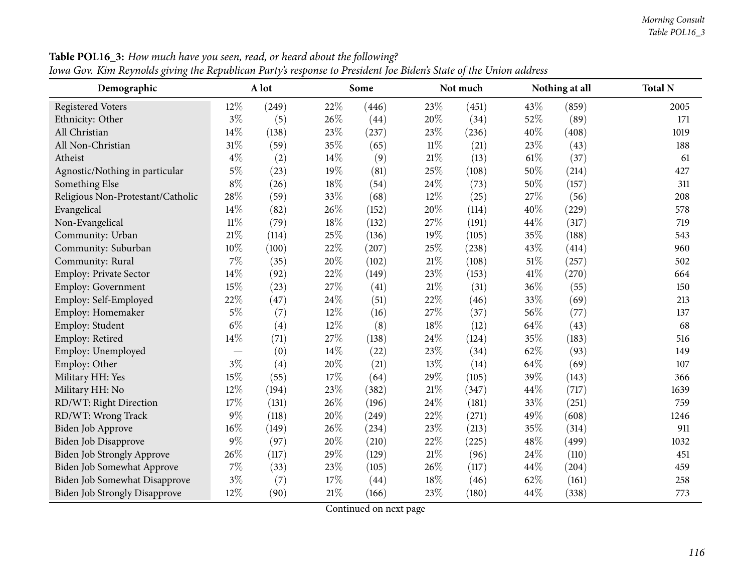| Demographic                          |        | A lot |        | Some  |        | Not much |        | Nothing at all | <b>Total N</b> |
|--------------------------------------|--------|-------|--------|-------|--------|----------|--------|----------------|----------------|
| <b>Registered Voters</b>             | 12%    | (249) | 22%    | (446) | 23%    | (451)    | 43%    | (859)          | 2005           |
| Ethnicity: Other                     | $3\%$  | (5)   | 26%    | (44)  | 20%    | (34)     | 52%    | (89)           | 171            |
| All Christian                        | 14%    | (138) | 23%    | (237) | 23%    | (236)    | 40%    | (408)          | 1019           |
| All Non-Christian                    | 31%    | (59)  | 35%    | (65)  | $11\%$ | (21)     | 23%    | (43)           | 188            |
| Atheist                              | $4\%$  | (2)   | 14%    | (9)   | $21\%$ | (13)     | 61\%   | (37)           | 61             |
| Agnostic/Nothing in particular       | $5\%$  | (23)  | 19%    | (81)  | 25%    | (108)    | 50%    | (214)          | 427            |
| Something Else                       | $8\%$  | (26)  | $18\%$ | (54)  | 24%    | (73)     | 50%    | (157)          | 311            |
| Religious Non-Protestant/Catholic    | 28%    | (59)  | 33%    | (68)  | 12%    | (25)     | 27%    | (56)           | 208            |
| Evangelical                          | 14%    | (82)  | 26%    | (152) | 20%    | (114)    | 40%    | (229)          | 578            |
| Non-Evangelical                      | $11\%$ | (79)  | 18%    | (132) | 27%    | (191)    | 44%    | (317)          | 719            |
| Community: Urban                     | $21\%$ | (114) | $25\%$ | (136) | 19%    | (105)    | 35%    | (188)          | 543            |
| Community: Suburban                  | 10%    | (100) | 22%    | (207) | 25%    | (238)    | 43%    | (414)          | 960            |
| Community: Rural                     | $7\%$  | (35)  | 20%    | (102) | $21\%$ | (108)    | $51\%$ | (257)          | 502            |
| Employ: Private Sector               | 14%    | (92)  | 22%    | (149) | 23%    | (153)    | 41%    | (270)          | 664            |
| Employ: Government                   | 15%    | (23)  | 27%    | (41)  | 21\%   | (31)     | 36%    | (55)           | 150            |
| Employ: Self-Employed                | 22%    | (47)  | 24\%   | (51)  | 22%    | (46)     | 33%    | (69)           | 213            |
| Employ: Homemaker                    | $5\%$  | (7)   | 12%    | (16)  | 27%    | (37)     | 56%    | (77)           | 137            |
| Employ: Student                      | $6\%$  | (4)   | 12%    | (8)   | 18%    | (12)     | 64%    | (43)           | 68             |
| Employ: Retired                      | 14%    | (71)  | 27%    | (138) | 24%    | (124)    | 35%    | (183)          | 516            |
| Employ: Unemployed                   |        | (0)   | 14%    | (22)  | 23%    | (34)     | 62%    | (93)           | 149            |
| Employ: Other                        | $3\%$  | (4)   | 20%    | (21)  | 13%    | (14)     | 64%    | (69)           | 107            |
| Military HH: Yes                     | 15%    | (55)  | 17%    | (64)  | 29%    | (105)    | 39%    | (143)          | 366            |
| Military HH: No                      | 12%    | (194) | 23%    | (382) | 21\%   | (347)    | 44%    | (717)          | 1639           |
| RD/WT: Right Direction               | 17%    | (131) | 26%    | (196) | 24%    | (181)    | 33%    | (251)          | 759            |
| RD/WT: Wrong Track                   | $9\%$  | (118) | 20%    | (249) | 22%    | (271)    | 49%    | (608)          | 1246           |
| Biden Job Approve                    | 16%    | (149) | 26%    | (234) | 23%    | (213)    | 35%    | (314)          | 911            |
| <b>Biden Job Disapprove</b>          | 9%     | (97)  | 20%    | (210) | 22%    | (225)    | 48%    | (499)          | 1032           |
| <b>Biden Job Strongly Approve</b>    | 26%    | (117) | 29%    | (129) | 21%    | (96)     | 24%    | (110)          | 451            |
| Biden Job Somewhat Approve           | $7\%$  | (33)  | 23%    | (105) | 26%    | (117)    | 44%    | (204)          | 459            |
| Biden Job Somewhat Disapprove        | $3\%$  | (7)   | 17%    | (44)  | 18%    | (46)     | 62%    | (161)          | 258            |
| <b>Biden Job Strongly Disapprove</b> | 12%    | (90)  | $21\%$ | (166) | 23%    | (180)    | 44%    | (338)          | 773            |

Table POL16\_3: How much have you seen, read, or heard about the following? Iowa Gov. Kim Reynolds giving the Republican Party's response to President Joe Biden's State of the Union address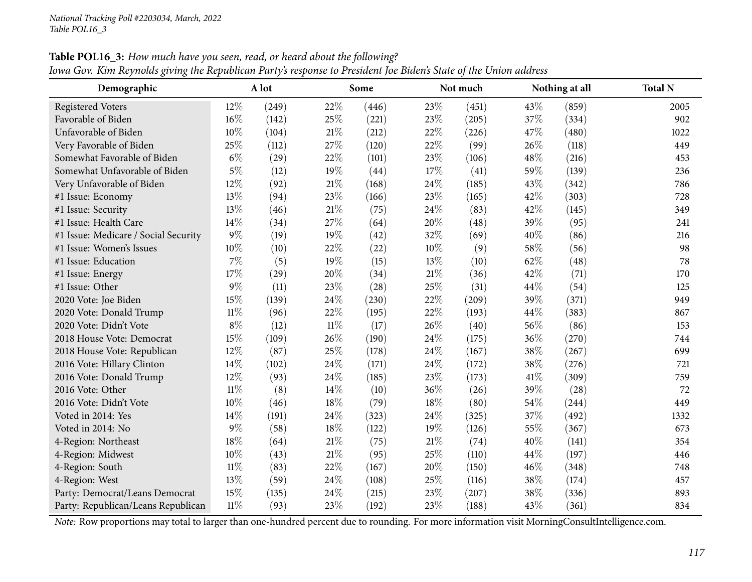| Demographic                          |        | A lot |        | Some  |        | Not much |      | Nothing at all | <b>Total N</b> |
|--------------------------------------|--------|-------|--------|-------|--------|----------|------|----------------|----------------|
| Registered Voters                    | 12%    | (249) | 22%    | (446) | 23%    | (451)    | 43\% | (859)          | 2005           |
| Favorable of Biden                   | 16%    | (142) | 25%    | (221) | 23%    | (205)    | 37%  | (334)          | 902            |
| Unfavorable of Biden                 | 10%    | (104) | 21%    | (212) | 22%    | (226)    | 47%  | (480)          | 1022           |
| Very Favorable of Biden              | 25%    | (112) | 27%    | (120) | 22%    | (99)     | 26%  | (118)          | 449            |
| Somewhat Favorable of Biden          | $6\%$  | (29)  | 22%    | (101) | 23%    | (106)    | 48%  | (216)          | 453            |
| Somewhat Unfavorable of Biden        | $5\%$  | (12)  | 19%    | (44)  | 17%    | (41)     | 59%  | (139)          | 236            |
| Very Unfavorable of Biden            | 12%    | (92)  | 21%    | (168) | 24%    | (185)    | 43%  | (342)          | 786            |
| #1 Issue: Economy                    | 13%    | (94)  | 23%    | (166) | 23%    | (165)    | 42%  | (303)          | 728            |
| #1 Issue: Security                   | 13%    | (46)  | 21%    | (75)  | 24%    | (83)     | 42%  | (145)          | 349            |
| #1 Issue: Health Care                | 14%    | (34)  | 27%    | (64)  | 20%    | (48)     | 39%  | (95)           | 241            |
| #1 Issue: Medicare / Social Security | $9\%$  | (19)  | 19%    | (42)  | 32%    | (69)     | 40%  | (86)           | 216            |
| #1 Issue: Women's Issues             | 10%    | (10)  | 22%    | (22)  | $10\%$ | (9)      | 58%  | (56)           | 98             |
| #1 Issue: Education                  | $7\%$  | (5)   | 19%    | (15)  | 13%    | (10)     | 62%  | (48)           | 78             |
| #1 Issue: Energy                     | 17%    | (29)  | 20%    | (34)  | 21%    | (36)     | 42%  | (71)           | 170            |
| #1 Issue: Other                      | $9\%$  | (11)  | 23%    | (28)  | 25%    | (31)     | 44%  | (54)           | 125            |
| 2020 Vote: Joe Biden                 | 15%    | (139) | 24%    | (230) | 22%    | (209)    | 39%  | (371)          | 949            |
| 2020 Vote: Donald Trump              | $11\%$ | (96)  | 22%    | (195) | 22%    | (193)    | 44%  | (383)          | 867            |
| 2020 Vote: Didn't Vote               | $8\%$  | (12)  | $11\%$ | (17)  | 26%    | (40)     | 56%  | (86)           | 153            |
| 2018 House Vote: Democrat            | 15%    | (109) | 26%    | (190) | 24%    | (175)    | 36%  | (270)          | 744            |
| 2018 House Vote: Republican          | 12%    | (87)  | 25%    | (178) | 24%    | (167)    | 38%  | (267)          | 699            |
| 2016 Vote: Hillary Clinton           | 14%    | (102) | 24%    | (171) | 24%    | (172)    | 38%  | (276)          | 721            |
| 2016 Vote: Donald Trump              | 12%    | (93)  | 24%    | (185) | 23%    | (173)    | 41\% | (309)          | 759            |
| 2016 Vote: Other                     | $11\%$ | (8)   | 14\%   | (10)  | 36%    | (26)     | 39%  | (28)           | 72             |
| 2016 Vote: Didn't Vote               | 10%    | (46)  | 18%    | (79)  | 18%    | (80)     | 54%  | (244)          | 449            |
| Voted in 2014: Yes                   | 14%    | (191) | 24%    | (323) | 24%    | (325)    | 37%  | (492)          | 1332           |
| Voted in 2014: No                    | $9\%$  | (58)  | 18%    | (122) | 19%    | (126)    | 55%  | (367)          | 673            |
| 4-Region: Northeast                  | 18%    | (64)  | 21%    | (75)  | 21\%   | (74)     | 40%  | (141)          | 354            |
| 4-Region: Midwest                    | 10%    | (43)  | 21%    | (95)  | 25%    | (110)    | 44%  | (197)          | 446            |
| 4-Region: South                      | $11\%$ | (83)  | 22%    | (167) | 20%    | (150)    | 46%  | (348)          | 748            |
| 4-Region: West                       | 13%    | (59)  | 24%    | (108) | 25%    | (116)    | 38%  | (174)          | 457            |
| Party: Democrat/Leans Democrat       | 15%    | (135) | 24%    | (215) | 23%    | (207)    | 38%  | (336)          | 893            |
| Party: Republican/Leans Republican   | $11\%$ | (93)  | 23%    | (192) | 23%    | (188)    | 43%  | (361)          | 834            |

Table POL16\_3: How much have you seen, read, or heard about the following? Iowa Gov. Kim Reynolds giving the Republican Party's response to President Joe Biden's State of the Union address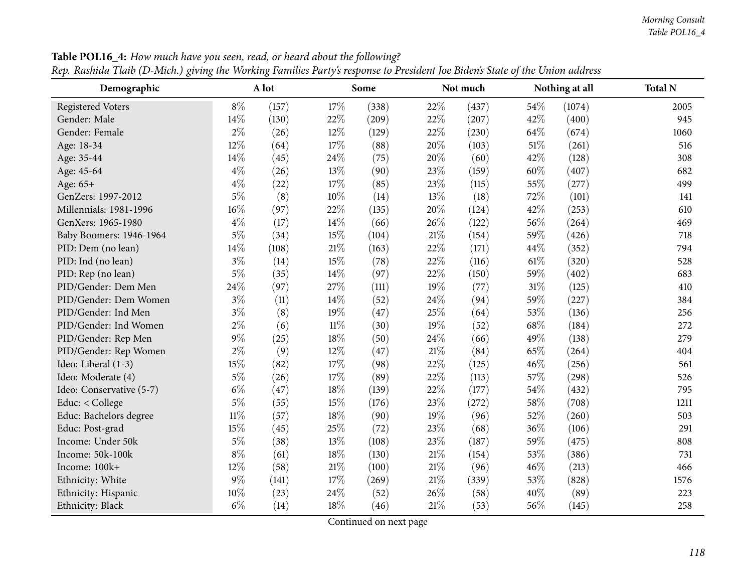| Demographic              |        | A lot |        | Some  |        | Not much |      | Nothing at all | <b>Total N</b> |
|--------------------------|--------|-------|--------|-------|--------|----------|------|----------------|----------------|
| <b>Registered Voters</b> | $8\%$  | (157) | 17%    | (338) | 22%    | (437)    | 54%  | (1074)         | 2005           |
| Gender: Male             | 14%    | (130) | 22%    | (209) | 22%    | (207)    | 42%  | (400)          | 945            |
| Gender: Female           | $2\%$  | (26)  | 12%    | (129) | 22%    | (230)    | 64%  | (674)          | 1060           |
| Age: 18-34               | 12%    | (64)  | 17%    | (88)  | 20%    | (103)    | 51%  | (261)          | 516            |
| Age: 35-44               | 14%    | (45)  | 24\%   | (75)  | 20%    | (60)     | 42%  | (128)          | 308            |
| Age: 45-64               | $4\%$  | (26)  | 13%    | (90)  | 23%    | (159)    | 60%  | (407)          | 682            |
| Age: 65+                 | $4\%$  | (22)  | 17%    | (85)  | 23%    | (115)    | 55%  | (277)          | 499            |
| GenZers: 1997-2012       | $5\%$  | (8)   | 10%    | (14)  | 13%    | (18)     | 72%  | (101)          | 141            |
| Millennials: 1981-1996   | 16%    | (97)  | 22%    | (135) | 20%    | (124)    | 42%  | (253)          | 610            |
| GenXers: 1965-1980       | $4\%$  | (17)  | 14\%   | (66)  | 26%    | (122)    | 56%  | (264)          | 469            |
| Baby Boomers: 1946-1964  | $5\%$  | (34)  | 15%    | (104) | $21\%$ | (154)    | 59%  | (426)          | 718            |
| PID: Dem (no lean)       | $14\%$ | (108) | $21\%$ | (163) | 22%    | (171)    | 44%  | (352)          | 794            |
| PID: Ind (no lean)       | $3\%$  | (14)  | 15%    | (78)  | 22%    | (116)    | 61\% | (320)          | 528            |
| PID: Rep (no lean)       | $5\%$  | (35)  | 14\%   | (97)  | 22%    | (150)    | 59%  | (402)          | 683            |
| PID/Gender: Dem Men      | 24%    | (97)  | 27%    | (111) | 19%    | (77)     | 31%  | (125)          | 410            |
| PID/Gender: Dem Women    | $3\%$  | (11)  | 14%    | (52)  | 24%    | (94)     | 59%  | (227)          | 384            |
| PID/Gender: Ind Men      | $3\%$  | (8)   | 19%    | (47)  | $25\%$ | (64)     | 53%  | (136)          | 256            |
| PID/Gender: Ind Women    | $2\%$  | (6)   | $11\%$ | (30)  | 19%    | (52)     | 68%  | (184)          | 272            |
| PID/Gender: Rep Men      | $9\%$  | (25)  | 18%    | (50)  | 24%    | (66)     | 49%  | (138)          | 279            |
| PID/Gender: Rep Women    | $2\%$  | (9)   | 12%    | (47)  | $21\%$ | (84)     | 65%  | (264)          | 404            |
| Ideo: Liberal (1-3)      | 15%    | (82)  | 17%    | (98)  | 22%    | (125)    | 46%  | (256)          | 561            |
| Ideo: Moderate (4)       | $5\%$  | (26)  | 17%    | (89)  | 22%    | (113)    | 57%  | (298)          | 526            |
| Ideo: Conservative (5-7) | $6\%$  | (47)  | $18\%$ | (139) | 22%    | (177)    | 54%  | (432)          | 795            |
| Educ: < College          | $5\%$  | (55)  | 15%    | (176) | 23%    | (272)    | 58%  | (708)          | 1211           |
| Educ: Bachelors degree   | $11\%$ | (57)  | 18%    | (90)  | 19%    | (96)     | 52%  | (260)          | 503            |
| Educ: Post-grad          | 15%    | (45)  | 25%    | (72)  | 23%    | (68)     | 36%  | (106)          | 291            |
| Income: Under 50k        | $5\%$  | (38)  | 13%    | (108) | 23%    | (187)    | 59%  | (475)          | 808            |
| Income: 50k-100k         | $8\%$  | (61)  | 18%    | (130) | $21\%$ | (154)    | 53%  | (386)          | 731            |
| Income: 100k+            | 12%    | (58)  | $21\%$ | (100) | $21\%$ | (96)     | 46%  | (213)          | 466            |
| Ethnicity: White         | $9\%$  | (141) | $17\%$ | (269) | $21\%$ | (339)    | 53%  | (828)          | 1576           |
| Ethnicity: Hispanic      | 10%    | (23)  | 24%    | (52)  | 26%    | (58)     | 40%  | (89)           | 223            |
| Ethnicity: Black         | $6\%$  | (14)  | 18%    | (46)  | $21\%$ | (53)     | 56%  | (145)          | 258            |

Table POL16\_4: How much have you seen, read, or heard about the following? Rep. Rashida Tlaib (D-Mich.) giving the Working Families Party's response to President Joe Biden's State of the Union address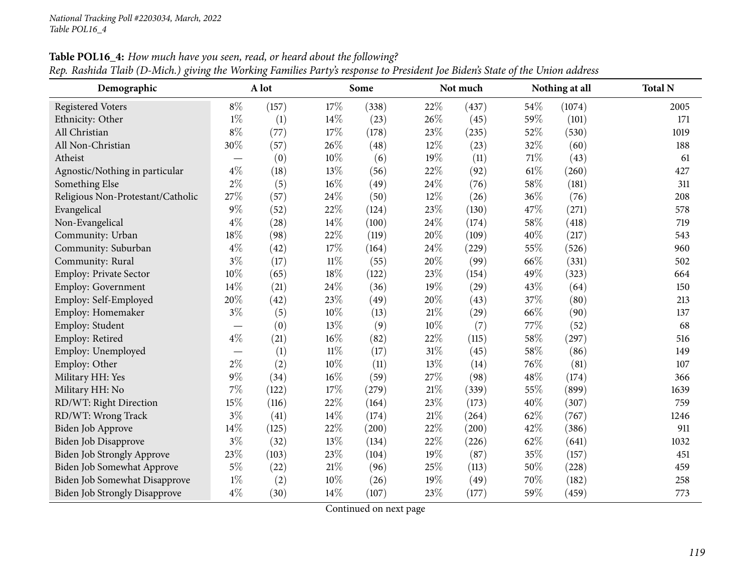| Demographic                          |                          | A lot |        | Some  |        | Not much |        | Nothing at all | <b>Total N</b> |
|--------------------------------------|--------------------------|-------|--------|-------|--------|----------|--------|----------------|----------------|
| <b>Registered Voters</b>             | $8\%$                    | (157) | 17%    | (338) | 22%    | (437)    | 54%    | (1074)         | 2005           |
| Ethnicity: Other                     | $1\%$                    | (1)   | 14%    | (23)  | 26%    | (45)     | 59%    | (101)          | 171            |
| All Christian                        | $8\%$                    | (77)  | 17%    | (178) | 23%    | (235)    | 52%    | (530)          | 1019           |
| All Non-Christian                    | $30\%$                   | (57)  | 26%    | (48)  | 12%    | (23)     | 32%    | (60)           | 188            |
| Atheist                              | $\overline{\phantom{m}}$ | (0)   | 10%    | (6)   | 19%    | (11)     | $71\%$ | (43)           | 61             |
| Agnostic/Nothing in particular       | $4\%$                    | (18)  | 13%    | (56)  | 22%    | (92)     | $61\%$ | (260)          | 427            |
| Something Else                       | $2\%$                    | (5)   | 16%    | (49)  | 24%    | (76)     | 58\%   | (181)          | 311            |
| Religious Non-Protestant/Catholic    | 27%                      | (57)  | 24%    | (50)  | 12%    | (26)     | 36%    | (76)           | 208            |
| Evangelical                          | $9\%$                    | (52)  | 22%    | (124) | 23%    | (130)    | 47%    | (271)          | 578            |
| Non-Evangelical                      | 4%                       | (28)  | 14%    | (100) | 24%    | (174)    | 58%    | (418)          | 719            |
| Community: Urban                     | 18%                      | (98)  | 22%    | (119) | $20\%$ | (109)    | 40%    | (217)          | 543            |
| Community: Suburban                  | $4\%$                    | (42)  | 17%    | (164) | 24%    | (229)    | 55%    | (526)          | 960            |
| Community: Rural                     | $3\%$                    | (17)  | $11\%$ | (55)  | 20%    | (99)     | 66%    | (331)          | 502            |
| Employ: Private Sector               | 10%                      | (65)  | 18%    | (122) | 23%    | (154)    | 49%    | (323)          | 664            |
| <b>Employ: Government</b>            | 14%                      | (21)  | 24%    | (36)  | 19%    | (29)     | 43%    | (64)           | 150            |
| Employ: Self-Employed                | 20%                      | (42)  | 23%    | (49)  | $20\%$ | (43)     | 37%    | (80)           | 213            |
| Employ: Homemaker                    | $3\%$                    | (5)   | 10%    | (13)  | $21\%$ | (29)     | 66%    | (90)           | 137            |
| Employ: Student                      |                          | (0)   | 13%    | (9)   | $10\%$ | (7)      | 77%    | (52)           | 68             |
| Employ: Retired                      | $4\%$                    | (21)  | 16%    | (82)  | 22%    | (115)    | 58%    | (297)          | 516            |
| Employ: Unemployed                   |                          | (1)   | $11\%$ | (17)  | $31\%$ | (45)     | 58%    | (86)           | 149            |
| Employ: Other                        | $2\%$                    | (2)   | 10%    | (11)  | 13%    | (14)     | 76%    | (81)           | 107            |
| Military HH: Yes                     | $9\%$                    | (34)  | 16%    | (59)  | 27\%   | (98)     | 48%    | (174)          | 366            |
| Military HH: No                      | $7\%$                    | (122) | 17%    | (279) | $21\%$ | (339)    | 55%    | (899)          | 1639           |
| RD/WT: Right Direction               | 15%                      | (116) | 22%    | (164) | 23%    | (173)    | 40%    | (307)          | 759            |
| RD/WT: Wrong Track                   | $3\%$                    | (41)  | 14%    | (174) | $21\%$ | (264)    | 62%    | (767)          | 1246           |
| Biden Job Approve                    | 14%                      | (125) | 22%    | (200) | 22%    | (200)    | 42%    | (386)          | 911            |
| Biden Job Disapprove                 | $3\%$                    | (32)  | 13%    | (134) | $22\%$ | (226)    | 62%    | (641)          | 1032           |
| <b>Biden Job Strongly Approve</b>    | 23%                      | (103) | 23%    | (104) | 19%    | (87)     | 35%    | (157)          | 451            |
| Biden Job Somewhat Approve           | $5\%$                    | (22)  | 21%    | (96)  | 25%    | (113)    | 50%    | (228)          | 459            |
| Biden Job Somewhat Disapprove        | $1\%$                    | (2)   | 10%    | (26)  | 19%    | (49)     | 70%    | (182)          | 258            |
| <b>Biden Job Strongly Disapprove</b> | $4\%$                    | (30)  | 14%    | (107) | 23%    | (177)    | 59%    | (459)          | 773            |

Table POL16\_4: How much have you seen, read, or heard about the following?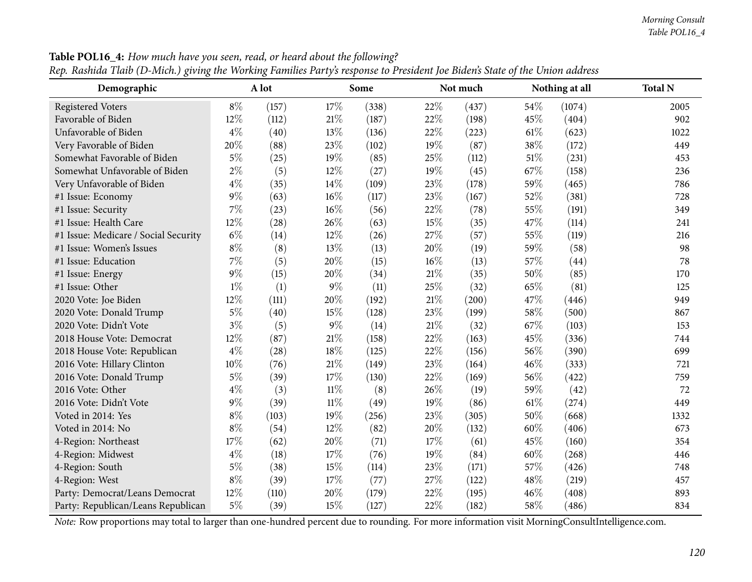| o<br>Demographic                     |       | o<br>A lot |        | Some  |        | Not much |      | Nothing at all | <b>Total N</b> |
|--------------------------------------|-------|------------|--------|-------|--------|----------|------|----------------|----------------|
| <b>Registered Voters</b>             | $8\%$ | (157)      | 17%    | (338) | 22%    | (437)    | 54%  | (1074)         | 2005           |
| Favorable of Biden                   | 12%   | (112)      | 21%    | (187) | 22%    | (198)    | 45%  | (404)          | 902            |
| Unfavorable of Biden                 | $4\%$ | (40)       | 13%    | (136) | 22%    | (223)    | 61\% | (623)          | 1022           |
| Very Favorable of Biden              | 20%   | (88)       | 23%    | (102) | 19%    | (87)     | 38%  | (172)          | 449            |
| Somewhat Favorable of Biden          | $5\%$ | (25)       | 19%    | (85)  | 25%    | (112)    | 51\% | (231)          | 453            |
| Somewhat Unfavorable of Biden        | $2\%$ | (5)        | 12%    | (27)  | 19%    | (45)     | 67\% | (158)          | 236            |
| Very Unfavorable of Biden            | $4\%$ | (35)       | 14\%   | (109) | 23%    | (178)    | 59%  | (465)          | 786            |
| #1 Issue: Economy                    | $9\%$ | (63)       | 16%    | (117) | 23%    | (167)    | 52%  | (381)          | 728            |
| #1 Issue: Security                   | $7\%$ | (23)       | $16\%$ | (56)  | 22%    | (78)     | 55%  | (191)          | 349            |
| #1 Issue: Health Care                | 12%   | (28)       | 26%    | (63)  | 15%    | (35)     | 47%  | (114)          | 241            |
| #1 Issue: Medicare / Social Security | $6\%$ | (14)       | 12%    | (26)  | 27%    | (57)     | 55%  | (119)          | 216            |
| #1 Issue: Women's Issues             | $8\%$ | (8)        | 13%    | (13)  | 20%    | (19)     | 59%  | (58)           | 98             |
| #1 Issue: Education                  | $7\%$ | (5)        | $20\%$ | (15)  | 16%    | (13)     | 57%  | (44)           | 78             |
| #1 Issue: Energy                     | $9\%$ | (15)       | 20%    | (34)  | $21\%$ | (35)     | 50%  | (85)           | 170            |
| #1 Issue: Other                      | $1\%$ | (1)        | $9\%$  | (11)  | 25%    | (32)     | 65%  | (81)           | 125            |
| 2020 Vote: Joe Biden                 | 12%   | (111)      | 20%    | (192) | 21%    | (200)    | 47%  | (446)          | 949            |
| 2020 Vote: Donald Trump              | $5\%$ | (40)       | 15%    | (128) | 23%    | (199)    | 58%  | (500)          | 867            |
| 2020 Vote: Didn't Vote               | $3\%$ | (5)        | $9\%$  | (14)  | $21\%$ | (32)     | 67%  | (103)          | 153            |
| 2018 House Vote: Democrat            | 12%   | (87)       | $21\%$ | (158) | 22%    | (163)    | 45%  | (336)          | 744            |
| 2018 House Vote: Republican          | $4\%$ | (28)       | 18%    | (125) | 22%    | (156)    | 56%  | (390)          | 699            |
| 2016 Vote: Hillary Clinton           | 10%   | (76)       | $21\%$ | (149) | 23%    | (164)    | 46%  | (333)          | 721            |
| 2016 Vote: Donald Trump              | $5\%$ | (39)       | 17%    | (130) | 22%    | (169)    | 56%  | (422)          | 759            |
| 2016 Vote: Other                     | $4\%$ | (3)        | $11\%$ | (8)   | 26%    | (19)     | 59%  | (42)           | 72             |
| 2016 Vote: Didn't Vote               | $9\%$ | (39)       | $11\%$ | (49)  | 19%    | (86)     | 61%  | (274)          | 449            |
| Voted in 2014: Yes                   | $8\%$ | (103)      | 19%    | (256) | 23%    | (305)    | 50%  | (668)          | 1332           |
| Voted in 2014: No                    | $8\%$ | (54)       | 12%    | (82)  | 20%    | (132)    | 60%  | (406)          | 673            |
| 4-Region: Northeast                  | 17%   | (62)       | 20%    | (71)  | 17%    | (61)     | 45%  | (160)          | 354            |
| 4-Region: Midwest                    | $4\%$ | (18)       | 17%    | (76)  | 19%    | (84)     | 60%  | (268)          | 446            |
| 4-Region: South                      | $5\%$ | (38)       | 15%    | (114) | 23%    | (171)    | 57%  | (426)          | 748            |
| 4-Region: West                       | $8\%$ | (39)       | 17%    | (77)  | 27%    | (122)    | 48%  | (219)          | 457            |
| Party: Democrat/Leans Democrat       | 12%   | (110)      | 20%    | (179) | 22%    | (195)    | 46%  | (408)          | 893            |
| Party: Republican/Leans Republican   | $5\%$ | (39)       | 15%    | (127) | 22%    | (182)    | 58%  | (486)          | 834            |

Table POL16\_4: How much have you seen, read, or heard about the following? Rep. Rashida Tlaib (D-Mich.) giving the Working Families Party's response to President Joe Biden's State of the Union address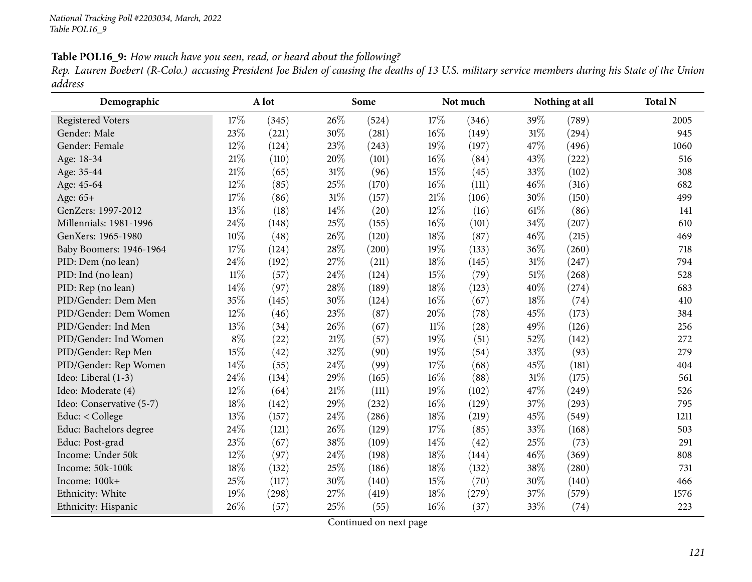Table POL16\_9: How much have you seen, read, or heard about the following?

Rep. Lauren Boebert (R-Colo.) accusing President Joe Biden of causing the deaths of 13 U.S. military service members during his State of the Union *address*

| Demographic              |        | A lot |     | Some  |        | Not much |      | Nothing at all | <b>Total N</b> |
|--------------------------|--------|-------|-----|-------|--------|----------|------|----------------|----------------|
| <b>Registered Voters</b> | 17%    | (345) | 26% | (524) | 17%    | (346)    | 39\% | (789)          | 2005           |
| Gender: Male             | 23%    | (221) | 30% | (281) | 16%    | (149)    | 31%  | (294)          | 945            |
| Gender: Female           | 12%    | (124) | 23% | (243) | 19%    | (197)    | 47%  | (496)          | 1060           |
| Age: 18-34               | 21%    | (110) | 20% | (101) | 16%    | (84)     | 43%  | (222)          | 516            |
| Age: 35-44               | 21%    | (65)  | 31% | (96)  | 15%    | (45)     | 33%  | (102)          | 308            |
| Age: 45-64               | 12%    | (85)  | 25% | (170) | $16\%$ | (111)    | 46%  | (316)          | 682            |
| Age: $65+$               | 17%    | (86)  | 31% | (157) | $21\%$ | (106)    | 30%  | (150)          | 499            |
| GenZers: 1997-2012       | 13%    | (18)  | 14% | (20)  | 12%    | (16)     | 61%  | (86)           | 141            |
| Millennials: 1981-1996   | 24%    | (148) | 25% | (155) | 16%    | (101)    | 34%  | (207)          | 610            |
| GenXers: 1965-1980       | 10%    | (48)  | 26% | (120) | $18\%$ | (87)     | 46%  | (215)          | 469            |
| Baby Boomers: 1946-1964  | 17%    | (124) | 28% | (200) | 19%    | (133)    | 36%  | (260)          | 718            |
| PID: Dem (no lean)       | 24%    | (192) | 27% | (211) | $18\%$ | (145)    | 31%  | (247)          | 794            |
| PID: Ind (no lean)       | $11\%$ | (57)  | 24% | (124) | 15%    | (79)     | 51%  | (268)          | 528            |
| PID: Rep (no lean)       | 14%    | (97)  | 28% | (189) | $18\%$ | (123)    | 40%  | (274)          | 683            |
| PID/Gender: Dem Men      | 35%    | (145) | 30% | (124) | 16%    | (67)     | 18%  | (74)           | 410            |
| PID/Gender: Dem Women    | 12%    | (46)  | 23% | (87)  | 20%    | (78)     | 45%  | (173)          | 384            |
| PID/Gender: Ind Men      | 13%    | (34)  | 26% | (67)  | $11\%$ | (28)     | 49%  | (126)          | 256            |
| PID/Gender: Ind Women    | $8\%$  | (22)  | 21% | (57)  | 19%    | (51)     | 52%  | (142)          | 272            |
| PID/Gender: Rep Men      | 15%    | (42)  | 32% | (90)  | 19%    | (54)     | 33%  | (93)           | 279            |
| PID/Gender: Rep Women    | 14%    | (55)  | 24% | (99)  | $17\%$ | (68)     | 45%  | (181)          | 404            |
| Ideo: Liberal (1-3)      | 24%    | (134) | 29% | (165) | $16\%$ | (88)     | 31%  | (175)          | 561            |
| Ideo: Moderate (4)       | 12%    | (64)  | 21% | (111) | 19%    | (102)    | 47%  | (249)          | 526            |
| Ideo: Conservative (5-7) | 18%    | (142) | 29% | (232) | 16%    | (129)    | 37%  | (293)          | 795            |
| Educ: < College          | 13%    | (157) | 24% | (286) | $18\%$ | (219)    | 45%  | (549)          | 1211           |
| Educ: Bachelors degree   | 24%    | (121) | 26% | (129) | 17%    | (85)     | 33%  | (168)          | 503            |
| Educ: Post-grad          | 23%    | (67)  | 38% | (109) | 14%    | (42)     | 25%  | (73)           | 291            |
| Income: Under 50k        | 12%    | (97)  | 24% | (198) | $18\%$ | (144)    | 46%  | (369)          | 808            |
| Income: 50k-100k         | 18%    | (132) | 25% | (186) | $18\%$ | (132)    | 38%  | (280)          | 731            |
| Income: 100k+            | 25%    | (117) | 30% | (140) | 15%    | (70)     | 30%  | (140)          | 466            |
| Ethnicity: White         | 19%    | (298) | 27% | (419) | 18%    | (279)    | 37%  | (579)          | 1576           |
| Ethnicity: Hispanic      | 26%    | (57)  | 25% | (55)  | 16%    | (37)     | 33%  | (74)           | 223            |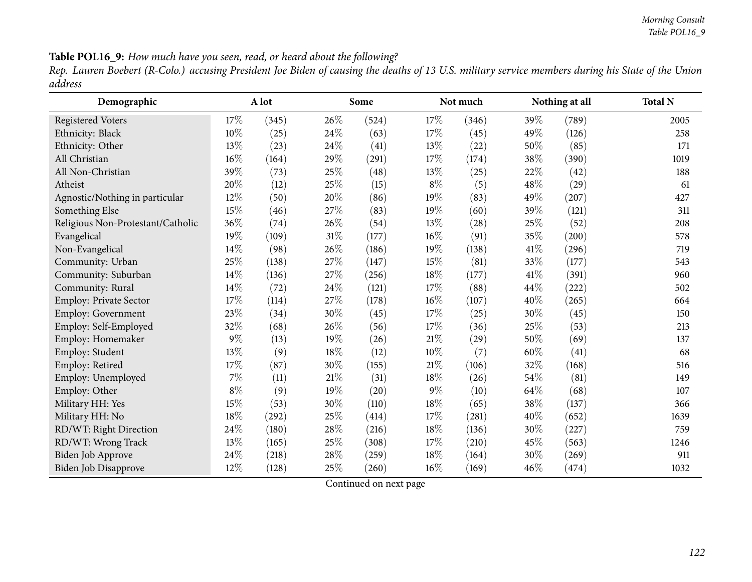Table POL16\_9: How much have you seen, read, or heard about the following?

Rep. Lauren Boebert (R-Colo.) accusing President Joe Biden of causing the deaths of 13 U.S. military service members during his State of the Union *address*

| Demographic                       |        | A lot |        | Some                |        | Not much           |      | Nothing at all | <b>Total N</b> |
|-----------------------------------|--------|-------|--------|---------------------|--------|--------------------|------|----------------|----------------|
| <b>Registered Voters</b>          | 17%    | (345) | 26\%   | (524)               | 17\%   | (346)              | 39%  | (789)          | 2005           |
| Ethnicity: Black                  | 10%    | (25)  | 24\%   | (63)                | $17\%$ | (45)               | 49%  | (126)          | 258            |
| Ethnicity: Other                  | $13\%$ | (23)  | 24\%   | (41)                | 13\%   | $\left( 22\right)$ | 50%  | (85)           | 171            |
| All Christian                     | $16\%$ | (164) | 29%    | (291)               | $17\%$ | (174)              | 38%  | (390)          | 1019           |
| All Non-Christian                 | 39%    | (73)  | 25\%   | (48)                | 13\%   | (25)               | 22%  | (42)           | 188            |
| Atheist                           | 20%    | (12)  | $25\%$ | (15)                | $8\%$  | (5)                | 48%  | (29)           | 61             |
| Agnostic/Nothing in particular    | $12\%$ | (50)  | 20%    | (86)                | 19%    | (83)               | 49%  | (207)          | 427            |
| Something Else                    | $15\%$ | (46)  | 27\%   | (83)                | 19%    | (60)               | 39%  | (121)          | 311            |
| Religious Non-Protestant/Catholic | $36\%$ | (74)  | 26\%   | (54)                | 13\%   | (28)               | 25\% | (52)           | 208            |
| Evangelical                       | 19%    | (109) | $31\%$ | (177)               | $16\%$ | (91)               | 35%  | (200)          | 578            |
| Non-Evangelical                   | $14\%$ | (98)  | 26\%   | (186)               | 19%    | (138)              | 41\% | (296)          | 719            |
| Community: Urban                  | 25%    | (138) | 27%    | (147)               | 15%    | (81)               | 33%  | (177)          | 543            |
| Community: Suburban               | 14%    | (136) | 27%    | (256)               | 18%    | (177)              | 41\% | (391)          | 960            |
| Community: Rural                  | $14\%$ | (72)  | 24%    | (121)               | 17%    | (88)               | 44\% | (222)          | 502            |
| Employ: Private Sector            | 17%    | (114) | 27%    | (178)               | $16\%$ | (107)              | 40%  | (265)          | 664            |
| Employ: Government                | 23%    | (34)  | $30\%$ | (45)                | 17%    | (25)               | 30%  | (45)           | 150            |
| Employ: Self-Employed             | 32%    | (68)  | 26\%   | (56)                | 17%    | (36)               | 25\% | (53)           | 213            |
| Employ: Homemaker                 | $9\%$  | (13)  | 19%    | (26)                | $21\%$ | (29)               | 50%  | (69)           | 137            |
| Employ: Student                   | 13%    | (9)   | $18\%$ | (12)                | $10\%$ | (7)                | 60%  | (41)           | 68             |
| Employ: Retired                   | 17%    | (87)  | 30%    | (155)               | $21\%$ | (106)              | 32%  | (168)          | 516            |
| Employ: Unemployed                | $7\%$  | (11)  | 21\%   | (31)                | $18\%$ | (26)               | 54%  | (81)           | 149            |
| Employ: Other                     | $8\%$  | (9)   | 19%    | (20)                | $9\%$  | (10)               | 64\% | (68)           | 107            |
| Military HH: Yes                  | $15\%$ | (53)  | 30%    | (110)               | $18\%$ | (65)               | 38%  | (137)          | 366            |
| Military HH: No                   | $18\%$ | (292) | 25%    | (414)               | 17%    | (281)              | 40%  | (652)          | 1639           |
| RD/WT: Right Direction            | $24\%$ | (180) | $28\%$ | (216)               | $18\%$ | (136)              | 30%  | (227)          | 759            |
| RD/WT: Wrong Track                | 13%    | (165) | 25\%   | (308)               | $17\%$ | (210)              | 45%  | (563)          | 1246           |
| Biden Job Approve                 | 24\%   | (218) | $28\%$ | $\left( 259\right)$ | $18\%$ | (164)              | 30%  | (269)          | 911            |
| Biden Job Disapprove              | $12\%$ | (128) | 25%    | (260)               | $16\%$ | (169)              | 46\% | (474)          | 1032           |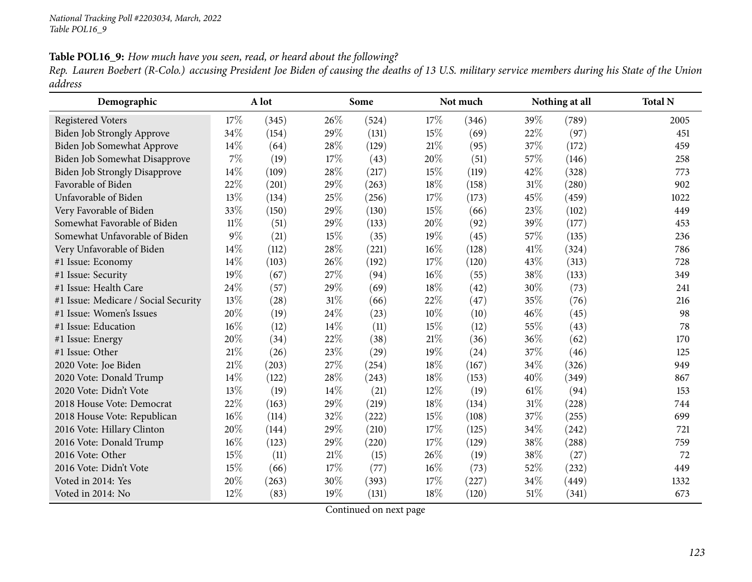Table POL16\_9: How much have you seen, read, or heard about the following?

Rep. Lauren Boebert (R-Colo.) accusing President Joe Biden of causing the deaths of 13 U.S. military service members during his State of the Union *address*

| Demographic                          |        | A lot |     | Some  |     | Not much |      | Nothing at all | <b>Total N</b> |
|--------------------------------------|--------|-------|-----|-------|-----|----------|------|----------------|----------------|
| <b>Registered Voters</b>             | 17%    | (345) | 26% | (524) | 17% | (346)    | 39%  | (789)          | 2005           |
| Biden Job Strongly Approve           | 34%    | (154) | 29% | (131) | 15% | (69)     | 22%  | (97)           | 451            |
| Biden Job Somewhat Approve           | 14%    | (64)  | 28% | (129) | 21% | (95)     | 37%  | (172)          | 459            |
| Biden Job Somewhat Disapprove        | 7%     | (19)  | 17% | (43)  | 20% | (51)     | 57%  | (146)          | 258            |
| <b>Biden Job Strongly Disapprove</b> | 14%    | (109) | 28% | (217) | 15% | (119)    | 42%  | (328)          | 773            |
| Favorable of Biden                   | 22%    | (201) | 29% | (263) | 18% | (158)    | 31%  | (280)          | 902            |
| Unfavorable of Biden                 | 13%    | (134) | 25% | (256) | 17% | (173)    | 45%  | (459)          | 1022           |
| Very Favorable of Biden              | 33%    | (150) | 29% | (130) | 15% | (66)     | 23%  | (102)          | 449            |
| Somewhat Favorable of Biden          | $11\%$ | (51)  | 29% | (133) | 20% | (92)     | 39%  | (177)          | 453            |
| Somewhat Unfavorable of Biden        | 9%     | (21)  | 15% | (35)  | 19% | (45)     | 57%  | (135)          | 236            |
| Very Unfavorable of Biden            | 14%    | (112) | 28% | (221) | 16% | (128)    | 41\% | (324)          | 786            |
| #1 Issue: Economy                    | 14%    | (103) | 26% | (192) | 17% | (120)    | 43%  | (313)          | 728            |
| #1 Issue: Security                   | 19%    | (67)  | 27% | (94)  | 16% | (55)     | 38%  | (133)          | 349            |
| #1 Issue: Health Care                | 24%    | (57)  | 29% | (69)  | 18% | (42)     | 30%  | (73)           | 241            |
| #1 Issue: Medicare / Social Security | 13%    | (28)  | 31% | (66)  | 22% | (47)     | 35%  | (76)           | 216            |
| #1 Issue: Women's Issues             | 20%    | (19)  | 24% | (23)  | 10% | (10)     | 46%  | (45)           | 98             |
| #1 Issue: Education                  | 16%    | (12)  | 14% | (11)  | 15% | (12)     | 55%  | (43)           | 78             |
| #1 Issue: Energy                     | 20%    | (34)  | 22% | (38)  | 21% | (36)     | 36%  | (62)           | 170            |
| #1 Issue: Other                      | 21%    | (26)  | 23% | (29)  | 19% | (24)     | 37%  | (46)           | 125            |
| 2020 Vote: Joe Biden                 | 21%    | (203) | 27% | (254) | 18% | (167)    | 34%  | (326)          | 949            |
| 2020 Vote: Donald Trump              | 14%    | (122) | 28% | (243) | 18% | (153)    | 40%  | (349)          | 867            |
| 2020 Vote: Didn't Vote               | 13%    | (19)  | 14% | (21)  | 12% | (19)     | 61\% | (94)           | 153            |
| 2018 House Vote: Democrat            | 22%    | (163) | 29% | (219) | 18% | (134)    | 31%  | (228)          | 744            |
| 2018 House Vote: Republican          | 16%    | (114) | 32% | (222) | 15% | (108)    | 37%  | (255)          | 699            |
| 2016 Vote: Hillary Clinton           | 20%    | (144) | 29% | (210) | 17% | (125)    | 34%  | (242)          | 721            |
| 2016 Vote: Donald Trump              | 16%    | (123) | 29% | (220) | 17% | (129)    | 38%  | (288)          | 759            |
| 2016 Vote: Other                     | 15%    | (11)  | 21% | (15)  | 26% | (19)     | 38%  | (27)           | 72             |
| 2016 Vote: Didn't Vote               | 15%    | (66)  | 17% | (77)  | 16% | (73)     | 52%  | (232)          | 449            |
| Voted in 2014: Yes                   | 20%    | (263) | 30% | (393) | 17% | (227)    | 34\% | (449)          | 1332           |
| Voted in 2014: No                    | 12%    | (83)  | 19% | (131) | 18% | (120)    | 51\% | (341)          | 673            |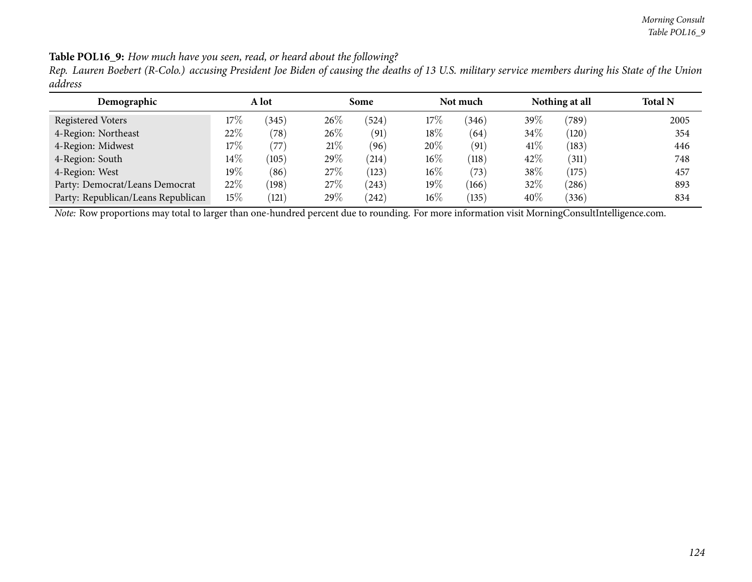Table POL16\_9: How much have you seen, read, or heard about the following?

Rep. Lauren Boebert (R-Colo.) accusing President Joe Biden of causing the deaths of 13 U.S. military service members during his State of the Union *address*

| Demographic                        | A lot  |                |        | Some       |        | Not much |         | Nothing at all | <b>Total N</b> |
|------------------------------------|--------|----------------|--------|------------|--------|----------|---------|----------------|----------------|
| Registered Voters                  | $17\%$ | (345)          | 26%    | (524)      | 17\%   | (346)    | 39 $\%$ | (789)          | 2005           |
| 4-Region: Northeast                | 22%    | $^{\prime}78)$ | $26\%$ | (91)       | $18\%$ | (64)     | 34\%    | (120)          | 354            |
| 4-Region: Midwest                  | $17\%$ | $^{\prime}77$  | 21%    | (96)       | 20%    | (91)     | 41\%    | (183)          | 446            |
| 4-Region: South                    | $14\%$ | (105)          | $29\%$ | $^{(214)}$ | 16%    | (118)    | 42\%    | (311)          | 748            |
| 4-Region: West                     | 19%    | (86)           | $27\%$ | (123)      | 16%    | (73)     | $38\%$  | (175)          | 457            |
| Party: Democrat/Leans Democrat     | 22%    | (198)          | 27\%   | (243)      | 19%    | (166)    | 32%     | (286)          | 893            |
| Party: Republican/Leans Republican | $15\%$ | (121)          | 29%    | (242)      | 16%    | (135)    | 40%     | 336            | 834            |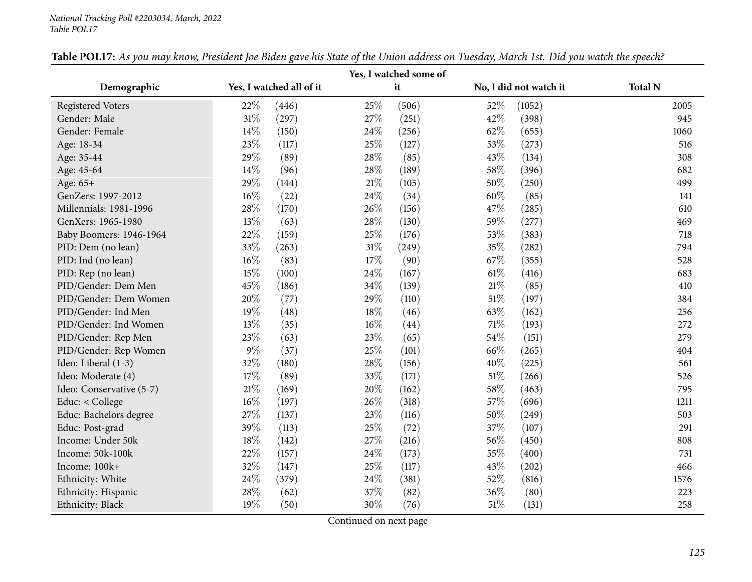#### *National Tracking Poll #2203034, March, <sup>2022</sup> Table POL17*

| Yes, I watched some of   |                          |              |       |      |                        |                |  |  |  |  |  |
|--------------------------|--------------------------|--------------|-------|------|------------------------|----------------|--|--|--|--|--|
| Demographic              | Yes, I watched all of it |              | it    |      | No, I did not watch it | <b>Total N</b> |  |  |  |  |  |
| <b>Registered Voters</b> | 22%                      | 25%<br>(446) | (506) | 52%  | (1052)                 | 2005           |  |  |  |  |  |
| Gender: Male             | $31\%$                   | 27%<br>(297) | (251) | 42%  | (398)                  | 945            |  |  |  |  |  |
| Gender: Female           | $14\%$                   | 24%<br>(150) | (256) | 62\% | (655)                  | 1060           |  |  |  |  |  |
| Age: 18-34               | 23%                      | 25%<br>(117) | (127) | 53%  | (273)                  | 516            |  |  |  |  |  |
| Age: 35-44               | 29%                      | 28%<br>(89)  | (85)  | 43%  | (134)                  | 308            |  |  |  |  |  |
| Age: 45-64               | 14\%                     | 28%<br>(96)  | (189) | 58%  | (396)                  | 682            |  |  |  |  |  |
| Age: 65+                 | 29%                      | 21%<br>(144) | (105) | 50%  | (250)                  | 499            |  |  |  |  |  |
| GenZers: 1997-2012       | $16\%$                   | 24%<br>(22)  | (34)  | 60%  | (85)                   | 141            |  |  |  |  |  |
| Millennials: 1981-1996   | 28%                      | 26%<br>(170) | (156) | 47%  | (285)                  | 610            |  |  |  |  |  |
| GenXers: 1965-1980       | 13\%                     | 28%<br>(63)  | (130) | 59%  | (277)                  | 469            |  |  |  |  |  |
| Baby Boomers: 1946-1964  | 22%                      | 25%<br>(159) | (176) | 53%  | (383)                  | 718            |  |  |  |  |  |
| PID: Dem (no lean)       | 33%                      | 31%<br>(263) | (249) | 35%  | (282)                  | 794            |  |  |  |  |  |
| PID: Ind (no lean)       | $16\%$                   | 17%<br>(83)  | (90)  | 67%  | (355)                  | 528            |  |  |  |  |  |
| PID: Rep (no lean)       | 15%                      | 24%<br>(100) | (167) | 61\% | (416)                  | 683            |  |  |  |  |  |
| PID/Gender: Dem Men      | 45%                      | 34%<br>(186) | (139) | 21%  | (85)                   | 410            |  |  |  |  |  |
| PID/Gender: Dem Women    | 20%                      | 29%<br>(77)  | (110) | 51%  | (197)                  | 384            |  |  |  |  |  |
| PID/Gender: Ind Men      | 19%                      | 18%<br>(48)  | (46)  | 63%  | (162)                  | 256            |  |  |  |  |  |
| PID/Gender: Ind Women    | 13%                      | 16%<br>(35)  | (44)  | 71\% | (193)                  | 272            |  |  |  |  |  |
| PID/Gender: Rep Men      | 23\%                     | 23%<br>(63)  | (65)  | 54%  | (151)                  | 279            |  |  |  |  |  |
| PID/Gender: Rep Women    | $9\%$                    | 25%<br>(37)  | (101) | 66%  | (265)                  | 404            |  |  |  |  |  |
| Ideo: Liberal (1-3)      | 32%                      | 28%<br>(180) | (156) | 40%  | (225)                  | 561            |  |  |  |  |  |
| Ideo: Moderate (4)       | 17%                      | (89)<br>33%  | (171) | 51%  | (266)                  | 526            |  |  |  |  |  |
| Ideo: Conservative (5-7) | 21%                      | 20%<br>(169) | (162) | 58%  | (463)                  | 795            |  |  |  |  |  |
| Educ: < College          | $16\%$                   | 26%<br>(197) | (318) | 57%  | (696)                  | 1211           |  |  |  |  |  |
| Educ: Bachelors degree   | 27\%                     | 23%<br>(137) | (116) | 50%  | (249)                  | 503            |  |  |  |  |  |
| Educ: Post-grad          | 39%                      | 25%<br>(113) | (72)  | 37%  | (107)                  | 291            |  |  |  |  |  |
| Income: Under 50k        | 18%                      | 27%<br>(142) | (216) | 56%  | (450)                  | 808            |  |  |  |  |  |
| Income: 50k-100k         | 22%                      | 24%<br>(157) | (173) | 55%  | (400)                  | 731            |  |  |  |  |  |
| Income: 100k+            | 32%                      | 25%<br>(147) | (117) | 43%  | (202)                  | 466            |  |  |  |  |  |
| Ethnicity: White         | 24%                      | 24%<br>(379) | (381) | 52%  | (816)                  | 1576           |  |  |  |  |  |
| Ethnicity: Hispanic      | 28%                      | 37%<br>(62)  | (82)  | 36%  | (80)                   | 223            |  |  |  |  |  |
| Ethnicity: Black         | 19%                      | 30%<br>(50)  | (76)  | 51%  | (131)                  | 258            |  |  |  |  |  |

Table POL17: As you may know, President Joe Biden gave his State of the Union address on Tuesday, March 1st. Did you watch the speech?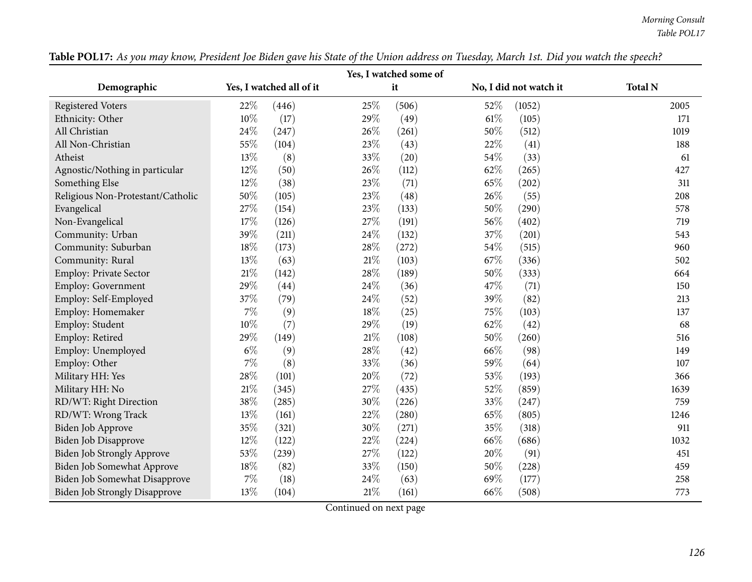### *Morning Consult Table POL17*

| Yes, I watched some of               |                          |                 |                        |                |  |  |  |  |  |  |  |  |
|--------------------------------------|--------------------------|-----------------|------------------------|----------------|--|--|--|--|--|--|--|--|
| Demographic                          | Yes, I watched all of it | it              | No, I did not watch it | <b>Total N</b> |  |  |  |  |  |  |  |  |
| <b>Registered Voters</b>             | 22%<br>(446)             | 25%<br>(506)    | 52%<br>(1052)          | 2005           |  |  |  |  |  |  |  |  |
| Ethnicity: Other                     | $10\%$<br>(17)           | 29%<br>(49)     | $61\%$<br>(105)        | 171            |  |  |  |  |  |  |  |  |
| All Christian                        | 24%<br>(247)             | 26%<br>(261)    | 50%<br>(512)           | 1019           |  |  |  |  |  |  |  |  |
| All Non-Christian                    | 55%<br>(104)             | 23%<br>(43)     | 22%<br>(41)            | 188            |  |  |  |  |  |  |  |  |
| Atheist                              | 13%<br>(8)               | 33%<br>(20)     | 54%<br>(33)            | 61             |  |  |  |  |  |  |  |  |
| Agnostic/Nothing in particular       | 12%<br>(50)              | 26%<br>(112)    | 62%<br>(265)           | 427            |  |  |  |  |  |  |  |  |
| Something Else                       | 12%<br>(38)              | 23%<br>(71)     | 65%<br>(202)           | 311            |  |  |  |  |  |  |  |  |
| Religious Non-Protestant/Catholic    | 50%<br>(105)             | 23%<br>(48)     | 26%<br>(55)            | 208            |  |  |  |  |  |  |  |  |
| Evangelical                          | 27%<br>(154)             | 23%<br>(133)    | 50%<br>(290)           | 578            |  |  |  |  |  |  |  |  |
| Non-Evangelical                      | 17%<br>(126)             | 27%<br>(191)    | 56%<br>(402)           | 719            |  |  |  |  |  |  |  |  |
| Community: Urban                     | 39%<br>(211)             | 24%<br>(132)    | 37%<br>(201)           | 543            |  |  |  |  |  |  |  |  |
| Community: Suburban                  | 18%<br>(173)             | 28%<br>(272)    | 54%<br>(515)           | 960            |  |  |  |  |  |  |  |  |
| Community: Rural                     | 13%<br>(63)              | $21\%$<br>(103) | 67\%<br>(336)          | 502            |  |  |  |  |  |  |  |  |
| Employ: Private Sector               | $21\%$<br>(142)          | 28%<br>(189)    | 50%<br>(333)           | 664            |  |  |  |  |  |  |  |  |
| Employ: Government                   | 29%<br>(44)              | 24%<br>(36)     | 47%<br>(71)            | 150            |  |  |  |  |  |  |  |  |
| Employ: Self-Employed                | 37%<br>(79)              | 24%<br>(52)     | 39%<br>(82)            | 213            |  |  |  |  |  |  |  |  |
| Employ: Homemaker                    | 7%<br>(9)                | 18%<br>(25)     | 75%<br>(103)           | 137            |  |  |  |  |  |  |  |  |
| Employ: Student                      | 10%<br>(7)               | 29%<br>(19)     | 62%<br>(42)            | 68             |  |  |  |  |  |  |  |  |
| Employ: Retired                      | 29%<br>(149)             | $21\%$<br>(108) | 50%<br>(260)           | 516            |  |  |  |  |  |  |  |  |
| Employ: Unemployed                   | $6\%$<br>(9)             | 28%<br>(42)     | 66%<br>(98)            | 149            |  |  |  |  |  |  |  |  |
| Employ: Other                        | 7%<br>(8)                | 33%<br>(36)     | 59%<br>(64)            | 107            |  |  |  |  |  |  |  |  |
| Military HH: Yes                     | 28%<br>(101)             | 20%<br>(72)     | 53%<br>(193)           | 366            |  |  |  |  |  |  |  |  |
| Military HH: No                      | 21%<br>(345)             | 27%<br>(435)    | 52%<br>(859)           | 1639           |  |  |  |  |  |  |  |  |
| RD/WT: Right Direction               | 38%<br>(285)             | 30%<br>(226)    | 33%<br>(247)           | 759            |  |  |  |  |  |  |  |  |
| RD/WT: Wrong Track                   | 13%<br>(161)             | 22%<br>(280)    | 65%<br>(805)           | 1246           |  |  |  |  |  |  |  |  |
| Biden Job Approve                    | 35%<br>(321)             | 30%<br>(271)    | 35%<br>(318)           | 911            |  |  |  |  |  |  |  |  |
| Biden Job Disapprove                 | 12%<br>(122)             | 22%<br>(224)    | 66%<br>(686)           | 1032           |  |  |  |  |  |  |  |  |
| <b>Biden Job Strongly Approve</b>    | 53%<br>(239)             | 27%<br>(122)    | 20%<br>(91)            | 451            |  |  |  |  |  |  |  |  |
| Biden Job Somewhat Approve           | 18%<br>(82)              | 33%<br>(150)    | 50%<br>(228)           | 459            |  |  |  |  |  |  |  |  |
| Biden Job Somewhat Disapprove        | $7\%$<br>(18)            | 24\%<br>(63)    | 69%<br>(177)           | 258            |  |  |  |  |  |  |  |  |
| <b>Biden Job Strongly Disapprove</b> | 13%<br>(104)<br>$\sim$   | $21\%$<br>(161) | 66%<br>(508)           | 773            |  |  |  |  |  |  |  |  |

Table POL17: As you may know, President Joe Biden gave his State of the Union address on Tuesday, March 1st. Did you watch the speech?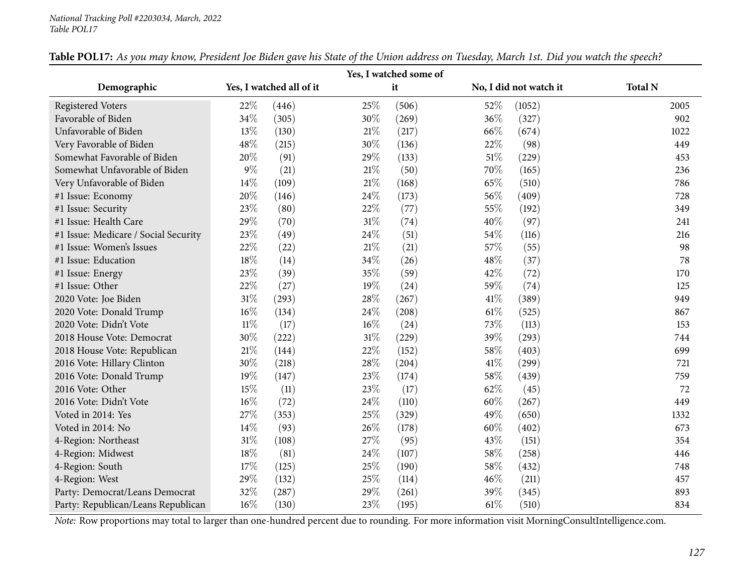| Yes, I watched some of               |        |                          |        |       |      |                        |                |  |  |  |  |
|--------------------------------------|--------|--------------------------|--------|-------|------|------------------------|----------------|--|--|--|--|
| Demographic                          |        | Yes, I watched all of it |        | it    |      | No, I did not watch it | <b>Total N</b> |  |  |  |  |
| <b>Registered Voters</b>             | 22%    | (446)                    | 25%    | (506) | 52%  | (1052)                 | 2005           |  |  |  |  |
| Favorable of Biden                   | 34%    | (305)                    | 30%    | (269) | 36%  | (327)                  | 902            |  |  |  |  |
| Unfavorable of Biden                 | 13%    | (130)                    | 21%    | (217) | 66%  | (674)                  | 1022           |  |  |  |  |
| Very Favorable of Biden              | 48%    | (215)                    | 30%    | (136) | 22%  | (98)                   | 449            |  |  |  |  |
| Somewhat Favorable of Biden          | 20%    | (91)                     | 29%    | (133) | 51%  | (229)                  | 453            |  |  |  |  |
| Somewhat Unfavorable of Biden        | $9\%$  | (21)                     | 21%    | (50)  | 70%  | (165)                  | 236            |  |  |  |  |
| Very Unfavorable of Biden            | $14\%$ | (109)                    | 21%    | (168) | 65%  | (510)                  | 786            |  |  |  |  |
| #1 Issue: Economy                    | 20%    | (146)                    | 24%    | (173) | 56%  | (409)                  | 728            |  |  |  |  |
| #1 Issue: Security                   | 23%    | (80)                     | 22%    | (77)  | 55%  | (192)                  | 349            |  |  |  |  |
| #1 Issue: Health Care                | 29%    | (70)                     | 31%    | (74)  | 40%  | (97)                   | 241            |  |  |  |  |
| #1 Issue: Medicare / Social Security | 23%    | (49)                     | 24%    | (51)  | 54\% | (116)                  | 216            |  |  |  |  |
| #1 Issue: Women's Issues             | 22%    | (22)                     | 21%    | (21)  | 57%  | (55)                   | 98             |  |  |  |  |
| #1 Issue: Education                  | 18%    | (14)                     | 34%    | (26)  | 48%  | (37)                   | 78             |  |  |  |  |
| #1 Issue: Energy                     | 23%    | (39)                     | 35%    | (59)  | 42%  | (72)                   | 170            |  |  |  |  |
| #1 Issue: Other                      | 22%    | (27)                     | 19%    | (24)  | 59%  | (74)                   | 125            |  |  |  |  |
| 2020 Vote: Joe Biden                 | $31\%$ | (293)                    | 28%    | (267) | 41\% | (389)                  | 949            |  |  |  |  |
| 2020 Vote: Donald Trump              | 16%    | (134)                    | 24%    | (208) | 61\% | (525)                  | 867            |  |  |  |  |
| 2020 Vote: Didn't Vote               | $11\%$ | (17)                     | $16\%$ | (24)  | 73%  | (113)                  | 153            |  |  |  |  |
| 2018 House Vote: Democrat            | 30%    | (222)                    | 31%    | (229) | 39%  | (293)                  | 744            |  |  |  |  |
| 2018 House Vote: Republican          | $21\%$ | (144)                    | 22%    | (152) | 58%  | (403)                  | 699            |  |  |  |  |
| 2016 Vote: Hillary Clinton           | 30%    | (218)                    | 28%    | (204) | 41\% | (299)                  | 721            |  |  |  |  |
| 2016 Vote: Donald Trump              | 19%    | (147)                    | 23%    | (174) | 58%  | (439)                  | 759            |  |  |  |  |
| 2016 Vote: Other                     | 15%    | (11)                     | 23%    | (17)  | 62%  | (45)                   | 72             |  |  |  |  |
| 2016 Vote: Didn't Vote               | 16%    | (72)                     | 24%    | (110) | 60%  | (267)                  | 449            |  |  |  |  |
| Voted in 2014: Yes                   | 27%    | (353)                    | 25%    | (329) | 49%  | (650)                  | 1332           |  |  |  |  |
| Voted in 2014: No                    | 14%    | (93)                     | 26%    | (178) | 60%  | (402)                  | 673            |  |  |  |  |
| 4-Region: Northeast                  | $31\%$ | (108)                    | 27%    | (95)  | 43%  | (151)                  | 354            |  |  |  |  |
| 4-Region: Midwest                    | 18%    | (81)                     | 24%    | (107) | 58%  | (258)                  | 446            |  |  |  |  |
| 4-Region: South                      | 17%    | (125)                    | 25%    | (190) | 58%  | (432)                  | 748            |  |  |  |  |
| 4-Region: West                       | 29%    | (132)                    | 25%    | (114) | 46%  | (211)                  | 457            |  |  |  |  |
| Party: Democrat/Leans Democrat       | 32%    | (287)                    | 29%    | (261) | 39%  | (345)                  | 893            |  |  |  |  |
| Party: Republican/Leans Republican   | 16%    | (130)                    | 23%    | (195) | 61\% | (510)                  | 834            |  |  |  |  |

Table POL17: As you may know, President Joe Biden gave his State of the Union address on Tuesday, March 1st. Did you watch the speech?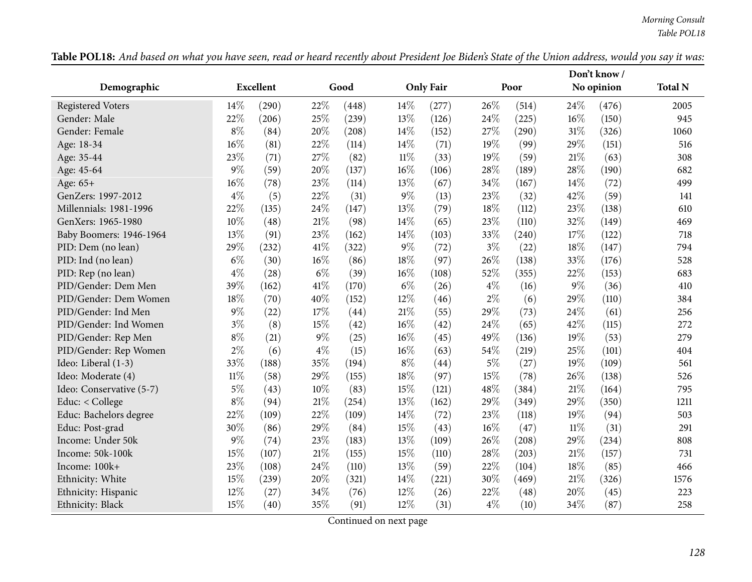|                          |        |                  |        |       |        |                  |        | Don't know / |        |            |                |
|--------------------------|--------|------------------|--------|-------|--------|------------------|--------|--------------|--------|------------|----------------|
| Demographic              |        | <b>Excellent</b> |        | Good  |        | <b>Only Fair</b> |        | Poor         |        | No opinion | <b>Total N</b> |
| <b>Registered Voters</b> | 14%    | (290)            | 22%    | (448) | 14\%   | (277)            | 26%    | (514)        | 24%    | (476)      | 2005           |
| Gender: Male             | 22%    | (206)            | 25%    | (239) | 13%    | (126)            | 24\%   | (225)        | 16%    | (150)      | 945            |
| Gender: Female           | $8\%$  | (84)             | 20%    | (208) | 14\%   | (152)            | 27\%   | (290)        | 31%    | (326)      | 1060           |
| Age: 18-34               | 16%    | (81)             | 22%    | (114) | 14%    | (71)             | 19%    | (99)         | 29%    | (151)      | 516            |
| Age: 35-44               | 23%    | (71)             | 27%    | (82)  | $11\%$ | (33)             | 19%    | (59)         | 21%    | (63)       | 308            |
| Age: 45-64               | 9%     | (59)             | 20%    | (137) | 16%    | (106)            | 28%    | (189)        | 28%    | (190)      | 682            |
| Age: 65+                 | 16%    | (78)             | 23%    | (114) | 13%    | (67)             | 34%    | (167)        | 14%    | (72)       | 499            |
| GenZers: 1997-2012       | $4\%$  | (5)              | 22%    | (31)  | $9\%$  | (13)             | 23%    | (32)         | 42%    | (59)       | 141            |
| Millennials: 1981-1996   | 22%    | (135)            | 24%    | (147) | 13%    | (79)             | 18%    | (112)        | 23%    | (138)      | 610            |
| GenXers: 1965-1980       | 10%    | (48)             | 21%    | (98)  | 14%    | (65)             | 23%    | (110)        | 32%    | (149)      | 469            |
| Baby Boomers: 1946-1964  | 13%    | (91)             | 23%    | (162) | 14%    | (103)            | 33%    | (240)        | 17%    | (122)      | 718            |
| PID: Dem (no lean)       | 29%    | (232)            | 41\%   | (322) | $9\%$  | (72)             | $3\%$  | (22)         | 18%    | (147)      | 794            |
| PID: Ind (no lean)       | $6\%$  | (30)             | 16%    | (86)  | 18%    | (97)             | $26\%$ | (138)        | 33%    | (176)      | 528            |
| PID: Rep (no lean)       | $4\%$  | (28)             | $6\%$  | (39)  | 16%    | (108)            | 52%    | (355)        | 22%    | (153)      | 683            |
| PID/Gender: Dem Men      | 39%    | (162)            | 41\%   | (170) | $6\%$  | (26)             | $4\%$  | (16)         | $9\%$  | (36)       | 410            |
| PID/Gender: Dem Women    | 18%    | (70)             | 40%    | (152) | 12%    | (46)             | $2\%$  | (6)          | 29%    | (110)      | 384            |
| PID/Gender: Ind Men      | $9\%$  | (22)             | 17%    | (44)  | 21%    | (55)             | 29%    | (73)         | 24%    | (61)       | 256            |
| PID/Gender: Ind Women    | $3\%$  | (8)              | 15%    | (42)  | 16%    | (42)             | 24%    | (65)         | 42%    | (115)      | 272            |
| PID/Gender: Rep Men      | $8\%$  | (21)             | $9\%$  | (25)  | 16%    | (45)             | 49%    | (136)        | 19%    | (53)       | 279            |
| PID/Gender: Rep Women    | $2\%$  | (6)              | $4\%$  | (15)  | 16%    | (63)             | 54%    | (219)        | 25%    | (101)      | 404            |
| Ideo: Liberal (1-3)      | 33%    | (188)            | 35%    | (194) | $8\%$  | (44)             | $5\%$  | (27)         | 19%    | (109)      | 561            |
| Ideo: Moderate (4)       | $11\%$ | (58)             | 29%    | (155) | 18%    | (97)             | 15%    | (78)         | 26%    | (138)      | 526            |
| Ideo: Conservative (5-7) | $5\%$  | (43)             | 10%    | (83)  | 15%    | (121)            | 48%    | (384)        | 21%    | (164)      | 795            |
| Educ: < College          | $8\%$  | (94)             | 21%    | (254) | 13%    | (162)            | 29%    | (349)        | 29%    | (350)      | 1211           |
| Educ: Bachelors degree   | 22%    | (109)            | $22\%$ | (109) | 14%    | (72)             | 23%    | (118)        | 19%    | (94)       | 503            |
| Educ: Post-grad          | 30%    | (86)             | 29%    | (84)  | 15%    | (43)             | $16\%$ | (47)         | $11\%$ | (31)       | 291            |
| Income: Under 50k        | 9%     | (74)             | 23%    | (183) | 13%    | (109)            | 26%    | (208)        | 29%    | (234)      | 808            |
| Income: 50k-100k         | 15%    | (107)            | 21%    | (155) | 15%    | (110)            | 28%    | (203)        | 21%    | (157)      | 731            |
| Income: 100k+            | 23%    | (108)            | 24%    | (110) | 13%    | (59)             | 22%    | (104)        | 18%    | (85)       | 466            |
| Ethnicity: White         | 15%    | (239)            | 20%    | (321) | 14%    | (221)            | 30%    | (469)        | $21\%$ | (326)      | 1576           |
| Ethnicity: Hispanic      | 12%    | (27)             | 34%    | (76)  | 12%    | (26)             | 22%    | (48)         | 20%    | (45)       | 223            |
| Ethnicity: Black         | 15%    | (40)             | 35%    | (91)  | 12%    | (31)             | $4\%$  | (10)         | 34%    | (87)       | 258            |

Table POL18: And based on what you have seen, read or heard recently about President Joe Biden's State of the Union address, would you say it was: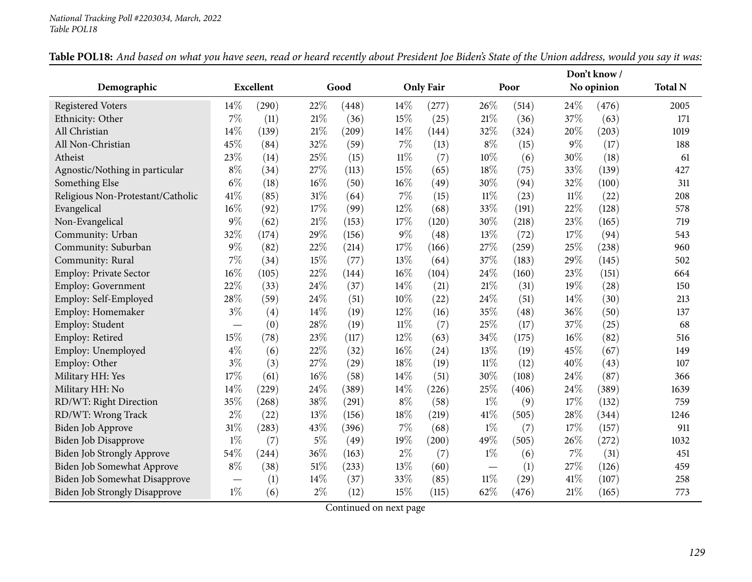| Demographic                          |        | <b>Excellent</b> |       | Good  |        | <b>Only Fair</b> |        | Poor  |        | No opinion | <b>Total N</b> |
|--------------------------------------|--------|------------------|-------|-------|--------|------------------|--------|-------|--------|------------|----------------|
| <b>Registered Voters</b>             | $14\%$ | (290)            | 22%   | (448) | 14%    | (277)            | 26%    | (514) | 24%    | (476)      | 2005           |
| Ethnicity: Other                     | $7\%$  | (11)             | 21%   | (36)  | 15%    | (25)             | 21%    | (36)  | 37%    | (63)       | 171            |
| All Christian                        | 14%    | (139)            | 21%   | (209) | 14%    | (144)            | 32%    | (324) | 20%    | (203)      | 1019           |
| All Non-Christian                    | 45%    | (84)             | 32%   | (59)  | $7\%$  | (13)             | $8\%$  | (15)  | 9%     | (17)       | 188            |
| Atheist                              | 23%    | (14)             | 25%   | (15)  | $11\%$ | (7)              | 10%    | (6)   | 30%    | (18)       | 61             |
| Agnostic/Nothing in particular       | $8\%$  | (34)             | 27%   | (113) | 15%    | (65)             | 18%    | (75)  | 33%    | (139)      | 427            |
| Something Else                       | $6\%$  | (18)             | 16%   | (50)  | $16\%$ | (49)             | 30%    | (94)  | 32%    | (100)      | 311            |
| Religious Non-Protestant/Catholic    | 41\%   | (85)             | 31%   | (64)  | $7\%$  | (15)             | $11\%$ | (23)  | $11\%$ | (22)       | 208            |
| Evangelical                          | $16\%$ | (92)             | 17%   | (99)  | 12%    | (68)             | 33%    | (191) | 22%    | (128)      | 578            |
| Non-Evangelical                      | $9\%$  | (62)             | 21%   | (153) | 17%    | (120)            | 30%    | (218) | 23%    | (165)      | 719            |
| Community: Urban                     | 32%    | (174)            | 29%   | (156) | $9\%$  | (48)             | 13%    | (72)  | 17%    | (94)       | 543            |
| Community: Suburban                  | $9\%$  | (82)             | 22%   | (214) | 17%    | (166)            | 27%    | (259) | 25%    | (238)      | 960            |
| Community: Rural                     | $7\%$  | (34)             | 15%   | (77)  | 13%    | (64)             | 37%    | (183) | 29%    | (145)      | 502            |
| Employ: Private Sector               | 16%    | (105)            | 22%   | (144) | $16\%$ | (104)            | 24%    | (160) | 23%    | (151)      | 664            |
| Employ: Government                   | 22%    | (33)             | 24%   | (37)  | 14%    | (21)             | 21\%   | (31)  | 19%    | (28)       | 150            |
| Employ: Self-Employed                | 28%    | (59)             | 24%   | (51)  | 10%    | (22)             | 24%    | (51)  | 14%    | (30)       | 213            |
| Employ: Homemaker                    | $3\%$  | (4)              | 14%   | (19)  | 12%    | (16)             | 35%    | (48)  | 36%    | (50)       | 137            |
| Employ: Student                      |        | (0)              | 28%   | (19)  | $11\%$ | (7)              | 25%    | (17)  | 37%    | (25)       | 68             |
| Employ: Retired                      | 15%    | (78)             | 23%   | (117) | 12%    | (63)             | 34%    | (175) | 16%    | (82)       | 516            |
| Employ: Unemployed                   | $4\%$  | (6)              | 22%   | (32)  | 16%    | (24)             | 13%    | (19)  | 45%    | (67)       | 149            |
| Employ: Other                        | $3\%$  | (3)              | 27%   | (29)  | 18%    | (19)             | $11\%$ | (12)  | 40%    | (43)       | 107            |
| Military HH: Yes                     | 17%    | (61)             | 16%   | (58)  | 14%    | (51)             | 30%    | (108) | 24%    | (87)       | 366            |
| Military HH: No                      | 14%    | (229)            | 24%   | (389) | 14%    | (226)            | 25%    | (406) | 24%    | (389)      | 1639           |
| RD/WT: Right Direction               | 35%    | (268)            | 38%   | (291) | $8\%$  | (58)             | $1\%$  | (9)   | 17%    | (132)      | 759            |
| RD/WT: Wrong Track                   | $2\%$  | (22)             | 13%   | (156) | $18\%$ | (219)            | 41%    | (505) | 28%    | (344)      | 1246           |
| <b>Biden Job Approve</b>             | $31\%$ | (283)            | 43%   | (396) | $7\%$  | (68)             | $1\%$  | (7)   | 17%    | (157)      | 911            |
| <b>Biden Job Disapprove</b>          | $1\%$  | (7)              | $5\%$ | (49)  | 19%    | (200)            | 49%    | (505) | 26%    | (272)      | 1032           |
| Biden Job Strongly Approve           | 54%    | (244)            | 36%   | (163) | $2\%$  | (7)              | $1\%$  | (6)   | 7%     | (31)       | 451            |
| Biden Job Somewhat Approve           | $8\%$  | (38)             | 51%   | (233) | 13%    | (60)             |        | (1)   | 27%    | (126)      | 459            |
| Biden Job Somewhat Disapprove        |        | (1)              | 14%   | (37)  | 33%    | (85)             | $11\%$ | (29)  | 41%    | (107)      | 258            |
| <b>Biden Job Strongly Disapprove</b> | $1\%$  | (6)              | $2\%$ | (12)  | 15%    | (115)            | 62%    | (476) | 21%    | (165)      | 773            |

Table POL18: And based on what you have seen, read or heard recently about President Joe Biden's State of the Union address, would you say it was: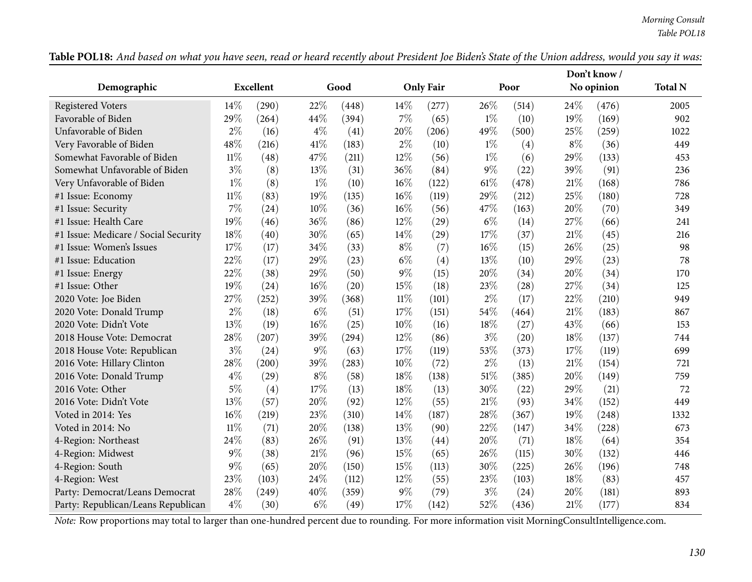|                                      |        |                  |        |       |        |                  |        |       |       | Don't know / |                |
|--------------------------------------|--------|------------------|--------|-------|--------|------------------|--------|-------|-------|--------------|----------------|
| Demographic                          |        | <b>Excellent</b> |        | Good  |        | <b>Only Fair</b> |        | Poor  |       | No opinion   | <b>Total N</b> |
| <b>Registered Voters</b>             | 14%    | (290)            | 22%    | (448) | 14%    | (277)            | 26%    | (514) | 24%   | (476)        | 2005           |
| Favorable of Biden                   | 29%    | (264)            | 44\%   | (394) | $7\%$  | (65)             | $1\%$  | (10)  | 19%   | (169)        | 902            |
| Unfavorable of Biden                 | $2\%$  | (16)             | $4\%$  | (41)  | 20%    | (206)            | 49%    | (500) | 25%   | (259)        | 1022           |
| Very Favorable of Biden              | 48%    | (216)            | 41%    | (183) | $2\%$  | (10)             | $1\%$  | (4)   | $8\%$ | (36)         | 449            |
| Somewhat Favorable of Biden          | $11\%$ | (48)             | 47%    | (211) | 12%    | (56)             | $1\%$  | (6)   | 29%   | (133)        | 453            |
| Somewhat Unfavorable of Biden        | $3\%$  | (8)              | 13%    | (31)  | 36%    | (84)             | $9\%$  | (22)  | 39%   | (91)         | 236            |
| Very Unfavorable of Biden            | $1\%$  | (8)              | $1\%$  | (10)  | $16\%$ | (122)            | $61\%$ | (478) | 21%   | (168)        | 786            |
| #1 Issue: Economy                    | $11\%$ | (83)             | 19%    | (135) | $16\%$ | (119)            | 29%    | (212) | 25%   | (180)        | 728            |
| #1 Issue: Security                   | 7%     | (24)             | 10%    | (36)  | $16\%$ | (56)             | 47%    | (163) | 20%   | (70)         | 349            |
| #1 Issue: Health Care                | 19%    | (46)             | 36%    | (86)  | 12%    | (29)             | $6\%$  | (14)  | 27%   | (66)         | 241            |
| #1 Issue: Medicare / Social Security | 18%    | (40)             | 30%    | (65)  | 14%    | (29)             | 17%    | (37)  | 21%   | (45)         | 216            |
| #1 Issue: Women's Issues             | 17%    | (17)             | 34%    | (33)  | $8\%$  | (7)              | 16%    | (15)  | 26%   | (25)         | 98             |
| #1 Issue: Education                  | 22%    | (17)             | $29\%$ | (23)  | $6\%$  | (4)              | 13%    | (10)  | 29%   | (23)         | 78             |
| #1 Issue: Energy                     | 22%    | (38)             | 29%    | (50)  | $9\%$  | (15)             | 20%    | (34)  | 20%   | (34)         | 170            |
| #1 Issue: Other                      | 19%    | (24)             | 16%    | (20)  | 15%    | (18)             | 23%    | (28)  | 27%   | (34)         | 125            |
| 2020 Vote: Joe Biden                 | 27%    | (252)            | 39%    | (368) | $11\%$ | (101)            | $2\%$  | (17)  | 22%   | (210)        | 949            |
| 2020 Vote: Donald Trump              | 2%     | (18)             | $6\%$  | (51)  | 17%    | (151)            | 54%    | (464) | 21%   | (183)        | 867            |
| 2020 Vote: Didn't Vote               | 13%    | (19)             | 16%    | (25)  | 10%    | (16)             | 18%    | (27)  | 43%   | (66)         | 153            |
| 2018 House Vote: Democrat            | 28%    | (207)            | 39%    | (294) | 12%    | (86)             | $3\%$  | (20)  | 18%   | (137)        | 744            |
| 2018 House Vote: Republican          | $3\%$  | (24)             | $9\%$  | (63)  | 17%    | (119)            | 53%    | (373) | 17%   | (119)        | 699            |
| 2016 Vote: Hillary Clinton           | 28%    | (200)            | 39%    | (283) | 10%    | (72)             | $2\%$  | (13)  | 21%   | (154)        | 721            |
| 2016 Vote: Donald Trump              | $4\%$  | (29)             | $8\%$  | (58)  | 18%    | (138)            | $51\%$ | (385) | 20%   | (149)        | 759            |
| 2016 Vote: Other                     | $5\%$  | (4)              | 17%    | (13)  | 18%    | (13)             | 30%    | (22)  | 29%   | (21)         | 72             |
| 2016 Vote: Didn't Vote               | 13%    | (57)             | 20%    | (92)  | $12\%$ | (55)             | $21\%$ | (93)  | 34%   | (152)        | 449            |
| Voted in 2014: Yes                   | 16%    | (219)            | 23%    | (310) | 14%    | (187)            | 28%    | (367) | 19%   | (248)        | 1332           |
| Voted in 2014: No                    | $11\%$ | (71)             | 20%    | (138) | 13%    | (90)             | 22%    | (147) | 34%   | (228)        | 673            |
| 4-Region: Northeast                  | 24%    | (83)             | 26%    | (91)  | 13%    | (44)             | 20%    | (71)  | 18%   | (64)         | 354            |
| 4-Region: Midwest                    | $9\%$  | (38)             | $21\%$ | (96)  | 15%    | (65)             | $26\%$ | (115) | 30%   | (132)        | 446            |
| 4-Region: South                      | 9%     | (65)             | 20%    | (150) | 15%    | (113)            | 30%    | (225) | 26%   | (196)        | 748            |
| 4-Region: West                       | 23%    | (103)            | 24\%   | (112) | 12%    | (55)             | 23%    | (103) | 18%   | (83)         | 457            |
| Party: Democrat/Leans Democrat       | 28%    | (249)            | 40%    | (359) | $9\%$  | (79)             | $3\%$  | (24)  | 20%   | (181)        | 893            |
| Party: Republican/Leans Republican   | $4\%$  | (30)             | $6\%$  | (49)  | 17%    | (142)            | 52%    | (436) | 21%   | (177)        | 834            |

Table POL18: And based on what you have seen, read or heard recently about President Joe Biden's State of the Union address, would you say it was: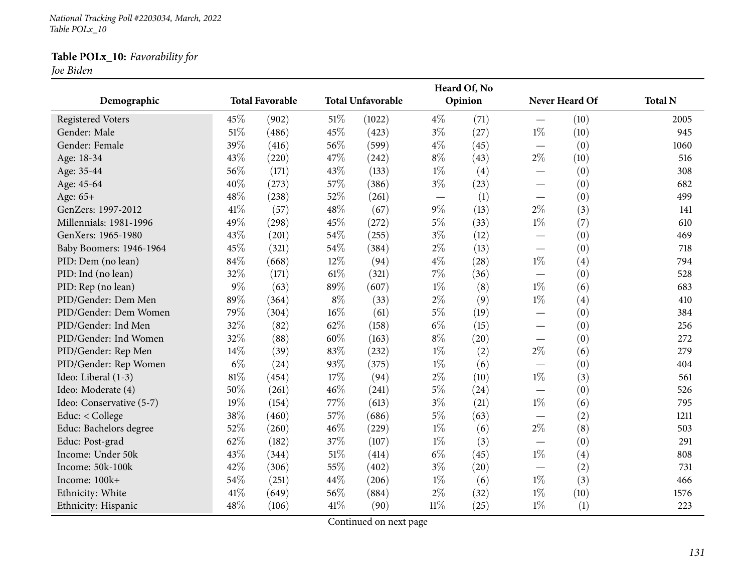*National Tracking Poll #2203034, March, <sup>2022</sup> Table POLx\_10*

# **Table POLx\_10:** *Favorability for*

*Joe Biden*

|                          |       |                        |        |                          |                                   | Heard Of, No |                          |                |                |
|--------------------------|-------|------------------------|--------|--------------------------|-----------------------------------|--------------|--------------------------|----------------|----------------|
| Demographic              |       | <b>Total Favorable</b> |        | <b>Total Unfavorable</b> |                                   | Opinion      |                          | Never Heard Of | <b>Total N</b> |
| <b>Registered Voters</b> | 45%   | (902)                  | $51\%$ | (1022)                   | $4\%$                             | (71)         |                          | (10)           | 2005           |
| Gender: Male             | 51%   | (486)                  | 45%    | (423)                    | $3\%$                             | (27)         | $1\%$                    | (10)           | 945            |
| Gender: Female           | 39%   | (416)                  | 56%    | (599)                    | $4\%$                             | (45)         |                          | (0)            | 1060           |
| Age: 18-34               | 43%   | (220)                  | 47%    | (242)                    | $8\%$                             | (43)         | $2\%$                    | (10)           | 516            |
| Age: 35-44               | 56%   | (171)                  | 43%    | (133)                    | $1\%$                             | (4)          | $\overline{\phantom{0}}$ | (0)            | 308            |
| Age: 45-64               | 40%   | (273)                  | 57%    | (386)                    | $3\%$                             | (23)         | $\overline{\phantom{0}}$ | (0)            | 682            |
| Age: 65+                 | 48%   | (238)                  | 52%    | (261)                    | $\overbrace{\phantom{123221111}}$ | (1)          | $\overline{\phantom{0}}$ | (0)            | 499            |
| GenZers: 1997-2012       | 41\%  | (57)                   | 48%    | (67)                     | $9\%$                             | (13)         | $2\%$                    | (3)            | 141            |
| Millennials: 1981-1996   | 49%   | (298)                  | 45%    | (272)                    | $5\%$                             | (33)         | $1\%$                    | (7)            | 610            |
| GenXers: 1965-1980       | 43%   | (201)                  | 54%    | (255)                    | $3\%$                             | (12)         | $\overline{\phantom{0}}$ | (0)            | 469            |
| Baby Boomers: 1946-1964  | 45%   | (321)                  | 54%    | (384)                    | $2\%$                             | (13)         |                          | (0)            | 718            |
| PID: Dem (no lean)       | 84%   | (668)                  | 12%    | (94)                     | $4\%$                             | (28)         | $1\%$                    | (4)            | 794            |
| PID: Ind (no lean)       | 32%   | (171)                  | 61\%   | (321)                    | $7\%$                             | (36)         |                          | (0)            | 528            |
| PID: Rep (no lean)       | $9\%$ | (63)                   | 89%    | (607)                    | $1\%$                             | (8)          | $1\%$                    | (6)            | 683            |
| PID/Gender: Dem Men      | 89%   | (364)                  | $8\%$  | (33)                     | $2\%$                             | (9)          | $1\%$                    | (4)            | 410            |
| PID/Gender: Dem Women    | 79%   | (304)                  | 16%    | (61)                     | $5\%$                             | (19)         | $\overline{\phantom{0}}$ | (0)            | 384            |
| PID/Gender: Ind Men      | 32%   | (82)                   | 62%    | (158)                    | $6\%$                             | (15)         | $\overline{\phantom{0}}$ | (0)            | 256            |
| PID/Gender: Ind Women    | 32%   | (88)                   | 60%    | (163)                    | $8\%$                             | (20)         | $\overline{\phantom{0}}$ | (0)            | 272            |
| PID/Gender: Rep Men      | 14%   | (39)                   | 83%    | (232)                    | $1\%$                             | (2)          | $2\%$                    | (6)            | 279            |
| PID/Gender: Rep Women    | $6\%$ | (24)                   | 93%    | (375)                    | $1\%$                             | (6)          | $\overline{\phantom{0}}$ | (0)            | 404            |
| Ideo: Liberal (1-3)      | 81%   | (454)                  | 17%    | (94)                     | $2\%$                             | (10)         | $1\%$                    | (3)            | 561            |
| Ideo: Moderate (4)       | 50%   | (261)                  | 46%    | (241)                    | $5\%$                             | (24)         |                          | (0)            | 526            |
| Ideo: Conservative (5-7) | 19%   | (154)                  | 77%    | (613)                    | $3\%$                             | (21)         | $1\%$                    | (6)            | 795            |
| Educ: < College          | 38%   | (460)                  | 57%    | (686)                    | $5\%$                             | (63)         |                          | (2)            | 1211           |
| Educ: Bachelors degree   | 52%   | (260)                  | 46%    | (229)                    | $1\%$                             | (6)          | $2\%$                    | (8)            | 503            |
| Educ: Post-grad          | 62%   | (182)                  | 37%    | (107)                    | $1\%$                             | (3)          | $\overline{\phantom{0}}$ | (0)            | 291            |
| Income: Under 50k        | 43%   | (344)                  | 51%    | (414)                    | $6\%$                             | (45)         | $1\%$                    | (4)            | 808            |
| Income: 50k-100k         | 42%   | (306)                  | 55%    | (402)                    | $3\%$                             | (20)         |                          | (2)            | 731            |
| Income: 100k+            | 54%   | (251)                  | 44%    | (206)                    | $1\%$                             | (6)          | $1\%$                    | (3)            | 466            |
| Ethnicity: White         | 41%   | (649)                  | 56%    | (884)                    | $2\%$                             | (32)         | $1\%$                    | (10)           | 1576           |
| Ethnicity: Hispanic      | 48%   | (106)                  | 41\%   | (90)                     | $11\%$                            | (25)         | $1\%$                    | (1)            | 223            |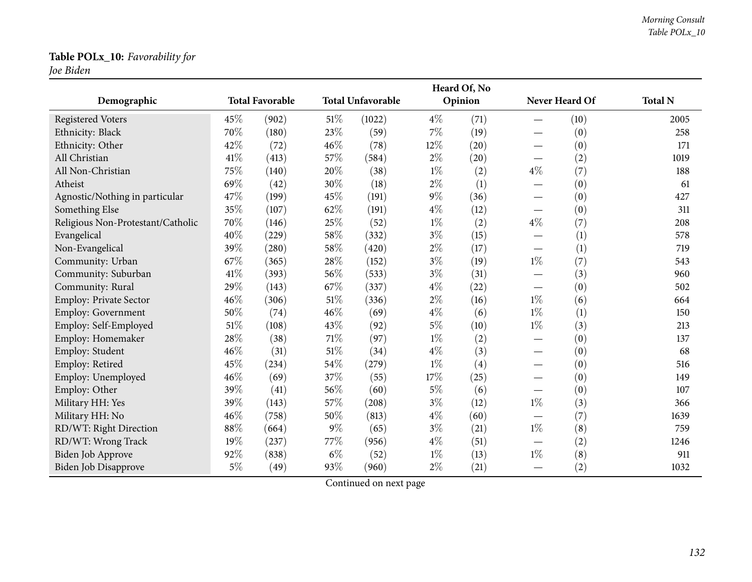# **Table POLx\_10:** *Favorability for*

*Joe Biden*

|                                   |        |                        |       |                          |       | Heard Of, No |                                 |                |                |
|-----------------------------------|--------|------------------------|-------|--------------------------|-------|--------------|---------------------------------|----------------|----------------|
| Demographic                       |        | <b>Total Favorable</b> |       | <b>Total Unfavorable</b> |       | Opinion      |                                 | Never Heard Of | <b>Total N</b> |
| <b>Registered Voters</b>          | 45%    | (902)                  | 51\%  | (1022)                   | $4\%$ | (71)         |                                 | (10)           | 2005           |
| Ethnicity: Black                  | 70%    | (180)                  | 23%   | (59)                     | $7\%$ | (19)         |                                 | (0)            | 258            |
| Ethnicity: Other                  | 42%    | (72)                   | 46%   | (78)                     | 12%   | (20)         |                                 | (0)            | 171            |
| All Christian                     | 41\%   | (413)                  | 57%   | (584)                    | $2\%$ | (20)         |                                 | (2)            | 1019           |
| All Non-Christian                 | 75%    | (140)                  | 20%   | (38)                     | $1\%$ | (2)          | $4\%$                           | (7)            | 188            |
| Atheist                           | 69%    | (42)                   | 30%   | (18)                     | $2\%$ | (1)          |                                 | (0)            | 61             |
| Agnostic/Nothing in particular    | 47%    | (199)                  | 45%   | (191)                    | $9\%$ | (36)         |                                 | (0)            | 427            |
| Something Else                    | $35\%$ | (107)                  | 62%   | (191)                    | $4\%$ | (12)         | $\hspace{0.1mm}-\hspace{0.1mm}$ | (0)            | 311            |
| Religious Non-Protestant/Catholic | $70\%$ | (146)                  | 25%   | (52)                     | $1\%$ | (2)          | $4\%$                           | (7)            | 208            |
| Evangelical                       | 40%    | (229)                  | 58%   | (332)                    | $3\%$ | (15)         |                                 | (1)            | 578            |
| Non-Evangelical                   | 39%    | (280)                  | 58%   | (420)                    | $2\%$ | (17)         |                                 | (1)            | 719            |
| Community: Urban                  | 67%    | (365)                  | 28%   | (152)                    | $3\%$ | (19)         | $1\%$                           | (7)            | 543            |
| Community: Suburban               | 41%    | (393)                  | 56%   | (533)                    | $3\%$ | (31)         |                                 | (3)            | 960            |
| Community: Rural                  | 29%    | (143)                  | 67%   | (337)                    | $4\%$ | (22)         |                                 | (0)            | 502            |
| Employ: Private Sector            | 46%    | (306)                  | 51%   | (336)                    | $2\%$ | (16)         | $1\%$                           | (6)            | 664            |
| Employ: Government                | 50%    | (74)                   | 46%   | (69)                     | $4\%$ | (6)          | $1\%$                           | (1)            | 150            |
| Employ: Self-Employed             | 51%    | (108)                  | 43%   | (92)                     | $5\%$ | (10)         | $1\%$                           | (3)            | 213            |
| Employ: Homemaker                 | 28%    | (38)                   | 71%   | (97)                     | $1\%$ | (2)          |                                 | (0)            | 137            |
| Employ: Student                   | 46%    | (31)                   | 51%   | (34)                     | $4\%$ | (3)          |                                 | (0)            | 68             |
| Employ: Retired                   | 45%    | (234)                  | 54%   | (279)                    | $1\%$ | (4)          |                                 | (0)            | 516            |
| Employ: Unemployed                | 46%    | (69)                   | 37%   | (55)                     | 17%   | (25)         |                                 | (0)            | 149            |
| Employ: Other                     | 39%    | (41)                   | 56%   | (60)                     | $5\%$ | (6)          |                                 | (0)            | 107            |
| Military HH: Yes                  | 39%    | (143)                  | 57%   | (208)                    | $3\%$ | (12)         | $1\%$                           | (3)            | 366            |
| Military HH: No                   | 46%    | (758)                  | 50%   | (813)                    | $4\%$ | (60)         |                                 | (7)            | 1639           |
| RD/WT: Right Direction            | 88%    | (664)                  | $9\%$ | (65)                     | $3\%$ | (21)         | $1\%$                           | (8)            | 759            |
| RD/WT: Wrong Track                | 19%    | (237)                  | 77%   | (956)                    | $4\%$ | (51)         |                                 | (2)            | 1246           |
| Biden Job Approve                 | 92%    | (838)                  | $6\%$ | (52)                     | $1\%$ | (13)         | $1\%$                           | (8)            | 911            |
| Biden Job Disapprove              | $5\%$  | (49)                   | 93%   | (960)                    | $2\%$ | (21)         |                                 | (2)            | 1032           |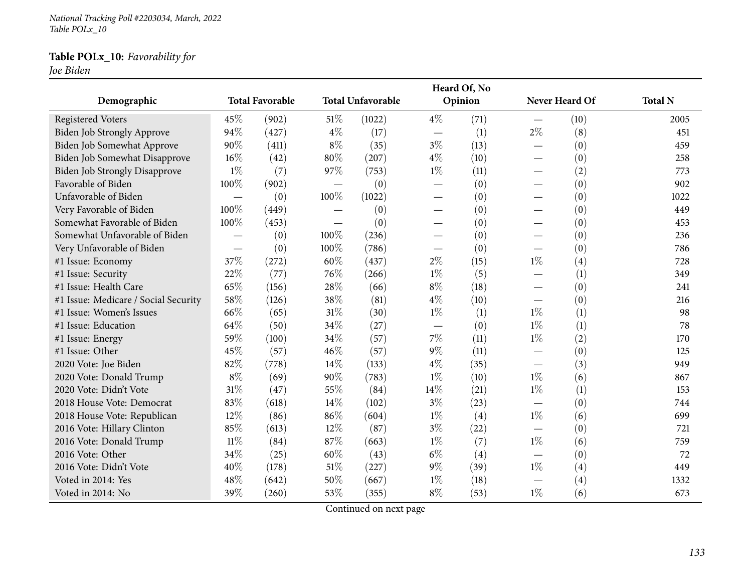*National Tracking Poll #2203034, March, <sup>2022</sup> Table POLx\_10*

## **Table POLx\_10:** *Favorability for*

*Joe Biden*

|                                      |                          |                        |                          |                          |                                 | Heard Of, No |                               |                |                |
|--------------------------------------|--------------------------|------------------------|--------------------------|--------------------------|---------------------------------|--------------|-------------------------------|----------------|----------------|
| Demographic                          |                          | <b>Total Favorable</b> |                          | <b>Total Unfavorable</b> |                                 | Opinion      |                               | Never Heard Of | <b>Total N</b> |
| <b>Registered Voters</b>             | 45%                      | (902)                  | 51\%                     | (1022)                   | $4\%$                           | (71)         |                               | (10)           | 2005           |
| Biden Job Strongly Approve           | 94%                      | (427)                  | $4\%$                    | (17)                     |                                 | (1)          | $2\%$                         | (8)            | 451            |
| Biden Job Somewhat Approve           | 90%                      | (411)                  | $8\%$                    | (35)                     | $3\%$                           | (13)         |                               | (0)            | 459            |
| Biden Job Somewhat Disapprove        | 16%                      | (42)                   | 80%                      | (207)                    | $4\%$                           | (10)         |                               | (0)            | 258            |
| <b>Biden Job Strongly Disapprove</b> | $1\%$                    | (7)                    | 97%                      | (753)                    | $1\%$                           | (11)         |                               | (2)            | 773            |
| Favorable of Biden                   | 100%                     | (902)                  | $\overline{\phantom{0}}$ | (0)                      | $\hspace{0.1mm}-\hspace{0.1mm}$ | (0)          |                               | (0)            | 902            |
| Unfavorable of Biden                 |                          | (0)                    | 100%                     | (1022)                   |                                 | (0)          |                               | (0)            | 1022           |
| Very Favorable of Biden              | 100%                     | (449)                  |                          | (0)                      |                                 | (0)          |                               | (0)            | 449            |
| Somewhat Favorable of Biden          | 100%                     | (453)                  |                          | (0)                      |                                 | (0)          |                               | (0)            | 453            |
| Somewhat Unfavorable of Biden        | $\overline{\phantom{0}}$ | (0)                    | 100\%                    | (236)                    | $\qquad \qquad$                 | (0)          |                               | (0)            | 236            |
| Very Unfavorable of Biden            | $\overline{\phantom{0}}$ | (0)                    | 100%                     | (786)                    | $\overline{\phantom{0}}$        | (0)          |                               | (0)            | 786            |
| #1 Issue: Economy                    | 37%                      | (272)                  | 60%                      | (437)                    | $2\%$                           | (15)         | $1\%$                         | (4)            | 728            |
| #1 Issue: Security                   | 22%                      | (77)                   | 76%                      | (266)                    | $1\%$                           | (5)          |                               | (1)            | 349            |
| #1 Issue: Health Care                | 65%                      | (156)                  | 28%                      | (66)                     | $8\%$                           | (18)         |                               | (0)            | 241            |
| #1 Issue: Medicare / Social Security | 58%                      | (126)                  | 38%                      | (81)                     | $4\%$                           | (10)         | $\overbrace{\phantom{aaaaa}}$ | (0)            | 216            |
| #1 Issue: Women's Issues             | 66%                      | (65)                   | 31%                      | (30)                     | $1\%$                           | (1)          | $1\%$                         | (1)            | 98             |
| #1 Issue: Education                  | 64%                      | (50)                   | 34%                      | (27)                     | $\overline{\phantom{m}}$        | (0)          | $1\%$                         | (1)            | 78             |
| #1 Issue: Energy                     | 59%                      | (100)                  | 34%                      | (57)                     | $7\%$                           | (11)         | $1\%$                         | (2)            | 170            |
| #1 Issue: Other                      | 45%                      | (57)                   | 46%                      | (57)                     | $9\%$                           | (11)         |                               | (0)            | 125            |
| 2020 Vote: Joe Biden                 | 82%                      | (778)                  | 14\%                     | (133)                    | $4\%$                           | (35)         |                               | (3)            | 949            |
| 2020 Vote: Donald Trump              | $8\%$                    | (69)                   | 90%                      | (783)                    | $1\%$                           | (10)         | $1\%$                         | (6)            | 867            |
| 2020 Vote: Didn't Vote               | 31%                      | (47)                   | 55%                      | (84)                     | 14%                             | (21)         | $1\%$                         | (1)            | 153            |
| 2018 House Vote: Democrat            | 83%                      | (618)                  | 14\%                     | (102)                    | $3\%$                           | (23)         |                               | (0)            | 744            |
| 2018 House Vote: Republican          | 12%                      | (86)                   | 86%                      | (604)                    | $1\%$                           | (4)          | $1\%$                         | (6)            | 699            |
| 2016 Vote: Hillary Clinton           | 85%                      | (613)                  | 12%                      | (87)                     | $3\%$                           | (22)         |                               | (0)            | 721            |
| 2016 Vote: Donald Trump              | $11\%$                   | (84)                   | 87%                      | (663)                    | $1\%$                           | (7)          | $1\%$                         | (6)            | 759            |
| 2016 Vote: Other                     | 34%                      | (25)                   | 60%                      | (43)                     | $6\%$                           | (4)          |                               | (0)            | 72             |
| 2016 Vote: Didn't Vote               | 40%                      | (178)                  | 51%                      | (227)                    | $9\%$                           | (39)         | $1\%$                         | (4)            | 449            |
| Voted in 2014: Yes                   | 48%                      | (642)                  | 50%                      | (667)                    | $1\%$                           | (18)         |                               | (4)            | 1332           |
| Voted in 2014: No                    | 39%                      | (260)                  | 53%                      | (355)                    | $8\%$                           | (53)         | $1\%$                         | (6)            | 673            |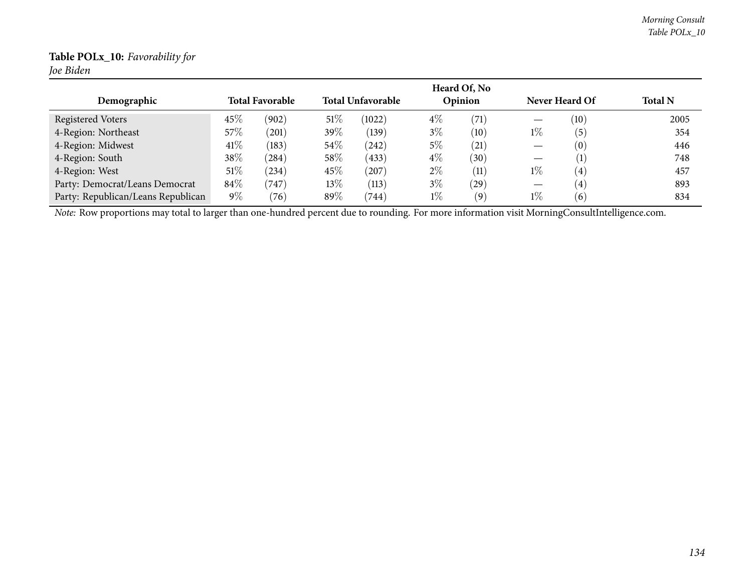## **Table POLx\_10:** *Favorability for*

*Joe Biden*

|                                                                                                                                                |        |                        |        |                          |       | Heard Of, No |       |                       |                |
|------------------------------------------------------------------------------------------------------------------------------------------------|--------|------------------------|--------|--------------------------|-------|--------------|-------|-----------------------|----------------|
| Demographic                                                                                                                                    |        | <b>Total Favorable</b> |        | <b>Total Unfavorable</b> |       | Opinion      |       | Never Heard Of        | <b>Total N</b> |
| Registered Voters                                                                                                                              | 45%    | (902)                  | 51%    | (1022)                   | $4\%$ | (71)         |       | (10)                  | 2005           |
| 4-Region: Northeast                                                                                                                            | 57%    | $^{'}201)$             | 39\%   | (139)                    | $3\%$ | (10)         | $1\%$ | $\mathbf{5}^{\prime}$ | 354            |
| 4-Region: Midwest                                                                                                                              | 41\%   | (183)                  | 54\%   | (242)                    | 5%    | (21)         | —     | (0)                   | 446            |
| 4-Region: South                                                                                                                                | 38%    | (284)                  | 58%    | (433)                    | $4\%$ | (30)         |       | $\left(1\right)$      | 748            |
| 4-Region: West                                                                                                                                 | $51\%$ | $^{(234)}$             | 45%    | (207)                    | $2\%$ | (11)         | $1\%$ | $\overline{4}$        | 457            |
| Party: Democrat/Leans Democrat                                                                                                                 | 84\%   | (747)                  | $13\%$ | (113)                    | $3\%$ | (29)         |       | $\left( 4\right)$     | 893            |
| Party: Republican/Leans Republican                                                                                                             | $9\%$  | (76)                   | 89%    | (744)                    | $1\%$ | (9)          | $1\%$ | $6^{\circ}$           | 834            |
| Note: Row proportions may total to larger than one-hundred percent due to rounding. For more information visit MorningConsultIntelligence.com. |        |                        |        |                          |       |              |       |                       |                |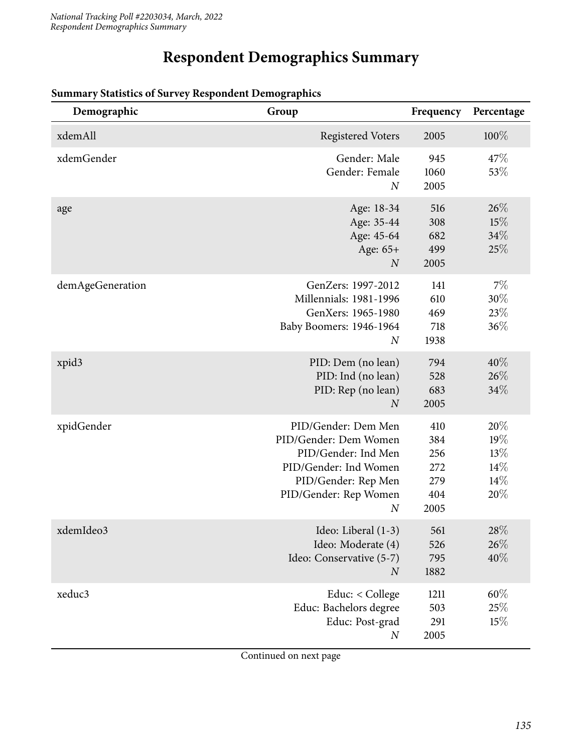# **Respondent Demographics Summary**

| Demographic      | Group                                                                                                                                                            | Frequency                                      | Percentage                                |
|------------------|------------------------------------------------------------------------------------------------------------------------------------------------------------------|------------------------------------------------|-------------------------------------------|
| xdemAll          | <b>Registered Voters</b>                                                                                                                                         | 2005                                           | 100%                                      |
| xdemGender       | Gender: Male<br>Gender: Female<br>$\overline{N}$                                                                                                                 | 945<br>1060<br>2005                            | 47\%<br>53%                               |
| age              | Age: 18-34<br>Age: 35-44<br>Age: 45-64<br>Age: 65+<br>$\boldsymbol{N}$                                                                                           | 516<br>308<br>682<br>499<br>2005               | 26%<br>15%<br>34%<br>25%                  |
| demAgeGeneration | GenZers: 1997-2012<br>Millennials: 1981-1996<br>GenXers: 1965-1980<br>Baby Boomers: 1946-1964<br>$\overline{N}$                                                  | 141<br>610<br>469<br>718<br>1938               | 7%<br>$30\%$<br>23%<br>36%                |
| xpid3            | PID: Dem (no lean)<br>PID: Ind (no lean)<br>PID: Rep (no lean)<br>$\overline{N}$                                                                                 | 794<br>528<br>683<br>2005                      | 40%<br>26%<br>34%                         |
| xpidGender       | PID/Gender: Dem Men<br>PID/Gender: Dem Women<br>PID/Gender: Ind Men<br>PID/Gender: Ind Women<br>PID/Gender: Rep Men<br>PID/Gender: Rep Women<br>$\boldsymbol{N}$ | 410<br>384<br>256<br>272<br>279<br>404<br>2005 | 20%<br>19%<br>13%<br>14%<br>$14\%$<br>20% |
| xdemIdeo3        | Ideo: Liberal (1-3)<br>Ideo: Moderate (4)<br>Ideo: Conservative (5-7)<br>$\boldsymbol{N}$                                                                        | 561<br>526<br>795<br>1882                      | $28\%$<br>26%<br>$40\%$                   |
| xeduc3           | Educ: < College<br>Educ: Bachelors degree<br>Educ: Post-grad<br>$\boldsymbol{N}$                                                                                 | 1211<br>503<br>291<br>2005                     | $60\%$<br>25%<br>15%                      |

### **Summary Statistics of Survey Respondent Demographics**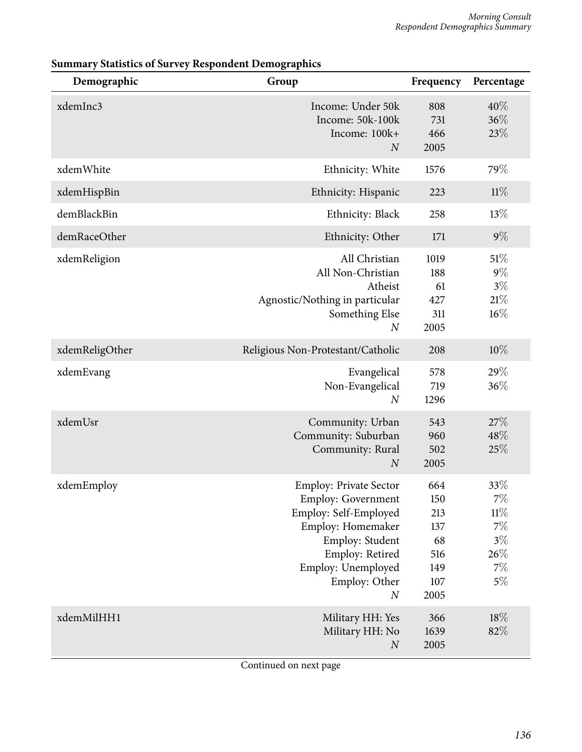| Demographic    | Group                                                                                                                                                                                                     | Frequency                                                   | Percentage                                                           |
|----------------|-----------------------------------------------------------------------------------------------------------------------------------------------------------------------------------------------------------|-------------------------------------------------------------|----------------------------------------------------------------------|
| xdemInc3       | Income: Under 50k<br>Income: 50k-100k<br>Income: 100k+<br>$\boldsymbol{N}$                                                                                                                                | 808<br>731<br>466<br>2005                                   | 40%<br>$36\%$<br>23%                                                 |
| xdemWhite      | Ethnicity: White                                                                                                                                                                                          | 1576                                                        | 79%                                                                  |
| xdemHispBin    | Ethnicity: Hispanic                                                                                                                                                                                       | 223                                                         | 11%                                                                  |
| demBlackBin    | Ethnicity: Black                                                                                                                                                                                          | 258                                                         | 13%                                                                  |
| demRaceOther   | Ethnicity: Other                                                                                                                                                                                          | 171                                                         | $9\%$                                                                |
| xdemReligion   | All Christian<br>All Non-Christian<br>Atheist<br>Agnostic/Nothing in particular<br>Something Else<br>$\boldsymbol{N}$                                                                                     | 1019<br>188<br>61<br>427<br>311<br>2005                     | 51%<br>$9\%$<br>$3\%$<br>21%<br>$16\%$                               |
| xdemReligOther | Religious Non-Protestant/Catholic                                                                                                                                                                         | 208                                                         | $10\%$                                                               |
| xdemEvang      | Evangelical<br>Non-Evangelical<br>$\boldsymbol{N}$                                                                                                                                                        | 578<br>719<br>1296                                          | 29%<br>36\%                                                          |
| xdemUsr        | Community: Urban<br>Community: Suburban<br>Community: Rural<br>$\boldsymbol{N}$                                                                                                                           | 543<br>960<br>502<br>2005                                   | 27%<br>48%<br>25%                                                    |
| xdemEmploy     | <b>Employ: Private Sector</b><br><b>Employ: Government</b><br>Employ: Self-Employed<br>Employ: Homemaker<br>Employ: Student<br>Employ: Retired<br>Employ: Unemployed<br>Employ: Other<br>$\boldsymbol{N}$ | 664<br>150<br>213<br>137<br>68<br>516<br>149<br>107<br>2005 | 33%<br>$7\%$<br>$11\%$<br>$7\%$<br>$3\%$<br>$26\%$<br>$7\%$<br>$5\%$ |
| xdemMilHH1     | Military HH: Yes<br>Military HH: No<br>$\boldsymbol{N}$                                                                                                                                                   | 366<br>1639<br>2005                                         | 18%<br>82%                                                           |

## **Summary Statistics of Survey Respondent Demographics**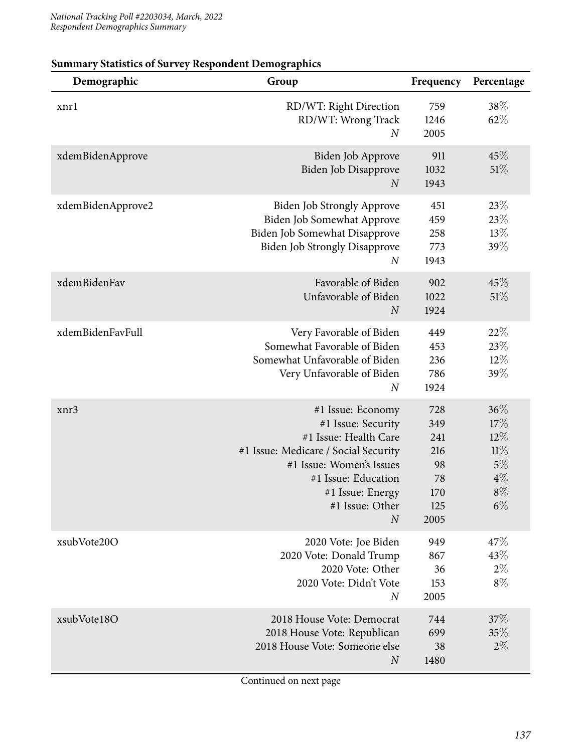| Demographic       | Group                                                                                                                                                                                                                  | Frequency                                                  | Percentage                                                   |
|-------------------|------------------------------------------------------------------------------------------------------------------------------------------------------------------------------------------------------------------------|------------------------------------------------------------|--------------------------------------------------------------|
| xnrl              | RD/WT: Right Direction<br>RD/WT: Wrong Track<br>$\boldsymbol{N}$                                                                                                                                                       | 759<br>1246<br>2005                                        | 38\%<br>62%                                                  |
| xdemBidenApprove  | Biden Job Approve<br>Biden Job Disapprove<br>$\boldsymbol{N}$                                                                                                                                                          | 911<br>1032<br>1943                                        | 45%<br>51%                                                   |
| xdemBidenApprove2 | <b>Biden Job Strongly Approve</b><br>Biden Job Somewhat Approve<br>Biden Job Somewhat Disapprove<br><b>Biden Job Strongly Disapprove</b><br>$\boldsymbol{N}$                                                           | 451<br>459<br>258<br>773<br>1943                           | 23%<br>23%<br>$13\%$<br>39%                                  |
| xdemBidenFav      | Favorable of Biden<br>Unfavorable of Biden<br>$\boldsymbol{N}$                                                                                                                                                         | 902<br>1022<br>1924                                        | 45\%<br>51\%                                                 |
| xdemBidenFavFull  | Very Favorable of Biden<br>Somewhat Favorable of Biden<br>Somewhat Unfavorable of Biden<br>Very Unfavorable of Biden<br>$\boldsymbol{N}$                                                                               | 449<br>453<br>236<br>786<br>1924                           | 22%<br>23%<br>12%<br>39%                                     |
| xnr3              | #1 Issue: Economy<br>#1 Issue: Security<br>#1 Issue: Health Care<br>#1 Issue: Medicare / Social Security<br>#1 Issue: Women's Issues<br>#1 Issue: Education<br>#1 Issue: Energy<br>#1 Issue: Other<br>$\boldsymbol{N}$ | 728<br>349<br>241<br>216<br>98<br>78<br>170<br>125<br>2005 | 36%<br>17%<br>$12\%$<br>11%<br>5%<br>$4\%$<br>$8\%$<br>$6\%$ |
| xsubVote20O       | 2020 Vote: Joe Biden<br>2020 Vote: Donald Trump<br>2020 Vote: Other<br>2020 Vote: Didn't Vote<br>$\boldsymbol{N}$                                                                                                      | 949<br>867<br>36<br>153<br>2005                            | 47%<br>43%<br>$2\%$<br>$8\%$                                 |
| xsubVote18O       | 2018 House Vote: Democrat<br>2018 House Vote: Republican<br>2018 House Vote: Someone else<br>N                                                                                                                         | 744<br>699<br>38<br>1480                                   | 37\%<br>35%<br>$2\%$                                         |

## **Summary Statistics of Survey Respondent Demographics**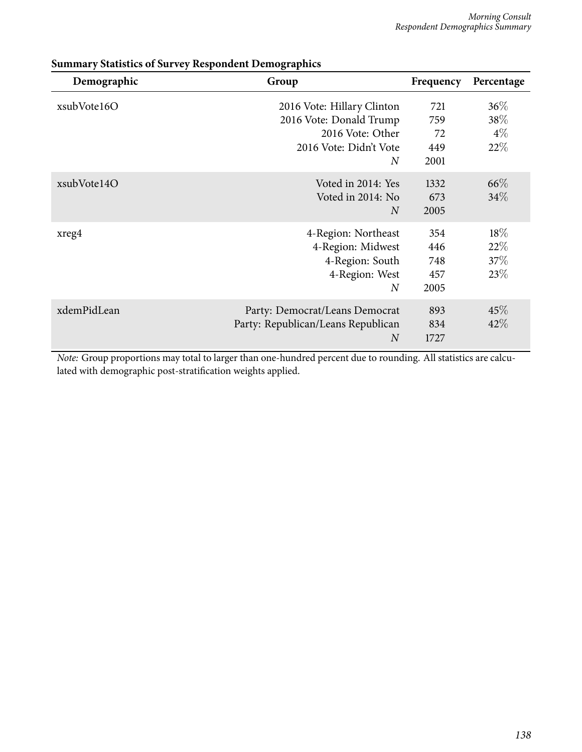| Demographic | Group                                                                                                                 | Frequency                        | Percentage                    |
|-------------|-----------------------------------------------------------------------------------------------------------------------|----------------------------------|-------------------------------|
| xsubVote16O | 2016 Vote: Hillary Clinton<br>2016 Vote: Donald Trump<br>2016 Vote: Other<br>2016 Vote: Didn't Vote<br>$\overline{N}$ | 721<br>759<br>72<br>449<br>2001  | $36\%$<br>38%<br>$4\%$<br>22% |
| xsubVote14O | Voted in 2014: Yes<br>Voted in 2014: No<br>$\overline{N}$                                                             | 1332<br>673<br>2005              | 66\%<br>34%                   |
| xreg4       | 4-Region: Northeast<br>4-Region: Midwest<br>4-Region: South<br>4-Region: West<br>$\overline{N}$                       | 354<br>446<br>748<br>457<br>2005 | $18\%$<br>22%<br>37%<br>23\%  |
| xdemPidLean | Party: Democrat/Leans Democrat<br>Party: Republican/Leans Republican<br>$\overline{N}$                                | 893<br>834<br>1727               | 45%<br>42%                    |

### **Summary Statistics of Survey Respondent Demographics**

*Note:* Group proportions may total to larger than one-hundred percent due to rounding. All statistics are calculated with demographic post-stratification weights applied.